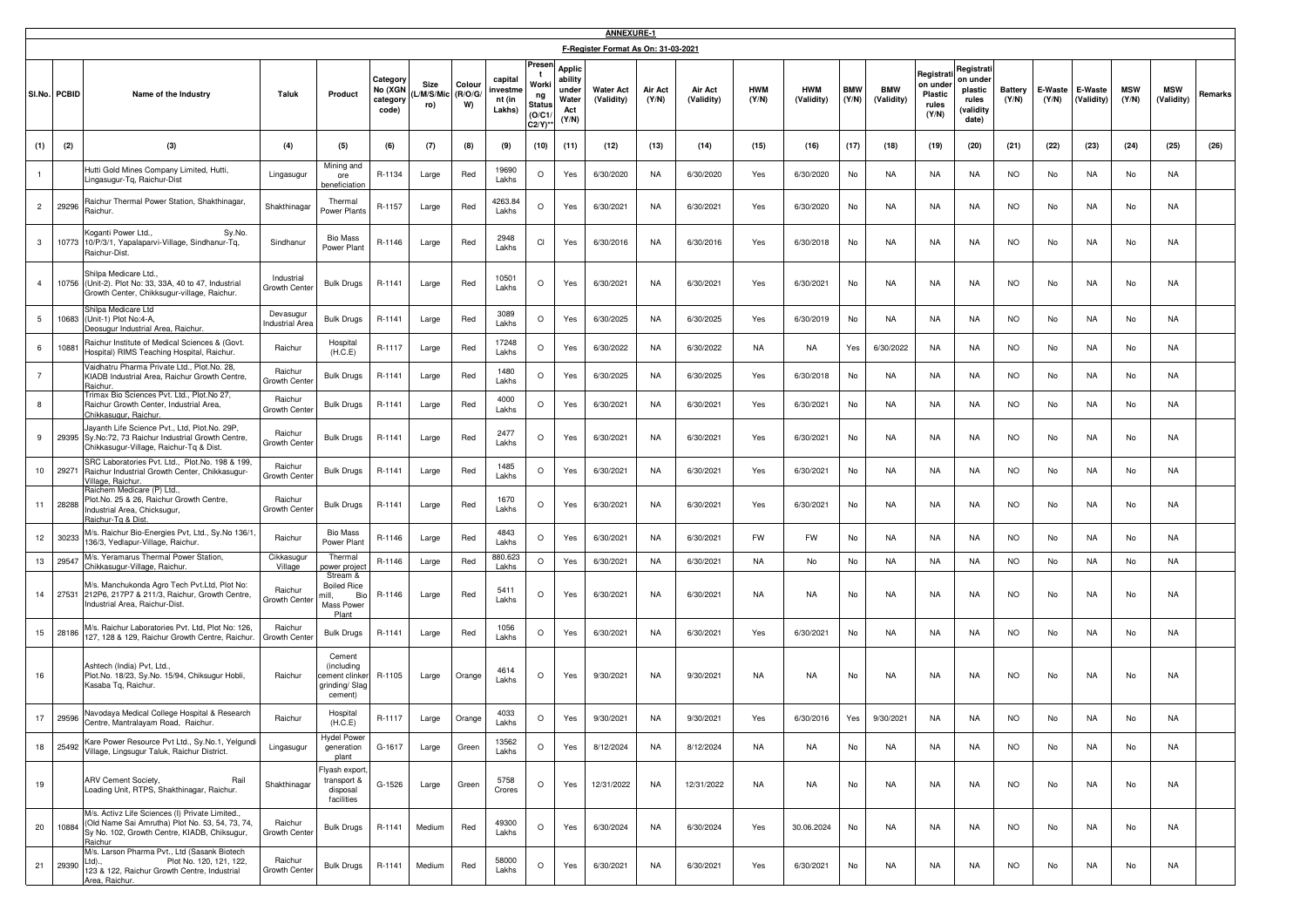|                |              |                                                                                                                                                            |                                     |                                                                       |                                          |                          |                         |                                        |                                                             |                                                     | <b>ANNEXURE-1</b>                   |                  |                       |                     |                          |                     |                          |                                                           |                                                                 |                  |                  |                       |                     |                          |         |
|----------------|--------------|------------------------------------------------------------------------------------------------------------------------------------------------------------|-------------------------------------|-----------------------------------------------------------------------|------------------------------------------|--------------------------|-------------------------|----------------------------------------|-------------------------------------------------------------|-----------------------------------------------------|-------------------------------------|------------------|-----------------------|---------------------|--------------------------|---------------------|--------------------------|-----------------------------------------------------------|-----------------------------------------------------------------|------------------|------------------|-----------------------|---------------------|--------------------------|---------|
|                |              |                                                                                                                                                            |                                     |                                                                       |                                          |                          |                         |                                        |                                                             |                                                     | F-Register Format As On: 31-03-2021 |                  |                       |                     |                          |                     |                          |                                                           |                                                                 |                  |                  |                       |                     |                          |         |
|                | SI.No. PCBID | Name of the Industry                                                                                                                                       | Taluk                               | Product                                                               | Category<br>No (XGN<br>category<br>code) | Size<br>L/M/S/Mic<br>ro) | Colour<br>(R/O/G/<br>W) | capital<br>nvestme<br>nt (in<br>Lakhs) | Preser<br>Worki<br>ng<br><b>Status</b><br>(O/C1<br>$C2/Y$ ) | Applic<br>ability<br>under<br>Water<br>Act<br>(Y/N) | <b>Water Act</b><br>(Validity)      | Air Act<br>(Y/N) | Air Act<br>(Validity) | <b>HWM</b><br>(Y/N) | <b>HWM</b><br>(Validity) | <b>BMW</b><br>(Y/N) | <b>BMW</b><br>(Validity) | Registrat<br>on under<br><b>Plastic</b><br>rules<br>(Y/N) | Registrat<br>on under<br>plastic<br>rules<br>(validity<br>date) | Battery<br>(Y/N) | E-Waste<br>(Y/N) | E-Waste<br>(Validity) | <b>MSW</b><br>(Y/N) | <b>MSW</b><br>(Validity) | Remarks |
| (1)            | (2)          | (3)                                                                                                                                                        | (4)                                 | (5)                                                                   | (6)                                      | (7)                      | (8)                     | (9)                                    | (10)                                                        | (11)                                                | (12)                                | (13)             | (14)                  | (15)                | (16)                     | (17)                | (18)                     | (19)                                                      | (20)                                                            | (21)             | (22)             | (23)                  | (24)                | (25)                     | (26)    |
|                |              | Hutti Gold Mines Company Limited, Hutti,<br>Lingasugur-Tq, Raichur-Dist                                                                                    | Lingasugur                          | Mining and<br>ore<br>eneficiation                                     | R-1134                                   | Large                    | Red                     | 19690<br>Lakhs                         | O                                                           | Yes                                                 | 6/30/2020                           | NA               | 6/30/2020             | Yes                 | 6/30/2020                | No                  | NA                       | NA                                                        | NA                                                              | NO.              | No               | NA                    | No                  | NA                       |         |
| $2^{\circ}$    | 29296        | Raichur Thermal Power Station, Shakthinagar,<br>Raichur.                                                                                                   | Shakthinagar                        | Thermal<br>Power Plants                                               | R-1157                                   | Large                    | Red                     | 4263.84<br>Lakhs                       | O                                                           | Yes                                                 | 6/30/2021                           | NA               | 6/30/2021             | Yes                 | 6/30/2020                | No                  | NA                       | NA                                                        | NA                                                              | <b>NO</b>        | No               | NA                    | No                  | NA                       |         |
| $\mathbf{3}$   | 10773        | Sy.No.<br>oganti Power Ltd.,<br>10/P/3/1, Yapalaparvi-Village, Sindhanur-Tq,<br>Raichur-Dist                                                               | Sindhanur                           | <b>Bio Mass</b><br>Power Plant                                        | R-1146                                   | Large                    | Red                     | 2948<br>Lakhs                          | CI                                                          | Yes                                                 | 6/30/2016                           | NA               | 6/30/2016             | Yes                 | 6/30/2018                | No                  | <b>NA</b>                | NA                                                        | NA                                                              | <b>NO</b>        | No               | NA.                   | No                  | NA                       |         |
| $\overline{4}$ | 10756        | Shilpa Medicare Ltd.,<br>(Unit-2). Plot No: 33, 33A, 40 to 47, Industrial<br>Growth Center, Chikksugur-village, Raichur.                                   | Industrial<br>Growth Cente          | <b>Bulk Drugs</b>                                                     | R-1141                                   | Large                    | Red                     | 10501<br>Lakhs                         | O                                                           | Yes                                                 | 6/30/2021                           | NA               | 6/30/2021             | Yes                 | 6/30/2021                | No                  | NA                       | NA                                                        | NA                                                              | <b>NO</b>        | No               | NA                    | No                  | NA                       |         |
| 5              | 10683        | Shilpa Medicare Ltd<br>(Unit-1) Plot No:4-A,<br>Jeosugur Industrial Area, Raichur.                                                                         | Devasugur<br><b>Industrial Area</b> | <b>Bulk Drugs</b>                                                     | R-1141                                   | Large                    | Red                     | 3089<br>Lakhs                          | $\circ$                                                     | Yes                                                 | 6/30/2025                           | NA               | 6/30/2025             | Yes                 | 6/30/2019                | No                  | NA                       | NA                                                        | NA                                                              | NO.              | No               | NA                    | No                  | NA                       |         |
| 6              | 10881        | Raichur Institute of Medical Sciences & (Govt.<br>Hospital) RIMS Teaching Hospital, Raichur.                                                               | Raichur                             | Hospital<br>(H.C.E)                                                   | R-1117                                   | Large                    | Red                     | 17248<br>Lakhs                         | $\circ$                                                     | Yes                                                 | 6/30/2022                           | NA               | 6/30/2022             | NA                  | NA                       | Yes                 | 6/30/2022                | NA                                                        | NA                                                              | <b>NO</b>        | No               | NA                    | No                  | NA                       |         |
| $\overline{7}$ |              | Vaidhatru Pharma Private Ltd., Plot.No. 28,<br>KIADB Industrial Area, Raichur Growth Centre,<br>Raichur<br>rimax Bio Sciences Pvt. Ltd., Plot.No 27,       | Raichur<br>Growth Cente             | <b>Bulk Drugs</b>                                                     | R-1141                                   | Large                    | Red                     | 1480<br>Lakhs                          | O                                                           | Yes                                                 | 6/30/2025                           | NA               | 6/30/2025             | Yes                 | 6/30/2018                | No                  | NA                       | <b>NA</b>                                                 | NA                                                              | <b>NO</b>        | No               | NA                    | No                  | NA                       |         |
| 8              |              | Raichur Growth Center, Industrial Area,<br>Chikkasugur, Raichur.                                                                                           | Raichur<br>Growth Cent              | <b>Bulk Drugs</b>                                                     | R-1141                                   | Large                    | Red                     | 4000<br>Lakhs                          | O                                                           | Yes                                                 | 6/30/2021                           | NA               | 6/30/2021             | Yes                 | 6/30/2021                | No                  | NA                       | NA                                                        | NA                                                              | <b>NO</b>        | No               | NA                    | No                  | NA                       |         |
| 9              | 29395        | layanth Life Science Pvt., Ltd, Plot.No. 29P,<br>Sy.No:72, 73 Raichur Industrial Growth Centre,<br>Chikkasugur-Village, Raichur-Tq & Dist                  | Raichur<br>Growth Cente             | <b>Bulk Drugs</b>                                                     | R-1141                                   | Large                    | Red                     | 2477<br>Lakhs                          | O                                                           | Yes                                                 | 6/30/2021                           | NA               | 6/30/2021             | Yes                 | 6/30/2021                | No                  | NA                       | NA                                                        | NA                                                              | NO.              | No               | NA                    | No                  | NA                       |         |
| 10             | 29271        | SRC Laboratories Pvt. Ltd., Plot.No. 198 & 199,<br>Raichur Industrial Growth Center, Chikkasugur-<br>illage, Raichur.                                      | Raichur<br>Growth Cente             | <b>Bulk Drugs</b>                                                     | R-1141                                   | Large                    | Red                     | 1485<br>Lakhs                          | $\circ$                                                     | Yes                                                 | 6/30/2021                           | NA               | 6/30/2021             | Yes                 | 6/30/2021                | No                  | NA.                      | NA.                                                       | NA                                                              | NO.              | No               | NA                    | No                  | NA                       |         |
| 11             | 28288        | Raichem Medicare (P) Ltd.,<br>Plot.No. 25 & 26, Raichur Growth Centre,<br>Industrial Area, Chicksugur,<br>Raichur-Tg & Dist.                               | Raichur<br>Growth Cente             | <b>Bulk Drugs</b>                                                     | R-1141                                   | Large                    | Red                     | 1670<br>Lakhs                          | O                                                           | Yes                                                 | 6/30/2021                           | NA               | 6/30/2021             | Yes                 | 6/30/2021                | No                  | NA                       | NA                                                        | NA                                                              | <b>NO</b>        | No               | NA                    | No                  | NA                       |         |
| 12             | 30233        | M/s. Raichur Bio-Energies Pvt, Ltd., Sy.No 136/1,<br>136/3, Yedlapur-Village, Raichur.<br>M/s. Yeramarus Thermal Power Station,                            | Raichur                             | <b>Bio Mass</b><br>Power Plant                                        | R-1146                                   | Large                    | Red                     | 4843<br>Lakhs                          | $\circ$                                                     | Yes                                                 | 6/30/2021                           | NA               | 6/30/2021             | FW                  | FW                       | No                  | NA                       | NA                                                        | NA                                                              | NO.              | No               | NA                    | No                  | NA                       |         |
| 13             | 29547        | Chikkasugur-Village, Raichur.                                                                                                                              | Cikkasugur<br>Village               | Thermal<br>ower projec                                                | R-1146                                   | Large                    | Red                     | 880.623<br>Lakhs                       | $\circ$                                                     | Yes                                                 | 6/30/2021                           | NA               | 6/30/2021             | NA                  | No                       | No                  | NA.                      | NA                                                        | NA                                                              | <b>NO</b>        | No               | <b>NA</b>             | No                  | NA                       |         |
| 14             | 27531        | M/s. Manchukonda Agro Tech Pvt.Ltd, Plot No:<br>212P6, 217P7 & 211/3, Raichur, Growth Centre,<br>ndustrial Area, Raichur-Dist.                             | Raichur<br>Growth Cente             | Stream &<br><b>Boiled Rice</b><br>Bio<br>nill.<br>Mass Power<br>Plant | R-1146                                   | Large                    | Red                     | 5411<br>Lakhs                          | $\circ$                                                     | Yes                                                 | 6/30/2021                           | NA               | 6/30/2021             | NA                  | <b>NA</b>                | No                  | <b>NA</b>                | <b>NA</b>                                                 | NA                                                              | <b>NO</b>        | No               | NA                    | No                  | NA                       |         |
| 15             | 28186        | M/s. Raichur Laboratories Pvt. Ltd, Plot No: 126,<br>127, 128 & 129, Raichur Growth Centre, Raichur.                                                       | Raichur<br>Growth Cente             | <b>Bulk Drugs</b>                                                     | R-1141                                   | Large                    | Red                     | 1056<br>Lakhs                          | $\circ$                                                     | Yes                                                 | 6/30/2021                           | NA               | 6/30/2021             | Yes                 | 6/30/2021                | No                  | NA                       | NA                                                        | NA                                                              | <b>NO</b>        | No               | NA                    | No                  | NA                       |         |
| 16             |              | Ashtech (India) Pvt, Ltd.,<br>Plot.No. 18/23, Sy.No. 15/94, Chiksugur Hobli,<br>Kasaba Tq, Raichur.                                                        | Raichur                             | Cement<br>(including<br>ement clinke<br>grinding/ Slag<br>cement)     | R-1105                                   | Large                    | Orange                  | 4614<br>Lakhs                          | $\circ$                                                     | Yes                                                 | 9/30/2021                           | NA               | 9/30/2021             | NA                  | NA.                      | No                  | NA                       | NA                                                        | NA                                                              | <b>NO</b>        | No               | NA                    | No                  | NA                       |         |
| 17             | 29596        | Navodaya Medical College Hospital & Research<br>`entre, Mantralayam Road,  Raichui                                                                         | Raichur                             | Hospital<br>(H.C.E)                                                   | R-1117                                   | Large                    | Orange                  | 4033<br>Lakhs                          | $\circ$                                                     | Yes                                                 | 9/30/2021                           | <b>NA</b>        | 9/30/2021             | Yes                 | 6/30/2016                | Yes                 | 9/30/2021                | <b>NA</b>                                                 | <b>NA</b>                                                       | <b>NO</b>        | No               | <b>NA</b>             | No                  | <b>NA</b>                |         |
| 18             | 25492        | Kare Power Resource Pvt Ltd., Sy.No.1, Yelgundi<br>Village, Lingsugur Taluk, Raichur District.                                                             | Lingasugur                          | <b>Hydel Power</b><br>generation<br>plant                             | G-1617                                   | Large                    | Green                   | 13562<br>Lakhs                         | $\circ$                                                     | Yes                                                 | 8/12/2024                           | <b>NA</b>        | 8/12/2024             | <b>NA</b>           | <b>NA</b>                | No                  | <b>NA</b>                | <b>NA</b>                                                 | <b>NA</b>                                                       | <b>NO</b>        | No               | <b>NA</b>             | No                  | <b>NA</b>                |         |
| 19             |              | ARV Cement Society,<br>Rail<br>Loading Unit, RTPS, Shakthinagar, Raichur.                                                                                  | Shakthinagar                        | Flyash export<br>transport &<br>disposal<br>facilities                | G-1526                                   | Large                    | Green                   | 5758<br>Crores                         | $\circ$                                                     | Yes                                                 | 12/31/2022                          | NA               | 12/31/2022            | NA                  | NA                       | No                  | <b>NA</b>                | NA                                                        | NA                                                              | <b>NO</b>        | No               | NA                    | No                  | NA                       |         |
| 20             | 10884        | M/s. Activz Life Sciences (I) Private Limited<br>Old Name Sai Amrutha) Plot No. 53, 54, 73, 74,<br>Sy No. 102, Growth Centre, KIADB, Chiksugur,<br>Raichur | Raichur<br>Growth Center            | <b>Bulk Drugs</b>                                                     | R-1141                                   | Medium                   | Red                     | 49300<br>Lakhs                         | O                                                           | Yes                                                 | 6/30/2024                           | NA               | 6/30/2024             | Yes                 | 30.06.2024               | No                  | <b>NA</b>                | NA                                                        | NA                                                              | <b>NO</b>        | No               | NA                    | No                  | NA                       |         |
| 21             | 29390        | M/s. Larson Pharma Pvt., Ltd (Sasank Biotech<br>Plot No. 120, 121, 122,<br>Ltd).,<br>123 & 122, Raichur Growth Centre, Industrial<br>Area, Raichur.        | Raichur<br>Growth Cente             | <b>Bulk Drugs</b>                                                     | R-1141                                   | Medium                   | Red                     | 58000<br>Lakhs                         | $\circ$                                                     | Yes                                                 | 6/30/2021                           | NA               | 6/30/2021             | Yes                 | 6/30/2021                | No                  | NA                       | NA                                                        | NA                                                              | <b>NO</b>        | No               | NA                    | No                  | NA                       |         |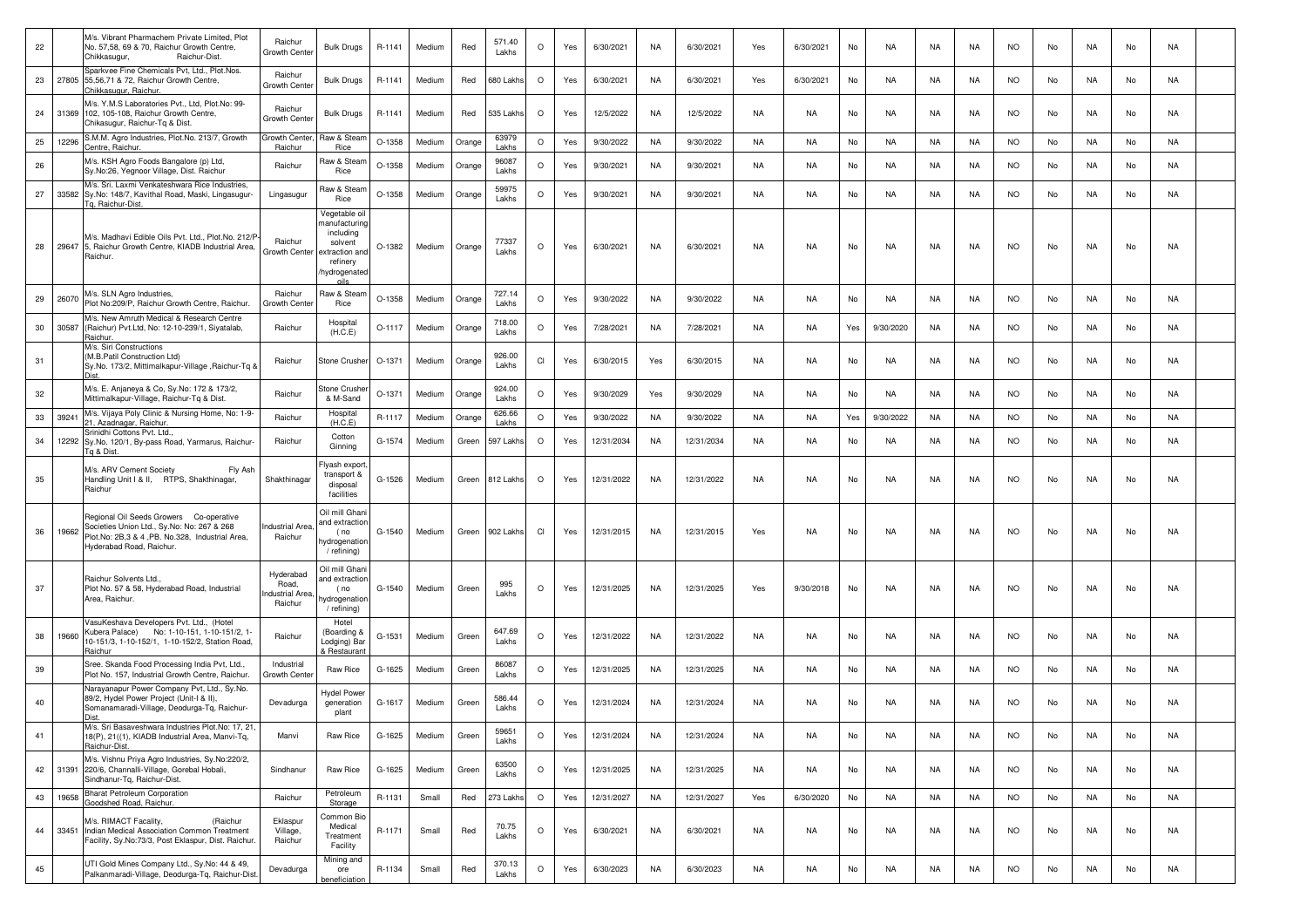| 22 |       | M/s. Vibrant Pharmachem Private Limited, Plot<br>No. 57,58, 69 & 70, Raichur Growth Centre,<br>Chikkasugur,<br>Raichur-Dist.                                         | Raichur<br>Growth Cente                         | <b>Bulk Drugs</b>                                                                                           | R-1141   | Medium | Red    | 571.40<br>Lakhs  | $\circ$  | Yes | 6/30/2021  | NA        | 6/30/2021  | Yes       | 6/30/2021 | No  | NA        | NA        | NA        | <b>NO</b> | No | NA        | No | NA        |  |
|----|-------|----------------------------------------------------------------------------------------------------------------------------------------------------------------------|-------------------------------------------------|-------------------------------------------------------------------------------------------------------------|----------|--------|--------|------------------|----------|-----|------------|-----------|------------|-----------|-----------|-----|-----------|-----------|-----------|-----------|----|-----------|----|-----------|--|
| 23 |       | Sparkvee Fine Chemicals Pvt, Ltd., Plot.Nos.<br>27805 55,56,71 & 72, Raichur Growth Centre,<br>Chikkasugur, Raichur.                                                 | Raichur<br>Growth Cente                         | <b>Bulk Drugs</b>                                                                                           | R-1141   | Medium | Red    | <b>380 Lakhs</b> | $\circ$  | Yes | 6/30/2021  | <b>NA</b> | 6/30/2021  | Yes       | 6/30/2021 | No  | <b>NA</b> | <b>NA</b> | NA        | <b>NO</b> | No | NA        | No | NA        |  |
| 24 |       | M/s. Y.M.S Laboratories Pvt., Ltd, Plot.No: 99-<br>31369 102, 105-108, Raichur Growth Centre,<br>Chikasugur, Raichur-Tq & Dist.                                      | Raichur<br>Growth Cente                         | <b>Bulk Drugs</b>                                                                                           | R-1141   | Medium | Red    | 535 Lakhs        | $\circ$  | Yes | 12/5/2022  | <b>NA</b> | 12/5/2022  | NA        | NA        | No  | <b>NA</b> | NA        | NA        | <b>NO</b> | No | NA        | No | NA        |  |
| 25 | 12296 | S.M.M. Agro Industries, Plot.No. 213/7, Growth<br>Centre, Raichur.                                                                                                   | Growth Center<br>Raichur                        | Raw & Stean<br>Rice                                                                                         | O-1358   | Medium | Orange | 63979<br>Lakhs   | $\circ$  | Yes | 9/30/2022  | <b>NA</b> | 9/30/2022  | NA        | <b>NA</b> | No  | <b>NA</b> | NA        | NA        | <b>NO</b> | No | NA        | No | NA        |  |
| 26 |       | M/s. KSH Agro Foods Bangalore (p) Ltd,<br>Sy.No:26, Yegnoor Village, Dist. Raichur                                                                                   | Raichur                                         | Raw & Stean<br>Rice                                                                                         | O-1358   | Medium | Orange | 96087<br>Lakhs   | $\circ$  | Yes | 9/30/2021  | <b>NA</b> | 9/30/2021  | NA        | NA.       | No  | NA        | NA        | NA        | <b>NO</b> | No | NA        | No | NA        |  |
| 27 | 33582 | M/s. Sri. Laxmi Venkateshwara Rice Industries,<br>Sy.No: 148/7, Kavithal Road, Maski, Lingasugur-<br>Tg, Raichur-Dist.                                               | Lingasugur                                      | Raw & Stean<br>Rice                                                                                         | $O-1358$ | Medium | Orange | 59975<br>Lakhs   | $\circ$  | Yes | 9/30/2021  | <b>NA</b> | 9/30/2021  | <b>NA</b> | <b>NA</b> | No  | <b>NA</b> | <b>NA</b> | <b>NA</b> | <b>NO</b> | No | NA.       | No | <b>NA</b> |  |
| 28 |       | M/s. Madhavi Edible Oils Pvt. Ltd., Plot.No. 212/P<br>29647 5, Raichur Growth Centre, KIADB Industrial Area,<br>Raichur.                                             | Raichur<br>Growth Center                        | Vegetable oil<br>nanufacturing<br>including<br>solvent<br>xtraction and<br>refinery<br>hydrogenatec<br>nile | O-1382   | Medium | Orange | 77337<br>Lakhs   | $\Omega$ | Yes | 6/30/2021  | NA        | 6/30/2021  | NA        | NA.       | No  | NA        | NA        | NA        | <b>NO</b> | No | NA.       | No | NA        |  |
| 29 | 26070 | M/s. SLN Agro Industries,<br>Plot No:209/P, Raichur Growth Centre, Raichur.                                                                                          | Raichur<br>Growth Cente                         | Raw & Steam<br>Rice                                                                                         | $O-1358$ | Medium | Orange | 727.14<br>Lakhs  | $\circ$  | Yes | 9/30/2022  | <b>NA</b> | 9/30/2022  | <b>NA</b> | <b>NA</b> | No  | <b>NA</b> | NA        | <b>NA</b> | <b>NO</b> | No | NA        | No | <b>NA</b> |  |
| 30 | 30587 | M/s. New Amruth Medical & Research Centre<br>(Raichur) Pvt.Ltd, No: 12-10-239/1, Siyatalab,<br>Raichur.                                                              | Raichur                                         | Hospital<br>(H.C.E)                                                                                         | O-1117   | Medium | Orange | 718.00<br>Lakhs  | $\circ$  | Yes | 7/28/2021  | <b>NA</b> | 7/28/2021  | <b>NA</b> | <b>NA</b> | Yes | 9/30/2020 | NA        | <b>NA</b> | <b>NO</b> | No | NA        | No | NA        |  |
| 31 |       | M/s. Siri Constructions<br>(M.B.Patil Construction Ltd)<br>Sy.No. 173/2, Mittimalkapur-Village ,Raichur-Tq &<br>Dist.                                                | Raichur                                         | <b>Stone Crusher</b>                                                                                        | O-1371   | Medium | Orange | 926.00<br>Lakhs  | CI       | Yes | 6/30/2015  | Yes       | 6/30/2015  | NA        | NA.       | No  | NA.       | NA        | NA        | <b>NO</b> | No | NA.       | No | NA        |  |
| 32 |       | M/s. E. Anjaneya & Co, Sy.No: 172 & 173/2,<br>Mittimalkapur-Village, Raichur-Tg & Dist.                                                                              | Raichur                                         | Stone Crushei<br>& M-Sand                                                                                   | $O-1371$ | Medium | Orange | 924.00<br>Lakhs  | $\circ$  | Yes | 9/30/2029  | Yes       | 9/30/2029  | NA        | <b>NA</b> | No  | NA        | NA        | NA        | <b>NO</b> | No | NA        | No | NA        |  |
| 33 | 39241 | M/s. Vijaya Poly Clinic & Nursing Home, No: 1-9-<br>21, Azadnagar, Raichur                                                                                           | Raichur                                         | Hospital<br>(H.C.E)                                                                                         | R-1117   | Medium | Orange | 626.66<br>Lakhs  | $\circ$  | Yes | 9/30/2022  | <b>NA</b> | 9/30/2022  | <b>NA</b> | <b>NA</b> | Yes | 9/30/2022 | <b>NA</b> | <b>NA</b> | <b>NO</b> | No | <b>NA</b> | No | <b>NA</b> |  |
| 34 | 12292 | Srinidhi Cottons Pvt. Ltd.<br>Sy.No. 120/1, By-pass Road, Yarmarus, Raichur-<br>Tq & Dist.                                                                           | Raichur                                         | Cotton<br>Ginning                                                                                           | G-1574   | Medium | Green  | 597 Lakhs        | $\circ$  | Yes | 12/31/2034 | <b>NA</b> | 12/31/2034 | <b>NA</b> | <b>NA</b> | No  | <b>NA</b> | <b>NA</b> | NA        | <b>NO</b> | No | NA.       | No | NA        |  |
| 35 |       | M/s. ARV Cement Society<br>Fly Ash<br>Handling Unit I & II, RTPS, Shakthinagar,<br>Raichur                                                                           | Shakthinagar                                    | Flyash export,<br>transport &<br>disposal<br>facilities                                                     | G-1526   | Medium | Green  | 812 Lakhs        | $\circ$  | Yes | 12/31/2022 | NA        | 12/31/2022 | NA        | <b>NA</b> | No  | NA        | NA        | NA        | <b>NO</b> | No | NA        | No | NA        |  |
| 36 | 19662 | Regional Oil Seeds Growers Co-operative<br>Societies Union Ltd., Sy.No: No: 267 & 268<br>Plot.No: 2B.3 & 4, PB. No.328, Industrial Area,<br>Hyderabad Road, Raichur. | <b>Industrial Area</b><br>Raichur               | Oil mill Ghani<br>and extraction<br>(no<br>nydrogenation<br>/ refining)                                     | G-1540   | Medium | Green  | 902 Lakhs        | CI       | Yes | 12/31/2015 | <b>NA</b> | 12/31/2015 | Yes       | <b>NA</b> | No  | <b>NA</b> | NA        | <b>NA</b> | <b>NO</b> | No | NA        | No | NA        |  |
| 37 |       | Raichur Solvents Ltd.<br>Plot No. 57 & 58, Hyderabad Road, Industrial<br>Area, Raichur.                                                                              | Hyderabad<br>Road,<br>ndustrial Area<br>Raichur | Oil mill Ghani<br>and extractior<br>(no<br>hydrogenation<br>/ refining)                                     | G-1540   | Medium | Green  | 995<br>Lakhs     | $\circ$  | Yes | 12/31/2025 | NA        | 12/31/2025 | Yes       | 9/30/2018 | No  | NA        | NA        | NA        | <b>NO</b> | No | NA.       | No | NA        |  |
| 38 | 19660 | VasuKeshava Developers Pvt. Ltd., (Hotel<br>Kubera Palace) No: 1-10-151, 1-10-151/2, 1-<br>10-151/3, 1-10-152/1, 1-10-152/2, Station Road,<br>Raichur                | Raichur                                         | Hotel<br>(Boarding &<br>Lodging) Bar<br>& Restaurant                                                        | G-1531   | Medium | Green  | 647.69<br>Lakhs  | $\circ$  | Yes | 12/31/2022 | NA        | 12/31/2022 | NA        | <b>NA</b> | No  | NA        | NA        | NA        | <b>NO</b> | No | NA        | No | NA        |  |
| 39 |       | Sree. Skanda Food Processing India Pvt, Ltd.,<br>Plot No. 157, Industrial Growth Centre, Raichur.                                                                    | Industrial<br>Growth Cente                      | Raw Rice                                                                                                    | G-1625   | Medium | Green  | 86087<br>Lakhs   | $\circ$  | Yes | 12/31/2025 | <b>NA</b> | 12/31/2025 | <b>NA</b> | <b>NA</b> | No  | <b>NA</b> | <b>NA</b> | <b>NA</b> | <b>NO</b> | No | NA.       | No | NA        |  |
| 40 |       | Narayanapur Power Company Pvt, Ltd., Sy.No.<br>89/2, Hydel Power Project (Unit-I & II),<br>Somanamaradi-Village, Deodurga-Tg, Raichur-                               | Devadurga                                       | <b>Hydel Power</b><br>generation<br>plant                                                                   | G-1617   | Medium | Green  | 586.44<br>Lakhs  | $\circ$  | Yes | 12/31/2024 | <b>NA</b> | 12/31/2024 | NA        | NA        | No  | NA        | NA        | NA        | <b>NO</b> | No | NA        | No | NA        |  |
| 41 |       | M/s. Sri Basaveshwara Industries Plot.No: 17, 21,<br>18(P), 21((1), KIADB Industrial Area, Manvi-Tq,<br>Raichur-Dist.                                                | Manvi                                           | Raw Rice                                                                                                    | G-1625   | Medium | Green  | 59651<br>Lakhs   | $\circ$  | Yes | 12/31/2024 | <b>NA</b> | 12/31/2024 | NA        | <b>NA</b> | No  | <b>NA</b> | <b>NA</b> | NA        | <b>NO</b> | No | NA        | No | NA        |  |
| 42 |       | M/s. Vishnu Priya Agro Industries, Sy.No:220/2,<br>31391 220/6, Channalli-Village, Gorebal Hobali,<br>Sindhanur-Tg, Raichur-Dist.                                    | Sindhanur                                       | Raw Rice                                                                                                    | G-1625   | Medium | Green  | 63500<br>Lakhs   | $\circ$  | Yes | 12/31/2025 | NA        | 12/31/2025 | NA        | NA        | No  | NA        | NA        | NA        | <b>NO</b> | No | NA        | No | NA        |  |
| 43 | 19658 | <b>Bharat Petroleum Corporation</b><br>Goodshed Road, Raichur.                                                                                                       | Raichur                                         | Petroleum<br>Storage                                                                                        | R-1131   | Small  | Red    | 273 Lakhs        | $\circ$  | Yes | 12/31/2027 | <b>NA</b> | 12/31/2027 | Yes       | 6/30/2020 | No  | NA        | <b>NA</b> | <b>NA</b> | <b>NO</b> | No | <b>NA</b> | No | <b>NA</b> |  |
| 44 | 33451 | M/s. RIMACT Facality,<br>(Raichur<br>Indian Medical Association Common Treatment<br>Facility, Sy.No:73/3, Post Eklaspur, Dist. Raichur.                              | Eklaspur<br>Village,<br>Raichur                 | Common Bio<br>Medical<br>Treatment<br>Facility                                                              | R-1171   | Small  | Red    | 70.75<br>Lakhs   | $\circ$  | Yes | 6/30/2021  | NA        | 6/30/2021  | NA        | NA        | No  | NA        | NA        | NA        | <b>NO</b> | No | NA        | No | NA        |  |
| 45 |       | UTI Gold Mines Company Ltd., Sy.No: 44 & 49,<br>Palkanmaradi-Village, Deodurga-Tq, Raichur-Dist                                                                      | Devadurga                                       | Mining and<br>ore<br>beneficiation                                                                          | R-1134   | Small  | Red    | 370.13<br>Lakhs  | $\circ$  | Yes | 6/30/2023  | NA        | 6/30/2023  | NA        | NA        | No  | <b>NA</b> | NA        | NA        | <b>NO</b> | No | NA        | No | NA        |  |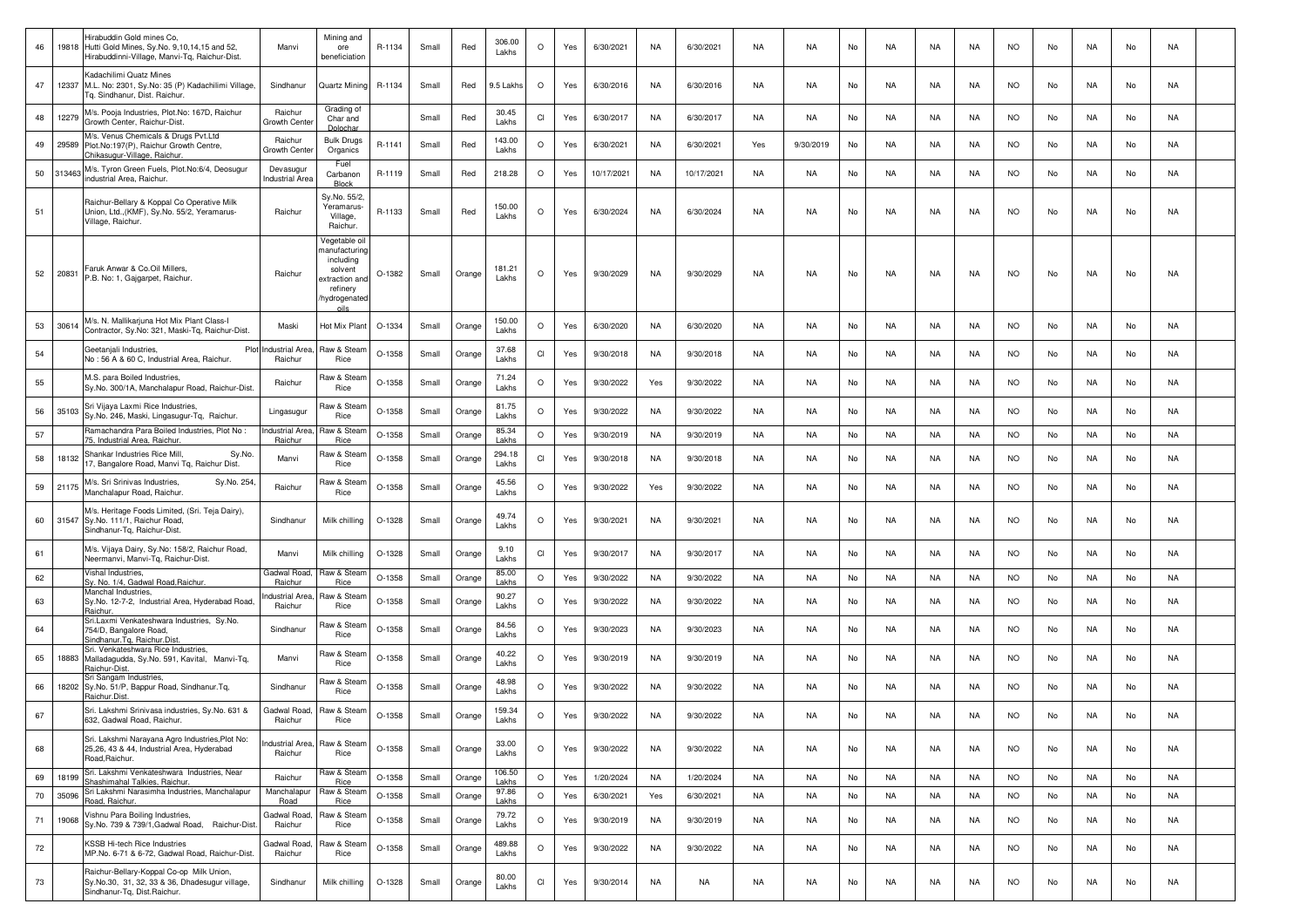| 46 | 19818  | Hirabuddin Gold mines Co.<br>Hutti Gold Mines, Sy.No. 9,10,14,15 and 52,<br>Hirabuddinni-Village, Manvi-Tq, Raichur-Dist. | Manvi                               | Mining and<br>ore<br>beneficiation                                                                | R-1134   | Small | Red    | 306.00<br>Lakhs | $\circ$ | Yes | 6/30/2021  | NA        | 6/30/2021  | NA        | NA.       | No | NA        | NA        | NA.       | NO.       | No | NA        | No | NA        |  |
|----|--------|---------------------------------------------------------------------------------------------------------------------------|-------------------------------------|---------------------------------------------------------------------------------------------------|----------|-------|--------|-----------------|---------|-----|------------|-----------|------------|-----------|-----------|----|-----------|-----------|-----------|-----------|----|-----------|----|-----------|--|
| 47 | 12337  | <b>Kadachilimi Quatz Mines</b><br>M.L. No: 2301, Sy.No: 35 (P) Kadachilimi Village,<br>Tq. Sindhanur, Dist. Raichur.      | Sindhanur                           | Quartz Mining                                                                                     | R-1134   | Small | Red    | 9.5 Lakhs       | $\circ$ | Yes | 6/30/2016  | <b>NA</b> | 6/30/2016  | NA        | NA        | No | NA.       | NA        | NA.       | <b>NO</b> | No | NA.       | No | NA        |  |
| 48 | 12279  | M/s. Pooja Industries, Plot.No: 167D, Raichur<br>Growth Center, Raichur-Dist.                                             | Raichur<br>Growth Cente             | Grading of<br>Char and                                                                            |          | Small | Red    | 30.45<br>Lakhs  | CI      | Yes | 6/30/2017  | NA        | 6/30/2017  | NA        | NA        | No | NA        | NA        | NA        | <b>NO</b> | No | NA        | No | NA        |  |
| 49 | 29589  | M/s. Venus Chemicals & Drugs Pvt.Ltd<br>Plot.No:197(P), Raichur Growth Centre,<br>Chikasugur-Village, Raichur.            | Raichur<br>Growth Cente             | <b>Bulk Drugs</b><br>Organics                                                                     | R-1141   | Small | Red    | 143.00<br>Lakhs | $\circ$ | Yes | 6/30/2021  | NA        | 6/30/2021  | Yes       | 9/30/2019 | No | NA        | NA        | NA        | NO.       | No | NA        | No | NA        |  |
| 50 | 313463 | M/s. Tyron Green Fuels, Plot.No:6/4, Deosugur<br>ndustrial Area, Raichur.                                                 | Devasugur<br><b>Industrial Area</b> | Fuel<br>Carbanon<br>Block                                                                         | R-1119   | Small | Red    | 218.28          | $\circ$ | Yes | 10/17/2021 | <b>NA</b> | 10/17/2021 | NA        | NA.       | No | NA.       | NA        | NA.       | <b>NO</b> | No | NA.       | No | NA        |  |
| 51 |        | Raichur-Bellary & Koppal Co Operative Milk<br>Union, Ltd., (KMF), Sy.No. 55/2, Yeramarus-<br>Village, Raichur.            | Raichur                             | Sy.No. 55/2,<br>Yeramarus-<br>Village,<br>Raichur                                                 | R-1133   | Small | Red    | 150.00<br>Lakhs | $\circ$ | Yes | 6/30/2024  | NA        | 6/30/2024  | NA        | NA        | No | NA        | NA        | <b>NA</b> | <b>NO</b> | No | NA        | No | NA        |  |
| 52 | 20831  | Faruk Anwar & Co.Oil Millers,<br>P.B. No: 1, Gajgarpet, Raichur.                                                          | Raichur                             | Vegetable oil<br>nanufacturino<br>including<br>solvent<br>xtraction an<br>refinery<br>hydrogenate | O-1382   | Small | Orange | 181.21<br>Lakhs | $\circ$ | Yes | 9/30/2029  | NA        | 9/30/2029  | NA        | NA        | No | NA        | NA        | NA.       | NO.       | No | NA.       | No | NA        |  |
| 53 | 30614  | M/s. N. Mallikarjuna Hot Mix Plant Class-I<br>Contractor, Sy.No: 321, Maski-Tq, Raichur-Dist.                             | Maski                               | Hot Mix Plant                                                                                     | O-1334   | Small | Orange | 150.00<br>Lakhs | $\circ$ | Yes | 6/30/2020  | NA        | 6/30/2020  | NA        | NA.       | No | NA.       | NA        | NA        | NO.       | No | NA.       | No | NA        |  |
| 54 |        | Geetanjali Industries,<br>No: 56 A & 60 C, Industrial Area, Raichur.                                                      | Plot Industrial Area<br>Raichur     | Raw & Stear<br>Rice                                                                               | O-1358   | Small | Orange | 37.68<br>Lakhs  | CI      | Yes | 9/30/2018  | NA        | 9/30/2018  | NA        | NA.       | No | NA        | NA        | NA        | NO.       | No | NA        | No | NA        |  |
| 55 |        | M.S. para Boiled Industries,<br>Sy.No. 300/1A, Manchalapur Road, Raichur-Dist.                                            | Raichur                             | Raw & Stear<br>Rice                                                                               | O-1358   | Small | Orange | 71.24<br>Lakhs  | $\circ$ | Yes | 9/30/2022  | Yes       | 9/30/2022  | NA        | <b>NA</b> | No | NA.       | NA        | NA        | <b>NO</b> | No | NA.       | No | NA        |  |
| 56 | 35103  | Sri Vijaya Laxmi Rice Industries,<br>Sy.No. 246, Maski, Lingasugur-Tq, Raichur.                                           | Lingasugur                          | Raw & Stear<br>Rice                                                                               | O-1358   | Small | Orange | 81.75<br>Lakhs  | O       | Yes | 9/30/2022  | <b>NA</b> | 9/30/2022  | NA        | NA        | No | <b>NA</b> | NA        | <b>NA</b> | <b>NO</b> | No | NA        | No | NA        |  |
| 57 |        | Ramachandra Para Boiled Industries, Plot No:<br>5, Industrial Area, Raichur                                               | ndustrial Area<br>Raichur           | Raw & Stea<br>Rice                                                                                | O-1358   | Small | Orange | 85.34<br>Lakhs  | $\circ$ | Yes | 9/30/2019  | NA        | 9/30/2019  | NA        | NA        | No | <b>NA</b> | NA        | NA        | <b>NO</b> | No | NA        | No | NA        |  |
| 58 | 18132  | Shankar Industries Rice Mill,<br>Sy.No.<br>17, Bangalore Road, Manvi Tq, Raichur Dist.                                    | Manvi                               | Raw & Stear<br>Rice                                                                               | O-1358   | Small | Orange | 294.18<br>Lakhs | CI      | Yes | 9/30/2018  | <b>NA</b> | 9/30/2018  | NA        | NA        | No | NA        | NA        | NA        | <b>NO</b> | No | NA        | No | NA        |  |
| 59 | 21175  | M/s. Sri Srinivas Industries,<br>Sy.No. 254,<br>Manchalapur Road, Raichur.                                                | Raichur                             | Raw & Stear<br>Rice                                                                               | O-1358   | Small | Orange | 45.56<br>Lakhs  | $\circ$ | Yes | 9/30/2022  | Yes       | 9/30/2022  | NA        | NA        | No | NA        | NA        | NA        | NO.       | No | NA        | No | NA        |  |
| 60 |        | M/s. Heritage Foods Limited, (Sri. Teja Dairy),<br>31547 Sy.No. 111/1, Raichur Road,<br>Sindhanur-Tq, Raichur-Dist.       | Sindhanur                           | Milk chilling                                                                                     | O-1328   | Small | Orange | 49.74<br>Lakhs  | $\circ$ | Yes | 9/30/2021  | <b>NA</b> | 9/30/2021  | NA        | NA.       | No | NA.       | NA        | NA.       | <b>NO</b> | No | NA        | No | NA        |  |
| 61 |        | M/s. Vijaya Dairy, Sy.No: 158/2, Raichur Road,<br>Neermanvi, Manvi-Tq, Raichur-Dist                                       | Manvi                               | Milk chilling                                                                                     | O-1328   | Small | Orange | 9.10<br>Lakhs   | CI      | Yes | 9/30/2017  | NA        | 9/30/2017  | NA        | NA        | No | NA        | NA        | <b>NA</b> | <b>NO</b> | No | NA.       | No | NA        |  |
| 62 |        | Vishal Industries,<br>Sy. No. 1/4, Gadwal Road,Raichur                                                                    | Gadwal Road<br>Raichur              | Raw & Stear<br>Rice                                                                               | O-1358   | Small | Orange | 85.00<br>Lakhs  | $\circ$ | Yes | 9/30/2022  | NA        | 9/30/2022  | NA        | NA        | No | NA        | <b>NA</b> | NA        | <b>NO</b> | No | NA        | No | NA        |  |
| 63 |        | Manchal Industries,<br>Sy.No. 12-7-2, Industrial Area, Hyderabad Road,<br>aichur                                          | าdustrial Area<br>Raichur           | Raw & Stear<br>Rice                                                                               | O-1358   | Small | Orange | 90.27<br>Lakhs  | $\circ$ | Yes | 9/30/2022  | NA        | 9/30/2022  | NA        | NA.       | No | NA        | NA        | NA.       | NO.       | No | NA        | No | NA        |  |
| 64 |        | Sri.Laxmi Venkateshwara Industries, Sy.No.<br>754/D, Bangalore Road,<br>indhanur.Tg, Raichur.Dist.                        | Sindhanur                           | Raw & Stear<br>Rice                                                                               | O-1358   | Small | Orange | 84.56<br>Lakhs  | O       | Yes | 9/30/2023  | NA        | 9/30/2023  | NA        | NA        | No | NA.       | NA        | NA.       | <b>NO</b> | No | NA.       | No | NA        |  |
| 65 | 18883  | Sri. Venkateshwara Rice Industries,<br>Malladagudda, Sy.No. 591, Kavital, Manvi-Tq,<br>Raichur-Dist                       | Manvi                               | Raw & Stear<br>Rice                                                                               | O-1358   | Small | Orange | 40.22<br>Lakhs  | O       | Yes | 9/30/2019  | <b>NA</b> | 9/30/2019  | <b>NA</b> | NA        | No | NA        | NA        | NA        | <b>NO</b> | No | NA        | No | NA        |  |
| 66 | 18202  | Sri Sangam Industries,<br>Sy.No. 51/P, Bappur Road, Sindhanur.Tq,<br>Raichur.Dist.                                        | Sindhanur                           | Raw & Stear<br>Rice                                                                               | $O-1358$ | Small | Orange | 48.98<br>Lakhs  | $\circ$ | Yes | 9/30/2022  | NA        | 9/30/2022  | NA        | NA        | No | NA        | NA        | NA        | <b>NO</b> | No | NA        | No | NA        |  |
| 67 |        | Sri. Lakshmi Srinivasa industries, Sy.No. 631 &<br>632. Gadwal Road, Raichur,                                             | Gadwal Road,<br>Raichur             | Raw & Steam<br>Rice                                                                               | O-1358   | Small | Orange | 159.34<br>Lakhs | $\circ$ | Yes | 9/30/2022  | NA        | 9/30/2022  | NA        | NA        | No | NA        | NA        | NA        | <b>NO</b> | No | NA        | No | NA        |  |
| 68 |        | Sri. Lakshmi Narayana Agro Industries, Plot No:<br>25,26, 43 & 44, Industrial Area, Hyderabad<br>Road.Raichur.            | ndustrial Area.<br>Raichur          | Raw & Steam<br>Rice                                                                               | O-1358   | Small | Orange | 33.00<br>Lakhs  | $\circ$ | Yes | 9/30/2022  | <b>NA</b> | 9/30/2022  | NA        | <b>NA</b> | No | NA        | NA        | NA        | <b>NO</b> | No | NA        | No | NA        |  |
| 69 | 18199  | Sri. Lakshmi Venkateshwara Industries, Near<br>Shashimahal Talkies, Raichur.                                              | Raichur                             | Raw & Stea<br>Rice                                                                                | O-1358   | Small | Orange | 106.50<br>Lakhs | $\circ$ | Yes | 1/20/2024  | NA        | 1/20/2024  | <b>NA</b> | NA        | No | <b>NA</b> | <b>NA</b> | <b>NA</b> | <b>NO</b> | No | NA        | No | NA        |  |
| 70 | 35096  | Sri Lakshmi Narasimha Industries, Manchalapur<br>Road, Raichur.                                                           | Manchalapur<br>Road                 | Raw & Stea<br>Rice                                                                                | O-1358   | Small | Orange | 97.86<br>Lakhs  | $\circ$ | Yes | 6/30/2021  | Yes       | 6/30/2021  | <b>NA</b> | <b>NA</b> | No | <b>NA</b> | <b>NA</b> | <b>NA</b> | <b>NO</b> | No | <b>NA</b> | No | NA        |  |
| 71 | 19068  | /ishnu Para Boiling Industries,<br>Sy.No. 739 & 739/1, Gadwal Road, Raichur-Dist.                                         | Gadwal Road,<br>Raichur             | Raw & Stear<br>Rice                                                                               | O-1358   | Small | Orange | 79.72<br>Lakhs  | $\circ$ | Yes | 9/30/2019  | <b>NA</b> | 9/30/2019  | NA        | NA        | No | <b>NA</b> | <b>NA</b> | NA        | <b>NO</b> | No | NA        | No | NA        |  |
| 72 |        | KSSB Hi-tech Rice Industries<br>MP.No. 6-71 & 6-72, Gadwal Road, Raichur-Dist.                                            | Gadwal Road,<br>Raichur             | Raw & Steam<br>Rice                                                                               | O-1358   | Small | Orange | 489.88<br>Lakhs | $\circ$ | Yes | 9/30/2022  | NA        | 9/30/2022  | NA        | NA        | No | NA        | <b>NA</b> | NA        | <b>NO</b> | No | NA        | No | NA        |  |
| 73 |        | Raichur-Bellary-Koppal Co-op Milk Union,<br>Sy.No.30, 31, 32, 33 & 36, Dhadesugur village,<br>Sindhanur-Tq, Dist.Raichur. | Sindhanur                           | Milk chilling                                                                                     | O-1328   | Small | Orange | 80.00<br>Lakhs  | CI      | Yes | 9/30/2014  | NA        | NA         | NA        | NA        | No | <b>NA</b> | <b>NA</b> | NA        | <b>NO</b> | No | NA        | No | <b>NA</b> |  |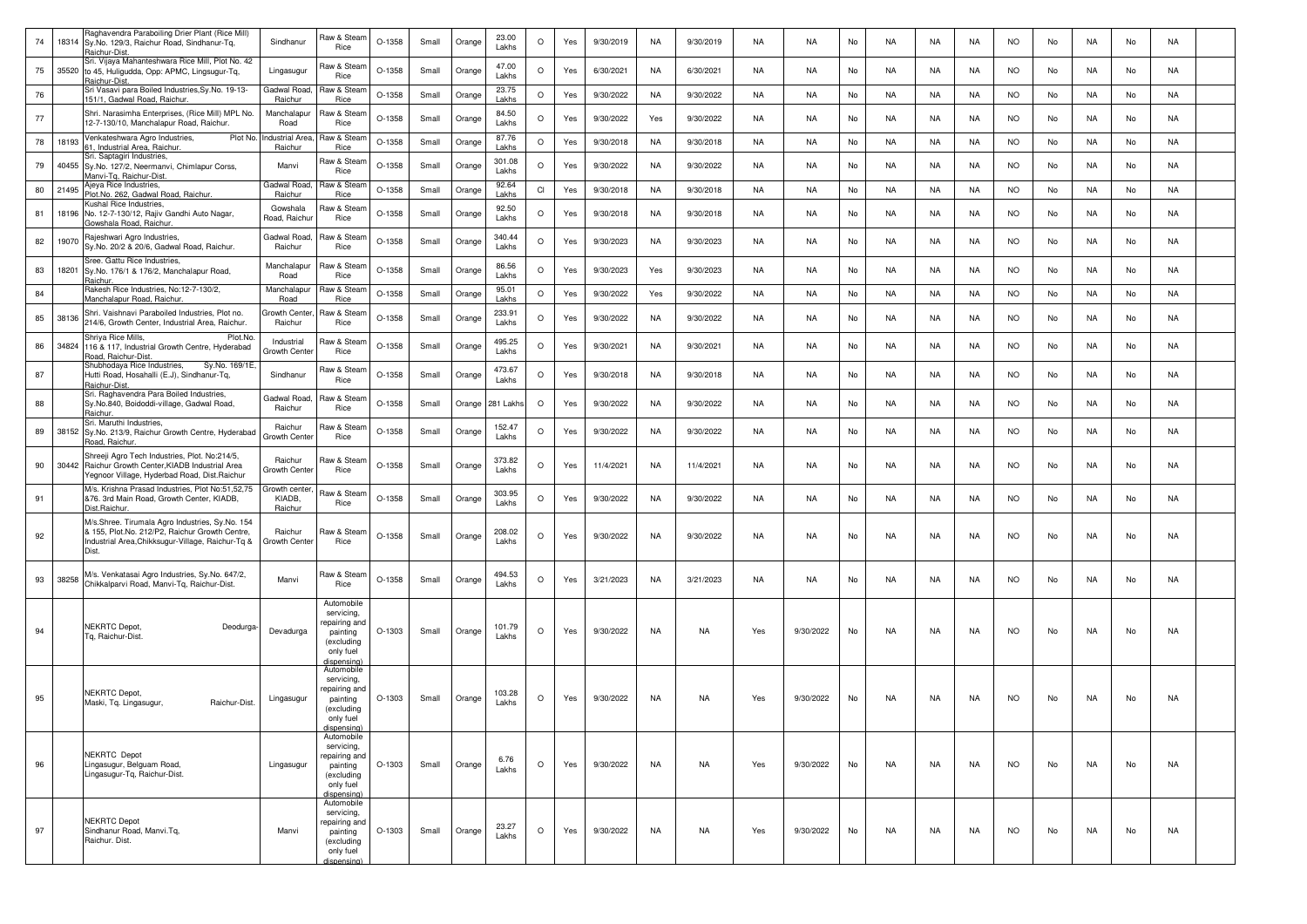| 74 | 18314 | Raghavendra Paraboiling Drier Plant (Rice Mill)<br>Sy.No. 129/3, Raichur Road, Sindhanur-Tq,<br>Raichur-Dist.                                                   | Sindhanur                         | Raw & Steam<br>Rice                                                                             | $O-1358$ | Small | Orange | 23.00<br>Lakhs  | $\circ$ | Yes | 9/30/2019 | <b>NA</b> | 9/30/2019 | NA        | <b>NA</b> | No | NA        | NA        | NA        | <b>NO</b> | No | NA        | No | NA        |  |
|----|-------|-----------------------------------------------------------------------------------------------------------------------------------------------------------------|-----------------------------------|-------------------------------------------------------------------------------------------------|----------|-------|--------|-----------------|---------|-----|-----------|-----------|-----------|-----------|-----------|----|-----------|-----------|-----------|-----------|----|-----------|----|-----------|--|
| 75 |       | Sri. Vijaya Mahanteshwara Rice Mill, Plot No. 42<br>35520 to 45, Huligudda, Opp: APMC, Lingsugur-Tq,<br>Raichur-Dist.                                           | Lingasugur                        | Raw & Steam<br>Rice                                                                             | O-1358   | Small | Orange | 47.00<br>Lakhs  | $\circ$ | Yes | 6/30/2021 | <b>NA</b> | 6/30/2021 | NA        | <b>NA</b> | No | NA        | NA        | NA        | <b>NO</b> | No | NA        | No | NA        |  |
| 76 |       | Sri Vasavi para Boiled Industries, Sy. No. 19-13-<br>151/1, Gadwal Road, Raichur.                                                                               | Gadwal Road<br>Raichur            | Raw & Stean<br>Rice                                                                             | O-1358   | Small | Orange | 23.75<br>Lakhs  | $\circ$ | Yes | 9/30/2022 | NA        | 9/30/2022 | NA        | <b>NA</b> | No | NA        | NA        | NA        | <b>NO</b> | No | NA        | No | NA        |  |
| 77 |       | Shri. Narasimha Enterprises, (Rice Mill) MPL No.<br>12-7-130/10, Manchalapur Road, Raichur.                                                                     | Manchalapu<br>Road                | ใaw & Stean<br>Rice                                                                             | O-1358   | Small | Orange | 84.50<br>Lakhs  | $\circ$ | Yes | 9/30/2022 | Yes       | 9/30/2022 | NA        | NA        | No | NA        | NA        | NA.       | <b>NO</b> | No | NA        | No | NA        |  |
| 78 | 18193 | Venkateshwara Agro Industries,<br>Plot No.<br>1. Industrial Area. Raichur                                                                                       | ndustrial Area<br>Raichur         | Raw & Stear<br>Rice                                                                             | O-1358   | Small | Orange | 87.76<br>Lakhs  | $\circ$ | Yes | 9/30/2018 | <b>NA</b> | 9/30/2018 | NA        | <b>NA</b> | No | NA        | NA        | NA        | <b>NO</b> | No | NA        | No | NA        |  |
| 79 | 40455 | Sri. Saptagiri Industries,<br>Sy.No. 127/2, Neermanvi, Chimlapur Corss,<br>Aanvi-Tg, Raichur-Dist.                                                              | Manvi                             | Raw & Stean<br>Rice                                                                             | $O-1358$ | Small | Orange | 301.08<br>Lakhs | $\circ$ | Yes | 9/30/2022 | <b>NA</b> | 9/30/2022 | <b>NA</b> | <b>NA</b> | No | <b>NA</b> | <b>NA</b> | <b>NA</b> | <b>NO</b> | No | <b>NA</b> | No | NA        |  |
| 80 | 21495 | Ajeya Rice Industries,<br>Plot.No. 262, Gadwal Road, Raichur.                                                                                                   | Gadwal Road.<br>Raichur           | Raw & Stear<br>Rice                                                                             | O-1358   | Small | Orange | 92.64<br>Lakhs  | CI      | Yes | 9/30/2018 | <b>NA</b> | 9/30/2018 | <b>NA</b> | <b>NA</b> | No | NA        | <b>NA</b> | NA        | <b>NO</b> | No | <b>NA</b> | No | <b>NA</b> |  |
| 81 |       | Kushal Rice Industries,<br>18196 No. 12-7-130/12, Rajiv Gandhi Auto Nagar,<br>Gowshala Road, Raichur                                                            | Gowshala<br>Road, Raichu          | Raw & Stean<br>Rice                                                                             | $O-1358$ | Small | Orange | 92.50<br>Lakhs  | $\circ$ | Yes | 9/30/2018 | NA        | 9/30/2018 | NA        | NA        | No | NA        | NA        | NA        | <b>NO</b> | No | NA        | No | NA        |  |
| 82 | 19070 | Rajeshwari Agro Industries,<br>Sy.No. 20/2 & 20/6, Gadwal Road, Raichur.                                                                                        | Gadwal Road<br>Raichur            | Raw & Steam<br>Rice                                                                             | O-1358   | Small | Orange | 340.44<br>Lakhs | $\circ$ | Yes | 9/30/2023 | NA        | 9/30/2023 | NA        | <b>NA</b> | No | NA        | NA        | NA        | <b>NO</b> | No | NA        | No | NA        |  |
| 83 | 18201 | Sree. Gattu Rice Industries<br>Sy.No. 176/1 & 176/2, Manchalapur Road,<br>Raichur.                                                                              | Manchalapur<br>Road               | Raw & Steam<br>Rice                                                                             | $O-1358$ | Small | Orange | 86.56<br>Lakhs  | $\circ$ | Yes | 9/30/2023 | Yes       | 9/30/2023 | <b>NA</b> | <b>NA</b> | No | <b>NA</b> | NA        | <b>NA</b> | <b>NO</b> | No | NA        | No | NA        |  |
| 84 |       | Rakesh Rice Industries, No:12-7-130/2,<br>Manchalapur Road, Raichur.                                                                                            | Manchalapur<br>Road               | Raw & Stean<br>Rice                                                                             | O-1358   | Small | Orange | 95.01<br>Lakhs  | $\circ$ | Yes | 9/30/2022 | Yes       | 9/30/2022 | <b>NA</b> | NA        | No | NA        | <b>NA</b> | <b>NA</b> | <b>NO</b> | No | NA        | No | NA        |  |
| 85 | 38136 | Shri. Vaishnavi Paraboiled Industries, Plot no.<br>214/6, Growth Center, Industrial Area, Raichur.                                                              | Growth Cente<br>Raichur           | Raw & Stean<br>Rice                                                                             | O-1358   | Small | Orange | 233.91<br>Lakhs | $\circ$ | Yes | 9/30/2022 | NA        | 9/30/2022 | NA        | <b>NA</b> | No | NA        | NA        | NA        | <b>NO</b> | No | NA        | No | NA        |  |
| 86 | 34824 | Shriya Rice Mills.<br>Plot.No<br>116 & 117, Industrial Growth Centre, Hyderabad<br>Road, Raichur-Dist                                                           | Industrial<br>Growth Cente        | Raw & Stearr<br>Rice                                                                            | O-1358   | Small | Orange | 495.25<br>Lakhs | $\circ$ | Yes | 9/30/2021 | NA        | 9/30/2021 | NA        | NA        | No | NA        | NA        | NA        | <b>NO</b> | No | NA        | No | NA        |  |
| 87 |       | Shubhodaya Rice Industries,<br>Sy.No. 169/1E<br>Hutti Road, Hosahalli (E.J), Sindhanur-Tq,<br>Raichur-Dist.                                                     | Sindhanur                         | Raw & Stean<br>Rice                                                                             | O-1358   | Small | Orange | 473.67<br>Lakhs | $\circ$ | Yes | 9/30/2018 | NA        | 9/30/2018 | NA        | <b>NA</b> | No | NA        | NA        | NA        | <b>NO</b> | No | NA        | No | NA        |  |
| 88 |       | Sri. Raghavendra Para Boiled Industries,<br>Sy.No.840, Boidoddi-village, Gadwal Road,<br>Raichur.                                                               | Gadwal Road.<br>Raichur           | Raw & Stean<br>Rice                                                                             | O-1358   | Small | Orange | 281 Lakhs       | $\circ$ | Yes | 9/30/2022 | <b>NA</b> | 9/30/2022 | <b>NA</b> | <b>NA</b> | No | NA        | NA        | <b>NA</b> | <b>NO</b> | No | NA        | No | NA        |  |
| 89 |       | Sri. Maruthi Industries,<br>38152 Sy.No. 213/9, Raichur Growth Centre, Hyderabad<br>Road, Raichur                                                               | Raichur<br>Growth Cente           | Raw & Stean<br>Rice                                                                             | O-1358   | Small | Orange | 152.47<br>Lakhs | $\circ$ | Yes | 9/30/2022 | NA        | 9/30/2022 | <b>NA</b> | <b>NA</b> | No | NA        | <b>NA</b> | NA        | <b>NO</b> | No | NA        | No | NA        |  |
| 90 |       | Shreeji Agro Tech Industries, Plot. No:214/5,<br>30442 Raichur Growth Center, KIADB Industrial Area<br>Yegnoor Village, Hyderbad Road, Dist.Raichur             | Raichur<br>Growth Cente           | Raw & Steam<br>Rice                                                                             | O-1358   | Small | Orange | 373.82<br>Lakhs | $\circ$ | Yes | 11/4/2021 | NA        | 11/4/2021 | NA        | <b>NA</b> | No | NA        | NA        | NA        | <b>NO</b> | No | NA        | No | NA        |  |
| 91 |       | M/s. Krishna Prasad Industries, Plot No:51,52,75<br>&76. 3rd Main Road, Growth Center, KIADB,<br>Dist.Raichur.                                                  | Growth cente<br>KIADB,<br>Raichur | Raw & Steam<br>Rice                                                                             | O-1358   | Small | Orange | 303.95<br>Lakhs | $\circ$ | Yes | 9/30/2022 | NA        | 9/30/2022 | NA        | <b>NA</b> | No | NA        | NA        | NA        | <b>NO</b> | No | NA        | No | NA        |  |
| 92 |       | M/s.Shree. Tirumala Agro Industries, Sy.No. 154<br>& 155, Plot.No. 212/P2, Raichur Growth Centre,<br>Industrial Area, Chikksugur-Village, Raichur-Tq &<br>Dist. | Raichur<br>Growth Center          | Raw & Steam<br>Rice                                                                             | O-1358   | Small | Orange | 208.02<br>Lakhs | $\circ$ | Yes | 9/30/2022 | NA        | 9/30/2022 | NA        | NA        | No | NA        | NA        | NA        | <b>NO</b> | No | NA        | No | NA        |  |
| 93 | 38258 | M/s. Venkatasai Agro Industries, Sy.No. 647/2,<br>Chikkalparvi Road, Manvi-Tq, Raichur-Dist.                                                                    | Manvi                             | Raw & Steam<br>Rice                                                                             | O-1358   | Small | Orange | 494.53<br>Lakhs | $\circ$ | Yes | 3/21/2023 | NA        | 3/21/2023 | NA        | NA        | No | NA        | NA        | NA.       | <b>NO</b> | No | NA        | No | NA        |  |
| 94 |       | <b>VEKRTC Depot.</b><br>Deodurga-<br>Tg, Raichur-Dist.                                                                                                          | Devadurga                         | Automobile<br>servicing,<br>repairing and<br>painting<br>(excluding<br>only fuel<br>dispensina' | $O-1303$ | Small | Orange | 101.79<br>Lakhs | $\circ$ | Yes | 9/30/2022 | NA        | <b>NA</b> | Yes       | 9/30/2022 | No | <b>NA</b> | NA        | <b>NA</b> | <b>NO</b> | No | <b>NA</b> | No | <b>NA</b> |  |
| 95 |       | <b>NEKRTC Depot,</b><br>Raichur-Dist.<br>Maski, Tq. Lingasugur,                                                                                                 | Lingasugur                        | Automobile<br>servicing,<br>epairing and<br>painting<br>(excluding<br>only fuel<br>dispensing)  | O-1303   | Small | Orange | 103.28<br>Lakhs | $\circ$ | Yes | 9/30/2022 | NA        | NA        | Yes       | 9/30/2022 | No | NA        | NA        | NA        | NO.       | No | NA        | No | NA        |  |
| 96 |       | <b>NEKRTC</b> Depot<br>Lingasugur, Belguam Road,<br>Lingasugur-Tq, Raichur-Dist.                                                                                | Lingasugur                        | Automobile<br>servicing,<br>repairing and<br>painting<br>(excluding<br>only fuel<br>dispensing) | $O-1303$ | Small | Orange | 6.76<br>Lakhs   | $\circ$ | Yes | 9/30/2022 | NA        | <b>NA</b> | Yes       | 9/30/2022 | No | <b>NA</b> | NA        | <b>NA</b> | <b>NO</b> | No | NA        | No | <b>NA</b> |  |
| 97 |       | <b>NEKRTC Depot</b><br>Sindhanur Road, Manvi.Tq,<br>Raichur. Dist.                                                                                              | Manvi                             | Automobile<br>servicing,<br>repairing and<br>painting<br>(excluding<br>only fuel<br>dispensina) | $O-1303$ | Small | Orange | 23.27<br>Lakhs  | $\circ$ | Yes | 9/30/2022 | NA        | NA        | Yes       | 9/30/2022 | No | NA        | NA        | NA        | <b>NO</b> | No | NA        | No | NA        |  |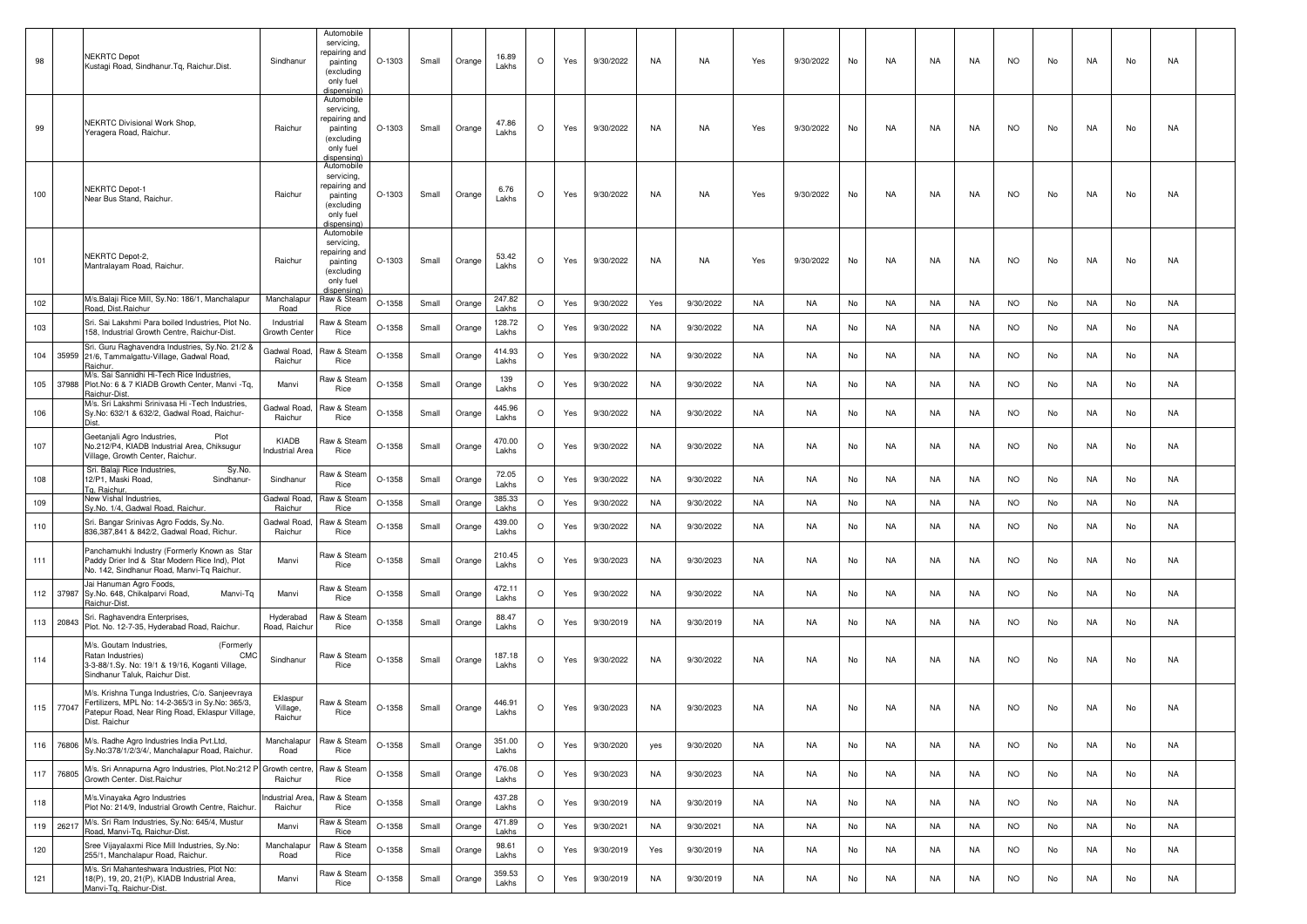| 98  |           | <b>NEKRTC Depot</b><br>Kustagi Road, Sindhanur.Tq, Raichur.Dist.                                                                                                        | Sindhanur                         | Automobile<br>servicing,<br>repairing and<br>painting<br>(excluding<br>only fuel<br>dispensina | O-1303   | Small | Orange | 16.89<br>Lakhs  | $\circ$ | Yes | 9/30/2022 | NA        | NA        | Yes       | 9/30/2022 | No | NA        | NA        | NA        | <b>NO</b> | No | NA        | No | NA        |  |
|-----|-----------|-------------------------------------------------------------------------------------------------------------------------------------------------------------------------|-----------------------------------|------------------------------------------------------------------------------------------------|----------|-------|--------|-----------------|---------|-----|-----------|-----------|-----------|-----------|-----------|----|-----------|-----------|-----------|-----------|----|-----------|----|-----------|--|
| 99  |           | <b>NEKRTC Divisional Work Shop.</b><br>Yeragera Road, Raichur.                                                                                                          | Raichur                           | Automobile<br>servicing,<br>repairing and<br>painting<br>(excluding<br>only fuel<br>dispensina | $O-1303$ | Small | Orange | 47.86<br>Lakhs  | $\circ$ | Yes | 9/30/2022 | NA        | <b>NA</b> | Yes       | 9/30/2022 | No | <b>NA</b> | NA        | <b>NA</b> | <b>NO</b> | No | <b>NA</b> | No | <b>NA</b> |  |
| 100 |           | <b>NEKRTC Depot-1</b><br>Near Bus Stand, Raichur                                                                                                                        | Raichur                           | Automobile<br>servicing,<br>epairing and<br>painting<br>(excluding<br>only fuel<br>dispensina  | O-1303   | Small | Orange | 6.76<br>Lakhs   | $\circ$ | Yes | 9/30/2022 | NA        | NA        | Yes       | 9/30/2022 | No | NA        | NA        | NA        | NO        | No | NA        | No | NA        |  |
| 101 |           | NEKRTC Depot-2,<br>Mantralayam Road, Raichur                                                                                                                            | Raichur                           | Automobile<br>servicing,<br>repairing and<br>painting<br>(excluding<br>only fuel<br>dispensing | O-1303   | Small | Orange | 53.42<br>Lakhs  | $\circ$ | Yes | 9/30/2022 | NA        | NA        | Yes       | 9/30/2022 | No | NA        | NA        | <b>NA</b> | <b>NO</b> | No | NA        | No | NA        |  |
| 102 |           | M/s.Balaji Rice Mill, Sy.No: 186/1, Manchalapur<br>Road, Dist.Raichur                                                                                                   | Manchalapur<br>Road               | Raw & Stearr<br>Rice                                                                           | O-1358   | Small | Orange | 247.82<br>Lakhs | $\circ$ | Yes | 9/30/2022 | Yes       | 9/30/2022 | NA        | NA.       | No | NA        | NA        | NA        | <b>NO</b> | No | NA        | No | NA        |  |
| 103 |           | Sri. Sai Lakshmi Para boiled Industries, Plot No.<br>158. Industrial Growth Centre, Raichur-Dist.                                                                       | Industrial<br>Growth Cente        | Raw & Stearr<br>Rice                                                                           | O-1358   | Small | Orange | 128.72<br>Lakhs | $\circ$ | Yes | 9/30/2022 | NA        | 9/30/2022 | NA        | NA.       | No | NA        | NA        | NA        | NO        | No | NA        | No | NA        |  |
| 104 |           | Sri. Guru Raghavendra Industries, Sy.No. 21/2 &<br>35959 21/6, Tammalgattu-Village, Gadwal Road,<br>Raichur.                                                            | Gadwal Road.<br>Raichur           | Raw & Stean<br>Rice                                                                            | O-1358   | Small | Orange | 414.93<br>Lakhs | $\circ$ | Yes | 9/30/2022 | NA        | 9/30/2022 | NA        | NA        | No | NA.       | NA        | NA        | <b>NO</b> | No | NA        | No | NA        |  |
| 105 |           | M/s. Sai Sannidhi Hi-Tech Rice Industries,<br>37988 Plot.No: 6 & 7 KIADB Growth Center, Manvi -Tq,<br>Raichur-Dist                                                      | Manvi                             | Raw & Stean<br>Rice                                                                            | O-1358   | Small | Orange | 139<br>Lakhs    | $\circ$ | Yes | 9/30/2022 | NA        | 9/30/2022 | <b>NA</b> | <b>NA</b> | No | NA        | NA        | NA        | <b>NO</b> | No | NA        | No | NA        |  |
| 106 |           | M/s. Sri Lakshmi Srinivasa Hi - Tech Industries.<br>Sy.No: 632/1 & 632/2, Gadwal Road, Raichur-                                                                         | Gadwal Road<br>Raichur            | Raw & Stean<br>Rice                                                                            | O-1358   | Small | Orange | 445.96<br>Lakhs | $\circ$ | Yes | 9/30/2022 | NA        | 9/30/2022 | NA        | NA        | No | NA        | NA        | NA        | <b>NO</b> | No | NA        | No | NA        |  |
| 107 |           | Geetanjali Agro Industries,<br>Plot<br>No.212/P4, KIADB Industrial Area, Chiksugur<br>Village, Growth Center, Raichur.                                                  | KIADB<br>ndustrial Area           | Raw & Steam<br>Rice                                                                            | $O-1358$ | Small | Orange | 470.00<br>Lakhs | $\circ$ | Yes | 9/30/2022 | NA        | 9/30/2022 | NA        | NA        | No | NA        | NA        | <b>NA</b> | <b>NO</b> | No | NA.       | No | NA        |  |
| 108 |           | Sri. Balaji Rice Industries,<br>Sy.No.<br>12/P1, Maski Road,<br>Sindhanur-<br>Tg, Raichur.                                                                              | Sindhanur                         | Raw & Steam<br>Rice                                                                            | $O-1358$ | Small | Orange | 72.05<br>Lakhs  | $\circ$ | Yes | 9/30/2022 | NA        | 9/30/2022 | <b>NA</b> | <b>NA</b> | No | NA        | NA        | <b>NA</b> | <b>NO</b> | No | NA        | No | NA        |  |
| 109 |           | New Vishal Industries,<br>Sy.No. 1/4, Gadwal Road, Raichur.                                                                                                             | Gadwal Road<br>Raichur            | Raw & Stear<br>Rice                                                                            | O-1358   | Small | Orange | 385.33<br>Lakhs | $\circ$ | Yes | 9/30/2022 | NA        | 9/30/2022 | NA        | NA        | No | <b>NA</b> | <b>NA</b> | NA        | <b>NO</b> | No | NA        | No | NA        |  |
| 110 |           | Sri. Bangar Srinivas Agro Fodds, Sy.No.<br>836,387,841 & 842/2, Gadwal Road, Richur.                                                                                    | Gadwal Road<br>Raichur            | law & Stean<br>Rice                                                                            | O-1358   | Small | Orange | 439.00<br>Lakhs | $\circ$ | Yes | 9/30/2022 | NA        | 9/30/2022 | NA        | NA.       | No | NA        | NA        | NA        | <b>NO</b> | No | NA        | No | NA        |  |
| 111 |           | Panchamukhi Industry (Formerly Known as Star<br>Paddy Drier Ind & Star Modern Rice Ind), Plot<br>No. 142, Sindhanur Road, Manvi-Tq Raichur.                             | Manvi                             | Raw & Steam<br>Rice                                                                            | O-1358   | Small | Orange | 210.45<br>Lakhs | $\circ$ | Yes | 9/30/2023 | NA        | 9/30/2023 | NA        | NA        | No | NA        | NA        | NA        | <b>NO</b> | No | NA.       | No | NA        |  |
|     | 112 37987 | Jai Hanuman Agro Foods,<br>Sy.No. 648, Chikalparvi Road,<br>Manvi-Tq<br>Raichur-Dist.                                                                                   | Manvi                             | Raw & Stean<br>Rice                                                                            | $O-1358$ | Small | Orange | 472.11<br>Lakhs | $\circ$ | Yes | 9/30/2022 | NA        | 9/30/2022 | <b>NA</b> | NA        | No | NA        | NA        | <b>NA</b> | <b>NO</b> | No | NA        | No | NA        |  |
| 113 | 20843     | Sri. Raghavendra Enterprises,<br>Plot. No. 12-7-35, Hyderabad Road, Raichur.                                                                                            | Hyderabad<br>Road, Raichu         | Raw & Stean<br>Rice                                                                            | O-1358   | Small | Orange | 88.47<br>Lakhs  | $\circ$ | Yes | 9/30/2019 | NA        | 9/30/2019 | NA        | NA.       | No | NA        | NA        | NA        | <b>NO</b> | No | NA        | No | NA        |  |
| 114 |           | M/s. Goutam Industries,<br>(Formerly<br>Ratan Industries)<br>CMC<br>3-3-88/1.Sy. No: 19/1 & 19/16, Koganti Village,<br>Sindhanur Taluk, Raichur Dist.                   | Sindhanur                         | Raw & Stean<br>Rice                                                                            | O-1358   | Small | Orange | 187.18<br>Lakhs | $\circ$ | Yes | 9/30/2022 | NA        | 9/30/2022 | NA        | NA        | No | NA.       | NA        | NA        | <b>NO</b> | No | NA.       | No | NA        |  |
| 115 | 77047     | M/s. Krishna Tunga Industries, C/o. Sanjeevraya<br>Fertilizers, MPL No: 14-2-365/3 in Sy.No: 365/3,<br>Patepur Road, Near Ring Road, Eklaspur Village,<br>Dist. Raichur | Eklaspur<br>Village,<br>Raichur   | Raw & Steam<br>Rice                                                                            | O-1358   | Small | Orange | 446.91<br>Lakhs | $\circ$ | Yes | 9/30/2023 | NA        | 9/30/2023 | NA        | NA.       | No | NA.       | NA        | NA        | <b>NO</b> | No | NA        | No | NA        |  |
| 116 | 76806     | M/s. Radhe Agro Industries India Pvt.Ltd,<br>Sy.No:378/1/2/3/4/, Manchalapur Road, Raichur.                                                                             | Manchalapur<br>Road               | Raw & Steam<br>Rice                                                                            | O-1358   | Small | Orange | 351.00<br>Lakhs | $\circ$ | Yes | 9/30/2020 | yes       | 9/30/2020 | NA        | <b>NA</b> | No | <b>NA</b> | <b>NA</b> | <b>NA</b> | <b>NO</b> | No | NA        | No | NA        |  |
| 117 | 76805     | M/s. Sri Annapurna Agro Industries, Plot.No:212 P Growth centre<br>Growth Center. Dist. Raichur                                                                         | Raichur                           | Raw & Steam<br>Rice                                                                            | O-1358   | Small | Orange | 476.08<br>Lakhs | $\circ$ | Yes | 9/30/2023 | NA        | 9/30/2023 | NA        | NA        | No | NA        | <b>NA</b> | NA        | <b>NO</b> | No | NA        | No | NA        |  |
| 118 |           | M/s. Vinayaka Agro Industries<br>Plot No: 214/9, Industrial Growth Centre, Raichur.                                                                                     | <b>Industrial Area</b><br>Raichur | Raw & Steam<br>Rice                                                                            | O-1358   | Small | Orange | 437.28<br>Lakhs | $\circ$ | Yes | 9/30/2019 | NA        | 9/30/2019 | NA        | NA        | No | NA        | <b>NA</b> | NA        | <b>NO</b> | No | NA        | No | NA        |  |
| 119 | 26217     | M/s. Sri Ram Industries, Sy.No: 645/4, Mustur<br>Road, Manvi-Tq, Raichur-Dist.                                                                                          | Manvi                             | Raw & Stean<br>Rice                                                                            | O-1358   | Small | Orange | 471.89<br>Lakhs | $\circ$ | Yes | 9/30/2021 | <b>NA</b> | 9/30/2021 | <b>NA</b> | <b>NA</b> | No | <b>NA</b> | NA        | NA        | <b>NO</b> | No | NA        | No | <b>NA</b> |  |
| 120 |           | Sree Vijayalaxmi Rice Mill Industries, Sy.No:<br>255/1, Manchalapur Road, Raichur.                                                                                      | Manchalapur<br>Road               | Raw & Steam<br>Rice                                                                            | O-1358   | Small | Orange | 98.61<br>Lakhs  | $\circ$ | Yes | 9/30/2019 | Yes       | 9/30/2019 | <b>NA</b> | <b>NA</b> | No | <b>NA</b> | <b>NA</b> | NA        | <b>NO</b> | No | NA        | No | NA        |  |
| 121 |           | M/s. Sri Mahanteshwara Industries, Plot No:<br>18(P), 19, 20, 21(P), KIADB Industrial Area,<br>Manvi-Tg, Raichur-Dist.                                                  | Manvi                             | Raw & Stearr<br>Rice                                                                           | O-1358   | Small | Orange | 359.53<br>Lakhs | $\circ$ | Yes | 9/30/2019 | NA        | 9/30/2019 | <b>NA</b> | <b>NA</b> | No | NA        | NA        | NA        | <b>NO</b> | No | NA        | No | NA        |  |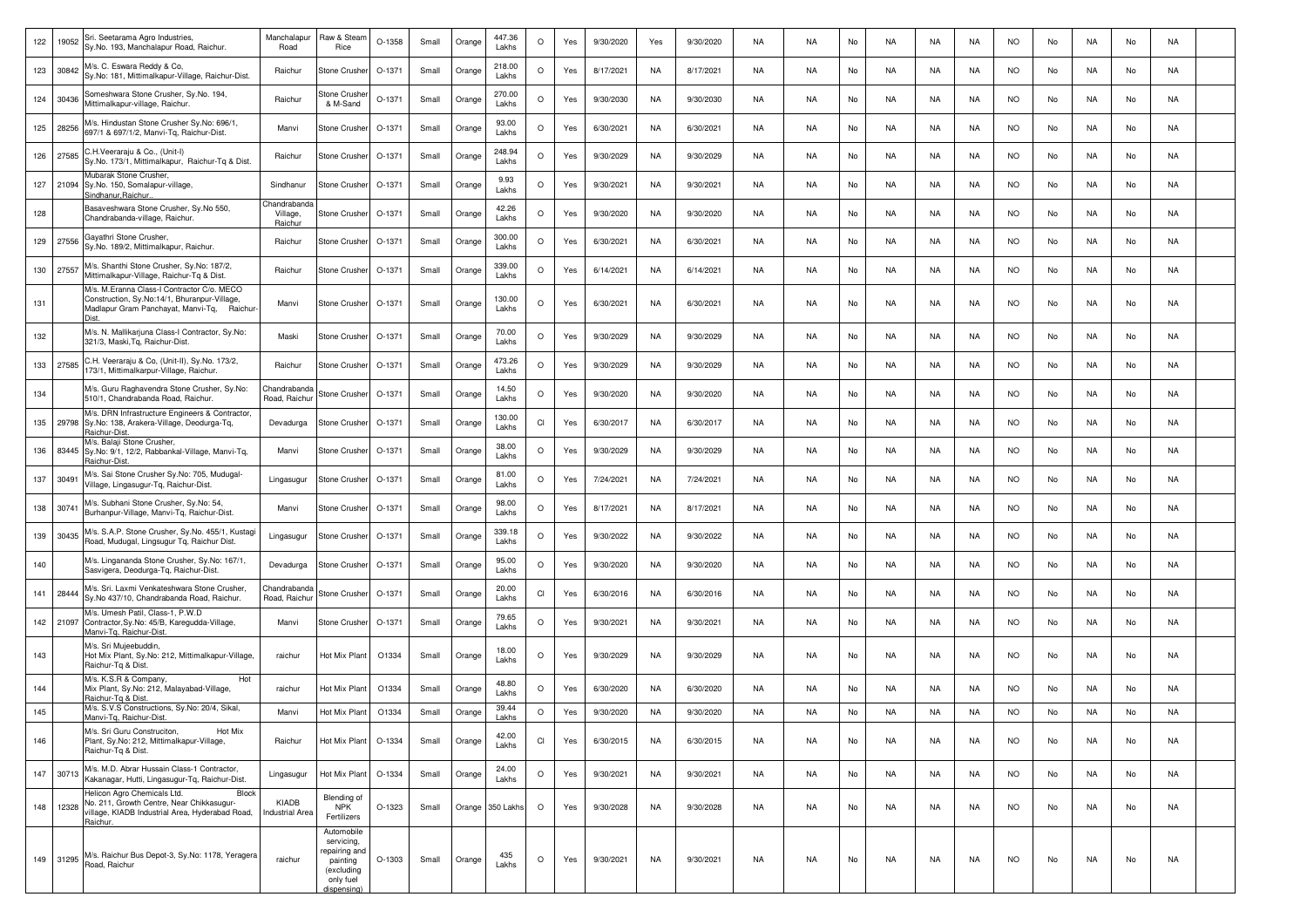| 122 | 19052 | Sri. Seetarama Agro Industries,<br>Sy.No. 193, Manchalapur Road, Raichur.                                                                        | Manchalapur<br>Road                | Raw & Stear<br>Rice                                                                             | O-1358 | Small | Orange | 447.36<br>Lakhs  | $\circ$ | Yes | 9/30/2020 | Yes | 9/30/2020 | NA | <b>NA</b> | No | <b>NA</b> | NA | NA  | <b>NO</b> | No | NA | No | NA        |  |
|-----|-------|--------------------------------------------------------------------------------------------------------------------------------------------------|------------------------------------|-------------------------------------------------------------------------------------------------|--------|-------|--------|------------------|---------|-----|-----------|-----|-----------|----|-----------|----|-----------|----|-----|-----------|----|----|----|-----------|--|
| 123 | 30842 | M/s. C. Eswara Reddy & Co,<br>Sy.No: 181, Mittimalkapur-Village, Raichur-Dist.                                                                   | Raichur                            | Stone Crushe                                                                                    | O-1371 | Small | Orange | 218.00<br>Lakhs  | $\circ$ | Yes | 8/17/2021 | NA  | 8/17/2021 | NA | <b>NA</b> | No | NA        | NA | NA  | <b>NO</b> | No | NA | No | NA        |  |
| 124 | 30436 | Someshwara Stone Crusher, Sy.No. 194,<br>Mittimalkapur-village, Raichur                                                                          | Raichur                            | Stone Crushe<br>& M-Sand                                                                        | O-1371 | Small | Orange | 270.00<br>Lakhs  | $\circ$ | Yes | 9/30/2030 | NA  | 9/30/2030 | NA | <b>NA</b> | No | NA        | NA | NA  | <b>NO</b> | No | NA | No | <b>NA</b> |  |
| 125 | 28256 | M/s. Hindustan Stone Crusher Sy.No: 696/1,<br>697/1 & 697/1/2, Manvi-Tq, Raichur-Dist.                                                           | Manvi                              | Stone Crushe                                                                                    | O-1371 | Small | Orange | 93.00<br>Lakhs   | $\circ$ | Yes | 6/30/2021 | NA  | 6/30/2021 | NA | NA        | No | NA        | NA | NA  | NO.       | No | NA | No | <b>NA</b> |  |
| 126 | 27585 | C.H.Veeraraju & Co., (Unit-I)<br>Sy.No. 173/1, Mittimalkapur, Raichur-Tq & Dist.                                                                 | Raichur                            | Stone Crusher                                                                                   | O-1371 | Small | Orange | 248.94<br>Lakhs  | $\circ$ | Yes | 9/30/2029 | NA  | 9/30/2029 | NA | NA.       | No | NA.       | NA | NA  | <b>NO</b> | No | NA | No | NA        |  |
| 127 | 21094 | <b>Aubarak Stone Crusher,</b><br>Sy.No. 150, Somalapur-village,<br>indhanur,Raichur                                                              | Sindhanur                          | Stone Crusher                                                                                   | O-1371 | Small | Orange | 9.93<br>Lakhs    | $\circ$ | Yes | 9/30/2021 | NA  | 9/30/2021 | NA | <b>NA</b> | No | <b>NA</b> | NA | NA  | <b>NO</b> | No | NA | No | NA        |  |
| 128 |       | Basaveshwara Stone Crusher, Sy.No 550,<br>Chandrabanda-village, Raichur.                                                                         | Chandraband<br>Village,<br>Raichur | Stone Crushe                                                                                    | O-1371 | Small | Orange | 42.26<br>Lakhs   | $\circ$ | Yes | 9/30/2020 | NA  | 9/30/2020 | NA | NA        | No | NA        | NA | NA. | <b>NO</b> | No | NA | No | <b>NA</b> |  |
| 129 | 27556 | Gayathri Stone Crusher<br>Sy.No. 189/2, Mittimalkapur, Raichur.                                                                                  | Raichur                            | Stone Crusher                                                                                   | O-1371 | Small | Orange | 300.00<br>Lakhs  | $\circ$ | Yes | 6/30/2021 | NA  | 6/30/2021 | NA | NA        | No | NA        | NA | NA  | NO.       | No | NA | No | NA        |  |
| 130 | 27557 | M/s. Shanthi Stone Crusher, Sy.No: 187/2,<br>Mittimalkapur-Village, Raichur-Tq & Dist.                                                           | Raichur                            | Stone Crusher                                                                                   | O-1371 | Small | Orange | 339.00<br>Lakhs  | $\circ$ | Yes | 6/14/2021 | NA  | 6/14/2021 | NA | NA        | No | NA.       | NA | NA  | <b>NO</b> | No | NA | No | NA        |  |
| 131 |       | M/s. M.Eranna Class-I Contractor C/o. MECO<br>Construction, Sy.No:14/1, Bhuranpur-Village,<br>Madlapur Gram Panchayat, Manvi-Tq, Raichur<br>Niet | Manvi                              | <b>Stone Crusher</b>                                                                            | O-1371 | Small | Orange | 130.00<br>Lakhs  | $\circ$ | Yes | 6/30/2021 | NA  | 6/30/2021 | NA | <b>NA</b> | No | <b>NA</b> | NA | NA  | <b>NO</b> | No | NA | No | NA        |  |
| 132 |       | M/s. N. Mallikarjuna Class-I Contractor, Sy.No:<br>321/3, Maski, Tq, Raichur-Dist.                                                               | Maski                              | Stone Crushe                                                                                    | O-1371 | Small | Orange | 70.00<br>Lakhs   | $\circ$ | Yes | 9/30/2029 | NA  | 9/30/2029 | NA | <b>NA</b> | No | NA        | NA | NA  | <b>NO</b> | No | NA | No | <b>NA</b> |  |
| 133 | 27585 | C.H. Veeraraju & Co, (Unit-II), Sy.No. 173/2,<br>173/1, Mittimalkarpur-Village, Raichur.                                                         | Raichur                            | Stone Crushe                                                                                    | O-1371 | Small | Orange | 473.26<br>Lakhs  | $\circ$ | Yes | 9/30/2029 | NA  | 9/30/2029 | NA | NA        | No | NA        | NA | NA  | NO        | No | NA | No | NA        |  |
| 134 |       | M/s. Guru Raghavendra Stone Crusher, Sy.No:<br>510/1, Chandrabanda Road, Raichur.                                                                | Chandraband<br>Road, Raichu        | Stone Crusher                                                                                   | O-1371 | Small | Orange | 14.50<br>Lakhs   | $\circ$ | Yes | 9/30/2020 | NA  | 9/30/2020 | NA | <b>NA</b> | No | <b>NA</b> | NA | NA  | <b>NO</b> | No | NA | No | NA        |  |
| 135 |       | M/s. DRN Infrastructure Engineers & Contractor,<br>29798 Sy.No: 138, Arakera-Village, Deodurga-Tq,<br>Raichur-Dist                               | Devadurga                          | Stone Crusher                                                                                   | O-1371 | Small | Orange | 130.00<br>Lakhs  | CI      | Yes | 6/30/2017 | NA  | 6/30/2017 | NA | <b>NA</b> | No | <b>NA</b> | NA | NA  | <b>NO</b> | No | NA | No | NA        |  |
| 136 |       | M/s. Balaji Stone Crusher,<br>83445 Sy.No: 9/1, 12/2, Rabbankal-Village, Manvi-Tq,<br>Raichur-Dist                                               | Manvi                              | Stone Crushe                                                                                    | O-1371 | Small | Orange | 38.00<br>Lakhs   | $\circ$ | Yes | 9/30/2029 | NA  | 9/30/2029 | NA | <b>NA</b> | No | <b>NA</b> | NA | NA  | <b>NO</b> | No | NA | No | <b>NA</b> |  |
| 137 | 30491 | M/s. Sai Stone Crusher Sy.No: 705, Mudugal-<br>Village, Lingasugur-Tq, Raichur-Dist                                                              | Lingasugur                         | Stone Crushe                                                                                    | O-1371 | Small | Orange | 81.00<br>Lakhs   | $\circ$ | Yes | 7/24/2021 | NA  | 7/24/2021 | NA | <b>NA</b> | No | NA        | NA | NA  | <b>NO</b> | No | NA | No | <b>NA</b> |  |
| 138 | 30741 | M/s. Subhani Stone Crusher, Sy.No: 54,<br>Burhanpur-Village, Manvi-Tq, Raichur-Dist.                                                             | Manvi                              | <b>Stone Crusher</b>                                                                            | O-1371 | Small | Orange | 98.00<br>Lakhs   | $\circ$ | Yes | 8/17/2021 | NA  | 8/17/2021 | NA | <b>NA</b> | No | NA        | NA | NA  | <b>NO</b> | No | NA | No | <b>NA</b> |  |
| 139 | 30435 | M/s. S.A.P. Stone Crusher, Sy.No. 455/1, Kustagi<br>Road, Mudugal, Lingsugur Tq, Raichur Dist.                                                   | Lingasugur                         | Stone Crusher                                                                                   | O-1371 | Small | Orange | 339.18<br>Lakhs  | $\circ$ | Yes | 9/30/2022 | NA  | 9/30/2022 | NA | <b>NA</b> | No | NA        | NA | NA  | <b>NO</b> | No | NA | No | NA        |  |
| 140 |       | M/s. Lingananda Stone Crusher, Sy.No: 167/1,<br>Sasvigera, Deodurga-Tq, Raichur-Dist.                                                            | Devadurga                          | Stone Crushe                                                                                    | O-1371 | Small | Orange | 95.00<br>Lakhs   | $\circ$ | Yes | 9/30/2020 | NA  | 9/30/2020 | NA | <b>NA</b> | No | NA        | NA | NA  | <b>NO</b> | No | NA | No | NA        |  |
| 141 | 28444 | M/s. Sri. Laxmi Venkateshwara Stone Crusher,<br>Sy.No 437/10, Chandrabanda Road, Raichur.                                                        | Chandraband<br>Road, Raichu        | Stone Crusher                                                                                   | O-1371 | Small | Orange | 20.00<br>Lakhs   | CI      | Yes | 6/30/2016 | NA  | 6/30/2016 | NA | NA        | No | NA        | NA | NA  | <b>NO</b> | No | NA | No | <b>NA</b> |  |
| 142 | 21097 | M/s. Umesh Patil, Class-1, P.W.D<br>Contractor, Sy.No: 45/B, Karegudda-Village,<br>Aanvi-Tg, Raichur-Dist.                                       | Manvi                              | <b>Stone Crusher</b>                                                                            | O-1371 | Small | Orange | 79.65<br>Lakhs   | $\circ$ | Yes | 9/30/2021 | NA  | 9/30/2021 | NA | NA.       | No | NA.       | NA | NA  | NO.       | No | NA | No | <b>NA</b> |  |
| 143 |       | M/s. Sri Mujeebuddin,<br>Hot Mix Plant, Sy.No: 212, Mittimalkapur-Village,<br>Raichur-Tq & Dist                                                  | raichur                            | Hot Mix Plant                                                                                   | O1334  | Small | Orange | 18.00<br>Lakhs   | $\circ$ | Yes | 9/30/2029 | NA  | 9/30/2029 | NA | <b>NA</b> | No | <b>NA</b> | NA | NA  | <b>NO</b> | No | NA | No | NA        |  |
| 144 |       | M/s. K.S.R & Company,<br>Hot<br>Mix Plant, Sy.No: 212, Malayabad-Village,<br>Raichur-Tg & Dist                                                   | raichur                            | Hot Mix Plant                                                                                   | O1334  | Small | Orange | 48.80<br>Lakhs   | $\circ$ | Yes | 6/30/2020 | NA  | 6/30/2020 | NA | <b>NA</b> | No | NA        | NA | NA  | <b>NO</b> | No | NA | No | NA        |  |
| 145 |       | M/s. S.V.S Constructions, Sy.No: 20/4, Sikal,<br>Manvi-Tq, Raichur-Dist.                                                                         | Manvi                              | Hot Mix Plant                                                                                   | O1334  | Small | Orange | 39.44<br>Lakhs   | $\circ$ | Yes | 9/30/2020 | NA  | 9/30/2020 | NA | NA.       | No | NA.       | NA | NA  | NO.       | No | NA | No | NA        |  |
| 146 |       | M/s. Sri Guru Construciton,<br>Hot Mix<br>Plant, Sy.No: 212, Mittimalkapur-Village,<br>Raichur-Tg & Dist.                                        | Raichur                            | Hot Mix Plant                                                                                   | O-1334 | Small | Orange | 42.00<br>Lakhs   | CI      | Yes | 6/30/2015 | NA  | 6/30/2015 | NA | <b>NA</b> | No | <b>NA</b> | NA | NA  | <b>NO</b> | No | NA | No | <b>NA</b> |  |
| 147 | 30713 | M/s. M.D. Abrar Hussain Class-1 Contractor,<br>Kakanagar, Hutti, Lingasugur-Tq, Raichur-Dist.                                                    | Lingasugur                         | Hot Mix Plant                                                                                   | O-1334 | Small | Orange | 24.00<br>Lakhs   | $\circ$ | Yes | 9/30/2021 | NA  | 9/30/2021 | NA | <b>NA</b> | No | NA        | NA | NA  | <b>NO</b> | No | NA | No | NA        |  |
| 148 | 12328 | Helicon Agro Chemicals Ltd.<br>Block<br>No. 211, Growth Centre, Near Chikkasugur-<br>village, KIADB Industrial Area, Hyderabad Road,<br>Raichur. | KIADB<br><b>Industrial Area</b>    | Blending of<br><b>NPK</b><br>Fertilizers                                                        | O-1323 | Small |        | Orange 350 Lakhs | $\circ$ | Yes | 9/30/2028 | NA  | 9/30/2028 | NA | <b>NA</b> | No | NA        | NA | NA  | <b>NO</b> | No | NA | No | <b>NA</b> |  |
| 149 | 31295 | M/s. Raichur Bus Depot-3, Sy.No: 1178, Yeragera<br>Road, Raichur                                                                                 | raichur                            | Automobile<br>servicing,<br>repairing and<br>painting<br>(excluding<br>only fuel<br>dispensina) | O-1303 | Small | Orange | 435<br>Lakhs     | $\circ$ | Yes | 9/30/2021 | NA  | 9/30/2021 | NA | <b>NA</b> | No | <b>NA</b> | NA | NA. | <b>NO</b> | No | NA | No | <b>NA</b> |  |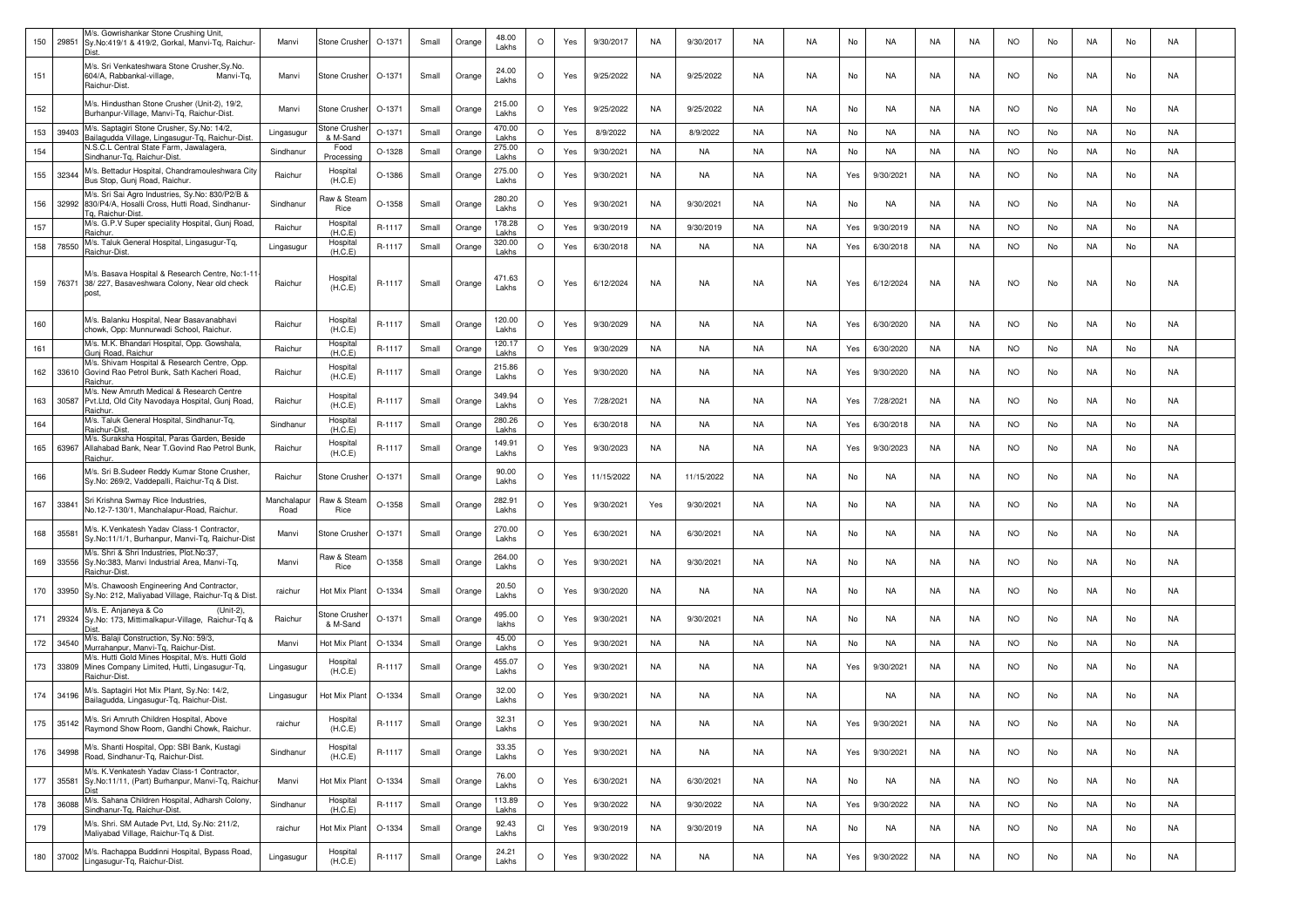| 150 | 29851     | M/s. Gowrishankar Stone Crushing Unit,<br>Sy.No:419/1 & 419/2, Gorkal, Manvi-Tq, Raichur-<br><b>Diet</b>                            | Manvi               | Stone Crusher            | O-1371   | Small | Orange | 48.00<br>Lakhs           | $\circ$ | Yes | 9/30/2017  | <b>NA</b> | 9/30/2017  | <b>NA</b> | <b>NA</b> | No   | NA        | NA        | NA        | <b>NO</b>  | No | NA        | No | NA        |  |
|-----|-----------|-------------------------------------------------------------------------------------------------------------------------------------|---------------------|--------------------------|----------|-------|--------|--------------------------|---------|-----|------------|-----------|------------|-----------|-----------|------|-----------|-----------|-----------|------------|----|-----------|----|-----------|--|
| 151 |           | M/s. Sri Venkateshwara Stone Crusher, Sy. No.<br>604/A, Rabbankal-village,<br>Manvi-Tq,<br>Raichur-Dist.                            | Manvi               | Stone Crusher            | O-1371   | Small | Orange | 24.00<br>Lakhs           | $\circ$ | Yes | 9/25/2022  | NA        | 9/25/2022  | NA        | <b>NA</b> | No   | NA        | NA        | NA        | <b>NO</b>  | No | NA        | No | NA        |  |
| 152 |           | M/s. Hindusthan Stone Crusher (Unit-2), 19/2,<br>Burhanpur-Village, Manvi-Tq, Raichur-Dist.                                         | Manvi               | Stone Crushe             | O-1371   | Small | Orange | 215.00<br>Lakhs          | $\circ$ | Yes | 9/25/2022  | NA        | 9/25/2022  | NA        | NA        | No   | NA        | NA        | NA        | NO.        | No | NA        | No | NA        |  |
| 153 | 39403     | M/s. Saptagiri Stone Crusher, Sy.No: 14/2,<br>Bailagudda Village, Lingasugur-Tq, Raichur-Dist.                                      | Lingasugur          | Stone Crushe<br>& M-Sand | $O-1371$ | Small | Orange | 470.00<br>Lakhs          | $\circ$ | Yes | 8/9/2022   | NA        | 8/9/2022   | NA        | <b>NA</b> | No   | NA        | NA        | NA        | <b>NO</b>  | No | NA        | No | NA        |  |
| 154 |           | N.S.C.L Central State Farm, Jawalagera,<br>Sindhanur-Tg, Raichur-Dist.                                                              | Sindhanur           | Food<br>Processing       | O-1328   | Small | Orange | 275.00<br>Lakhs          | $\circ$ | Yes | 9/30/2021  | <b>NA</b> | NA         | <b>NA</b> | <b>NA</b> | No   | <b>NA</b> | <b>NA</b> | NA        | <b>NO</b>  | No | NA        | No | <b>NA</b> |  |
| 155 | 32344     | M/s. Bettadur Hospital, Chandramouleshwara City<br>Bus Stop, Gunj Road, Raichur.                                                    | Raichur             | Hospital<br>(H.C.E)      | O-1386   | Small | Orange | 275.00<br>Lakhs          | $\circ$ | Yes | 9/30/2021  | NA        | NA         | <b>NA</b> | <b>NA</b> | Yes  | 9/30/2021 | NA        | <b>NA</b> | <b>NO</b>  | No | NA        | No | NA        |  |
| 156 |           | M/s. Sri Sai Agro Industries, Sy.No: 830/P2/B &<br>32992 830/P4/A, Hosalli Cross, Hutti Road, Sindhanur-<br>a. Raichur-Dist.        | Sindhanur           | Raw & Stear<br>Rice      | O-1358   | Small | Orange | 280.20<br>Lakhs          | $\circ$ | Yes | 9/30/2021  | NA        | 9/30/2021  | <b>NA</b> | <b>NA</b> | No   | NA        | NA        | <b>NA</b> | <b>NO</b>  | No | NA        | No | NA        |  |
| 157 |           | M/s. G.P.V Super speciality Hospital, Gunj Road,<br>Raichur                                                                         | Raichur             | Hospital<br>(H.C.E)      | R-1117   | Small | Orange | 178.28<br>Lakhs          | $\circ$ | Yes | 9/30/2019  | NA        | 9/30/2019  | <b>NA</b> | <b>NA</b> | Yes  | 9/30/2019 | NA        | NA        | <b>NO</b>  | No | NA        | No | NA        |  |
| 158 | 78550     | M/s. Taluk General Hospital, Lingasugur-Tq,<br>Raichur-Dist.                                                                        | Lingasugur          | Hospital<br>(H.C.E)      | R-1117   | Small | Orange | 320.00<br>Lakhs          | $\circ$ | Yes | 6/30/2018  | NA        | NA         | <b>NA</b> | <b>NA</b> | Yes  | 6/30/2018 | NA        | NA        | <b>NO</b>  | No | NA        | No | NA        |  |
| 159 |           | M/s. Basava Hospital & Research Centre, No:1-11<br>76371 38/227, Basaveshwara Colony, Near old check<br>post.                       | Raichur             | Hospital<br>(H.C.E)      | R-1117   | Small | Orange | 471.63<br>Lakhs          | $\circ$ | Yes | 6/12/2024  | NA        | NA         | NA        | <b>NA</b> | Yes  | 6/12/2024 | NA        | NA        | <b>NO</b>  | No | NA        | No | NA        |  |
| 160 |           | M/s. Balanku Hospital, Near Basavanabhavi<br>chowk, Opp: Munnurwadi School, Raichur.                                                | Raichur             | Hospital<br>(H.C.E)      | R-1117   | Small | Orange | 120.00<br>Lakhs          | $\circ$ | Yes | 9/30/2029  | NA        | NA         | NA        | <b>NA</b> | Yes  | 6/30/2020 | NA        | <b>NA</b> | <b>NO</b>  | No | NA        | No | NA        |  |
| 161 |           | M/s. M.K. Bhandari Hospital, Opp. Gowshala,<br>Gunj Road, Raichur                                                                   | Raichur             | Hospital<br>(H.C.E)      | R-1117   | Small | Orange | 120.17<br>Lakhs          | $\circ$ | Yes | 9/30/2029  | <b>NA</b> | NA         | NA        | <b>NA</b> | Yes  | 6/30/2020 | <b>NA</b> | NA        | <b>NO</b>  | No | NA        | No | <b>NA</b> |  |
| 162 |           | M/s. Shivam Hospital & Research Centre, Opp.<br>33610 Govind Rao Petrol Bunk, Sath Kacheri Road,<br>Raichur.                        | Raichur             | Hospital<br>(H.C.E)      | R-1117   | Small | Orange | 215.86<br>Lakhs          | $\circ$ | Yes | 9/30/2020  | NA        | NA         | NA        | NA        | Yes  | 9/30/2020 | NA        | NA.       | <b>NO</b>  | No | NA        | No | NA        |  |
| 163 | 30587     | M/s. New Amruth Medical & Research Centre<br>Pvt.Ltd, Old City Navodaya Hospital, Gunj Road,<br>Raichur.                            | Raichur             | Hospital<br>(H.C.E)      | R-1117   | Small | Orange | 349.94<br>Lakhs          | $\circ$ | Yes | 7/28/2021  | NA        | NA         | <b>NA</b> | <b>NA</b> | Yes  | 7/28/2021 | NA        | <b>NA</b> | <b>NO</b>  | No | NA        | No | NA        |  |
| 164 |           | M/s. Taluk General Hospital, Sindhanur-Tq,<br>Raichur-Dist.                                                                         | Sindhanur           | Hospital<br>(H.C.E)      | R-1117   | Small | Orange | 280.26<br>Lakhs          | $\circ$ | Yes | 6/30/2018  | NA        | NA         | <b>NA</b> | <b>NA</b> | Yes  | 6/30/2018 | <b>NA</b> | <b>NA</b> | <b>NO</b>  | No | <b>NA</b> | No | <b>NA</b> |  |
| 165 | 63967     | M/s. Suraksha Hospital, Paras Garden, Beside<br>Allahabad Bank, Near T.Govind Rao Petrol Bunk,<br>Raichur.                          | Raichur             | Hospital<br>(H.C.E)      | R-1117   | Small | Orange | 149.91<br>Lakhs          | $\circ$ | Yes | 9/30/2023  | NA        | NA         | NA        | <b>NA</b> | Yes  | 9/30/2023 | <b>NA</b> | NA        | <b>NO</b>  | No | NA        | No | NA        |  |
| 166 |           | M/s. Sri B.Sudeer Reddy Kumar Stone Crusher,<br>Sy.No: 269/2, Vaddepalli, Raichur-Tq & Dist.                                        | Raichur             | Stone Crushe             | $O-1371$ | Small | Orange | 90.00<br>Lakhs           | $\circ$ | Yes | 11/15/2022 | NA        | 11/15/2022 | NA        | <b>NA</b> | No   | NA        | NA        | NA        | <b>NO</b>  | No | NA        | No | NA        |  |
| 167 | 33841     | Sri Krishna Swmay Rice Industries,<br>No.12-7-130/1, Manchalapur-Road, Raichur.                                                     | Manchalapur<br>Road | Raw & Stean<br>Rice      | $O-1358$ | Small | Orange | 282.91<br>Lakhs          | $\circ$ | Yes | 9/30/2021  | Yes       | 9/30/2021  | <b>NA</b> | <b>NA</b> | No   | NA        | NA        | NA        | <b>NO</b>  | No | NA        | No | NA        |  |
| 168 | 35581     | M/s. K.Venkatesh Yadav Class-1 Contractor,<br>Sy.No:11/1/1, Burhanpur, Manvi-Tq, Raichur-Dist                                       | Manvi               | Stone Crusher            | O-1371   | Small | Orange | 270.00<br>Lakhs          | $\circ$ | Yes | 6/30/2021  | NA        | 6/30/2021  | NA        | <b>NA</b> | No   | NA        | NA        | NA        | <b>NO</b>  | No | NA        | No | NA        |  |
| 169 |           | M/s. Shri & Shri Industries, Plot.No:37,<br>33556 Sy.No:383, Manvi Industrial Area, Manvi-Tq,<br>Raichur-Dist.                      | Manvi               | Raw & Stean<br>Rice      | O-1358   | Small | Orange | 264.00<br>Lakhs          | $\circ$ | Yes | 9/30/2021  | NA        | 9/30/2021  | NA        | <b>NA</b> | No   | NA        | <b>NA</b> | NA        | <b>NO</b>  | No | NA        | No | <b>NA</b> |  |
| 170 | 33950     | M/s. Chawoosh Engineering And Contractor,<br>Sy.No: 212, Maliyabad Village, Raichur-Tq & Dist<br>M/s. E. Anjaneya & Co<br>(Unit-2), | raichur             | Hot Mix Plant            | O-1334   | Small | Orange | 20.50<br>Lakhs           | $\circ$ | Yes | 9/30/2020  | NA        | NA         | NA        | <b>NA</b> | No   | NA        | NA        | NA        | <b>NO</b>  | No | NA        | No | <b>NA</b> |  |
| 171 | 29324     | Sy.No: 173, Mittimalkapur-Village, Raichur-Tq &<br>Dist<br>M/s. Balaji Construction, Sy.No: 59/3,                                   | Raichur             | Stone Crushe<br>& M-Sand | $O-1371$ | Small | Orange | 495.00<br>lakhs<br>45.00 | $\circ$ | Yes | 9/30/2021  | NA        | 9/30/2021  | <b>NA</b> | <b>NA</b> | No   | NA        | NA        | NA        | <b>NO</b>  | No | NA        | No | NA        |  |
| 172 | 34540     | Murrahanpur, Manvi-Tq, Raichur-Dist                                                                                                 | Manvi               | Hot Mix Plant            | O-1334   | Small | Orange | Lakhs                    | $\circ$ | Yes | 9/30/2021  | NA        | NA         | <b>NA</b> | <b>NA</b> | No   | <b>NA</b> | <b>NA</b> | NA        | <b>NO</b>  | No | NA        | No | NA        |  |
| 173 | 33809     | M/s. Hutti Gold Mines Hospital, M/s. Hutti Gold<br>Mines Company Limited, Hutti, Lingasugur-Tq,<br>Raichur-Dist.                    | Lingasugur          | Hospital<br>(H.C.E)      | R-1117   | Small | Orange | 455.07<br>Lakhs          | $\circ$ | Yes | 9/30/2021  | NA        | NA         | NA        | NA        | Yes  | 9/30/2021 | NA        | NA        | <b>NO</b>  | No | NA        | No | NA        |  |
| 174 | 34196     | M/s. Saptagiri Hot Mix Plant, Sy.No: 14/2,<br>Bailagudda, Lingasugur-Tq, Raichur-Dist.                                              | Lingasugur          | Hot Mix Plant            | O-1334   | Small | Orange | 32.00<br>Lakhs           | $\circ$ | Yes | 9/30/2021  | NA        | NA         | <b>NA</b> | <b>NA</b> |      | NA        | NA        | NA        | <b>NO</b>  | No | NA        | No | NA        |  |
|     | 175 35142 | M/s. Sri Amruth Children Hospital, Above<br>Raymond Show Room, Gandhi Chowk, Raichur.                                               | raichur             | Hospital<br>(H.C.E)      | R-1117   | Small |        | 32.31<br>Lakhs           |         |     | 9/30/2021  | NA        | NA.        | <b>NA</b> | NA        | 1 e. | 9/30/2021 |           |           | <b>INC</b> |    |           | No |           |  |
| 176 | 34998     | M/s. Shanti Hospital, Opp: SBI Bank, Kustagi<br>Road, Sindhanur-Tq, Raichur-Dist.                                                   | Sindhanur           | Hospital<br>(H.C.E)      | R-1117   | Small | Orange | 33.35<br>Lakhs           | $\circ$ | Yes | 9/30/2021  | NA        | NA         | NA        | <b>NA</b> | Yes  | 9/30/2021 | NA        | NA        | <b>NO</b>  | No | NA        | No | NA        |  |
| 177 | 35581     | M/s. K.Venkatesh Yadav Class-1 Contractor,<br>Sy.No:11/11, (Part) Burhanpur, Manvi-Tq, Raichu                                       | Manvi               | Hot Mix Plant            | O-1334   | Small | Orange | 76.00<br>Lakhs           | $\circ$ | Yes | 6/30/2021  | <b>NA</b> | 6/30/2021  | <b>NA</b> | <b>NA</b> | No   | NA        | NA        | <b>NA</b> | <b>NO</b>  | No | <b>NA</b> | No | NA        |  |
| 178 | 36088     | M/s. Sahana Children Hospital, Adharsh Colony,<br>Sindhanur-Tq, Raichur-Dist.                                                       | Sindhanur           | Hospital<br>(H.C.E)      | R-1117   | Small | Orange | 113.89<br>Lakhs          | $\circ$ | Yes | 9/30/2022  | <b>NA</b> | 9/30/2022  | NA        | <b>NA</b> | Yes  | 9/30/2022 | <b>NA</b> | <b>NA</b> | <b>NO</b>  | No | <b>NA</b> | No | <b>NA</b> |  |
| 179 |           | M/s. Shri. SM Autade Pvt, Ltd, Sy.No: 211/2,<br>Maliyabad Village, Raichur-Tq & Dist.                                               | raichur             | Hot Mix Plant            | O-1334   | Small | Orange | 92.43<br>Lakhs           | Cl      | Yes | 9/30/2019  | NA        | 9/30/2019  | NA        | NA        | No   | NA        | NA        | NA        | <b>NO</b>  | No | NA        | No | NA        |  |
| 180 | 37002     | M/s. Rachappa Buddinni Hospital, Bypass Road,<br>Lingasugur-Tq, Raichur-Dist.                                                       | Lingasugur          | Hospital<br>(H.C.E)      | R-1117   | Small | Orange | 24.21<br>Lakhs           | $\circ$ | Yes | 9/30/2022  | NA        | NA         | NA        | NA        | Yes  | 9/30/2022 | NA        | NA        | <b>NO</b>  | No | NA        | No | NA        |  |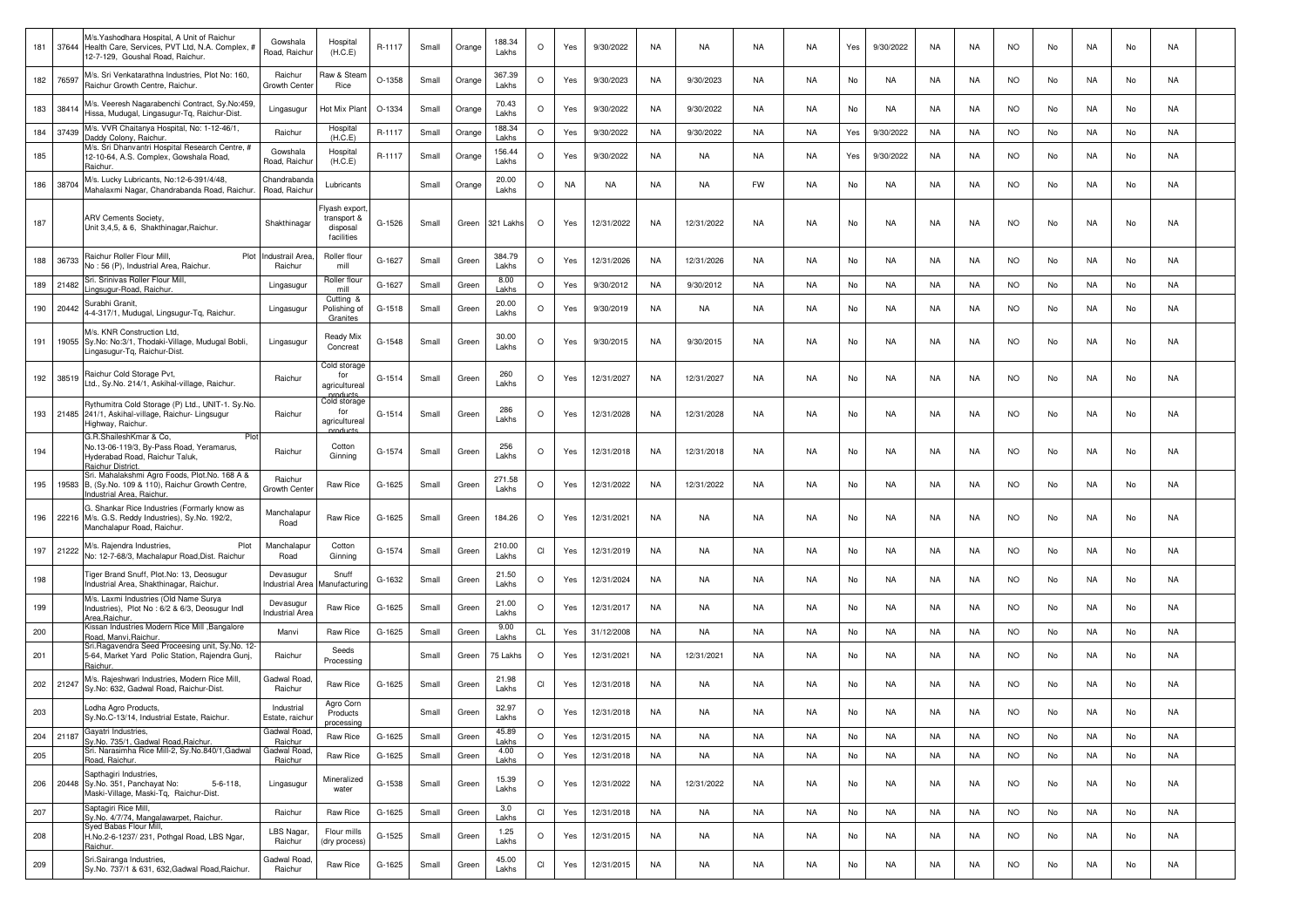| 181 | 37644 | M/s.Yashodhara Hospital, A Unit of Raichur<br>Health Care, Services, PVT Ltd, N.A. Complex, #<br>12-7-129, Goushal Road, Raichur. | Gowshala<br>Road, Raichur     | Hospital<br>(H.C.E)                                   | R-1117 | Small | Orange | 188.34<br>Lakhs | $\circ$ | Yes | 9/30/2022  | NA        | NA         | NA        | NA.       | Yes | 9/30/2022 | NA | NA        | NO.       | No | NA        | No | NA |  |
|-----|-------|-----------------------------------------------------------------------------------------------------------------------------------|-------------------------------|-------------------------------------------------------|--------|-------|--------|-----------------|---------|-----|------------|-----------|------------|-----------|-----------|-----|-----------|----|-----------|-----------|----|-----------|----|----|--|
| 182 | 76597 | M/s. Sri Venkatarathna Industries, Plot No: 160,<br>Raichur Growth Centre, Raichur                                                | Raichur<br>Growth Center      | Raw & Stear<br>Rice                                   | O-1358 | Small | Orange | 367.39<br>Lakhs | $\circ$ | Yes | 9/30/2023  | NA        | 9/30/2023  | NA        | NA        | No  | NA        | NA | NA        | <b>NO</b> | No | NA        | No | NA |  |
| 183 | 38414 | M/s. Veeresh Nagarabenchi Contract, Sy.No:459,<br>Hissa, Mudugal, Lingasugur-Tq, Raichur-Dist.                                    | Lingasugur                    | <b>Hot Mix Plant</b>                                  | O-1334 | Small | Orange | 70.43<br>Lakhs  | $\circ$ | Yes | 9/30/2022  | NA        | 9/30/2022  | NA        | <b>NA</b> | No  | NA        | NA | NA        | <b>NO</b> | No | NA        | No | NA |  |
| 184 | 37439 | M/s. VVR Chaitanya Hospital, No: 1-12-46/1,<br>Daddy Colony, Raichur.                                                             | Raichur                       | Hospital<br>(H.C.E)                                   | R-1117 | Small | Orange | 188.34<br>Lakhs | $\circ$ | Yes | 9/30/2022  | NA        | 9/30/2022  | NA        | <b>NA</b> | Yes | 9/30/2022 | NA | NA        | <b>NO</b> | No | NA        | No | NA |  |
| 185 |       | M/s. Sri Dhanvantri Hospital Research Centre, #<br>12-10-64, A.S. Complex, Gowshala Road,<br>∖aichur                              | Gowshala<br>Road, Raichui     | Hospital<br>(H.C.E)                                   | R-1117 | Small | Orange | 156.44<br>Lakhs | $\circ$ | Yes | 9/30/2022  | NA        | NA         | NA        | NA        | Yes | 9/30/2022 | NA | NA        | NO.       | No | NA        | No | NA |  |
| 186 | 38704 | M/s. Lucky Lubricants, No:12-6-391/4/48,<br>Mahalaxmi Nagar, Chandrabanda Road, Raichur.                                          | Chandrabanda<br>Road, Raichur | Lubricants                                            |        | Small | Orange | 20.00<br>Lakhs  | $\circ$ | NA  | NA         | NA        | NA         | FW        | NA        | No  | NA        | NA | NA        | <b>NO</b> | No | NA        | No | NA |  |
| 187 |       | ARV Cements Society,<br>Unit 3,4,5, & 6, Shakthinagar, Raichur.                                                                   | Shakthinagar                  | lyash export<br>transport &<br>disposal<br>facilities | G-1526 | Small | Green  | 321 Lakhs       | $\circ$ | Yes | 12/31/2022 | NA        | 12/31/2022 | <b>NA</b> | <b>NA</b> | No  | <b>NA</b> | NA | NA        | <b>NO</b> | No | NA        | No | NA |  |
| 188 | 36733 | Raichur Roller Flour Mill,<br>Plot<br>No : 56 (P), Industrial Area, Raichur.                                                      | ndustrail Area<br>Raichur     | Roller flour<br>mill                                  | G-1627 | Small | Green  | 384.79<br>Lakhs | $\circ$ | Yes | 12/31/2026 | NA        | 12/31/2026 | NA        | NA        | No  | NA        | NA | NA        | <b>NO</b> | No | NA.       | No | NA |  |
| 189 | 21482 | Sri. Srinivas Roller Flour Mill,<br>ingsugur-Road, Raichur                                                                        | Lingasugur                    | Roller flou<br>mill                                   | G-1627 | Small | Green  | 8.00<br>Lakhs   | $\circ$ | Yes | 9/30/2012  | NA        | 9/30/2012  | NA        | NA        | No  | NA        | NA | NA        | NO.       | No | NA        | No | NA |  |
| 190 | 20442 | Surabhi Granit.<br>4-4-317/1, Mudugal, Lingsugur-Tq, Raichur.                                                                     | Lingasugur                    | Cutting &<br>Polishing of<br>Granites                 | G-1518 | Small | Green  | 20.00<br>Lakhs  | $\circ$ | Yes | 9/30/2019  | NA        | NA         | NA        | NA        | No  | NA        | NA | NA        | <b>NO</b> | No | NA        | No | NA |  |
| 191 |       | M/s. KNR Construction Ltd.<br>19055 Sy.No: No:3/1, Thodaki-Village, Mudugal Bobli,<br>ingasugur-Tq, Raichur-Dist.                 | Lingasugur                    | Ready Mix<br>Concreat                                 | G-1548 | Small | Green  | 30.00<br>Lakhs  | $\circ$ | Yes | 9/30/2015  | NA        | 9/30/2015  | NA        | NA        | No  | NA        | NA | NA        | <b>NO</b> | No | NA        | No | NA |  |
| 192 | 38519 | Raichur Cold Storage Pvt,<br>Ltd., Sy.No. 214/1, Askihal-village, Raichur.                                                        | Raichur                       | Cold storage<br>for<br>agriculturea                   | G-1514 | Small | Green  | 260<br>Lakhs    | $\circ$ | Yes | 12/31/2027 | NA        | 12/31/2027 | NA        | NA        | No  | NA        | NA | NA        | <b>NO</b> | No | NA        | No | NA |  |
| 193 |       | Rythumitra Cold Storage (P) Ltd., UNIT-1. Sy.No.<br>21485 241/1, Askihal-village, Raichur- Lingsugur<br>Highway, Raichur.         | Raichur                       | Cold storage<br>for<br>agriculturea<br>roduct         | G-1514 | Small | Green  | 286<br>Lakhs    | $\circ$ | Yes | 12/31/2028 | NA        | 12/31/2028 | NA        | NA        | No  | NA        | NA | NA        | <b>NO</b> | No | NA        | No | NA |  |
| 194 |       | G.R.ShaileshKmar & Co,<br>Plot<br>No.13-06-119/3, By-Pass Road, Yeramarus,<br>Hyderabad Road, Raichur Taluk,<br>Raichur District. | Raichur                       | Cotton<br>Ginning                                     | G-1574 | Small | Green  | 256<br>Lakhs    | $\circ$ | Yes | 12/31/2018 | NA        | 12/31/2018 | NA        | NA        | No  | NA        | NA | NA        | <b>NO</b> | No | NA        | No | NA |  |
| 195 |       | Sri. Mahalakshmi Agro Foods, Plot.No. 168 A &<br>19583 B, (Sy.No. 109 & 110), Raichur Growth Centre,<br>ndustrial Area, Raichui   | Raichur<br>Growth Cente       | Raw Rice                                              | G-1625 | Small | Green  | 271.58<br>Lakhs | O       | Yes | 12/31/2022 | NA        | 12/31/2022 | NA        | NA        | No  | NA        | NA | NA        | <b>NO</b> | No | NA        | No | NA |  |
| 196 |       | G. Shankar Rice Industries (Formarly know as<br>22216 M/s. G.S. Reddy Industries), Sy.No. 192/2,<br>Manchalapur Road, Raichur.    | Manchalapu<br>Road            | Raw Rice                                              | G-1625 | Small | Green  | 184.26          | $\circ$ | Yes | 12/31/2021 | NA        | NA         | NA        | NA        | No  | NA        | NA | NA        | <b>NO</b> | No | NA        | No | NA |  |
| 197 | 21222 | M/s. Rajendra Industries,<br>Plot<br>No: 12-7-68/3, Machalapur Road, Dist. Raichur                                                | Manchalapu<br>Road            | Cotton<br>Ginning                                     | G-1574 | Small | Green  | 210.00<br>Lakhs | CI      | Yes | 12/31/2019 | NA        | NA         | NA        | NA        | No  | NA        | NA | NA        | <b>NO</b> | No | NA        | No | NA |  |
| 198 |       | Tiger Brand Snuff, Plot.No: 13, Deosugur<br>Industrial Area, Shakthinagar, Raichur.                                               | Devasugur<br>Industrial Area  | Snuff<br>lanufacturi                                  | G-1632 | Small | Green  | 21.50<br>Lakhs  | $\circ$ | Yes | 12/31/2024 | NA        | NA         | NA        | NA        | No  | NA        | NA | NA        | <b>NO</b> | No | NA        | No | NA |  |
| 199 |       | M/s. Laxmi Industries (Old Name Surya<br>Industries), Plot No: 6/2 & 6/3, Deosugur Indl<br>Area, Raichur                          | Devasugu<br>Industrial Area   | Raw Rice                                              | G-1625 | Small | Green  | 21.00<br>Lakhs  | $\circ$ | Yes | 12/31/2017 | NA        | NA         | NA        | NA        | No  | NA        | NA | NA        | <b>NO</b> | No | NA        | No | NA |  |
| 200 |       | Kissan Industries Modern Rice Mill , Bangalore<br>Road, Manvi, Raichur.                                                           | Manvi                         | Raw Rice                                              | G-1625 | Small | Green  | 9.00<br>Lakhs   | CL      | Yes | 31/12/2008 | NA        | NA         | NA        | NA        | No  | NA        | NA | NA        | <b>NO</b> | No | NA        | No | NA |  |
| 201 |       | Sri.Ragavendra Seed Proceesing unit, Sy.No. 12-<br>5-64, Market Yard Polic Station, Rajendra Gunj,<br>Raichur.                    | Raichur                       | Seeds<br>Processing                                   |        | Small | Green  | 75 Lakhs        | $\circ$ | Yes | 12/31/2021 | NA        | 12/31/2021 | NA        | NA        | No  | NA        | NA | NA        | <b>NO</b> | No | NA        | No | NA |  |
| 202 | 21247 | M/s. Rajeshwari Industries, Modern Rice Mill,<br>Sy.No: 632, Gadwal Road, Raichur-Dist.                                           | Gadwal Road<br>Raichur        | Raw Rice                                              | G-1625 | Small | Green  | 21.98<br>Lakhs  | CI      | Yes | 12/31/2018 | NA        | NA         | NA        | <b>NA</b> | No  | NA        | NA | NA        | <b>NO</b> | No | NA        | No | NA |  |
| 203 |       | Lodha Agro Products,<br>Sy.No.C-13/14, Industrial Estate, Raichur.                                                                | Industrial<br>Estate, raichur | Agro Corn<br>Products<br>processina                   |        | Small | Green  | 32.97<br>Lakhs  | O       | Yes | 12/31/2018 | NA        | NA         | NA        | <b>NA</b> | No  | NA        | NA | NA        | <b>NO</b> | No | NA        | No | NA |  |
| 204 | 21187 | Gayatri Industries,<br>Sy.No. 735/1, Gadwal Road, Raichur                                                                         | Gadwal Road.<br>Raichur       | Raw Rice                                              | G-1625 | Small | Green  | 45.89<br>Lakhs  | $\circ$ | Yes | 12/31/2015 | NA        | NA         | NA        | <b>NA</b> | No  | NA        | NA | NA        | <b>NO</b> | No | NA        | No | NA |  |
| 205 |       | Sri. Narasimha Rice Mill-2, Sy.No.840/1,Gadwal<br>Road, Raichur.                                                                  | Gadwal Road<br>Raichur        | Raw Rice                                              | G-1625 | Small | Green  | 4.00<br>Lakhs   | $\circ$ | Yes | 12/31/2018 | NA        | NA         | NA        | NA        | No  | <b>NA</b> | NA | NA        | <b>NO</b> | No | NA        | No | NA |  |
| 206 |       | Sapthagiri Industries,<br>20448 Sy.No. 351, Panchayat No:<br>$5 - 6 - 118$<br>Maski-Village, Maski-Tg, Raichur-Dist.              | Lingasugur                    | Mineralized<br>water                                  | G-1538 | Small | Green  | 15.39<br>Lakhs  | $\circ$ | Yes | 12/31/2022 | NA        | 12/31/2022 | <b>NA</b> | NA        | No  | NA        | NA | <b>NA</b> | <b>NO</b> | No | NA        | No | NA |  |
| 207 |       | Saptagiri Rice Mill,<br>Sy.No. 4/7/74, Mangalawarpet, Raichur.                                                                    | Raichur                       | Raw Rice                                              | G-1625 | Small | Green  | 3.0<br>Lakhs    | CI      | Yes | 12/31/2018 | <b>NA</b> | NA         | <b>NA</b> | NA        | No  | <b>NA</b> | NA | NA        | <b>NO</b> | No | <b>NA</b> | No | NA |  |
| 208 |       | Syed Babas Flour Mill,<br>H.No.2-6-1237/ 231, Pothgal Road, LBS Ngar,<br>Raichur.                                                 | LBS Nagar,<br>Raichur         | Flour mills<br>(dry process)                          | G-1525 | Small | Green  | 1.25<br>Lakhs   | $\circ$ | Yes | 12/31/2015 | NA        | NA         | NA        | NA        | No  | NA        | NA | NA        | <b>NO</b> | No | NA        | No | NA |  |
| 209 |       | Sri.Sairanga Industries,<br>Sy.No. 737/1 & 631, 632, Gadwal Road, Raichur.                                                        | Gadwal Road<br>Raichur        | Raw Rice                                              | G-1625 | Small | Green  | 45.00<br>Lakhs  | CI      | Yes | 12/31/2015 | NA        | NA         | NA        | NA        | No  | NA        | NA | NA        | <b>NO</b> | No | NA        | No | NA |  |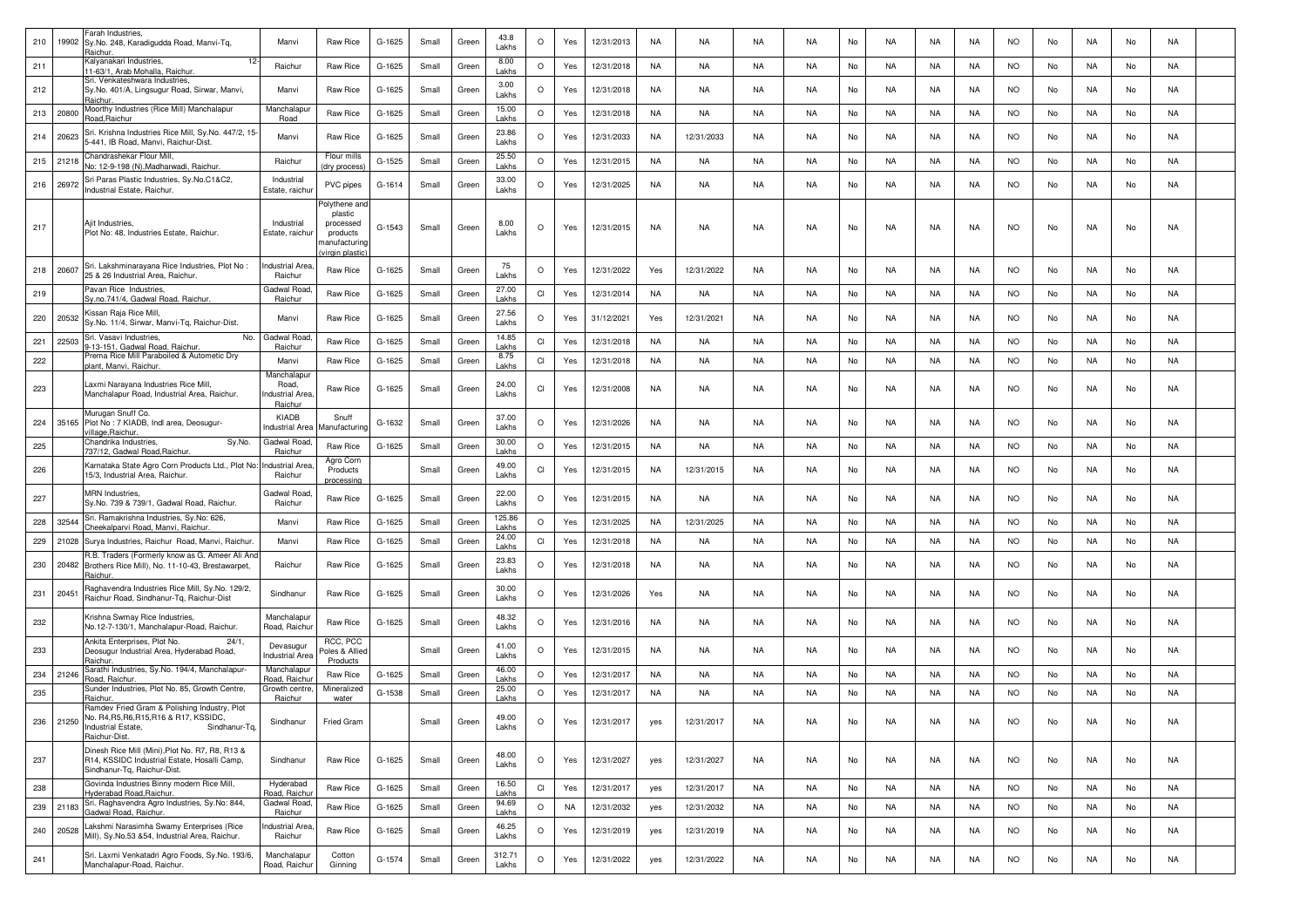| 210 | 19902     | Farah Industries,<br>Sy.No. 248, Karadigudda Road, Manvi-Tq,<br>Raichur.                                                                        | Manvi                                                     | Raw Rice                                                                             | G-1625 | Small | Green | 43.8<br>Lakhs   | $\circ$                | Yes       | 12/31/2013 | NA        | NA         | NA        | <b>NA</b> | No | NA        | NA        | NA.       | <b>NO</b> | No | NA        | No | NA        |  |
|-----|-----------|-------------------------------------------------------------------------------------------------------------------------------------------------|-----------------------------------------------------------|--------------------------------------------------------------------------------------|--------|-------|-------|-----------------|------------------------|-----------|------------|-----------|------------|-----------|-----------|----|-----------|-----------|-----------|-----------|----|-----------|----|-----------|--|
| 211 |           | Kalyanakari Industries,<br>11-63/1, Arab Mohalla, Raichur.                                                                                      | Raichur                                                   | Raw Rice                                                                             | G-1625 | Small | Green | 8.00<br>Lakhs   | $\circ$                | Yes       | 12/31/2018 | NA        | NA         | NA        | <b>NA</b> | No | NA        | NA        | NA        | <b>NO</b> | No | NA        | No | NA        |  |
| 212 |           | Sri. Venkateshwara Industries,<br>Sy.No. 401/A, Lingsugur Road, Sirwar, Manvi,<br>łaich⊔                                                        | Manvi                                                     | Raw Rice                                                                             | G-1625 | Small | Green | 3.00<br>Lakhs   | $\circ$                | Yes       | 12/31/2018 | NA        | NA         | NA        | NA.       | No | NA        | NA        | NA.       | NO.       | No | NA        | No | NA        |  |
| 213 | 20800     | Moorthy Industries (Rice Mill) Manchalapur<br>Road, Raichur                                                                                     | Manchalapu<br>Road                                        | Raw Rice                                                                             | G-1625 | Small | Green | 15.00<br>Lakhs  | $\circ$                | Yes       | 12/31/2018 | NA        | NA         | NA        | <b>NA</b> | No | NA        | NA        | NA        | <b>NO</b> | No | NA        | No | NA        |  |
| 214 | 20623     | Sri. Krishna Industries Rice Mill, Sy.No. 447/2, 15-<br>5-441, IB Road, Manvi, Raichur-Dist                                                     | Manvi                                                     | Raw Rice                                                                             | G-1625 | Small | Green | 23.86<br>Lakhs  | $\circ$                | Yes       | 12/31/2033 | <b>NA</b> | 12/31/2033 | <b>NA</b> | <b>NA</b> | No | <b>NA</b> | NA        | <b>NA</b> | <b>NO</b> | No | <b>NA</b> | No | NA        |  |
|     | 215 21218 | Chandrashekar Flour Mill,<br>No: 12-9-198 (N),Madharwadi, Raichur.                                                                              | Raichur                                                   | Flour mills<br>dry process                                                           | G-1525 | Small | Green | 25.50<br>Lakhs  | $\circ$                | Yes       | 12/31/2015 | <b>NA</b> | NA         | NA        | <b>NA</b> | No | NA        | <b>NA</b> | NA        | <b>NO</b> | No | NA        | No | <b>NA</b> |  |
|     | 216 26972 | Sri Paras Plastic Industries, Sy.No.C1&C2,<br>Industrial Estate, Raichur.                                                                       | Industria<br>Estate, raichu                               | PVC pipes                                                                            | G-1614 | Small | Green | 33.00<br>Lakhs  | $\circ$                | Yes       | 12/31/2025 | NA        | NA         | NA        | NA.       | No | NA        | NA        | NA        | <b>NO</b> | No | NA        | No | NA        |  |
| 217 |           | Ajit Industries,<br>Plot No: 48, Industries Estate, Raichur.                                                                                    | Industrial<br>Estate, raichur                             | Polythene and<br>plastic<br>processed<br>products<br>nanufacturing<br>rirgin plastio | G-1543 | Small | Green | 8.00<br>Lakhs   | $\circ$                | Yes       | 12/31/2015 | NA        | NA         | NA        | <b>NA</b> | No | NA        | NA        | NA        | <b>NO</b> | No | NA        | No | NA        |  |
| 218 | 20607     | Sri. Lakshminarayana Rice Industries, Plot No:<br>25 & 26 Industrial Area, Raichur.                                                             | <b>Industrial Area</b><br>Raichur                         | Raw Rice                                                                             | G-1625 | Small | Green | 75<br>Lakhs     | $\circ$                | Yes       | 12/31/2022 | Yes       | 12/31/2022 | NA        | NA.       | No | NA        | NA        | NA        | <b>NO</b> | No | NA        | No | NA        |  |
| 219 |           | Pavan Rice Industries,<br>Sy.no.741/4, Gadwal Road, Raichur.                                                                                    | Gadwal Road<br>Raichur                                    | Raw Rice                                                                             | G-1625 | Small | Green | 27.00<br>Lakhs  | $\mathsf{C}\mathsf{I}$ | Yes       | 12/31/2014 | NA        | NA         | NA        | <b>NA</b> | No | NA        | NA        | NA        | <b>NO</b> | No | NA        | No | <b>NA</b> |  |
| 220 | 20532     | Kissan Raja Rice Mill,<br>Sy.No. 11/4, Sirwar, Manvi-Tq, Raichur-Dist.                                                                          | Manvi                                                     | Raw Rice                                                                             | G-1625 | Small | Green | 27.56<br>Lakhs  | $\circ$                | Yes       | 31/12/2021 | Yes       | 12/31/2021 | NA        | NA.       | No | NA        | NA        | NA.       | <b>NO</b> | No | NA        | No | NA        |  |
| 221 | 22503     | No.<br>Sri. Vasavi Industries.<br>-13-151, Gadwal Road, Raichur,                                                                                | Gadwal Road<br>Raichur                                    | Raw Rice                                                                             | G-1625 | Small | Green | 14.85<br>Lakhs  | <b>CI</b>              | Yes       | 12/31/2018 | <b>NA</b> | NA         | NA        | <b>NA</b> | No | NA        | NA        | NA        | <b>NO</b> | No | NA        | No | NA        |  |
| 222 |           | Prema Rice Mill Paraboiled & Autometic Dry<br><b>Jant. Manvi, Raichur</b>                                                                       | Manvi                                                     | Raw Rice                                                                             | G-1625 | Small | Green | 8.75<br>Lakhs   | CI                     | Yes       | 12/31/2018 | NA        | <b>NA</b>  | <b>NA</b> | <b>NA</b> | No | <b>NA</b> | <b>NA</b> | NA        | <b>NO</b> | No | NA        | No | <b>NA</b> |  |
| 223 |           | Laxmi Narayana Industries Rice Mill,<br>Manchalapur Road, Industrial Area, Raichur.                                                             | Manchalapur<br>Road,<br><b>Industrial Area</b><br>Raichur | Raw Rice                                                                             | G-1625 | Small | Green | 24.00<br>Lakhs  | CI                     | Yes       | 12/31/2008 | NA        | NA         | NA        | <b>NA</b> | No | NA        | NA        | NA        | <b>NO</b> | No | NA        | No | NA        |  |
| 224 |           | Murugan Snuff Co.<br>35165 Plot No : 7 KIADB, Indl area, Deosugur-<br>illage, Raichur.                                                          | KIADB<br>ndustrial Area                                   | Snuff<br>Aanufacturing                                                               | G-1632 | Small | Green | 37.00<br>Lakhs  | $\circ$                | Yes       | 12/31/2026 | NA        | NA         | NA        | <b>NA</b> | No | NA        | NA        | NA        | <b>NO</b> | No | NA        | No | NA        |  |
| 225 |           | Sy.No.<br>Chandrika Industries.<br>737/12, Gadwal Road, Raichur.                                                                                | Gadwal Road<br>Raichur                                    | Raw Rice                                                                             | G-1625 | Small | Green | 30.00<br>Lakhs  | $\circ$                | Yes       | 12/31/2015 | NA        | NA         | NA        | <b>NA</b> | No | NA        | NA        | NA        | <b>NO</b> | No | NA        | No | NA        |  |
| 226 |           | Karnataka State Agro Corn Products Ltd., Plot No:<br>15/3, Industrial Area, Raichur.                                                            | <b>Industrial Area</b><br>Raichur                         | Agro Corn<br>Products<br>processing                                                  |        | Small | Green | 49.00<br>Lakhs  | CI                     | Yes       | 12/31/2015 | NA        | 12/31/2015 | NA        | <b>NA</b> | No | NA        | NA        | NA        | <b>NO</b> | No | NA        | No | NA        |  |
| 227 |           | MRN Industries,<br>Sy.No. 739 & 739/1, Gadwal Road, Raichur.                                                                                    | Gadwal Road<br>Raichur                                    | Raw Rice                                                                             | G-1625 | Small | Green | 22.00<br>Lakhs  | $\circ$                | Yes       | 12/31/2015 | NA        | NA         | <b>NA</b> | <b>NA</b> | No | NA        | NA        | NA        | <b>NO</b> | No | NA        | No | NA        |  |
| 228 | 32544     | Sri. Ramakrishna Industries, Sy.No: 626,<br>Cheekalparvi Road, Manvi, Raichui                                                                   | Manvi                                                     | Raw Rice                                                                             | G-1625 | Small | Green | 125.86<br>Lakhs | $\circ$                | Yes       | 12/31/2025 | NA        | 12/31/2025 | NA        | <b>NA</b> | No | NA        | NA        | NA        | <b>NO</b> | No | NA        | No | NA        |  |
| 229 | 21028     | Surya Industries, Raichur Road, Manvi, Raichur.                                                                                                 | Manvi                                                     | Raw Rice                                                                             | G-1625 | Small | Green | 24.00<br>Lakhs  | <b>CI</b>              | Yes       | 12/31/2018 | NA        | NA         | NA        | NA        | No | NA        | NA        | NA        | <b>NO</b> | No | NA        | No | NA        |  |
| 230 | 20482     | R.B. Traders (Formerly know as G. Ameer Ali And<br>Brothers Rice Mill), No. 11-10-43, Brestawarpet,<br>}aichur.                                 | Raichur                                                   | Raw Rice                                                                             | G-1625 | Small | Green | 23.83<br>Lakhs  | $\circ$                | Yes       | 12/31/2018 | <b>NA</b> | NA         | NA        | NA        | No | NA        | NA        | NA        | <b>NO</b> | No | NA        | No | NA        |  |
| 231 | 20451     | Raghavendra Industries Rice Mill, Sy.No. 129/2,<br>Raichur Road, Sindhanur-Tg, Raichur-Dist                                                     | Sindhanur                                                 | Raw Rice                                                                             | G-1625 | Small | Green | 30.00<br>Lakhs  | $\circ$                | Yes       | 12/31/2026 | Yes       | NA         | NA        | <b>NA</b> | No | NA        | NA        | <b>NA</b> | <b>NO</b> | No | NA        | No | NA        |  |
| 232 |           | Krishna Swmay Rice Industries,<br>No.12-7-130/1, Manchalapur-Road, Raichur.                                                                     | Manchalapur<br>Road, Raichur                              | Raw Rice                                                                             | G-1625 | Small | Green | 48.32<br>Lakhs  | $\circ$                | Yes       | 12/31/2016 | <b>NA</b> | NA         | NA        | <b>NA</b> | No | NA        | NA        | NA.       | <b>NO</b> | No | NA        | No | NA        |  |
| 233 |           | Ankita Enterprises, Plot No.<br>24/1<br>Deosugur Industrial Area, Hyderabad Road,<br>łaichu                                                     | Devasugur<br>ndustrial Area                               | RCC, PCC<br><sup>o</sup> oles & Allied<br>Products                                   |        | Small | Green | 41.00<br>Lakhs  | $\circ$                | Yes       | 12/31/2015 | NA        | NA         | NA        | <b>NA</b> | No | NA        | NA        | NA        | <b>NO</b> | No | NA        | No | NA        |  |
| 234 | 21246     | Sarathi Industries, Sy.No. 194/4, Manchalapur-<br>Road, Raichur                                                                                 | Manchalapu<br>Road, Raichi                                | Raw Rice                                                                             | G-1625 | Small | Green | 46.00<br>Lakhs  | $\circ$                | Yes       | 12/31/2017 | NA        | NA         | NA        | <b>NA</b> | No | NA        | NA        | NA        | <b>NO</b> | No | NA        | No | NA        |  |
| 235 |           | Sunder Industries, Plot No. 85, Growth Centre,<br>Raichur.                                                                                      | Growth centre<br>Raichur                                  | Mineralized<br>water                                                                 | G-1538 | Small | Green | 25.00<br>Lakhs  | $\circ$                | Yes       | 12/31/2017 | <b>NA</b> | NA         | NA        | NA        | No | NA        | NA        | NA        | NO.       | No | NA        | No | NA        |  |
| 236 | 21250     | Ramdev Fried Gram & Polishing Industry, Plot<br>No. R4, R5, R6, R15, R16 & R17, KSSIDC.<br>Industrial Estate,<br>Sindhanur-Tq,<br>Raichur-Dist. | Sindhanur                                                 | Fried Gram                                                                           |        | Small | Green | 49.00<br>Lakhs  | $\Omega$               | Yes       | 12/31/2017 | yes       | 12/31/2017 | NA        | NA        | No | NA        | NA        | <b>NA</b> | <b>NO</b> | No |           | No | <b>NA</b> |  |
| 237 |           | Dinesh Rice Mill (Mini), Plot No. R7, R8, R13 &<br>R14, KSSIDC Industrial Estate, Hosalli Camp,<br>Sindhanur-Tq, Raichur-Dist.                  | Sindhanur                                                 | Raw Rice                                                                             | G-1625 | Small | Green | 48.00<br>Lakhs  | $\circ$                | Yes       | 12/31/2027 | yes       | 12/31/2027 | <b>NA</b> | <b>NA</b> | No | NA        | NA        | NA        | <b>NO</b> | No | NA        | No | NA        |  |
| 238 |           | Govinda Industries Binny modern Rice Mill,<br>lyderabad Road, Raichur.                                                                          | Hyderabad<br>Road, Raichu                                 | Raw Rice                                                                             | G-1625 | Small | Green | 16.50<br>Lakhs  | $\mathsf{C}\mathsf{I}$ | Yes       | 12/31/2017 | yes       | 12/31/2017 | <b>NA</b> | <b>NA</b> | No | <b>NA</b> | <b>NA</b> | <b>NA</b> | <b>NO</b> | No | <b>NA</b> | No | <b>NA</b> |  |
| 239 | 21183     | Sri. Raghavendra Agro Industries, Sy.No: 844,<br>Gadwal Road, Raichur.                                                                          | Gadwal Road<br>Raichur                                    | Raw Rice                                                                             | G-1625 | Small | Green | 94.69<br>Lakhs  | $\circ$                | <b>NA</b> | 12/31/2032 | yes       | 12/31/2032 | NA        | <b>NA</b> | No | NA        | <b>NA</b> | NA        | <b>NO</b> | No | <b>NA</b> | No | NA        |  |
| 240 | 20528     | Lakshmi Narasimha Swamy Enterprises (Rice<br>Mill), Sy.No.53 &54, Industrial Area, Raichur.                                                     | ndustrial Area<br>Raichur                                 | Raw Rice                                                                             | G-1625 | Small | Green | 46.25<br>Lakhs  | $\circ$                | Yes       | 12/31/2019 | yes       | 12/31/2019 | <b>NA</b> | <b>NA</b> | No | NA        | <b>NA</b> | NA        | <b>NO</b> | No | NA        | No | NA        |  |
| 241 |           | Sri. Laxmi Venkatadri Agro Foods, Sy.No. 193/6,<br>Manchalapur-Road, Raichur.                                                                   | Manchalapur<br>Road, Raichur                              | Cotton<br>Ginning                                                                    | G-1574 | Small | Green | 312.71<br>Lakhs | $\circ$                | Yes       | 12/31/2022 | yes       | 12/31/2022 | <b>NA</b> | <b>NA</b> | No | NA        | <b>NA</b> | NA        | <b>NO</b> | No | NA        | No | NA        |  |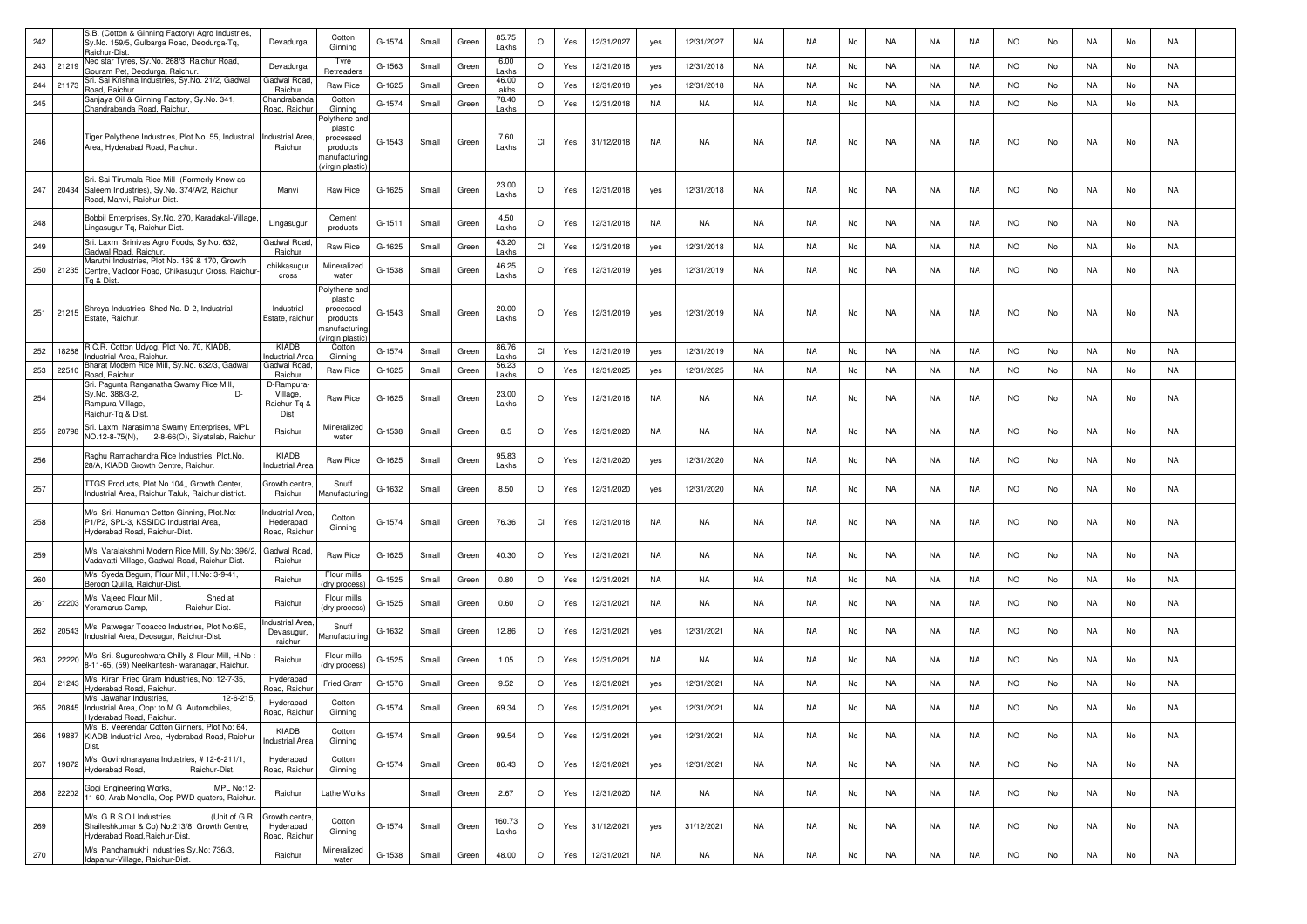| 242 |       | S.B. (Cotton & Ginning Factory) Agro Industries,<br>Sy.No. 159/5, Gulbarga Road, Deodurga-Tq,<br>Raichur-Dist.              | Devadurga                                      | Cotton<br>Ginning                                                                           | G-1574 | Small | Green | 85.75<br>Lakhs          | $\circ$ | Yes | 12/31/2027 | yes       | 12/31/2027 | <b>NA</b> | <b>NA</b> | No | NA        | NA | NA        | <b>NO</b> | No | NA        | No | NA        |  |
|-----|-------|-----------------------------------------------------------------------------------------------------------------------------|------------------------------------------------|---------------------------------------------------------------------------------------------|--------|-------|-------|-------------------------|---------|-----|------------|-----------|------------|-----------|-----------|----|-----------|----|-----------|-----------|----|-----------|----|-----------|--|
| 243 | 21219 | Neo star Tyres, Sy.No. 268/3, Raichur Road,<br>Gouram Pet, Deodurga, Raichur.                                               | Devadurga                                      | Tyre<br>Retreader                                                                           | G-1563 | Small | Green | 6.00<br>I akhs          | $\circ$ | Yes | 12/31/2018 | yes       | 12/31/2018 | NA        | <b>NA</b> | No | NA        | NA | NA        | <b>NO</b> | No | <b>NA</b> | No | NA        |  |
| 244 | 21173 | Sri. Sai Krishna Industries, Sy.No. 21/2, Gadwal<br>Road, Raichur.                                                          | Gadwal Road<br>Raichur                         | Raw Rice                                                                                    | G-1625 | Small | Green | 46.00<br>lakhs          | $\circ$ | Yes | 12/31/2018 | yes       | 12/31/2018 | NA        | <b>NA</b> | No | NA        | NA | NA        | <b>NO</b> | No | <b>NA</b> | No | NA        |  |
| 245 |       | Sanjaya Oil & Ginning Factory, Sy.No. 341,<br>Chandrabanda Road, Raichur                                                    | handrabanda <sup>:</sup><br>Road, Raichu       | Cotton<br>Ginning                                                                           | G-1574 | Small | Green | 78.40<br>Lakhs          | $\circ$ | Yes | 12/31/2018 | <b>NA</b> | NA         | NA        | <b>NA</b> | No | NA        | NA | NA        | <b>NO</b> | No | <b>NA</b> | No | NA        |  |
| 246 |       | Tiger Polythene Industries, Plot No. 55, Industrial<br>Area, Hyderabad Road, Raichur.                                       | <b>Industrial Area</b><br>Raichur              | olythene and<br>plastic<br>processed<br>products<br>manufacturing<br>virgin plastic         | G-1543 | Small | Green | 7.60<br>Lakhs           | CI      | Yes | 31/12/2018 | <b>NA</b> | NA         | NA        | <b>NA</b> | No | NA        | NA | NA        | <b>NO</b> | No | NA        | No | NA        |  |
| 247 | 20434 | Sri. Sai Tirumala Rice Mill (Formerly Know as<br>Saleem Industries), Sy.No. 374/A/2, Raichur<br>Road, Manvi, Raichur-Dist.  | Manvi                                          | Raw Rice                                                                                    | G-1625 | Small | Green | 23.00<br>Lakhs          | $\circ$ | Yes | 12/31/2018 | yes       | 12/31/2018 | NA        | <b>NA</b> | No | NA        | NA | NA        | <b>NO</b> | No | NA        | No | NA        |  |
| 248 |       | Bobbil Enterprises, Sy.No. 270, Karadakal-Village<br>ingasugur-Tq, Raichur-Dist.                                            | Lingasugur                                     | Cement<br>products                                                                          | G-1511 | Small | Green | 4.50<br>Lakhs           | $\circ$ | Yes | 12/31/2018 | NA        | NA         | NA        | NA.       | No | NA        | NA | NA.       | <b>NO</b> | No | NA        | No | NA        |  |
| 249 |       | Sri. Laxmi Srinivas Agro Foods, Sy.No. 632,<br>Gadwal Road, Raichur,                                                        | Gadwal Roac<br>Raichur                         | Raw Rice                                                                                    | G-1625 | Small | Green | 43.20<br>Lakhs          | CI      | Yes | 12/31/2018 | yes       | 12/31/2018 | NA        | <b>NA</b> | No | NA        | NA | NA        | <b>NO</b> | No | NA        | No | NA        |  |
| 250 | 21235 | Maruthi Industries, Plot No. 169 & 170, Growth<br>Centre, Vadloor Road, Chikasugur Cross, Raichur<br>Ta & Dist              | chikkasugur<br>cross                           | Mineralized<br>water                                                                        | G-1538 | Small | Green | 46.25<br>Lakhs          | $\circ$ | Yes | 12/31/2019 | yes       | 12/31/2019 | <b>NA</b> | NA        | No | NA        | NA | NA        | <b>NO</b> | No | NA        | No | NA        |  |
| 251 | 21215 | Shreya Industries, Shed No. D-2, Industrial<br>Estate, Raichur.<br>R.C.R. Cotton Udyog, Plot No. 70, KIADB,                 | Industrial<br>Estate, raichui<br>KIADB         | Polythene and<br>plastic<br>processed<br>products<br>nanufacturing<br>irgin plast<br>Cotton | G-1543 | Small | Green | 20.00<br>Lakhs<br>86.76 | $\circ$ | Yes | 12/31/2019 | yes       | 12/31/2019 | NA        | <b>NA</b> | No | NA        | NA | NA        | <b>NO</b> | No | NA        | No | <b>NA</b> |  |
| 252 | 18288 | ndustrial Area, Raichur.                                                                                                    | ndustrial Are                                  | Ginning                                                                                     | G-1574 | Small | Green | Lakhs                   | CI      | Yes | 12/31/2019 | yes       | 12/31/2019 | NA        | <b>NA</b> | No | NA        | NA | NA        | <b>NO</b> | No | NA        | No | NA        |  |
| 253 | 22510 | 3harat Modern Rice Mill, Sy.No. 632/3, Gadwal<br>Road, Raichur.                                                             | Gadwal Road<br>Raichur                         | Raw Rice                                                                                    | G-1625 | Small | Green | 56.23<br>Lakhs          | $\circ$ | Yes | 12/31/2025 | yes       | 12/31/2025 | NA        | NA        | No | NA        | NA | NA        | <b>NO</b> | No | <b>NA</b> | No | NA        |  |
| 254 |       | Sri. Pagunta Ranganatha Swamy Rice Mill,<br>Sy.No. 388/3-2,<br>Rampura-Village<br>Raichur-Tg & Dist.                        | D-Rampura<br>Village,<br>Raichur-Tq &<br>Dist. | Raw Rice                                                                                    | G-1625 | Small | Green | 23.00<br>Lakhs          | $\circ$ | Yes | 12/31/2018 | <b>NA</b> | <b>NA</b>  | <b>NA</b> | <b>NA</b> | No | <b>NA</b> | NA | <b>NA</b> | <b>NO</b> | No | <b>NA</b> | No | NA        |  |
| 255 | 20798 | Sri. Laxmi Narasimha Swamy Enterprises, MPL<br>NO.12-8-75(N), 2-8-66(O), Siyatalab, Raichur                                 | Raichur                                        | Mineralized<br>water                                                                        | G-1538 | Small | Green | 8.5                     | $\circ$ | Yes | 12/31/2020 | <b>NA</b> | NA         | NA        | <b>NA</b> | No | NA        | NA | NA        | <b>NO</b> | No | NA        | No | NA        |  |
| 256 |       | Raghu Ramachandra Rice Industries, Plot.No.<br>28/A, KIADB Growth Centre, Raichur.                                          | KIADB<br>ndustrial Area                        | Raw Rice                                                                                    | G-1625 | Small | Green | 95.83<br>Lakhs          | $\circ$ | Yes | 12/31/2020 | yes       | 12/31/2020 | NA        | NA        | No | NA        | NA | NA.       | <b>NO</b> | No | NA        | No | NA        |  |
| 257 |       | TTGS Products, Plot No.104,, Growth Center,<br>Industrial Area, Raichur Taluk, Raichur district.                            | Growth centre<br>Raichur                       | Snuff<br>Manufacturing                                                                      | G-1632 | Small | Green | 8.50                    | $\circ$ | Yes | 12/31/2020 | yes       | 12/31/2020 | NA        | <b>NA</b> | No | NA        | NA | NA        | <b>NO</b> | No | NA        | No | NA        |  |
| 258 |       | M/s. Sri. Hanuman Cotton Ginning, Plot.No:<br>P1/P2, SPL-3, KSSIDC Industrial Area,<br>Hyderabad Road, Raichur-Dist         | ndustrial Area<br>Hederabad<br>Road, Raichur   | Cotton<br>Ginning                                                                           | G-1574 | Small | Green | 76.36                   | CI      | Yes | 12/31/2018 | <b>NA</b> | NA         | <b>NA</b> | <b>NA</b> | No | NA        | NA | NA        | <b>NO</b> | No | <b>NA</b> | No | NA        |  |
| 259 |       | M/s. Varalakshmi Modern Rice Mill, Sy.No: 396/2,<br>Vadavatti-Village, Gadwal Road, Raichur-Dist.                           | Gadwal Road<br>Raichur                         | Raw Rice                                                                                    | G-1625 | Small | Green | 40.30                   | $\circ$ | Yes | 12/31/2021 | <b>NA</b> | NA         | NA        | <b>NA</b> | No | NA        | NA | NA        | <b>NO</b> | No | NA        | No | NA        |  |
| 260 |       | M/s. Syeda Begum, Flour Mill, H.No: 3-9-41,<br>Beroon Quilla, Raichur-Dist.                                                 | Raichur                                        | Flour mills<br>dry process                                                                  | G-1525 | Small | Green | 0.80                    | $\circ$ | Yes | 12/31/2021 | NA        | NA         | NA        | NA        | No | NA        | NA | NA        | <b>NO</b> | No | <b>NA</b> | No | NA        |  |
| 261 | 22203 | M/s. Vajeed Flour Mill,<br>Shed at<br>eramarus Camp,<br>Raichur-Dist.                                                       | Raichur                                        | Flour mills<br>(dry process)                                                                | G-1525 | Small | Green | 0.60                    | $\circ$ | Yes | 12/31/2021 | <b>NA</b> | NA         | NA        | NA.       | No | NA        | NA | NA        | <b>NO</b> | No | NA        | No | NA        |  |
| 262 | 20543 | M/s. Patwegar Tobacco Industries, Plot No:6E,<br>Industrial Area, Deosugur, Raichur-Dist.                                   | ndustrial Area<br>Devasugur,<br>raichur        | Snuff<br>Manufacturing                                                                      | G-1632 | Small | Green | 12.86                   | $\circ$ | Yes | 12/31/2021 | yes       | 12/31/2021 | <b>NA</b> | <b>NA</b> | No | <b>NA</b> | NA | <b>NA</b> | <b>NO</b> | No | NA        | No | NA        |  |
| 263 | 22220 | M/s. Sri. Sugureshwara Chilly & Flour Mill, H.No<br>8-11-65, (59) Neelkantesh- waranagar, Raichur.                          | Raichur                                        | Flour mills<br>(dry process)                                                                | G-1525 | Small | Green | 1.05                    | $\circ$ | Yes | 12/31/2021 | <b>NA</b> | NA         | <b>NA</b> | NA.       | No | NA        | NA | NA        | <b>NO</b> | No | NA        | No | NA        |  |
| 264 | 21243 | M/s. Kiran Fried Gram Industries, No: 12-7-35,<br>Iyderabad Road, Raichur.                                                  | Hyderabad<br>load, Raichu                      | <b>Fried Gram</b>                                                                           | G-1576 | Small | Green | 9.52                    | $\circ$ | Yes | 12/31/2021 | yes       | 12/31/2021 | NA        | <b>NA</b> | No | NA        | NA | NA        | <b>NO</b> | No | NA        | No | NA        |  |
| 265 | 20845 | M/s. Jawahar Industries,<br>12-6-215.<br>Industrial Area, Opp: to M.G. Automobiles,<br>Hyderabad Road, Raichur.             | Hyderabad<br>Road, Raichur                     | Cotton<br>Ginning                                                                           | G-1574 | Small | Green | 69.34                   | $\circ$ | Yes | 12/31/2021 | yes       | 12/31/2021 | <b>NA</b> | NA.       | No | NA        | NA | NA        | <b>NO</b> | No | NA        | No | NA        |  |
| 266 | 19887 | M/s. B. Veerendar Cotton Ginners, Plot No: 64,<br>KIADB Industrial Area, Hyderabad Road, Raichur-                           | KIADB<br><b>Industrial Area</b>                | Cotton<br>Ginning                                                                           | G-1574 | Small | Green | 99.54                   | $\circ$ | Yes | 12/31/2021 | yes       | 12/31/2021 | NA        | <b>NA</b> | No | NA        | NA | NA        | <b>NO</b> | No | <b>NA</b> | No | <b>NA</b> |  |
| 267 | 19872 | M/s. Govindnarayana Industries, #12-6-211/1,<br>lyderabad Road,<br>Raichur-Dist.                                            | Hyderabad<br>Road, Raichur                     | Cotton<br>Ginning                                                                           | G-1574 | Small | Green | 86.43                   | $\circ$ | Yes | 12/31/2021 | yes       | 12/31/2021 | <b>NA</b> | NA        | No | <b>NA</b> | NA | <b>NA</b> | <b>NO</b> | No | NA        | No | NA        |  |
| 268 | 22202 | Gogi Engineering Works,<br>MPL No:12-<br>11-60, Arab Mohalla, Opp PWD quaters, Raichur.                                     | Raichur                                        | Lathe Works                                                                                 |        | Small | Green | 2.67                    | $\circ$ | Yes | 12/31/2020 | <b>NA</b> | NA         | NA        | NA        | No | NA        | NA | NA        | <b>NO</b> | No | NA        | No | NA        |  |
| 269 |       | M/s. G.R.S Oil Industries<br>(Unit of G.R.<br>Shaileshkumar & Co) No:213/8, Growth Centre,<br>Iyderabad Road, Raichur-Dist. | Growth centre<br>Hyderabad<br>Road, Raichur    | Cotton<br>Ginning                                                                           | G-1574 | Small | Green | 160.73<br>Lakhs         | $\circ$ | Yes | 31/12/2021 | yes       | 31/12/2021 | NA        | NA        | No | NA        | NA | NA        | <b>NO</b> | No | NA.       | No | NA        |  |
| 270 |       | M/s. Panchamukhi Industries Sy.No: 736/3,<br>dapanur-Village, Raichur-Dist.                                                 | Raichur                                        | Mineralized<br>water                                                                        | G-1538 | Small | Green | 48.00                   | $\circ$ | Yes | 12/31/2021 | <b>NA</b> | NA.        | <b>NA</b> | NA        | No | NA        | NA | NA        | <b>NO</b> | No | NA        | No | NA        |  |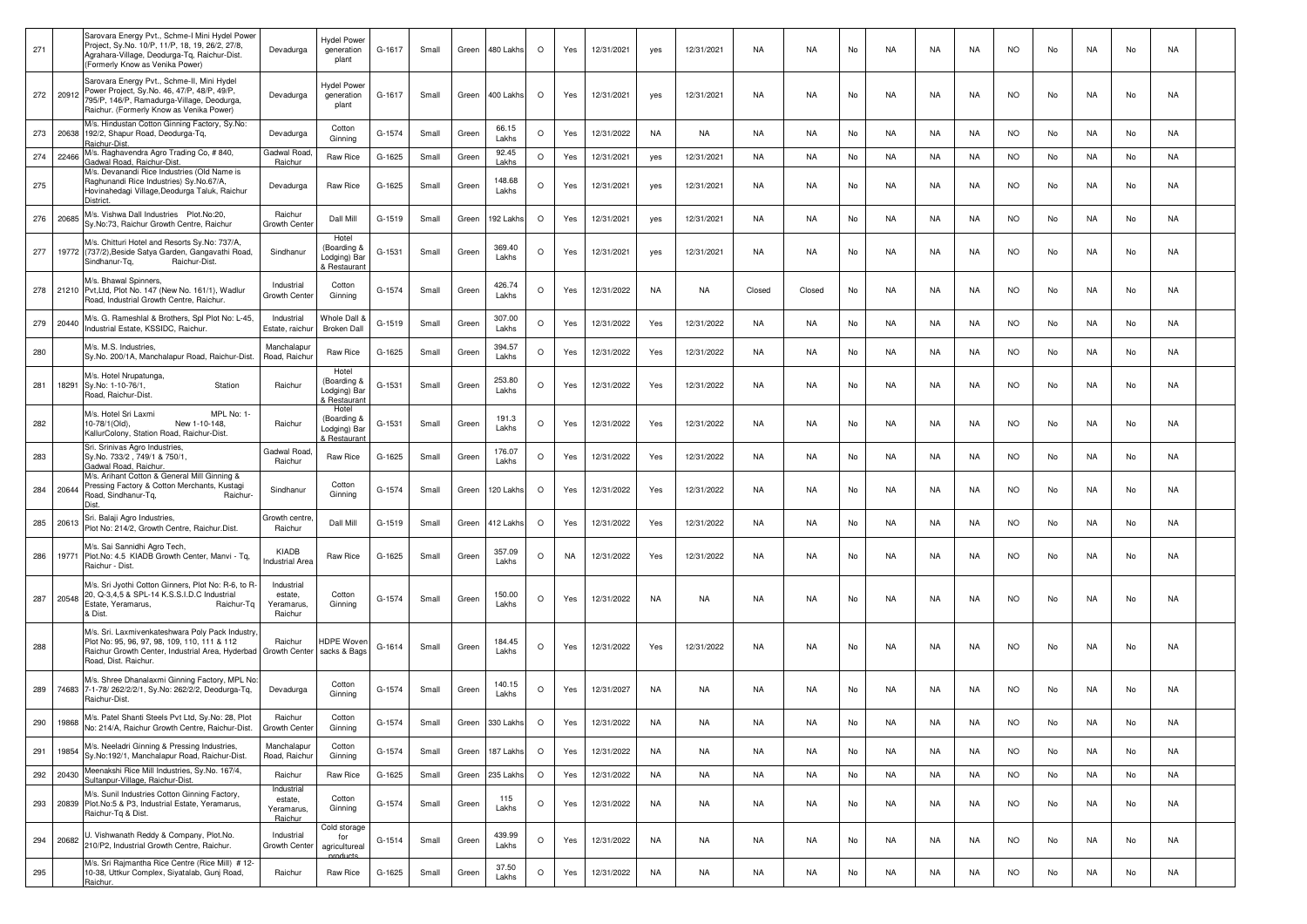| 271 |           | Sarovara Energy Pvt., Schme-I Mini Hydel Power<br>Project, Sy.No. 10/P, 11/P, 18, 19, 26/2, 27/8<br>Agrahara-Village, Deodurga-Tq, Raichur-Dist.<br>(Formerly Know as Venika Power)       | Devadurga                                      | <b>Hydel Power</b><br>generation<br>plant            | G-1617   | Small | Green | 480 Lakhs       | $\circ$ | Yes | 12/31/2021 | yes       | 12/31/2021 | NA        | NA.       | No | NA        | NA        | NA        | <b>NO</b> | No | NA.       | No | NA        |  |
|-----|-----------|-------------------------------------------------------------------------------------------------------------------------------------------------------------------------------------------|------------------------------------------------|------------------------------------------------------|----------|-------|-------|-----------------|---------|-----|------------|-----------|------------|-----------|-----------|----|-----------|-----------|-----------|-----------|----|-----------|----|-----------|--|
|     | 272 20912 | Sarovara Energy Pvt., Schme-II, Mini Hydel<br>Power Project, Sy.No. 46, 47/P, 48/P, 49/P,<br>795/P, 146/P, Ramadurga-Village, Deodurga,<br>Raichur. (Formerly Know as Venika Power)       | Devadurga                                      | <b>Hydel Power</b><br>generation<br>plant            | G-1617   | Small | Green | 400 Lakhs       | $\circ$ | Yes | 12/31/2021 | yes       | 12/31/2021 | NA        | NA        | No | <b>NA</b> | NA        | NA        | <b>NO</b> | No | NA        | No | NA        |  |
|     | 273 20638 | M/s. Hindustan Cotton Ginning Factory, Sy.No:<br>192/2, Shapur Road, Deodurga-Tq,<br>Raichur-Dist.                                                                                        | Devadurga                                      | Cotton<br>Ginning                                    | G-1574   | Small | Green | 66.15<br>Lakhs  | $\circ$ | Yes | 12/31/2022 | NA        | NA         | NA        | <b>NA</b> | No | NA        | NA        | NA        | <b>NO</b> | No | NA        | No | NA        |  |
| 274 | 22466     | M/s. Raghavendra Agro Trading Co, #840,<br>Gadwal Road, Raichur-Dist.                                                                                                                     | Gadwal Roac<br>Raichur                         | Raw Rice                                             | G-1625   | Small | Green | 92.45<br>Lakhs  | $\circ$ | Yes | 12/31/2021 | yes       | 12/31/2021 | NA        | <b>NA</b> | No | NA        | NA        | NA        | <b>NO</b> | No | NA        | No | <b>NA</b> |  |
| 275 |           | M/s. Devanandi Rice Industries (Old Name is<br>Raghunandi Rice Industries) Sy.No.67/A,<br>Hovinahedagi Village, Deodurga Taluk, Raichur<br><b>District</b>                                | Devadurga                                      | Raw Rice                                             | G-1625   | Small | Green | 148.68<br>Lakhs | $\circ$ | Yes | 12/31/2021 | ves       | 12/31/2021 | NA        | <b>NA</b> | No | NA        | NA        | NA        | <b>NO</b> | No | NA        | No | NA        |  |
| 276 | 20685     | M/s. Vishwa Dall Industries Plot.No:20,<br>Sy.No:73, Raichur Growth Centre, Raichur                                                                                                       | Raichur<br>Growth Cente                        | Dall Mill                                            | G-1519   | Small | Green | 192 Lakhs       | $\circ$ | Yes | 12/31/2021 | yes       | 12/31/2021 | <b>NA</b> | NA        | No | <b>NA</b> | <b>NA</b> | NA        | <b>NO</b> | No | NA        | No | NA        |  |
| 277 | 19772     | M/s. Chitturi Hotel and Resorts Sy.No: 737/A,<br>(737/2), Beside Satya Garden, Gangavathi Road,<br>Raichur-Dist.<br>Sindhanur-Tq,                                                         | Sindhanur                                      | Hotel<br>(Boarding &<br>_odging) Bar<br>& Restaurant | G-1531   | Small | Green | 369.40<br>Lakhs | $\circ$ | Yes | 12/31/2021 | yes       | 12/31/2021 | NA        | <b>NA</b> | No | NA        | NA        | NA        | <b>NO</b> | No | NA        | No | NA        |  |
| 278 | 21210     | M/s. Bhawal Spinners,<br>Pvt, Ltd, Plot No. 147 (New No. 161/1), Wadlur<br>Road, Industrial Growth Centre, Raichur.                                                                       | Industrial<br>Growth Center                    | Cotton<br>Ginning                                    | G-1574   | Small | Green | 426.74<br>Lakhs | $\circ$ | Yes | 12/31/2022 | NA        | NA         | Closed    | Closed    | No | NA        | NA        | NA        | <b>NO</b> | No | NA        | No | NA        |  |
| 279 | 20440     | M/s. G. Rameshlal & Brothers, Spl Plot No: L-45,<br>Industrial Estate, KSSIDC, Raichur.                                                                                                   | Industrial<br>Estate, raichu                   | Whole Dall &<br><b>Broken Dall</b>                   | G-1519   | Small | Green | 307.00<br>Lakhs | $\circ$ | Yes | 12/31/2022 | Yes       | 12/31/2022 | <b>NA</b> | NA        | No | <b>NA</b> | <b>NA</b> | <b>NA</b> | NO.       | No | NA.       | No | <b>NA</b> |  |
| 280 |           | M/s. M.S. Industries.<br>Sy.No. 200/1A, Manchalapur Road, Raichur-Dist.                                                                                                                   | Manchalapur<br>Road, Raichur                   | Raw Rice                                             | G-1625   | Small | Green | 394.57<br>Lakhs | $\circ$ | Yes | 12/31/2022 | Yes       | 12/31/2022 | NA        | <b>NA</b> | No | NA        | NA        | NA        | <b>NO</b> | No | NA        | No | NA        |  |
| 281 | 18291     | M/s. Hotel Nrupatunga,<br>Sy.No: 1-10-76/1,<br>Station<br>Road, Raichur-Dist.                                                                                                             | Raichur                                        | Hotel<br>(Boarding &<br>Lodging) Bar<br>& Restaurant | G-1531   | Small | Green | 253.80<br>Lakhs | $\circ$ | Yes | 12/31/2022 | Yes       | 12/31/2022 | NA        | NA        | No | NA        | NA        | NA        | <b>NO</b> | No | NA.       | No | NA        |  |
| 282 |           | M/s. Hotel Sri Laxmi<br>MPL No: 1-<br>New 1-10-148,<br>10-78/1(Old),<br>KallurColony, Station Road, Raichur-Dist                                                                          | Raichur                                        | Hotel<br>(Boarding &<br>Lodging) Bar<br>& Restaurant | G-1531   | Small | Green | 191.3<br>Lakhs  | $\circ$ | Yes | 12/31/2022 | Yes       | 12/31/2022 | NA        | NA        | No | NA        | NA        | NA        | <b>NO</b> | No | NA        | No | NA        |  |
| 283 |           | Sri. Srinivas Agro Industries,<br>Sy.No. 733/2, 749/1 & 750/1,<br>Gadwal Road, Raichur,                                                                                                   | Gadwal Road<br>Raichur                         | Raw Rice                                             | G-1625   | Small | Green | 176.07<br>Lakhs | $\circ$ | Yes | 12/31/2022 | Yes       | 12/31/2022 | <b>NA</b> | <b>NA</b> | No | <b>NA</b> | NA        | NA        | <b>NO</b> | No | NA        | No | NA        |  |
| 284 | 20644     | M/s. Arihant Cotton & General Mill Ginning &<br>Pressing Factory & Cotton Merchants, Kustagi<br>Road, Sindhanur-Tg,<br>Raichur-                                                           | Sindhanur                                      | Cotton<br>Ginning                                    | G-1574   | Small | Green | 120 Lakhs       | $\circ$ | Yes | 12/31/2022 | Yes       | 12/31/2022 | NA        | <b>NA</b> | No | NA        | NA        | NA        | <b>NO</b> | No | NA.       | No | NA        |  |
| 285 | 20613     | Sri. Balaji Agro Industries,<br>Plot No: 214/2, Growth Centre, Raichur.Dist.                                                                                                              | Growth centre<br>Raichur                       | Dall Mill                                            | G-1519   | Small | Green | 412 Lakhs       | $\circ$ | Yes | 12/31/2022 | Yes       | 12/31/2022 | NA        | NA        | No | NA        | NA        | NA        | <b>NO</b> | No | NA        | No | NA        |  |
| 286 | 19771     | M/s. Sai Sannidhi Agro Tech,<br>Plot.No: 4.5 KIADB Growth Center, Manvi - Tq,<br>Raichur - Dist.                                                                                          | KIADB<br><b>Industrial Area</b>                | Raw Rice                                             | G-1625   | Small | Green | 357.09<br>Lakhs | $\circ$ | NA  | 12/31/2022 | Yes       | 12/31/2022 | <b>NA</b> | NA        | No | <b>NA</b> | <b>NA</b> | NA        | <b>NO</b> | No | NA.       | No | <b>NA</b> |  |
| 287 | 20548     | M/s. Sri Jyothi Cotton Ginners, Plot No: R-6, to R<br>20, Q-3,4,5 & SPL-14 K.S.S.I.D.C Industrial<br>Estate, Yeramarus,<br>Raichur-Tq<br>& Dist.                                          | Industrial<br>estate,<br>Yeramarus,<br>Raichur | Cotton<br>Ginning                                    | G-1574   | Small | Green | 150.00<br>Lakhs | $\circ$ | Yes | 12/31/2022 | NA        | NA         | NA        | NA        | No | NA        | NA        | NA        | <b>NO</b> | No | NA        | No | NA        |  |
| 288 |           | M/s. Sri. Laxmivenkateshwara Poly Pack Industry<br>Plot No: 95, 96, 97, 98, 109, 110, 111 & 112<br>Raichur Growth Center, Industrial Area, Hyderbad Growth Center<br>Road, Dist. Raichur. | Raichur                                        | HDPE Woven<br>sacks & Bags                           | G-1614   | Small | Green | 184.45<br>Lakhs | $\circ$ | Yes | 12/31/2022 | Yes       | 12/31/2022 | NA        | NA        | No | NA        | NA        | NA        | <b>NO</b> | No | NA.       | No | NA        |  |
|     | 289 74683 | M/s. Shree Dhanalaxmi Ginning Factory, MPL No<br>7-1-78/ 262/2/2/1, Sy.No: 262/2/2, Deodurga-Tq,<br>Raichur-Dist.                                                                         | Devadurga                                      | Cotton<br>Ginning                                    | G-1574   | Small | Green | 140.15<br>Lakhs | $\circ$ | Yes | 12/31/2027 | <b>NA</b> | <b>NA</b>  | <b>NA</b> | NA        | No | <b>NA</b> | <b>NA</b> | <b>NA</b> | <b>NO</b> | No | <b>NA</b> | No | NA        |  |
|     |           | 290 19868 M/s. Patel Shanti Steels Pvt Ltd, Sy No. 28, Plot<br>No: 214/A, Raichur Growth Centre, Raichur-Dist.                                                                            | Raichur<br>Growth Center                       | Cotton<br>Ginning                                    | G-1574   | Small |       | 330 Lakh        |         | Yes | 12/31/2022 |           |            |           | <b>NA</b> |    | NA        | NA        | NA        |           |    |           | No |           |  |
| 291 | 19854     | M/s. Neeladri Ginning & Pressing Industries,<br>Sy.No:192/1, Manchalapur Road, Raichur-Dist.                                                                                              | Manchalapur<br>Road, Raichur                   | Cotton<br>Ginning                                    | G-1574   | Small | Green | 187 Lakhs       | $\circ$ | Yes | 12/31/2022 | <b>NA</b> | NA         | NA        | NA        | No | NA        | NA        | NA        | <b>NO</b> | No | NA        | No | NA        |  |
| 292 | 20430     | Meenakshi Rice Mill Industries, Sy.No. 167/4,<br>Sultanpur-Village, Raichur-Dist.                                                                                                         | Raichur                                        | Raw Rice                                             | G-1625   | Small | Green | 235 Lakh        | $\circ$ | Yes | 12/31/2022 | NA        | NA         | NA        | NA        | No | NA        | NA        | NA        | <b>NO</b> | No | NA        | No | NA        |  |
| 293 |           | M/s. Sunil Industries Cotton Ginning Factory,<br>20839 Plot. No:5 & P3, Industrial Estate, Yeramarus,<br>Raichur-Tq & Dist.                                                               | Industrial<br>estate,<br>Yeramarus,<br>Raichur | Cotton<br>Ginning                                    | $G-1574$ | Small | Green | 115<br>Lakhs    | $\circ$ | Yes | 12/31/2022 | <b>NA</b> | NA         | NA        | NA        | No | NA        | NA        | NA        | <b>NO</b> | No | NA        | No | NA        |  |
| 294 | 20682     | U. Vishwanath Reddy & Company, Plot.No.<br>210/P2, Industrial Growth Centre, Raichur.                                                                                                     | Industrial<br>Growth Cente                     | Cold storage<br>for<br>agricultureal                 | $G-1514$ | Small | Green | 439.99<br>Lakhs | $\circ$ | Yes | 12/31/2022 | <b>NA</b> | <b>NA</b>  | NA.       | NA        | No | <b>NA</b> | NA        | NA        | <b>NO</b> | No | NA        | No | NA        |  |
| 295 |           | M/s. Sri Rajmantha Rice Centre (Rice Mill) # 12-<br>10-38, Uttkur Complex, Siyatalab, Gunj Road,<br>Raichur.                                                                              | Raichur                                        | araducts<br>Raw Rice                                 | G-1625   | Small | Green | 37.50<br>Lakhs  | $\circ$ | Yes | 12/31/2022 | NA        | NA         | NA        | NA        | No | NA        | NA        | NA        | <b>NO</b> | No | NA        | No | NA        |  |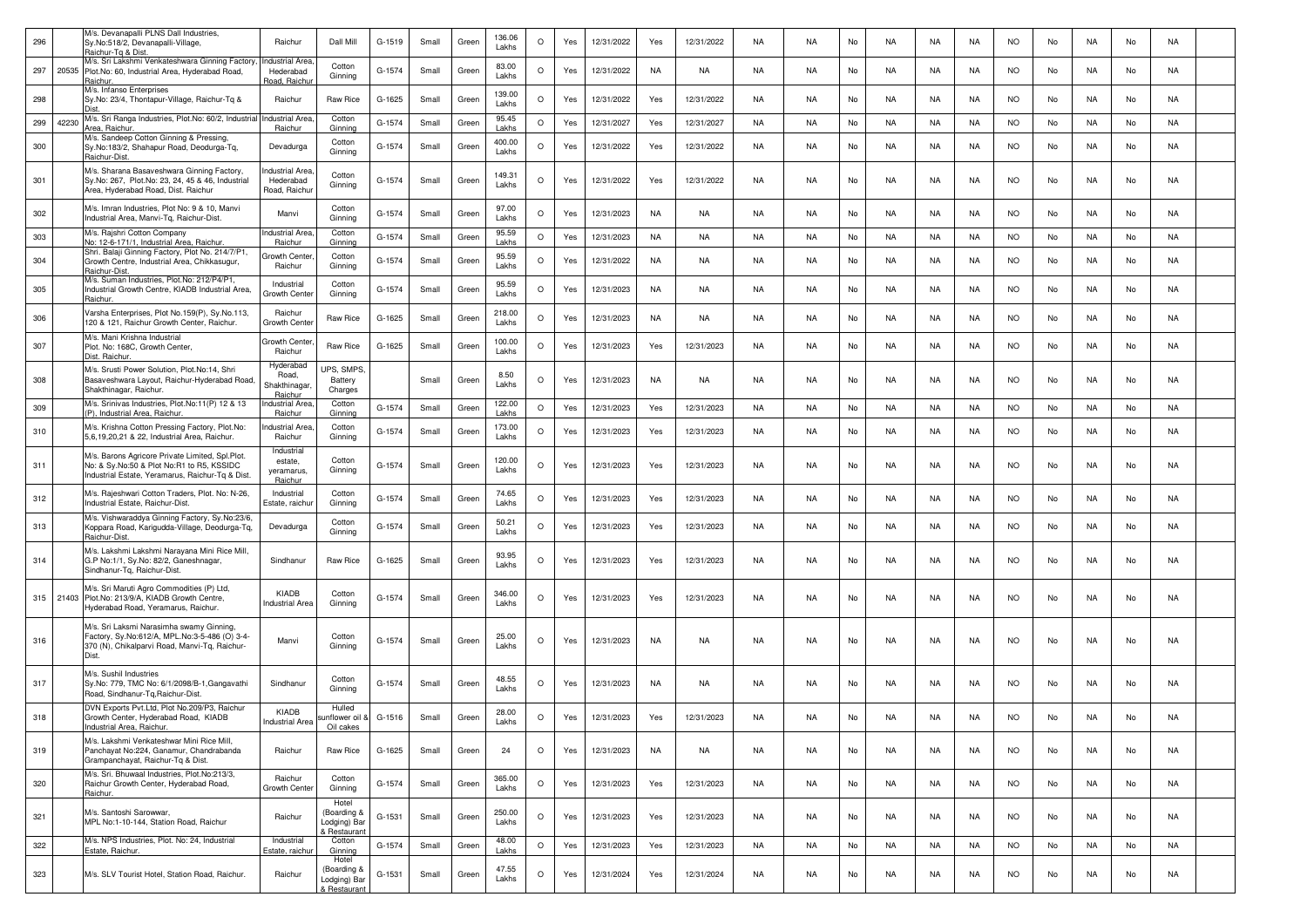| 296 |       | M/s. Devanapalli PLNS Dall Industries,<br>Sy.No:518/2, Devanapalli-Village                                                                          | Raichur                                        | Dall Mill                                            | G-1519 | Small | Green | 136.06<br>Lakhs | $\circ$ | Yes | 12/31/2022 | Yes       | 12/31/2022 | NA        | NA.       | No | NA        | NA        | NA        | <b>NO</b> | No | NA        | No | NA.       |  |
|-----|-------|-----------------------------------------------------------------------------------------------------------------------------------------------------|------------------------------------------------|------------------------------------------------------|--------|-------|-------|-----------------|---------|-----|------------|-----------|------------|-----------|-----------|----|-----------|-----------|-----------|-----------|----|-----------|----|-----------|--|
| 297 | 20535 | laichur-Tg & Dist.<br>M/s. Sri Lakshmi Venkateshwara Ginning Factory<br>Plot.No: 60, Industrial Area, Hyderabad Road,                               | ndustrial Area<br>Hederabad                    | Cotton                                               | G-1574 | Small | Green | 83.00           | $\circ$ | Yes | 12/31/2022 | NA        | NA         | NA        | NA.       | No | NA        | NA        | NA        | <b>NO</b> | No | NA        | No | NA        |  |
|     |       | Raichur<br>M/s. Infanso Enterprises                                                                                                                 | Road, Raichu                                   | Ginning                                              |        |       |       | Lakhs<br>139.00 |         |     |            |           |            |           |           |    |           |           |           |           |    |           |    |           |  |
| 298 |       | Sy.No: 23/4, Thontapur-Village, Raichur-Tq &<br>M/s. Sri Ranga Industries, Plot.No: 60/2, Industrial                                                | Raichur<br>Industrial Area                     | Raw Rice<br>Cotton                                   | G-1625 | Small | Green | Lakhs<br>95.45  | $\circ$ | Yes | 12/31/2022 | Yes       | 12/31/2022 | <b>NA</b> | <b>NA</b> | No | <b>NA</b> | <b>NA</b> | <b>NA</b> | <b>NO</b> | No | <b>NA</b> | No | NA        |  |
| 299 | 42230 | Area, Raichur.<br>M/s. Sandeep Cotton Ginning & Pressing,                                                                                           | Raichur                                        | Ginning                                              | G-1574 | Small | Green | Lakhs           | $\circ$ | Yes | 12/31/2027 | Yes       | 12/31/2027 | NA        | <b>NA</b> | No | NA        | NA        | NA        | <b>NO</b> | No | NA        | No | NA        |  |
| 300 |       | Sy.No:183/2, Shahapur Road, Deodurga-Tq,<br>Raichur-Dist                                                                                            | Devadurga                                      | Cotton<br>Ginning                                    | G-1574 | Small | Green | 400.00<br>Lakhs | $\circ$ | Yes | 12/31/2022 | Yes       | 12/31/2022 | NA        | NA        | No | NA        | NA        | NA        | <b>NO</b> | No | NA        | No | NA        |  |
| 301 |       | M/s. Sharana Basaveshwara Ginning Factory,<br>Sy.No: 267, Plot.No: 23, 24, 45 & 46, Industrial<br>Area, Hyderabad Road, Dist. Raichur               | ndustrial Area<br>Hederabad<br>Road, Raichur   | Cotton<br>Ginning                                    | G-1574 | Small | Green | 149.31<br>Lakhs | $\circ$ | Yes | 12/31/2022 | Yes       | 12/31/2022 | NA        | <b>NA</b> | No | NA        | NA        | NA        | <b>NO</b> | No | NA        | No | NA        |  |
| 302 |       | M/s. Imran Industries, Plot No: 9 & 10, Manvi<br>Industrial Area, Manvi-Tq, Raichur-Dist.                                                           | Manvi                                          | Cotton<br>Ginning                                    | G-1574 | Small | Green | 97.00<br>Lakhs  | $\circ$ | Yes | 12/31/2023 | NA        | <b>NA</b>  | <b>NA</b> | <b>NA</b> | No | <b>NA</b> | NA        | <b>NA</b> | <b>NO</b> | No | NA        | No | NA        |  |
| 303 |       | M/s. Rajshri Cotton Company<br>No: 12-6-171/1, Industrial Area, Raichur                                                                             | ndustrial Area<br>Raichur                      | Cotton<br>Ginning                                    | G-1574 | Small | Green | 95.59<br>Lakhs  | $\circ$ | Yes | 12/31/2023 | <b>NA</b> | NA         | NA        | <b>NA</b> | No | NA        | NA        | NA        | <b>NO</b> | No | NA        | No | <b>NA</b> |  |
| 304 |       | Shri. Balaji Ginning Factory, Plot No. 214/7/P1,<br>Growth Centre, Industrial Area, Chikkasugur,<br>Raichur-Dist.                                   | Growth Cente<br>Raichur                        | Cotton<br>Ginning                                    | G-1574 | Small | Green | 95.59<br>Lakhs  | $\circ$ | Yes | 12/31/2022 | NA        | NA         | NA        | NA        | No | NA        | NA        | NA        | <b>NO</b> | No | NA        | No | NA        |  |
| 305 |       | M/s. Suman Industries, Plot.No: 212/P4/P1,<br>Industrial Growth Centre, KIADB Industrial Area,<br>Raichur                                           | Industrial<br>Growth Center                    | Cotton<br>Ginning                                    | G-1574 | Small | Green | 95.59<br>Lakhs  | $\circ$ | Yes | 12/31/2023 | NA        | NA         | NA        | NA        | No | NA        | NA        | NA        | <b>NO</b> | No | NA        | No | NA        |  |
| 306 |       | Varsha Enterprises, Plot No.159(P), Sy.No.113,<br>120 & 121, Raichur Growth Center, Raichur.                                                        | Raichur<br>Growth Cente                        | Raw Rice                                             | G-1625 | Small | Green | 218.00<br>Lakhs | $\circ$ | Yes | 12/31/2023 | NA        | NA         | NA        | NA.       | No | NA        | NA        | NA        | <b>NO</b> | No | NA        | No | NA        |  |
| 307 |       | M/s. Mani Krishna Industrial<br>Plot. No: 168C, Growth Center,<br>Dist. Raichur.                                                                    | Growth Cente<br>Raichur                        | Raw Rice                                             | G-1625 | Small | Green | 100.00<br>Lakhs | $\circ$ | Yes | 12/31/2023 | Yes       | 12/31/2023 | <b>NA</b> | <b>NA</b> | No | <b>NA</b> | NA        | NA        | <b>NO</b> | No | NA        | No | NA        |  |
| 308 |       | M/s. Srusti Power Solution, Plot.No:14, Shri<br>Basaveshwara Layout, Raichur-Hyderabad Road,<br>Shakthinagar, Raichur.                              | Hyderabad<br>Road,<br>Shakthinagar<br>Raichur  | UPS, SMPS.<br>Battery<br>Charges                     |        | Small | Green | 8.50<br>Lakhs   | $\circ$ | Yes | 12/31/2023 | NA        | NA         | NA        | <b>NA</b> | No | NA        | NA        | NA        | <b>NO</b> | No | NA        | No | NA        |  |
| 309 |       | M/s. Srinivas Industries, Plot.No:11(P) 12 & 13<br>(P), Industrial Area, Raichur                                                                    | ndustrial Area<br>Raichur                      | Cotton<br>Ginning                                    | G-1574 | Small | Green | 122.00<br>Lakhs | $\circ$ | Yes | 12/31/2023 | Yes       | 12/31/2023 | NA        | NA        | No | NA        | NA        | NA        | <b>NO</b> | No | NA        | No | NA        |  |
| 310 |       | M/s. Krishna Cotton Pressing Factory, Plot.No:<br>5,6,19,20,21 & 22, Industrial Area, Raichur.                                                      | ndustrial Area<br>Raichur                      | Cotton<br>Ginning                                    | G-1574 | Small | Green | 173.00<br>Lakhs | $\circ$ | Yes | 12/31/2023 | Yes       | 12/31/2023 | NA        | NA.       | No | NA        | NA        | NA        | <b>NO</b> | No | NA        | No | NA        |  |
| 311 |       | M/s. Barons Agricore Private Limited, Spl.Plot.<br>No: & Sy.No:50 & Plot No:R1 to R5, KSSIDC<br>Industrial Estate, Yeramarus, Raichur-Tq & Dist.    | Industrial<br>estate,<br>yeramarus,<br>Raichur | Cotton<br>Ginning                                    | G-1574 | Small | Green | 120.00<br>Lakhs | $\circ$ | Yes | 12/31/2023 | Yes       | 12/31/2023 | NA        | <b>NA</b> | No | <b>NA</b> | NA        | NA        | <b>NO</b> | No | NA        | No | NA        |  |
| 312 |       | M/s. Rajeshwari Cotton Traders, Plot. No: N-26,<br>Industrial Estate, Raichur-Dist.                                                                 | Industrial<br>Estate, raichu                   | Cotton<br>Ginning                                    | G-1574 | Small | Green | 74.65<br>Lakhs  | $\circ$ | Yes | 12/31/2023 | Yes       | 12/31/2023 | NA        | NA        | No | NA        | NA        | NA        | <b>NO</b> | No | NA        | No | NA        |  |
| 313 |       | M/s. Vishwaraddya Ginning Factory, Sy.No:23/6,<br>Koppara Road, Karigudda-Village, Deodurga-Tq,<br>Raichur-Dist.                                    | Devadurga                                      | Cotton<br>Ginning                                    | G-1574 | Small | Green | 50.21<br>Lakhs  | $\circ$ | Yes | 12/31/2023 | Yes       | 12/31/2023 | NA        | NA        | No | NA        | NA        | NA        | NO.       | No | NA        | No | NA        |  |
| 314 |       | M/s. Lakshmi Lakshmi Narayana Mini Rice Mill,<br>G.P No:1/1, Sy.No: 82/2, Ganeshnagar,<br>Sindhanur-Tq, Raichur-Dist.                               | Sindhanur                                      | Raw Rice                                             | G-1625 | Small | Green | 93.95<br>Lakhs  | $\circ$ | Yes | 12/31/2023 | Yes       | 12/31/2023 | <b>NA</b> | <b>NA</b> | No | <b>NA</b> | NA        | NA        | <b>NO</b> | No | NA        | No | NA        |  |
| 315 |       | M/s. Sri Maruti Agro Commodities (P) Ltd,<br>21403 Plot.No: 213/9/A, KIADB Growth Centre,<br>Hyderabad Road, Yeramarus, Raichur.                    | KIADB<br>Industrial Area                       | Cotton<br>Ginning                                    | G-1574 | Small | Green | 346.00<br>Lakhs | $\circ$ | Yes | 12/31/2023 | Yes       | 12/31/2023 | NA        | NA        | No | NA        | NA        | NA        | <b>NO</b> | No | NA        | No | NA        |  |
| 316 |       | M/s. Sri Laksmi Narasimha swamy Ginning,<br>Factory, Sy.No:612/A, MPL.No:3-5-486 (O) 3-4-<br>370 (N), Chikalparvi Road, Manvi-Tq, Raichur-<br>Dist. | Manvi                                          | Cotton<br>Ginning                                    | G-1574 | Small | Green | 25.00<br>Lakhs  | $\circ$ | Yes | 12/31/2023 | NA        | NA         | NA        | NA        | No | NA        | NA        | NA        | NO.       | No | NA        | No | NA        |  |
| 317 |       | M/s. Sushil Industries<br>Sy.No: 779, TMC No: 6/1/2098/B-1, Gangavathi<br>Road, Sindhanur-Tq, Raichur-Dist.                                         | Sindhanur                                      | Cotton<br>Ginning                                    | G-1574 | Small | Green | 48.55<br>Lakhs  | $\circ$ | Yes | 12/31/2023 | NA        | NA         | NA        | NA        | No | NA        | NA        | NA        | <b>NO</b> | No | NA        | No | NA        |  |
| 318 |       | DVN Exports Pvt.Ltd, Plot No.209/P3, Raichur<br>Growth Center, Hyderabad Road, KIADB<br>Industrial Area, Raichur.                                   | <b>KIADB</b><br>ndustrial Are                  | Hulled<br>unflower oil &<br>Oil cakes                | G-1516 | Small | Green | 28.00<br>Lakhs  | $\circ$ | Yes | 12/31/2023 | Yes       | 12/31/2023 | <b>NA</b> | <b>NA</b> | No | <b>NA</b> | NA        | NA        | <b>NO</b> | No | NA        | No | NA        |  |
| 319 |       | M/s. Lakshmi Venkateshwar Mini Rice Mill,<br>Panchayat No:224, Ganamur, Chandrabanda<br>Grampanchayat, Raichur-Tq & Dist.                           | Raichur                                        | Raw Rice                                             | G-1625 | Small | Green | 24              | $\circ$ | Yes | 12/31/2023 | NA        | NA         | NA        | NA        | No | NA        | NA        | NA        | <b>NO</b> | No | NA        | No | NA        |  |
| 320 |       | M/s. Sri. Bhuwaal Industries, Plot.No:213/3,<br>Raichur Growth Center, Hyderabad Road,<br>Raichur.                                                  | Raichur<br>Growth Center                       | Cotton<br>Ginning                                    | G-1574 | Small | Green | 365.00<br>Lakhs | $\circ$ | Yes | 12/31/2023 | Yes       | 12/31/2023 | NA        | NA        | No | NA        | NA        | NA        | <b>NO</b> | No | NA        | No | NA        |  |
| 321 |       | M/s. Santoshi Sarowwar,<br>MPL No:1-10-144, Station Road, Raichur                                                                                   | Raichur                                        | Hotel<br>(Boarding &<br>Lodging) Bar<br>k Restaurant | G-1531 | Small | Green | 250.00<br>Lakhs | $\circ$ | Yes | 12/31/2023 | Yes       | 12/31/2023 | <b>NA</b> | NA        | No | <b>NA</b> | NA        | <b>NA</b> | <b>NO</b> | No | <b>NA</b> | No | NA        |  |
| 322 |       | M/s. NPS Industries, Plot. No: 24, Industrial<br>Estate, Raichur.                                                                                   | Industrial<br>Estate, raichur                  | Cotton<br>Ginning                                    | G-1574 | Small | Green | 48.00<br>Lakhs  | $\circ$ | Yes | 12/31/2023 | Yes       | 12/31/2023 | <b>NA</b> | NA        | No | NA        | NA        | NA        | <b>NO</b> | No | <b>NA</b> | No | NA        |  |
| 323 |       | M/s. SLV Tourist Hotel, Station Road, Raichur.                                                                                                      | Raichur                                        | Hotel<br>(Boarding &<br>Lodging) Bar<br>& Restaurant | G-1531 | Small | Green | 47.55<br>Lakhs  | O       | Yes | 12/31/2024 | Yes       | 12/31/2024 | NA        | NA        | No | NA        | NA        | NA        | <b>NO</b> | No | NA        | No | NA        |  |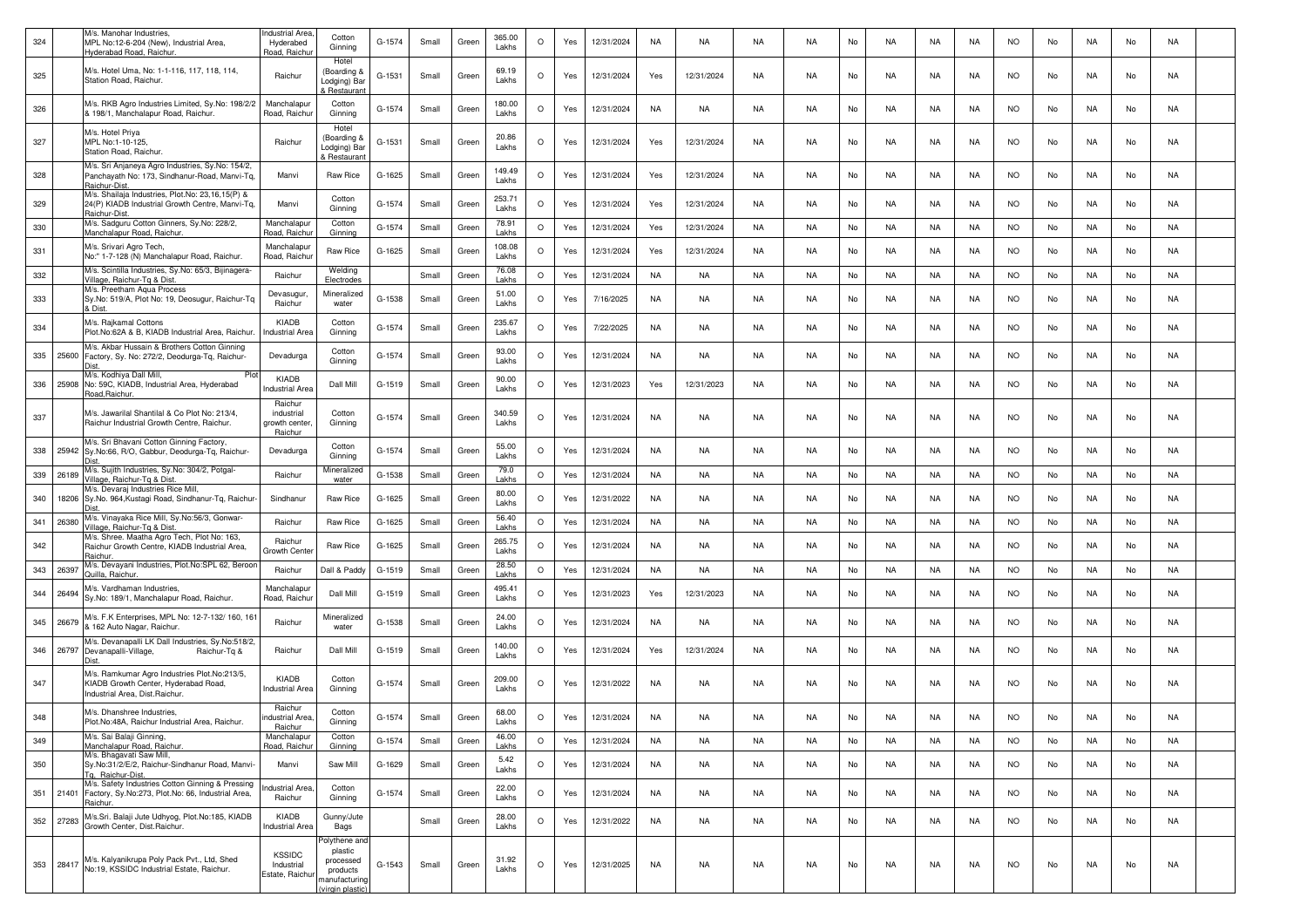| 324 |       | M/s. Manohar Industries,<br>MPL No:12-6-204 (New), Industrial Area,<br>Hyderabad Road, Raichur.                                    | <b>Industrial Area</b><br>Hyderabed<br>Road, Raichu | Cotton<br>Ginning                                                                      | G-1574 | Small | Green | 365.00<br>Lakhs | $\circ$ | Yes | 12/31/2024 | NA        | NA         | <b>NA</b> | <b>NA</b> | No | NA        | NA        | NA        | <b>NO</b> | No | NA        | No | NA        |  |
|-----|-------|------------------------------------------------------------------------------------------------------------------------------------|-----------------------------------------------------|----------------------------------------------------------------------------------------|--------|-------|-------|-----------------|---------|-----|------------|-----------|------------|-----------|-----------|----|-----------|-----------|-----------|-----------|----|-----------|----|-----------|--|
| 325 |       | M/s. Hotel Uma, No: 1-1-116, 117, 118, 114,<br>Station Road, Raichur.                                                              | Raichur                                             | Hotel<br>Boarding &<br>Lodging) Bar<br>Restaurant                                      | G-1531 | Small | Green | 69.19<br>Lakhs  | $\circ$ | Yes | 12/31/2024 | Yes       | 12/31/2024 | NA        | NA        | No | NA        | NA        | NA        | <b>NO</b> | No | NA        | No | NA        |  |
| 326 |       | M/s. RKB Agro Industries Limited, Sy.No: 198/2/2<br>& 198/1, Manchalapur Road, Raichur.                                            | Manchalapur<br>Road, Raichur                        | Cotton<br>Ginning                                                                      | G-1574 | Small | Green | 180.00<br>Lakhs | $\circ$ | Yes | 12/31/2024 | NA        | NA         | NA        | <b>NA</b> | No | NA        | NA        | NA        | <b>NO</b> | No | NA        | No | NA        |  |
| 327 |       | M/s. Hotel Priya<br>MPL No:1-10-125<br>Station Road, Raichur.                                                                      | Raichur                                             | Hotel<br>Boarding &<br>Lodging) Bar<br><b>Restauran</b>                                | G-1531 | Small | Green | 20.86<br>Lakhs  | $\circ$ | Yes | 12/31/2024 | Yes       | 12/31/2024 | NA        | <b>NA</b> | No | <b>NA</b> | NA        | <b>NA</b> | <b>NO</b> | No | NA        | No | NA        |  |
| 328 |       | M/s. Sri Anjaneya Agro Industries, Sy.No: 154/2,<br>Panchayath No: 173, Sindhanur-Road, Manvi-Tq,<br>Raichur-Dist                  | Manvi                                               | Raw Rice                                                                               | G-1625 | Small | Green | 149.49<br>Lakhs | $\circ$ | Yes | 12/31/2024 | Yes       | 12/31/2024 | NA        | <b>NA</b> | No | NA        | NA        | NA.       | <b>NO</b> | No | NA        | No | NA        |  |
| 329 |       | M/s. Shailaja Industries, Plot.No: 23,16,15(P) &<br>24(P) KIADB Industrial Growth Centre, Manvi-Tq,<br>Raichur-Dist                | Manvi                                               | Cotton<br>Ginning                                                                      | G-1574 | Small | Green | 253.71<br>Lakhs | $\circ$ | Yes | 12/31/2024 | Yes       | 12/31/2024 | NA        | NA        | No | NA        | NA        | NA.       | NO.       | No | NA        | No | NA        |  |
| 330 |       | M/s. Sadguru Cotton Ginners, Sy.No: 228/2,<br>Manchalapur Road, Raichur                                                            | Manchalapu<br>Road, Raichu                          | Cotton<br>Ginning                                                                      | G-1574 | Small | Green | 78.91<br>Lakhs  | $\circ$ | Yes | 12/31/2024 | Yes       | 12/31/2024 | <b>NA</b> | <b>NA</b> | No | NA        | NA        | NA        | <b>NO</b> | No | NA        | No | NA        |  |
| 331 |       | M/s. Srivari Agro Tech,<br>No:" 1-7-128 (N) Manchalapur Road, Raichur.                                                             | Manchalapur<br>Road, Raichur                        | Raw Rice                                                                               | G-1625 | Small | Green | 108.08<br>Lakhs | $\circ$ | Yes | 12/31/2024 | Yes       | 12/31/2024 | <b>NA</b> | <b>NA</b> | No | <b>NA</b> | NA        | NA        | <b>NO</b> | No | NA        | No | NA        |  |
| 332 |       | M/s. Scintilla Industries, Sy.No: 65/3, Bijinagera-<br>Village, Raichur-Tg & Dist                                                  | Raichur                                             | Welding<br>Electrodes                                                                  |        | Small | Green | 76.08<br>akh    | $\circ$ | Yes | 12/31/2024 | NA        | NA         | <b>NA</b> | <b>NA</b> | No | NA        | NA        | NA        | <b>NO</b> | No | NA        | No | NA        |  |
| 333 |       | M/s. Preetham Aqua Process<br>Sy.No: 519/A, Plot No: 19, Deosugur, Raichur-Tq<br><b>Dist</b>                                       | Devasugur,<br>Raichur                               | Mineralized<br>water                                                                   | G-1538 | Small | Green | 51.00<br>Lakhs  | $\circ$ | Yes | 7/16/2025  | NA        | NA         | NA        | NA        | No | NA        | NA        | NA        | <b>NO</b> | No | NA        | No | NA        |  |
| 334 |       | M/s. Rajkamal Cottons<br>Plot.No:62A & B, KIADB Industrial Area, Raichur.                                                          | KIADB<br>Industrial Area                            | Cotton<br>Ginning                                                                      | G-1574 | Small | Green | 235.67<br>Lakhs | $\circ$ | Yes | 7/22/2025  | NA        | NA         | NA        | NA        | No | NA        | NA        | NA        | <b>NO</b> | No | NA        | No | NA        |  |
| 335 |       | M/s. Akbar Hussain & Brothers Cotton Ginning<br>25600 Factory, Sy. No: 272/2, Deodurga-Tq, Raichur-                                | Devadurga                                           | Cotton<br>Ginning                                                                      | G-1574 | Small | Green | 93.00<br>Lakhs  | $\circ$ | Yes | 12/31/2024 | NA        | NA         | NA        | <b>NA</b> | No | NA        | NA        | NA        | <b>NO</b> | No | NA        | No | NA        |  |
| 336 |       | M/s. Kodhiya Dall Mill,<br>25908 No: 59C, KIADB, Industrial Area, Hyderabad<br>Road, Raichur.                                      | KIADB<br>ndustrial Are                              | Dall Mill                                                                              | G-1519 | Small | Green | 90.00<br>Lakhs  | $\circ$ | Yes | 12/31/2023 | Yes       | 12/31/2023 | NA        | <b>NA</b> | No | NA        | NA        | NA        | <b>NO</b> | No | NA        | No | NA        |  |
| 337 |       | M/s. Jawarilal Shantilal & Co Plot No: 213/4,<br>Raichur Industrial Growth Centre, Raichur.                                        | Raichur<br>industrial<br>growth center<br>Raichur   | Cotton<br>Ginning                                                                      | G-1574 | Small | Green | 340.59<br>Lakhs | $\circ$ | Yes | 12/31/2024 | NA        | NA         | NA.       | NA        | No | NA        | NA        | NA.       | NO.       | No | NA        | No | NA        |  |
| 338 | 25942 | M/s. Sri Bhavani Cotton Ginning Factory<br>Sy.No:66, R/O, Gabbur, Deodurga-Tq, Raichur-<br>Dist                                    | Devadurga                                           | Cotton<br>Ginning                                                                      | G-1574 | Small | Green | 55.00<br>Lakhs  | $\circ$ | Yes | 12/31/2024 | NA        | NA         | NA        | <b>NA</b> | No | NA        | NA        | NA.       | <b>NO</b> | No | NA        | No | NA        |  |
| 339 | 26189 | M/s. Sujith Industries, Sy.No: 304/2, Potgal-<br>Village, Raichur-Tq & Dist.                                                       | Raichur                                             | Mineralized<br>water                                                                   | G-1538 | Small | Green | 79.0<br>Lakhs   | $\circ$ | Yes | 12/31/2024 | NA        | NA         | NA        | <b>NA</b> | No | <b>NA</b> | NA        | NA        | <b>NO</b> | No | NA        | No | NA        |  |
| 340 |       | M/s. Devaraj Industries Rice Mill,<br>18206 Sy.No. 964, Kustagi Road, Sindhanur-Tq, Raichur-                                       | Sindhanur                                           | Raw Rice                                                                               | G-1625 | Small | Green | 80.00<br>Lakhs  | $\circ$ | Yes | 12/31/2022 | NA        | NA         | <b>NA</b> | <b>NA</b> | No | NA        | NA        | NA        | <b>NO</b> | No | NA        | No | NA        |  |
| 341 | 26380 | M/s. Vinayaka Rice Mill, Sy.No:56/3, Gonwar-<br>Village, Raichur-Tg & Dist                                                         | Raichur                                             | Raw Rice                                                                               | G-1625 | Small | Green | 56.40<br>Lakhs  | $\circ$ | Yes | 12/31/2024 | NA        | NA         | <b>NA</b> | <b>NA</b> | No | NA        | NA        | NA        | <b>NO</b> | No | NA        | No | <b>NA</b> |  |
| 342 |       | M/s. Shree. Maatha Agro Tech, Plot No: 163,<br>Raichur Growth Centre, KIADB Industrial Area,<br>Raichur                            | Raichur<br>Growth Cente                             | Raw Rice                                                                               | G-1625 | Small | Green | 265.75<br>Lakhs | $\circ$ | Yes | 12/31/2024 | NA        | NA         | NA        | NA        | No | NA        | NA        | NA        | NO.       | No | NA        | No | NA        |  |
| 343 | 26397 | M/s. Devayani Industries, Plot.No:SPL 62, Beroon<br>Juilla, Raichur.                                                               | Raichur                                             | Dall & Paddy                                                                           | G-1519 | Small | Green | 28.50<br>Lakhs  | $\circ$ | Yes | 12/31/2024 | NA        | NA         | NA        | <b>NA</b> | No | NA        | NA        | NA        | <b>NO</b> | No | NA        | No | NA        |  |
| 344 | 26494 | M/s. Vardhaman Industries,<br>Sy.No: 189/1, Manchalapur Road, Raichur.                                                             | Manchalapur<br>Road, Raichu                         | Dall Mill                                                                              | G-1519 | Small | Green | 495.41<br>Lakhs | $\circ$ | Yes | 12/31/2023 | Yes       | 12/31/2023 | <b>NA</b> | <b>NA</b> | No | NA        | NA        | NA        | <b>NO</b> | No | NA        | No | NA        |  |
| 345 | 26679 | M/s. F.K Enterprises, MPL No: 12-7-132/ 160, 161<br>& 162 Auto Nagar, Raichur<br>M/s. Devanapalli LK Dall Industries, Sy.No:518/2, | Raichur                                             | Mineralized<br>water                                                                   | G-1538 | Small | Green | 24.00<br>Lakhs  | $\circ$ | Yes | 12/31/2024 | NA        | NA         | NA        | <b>NA</b> | No | NA        | NA        | NA.       | <b>NO</b> | No | NA        | No | NA        |  |
| 346 | 26797 | Devanapalli-Village,<br>Raichur-Tq &                                                                                               | Raichur                                             | Dall Mill                                                                              | G-1519 | Small | Green | 140.00<br>Lakhs | $\circ$ | Yes | 12/31/2024 | Yes       | 12/31/2024 | <b>NA</b> | <b>NA</b> | No | NA        | NA        | NA.       | <b>NO</b> | No | NA        | No | NA        |  |
| 347 |       | M/s. Ramkumar Agro Industries Plot.No:213/5,<br>KIADB Growth Center, Hyderabad Road,<br>Industrial Area, Dist, Raichur             | KIADB<br>Industrial Area                            | Cotton<br>Ginning                                                                      | G-1574 | Small | Green | 209.00<br>Lakhs | $\circ$ | Yes | 12/31/2022 | NA        | NA         | NA        | NA        | No | NA        | NA        | NA        | <b>NO</b> | No | NA.       | No | NA        |  |
| 348 |       | M/s. Dhanshree Industries,<br>Plot.No:48A, Raichur Industrial Area, Raichur.                                                       | Raichur<br>industrial Area<br>Raichur               | Cotton<br>Ginning                                                                      | G-1574 | Small | Green | 68.00<br>Lakhs  | $\circ$ | Yes | 12/31/2024 | <b>NA</b> | <b>NA</b>  | <b>NA</b> | <b>NA</b> | No | <b>NA</b> | NA        | <b>NA</b> | <b>NO</b> | No | <b>NA</b> | No | NA        |  |
| 349 |       | M/s. Sai Balaji Ginning,<br>Manchalapur Road, Raichur.                                                                             | Manchalapur<br>Road, Raichur                        | Cotton<br>Ginning                                                                      | G-1574 | Small | Green | 46.00<br>Lakhs  | $\circ$ | Yes | 12/31/2024 | NA        | NA         | <b>NA</b> | <b>NA</b> | No | NA        | <b>NA</b> | <b>NA</b> | <b>NO</b> | No | <b>NA</b> | No | NA        |  |
| 350 |       | M/s. Bhagavati Saw Mill,<br>Sy.No:31/2/E/2, Raichur-Sindhanur Road, Manvi-<br>Tq. Raichur-Dist.                                    | Manvi                                               | Saw Mill                                                                               | G-1629 | Small | Green | 5.42<br>Lakhs   | $\circ$ | Yes | 12/31/2024 | NA        | NA         | NA        | NA        | No | NA        | NA        | NA        | <b>NO</b> | No | NA        | No | NA        |  |
| 351 |       | M/s. Safety Industries Cotton Ginning & Pressing<br>21401 Factory, Sy.No:273, Plot.No: 66, Industrial Area,<br>Raichur.            | ndustrial Area,<br>Raichur                          | Cotton<br>Ginning                                                                      | G-1574 | Small | Green | 22.00<br>Lakhs  | $\circ$ | Yes | 12/31/2024 | NA        | NA         | NA        | NA        | No | NA        | NA        | NA        | <b>NO</b> | No | NA        | No | NA        |  |
| 352 | 27283 | M/s.Sri. Balaji Jute Udhyog, Plot.No:185, KIADB<br>Growth Center, Dist.Raichur.                                                    | KIADB<br>ndustrial Area                             | Gunny/Jute<br>Bags                                                                     |        | Small | Green | 28.00<br>Lakhs  | $\circ$ | Yes | 12/31/2022 | NA        | NA         | NA        | <b>NA</b> | No | NA        | NA        | NA        | <b>NO</b> | No | NA        | No | NA        |  |
| 353 | 28417 | M/s. Kalyanikrupa Poly Pack Pvt., Ltd, Shed<br>No:19, KSSIDC Industrial Estate, Raichur.                                           | <b>KSSIDC</b><br>Industrial<br>Estate, Raichur      | Polythene and<br>plastic<br>processed<br>products<br>manufacturing<br>(virgin plastic) | G-1543 | Small | Green | 31.92<br>Lakhs  | $\circ$ | Yes | 12/31/2025 | NA        | NA         | NA        | <b>NA</b> | No | NA        | NA        | NA        | <b>NO</b> | No | NA        | No | NA        |  |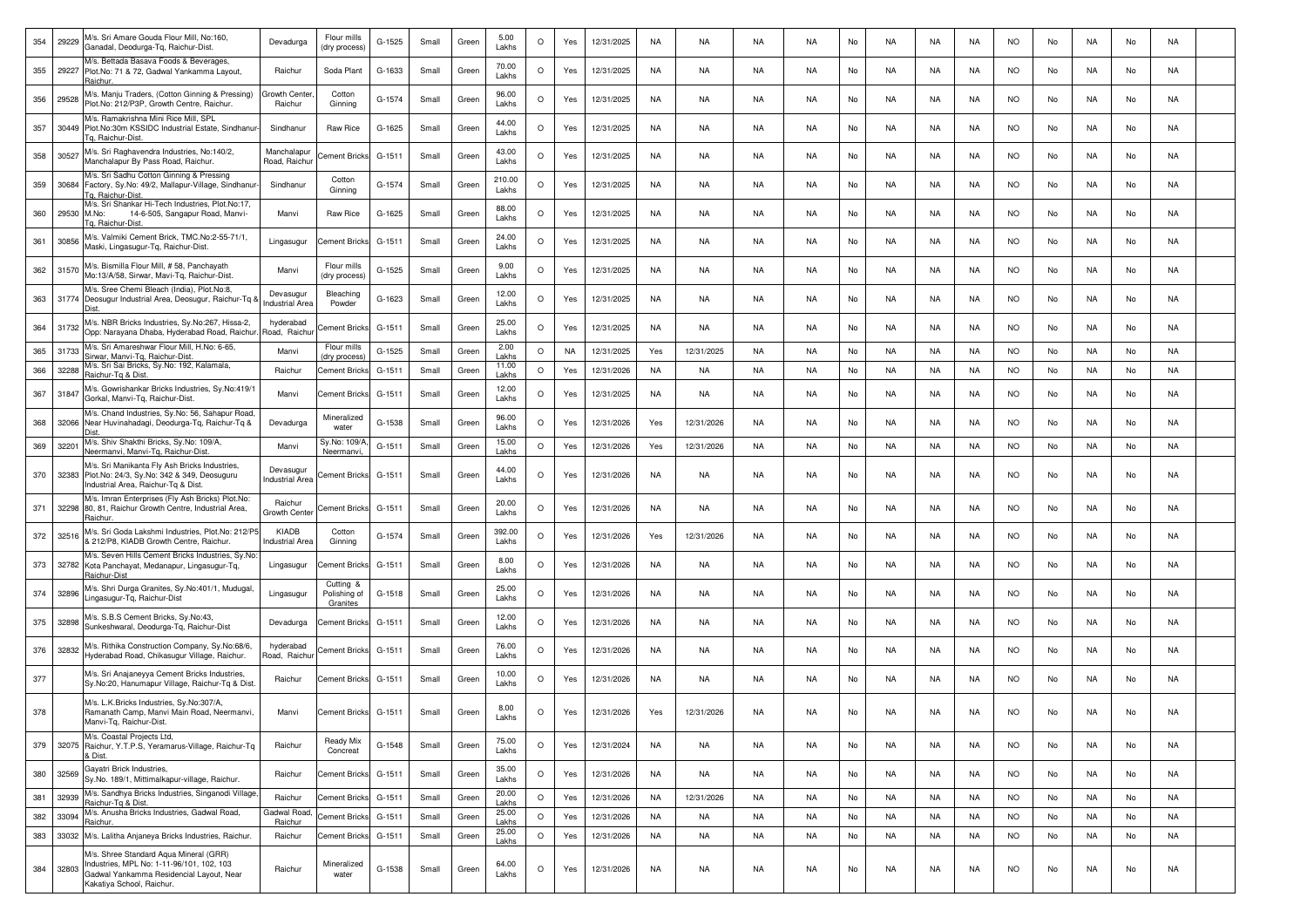| 354 | 29229 | M/s. Sri Amare Gouda Flour Mill, No:160,<br>Ganadal, Deodurga-Tq, Raichur-Dist.                                                                              | Devadurga                    | Flour mills<br>(dry process)          | G-1525   | Small | Green | 5.00<br>Lakhs   | O       | Yes | 12/31/2025 | NA        | NA         | NA        | <b>NA</b> | No | <b>NA</b> | <b>NA</b> | NA        | <b>NO</b> | No | <b>NA</b> | No | NA        |  |
|-----|-------|--------------------------------------------------------------------------------------------------------------------------------------------------------------|------------------------------|---------------------------------------|----------|-------|-------|-----------------|---------|-----|------------|-----------|------------|-----------|-----------|----|-----------|-----------|-----------|-----------|----|-----------|----|-----------|--|
| 355 | 29227 | M/s. Bettada Basava Foods & Beverages,<br>Plot.No: 71 & 72, Gadwal Yankamma Layout,<br>Raichu                                                                | Raichur                      | Soda Plant                            | G-1633   | Small | Green | 70.00<br>Lakhs  | $\circ$ | Yes | 12/31/2025 | NA        | NA         | NA        | <b>NA</b> | No | NA        | NA        | NA        | <b>NO</b> | No | NA.       | No | <b>NA</b> |  |
| 356 | 29528 | M/s. Manju Traders, (Cotton Ginning & Pressing)<br>Plot.No: 212/P3P, Growth Centre, Raichur.                                                                 | Growth Cente<br>Raichur      | Cotton<br>Ginning                     | G-1574   | Small | Green | 96.00<br>Lakhs  | O       | Yes | 12/31/2025 | NA        | NA         | NA        | NA        | No | NA        | NA        | NA        | NO.       | No | NA        | No | NA        |  |
| 357 | 30449 | M/s. Ramakrishna Mini Rice Mill. SPL<br>Plot.No:30m KSSIDC Industrial Estate, Sindhanur-<br>q. Raichur-Dist                                                  | Sindhanur                    | Raw Rice                              | G-1625   | Small | Green | 44.00<br>Lakhs  | $\circ$ | Yes | 12/31/2025 | NA        | NA         | NA        | NA        | No | NA.       | NA.       | NA        | NO.       | No | NA        | No | NA        |  |
| 358 | 30527 | M/s. Sri Raghavendra Industries, No:140/2,<br>Manchalapur By Pass Road, Raichur                                                                              | Manchalapur<br>Road, Raichur | ement Bricks                          | $G-1511$ | Small | Green | 43.00<br>Lakhs  | $\circ$ | Yes | 12/31/2025 | NA        | NA.        | <b>NA</b> | <b>NA</b> | No | <b>NA</b> | NA.       | NA        | <b>NO</b> | No | NA        | No | <b>NA</b> |  |
| 359 | 30684 | M/s. Sri Sadhu Cotton Ginning & Pressing<br>Factory, Sy.No: 49/2, Mallapur-Village, Sindhanur<br><b>Ta. Raichur-Dist</b>                                     | Sindhanur                    | Cotton<br>Ginning                     | G-1574   | Small | Green | 210.00<br>Lakhs | $\circ$ | Yes | 12/31/2025 | NA        | NA         | NA        | NA        | No | NA        | NA        | NA        | NO.       | No | NA.       | No | NA        |  |
| 360 | 29530 | M/s. Sri Shankar Hi-Tech Industries, Plot.No:17,<br>M.No:<br>14-6-505, Sangapur Road, Manvi-<br>g. Raichur-Dist                                              | Manvi                        | Raw Rice                              | G-1625   | Small | Green | 88.00<br>Lakhs  | $\circ$ | Yes | 12/31/2025 | NA        | NA         | NA        | NA.       | No | NA        | NA        | NA        | NO.       | No | NA.       | No | NA        |  |
| 361 | 30856 | M/s. Valmiki Cement Brick, TMC.No:2-55-71/1,<br>Maski, Lingasugur-Tq, Raichur-Dist.                                                                          | Lingasugur                   | Cement Bricks                         | G-1511   | Small | Green | 24.00<br>Lakhs  | O       | Yes | 12/31/2025 | NA        | NA         | NA        | NA        | No | NA.       | NA        | NA        | NO.       | No | NA        | No | NA        |  |
| 362 | 31570 | M/s. Bismilla Flour Mill, #58, Panchayath<br>Mo:13/A/58, Sirwar, Mavi-Tq, Raichur-Dist.                                                                      | Manvi                        | Flour mills<br>(dry process)          | $G-1525$ | Small | Green | 9.00<br>Lakhs   | O       | Yes | 12/31/2025 | NA        | NA         | NA        | <b>NA</b> | No | NA.       | <b>NA</b> | NA        | <b>NO</b> | No | NA        | No | NA        |  |
| 363 |       | M/s. Sree Chemi Bleach (India), Plot.No:8,<br>31774 Deosugur Industrial Area, Deosugur, Raichur-Tq 8                                                         | Devasugur<br>ndustrial Area  | Bleaching<br>Powder                   | G-1623   | Small | Green | 12.00<br>Lakhs  | $\circ$ | Yes | 12/31/2025 | NA        | NA         | NA        | NA        | No | NA        | NA        | NA        | <b>NO</b> | No | NA        | No | NA        |  |
| 364 | 31732 | M/s. NBR Bricks Industries, Sy.No:267, Hissa-2,<br>Opp: Narayana Dhaba, Hyderabad Road, Raichur                                                              | hyderabad<br>Road, Raich     | ement Bricks                          | $G-1511$ | Small | Green | 25.00<br>Lakhs  | $\circ$ | Yes | 12/31/2025 | <b>NA</b> | NA         | NA        | NA        | No | NA        | NA        | NA        | <b>NO</b> | No | NA        | No | NA        |  |
| 365 | 31733 | M/s. Sri Amareshwar Flour Mill, H.No: 6-65,<br>Sirwar, Manvi-Tg, Raichur-Dist.                                                                               | Manvi                        | Flour mills<br>dry process            | G-1525   | Small | Green | 2.00<br>Lakhs   | $\circ$ | NA  | 12/31/2025 | Yes       | 12/31/2025 | NA        | NA        | No | NA.       | <b>NA</b> | NA        | <b>NO</b> | No | NA        | No | NA        |  |
| 366 | 32288 | M/s. Sri Sai Bricks, Sy.No: 192, Kalamala,<br>Raichur-Tg & Dist.                                                                                             | Raichur                      | Cement Bricks                         | G-1511   | Small | Green | 11.00<br>Lakhs  | $\circ$ | Yes | 12/31/2026 | NA        | NA         | NA        | <b>NA</b> | No | NA.       | <b>NA</b> | NA        | <b>NO</b> | No | NA        | No | NA        |  |
| 367 | 31847 | M/s. Gowrishankar Bricks Industries, Sy.No:419/1<br>Gorkal, Manvi-Tg, Raichur-Dist,                                                                          | Manvi                        | <b>Cement Bricks</b>                  | G-1511   | Small | Green | 12.00<br>Lakhs  | O       | Yes | 12/31/2025 | NA        | NA         | NA        | <b>NA</b> | No | <b>NA</b> | NA        | NA        | <b>NO</b> | No | NA        | No | <b>NA</b> |  |
| 368 | 32066 | M/s. Chand Industries, Sy.No: 56, Sahapur Road<br>Near Huvinahadagi, Deodurga-Tq, Raichur-Tq &<br>Dist                                                       | Devadurga                    | Mineralized<br>water                  | G-1538   | Small | Green | 96.00<br>Lakhs  | $\circ$ | Yes | 12/31/2026 | Yes       | 12/31/2026 | NA        | <b>NA</b> | No | <b>NA</b> | NA        | NA        | <b>NO</b> | No | NA        | No | <b>NA</b> |  |
| 369 | 32201 | M/s. Shiv Shakthi Bricks, Sy.No: 109/A,<br>Neermanvi, Manvi-Tg, Raichur-Dist                                                                                 | Manvi                        | Sy.No: 109/A<br>Neermanvi,            | $G-1511$ | Small | Green | 15.00<br>Lakhs  | $\circ$ | Yes | 12/31/2026 | Yes       | 12/31/2026 | NA        | NA        | No | <b>NA</b> | <b>NA</b> | NA        | <b>NO</b> | No | NA        | No | <b>NA</b> |  |
| 370 | 32383 | M/s. Sri Manikanta Fly Ash Bricks Industries,<br>Plot.No: 24/3, Sy.No: 342 & 349, Deosuguru<br>Industrial Area, Raichur-Tq & Dist.                           | Devasugur<br>ndustrial Area  | Cement Bricks                         | G-1511   | Small | Green | 44.00<br>Lakhs  | O       | Yes | 12/31/2026 | NA        | NA         | NA        | NA        | No | NA.       | NA        | NA        | <b>NO</b> | No | NA        | No | NA        |  |
| 371 | 32298 | M/s. Imran Enterprises (Fly Ash Bricks) Plot.No:<br>80, 81, Raichur Growth Centre, Industrial Area,<br>Raichur                                               | Raichur<br>Growth Center     | Cement Bricks                         | G-1511   | Small | Green | 20.00<br>Lakhs  | O       | Yes | 12/31/2026 | NA        | NA         | <b>NA</b> | <b>NA</b> | No | <b>NA</b> | <b>NA</b> | NA        | <b>NO</b> | No | NA        | No | NA        |  |
| 372 | 32516 | M/s. Sri Goda Lakshmi Industries, Plot.No: 212/P5<br>& 212/P8, KIADB Growth Centre, Raichur.                                                                 | KIADB<br>ndustrial Area      | Cotton<br>Ginning                     | G-1574   | Small | Green | 392.00<br>Lakhs | $\circ$ | Yes | 12/31/2026 | Yes       | 12/31/2026 | NA        | NA        | No | NA        | NA        | NA        | <b>NO</b> | No | NA.       | No | NA        |  |
| 373 | 32782 | M/s. Seven Hills Cement Bricks Industries, Sy.No<br>Kota Panchayat, Medanapur, Lingasugur-Tq,<br>Raichur-Dist                                                | Lingasugur                   | ement Bricks                          | G-1511   | Small | Green | 8.00<br>Lakhs   | $\circ$ | Yes | 12/31/2026 | NA        | NA         | NA        | NA        | No | NA        | NA        | NA        | <b>NO</b> | No | NA        | No | NA        |  |
| 374 | 32896 | M/s. Shri Durga Granites, Sy.No:401/1, Mudugal,<br>Lingasugur-Tq, Raichur-Dist                                                                               | Lingasugur                   | Cutting &<br>Polishing of<br>Granites | G-1518   | Small | Green | 25.00<br>Lakhs  | O       | Yes | 12/31/2026 | NA        | NA         | NA        | NA        | No | NA.       | NA.       | NA        | NO.       | No | NA        | No | NA        |  |
| 375 | 32898 | M/s. S.B.S Cement Bricks, Sy.No:43,<br>Sunkeshwaral, Deodurga-Tg, Raichur-Dist                                                                               | Devadurga                    | Cement Bricks                         | G-1511   | Small | Green | 12.00<br>Lakhs  | $\circ$ | Yes | 12/31/2026 | NA        | NA         | NA        | <b>NA</b> | No | <b>NA</b> | NA        | NA        | NO.       | No | <b>NA</b> | No | NA        |  |
| 376 | 32832 | M/s. Rithika Construction Company, Sy.No:68/6,<br>Hyderabad Road, Chikasugur Village, Raichur.                                                               | hyderabad<br>Road, Raichur   | Cement Bricks                         | G-1511   | Small | Green | 76.00<br>Lakhs  | O       | Yes | 12/31/2026 | NA        | NA         | NA        | <b>NA</b> | No | NA.       | NA        | NA        | NO.       | No | NA        | No | NA        |  |
| 377 |       | M/s. Sri Anajaneyya Cement Bricks Industries,<br>Sy.No:20, Hanumapur Village, Raichur-Tq & Dist                                                              | Raichur                      | Cement Bricks                         | G-1511   | Small | Green | 10.00<br>Lakhs  | $\circ$ | Yes | 12/31/2026 | NA        | NA         | <b>NA</b> | NA        | No | NA        | NA        | NA        | <b>NO</b> | No | NA        | No | NA        |  |
| 378 |       | M/s. L.K.Bricks Industries, Sy.No:307/A.<br>Ramanath Camp, Manvi Main Road, Neermanvi,<br>Manvi-Tq, Raichur-Dist.                                            | Manvi                        | <b>Cement Bricks</b>                  | G-1511   | Small | Green | 8.00<br>Lakhs   | O       | Yes | 12/31/2026 | Yes       | 12/31/2026 | NA        | NA.       | No | NA        | <b>NA</b> | NA        | <b>NO</b> | No | NA        | No | <b>NA</b> |  |
| 379 |       | M/s. Coastal Projects Ltd.<br>32075 Raichur, Y.T.P.S, Yeramarus-Village, Raichur-Tq<br>& Dist.                                                               | Raichur                      | Ready Mix<br>Concreat                 | G-1548   | Small | Green | 75.00<br>Lakhs  | $\circ$ | Yes | 12/31/2024 | NA        | NA         | NA        | <b>NA</b> | No | <b>NA</b> | NA        | <b>NA</b> | <b>NO</b> | No | NA        | No | NA        |  |
| 380 | 32569 | Gayatri Brick Industries,<br>Sy.No. 189/1, Mittimalkapur-village, Raichur.                                                                                   | Raichur                      | <b>Cement Bricks</b>                  | G-1511   | Small | Green | 35.00<br>Lakhs  | $\circ$ | Yes | 12/31/2026 | NA        | NA         | NA        | NA        | No | <b>NA</b> | NA        | NA        | <b>NO</b> | No | NA        | No | NA        |  |
| 381 | 32939 | M/s. Sandhya Bricks Industries, Singanodi Village,<br>Raichur-Tq & Dist.                                                                                     | Raichur                      | <b>Cement Bricks</b>                  | G-1511   | Small | Green | 20.00<br>Lakhs  | $\circ$ | Yes | 12/31/2026 | NA        | 12/31/2026 | NA        | <b>NA</b> | No | <b>NA</b> | NA        | NA        | <b>NO</b> | No | NA        | No | NA        |  |
| 382 | 33094 | M/s. Anusha Bricks Industries, Gadwal Road,<br>Raichur.                                                                                                      | Gadwal Road<br>Raichur       | <b>Cement Bricks</b>                  | G-1511   | Small | Green | 25.00<br>Lakhs  | $\circ$ | Yes | 12/31/2026 | NA        | NA         | NA        | <b>NA</b> | No | NA        | NA        | NA        | <b>NO</b> | No | NA        | No | <b>NA</b> |  |
| 383 |       | 33032 M/s. Lalitha Anjaneya Bricks Industries, Raichur.                                                                                                      | Raichur                      | <b>Cement Bricks</b>                  | G-1511   | Small | Green | 25.00<br>Lakhs  | $\circ$ | Yes | 12/31/2026 | NA        | NA         | NA        | NA        | No | NA        | NA        | NA        | <b>NO</b> | No | NA        | No | NA        |  |
| 384 | 32803 | M/s. Shree Standard Aqua Mineral (GRR)<br>Industries, MPL No: 1-11-96/101, 102, 103<br>Gadwal Yankamma Residencial Layout, Near<br>Kakatiya School, Raichur. | Raichur                      | Mineralized<br>water                  | G-1538   | Small | Green | 64.00<br>Lakhs  | $\circ$ | Yes | 12/31/2026 | NA        | NA         | NA        | NA        | No | <b>NA</b> | NA        | NA        | <b>NO</b> | No | NA        | No | NA        |  |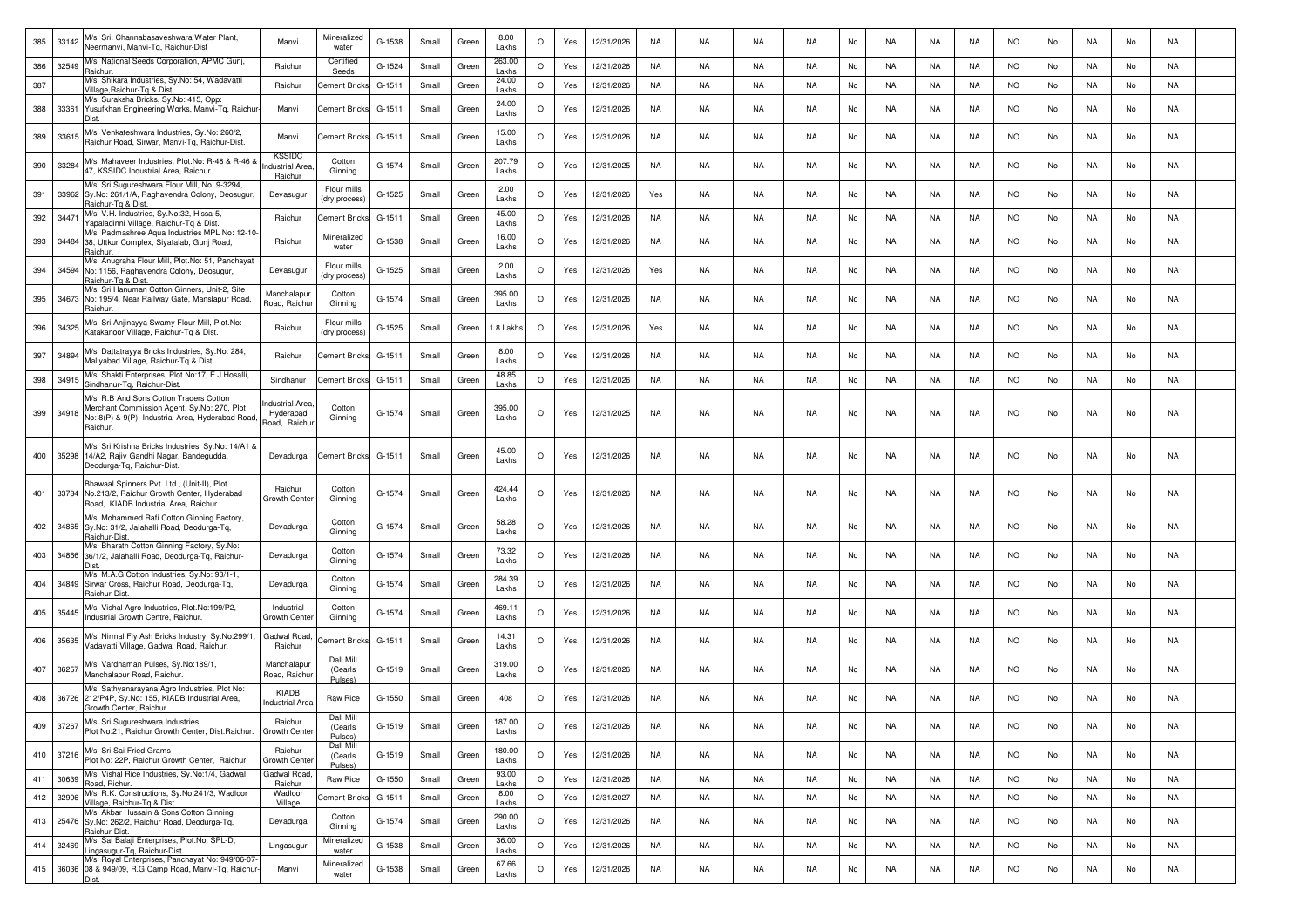| 385 | 33142     | M/s. Sri. Channabasaveshwara Water Plant,<br>Veermanvi, Manvi-Tg, Raichur-Dist                                                                         | Manvi                                             | Mineralized<br>water            | G-1538   | Small | Green | 8.00<br>Lakhs   | $\circ$ | Yes | 12/31/2026 | <b>NA</b> | NA        | <b>NA</b> | NA        | No | NA        | <b>NA</b> | NA        | <b>NO</b> | No | <b>NA</b> | No | NA        |  |
|-----|-----------|--------------------------------------------------------------------------------------------------------------------------------------------------------|---------------------------------------------------|---------------------------------|----------|-------|-------|-----------------|---------|-----|------------|-----------|-----------|-----------|-----------|----|-----------|-----------|-----------|-----------|----|-----------|----|-----------|--|
| 386 | 32549     | M/s. National Seeds Corporation, APMC Gunj.<br>Raichur.                                                                                                | Raichur                                           | Certified<br>Seeds              | G-1524   | Small | Green | 263.00<br>Lakhs | $\circ$ | Yes | 12/31/2026 | <b>NA</b> | NA        | NA        | <b>NA</b> | No | <b>NA</b> | NA        | NA        | <b>NO</b> | No | NA        | No | NA        |  |
| 387 |           | M/s. Shikara Industries, Sy.No: 54, Wadavatti<br>Village, Raichur-Tq & Dist                                                                            | Raichur                                           | Sement Bricks                   | $G-1511$ | Small | Green | 24.00<br>Lakhs  | $\circ$ | Yes | 12/31/2026 | <b>NA</b> | <b>NA</b> | <b>NA</b> | <b>NA</b> | No | NA        | <b>NA</b> | NA        | <b>NO</b> | No | NA        | No | NA        |  |
| 388 | 33361     | M/s. Suraksha Bricks, Sy.No: 415, Opp:<br>Yusufkhan Engineering Works, Manvi-Tg, Raichur                                                               | Manvi                                             | Cement Bricks                   | $G-1511$ | Small | Green | 24.00<br>Lakhs  | $\circ$ | Yes | 12/31/2026 | NA        | NA        | NA        | NA.       | No | NA        | NA        | NA        | <b>NO</b> | No | NA        | No | NA        |  |
| 389 | 33615     | M/s. Venkateshwara Industries, Sy.No: 260/2,<br>Raichur Road, Sirwar, Manvi-Tg, Raichur-Dist                                                           | Manvi                                             | <b>Cement Bricks</b>            | $G-151$  | Small | Green | 15.00<br>Lakhs  | $\circ$ | Yes | 12/31/2026 | <b>NA</b> | NA        | NA        | NA        | No | NA        | NA        | NA        | <b>NO</b> | No | NA        | No | NA        |  |
| 390 | 33284     | M/s. Mahaveer Industries, Plot.No: R-48 & R-46 8<br>47, KSSIDC Industrial Area, Raichur                                                                | <b>KSSIDC</b><br><b>ndustrial Area</b><br>Raichur | Cotton<br>Ginning               | G-1574   | Small | Green | 207.79<br>Lakhs | $\circ$ | Yes | 12/31/2025 | <b>NA</b> | <b>NA</b> | <b>NA</b> | NA        | No | <b>NA</b> | NA        | NA        | <b>NO</b> | No | <b>NA</b> | No | NA        |  |
| 391 | 33962     | M/s. Sri Sugureshwara Flour Mill, No: 9-3294,<br>Sy.No: 261/1/A, Raghavendra Colony, Deosugur,<br>Raichur-Tg & Dist.                                   | Devasugur                                         | Flour mills<br>(dry process     | $G-1525$ | Small | Green | 2.00<br>Lakhs   | $\circ$ | Yes | 12/31/2026 | Yes       | <b>NA</b> | <b>NA</b> | NA        | No | NA        | NA        | NA        | <b>NO</b> | No | <b>NA</b> | No | NA        |  |
| 392 | 34471     | M/s. V.H. Industries, Sy.No:32, Hissa-5,<br>Yapaladinni Village, Raichur-Tg & Dist                                                                     | Raichur                                           | <b>Cement Bricks</b>            | $G-1511$ | Small | Green | 45.00<br>Lakhs  | $\circ$ | Yes | 12/31/2026 | <b>NA</b> | NA        | NA        | NA        | No | <b>NA</b> | NA        | NA        | <b>NO</b> | No | NA        | No | NA        |  |
| 393 |           | M/s. Padmashree Aqua Industries MPL No: 12-10-<br>34484 38, Uttkur Complex, Siyatalab, Gunj Road,<br>Raichur.                                          | Raichur                                           | Mineralized<br>water            | G-1538   | Small | Green | 16.00<br>Lakhs  | O       | Yes | 12/31/2026 | <b>NA</b> | NA        | NA        | NA        | No | NA        | NA        | NA        | <b>NO</b> | No | NA        | No | NA        |  |
| 394 |           | M/s. Anugraha Flour Mill, Plot.No: 51, Panchayat<br>34594 No: 1156, Raghavendra Colony, Deosugur,<br>Raichur-To & Dist                                 | Devasugur                                         | Flour mills<br>(dry process)    | G-1525   | Small | Green | 2.00<br>Lakhs   | $\circ$ | Yes | 12/31/2026 | Yes       | <b>NA</b> | <b>NA</b> | NA        | No | <b>NA</b> | NA        | <b>NA</b> | <b>NO</b> | No | <b>NA</b> | No | NA        |  |
| 395 |           | M/s. Sri Hanuman Cotton Ginners, Unit-2, Site<br>34673 No: 195/4, Near Railway Gate, Manslapur Road,<br>Raichur.                                       | Manchalapur<br>Road, Raichur                      | Cotton<br>Ginning               | $G-1574$ | Small | Green | 395.00<br>Lakhs | $\circ$ | Yes | 12/31/2026 | NA        | NA        | NA        | NA        | No | <b>NA</b> | NA        | NA        | <b>NO</b> | No | NA        | No | NA        |  |
| 396 | 34325     | M/s. Sri Anjinayya Swamy Flour Mill, Plot.No:<br>Katakanoor Village, Raichur-Tq & Dist.                                                                | Raichur                                           | Flour mills<br>(dry process)    | $G-1525$ | Small | Green | 1.8 Lakhs       | $\circ$ | Yes | 12/31/2026 | Yes       | NA        | NA        | NA        | No | <b>NA</b> | <b>NA</b> | NA        | <b>NO</b> | No | NA        | No | NA        |  |
| 397 | 34894     | M/s. Dattatrayya Bricks Industries, Sy.No: 284,<br>Maliyabad Village, Raichur-Tq & Dist.                                                               | Raichur                                           | Cement Bricks                   | $G-1511$ | Small | Green | 8.00<br>Lakhs   | $\circ$ | Yes | 12/31/2026 | NA        | NA        | NA        | NA        | No | <b>NA</b> | NA        | NA        | <b>NO</b> | No | NA        | No | NA        |  |
| 398 | 34915     | M/s. Shakti Enterprises, Plot.No:17, E.J Hosalli,<br>Sindhanur-Tg, Raichur-Dist                                                                        | Sindhanur                                         | <b>Cement Bricks</b>            | $G-1511$ | Small | Green | 48.85<br>Lakhs  | $\circ$ | Yes | 12/31/2026 | NA        | NA        | NA        | NA        | No | <b>NA</b> | NA        | NA        | <b>NO</b> | No | NA        | No | NA        |  |
| 399 | 34918     | M/s. R.B And Sons Cotton Traders Cotton<br>Merchant Commission Agent, Sy.No: 270, Plot<br>Vo: 8(P) & 9(P), Industrial Area, Hyderabad Road<br>Raichur. | dustrial Area<br>Hyderabad<br>Road, Raichur       | Cotton<br>Ginning               | G-1574   | Small | Green | 395.00<br>Lakhs | $\circ$ | Yes | 12/31/2025 | NA        | <b>NA</b> | <b>NA</b> | NA        | No | <b>NA</b> | NA        | NA        | <b>NO</b> | No | <b>NA</b> | No | NA        |  |
| 400 | 35298     | M/s. Sri Krishna Bricks Industries, Sy.No: 14/A1 &<br>14/A2, Rajiv Gandhi Nagar, Bandegudda,<br>Deodurga-Tq, Raichur-Dist.                             | Devadurga                                         | <b>Cement Bricks</b>            | G-1511   | Small | Green | 45.00<br>Lakhs  | $\circ$ | Yes | 12/31/2026 | <b>NA</b> | NA        | NA        | NA        | No | NA.       | NA        | NA        | <b>NO</b> | No | NA        | No | NA        |  |
| 401 |           | Bhawaal Spinners Pvt. Ltd., (Unit-II), Plot<br>33784 No.213/2, Raichur Growth Center, Hyderabad<br>Road, KIADB Industrial Area, Raichur.               | Raichur<br>Growth Cente                           | Cotton<br>Ginning               | G-1574   | Small | Green | 424.44<br>Lakhs | $\circ$ | Yes | 12/31/2026 | <b>NA</b> | NA        | NA        | NA        | No | <b>NA</b> | NA        | NA        | <b>NO</b> | No | NA        | No | NA        |  |
| 402 |           | M/s. Mohammed Rafi Cotton Ginning Factory,<br>34865 Sy.No: 31/2, Jalahalli Road, Deodurga-Tq,<br>Raichur-Dist.                                         | Devadurga                                         | Cotton<br>Ginning               | G-1574   | Small | Green | 58.28<br>Lakhs  | O       | Yes | 12/31/2026 | <b>NA</b> | <b>NA</b> | <b>NA</b> | NA        | No | NA        | <b>NA</b> | NA        | <b>NO</b> | No | <b>NA</b> | No | <b>NA</b> |  |
| 403 | 34866     | M/s. Bharath Cotton Ginning Factory, Sy.No:<br>36/1/2, Jalahalli Road, Deodurga-Tq, Raichur-                                                           | Devadurga                                         | Cotton<br>Ginning               | G-1574   | Small | Green | 73.32<br>Lakhs  | $\circ$ | Yes | 12/31/2026 | <b>NA</b> | NA        | NA        | <b>NA</b> | No | NA        | NA        | NA        | <b>NO</b> | No | NA        | No | NA        |  |
| 404 | 34849     | M/s. M.A.G Cotton Industries, Sy.No: 93/1-1,<br>Sirwar Cross, Raichur Road, Deodurga-Tq,<br>aichur-Dist.                                               | Devadurga                                         | Cotton<br>Ginning               | $G-1574$ | Small | Green | 284.39<br>Lakhs | $\circ$ | Yes | 12/31/2026 | <b>NA</b> | NA        | NA        | NA        | No | NA        | NA        | NA        | <b>NO</b> | No | NA        | No | NA        |  |
| 405 | 35445     | M/s. Vishal Agro Industries, Plot.No:199/P2,<br>ndustrial Growth Centre, Raichur                                                                       | Industrial<br>Growth Cente                        | Cotton<br>Ginning               | G-1574   | Small | Green | 469.11<br>Lakhs | $\circ$ | Yes | 12/31/2026 | NA        | NA        | NA        | NA        | No | NA        | NA        | NA        | <b>NO</b> | No | NA        | No | NA        |  |
| 406 | 35635     | M/s. Nirmal Fly Ash Bricks Industry, Sy.No:299/1,<br>Vadavatti Village, Gadwal Road, Raichur.                                                          | Gadwal Road<br>Raichur                            | <b>Cement Bricks</b>            | $G-151$  | Small | Green | 14.31<br>Lakhs  | $\circ$ | Yes | 12/31/2026 | <b>NA</b> | <b>NA</b> | NA        | NA        | No | <b>NA</b> | <b>NA</b> | <b>NA</b> | <b>NO</b> | No | <b>NA</b> | No | <b>NA</b> |  |
| 407 | 36257     | M/s. Vardhaman Pulses, Sy.No:189/1,<br>Manchalapur Road, Raichur.                                                                                      | Manchalapur<br>Road, Raichur                      | Dall Mill<br>(Cearls<br>Pulses) | G-1519   | Small | Green | 319.00<br>Lakhs | $\circ$ | Yes | 12/31/2026 | <b>NA</b> | NA        | NA        | NA        | No | NA        | NA        | NA        | <b>NO</b> | No | NA        | No | NA        |  |
| 408 |           | M/s. Sathyanarayana Agro Industries, Plot No:<br>36726 212/P4P, Sy.No: 155, KIADB Industrial Area,<br>Growth Center, Raichur.                          | KIADB<br><b>Industrial Area</b>                   | Raw Rice                        | G-1550   | Small | Green | 408             | $\circ$ | Yes | 12/31/2026 | <b>NA</b> | NA        | NA        | NA        | No | NA        | NA        | NA        | <b>NO</b> | No | NA        | No | NA        |  |
|     | 409 37267 | M/s. Sri.Sugureshwara Industries,<br>Plot No:21, Raichur Growth Center, Dist.Raichur.                                                                  | Raichur<br>Growth Center                          | Dall Mill<br>(Cearls<br>Pulses) | G-1519   | Small | Green | 187.00<br>Lakhs | $\circ$ | Yes | 12/31/2026 | NA        | NA        | NA        | NA.       | No | NA.       | NA        | NA        | NO.       | No | NA        | No | NA        |  |
| 410 |           | 37216 M/s. Sri Sai Fried Grams<br>37216 Plot No: 22P, Raichur Growth Center, Raichur.                                                                  | Raichur<br>Growth Center                          | Dall Mill<br>(Cearls<br>Pulses) | $G-1519$ | Small | Green | 180.00<br>Lakhs | $\circ$ | Yes | 12/31/2026 | <b>NA</b> | NA        | NA        | NA        | No | <b>NA</b> | <b>NA</b> | NA        | <b>NO</b> | No | NA        | No | NA        |  |
| 411 | 30639     | M/s. Vishal Rice Industries, Sy.No:1/4, Gadwal<br>Road, Richur.                                                                                        | Gadwal Road<br>Raichur                            | Raw Rice                        | $G-1550$ | Small | Green | 93.00<br>Lakhs  | $\circ$ | Yes | 12/31/2026 | <b>NA</b> | <b>NA</b> | <b>NA</b> | <b>NA</b> | No | NA        | <b>NA</b> | NA        | <b>NO</b> | No | NA        | No | NA        |  |
| 412 | 32906     | M/s. R.K. Constructions, Sy.No:241/3, Wadloor<br>Village, Raichur-Tq & Dist.                                                                           | Wadloor<br>Village                                | <b>Cement Bricks</b>            | $G-1511$ | Small | Green | 8.00<br>Lakhs   | $\circ$ | Yes | 12/31/2027 | <b>NA</b> | NA        | <b>NA</b> | NA        | No | NA        | <b>NA</b> | NA        | <b>NO</b> | No | NA        | No | NA        |  |
| 413 |           | M/s. Akbar Hussain & Sons Cotton Ginning<br>25476 Sy.No: 262/2, Raichur Road, Deodurga-Tq,<br>Raichur-Dist.                                            | Devadurga                                         | Cotton<br>Ginning               | G-1574   | Small | Green | 290.00<br>Lakhs | $\circ$ | Yes | 12/31/2026 | NA        | NA        | NA        | NA        | No | NA        | NA        | NA        | <b>NO</b> | No | NA        | No | NA        |  |
| 414 | 32469     | M/s. Sai Balaji Enterprises, Plot.No: SPL-D,<br>ingasugur-Tq, Raichur-Dist.                                                                            | Lingasugur                                        | Mineralized<br>water            | G-1538   | Small | Green | 36.00<br>Lakhs  | $\circ$ | Yes | 12/31/2026 | <b>NA</b> | NA        | NA        | NA        | No | <b>NA</b> | NA        | NA        | <b>NO</b> | No | NA        | No | NA        |  |
| 415 |           | M/s. Royal Enterprises, Panchayat No: 949/06-07<br>36036 08 & 949/09, R.G.Camp Road, Manvi-Tq, Raichur-<br>Dist.                                       | Manvi                                             | Mineralized<br>water            | G-1538   | Small | Green | 67.66<br>Lakhs  | $\circ$ | Yes | 12/31/2026 | <b>NA</b> | NA        | NA        | NA        | No | <b>NA</b> | <b>NA</b> | NA        | <b>NO</b> | No | NA        | No | NA        |  |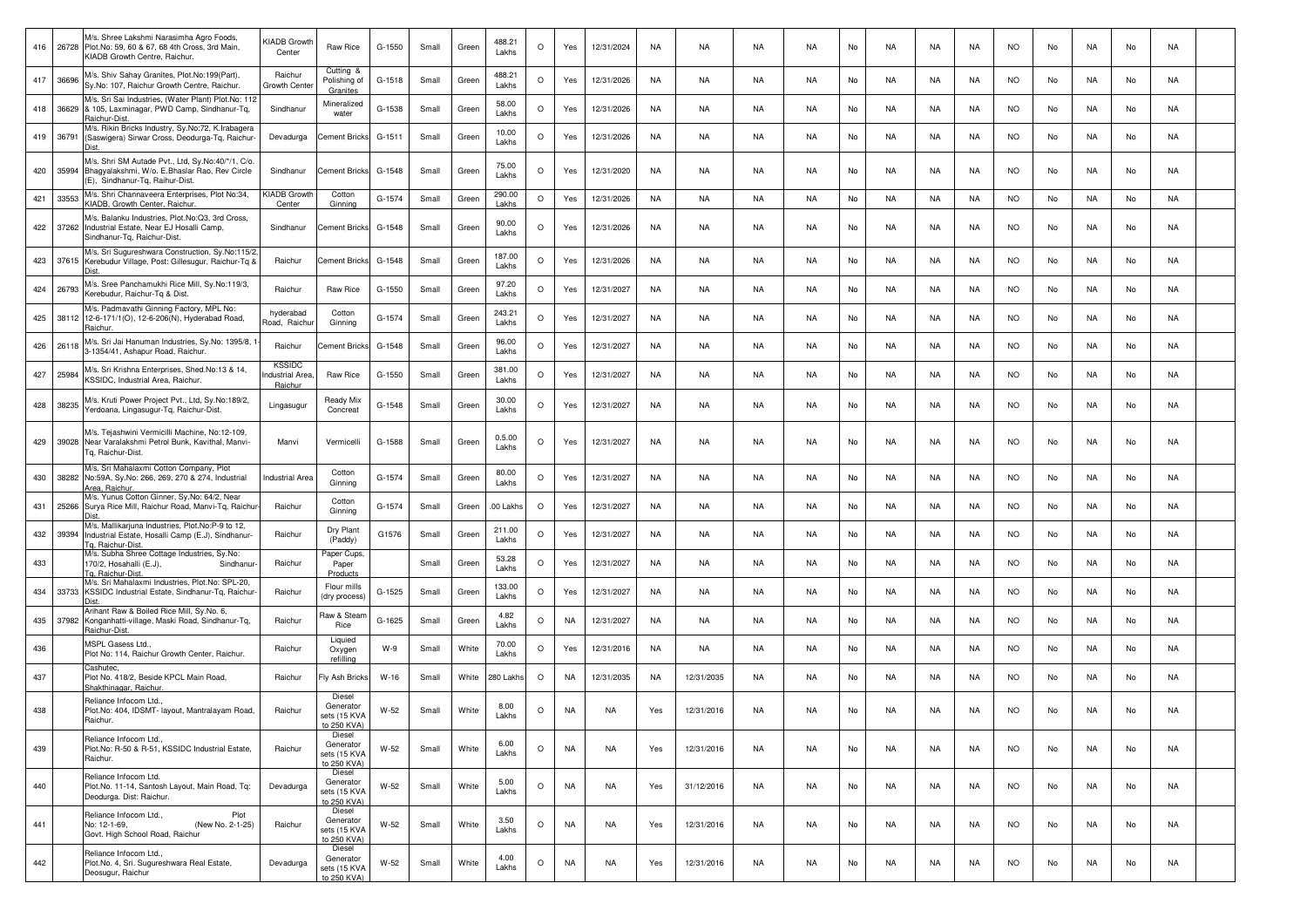|     |           | M/s. Shree Lakshmi Narasimha Agro Foods,<br>416 26728 Plot. No: 59, 60 & 67, 68 4th Cross, 3rd Main,<br>KIADB Growth Centre, Raichur.      | <iadb growth<br="">Center</iadb>           | Raw Rice                                           | G-1550 | Small | Green | 488.21<br>Lakhs | $\circ$ | Yes       | 12/31/2024 | NA        | NA         | NA        | <b>NA</b> | No | <b>NA</b> | NA        | <b>NA</b> | <b>NO</b> | No | NA | No | NA        |  |
|-----|-----------|--------------------------------------------------------------------------------------------------------------------------------------------|--------------------------------------------|----------------------------------------------------|--------|-------|-------|-----------------|---------|-----------|------------|-----------|------------|-----------|-----------|----|-----------|-----------|-----------|-----------|----|----|----|-----------|--|
|     | 417 36696 | M/s. Shiv Sahay Granites, Plot.No:199(Part),<br>Sy.No: 107, Raichur Growth Centre, Raichur.                                                | Raichur<br>Growth Cente                    | Cutting &<br>Polishing of<br>Granites              | G-1518 | Small | Green | 488.21<br>Lakhs | $\circ$ | Yes       | 12/31/2026 | NA        | NA         | NA        | NA        | No | NA        | NA        | NA.       | <b>NO</b> | No | NA | No | NA        |  |
| 418 | 36629     | M/s. Sri Sai Industries, (Water Plant) Plot.No: 112<br>& 105, Laxminagar, PWD Camp, Sindhanur-Tq,<br>Raichur-Dist.                         | Sindhanur                                  | Mineralized<br>water                               | G-1538 | Small | Green | 58.00<br>Lakhs  | $\circ$ | Yes       | 12/31/2026 | NA        | NA         | NA        | NA        | No | NA        | NA        | NA        | NO.       | No | NA | No | NA        |  |
| 419 | 36791     | M/s. Rikin Bricks Industry, Sy.No:72, K.Irabagera<br>(Saswigera) Sirwar Cross, Deodurga-Tq, Raichur-                                       | Devadurga                                  | Cement Bricks                                      | G-1511 | Small | Green | 10.00<br>Lakhs  | $\circ$ | Yes       | 12/31/2026 | NA        | NA         | NA        | <b>NA</b> | No | NA        | NA        | NA        | <b>NO</b> | No | NA | No | NA        |  |
| 420 |           | M/s. Shri SM Autade Pvt., Ltd, Sy.No:40/*/1, C/o.<br>35994 Bhagyalakshmi, W/o. E.Bhaslar Rao, Rev Circle<br>(E), Sindhanur-Tg, Raihur-Dist | Sindhanur                                  | <b>Cement Bricks</b>                               | G-1548 | Small | Green | 75.00<br>Lakhs  | $\circ$ | Yes       | 12/31/2020 | <b>NA</b> | <b>NA</b>  | <b>NA</b> | <b>NA</b> | No | <b>NA</b> | NA        | <b>NA</b> | <b>NO</b> | No | NA | No | NA        |  |
| 421 | 33553     | M/s. Shri Channaveera Enterprises, Plot No:34,<br>KIADB, Growth Center, Raichur.                                                           | KIADB Growt<br>Center                      | Cottor<br>Ginning                                  | G-1574 | Small | Green | 290.00<br>Lakhs | $\circ$ | Yes       | 12/31/2026 | <b>NA</b> | <b>NA</b>  | NA        | <b>NA</b> | No | NA        | NA        | NA        | <b>NO</b> | No | NA | No | <b>NA</b> |  |
|     |           | M/s. Balanku Industries, Plot.No:Q3, 3rd Cross,<br>422 37262 Industrial Estate, Near EJ Hosalli Camp,<br>Sindhanur-Tg, Raichur-Dist.       | Sindhanur                                  | Cement Bricks                                      | G-1548 | Small | Green | 90.00<br>Lakhs  | $\circ$ | Yes       | 12/31/2026 | NA        | NA         | NA        | NA        | No | NA        | NA        | NA.       | <b>NO</b> | No | NA | No | NA        |  |
|     |           | M/s. Sri Sugureshwara Construction, Sy.No:115/2<br>423 37615 Kerebudur Village, Post: Gillesugur, Raichur-Tq &                             | Raichur                                    | Cement Bricks                                      | G-1548 | Small | Green | 187.00<br>Lakhs | $\circ$ | Yes       | 12/31/2026 | NA        | NA         | NA        | <b>NA</b> | No | NA        | NA        | NA        | <b>NO</b> | No | NA | No | NA        |  |
| 424 | 26793     | M/s. Sree Panchamukhi Rice Mill, Sy.No:119/3,<br>Kerebudur, Raichur-Tq & Dist                                                              | Raichur                                    | Raw Rice                                           | G-1550 | Small | Green | 97.20<br>Lakhs  | $\circ$ | Yes       | 12/31/2027 | NA        | NA         | <b>NA</b> | <b>NA</b> | No | <b>NA</b> | NA        | <b>NA</b> | <b>NO</b> | No | NA | No | NA        |  |
| 425 |           | M/s. Padmavathi Ginning Factory, MPL No:<br>38112 12-6-171/1(O), 12-6-206(N), Hyderabad Road,<br>Raichur.                                  | hyderabad<br>Road, Raichu                  | Cotton<br>Ginning                                  | G-1574 | Small | Green | 243.21<br>Lakhs | $\circ$ | Yes       | 12/31/2027 | NA        | NA         | NA        | NA        | No | NA        | NA        | NA.       | <b>NO</b> | No | NA | No | NA        |  |
| 426 | 26118     | M/s. Sri Jai Hanuman Industries, Sy.No: 1395/8, '<br>3-1354/41, Ashapur Road, Raichur.                                                     | Raichur                                    | Cement Bricks                                      | G-1548 | Small | Green | 96.00<br>Lakhs  | $\circ$ | Yes       | 12/31/2027 | NA        | NA         | NA        | NA        | No | NA        | NA        | NA.       | <b>NO</b> | No | NA | No | NA        |  |
| 427 | 25984     | M/s. Sri Krishna Enterprises, Shed.No:13 & 14,<br><b><ssidc, area,="" b="" industrial="" raichur.<=""></ssidc,></b>                        | <b>KSSIDC</b><br>ndustrial Area<br>Raichur | Raw Rice                                           | G-1550 | Small | Green | 381.00<br>Lakhs | $\circ$ | Yes       | 12/31/2027 | NA        | NA         | NA        | <b>NA</b> | No | NA        | NA        | NA        | <b>NO</b> | No | NA | No | NA        |  |
| 428 | 38235     | M/s. Kruti Power Project Pvt., Ltd, Sy.No:189/2,<br>Yerdoana, Lingasugur-Tg, Raichur-Dist.                                                 | Lingasugur                                 | Ready Mix<br>Concreat                              | G-1548 | Small | Green | 30.00<br>Lakhs  | $\circ$ | Yes       | 12/31/2027 | NA        | NA         | NA        | <b>NA</b> | No | NA        | NA        | NA        | <b>NO</b> | No | NA | No | NA        |  |
| 429 |           | M/s. Tejashwini Vermicilli Machine, No:12-109,<br>39028 Near Varalakshmi Petrol Bunk, Kavithal, Manvi-<br>Tg, Raichur-Dist.                | Manvi                                      | Vermicelli                                         | G-1588 | Small | Green | 0.5.00<br>Lakhs | $\circ$ | Yes       | 12/31/2027 | NA        | NA         | NA        | NA        | No | NA        | NA        | NA        | <b>NO</b> | No | NA | No | NA        |  |
| 430 |           | M/s. Sri Mahalaxmi Cotton Company, Plot<br>38282 No:59A, Sy.No: 266, 269, 270 & 274, Industrial<br>Area, Raichur.                          | <b>Industrial Area</b>                     | Cotton<br>Ginning                                  | G-1574 | Small | Green | 80.00<br>Lakhs  | $\circ$ | Yes       | 12/31/2027 | <b>NA</b> | <b>NA</b>  | <b>NA</b> | <b>NA</b> | No | NA        | NA        | <b>NA</b> | <b>NO</b> | No | NA | No | NA        |  |
| 431 |           | M/s. Yunus Cotton Ginner, Sy.No: 64/2, Near<br>25266 Surya Rice Mill, Raichur Road, Manvi-Tq, Raichur<br>Dist                              | Raichur                                    | Cotton<br>Ginning                                  | G-1574 | Small | Green | .00 Lakhs       | $\circ$ | Yes       | 12/31/2027 | NA        | NA         | NA        | <b>NA</b> | No | NA        | NA        | NA        | <b>NO</b> | No | NA | No | <b>NA</b> |  |
| 432 | 39394     | M/s. Mallikarjuna Industries, Plot.No:P-9 to 12,<br>Industrial Estate, Hosalli Camp (E.J), Sindhanur-<br>Tg, Raichur-Dist                  | Raichur                                    | Dry Plant<br>(Paddy)                               | G1576  | Small | Green | 211.00<br>Lakhs | $\circ$ | Yes       | 12/31/2027 | NA        | NA         | NA        | <b>NA</b> | No | NA        | NA        | NA.       | <b>NO</b> | No | NA | No | NA        |  |
| 433 |           | M/s. Subha Shree Cottage Industries, Sy.No:<br>170/2, Hosahalli (E.J),<br>Sindhanur-<br>Ta. Raichur-Dist.                                  | Raichur                                    | Paper Cups,<br>Paper<br>Products                   |        | Small | Green | 53.28<br>Lakhs  | $\circ$ | Yes       | 12/31/2027 | NA        | NA         | NA        | <b>NA</b> | No | NA        | NA        | NA        | <b>NO</b> | No | NA | No | NA        |  |
| 434 | 33733     | M/s. Sri Mahalaxmi Industries, Plot.No: SPL-20,<br>KSSIDC Industrial Estate, Sindhanur-Tq, Raichur-                                        | Raichur                                    | Flour mills<br>(dry process)                       | G-1525 | Small | Green | 133.00<br>Lakhs | $\circ$ | Yes       | 12/31/2027 | NA        | NA         | NA        | <b>NA</b> | No | NA        | NA        | NA        | <b>NO</b> | No | NA | No | NA        |  |
| 435 | 37982     | Arihant Raw & Boiled Rice Mill, Sy.No. 6,<br>Konganhatti-village, Maski Road, Sindhanur-Tq,<br>Raichur-Dist.                               | Raichur                                    | Raw & Steam<br>Rice                                | G-1625 | Small | Green | 4.82<br>Lakhs   | $\circ$ | <b>NA</b> | 12/31/2027 | NA        | NA         | NA        | <b>NA</b> | No | NA        | NA        | NA        | <b>NO</b> | No | NA | No | NA        |  |
| 436 |           | MSPL Gasess Ltd.,<br>Plot No: 114, Raichur Growth Center, Raichur                                                                          | Raichur                                    | Liquied<br>Oxygen<br>refilling                     | W-9    | Small | White | 70.00<br>Lakhs  | $\circ$ | Yes       | 12/31/2016 | NA        | NA         | NA        | NA        | No | NA        | NA        | NA        | <b>NO</b> | No | NA | No | NA        |  |
| 437 |           | Cashutec.<br>Plot No. 418/2, Beside KPCL Main Road,<br>Shakthinagar, Raichur.                                                              | Raichur                                    | Fly Ash Bricks                                     | W-16   | Small | White | 280 Lakhs       | $\circ$ | NA        | 12/31/2035 | NA        | 12/31/2035 | NA        | NA        | No | NA        | NA        | NA        | <b>NO</b> | No | NA | No | NA        |  |
| 438 |           | Reliance Infocom Ltd.,<br>Plot.No: 404, IDSMT- layout, Mantralayam Road,<br>Raichur.                                                       | Raichur                                    | Diesel<br>Generator<br>sets (15 KVA<br>to 250 KVA) | W-52   | Small | White | 8.00<br>Lakhs   | $\circ$ | NA        | NA         | Yes       | 12/31/2016 | NA        | <b>NA</b> | No | NA        | NA        | <b>NA</b> | <b>NO</b> | No | NA | No | NA        |  |
| 439 |           | Reliance Infocom Ltd.,<br>Plot.No: R-50 & R-51, KSSIDC Industrial Estate,<br>Raichur.                                                      | Raichur                                    | Diesel<br>Generator<br>sets (15 KVA<br>to 250 KVA) | $W-52$ | Small | White | 6.00<br>Lakhs   | $\circ$ | NA        | <b>NA</b>  | Yes       | 12/31/2016 | <b>NA</b> | <b>NA</b> | No | NA        | <b>NA</b> | NA        | <b>NO</b> | No | NA | No | NA        |  |
| 440 |           | Reliance Infocom Ltd.<br>Plot.No. 11-14, Santosh Layout, Main Road, Tg:<br>Deodurga. Dist: Raichur.                                        | Devadurga                                  | Diesel<br>Generator<br>sets (15 KVA<br>to 250 KVA) | $W-52$ | Small | White | 5.00<br>Lakhs   | $\circ$ | NA        | NA         | Yes       | 31/12/2016 | NA        | NA        | No | NA        | NA        | NA        | <b>NO</b> | No | NA | No | NA        |  |
| 441 |           | Reliance Infocom Ltd.,<br>Plot<br>No: 12-1-69,<br>(New No. 2-1-25)<br>Govt. High School Road, Raichur                                      | Raichur                                    | Diesel<br>Generator<br>sets (15 KVA<br>to 250 KVA) | $W-52$ | Small | White | 3.50<br>Lakhs   | $\circ$ | NA        | NA         | Yes       | 12/31/2016 | NA        | NA        | No | NA        | NA        | NA        | <b>NO</b> | No | NA | No | NA        |  |
| 442 |           | Reliance Infocom Ltd.,<br>Plot.No. 4, Sri. Sugureshwara Real Estate,<br>Deosugur, Raichur                                                  | Devadurga                                  | Diesel<br>Generator<br>sets (15 KVA<br>to 250 KVA) | $W-52$ | Small | White | 4.00<br>Lakhs   | $\circ$ | NA        | NA         | Yes       | 12/31/2016 | NA        | NA        | No | NA        | NA        | NA        | <b>NO</b> | No | NA | No | NA        |  |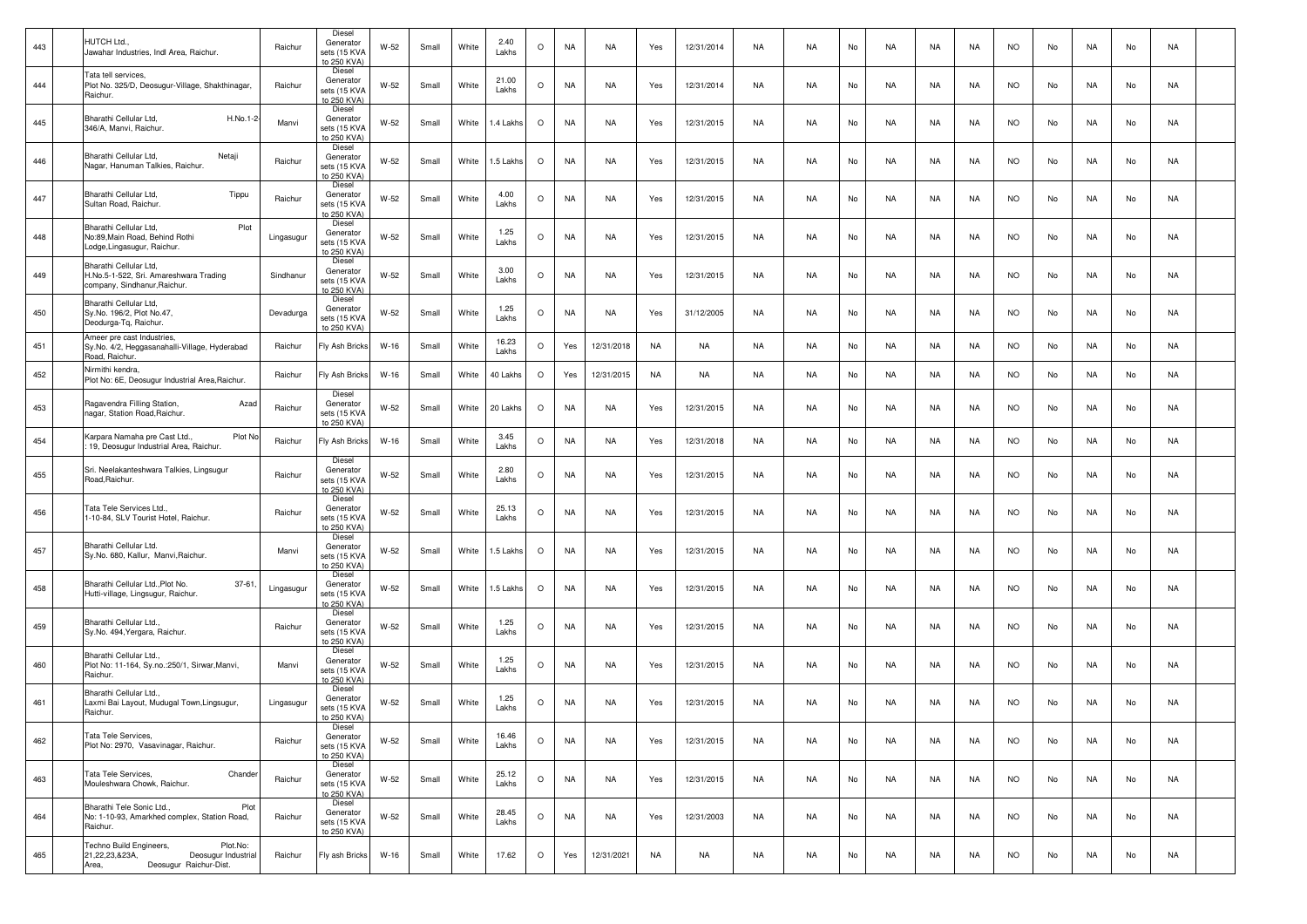| 443 | HUTCH Ltd.<br>Jawahar Industries, Indl Area, Raichur.                                                           | Raichur    | Diesel<br>Generator<br>sets (15 KVA<br>to 250 KVA) | W-52   | Small | White | 2.40<br>Lakhs  | $\circ$ | NA        | NA         | Yes       | 12/31/2014 | NA        | NA        | No | NA        | NA        | NA.       | <b>NO</b> | No | NA  | No | NA        |  |
|-----|-----------------------------------------------------------------------------------------------------------------|------------|----------------------------------------------------|--------|-------|-------|----------------|---------|-----------|------------|-----------|------------|-----------|-----------|----|-----------|-----------|-----------|-----------|----|-----|----|-----------|--|
| 444 | Tata tell services.<br>Plot No. 325/D, Deosugur-Village, Shakthinagar,<br>Raichur.                              | Raichur    | Diesel<br>Generator<br>sets (15 KVA<br>to 250 KVA) | $W-52$ | Small | White | 21.00<br>Lakhs | $\circ$ | NA        | NA         | Yes       | 12/31/2014 | NA        | NA.       | No | NA        | NA        | NA        | <b>NO</b> | No | NA  | No | NA        |  |
| 445 | Bharathi Cellular Ltd,<br>H.No.1-2<br>346/A, Manvi, Raichur.                                                    | Manvi      | Diesel<br>Generator<br>sets (15 KVA<br>to 250 KVA) | $W-52$ | Small | White | 1.4 Lakhs      | $\circ$ | NA        | NA         | Yes       | 12/31/2015 | NA        | <b>NA</b> | No | NA        | NA        | <b>NA</b> | <b>NO</b> | No | NA  | No | NA        |  |
| 446 | Bharathi Cellular Ltd,<br>Netaji<br>Nagar, Hanuman Talkies, Raichur                                             | Raichur    | Diesel<br>Generator<br>sets (15 KVA<br>to 250 KVA) | $W-52$ | Small | White | 1.5 Lakhs      | $\circ$ | NA        | NA         | Yes       | 12/31/2015 | NA        | <b>NA</b> | No | NA        | NA        | NA        | <b>NO</b> | No | NA  | No | NA        |  |
| 447 | Bharathi Cellular Ltd,<br>Tippu<br>Sultan Road, Raichur.                                                        | Raichur    | Diesel<br>Generator<br>sets (15 KVA<br>o 250 KVA)  | W-52   | Small | White | 4.00<br>Lakhs  | $\circ$ | NA        | NA         | Yes       | 12/31/2015 | NA        | NA.       | No | NA        | NA        | NA.       | <b>NO</b> | No | NA  | No | NA        |  |
| 448 | Bharathi Cellular Ltd,<br>Plot<br>No:89.Main Road, Behind Rothi<br>Lodge, Lingasugur, Raichur.                  | Lingasugur | Diesel<br>Generator<br>sets (15 KVA<br>to 250 KVA) | $W-52$ | Small | White | 1.25<br>Lakhs  | $\circ$ | NA        | <b>NA</b>  | Yes       | 12/31/2015 | <b>NA</b> | <b>NA</b> | No | <b>NA</b> | NA        | <b>NA</b> | <b>NO</b> | No | NA  | No | NA        |  |
| 449 | Bharathi Cellular Ltd,<br>H.No.5-1-522, Sri. Amareshwara Trading<br>company, Sindhanur, Raichur.                | Sindhanur  | Diesel<br>Generator<br>sets (15 KVA<br>to 250 KVA) | $W-52$ | Small | White | 3.00<br>Lakhs  | $\circ$ | NA        | <b>NA</b>  | Yes       | 12/31/2015 | NA        | NA        | No | NA        | NA        | NA        | <b>NO</b> | No | NA  | No | NA        |  |
| 450 | Bharathi Cellular Ltd,<br>Sy.No. 196/2, Plot No.47,<br>Deodurga-Tq, Raichur.                                    | Devadurga  | Diesel<br>Generator<br>sets (15 KVA<br>to 250 KVA) | $W-52$ | Small | White | 1.25<br>Lakhs  | $\circ$ | NA        | NA         | Yes       | 31/12/2005 | NA        | <b>NA</b> | No | NA        | NA        | NA        | <b>NO</b> | No | NA  | No | NA        |  |
| 451 | Ameer pre cast Industries,<br>Sy.No. 4/2, Heggasanahalli-Village, Hyderabad<br>Road, Raichur.                   | Raichur    | Fly Ash Bricks                                     | $W-16$ | Small | White | 16.23<br>Lakhs | $\circ$ | Yes       | 12/31/2018 | <b>NA</b> | <b>NA</b>  | NA        | <b>NA</b> | No | NA        | NA        | <b>NA</b> | <b>NO</b> | No | NA  | No | NA        |  |
| 452 | Nirmithi kendra.<br>Plot No: 6E, Deosugur Industrial Area, Raichur.                                             | Raichur    | Fly Ash Bricks                                     | $W-16$ | Small | White | 40 Lakhs       | $\circ$ | Yes       | 12/31/2015 | NA        | NA         | NA        | <b>NA</b> | No | NA        | NA        | <b>NA</b> | <b>NO</b> | No | NA  | No | NA        |  |
| 453 | Ragavendra Filling Station,<br>Azad<br>nagar, Station Road, Raichur.                                            | Raichur    | Diesel<br>Generator<br>sets (15 KVA<br>to 250 KVA) | $W-52$ | Small | White | 20 Lakhs       | $\circ$ | NA        | NA         | Yes       | 12/31/2015 | NA        | NA        | No | NA        | NA        | NA        | <b>NO</b> | No | NA  | No | NA        |  |
| 454 | Plot No<br>Karpara Namaha pre Cast Ltd.,<br>19, Deosugur Industrial Area, Raichur.                              | Raichur    | Fly Ash Bricks                                     | $W-16$ | Small | White | 3.45<br>Lakhs  | $\circ$ | <b>NA</b> | NA         | Yes       | 12/31/2018 | NA        | <b>NA</b> | No | NA        | NA        | NA        | <b>NO</b> | No | NA  | No | NA        |  |
| 455 | Sri. Neelakanteshwara Talkies, Lingsugur<br>Road, Raichur.                                                      | Raichur    | Diesel<br>Generator<br>sets (15 KVA<br>to 250 KVA) | $W-52$ | Small | White | 2.80<br>Lakhs  | $\circ$ | NA        | <b>NA</b>  | Yes       | 12/31/2015 | <b>NA</b> | <b>NA</b> | No | <b>NA</b> | <b>NA</b> | <b>NA</b> | <b>NO</b> | No | NA. | No | NA        |  |
| 456 | Tata Tele Services Ltd.,<br>1-10-84, SLV Tourist Hotel, Raichur.                                                | Raichur    | Diesel<br>Generator<br>sets (15 KVA<br>to 250 KVA) | $W-52$ | Small | White | 25.13<br>Lakhs | $\circ$ | NA        | NA         | Yes       | 12/31/2015 | NA        | <b>NA</b> | No | NA        | NA        | NA        | <b>NO</b> | No | NA  | No | NA        |  |
| 457 | Bharathi Cellular Ltd.<br>Sy.No. 680, Kallur, Manvi, Raichur.                                                   | Manvi      | Diesel<br>Generator<br>sets (15 KVA<br>to 250 KVA) | W-52   | Small | White | 1.5 Lakhs      | $\circ$ | <b>NA</b> | NA         | Yes       | 12/31/2015 | NA        | NA.       | No | NA        | NA        | NA        | <b>NO</b> | No | NA  | No | NA        |  |
| 458 | Bharathi Cellular Ltd., Plot No.<br>$37 - 61$<br>Hutti-village, Lingsugur, Raichur.                             | Lingasugur | Diesel<br>Generator<br>sets (15 KVA<br>to 250 KVA) | $W-52$ | Small | White | 1.5 Lakhs      | $\circ$ | NA        | NA         | Yes       | 12/31/2015 | NA        | <b>NA</b> | No | NA        | NA        | <b>NA</b> | <b>NO</b> | No | NA  | No | NA        |  |
| 459 | Bharathi Cellular Ltd.,<br>Sy.No. 494, Yergara, Raichur.                                                        | Raichur    | Diesel<br>Generator<br>sets (15 KVA<br>to 250 KVA) | $W-52$ | Small | White | 1.25<br>Lakhs  | $\circ$ | NA        | NA         | Yes       | 12/31/2015 | NA        | <b>NA</b> | No | NA        | NA        | NA.       | <b>NO</b> | No | NA  | No | NA        |  |
| 460 | Bharathi Cellular Ltd.,<br>Plot No: 11-164, Sy.no.:250/1, Sirwar, Manvi,<br>Raichur.                            | Manvi      | Diesel<br>Generator<br>sets (15 KVA<br>o 250 KVA)  | $W-52$ | Small | White | 1.25<br>Lakhs  | $\circ$ | NA        | NA         | Yes       | 12/31/2015 | NA        | <b>NA</b> | No | NA        | NA        | NA.       | <b>NO</b> | No | NA  | No | NA        |  |
| 461 | Bharathi Cellular Ltd.,<br>Laxmi Bai Layout, Mudugal Town, Lingsugur,<br>Raichur.                               | Lingasugur | Diesel<br>Generator<br>sets (15 KVA<br>to 250 KVA) | W-52   | Small | White | 1.25<br>Lakhs  | $\circ$ | NA        | NA         | Yes       | 12/31/2015 | NA        | <b>NA</b> | No | NA        | NA        | NA        | <b>NO</b> | No | NA  | No | NA        |  |
| 462 | Tata Tele Services,<br>Plot No: 2970, Vasavinagar, Raichur.                                                     | Raichur    | Diese<br>Generator<br>sets (15 KVA<br>to 250 KVA)  | W-52   | Small | White | 16.46<br>Lakhs | $\circ$ | NA        | <b>NA</b>  | Yes       | 12/31/2015 | NA        | <b>NA</b> | No | NA        | NA        | NA        | <b>NO</b> | No | NA  | No | NA        |  |
| 463 | Chander<br>Tata Tele Services,<br>Mouleshwara Chowk, Raichur.                                                   | Raichur    | Diesel<br>Generator<br>sets (15 KVA<br>to 250 KVA) | W-52   | Small | White | 25.12<br>Lakhs | $\circ$ | NA        | NA         | Yes       | 12/31/2015 | NA        | <b>NA</b> | No | NA        | NA        | NA        | <b>NO</b> | No | NA  | No | NA        |  |
| 464 | Bharathi Tele Sonic Ltd.,<br>Plot<br>No: 1-10-93, Amarkhed complex, Station Road,<br>Raichur.                   | Raichur    | Diesel<br>Generator<br>sets (15 KVA<br>to 250 KVA) | W-52   | Small | White | 28.45<br>Lakhs | $\circ$ | NA        | NA         | Yes       | 12/31/2003 | NA        | <b>NA</b> | No | <b>NA</b> | <b>NA</b> | NA        | <b>NO</b> | No | NA  | No | NA        |  |
| 465 | Techno Build Engineers,<br>Plot.No:<br>Deosugur Industrial<br>21,22,23,&23A,<br>Deosugur Raichur-Dist.<br>Area, | Raichur    | Fly ash Bricks                                     | $W-16$ | Small | White | 17.62          | $\circ$ | Yes       | 12/31/2021 | NA        | NA         | NA        | <b>NA</b> | No | NA        | NA        | NA        | <b>NO</b> | No | NA  | No | <b>NA</b> |  |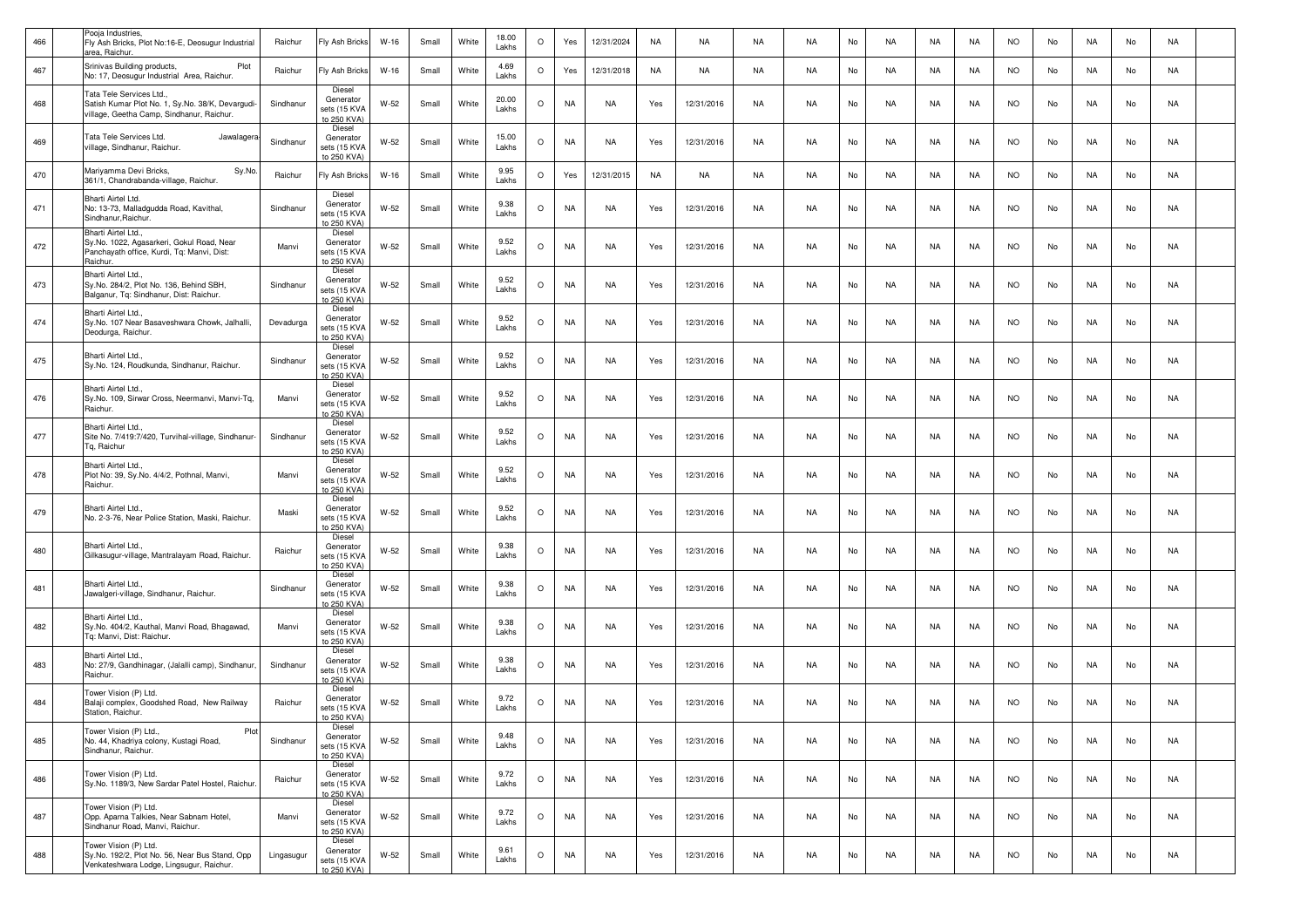| 466 | Pooja Industries,<br>Fly Ash Bricks, Plot No:16-E, Deosugur Industrial<br>area. Raichur.                                   | Raichur    | Fly Ash Bricks                                     | $W-16$ | Small | White | 18.00<br>Lakhs | $\circ$ | Yes       | 12/31/2024 | NA  | NA         | <b>NA</b> | <b>NA</b> | No | NA        | NA        | NA        | <b>NO</b> | No | <b>NA</b> | No | NA        |  |
|-----|----------------------------------------------------------------------------------------------------------------------------|------------|----------------------------------------------------|--------|-------|-------|----------------|---------|-----------|------------|-----|------------|-----------|-----------|----|-----------|-----------|-----------|-----------|----|-----------|----|-----------|--|
| 467 | Srinivas Building products,<br>Plot<br>No: 17, Deosugur Industrial Area, Raichur.                                          | Raichur    | Fly Ash Bricks                                     | $W-16$ | Small | White | 4.69<br>Lakhs  | $\circ$ | Yes       | 12/31/2018 | NA  | NA         | NA        | <b>NA</b> | No | NA        | NA        | NA        | <b>NO</b> | No | <b>NA</b> | No | NA        |  |
| 468 | Tata Tele Services Ltd<br>Satish Kumar Plot No. 1, Sy.No. 38/K, Devargudi-<br>village, Geetha Camp, Sindhanur, Raichur.    | Sindhanur  | Diesel<br>Generator<br>sets (15 KVA<br>to 250 KVA) | $W-52$ | Small | White | 20.00<br>Lakhs | $\circ$ | <b>NA</b> | <b>NA</b>  | Yes | 12/31/2016 | NA        | <b>NA</b> | No | NA        | NA        | NA        | <b>NO</b> | No | NA        | No | NA        |  |
| 469 | Tata Tele Services Ltd.<br>Jawalagera<br>village, Sindhanur, Raichur.                                                      | Sindhanur  | Diesel<br>Generator<br>sets (15 KVA<br>to 250 KVA) | W-52   | Small | White | 15.00<br>Lakhs | $\circ$ | NA        | NA         | Yes | 12/31/2016 | NA        | <b>NA</b> | No | NA        | NA        | NA        | <b>NO</b> | No | NA        | No | NA        |  |
| 470 | Mariyamma Devi Bricks,<br>Sy.No.<br>361/1, Chandrabanda-village, Raichur.                                                  | Raichur    | Fly Ash Bricks                                     | $W-16$ | Small | White | 9.95<br>Lakhs  | $\circ$ | Yes       | 12/31/2015 | NA  | NA         | <b>NA</b> | <b>NA</b> | No | NA        | NA        | NA        | <b>NO</b> | No | NA        | No | NA        |  |
| 471 | Bharti Airtel Ltd.<br>No: 13-73, Malladgudda Road, Kavithal,<br>Sindhanur.Raichur.                                         | Sindhanur  | Diesel<br>Generator<br>sets (15 KVA<br>to 250 KVA) | $W-52$ | Small | White | 9.38<br>Lakhs  | $\circ$ | <b>NA</b> | <b>NA</b>  | Yes | 12/31/2016 | NA        | <b>NA</b> | No | NA        | NA        | NA        | <b>NO</b> | No | NA        | No | <b>NA</b> |  |
| 472 | Bharti Airtel Ltd.,<br>Sy.No. 1022, Agasarkeri, Gokul Road, Near<br>Panchayath office, Kurdi, Tq: Manvi, Dist:<br>Raichur. | Manvi      | Diesel<br>Generator<br>sets (15 KVA<br>to 250 KVA) | W-52   | Small | White | 9.52<br>Lakhs  | $\circ$ | NA        | NA         | Yes | 12/31/2016 | NA        | <b>NA</b> | No | NA.       | NA        | NA        | <b>NO</b> | No | NA        | No | <b>NA</b> |  |
| 473 | Bharti Airtel Ltd.,<br>Sy.No. 284/2, Plot No. 136, Behind SBH,<br>Balganur, Tq: Sindhanur, Dist: Raichur.                  | Sindhanur  | Diesel<br>Generator<br>sets (15 KVA<br>to 250 KVA) | $W-52$ | Small | White | 9.52<br>Lakhs  | $\circ$ | NA        | NA         | Yes | 12/31/2016 | NA        | <b>NA</b> | No | <b>NA</b> | NA        | NA        | <b>NO</b> | No | <b>NA</b> | No | <b>NA</b> |  |
| 474 | Bharti Airtel Ltd.,<br>Sy.No. 107 Near Basaveshwara Chowk, Jalhalli,<br>Deodurga, Raichur.                                 | Devadurga  | Diesel<br>Generator<br>sets (15 KVA<br>to 250 KVA) | $W-52$ | Small | White | 9.52<br>Lakhs  | $\circ$ | NA        | NA         | Yes | 12/31/2016 | NA        | <b>NA</b> | No | <b>NA</b> | NA        | NA        | <b>NO</b> | No | NA        | No | <b>NA</b> |  |
| 475 | Bharti Airtel Ltd.,<br>Sy.No. 124, Roudkunda, Sindhanur, Raichur                                                           | Sindhanur  | Diesel<br>Generator<br>sets (15 KVA<br>to 250 KVA) | $W-52$ | Small | White | 9.52<br>Lakhs  | $\circ$ | NA        | NA         | Yes | 12/31/2016 | NA        | <b>NA</b> | No | NA.       | NA        | NA        | <b>NO</b> | No | NA        | No | NA        |  |
| 476 | Bharti Airtel Ltd.,<br>Sv.No. 109. Sirwar Cross. Neermanvi. Manvi-Tg.<br>Raichur.                                          | Manvi      | Diesel<br>Generator<br>sets (15 KVA<br>to 250 KVA) | $W-52$ | Small | White | 9.52<br>Lakhs  | $\circ$ | NA        | NA         | Yes | 12/31/2016 | NA        | <b>NA</b> | No | NA.       | NA        | NA        | <b>NO</b> | No | NA        | No | NA        |  |
| 477 | Bharti Airtel Ltd<br>Site No. 7/419:7/420, Turvihal-village, Sindhanur-<br>Tg. Raichur                                     | Sindhanur  | Diesel<br>Generator<br>sets (15 KVA<br>to 250 KVA) | $W-52$ | Small | White | 9.52<br>Lakhs  | $\circ$ | NA        | <b>NA</b>  | Yes | 12/31/2016 | <b>NA</b> | <b>NA</b> | No | <b>NA</b> | <b>NA</b> | <b>NA</b> | NO.       | No | <b>NA</b> | No | NA        |  |
| 478 | Bharti Airtel Ltd.,<br>Plot No: 39, Sy.No. 4/4/2, Pothnal, Manvi,<br>Raichur.                                              | Manvi      | Diesel<br>Generator<br>sets (15 KVA<br>to 250 KVA) | $W-52$ | Small | White | 9.52<br>Lakhs  | $\circ$ | NA        | NA         | Yes | 12/31/2016 | NA        | <b>NA</b> | No | NA.       | NA        | NA        | <b>NO</b> | No | NA        | No | NA        |  |
| 479 | Bharti Airtel Ltd.,<br>No. 2-3-76, Near Police Station, Maski, Raichur.                                                    | Maski      | Diesel<br>Generator<br>sets (15 KVA<br>to 250 KVA) | $W-52$ | Small | White | 9.52<br>Lakhs  | $\circ$ | NA        | <b>NA</b>  | Yes | 12/31/2016 | NA        | <b>NA</b> | No | NA        | NA        | NA        | <b>NO</b> | No | <b>NA</b> | No | NA        |  |
| 480 | Bharti Airtel Ltd.,<br>Gilkasugur-village, Mantralayam Road, Raichur.                                                      | Raichur    | Diesel<br>Generator<br>sets (15 KVA<br>to 250 KVA) | $W-52$ | Small | White | 9.38<br>Lakhs  | $\circ$ | NA        | <b>NA</b>  | Yes | 12/31/2016 | NA        | <b>NA</b> | No | NA        | NA        | <b>NA</b> | <b>NO</b> | No | NA        | No | NA        |  |
| 481 | Bharti Airtel Ltd.,<br>Jawalgeri-village, Sindhanur, Raichur.                                                              | Sindhanur  | Diesel<br>Generator<br>sets (15 KVA<br>to 250 KVA) | $W-52$ | Small | White | 9.38<br>Lakhs  | $\circ$ | NA        | <b>NA</b>  | Yes | 12/31/2016 | NA        | <b>NA</b> | No | NA        | NA        | NA        | <b>NO</b> | No | NA        | No | NA        |  |
| 482 | Bharti Airtel Ltd.,<br>Sv.No. 404/2. Kauthal. Manyi Road. Bhagawad.<br>Tg: Manvi, Dist: Raichur.                           | Manvi      | Diesel<br>Generator<br>sets (15 KVA<br>to 250 KVA) | $W-52$ | Small | White | 9.38<br>Lakhs  | $\circ$ | NA        | NA         | Yes | 12/31/2016 | NA        | <b>NA</b> | No | NA        | NA        | NA        | <b>NO</b> | No | NA        | No | NA        |  |
| 483 | Bharti Airtel Ltd.,<br>No: 27/9, Gandhinagar, (Jalalli camp), Sindhanur,<br>Raichur.                                       | Sindhanur  | Diesel<br>Generator<br>sets (15 KVA<br>to 250 KVA) | $W-52$ | Small | White | 9.38<br>Lakhs  | $\circ$ | NA        | <b>NA</b>  | Yes | 12/31/2016 | NA        | <b>NA</b> | No | NA        | NA        | <b>NA</b> | NO.       | No | NA        | No | <b>NA</b> |  |
| 484 | Tower Vision (P) Ltd.<br>Balaji complex, Goodshed Road, New Railway<br>Station, Raichur.                                   | Raichur    | Diesel<br>Generator<br>sets (15 KVA<br>to 250 KVA) | W-52   | Small | White | 9.72<br>Lakhs  | $\circ$ | NA        | <b>NA</b>  | Yes | 12/31/2016 | NA        | <b>NA</b> | No | <b>NA</b> | <b>NA</b> | NA        | <b>NO</b> | No | NA        | No | <b>NA</b> |  |
| 485 | Plot<br>Tower Vision (P) Ltd.,<br>No. 44, Khadriya colony, Kustagi Road,<br>Sindhanur, Raichur,                            | Sindhanur  | Diesel<br>Generator<br>sets (15 KVA<br>to 250 KVA) | W-52   | Small | White | 9.48<br>Lakhs  | $\circ$ | NA        | <b>NA</b>  | Yes | 12/31/2016 | NA        | <b>NA</b> | No | NA        | NA        | NA        | <b>NO</b> | No | NA        | No | NA        |  |
| 486 | Tower Vision (P) Ltd.<br>Sy.No. 1189/3, New Sardar Patel Hostel, Raichur.                                                  | Raichur    | Diesel<br>Generator<br>sets (15 KVA<br>to 250 KVA) | W-52   | Small | White | 9.72<br>Lakhs  | $\circ$ | NA        | NA         | Yes | 12/31/2016 | <b>NA</b> | <b>NA</b> | No | NA        | NA        | <b>NA</b> | <b>NO</b> | No | NA        | No | NA        |  |
| 487 | Tower Vision (P) Ltd.<br>Opp. Aparna Talkies, Near Sabnam Hotel,<br>Sindhanur Road, Manvi, Raichur.                        | Manvi      | Diesel<br>Generator<br>sets (15 KVA<br>to 250 KVA) | W-52   | Small | White | 9.72<br>Lakhs  | $\circ$ | NA        | <b>NA</b>  | Yes | 12/31/2016 | <b>NA</b> | <b>NA</b> | No | NA        | NA        | <b>NA</b> | <b>NO</b> | No | NA        | No | <b>NA</b> |  |
| 488 | Tower Vision (P) Ltd.<br>Sy.No. 192/2, Plot No. 56, Near Bus Stand, Opp<br>Venkateshwara Lodge, Lingsugur, Raichur.        | Lingasugur | Diesel<br>Generator<br>sets (15 KVA<br>to 250 KVA) | W-52   | Small | White | 9.61<br>Lakhs  | $\circ$ | NA        | <b>NA</b>  | Yes | 12/31/2016 | NA        | <b>NA</b> | No | <b>NA</b> | NA        | NA        | <b>NO</b> | No | NA        | No | NA        |  |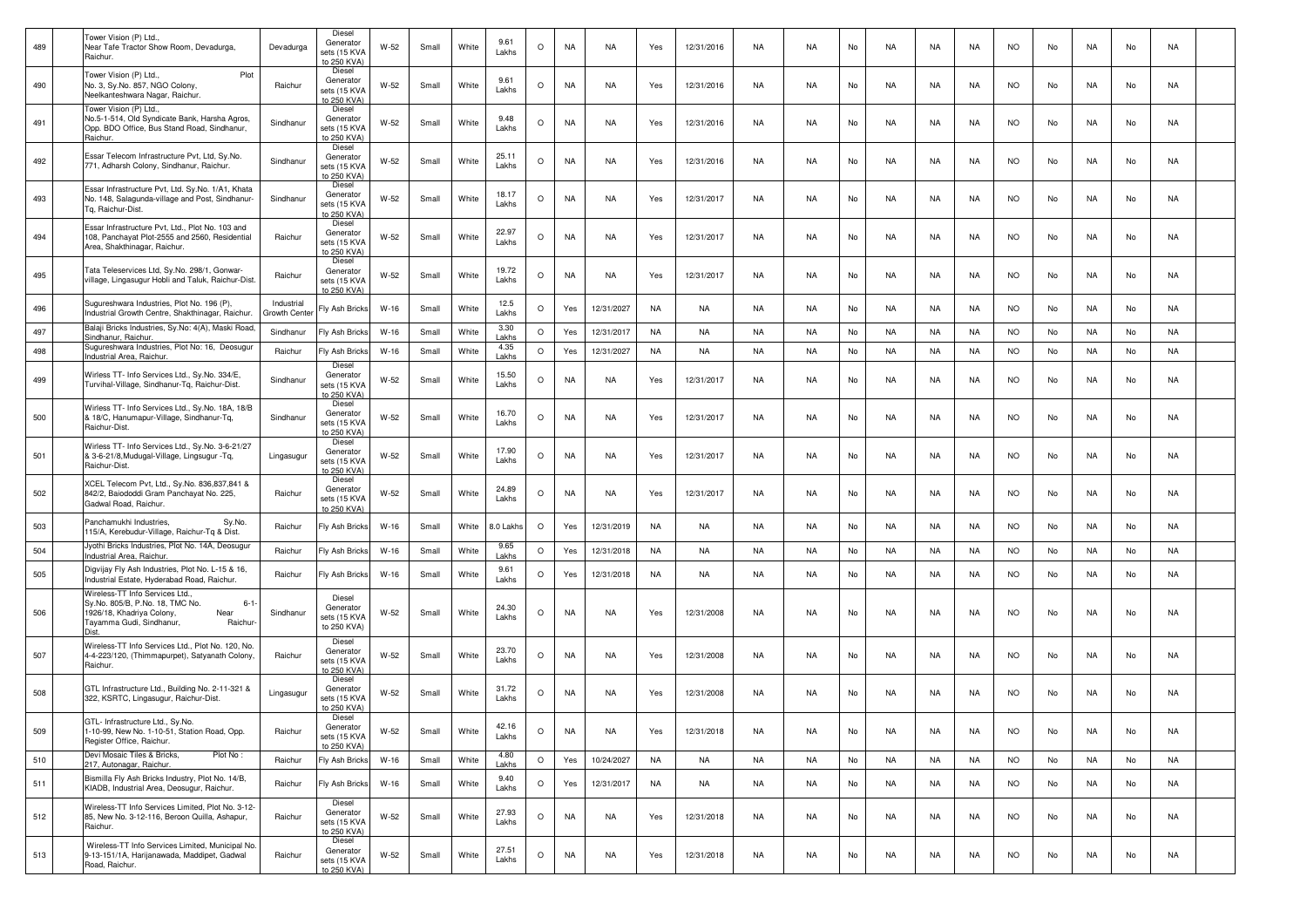| 489 | Tower Vision (P) Ltd.,<br>Near Tafe Tractor Show Room, Devadurga,<br>Raichur.                                                                             | Devadurga                  | Diesel<br>Generator<br>sets (15 KVA<br>to 250 KVA) | W-52   | Small | White | 9.61<br>Lakhs  | $\circ$ | <b>NA</b> | NA         | Yes       | 12/31/2016 | NA        | NA.       | No | NA        | NA        | NA        | <b>NO</b> | No | NA        | No | NA        |  |
|-----|-----------------------------------------------------------------------------------------------------------------------------------------------------------|----------------------------|----------------------------------------------------|--------|-------|-------|----------------|---------|-----------|------------|-----------|------------|-----------|-----------|----|-----------|-----------|-----------|-----------|----|-----------|----|-----------|--|
| 490 | Tower Vision (P) Ltd.,<br>Plot<br>No. 3, Sy.No. 857, NGO Colony,<br>Neelkanteshwara Nagar, Raichur.                                                       | Raichur                    | Diesel<br>Generator<br>sets (15 KVA<br>to 250 KVA) | W-52   | Small | White | 9.61<br>Lakhs  | $\circ$ | <b>NA</b> | NA         | Yes       | 12/31/2016 | NA        | NA.       | No | NA        | NA        | NA        | <b>NO</b> | No | NA        | No | NA        |  |
| 491 | Tower Vision (P) Ltd.<br>No.5-1-514, Old Syndicate Bank, Harsha Agros,<br>Opp. BDO Office, Bus Stand Road, Sindhanur,<br>Raichur.                         | Sindhanur                  | Diesel<br>Generator<br>sets (15 KVA<br>to 250 KVA) | $W-52$ | Small | White | 9.48<br>Lakhs  | $\circ$ | <b>NA</b> | NA         | Yes       | 12/31/2016 | NA        | <b>NA</b> | No | NA        | NA        | NA        | <b>NO</b> | No | NA        | No | NA        |  |
| 492 | Essar Telecom Infrastructure Pvt, Ltd, Sy.No.<br>771, Adharsh Colony, Sindhanur, Raichur.                                                                 | Sindhanur                  | Diesel<br>Generator<br>sets (15 KVA<br>to 250 KVA) | W-52   | Small | White | 25.11<br>Lakhs | $\circ$ | <b>NA</b> | NA         | Yes       | 12/31/2016 | NA        | NA        | No | NA        | NA        | NA        | <b>NO</b> | No | NA        | No | NA        |  |
| 493 | Essar Infrastructure Pvt, Ltd. Sy.No. 1/A1, Khata<br>No. 148, Salagunda-village and Post, Sindhanur-<br>Ta. Raichur-Dist.                                 | Sindhanur                  | Diesel<br>Generator<br>sets (15 KVA<br>to 250 KVA) | W-52   | Small | White | 18.17<br>Lakhs | $\circ$ | NA        | NA         | Yes       | 12/31/2017 | NA        | NA        | No | NA        | NA        | NA        | <b>NO</b> | No | NA        | No | NA        |  |
| 494 | Essar Infrastructure Pvt, Ltd., Plot No. 103 and<br>108, Panchayat Plot-2555 and 2560, Residential<br>Area, Shakthinagar, Raichur.                        | Raichur                    | Diesel<br>Generator<br>sets (15 KVA<br>to 250 KVA) | $W-52$ | Small | White | 22.97<br>Lakhs | O       | <b>NA</b> | NA         | Yes       | 12/31/2017 | NA        | NA        | No | NA        | NA        | NA        | <b>NO</b> | No | NA        | No | NA        |  |
| 495 | Tata Teleservices Ltd, Sy.No. 298/1, Gonwar-<br>village, Lingasugur Hobli and Taluk, Raichur-Dist.                                                        | Raichur                    | Diesel<br>Generator<br>sets (15 KVA<br>to 250 KVA) | W-52   | Small | White | 19.72<br>Lakhs | O       | <b>NA</b> | NA         | Yes       | 12/31/2017 | NA        | NA        | No | NA        | NA        | NA        | <b>NO</b> | No | NA        | No | NA        |  |
| 496 | Sugureshwara Industries, Plot No. 196 (P).<br>Industrial Growth Centre, Shakthinagar, Raichur.                                                            | Industrial<br>Growth Cente | Fly Ash Bricks                                     | $W-16$ | Small | White | 12.5<br>Lakhs  | $\circ$ | Yes       | 12/31/2027 | <b>NA</b> | NA         | NA        | NA.       | No | NA        | NA        | NA        | <b>NO</b> | No | NA        | No | <b>NA</b> |  |
| 497 | Balaji Bricks Industries, Sy.No: 4(A), Maski Road,<br>Sindhanur, Raichur,                                                                                 | Sindhanur                  | Fly Ash Bricks                                     | $W-16$ | Small | White | 3.30<br>Lakhs  | $\circ$ | Yes       | 12/31/2017 | <b>NA</b> | NA         | <b>NA</b> | <b>NA</b> | No | <b>NA</b> | NA        | NA        | <b>NO</b> | No | NA        | No | <b>NA</b> |  |
| 498 | Sugureshwara Industries, Plot No: 16, Deosugur<br>Industrial Area, Raichur.                                                                               | Raichur                    | Fly Ash Bricks                                     | $W-16$ | Small | White | 4.35<br>I akhs | $\circ$ | Yes       | 12/31/2027 | <b>NA</b> | NA         | <b>NA</b> | <b>NA</b> | No | <b>NA</b> | <b>NA</b> | <b>NA</b> | <b>NO</b> | No | NA        | No | <b>NA</b> |  |
| 499 | Wirless TT- Info Services Ltd., Sy.No. 334/E,<br>Turvihal-Village, Sindhanur-Tq, Raichur-Dist.                                                            | Sindhanur                  | Diesel<br>Generator<br>sets (15 KVA<br>o 250 KVA)  | $W-52$ | Small | White | 15.50<br>Lakhs | $\circ$ | <b>NA</b> | NA         | Yes       | 12/31/2017 | NA        | <b>NA</b> | No | NA        | NA        | NA        | <b>NO</b> | No | NA        | No | NA        |  |
| 500 | Wirless TT- Info Services Ltd., Sy.No. 18A, 18/B<br>18/C, Hanumapur-Village, Sindhanur-Tq,<br>Raichur-Dist.                                               | Sindhanur                  | Diesel<br>Generator<br>sets (15 KVA<br>to 250 KVA) | W-52   | Small | White | 16.70<br>Lakhs | $\circ$ | <b>NA</b> | NA         | Yes       | 12/31/2017 | NA        | NA        | No | NA        | NA        | NA        | <b>NO</b> | No | NA        | No | NA        |  |
| 501 | Wirless TT- Info Services Ltd., Sy.No. 3-6-21/27<br>3-6-21/8, Mudugal-Village, Lingsugur - Tq,<br>Raichur-Dist.                                           | Lingasugur                 | Diesel<br>Generator<br>sets (15 KVA<br>to 250 KVA) | $W-52$ | Small | White | 17.90<br>Lakhs | $\circ$ | NA        | NA         | Yes       | 12/31/2017 | <b>NA</b> | NA        | No | <b>NA</b> | <b>NA</b> | NA        | <b>NO</b> | No | <b>NA</b> | No | NA        |  |
| 502 | XCEL Telecom Pvt, Ltd., Sy.No. 836,837,841 &<br>842/2, Baiododdi Gram Panchayat No. 225,<br>Gadwal Road, Raichur.                                         | Raichur                    | Diesel<br>Generator<br>sets (15 KVA<br>to 250 KVA) | $W-52$ | Small | White | 24.89<br>Lakhs | $\circ$ | <b>NA</b> | NA         | Yes       | 12/31/2017 | NA        | <b>NA</b> | No | NA        | NA        | NA        | <b>NO</b> | No | NA        | No | NA        |  |
| 503 | Panchamukhi Industries,<br>Sy.No.<br>115/A, Kerebudur-Village, Raichur-Tq & Dist.                                                                         | Raichur                    | Fly Ash Bricks                                     | $W-16$ | Small | White | 8.0 Lakhs      | $\circ$ | Yes       | 12/31/2019 | NA        | NA         | NA        | <b>NA</b> | No | NA        | NA        | NA        | <b>NO</b> | No | NA        | No | NA        |  |
| 504 | Jyothi Bricks Industries, Plot No. 14A, Deosugur<br>Industrial Area, Raichur                                                                              | Raichur                    | Fly Ash Bricks                                     | $W-16$ | Small | White | 9.65<br>Lakhs  | $\circ$ | Yes       | 12/31/2018 | NA        | NA         | NA        | <b>NA</b> | No | NA        | NA        | NA        | <b>NO</b> | No | NA        | No | NA        |  |
| 505 | Digvijay Fly Ash Industries, Plot No. L-15 & 16,<br>Industrial Estate, Hyderabad Road, Raichur.                                                           | Raichur                    | Fly Ash Bricks                                     | $W-16$ | Small | White | 9.61<br>Lakhs  | $\circ$ | Yes       | 12/31/2018 | NA        | <b>NA</b>  | <b>NA</b> | <b>NA</b> | No | <b>NA</b> | NA        | NA        | <b>NO</b> | No | <b>NA</b> | No | NA        |  |
| 506 | Wireless-TT Info Services Ltd.<br>Sy.No. 805/B, P.No. 18, TMC No.<br>$6 - 1$<br>1926/18, Khadriya Colony,<br>Near<br>Tayamma Gudi, Sindhanur,<br>Raichur- | Sindhanur                  | Diesel<br>Generator<br>sets (15 KVA<br>to 250 KVA) | W-52   | Small | White | 24.30<br>Lakhs | $\circ$ | <b>NA</b> | NA         | Yes       | 12/31/2008 | NA        | NA        | No | NA        | NA        | NA        | <b>NO</b> | No | NA        | No | NA        |  |
| 507 | Wireless-TT Info Services Ltd., Plot No. 120, No.<br>4-4-223/120, (Thimmapurpet), Satyanath Colony,<br>Raichur.                                           | Raichur                    | Diesel<br>Generator<br>sets (15 KVA<br>to 250 KVA) | W-52   | Small | White | 23.70<br>Lakhs | O       | <b>NA</b> | NA         | Yes       | 12/31/2008 | NA        | NA        | No | NA        | NA        | NA        | <b>NO</b> | No | NA        | No | NA        |  |
| 508 | GTL Infrastructure Ltd., Building No. 2-11-321 &<br>322, KSRTC, Lingasugur, Raichur-Dist                                                                  | Lingasugur                 | Diesel<br>Generator<br>sets (15 KVA<br>to 250 KVA) | $W-52$ | Small | White | 31.72<br>Lakhs | $\circ$ | NA        | NA         | Yes       | 12/31/2008 | <b>NA</b> | <b>NA</b> | No | <b>NA</b> | <b>NA</b> | NA        | <b>NO</b> | No | <b>NA</b> | No | NA        |  |
| 509 | GTL- Infrastructure Ltd., Sy.No.<br>1-10-99, New No. 1-10-51, Station Road, Opp.<br>Register Office, Raichur.                                             | Raichur                    | Diesel<br>Generator<br>sets (15 KVA<br>to 250 KVA) | $W-52$ | Small | White | 42.16<br>Lakhs | $\circ$ | <b>NA</b> | <b>NA</b>  | Yes       | 12/31/2018 | NA        | NA        | No | NA        | NA        | <b>NA</b> | <b>NO</b> | No | NA        | No | NA        |  |
| 510 | Devi Mosaic Tiles & Bricks,<br>Plot No:<br>217, Autonagar, Raichur.                                                                                       | Raichur                    | Fly Ash Bricks                                     | $W-16$ | Small | White | 4.80<br>Lakhs  | $\circ$ | Yes       | 10/24/2027 | <b>NA</b> | <b>NA</b>  | <b>NA</b> | <b>NA</b> | No | <b>NA</b> | NA        | <b>NA</b> | <b>NO</b> | No | NA        | No | <b>NA</b> |  |
| 511 | Bismilla Fly Ash Bricks Industry, Plot No. 14/B,<br>KIADB, Industrial Area, Deosugur, Raichur.                                                            | Raichur                    | Fly Ash Bricks                                     | $W-16$ | Small | White | 9.40<br>Lakhs  | $\circ$ | Yes       | 12/31/2017 | NA        | NA         | NA        | NA        | No | NA        | NA        | NA        | <b>NO</b> | No | NA        | No | NA        |  |
| 512 | Wireless-TT Info Services Limited, Plot No. 3-12-<br>85, New No. 3-12-116, Beroon Quilla, Ashapur,<br>Raichur.                                            | Raichur                    | Diesel<br>Generator<br>sets (15 KVA<br>to 250 KVA) | W-52   | Small | White | 27.93<br>Lakhs | $\circ$ | <b>NA</b> | NA         | Yes       | 12/31/2018 | NA        | NA        | No | <b>NA</b> | NA        | NA        | <b>NO</b> | No | NA        | No | NA        |  |
| 513 | Wireless-TT Info Services Limited, Municipal No.<br>9-13-151/1A, Harijanawada, Maddipet, Gadwal<br>Road, Raichur.                                         | Raichur                    | Diesel<br>Generator<br>sets (15 KVA<br>to 250 KVA) | W-52   | Small | White | 27.51<br>Lakhs | $\circ$ | <b>NA</b> | NA         | Yes       | 12/31/2018 | NA        | NA        | No | <b>NA</b> | NA        | NA        | <b>NO</b> | No | NA        | No | NA        |  |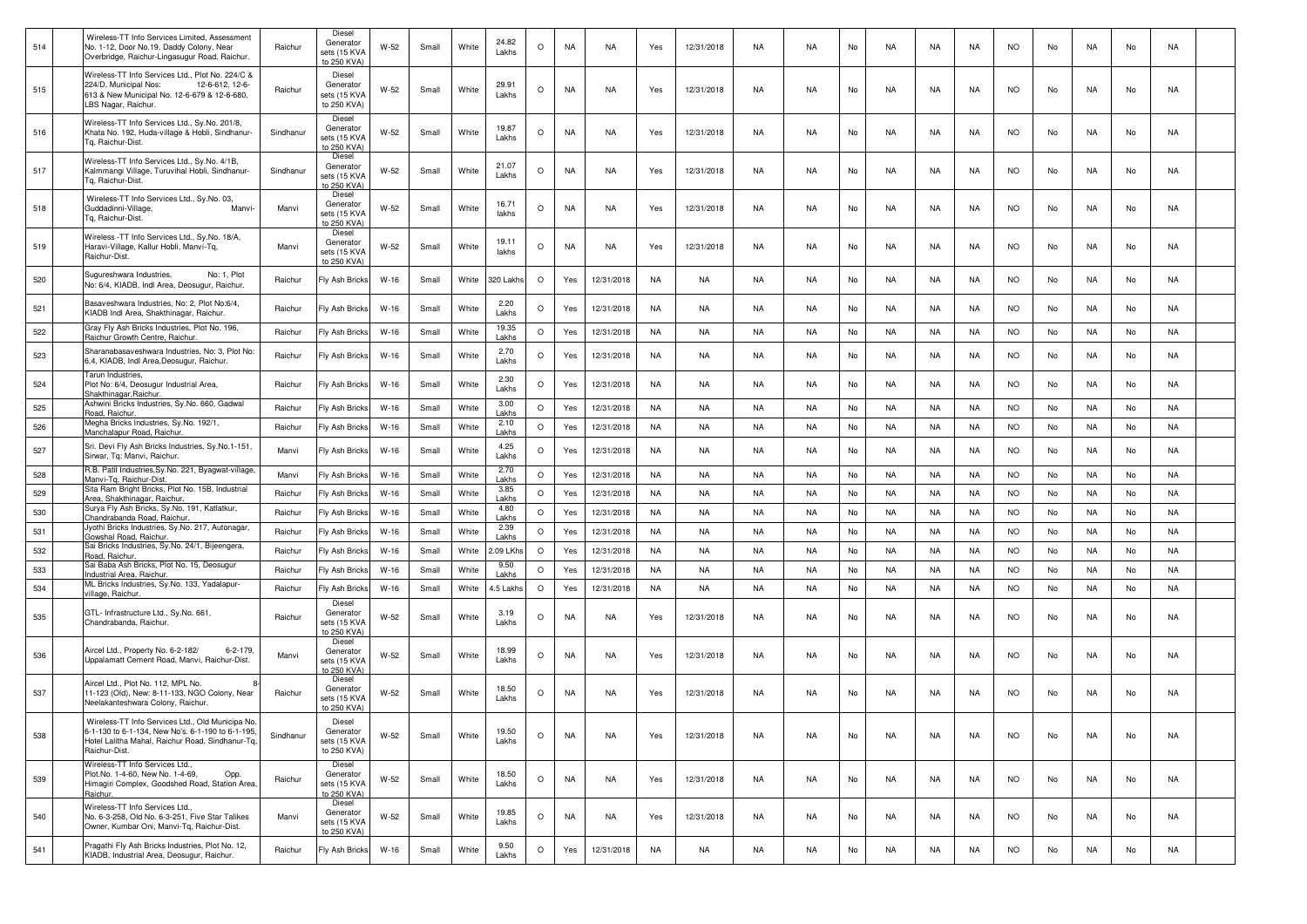| 514 | Wireless-TT Info Services Limited, Assessment<br>No. 1-12, Door No.19, Daddy Colony, Near<br>Overbridge, Raichur-Lingasugur Road, Raichur.                                 | Raichur   | Diesel<br>Generator<br>sets (15 KVA<br>to 250 KVA) | W-52   | Small | White | 24.82<br>Lakhs | $\circ$ | NA        | NA         | Yes       | 12/31/2018 | NA        | NA.       | No | NA        | NA        | NA.       | NO.       | No | NA        | No | NA        |  |
|-----|----------------------------------------------------------------------------------------------------------------------------------------------------------------------------|-----------|----------------------------------------------------|--------|-------|-------|----------------|---------|-----------|------------|-----------|------------|-----------|-----------|----|-----------|-----------|-----------|-----------|----|-----------|----|-----------|--|
| 515 | Wireless-TT Info Services Ltd., Plot No. 224/C &<br>224/D, Municipal Nos:<br>12-6-612. 12-6-<br>613 & New Municipal No. 12-6-679 & 12-6-680,<br>LBS Nagar, Raichur.        | Raichur   | Diesel<br>Generator<br>sets (15 KVA<br>to 250 KVA) | W-52   | Small | White | 29.91<br>Lakhs | $\circ$ | <b>NA</b> | NA         | Yes       | 12/31/2018 | NA        | <b>NA</b> | No | NA        | NA        | NA        | <b>NO</b> | No | NA        | No | NA        |  |
| 516 | Wireless-TT Info Services Ltd., Sy.No. 201/8,<br>Khata No. 192, Huda-village & Hobli, Sindhanur-<br>Tg, Raichur-Dist.                                                      | Sindhanur | Diesel<br>Generator<br>sets (15 KVA<br>to 250 KVA) | $W-52$ | Small | White | 19.87<br>Lakhs | $\circ$ | <b>NA</b> | NA         | Yes       | 12/31/2018 | NA        | <b>NA</b> | No | NA        | NA        | NA.       | <b>NO</b> | No | NA        | No | NA        |  |
| 517 | Wireless-TT Info Services Ltd., Sy.No. 4/1B,<br>Kalmmangi Village, Turuvihal Hobli, Sindhanur-<br><b>Tg. Raichur-Dist.</b>                                                 | Sindhanur | Diesel<br>Generator<br>sets (15 KVA<br>o 250 KVA)  | W-52   | Small | White | 21.07<br>Lakhs | $\circ$ | <b>NA</b> | NA         | Yes       | 12/31/2018 | NA        | <b>NA</b> | No | NA        | NA        | NA.       | <b>NO</b> | No | NA        | No | NA        |  |
| 518 | Wireless-TT Info Services Ltd., Sy.No. 03,<br>Guddadinni-Village,<br>Manvi-<br>Tg, Raichur-Dist.                                                                           | Manvi     | Diesel<br>Generator<br>sets (15 KVA<br>to 250 KVA) | W-52   | Small | White | 16.71<br>lakhs | $\circ$ | NA        | NA         | Yes       | 12/31/2018 | <b>NA</b> | <b>NA</b> | No | <b>NA</b> | NA        | <b>NA</b> | <b>NO</b> | No | NA        | No | NA        |  |
| 519 | Wireless - TT Info Services Ltd., Sy.No. 18/A,<br>Haravi-Village, Kallur Hobli, Manvi-Tq,<br>Raichur-Dist.                                                                 | Manvi     | Diesel<br>Generator<br>sets (15 KVA<br>to 250 KVA) | $W-52$ | Small | White | 19.11<br>lakhs | $\circ$ | <b>NA</b> | NA         | Yes       | 12/31/2018 | NA        | <b>NA</b> | No | NA        | NA        | NA        | <b>NO</b> | No | NA        | No | NA        |  |
| 520 | No: 1, Plot<br>Sugureshwara Industries,<br>No: 6/4, KIADB, Indl Area, Deosugur, Raichur.                                                                                   | Raichur   | Fly Ash Bricks                                     | $W-16$ | Small | White | 320 Lakhs      | $\circ$ | Yes       | 12/31/2018 | NA        | NA         | NA        | NA.       | No | NA        | NA        | NA        | NO.       | No | NA        | No | NA        |  |
| 521 | Basaveshwara Industries, No: 2, Plot No:6/4,<br>KIADB Indl Area, Shakthinagar, Raichur.                                                                                    | Raichur   | Fly Ash Bricks                                     | W-16   | Small | White | 2.20<br>Lakhs  | $\circ$ | Yes       | 12/31/2018 | NA        | NA         | NA        | NA.       | No | NA        | NA        | NA.       | <b>NO</b> | No | NA        | No | NA        |  |
| 522 | Gray Fly Ash Bricks Industries, Plot No. 196,<br>Raichur Growth Centre, Raichur                                                                                            | Raichur   | Fly Ash Bricks                                     | $W-16$ | Small | White | 19.35<br>Lakhs | $\circ$ | Yes       | 12/31/2018 | NA        | NA         | <b>NA</b> | <b>NA</b> | No | <b>NA</b> | <b>NA</b> | NA        | <b>NO</b> | No | NA        | No | <b>NA</b> |  |
| 523 | Sharanabasaveshwara Industries, No: 3, Plot No:<br>6,4, KIADB, Indl Area,Deosugur, Raichur.                                                                                | Raichur   | Fly Ash Bricks                                     | $W-16$ | Small | White | 2.70<br>Lakhs  | $\circ$ | Yes       | 12/31/2018 | NA        | NA         | NA        | <b>NA</b> | No | <b>NA</b> | NA        | <b>NA</b> | <b>NO</b> | No | NA        | No | NA        |  |
| 524 | Tarun Industries,<br>Plot No: 6/4, Deosugur Industrial Area,<br>Shakthinagar, Raichur.                                                                                     | Raichur   | Fly Ash Bricks                                     | W-16   | Small | White | 2.30<br>Lakhs  | $\circ$ | Yes       | 12/31/2018 | NA        | NA         | NA        | NA.       | No | NA        | NA        | NA        | <b>NO</b> | No | NA        | No | NA        |  |
| 525 | Ashwini Bricks Industries, Sy.No. 660, Gadwal<br>Road, Raichur                                                                                                             | Raichur   | Fly Ash Bricks                                     | $W-16$ | Small | White | 3.00<br>Lakhs  | $\circ$ | Yes       | 12/31/2018 | NA        | NA         | NA        | NA.       | No | NA        | NA        | NA        | <b>NO</b> | No | NA        | No | NA        |  |
| 526 | Megha Bricks Industries, Sy.No. 192/1,<br>Manchalapur Road, Raichur.                                                                                                       | Raichur   | Fly Ash Bricks                                     | $W-16$ | Small | White | 2.10<br>Lakhs  | $\circ$ | Yes       | 12/31/2018 | NA        | NA         | NA        | <b>NA</b> | No | NA        | NA        | NA        | <b>NO</b> | No | NA        | No | NA        |  |
| 527 | Sri. Devi Fly Ash Bricks Industries, Sy.No.1-151,<br>Sirwar, Tg: Manvi, Raichur.                                                                                           | Manvi     | Fly Ash Bricks                                     | $W-16$ | Small | White | 4.25<br>Lakhs  | $\circ$ | Yes       | 12/31/2018 | <b>NA</b> | <b>NA</b>  | <b>NA</b> | <b>NA</b> | No | <b>NA</b> | NA        | <b>NA</b> | <b>NO</b> | No | <b>NA</b> | No | NA        |  |
| 528 | R.B. Patil Industries, Sy.No. 221, Byagwat-village,<br>Manvi-Tg, Raichur-Dist                                                                                              | Manvi     | Fly Ash Bricks                                     | $W-16$ | Small | White | 2.70<br>Lakhs  | $\circ$ | Yes       | 12/31/2018 | <b>NA</b> | NA         | NA        | <b>NA</b> | No | NA        | <b>NA</b> | NA        | <b>NO</b> | No | NA        | No | <b>NA</b> |  |
| 529 | Sita Ram Bright Bricks, Plot No. 15B, Industrial<br>Area, Shakthinagar, Raichur                                                                                            | Raichur   | Fly Ash Bricks                                     | $W-16$ | Small | White | 3.85<br>Lakhs  | $\circ$ | Yes       | 12/31/2018 | NA        | NA         | NA        | <b>NA</b> | No | NA        | NA        | NA        | <b>NO</b> | No | NA        | No | <b>NA</b> |  |
| 530 | Surya Fly Ash Bricks, Sy.No. 191, Katlatkur,<br>Chandrabanda Road, Raichur                                                                                                 | Raichur   | Fly Ash Bricks                                     | $W-16$ | Small | White | 4.80<br>Lakhs  | $\circ$ | Yes       | 12/31/2018 | NA        | NA         | NA        | NA.       | No | NA        | NA        | NA        | <b>NO</b> | No | NA        | No | NA        |  |
| 531 | Jyothi Bricks Industries, Sy.No. 217, Autonagar,<br>Gowshal Road, Raichur.                                                                                                 | Raichur   | Fly Ash Bricks                                     | $W-16$ | Small | White | 2.39<br>Lakhs  | $\circ$ | Yes       | 12/31/2018 | NA        | NA         | NA        | <b>NA</b> | No | NA        | NA        | NA        | <b>NO</b> | No | NA        | No | NA        |  |
| 532 | Sai Bricks Industries, Sy.No. 24/1, Bijeengera,<br>Road, Raichur.                                                                                                          | Raichur   | Fly Ash Bricks                                     | $W-16$ | Small | White | .09 LKhs       | $\circ$ | Yes       | 12/31/2018 | NA        | NA         | NA        | <b>NA</b> | No | NA        | NA        | NA        | <b>NO</b> | No | NA        | No | NA        |  |
| 533 | Sai Baba Ash Bricks, Plot No. 15, Deosugur<br><u>Industrial Area, Raichur</u>                                                                                              | Raichur   | Fly Ash Bricks                                     | $W-16$ | Small | White | 9.50<br>Lakhs  | $\circ$ | Yes       | 12/31/2018 | NA        | NA         | <b>NA</b> | <b>NA</b> | No | <b>NA</b> | NA        | NA        | <b>NO</b> | No | NA        | No | NA        |  |
| 534 | ML Bricks Industries, Sy.No. 133, Yadalapur-<br>illage, Raichur.                                                                                                           | Raichur   | Fly Ash Bricks                                     | $W-16$ | Small | White | 1.5 Lakhs      | $\circ$ | Yes       | 12/31/2018 | <b>NA</b> | NA         | NA        | <b>NA</b> | No | NA        | NA        | NA        | <b>NO</b> | No | NA        | No | NA        |  |
| 535 | GTL- Infrastructure Ltd., Sy.No. 661,<br>Chandrabanda, Raichur                                                                                                             | Raichur   | Diesel<br>Generator<br>sets (15 KVA<br>to 250 KVA) | W-52   | Small | White | 3.19<br>Lakhs  | $\circ$ | NA        | NA         | Yes       | 12/31/2018 | NA        | NA.       | No | NA        | NA        | NA        | <b>NO</b> | No | NA        | No | NA        |  |
| 536 | Aircel Ltd., Property No. 6-2-182/<br>$6 - 2 - 179$ ,<br>Jppalamatt Cement Road, Manvi, Raichur-Dist.                                                                      | Manvi     | Diesel<br>Generator<br>sets (15 KVA<br>to 250 KVA) | W-52   | Small | White | 18.99<br>Lakhs | $\circ$ | NA        | NA         | Yes       | 12/31/2018 | NA        | <b>NA</b> | No | NA        | NA        | NA        | <b>NO</b> | No | NA        | No | NA        |  |
| 537 | Aircel Ltd., Plot No. 112, MPL No.<br>11-123 (Old), New: 8-11-133, NGO Colony, Near<br>Neelakanteshwara Colony, Raichur                                                    | Raichur   | Diesel<br>Generator<br>sets (15 KVA<br>to 250 KVA) | W-52   | Small | White | 18.50<br>Lakhs | $\circ$ | NA        | NA         | Yes       | 12/31/2018 | <b>NA</b> | <b>NA</b> | No | <b>NA</b> | NA        | <b>NA</b> | <b>NO</b> | No | <b>NA</b> | No | NA        |  |
| 538 | Wireless-TT Info Services Ltd., Old Municipa No.<br>6-1-130 to 6-1-134, New No's. 6-1-190 to 6-1-195,<br>Hotel Lalitha Mahal, Raichur Road, Sindhanur-Tq.<br>Raichur-Dist. | Sindhanur | Diesel<br>Generator<br>sets (15 KVA<br>to 250 KVA) | W-52   | Small | White | 19.50<br>Lakhs | $\circ$ | <b>NA</b> | NA         | Yes       | 12/31/2018 | NA        | <b>NA</b> | No | NA        | NA        | NA        | <b>NO</b> | No | NA        | No | NA        |  |
| 539 | Wireless-TT Info Services Ltd<br>Plot.No. 1-4-60, New No. 1-4-69,<br>Opp.<br>Himagiri Complex, Goodshed Road, Station Area.<br>Raichur.                                    | Raichur   | Diesel<br>Generator<br>sets (15 KVA<br>to 250 KVA) | W-52   | Small | White | 18.50<br>Lakhs | $\circ$ | NA        | NA         | Yes       | 12/31/2018 | NA        | <b>NA</b> | No | NA        | NA        | NA        | <b>NO</b> | No | NA        | No | NA        |  |
| 540 | Wireless-TT Info Services Ltd.,<br>No. 6-3-258, Old No. 6-3-251, Five Star Talikes<br>Owner, Kumbar Oni, Manvi-Tq, Raichur-Dist.                                           | Manvi     | Diesel<br>Generator<br>sets (15 KVA<br>to 250 KVA) | W-52   | Small | White | 19.85<br>Lakhs | $\circ$ | NA        | NA         | Yes       | 12/31/2018 | NA        | NA        | No | NA        | NA        | NA        | <b>NO</b> | No | NA        | No | NA        |  |
| 541 | Pragathi Fly Ash Bricks Industries, Plot No. 12,<br>KIADB, Industrial Area, Deosugur, Raichur.                                                                             | Raichur   | Fly Ash Bricks                                     | $W-16$ | Small | White | 9.50<br>Lakhs  | $\circ$ | Yes       | 12/31/2018 | <b>NA</b> | NA         | NA        | NA        | No | NA        | NA        | NA        | <b>NO</b> | No | NA        | No | NA        |  |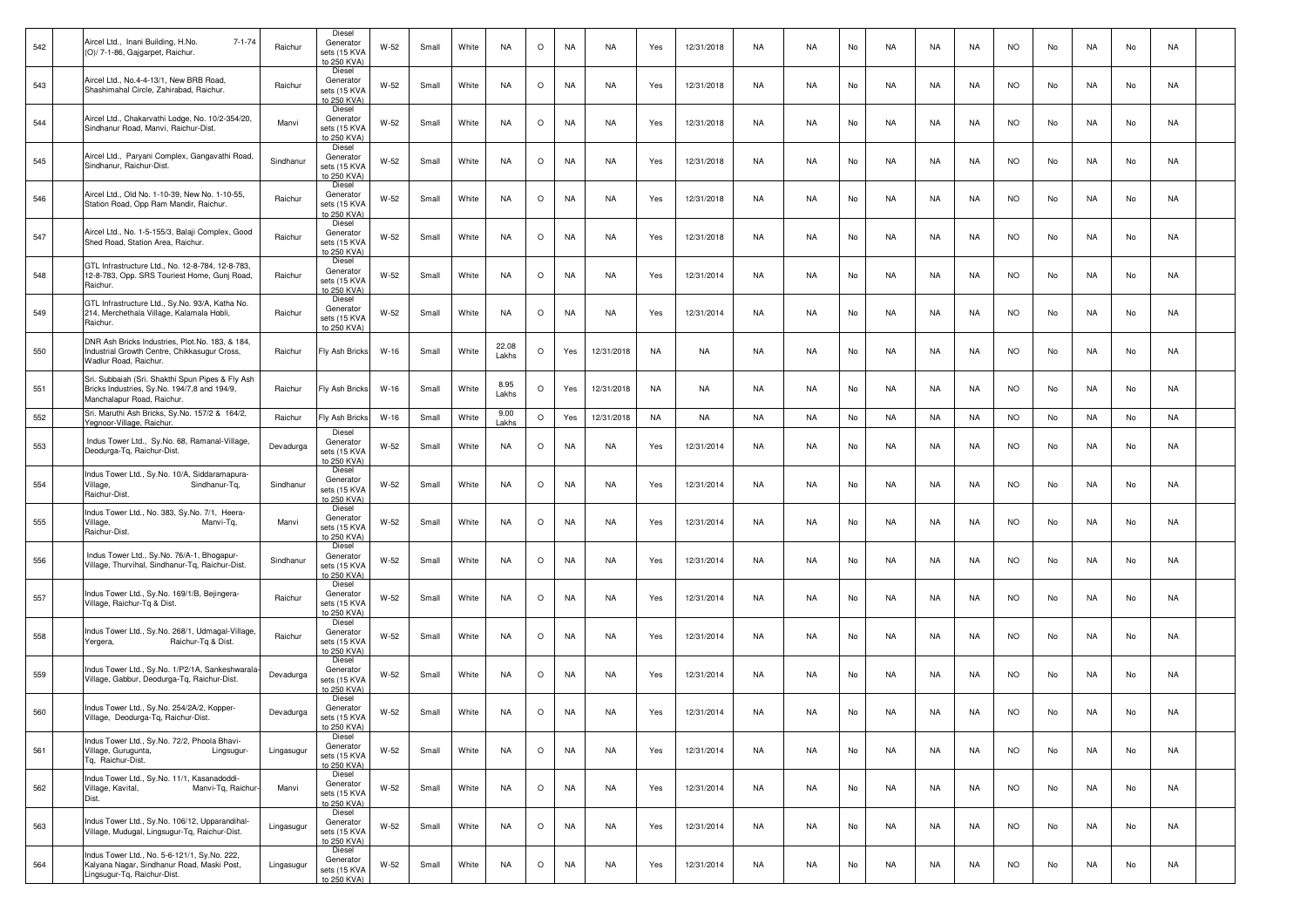| 542 | Aircel Ltd., Inani Building, H.No.<br>$7 - 1 - 74$<br>(O)/ 7-1-86, Gajgarpet, Raichur.                                         | Raichur    | Diesel<br>Generator<br>sets (15 KVA<br>to 250 KVA) | W-52   | Small | White | <b>NA</b>      | $\circ$ | NA        | NA         | Yes | 12/31/2018 | NA        | NA.       | No | NA | NA        | NA        | <b>NO</b> | No | NA  | No | NA |  |
|-----|--------------------------------------------------------------------------------------------------------------------------------|------------|----------------------------------------------------|--------|-------|-------|----------------|---------|-----------|------------|-----|------------|-----------|-----------|----|----|-----------|-----------|-----------|----|-----|----|----|--|
| 543 | Aircel Ltd., No.4-4-13/1, New BRB Road,<br>Shashimahal Circle, Zahirabad, Raichur.                                             | Raichur    | Diesel<br>Generator<br>sets (15 KVA<br>to 250 KVA) | W-52   | Small | White | <b>NA</b>      | $\circ$ | <b>NA</b> | NA         | Yes | 12/31/2018 | NA        | <b>NA</b> | No | NA | NA        | <b>NA</b> | <b>NO</b> | No | NA  | No | NA |  |
| 544 | Aircel Ltd., Chakarvathi Lodge, No. 10/2-354/20,<br>Sindhanur Road, Manvi, Raichur-Dist.                                       | Manvi      | Diesel<br>Generator<br>sets (15 KVA<br>to 250 KVA) | W-52   | Small | White | NA             | $\circ$ | NA        | NA         | Yes | 12/31/2018 | NA        | NA.       | No | NA | NA        | NA        | NO.       | No | NA  | No | NA |  |
| 545 | Aircel Ltd., Paryani Complex, Gangavathi Road,<br>Sindhanur, Raichur-Dist.                                                     | Sindhanur  | Diesel<br>Generator<br>sets (15 KVA<br>to 250 KVA) | W-52   | Small | White | NA             | $\circ$ | NA        | NA         | Yes | 12/31/2018 | NA.       | <b>NA</b> | No | NA | NA        | NA        | <b>NO</b> | No | NA  | No | NA |  |
| 546 | Aircel Ltd., Old No. 1-10-39, New No. 1-10-55,<br>Station Road, Opp Ram Mandir, Raichur.                                       | Raichur    | Diesel<br>Generator<br>sets (15 KVA<br>to 250 KVA) | W-52   | Small | White | NA             | $\circ$ | NA        | NA         | Yes | 12/31/2018 | NA        | <b>NA</b> | No | NA | NA        | <b>NA</b> | <b>NO</b> | No | NA. | No | NA |  |
| 547 | Aircel Ltd., No. 1-5-155/3, Balaji Complex, Good<br>Shed Road, Station Area, Raichur.                                          | Raichur    | Diesel<br>Generator<br>sets (15 KVA<br>to 250 KVA) | W-52   | Small | White | <b>NA</b>      | $\circ$ | NA        | NA         | Yes | 12/31/2018 | NA        | NA.       | No | NA | NA        | NA.       | NO.       | No | NA  | No | NA |  |
| 548 | GTL Infrastructure Ltd., No. 12-8-784, 12-8-783,<br>12-8-783, Opp. SRS Touriest Home, Gunj Road,<br>Raichur.                   | Raichur    | Diesel<br>Generator<br>sets (15 KVA<br>to 250 KVA) | W-52   | Small | White | <b>NA</b>      | $\circ$ | NA        | NA         | Yes | 12/31/2014 | NA        | <b>NA</b> | No | NA | NA        | NA        | <b>NO</b> | No | NA  | No | NA |  |
| 549 | GTL Infrastructure Ltd., Sy.No. 93/A, Katha No.<br>214, Merchethala Village, Kalamala Hobli,<br>Raichur.                       | Raichur    | Diesel<br>Generator<br>sets (15 KVA<br>to 250 KVA) | W-52   | Small | White | <b>NA</b>      | $\circ$ | NA        | NA         | Yes | 12/31/2014 | NA        | NA        | No | NA | NA        | NA        | <b>NO</b> | No | NA  | No | NA |  |
| 550 | DNR Ash Bricks Industries, Plot.No. 183, & 184,<br>Industrial Growth Centre, Chikkasugur Cross,<br>Wadlur Road, Raichur.       | Raichur    | Fly Ash Bricks                                     | W-16   | Small | White | 22.08<br>Lakhs | $\circ$ | Yes       | 12/31/2018 | NA  | NA         | NA        | NA        | No | NA | NA        | NA        | <b>NO</b> | No | NA  | No | NA |  |
| 551 | Sri. Subbaiah (Sri. Shakthi Spun Pipes & Fly Ash<br>Bricks Industries, Sy.No. 194/7,8 and 194/9,<br>Manchalapur Road, Raichur. | Raichur    | Fly Ash Bricks                                     | $W-16$ | Small | White | 8.95<br>Lakhs  | O       | Yes       | 12/31/2018 | NA  | NA         | NA        | <b>NA</b> | No | NA | NA        | NA        | <b>NO</b> | No | NA  | No | NA |  |
| 552 | Sri. Maruthi Ash Bricks, Sy.No. 157/2 & 164/2,<br>Yegnoor-Village, Raichur.                                                    | Raichur    | Fly Ash Bricks                                     | $W-16$ | Small | White | 9.00<br>Lakhs  | $\circ$ | Yes       | 12/31/2018 | NA  | NA         | <b>NA</b> | <b>NA</b> | No | NA | NA        | NA        | <b>NO</b> | No | NA  | No | NA |  |
| 553 | Indus Tower Ltd., Sy.No. 68, Ramanal-Village,<br>Deodurga-Tq, Raichur-Dist.                                                    | Devadurga  | Diesel<br>Generator<br>sets (15 KVA<br>to 250 KVA) | W-52   | Small | White | <b>NA</b>      | $\circ$ | <b>NA</b> | NA         | Yes | 12/31/2014 | NA        | NA        | No | NA | NA        | NA.       | <b>NO</b> | No | NA  | No | NA |  |
| 554 | Indus Tower Ltd., Sy.No. 10/A, Siddaramapura-<br>Village,<br>Sindhanur-Tq,<br>Raichur-Dist.                                    | Sindhanur  | Diesel<br>Generator<br>sets (15 KVA<br>to 250 KVA) | W-52   | Small | White | <b>NA</b>      | $\circ$ | NA        | NA         | Yes | 12/31/2014 | NA        | NA        | No | NA | NA        | NA        | NO.       | No | NA  | No | NA |  |
| 555 | Indus Tower Ltd., No. 383, Sy.No. 7/1, Heera-<br>Village,<br>Manvi-Tq,<br>Raichur-Dist.                                        | Manvi      | Diesel<br>Generator<br>sets (15 KVA<br>to 250 KVA) | W-52   | Small | White | <b>NA</b>      | $\circ$ | NA        | NA         | Yes | 12/31/2014 | NA        | <b>NA</b> | No | NA | NA        | NA        | <b>NO</b> | No | NA  | No | NA |  |
| 556 | Indus Tower Ltd., Sy.No. 76/A-1, Bhogapur-<br>Village, Thurvihal, Sindhanur-Tq, Raichur-Dist.                                  | Sindhanur  | Diesel<br>Generator<br>sets (15 KVA<br>to 250 KVA) | W-52   | Small | White | NA             | $\circ$ | <b>NA</b> | NA         | Yes | 12/31/2014 | NA        | NA        | No | NA | NA        | NA.       | <b>NO</b> | No | NA  | No | NA |  |
| 557 | Indus Tower Ltd., Sy.No. 169/1/B, Bejingera-<br>Village, Raichur-Tq & Dist.                                                    | Raichur    | Diesel<br>Generator<br>sets (15 KVA<br>to 250 KVA) | W-52   | Small | White | <b>NA</b>      | $\circ$ | <b>NA</b> | NA         | Yes | 12/31/2014 | NA        | NA.       | No | NA | NA        | NA.       | <b>NO</b> | No | NA  | No | NA |  |
| 558 | Indus Tower Ltd., Sy.No. 268/1, Udmagal-Village,<br>Yergera,<br>Raichur-Tq & Dist.                                             | Raichur    | Diesel<br>Generator<br>sets (15 KVA<br>to 250 KVA) | W-52   | Small | White | <b>NA</b>      | $\circ$ | NA        | NA         | Yes | 12/31/2014 | NA        | <b>NA</b> | No | NA | NA        | NA        | <b>NO</b> | No | NA  | No | NA |  |
| 559 | Indus Tower Ltd., Sy.No. 1/P2/1A, Sankeshwarala<br>Village, Gabbur, Deodurga-Tq, Raichur-Dist.                                 | Devadurga  | Diesel<br>Generator<br>sets (15 KVA<br>to 250 KVA) | W-52   | Small | White | <b>NA</b>      | $\circ$ | NA        | NA         | Yes | 12/31/2014 | NA        | <b>NA</b> | No | NA | NA        | <b>NA</b> | <b>NO</b> | No | NA  | No | NA |  |
| 560 | Indus Tower Ltd., Sy.No. 254/2A/2, Kopper-<br>Village, Deodurga-Tg, Raichur-Dist.                                              | Devadurga  | Diesel<br>Generator<br>sets (15 KVA<br>to 250 KVA) | W-52   | Small | White | <b>NA</b>      | $\circ$ | NA        | NA         | Yes | 12/31/2014 | NA        | NA.       | No | NA | NA        | NA        | NO.       | No | NA  | No | NA |  |
| 561 | Indus Tower Ltd., Sy.No. 72/2, Phoola Bhavi-<br>Village, Gurugunta,<br>Lingsugur-<br>Tq. Raichur-Dist.                         | Lingasugur | Diesel<br>Generator<br>sets (15 KVA<br>to 250 KVA) | $W-52$ | Small | White | <b>NA</b>      | $\circ$ | NA        | <b>NA</b>  | Yes | 12/31/2014 | NA        | <b>NA</b> | No | NA | NA        | NA        | <b>NO</b> | No | NA  | No | NA |  |
| 562 | Indus Tower Ltd., Sy.No. 11/1, Kasanadoddi-<br>Manvi-Tg, Raichur-<br>Village, Kavital,<br>Dist.                                | Manvi      | Diesel<br>Generator<br>sets (15 KVA<br>to 250 KVA) | W-52   | Small | White | <b>NA</b>      | $\circ$ | <b>NA</b> | <b>NA</b>  | Yes | 12/31/2014 | <b>NA</b> | <b>NA</b> | No | NA | <b>NA</b> | NA        | <b>NO</b> | No | NA  | No | NA |  |
| 563 | Indus Tower Ltd., Sy.No. 106/12, Upparandihal-<br>Village, Mudugal, Lingsugur-Tq, Raichur-Dist.                                | Lingasugur | Diesel<br>Generator<br>sets (15 KVA<br>to 250 KVA) | $W-52$ | Small | White | <b>NA</b>      | $\circ$ | <b>NA</b> | NA         | Yes | 12/31/2014 | NA        | <b>NA</b> | No | NA | NA        | NA        | <b>NO</b> | No | NA  | No | NA |  |
| 564 | Indus Tower Ltd., No. 5-6-121/1, Sy.No. 222,<br>Kalyana Nagar, Sindhanur Road, Maski Post,<br>Lingsugur-Tq, Raichur-Dist.      | Lingasugur | Diesel<br>Generator<br>sets (15 KVA<br>to 250 KVA) | W-52   | Small | White | NA             | $\circ$ | NA        | NA         | Yes | 12/31/2014 | NA        | <b>NA</b> | No | NA | NA        | NA        | <b>NO</b> | No | NA  | No | NA |  |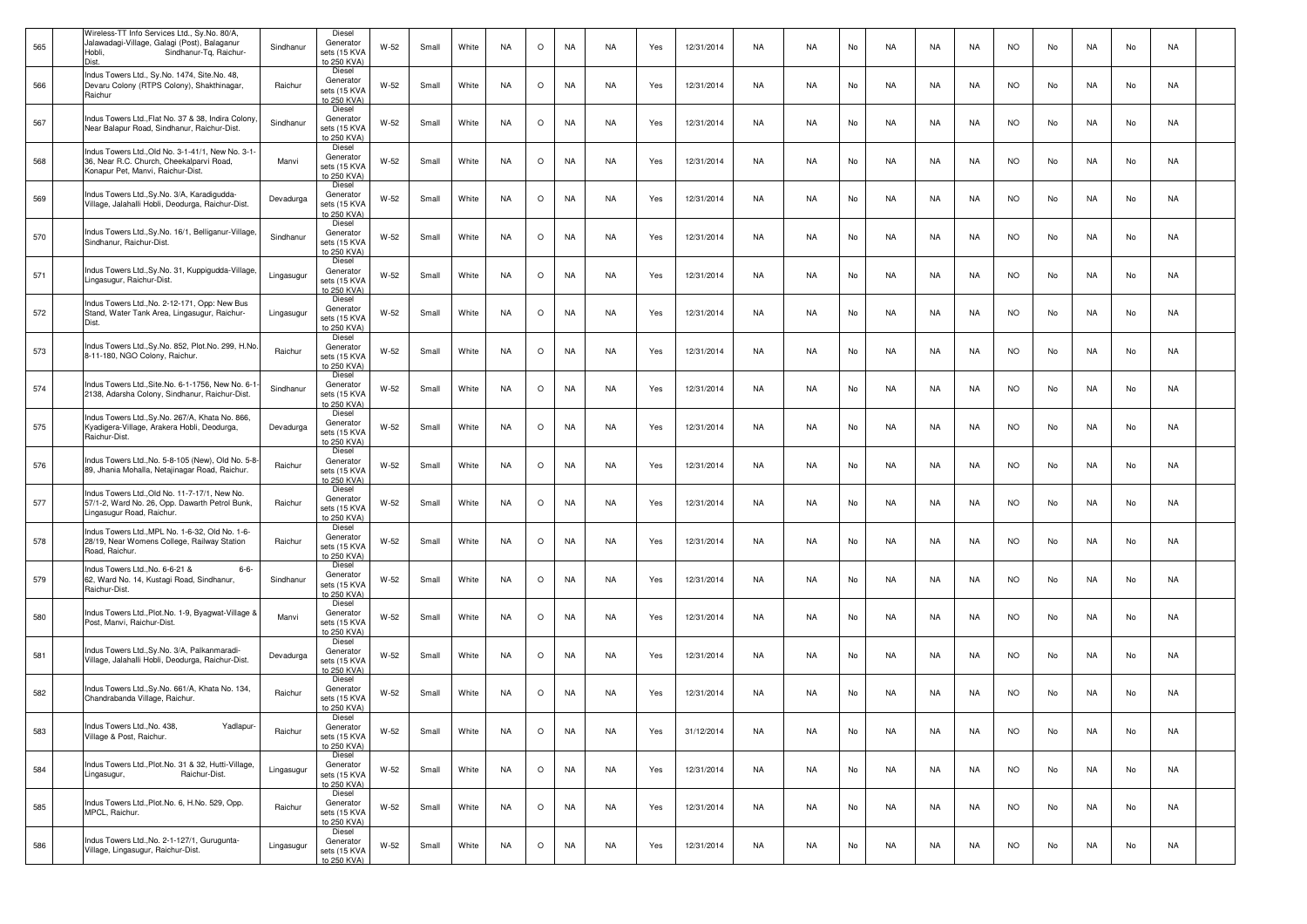| 565 | Wireless-TT Info Services Ltd., Sy.No. 80/A,<br>Jalawadagi-Village, Galagi (Post), Balaganur<br>Hobli.<br>Sindhanur-Tg, Raichur-<br>Dist | Sindhanur  | Diesel<br>Generator<br>sets (15 KVA<br>to 250 KVA) | W-52   | Small | White | <b>NA</b> | $\circ$ | <b>NA</b> | NA        | Yes | 12/31/2014 | NA | <b>NA</b> | No | NA.       | NA        | NA        | <b>NO</b> | No | NA        | No | NA        |  |
|-----|------------------------------------------------------------------------------------------------------------------------------------------|------------|----------------------------------------------------|--------|-------|-------|-----------|---------|-----------|-----------|-----|------------|----|-----------|----|-----------|-----------|-----------|-----------|----|-----------|----|-----------|--|
| 566 | Indus Towers Ltd., Sy.No. 1474, Site.No. 48,<br>Devaru Colony (RTPS Colony), Shakthinagar,<br>Raichur                                    | Raichur    | Diesel<br>Generator<br>sets (15 KVA<br>to 250 KVA) | W-52   | Small | White | <b>NA</b> | $\circ$ | <b>NA</b> | <b>NA</b> | Yes | 12/31/2014 | NA | <b>NA</b> | No | <b>NA</b> | NA        | <b>NA</b> | <b>NO</b> | No | <b>NA</b> | No | NA        |  |
| 567 | Indus Towers Ltd., Flat No. 37 & 38, Indira Colony<br>Near Balapur Road, Sindhanur, Raichur-Dist.                                        | Sindhanur  | Diesel<br>Generator<br>sets (15 KVA<br>to 250 KVA) | W-52   | Small | White | NA.       | $\circ$ | NA        | NA        | Yes | 12/31/2014 | NA | NA.       | No | NA        | NA        | NA        | <b>NO</b> | No | NA        | No | NA        |  |
| 568 | Indus Towers Ltd., Old No. 3-1-41/1, New No. 3-1-<br>36, Near R.C. Church, Cheekalparvi Road,<br>Konapur Pet, Manvi, Raichur-Dist.       | Manvi      | Diesel<br>Generator<br>sets (15 KVA<br>to 250 KVA) | W-52   | Small | White | <b>NA</b> | $\circ$ | NA        | NA        | Yes | 12/31/2014 | NA | <b>NA</b> | No | <b>NA</b> | NA        | NA        | <b>NO</b> | No | NA        | No | NA        |  |
| 569 | Indus Towers Ltd., Sy.No. 3/A, Karadigudda-<br>Village, Jalahalli Hobli, Deodurga, Raichur-Dist.                                         | Devadurga  | Diesel<br>Generator<br>sets (15 KVA<br>to 250 KVA) | W-52   | Small | White | <b>NA</b> | $\circ$ | <b>NA</b> | <b>NA</b> | Yes | 12/31/2014 | NA | <b>NA</b> | No | <b>NA</b> | NA        | <b>NA</b> | <b>NO</b> | No | NA        | No | NA        |  |
| 570 | Indus Towers Ltd., Sy.No. 16/1, Belliganur-Village<br>Sindhanur, Raichur-Dist.                                                           | Sindhanur  | Diesel<br>Generator<br>sets (15 KVA<br>to 250 KVA) | W-52   | Small | White | <b>NA</b> | $\circ$ | <b>NA</b> | NA        | Yes | 12/31/2014 | NA | <b>NA</b> | No | NA        | NA        | NA        | <b>NO</b> | No | NA        | No | NA        |  |
| 571 | Indus Towers Ltd., Sy.No. 31, Kuppigudda-Village,<br>Lingasugur, Raichur-Dist.                                                           | Lingasugur | Diesel<br>Generator<br>sets (15 KVA<br>to 250 KVA) | W-52   | Small | White | <b>NA</b> | $\circ$ | <b>NA</b> | NA        | Yes | 12/31/2014 | NA | <b>NA</b> | No | NA.       | NA        | NA        | <b>NO</b> | No | NA        | No | NA        |  |
| 572 | Indus Towers Ltd., No. 2-12-171, Opp: New Bus<br>Stand, Water Tank Area, Lingasugur, Raichur-<br>Dist.                                   | Lingasugur | Diesel<br>Generator<br>sets (15 KVA<br>to 250 KVA  | W-52   | Small | White | <b>NA</b> | $\circ$ | <b>NA</b> | <b>NA</b> | Yes | 12/31/2014 | NA | <b>NA</b> | No | <b>NA</b> | NA        | NA        | <b>NO</b> | No | NA        | No | NA        |  |
| 573 | Indus Towers Ltd., Sy.No. 852, Plot.No. 299, H.No.<br>8-11-180, NGO Colony, Raichur.                                                     | Raichur    | Diesel<br>Generator<br>sets (15 KVA<br>to 250 KVA) | W-52   | Small | White | <b>NA</b> | $\circ$ | <b>NA</b> | NA        | Yes | 12/31/2014 | NA | NA        | No | NA        | NA        | NA        | <b>NO</b> | No | NA        | No | NA        |  |
| 574 | Indus Towers Ltd., Site.No. 6-1-1756, New No. 6-1<br>2138, Adarsha Colony, Sindhanur, Raichur-Dist.                                      | Sindhanur  | Diesel<br>Generator<br>sets (15 KVA<br>to 250 KVA) | W-52   | Small | White | <b>NA</b> | $\circ$ | NA        | NA        | Yes | 12/31/2014 | NA | <b>NA</b> | No | <b>NA</b> | NA        | NA        | <b>NO</b> | No | NA        | No | NA        |  |
| 575 | Indus Towers Ltd., Sy.No. 267/A, Khata No. 866,<br>Kyadigera-Village, Arakera Hobli, Deodurga,<br>Raichur-Dist.                          | Devadurga  | Diesel<br>Generator<br>sets (15 KVA<br>to 250 KVA) | W-52   | Small | White | <b>NA</b> | $\circ$ | <b>NA</b> | NA        | Yes | 12/31/2014 | NA | <b>NA</b> | No | <b>NA</b> | NA        | <b>NA</b> | <b>NO</b> | No | NA.       | No | NA        |  |
| 576 | Indus Towers Ltd., No. 5-8-105 (New), Old No. 5-8-<br>89, Jhania Mohalla, Netajinagar Road, Raichur.                                     | Raichur    | Diesel<br>Generator<br>sets (15 KVA<br>to 250 KVA) | $W-52$ | Small | White | <b>NA</b> | $\circ$ | <b>NA</b> | NA        | Yes | 12/31/2014 | NA | <b>NA</b> | No | <b>NA</b> | NA        | NA        | <b>NO</b> | No | NA        | No | NA        |  |
| 577 | Indus Towers Ltd., Old No. 11-7-17/1, New No.<br>57/1-2, Ward No. 26, Opp. Dawarth Petrol Bunk,<br>Lingasugur Road, Raichur.             | Raichur    | Diesel<br>Generator<br>sets (15 KVA<br>to 250 KVA) | W-52   | Small | White | <b>NA</b> | $\circ$ | <b>NA</b> | NA        | Yes | 12/31/2014 | NA | <b>NA</b> | No | <b>NA</b> | NA        | NA        | <b>NO</b> | No | NA        | No | NA        |  |
| 578 | Indus Towers Ltd., MPL No. 1-6-32, Old No. 1-6-<br>28/19, Near Womens College, Railway Station<br>Road, Raichur.                         | Raichur    | Diesel<br>Generator<br>sets (15 KVA<br>to 250 KVA) | W-52   | Small | White | <b>NA</b> | $\circ$ | <b>NA</b> | NA        | Yes | 12/31/2014 | NA | <b>NA</b> | No | <b>NA</b> | NA        | NA        | <b>NO</b> | No | NA        | No | NA        |  |
| 579 | Indus Towers Ltd., No. 6-6-21 &<br>$6 - 6 -$<br>62, Ward No. 14, Kustagi Road, Sindhanur,<br>Raichur-Dist.                               | Sindhanur  | Diesel<br>Generator<br>sets (15 KVA<br>to 250 KVA) | $W-52$ | Small | White | <b>NA</b> | $\circ$ | <b>NA</b> | NA        | Yes | 12/31/2014 | NA | <b>NA</b> | No | NA        | NA        | NA        | <b>NO</b> | No | NA        | No | NA        |  |
| 580 | Indus Towers Ltd., Plot.No. 1-9, Byagwat-Village &<br>Post, Manvi, Raichur-Dist                                                          | Manvi      | Diesel<br>Generator<br>sets (15 KVA<br>to 250 KVA) | W-52   | Small | White | <b>NA</b> | $\circ$ | <b>NA</b> | NA        | Yes | 12/31/2014 | NA | <b>NA</b> | No | NA.       | NA        | NA        | <b>NO</b> | No | NA        | No | NA        |  |
| 581 | Indus Towers Ltd., Sy.No. 3/A, Palkanmaradi-<br>Village, Jalahalli Hobli, Deodurga, Raichur-Dist.                                        | Devadurga  | Diesel<br>Generator<br>sets (15 KVA<br>to 250 KVA) | $W-52$ | Small | White | <b>NA</b> | $\circ$ | <b>NA</b> | <b>NA</b> | Yes | 12/31/2014 | NA | <b>NA</b> | No | <b>NA</b> | NA        | <b>NA</b> | NO.       | No | NA        | No | NA        |  |
| 582 | Indus Towers Ltd., Sy.No. 661/A, Khata No. 134,<br>Chandrabanda Village, Raichur.                                                        | Raichur    | Diesel<br>Generator<br>sets (15 KVA<br>to 250 KVA) | W-52   | Small | White | <b>NA</b> | $\circ$ | <b>NA</b> | NA        | Yes | 12/31/2014 | NA | <b>NA</b> | No | NA.       | NA        | NA        | <b>NO</b> | No | NA        | No | NA        |  |
| 583 | Indus Towers Ltd.,No. 438,<br>Yadlapur<br>Village & Post, Raichur.                                                                       | Raichur    | Diesel<br>Generator<br>sets (15 KVA<br>to 250 KVA) | W-52   | Small | White | <b>NA</b> | $\circ$ | <b>NA</b> | <b>NA</b> | Yes | 31/12/2014 | NA | <b>NA</b> | No | NA        | <b>NA</b> | NA        | <b>NO</b> | No | NA        | No | <b>NA</b> |  |
| 584 | Indus Towers Ltd., Plot.No. 31 & 32, Hutti-Village,<br>Lingasugur,<br>Raichur-Dist.                                                      | Lingasugur | Diesel<br>Generator<br>sets (15 KVA<br>to 250 KVA) | W-52   | Small | White | NA        | $\circ$ | <b>NA</b> | <b>NA</b> | Yes | 12/31/2014 | NA | <b>NA</b> | No | NA        | NA        | NA        | <b>NO</b> | No | NA        | No | NA        |  |
| 585 | Indus Towers Ltd., Plot.No. 6, H.No. 529, Opp.<br>MPCL, Raichur.                                                                         | Raichur    | Diesel<br>Generator<br>sets (15 KVA<br>to 250 KVA) | W-52   | Small | White | <b>NA</b> | $\circ$ | <b>NA</b> | <b>NA</b> | Yes | 12/31/2014 | NA | <b>NA</b> | No | NA        | NA        | NA        | <b>NO</b> | No | NA        | No | NA        |  |
| 586 | Indus Towers Ltd., No. 2-1-127/1, Gurugunta-<br>Village, Lingasugur, Raichur-Dist.                                                       | Lingasugur | Diesel<br>Generator<br>sets (15 KVA<br>to 250 KVA) | W-52   | Small | White | NA        | $\circ$ | NA        | NA        | Yes | 12/31/2014 | NA | NA        | No | NA        | NA        | NA        | <b>NO</b> | No | NA        | No | NA        |  |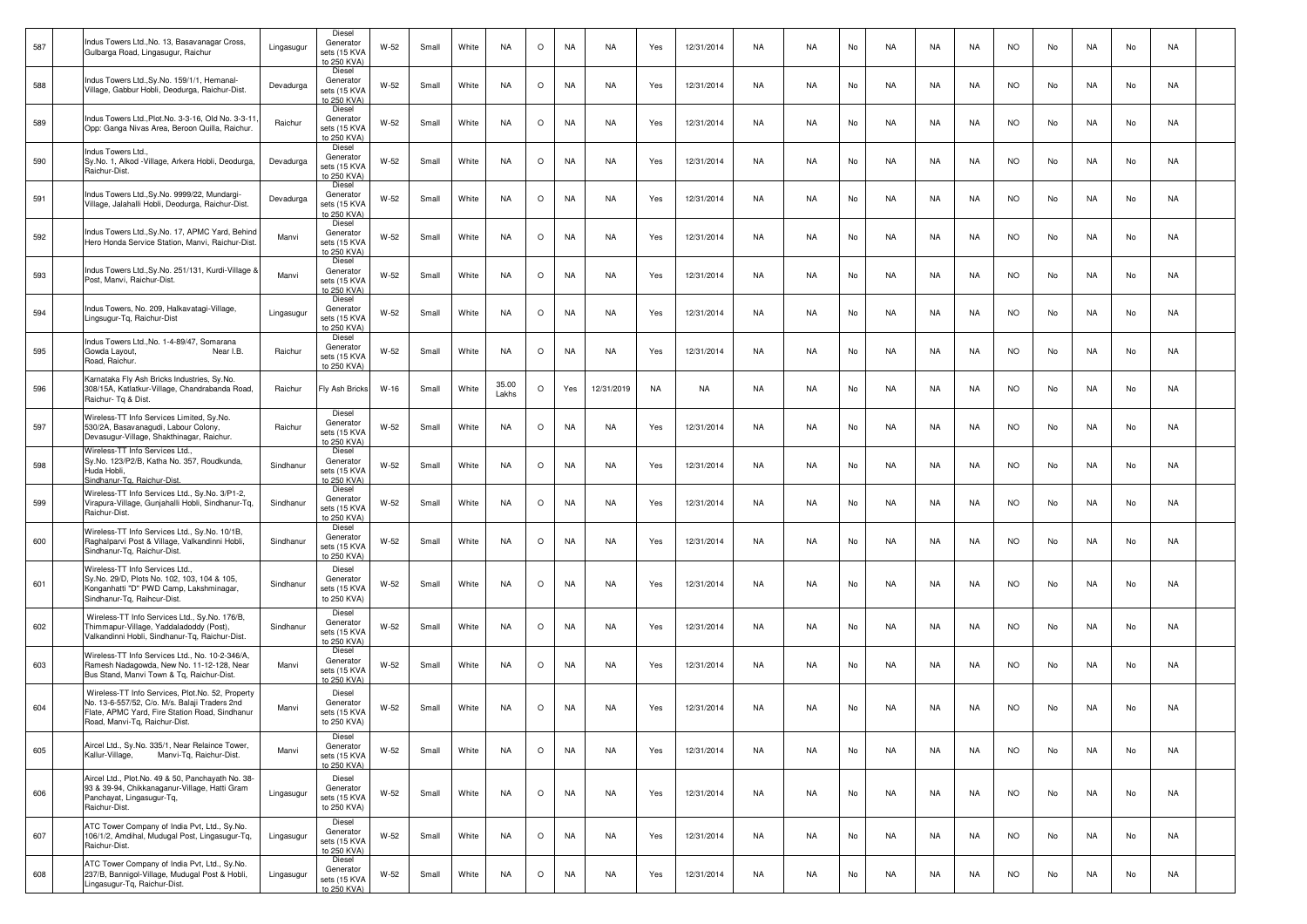| 587 | Indus Towers Ltd., No. 13, Basavanagar Cross,<br>Gulbarga Road, Lingasugur, Raichur                                                                                                  | Lingasugur | Diesel<br>Generator<br>sets (15 KVA                | W-52   | Small | White | <b>NA</b>      | $\circ$ | NA        | NA         | Yes       | 12/31/2014 | NA        | <b>NA</b> | No | NA        | NA        | NA.       | <b>NO</b> | No | NA        | No | NA |  |
|-----|--------------------------------------------------------------------------------------------------------------------------------------------------------------------------------------|------------|----------------------------------------------------|--------|-------|-------|----------------|---------|-----------|------------|-----------|------------|-----------|-----------|----|-----------|-----------|-----------|-----------|----|-----------|----|----|--|
| 588 | Indus Towers Ltd., Sy.No. 159/1/1, Hemanal-<br>Village, Gabbur Hobli, Deodurga, Raichur-Dist.                                                                                        | Devadurga  | to 250 KVA)<br>Diesel<br>Generator<br>sets (15 KVA | $W-52$ | Small | White | <b>NA</b>      | $\circ$ | NA        | NA         | Yes       | 12/31/2014 | <b>NA</b> | <b>NA</b> | No | <b>NA</b> | NA        | <b>NA</b> | <b>NO</b> | No | <b>NA</b> | No | NA |  |
| 589 | Indus Towers Ltd., Plot. No. 3-3-16, Old No. 3-3-11<br>Opp: Ganga Nivas Area, Beroon Quilla, Raichur                                                                                 | Raichur    | to 250 KVA)<br>Diesel<br>Generator<br>sets (15 KVA | W-52   | Small | White | <b>NA</b>      | $\circ$ | NA        | NA         | Yes       | 12/31/2014 | NA        | NA.       | No | NA        | NA        | NA        | <b>NO</b> | No | NA        | No | NA |  |
| 590 | ndus Towers Ltd.,<br>Sy.No. 1, Alkod - Village, Arkera Hobli, Deodurga,                                                                                                              | Devadurga  | to 250 KVA)<br>Diesel<br>Generator                 | W-52   | Small | White | NA             | $\circ$ | NA        | NA         | Yes       | 12/31/2014 | NA        | NA        | No | NA        | NA        | NA        | <b>NO</b> | No | NA        | No | NA |  |
|     | Raichur-Dist.<br>Indus Towers Ltd., Sy.No. 9999/22, Mundargi-                                                                                                                        |            | sets (15 KVA<br>to 250 KVA)<br>Diesel              |        |       |       |                |         |           |            |           |            |           |           |    |           |           |           |           |    |           |    |    |  |
| 591 | Village, Jalahalli Hobli, Deodurga, Raichur-Dist.                                                                                                                                    | Devadurga  | Generator<br>sets (15 KVA<br>to 250 KVA)<br>Diesel | $W-52$ | Small | White | NA             | $\circ$ | <b>NA</b> | NA         | Yes       | 12/31/2014 | <b>NA</b> | NA        | No | <b>NA</b> | NA        | <b>NA</b> | <b>NO</b> | No | <b>NA</b> | No | NA |  |
| 592 | Indus Towers Ltd., Sy.No. 17, APMC Yard, Behind<br>Hero Honda Service Station, Manvi, Raichur-Dist.                                                                                  | Manvi      | Generator<br>sets (15 KVA<br>to 250 KVA)           | $W-52$ | Small | White | <b>NA</b>      | $\circ$ | NA        | NA         | Yes       | 12/31/2014 | NA        | NA        | No | NA        | NA        | NA        | <b>NO</b> | No | NA        | No | NA |  |
| 593 | Indus Towers Ltd., Sy.No. 251/131, Kurdi-Village &<br>Post, Manvi, Raichur-Dist.                                                                                                     | Manvi      | Diesel<br>Generator<br>sets (15 KVA<br>to 250 KVA) | W-52   | Small | White | <b>NA</b>      | $\circ$ | NA        | NA         | Yes       | 12/31/2014 | NA        | NA        | No | NA        | NA        | NA        | <b>NO</b> | No | NA        | No | NA |  |
| 594 | Indus Towers, No. 209, Halkavatagi-Village,<br>Lingsugur-Tq, Raichur-Dist                                                                                                            | Lingasugur | Diesel<br>Generator<br>sets (15 KVA<br>to 250 KVA) | $W-52$ | Small | White | <b>NA</b>      | $\circ$ | NA        | NA         | Yes       | 12/31/2014 | <b>NA</b> | NA        | No | NA        | NA        | <b>NA</b> | <b>NO</b> | No | <b>NA</b> | No | NA |  |
| 595 | Indus Towers Ltd., No. 1-4-89/47, Somarana<br>Gowda Layout,<br>Near I.B.<br>Road, Raichur.                                                                                           | Raichur    | Diesel<br>Generator<br>sets (15 KVA<br>to 250 KVA) | $W-52$ | Small | White | <b>NA</b>      | $\circ$ | <b>NA</b> | NA         | Yes       | 12/31/2014 | NA        | NA        | No | NA        | NA        | NA        | <b>NO</b> | No | NA        | No | NA |  |
| 596 | Karnataka Fly Ash Bricks Industries, Sy.No.<br>308/15A, Katlatkur-Village, Chandrabanda Road,<br>Raichur- Tg & Dist.                                                                 | Raichur    | Fly Ash Bricks                                     | $W-16$ | Small | White | 35.00<br>Lakhs | $\circ$ | Yes       | 12/31/2019 | <b>NA</b> | NA         | NA        | NA        | No | NA        | NA        | NA        | <b>NO</b> | No | NA        | No | NA |  |
| 597 | Wireless-TT Info Services Limited, Sy.No.<br>530/2A, Basavanagudi, Labour Colony,<br>Devasugur-Village, Shakthinagar, Raichur.                                                       | Raichur    | Diesel<br>Generator<br>sets (15 KVA<br>to 250 KVA) | $W-52$ | Small | White | <b>NA</b>      | $\circ$ | <b>NA</b> | NA         | Yes       | 12/31/2014 | <b>NA</b> | NA        | No | <b>NA</b> | <b>NA</b> | <b>NA</b> | NO.       | No | <b>NA</b> | No | NA |  |
| 598 | Wireless-TT Info Services Ltd.<br>Sy.No. 123/P2/B, Katha No. 357, Roudkunda,<br>Huda Hobli,<br>Sindhanur-Tg, Raichur-Dist.                                                           | Sindhanur  | Diesel<br>Generator<br>sets (15 KVA<br>to 250 KVA) | $W-52$ | Small | White | <b>NA</b>      | $\circ$ | <b>NA</b> | NA         | Yes       | 12/31/2014 | NA        | NA        | No | NA        | NA        | NA        | <b>NO</b> | No | NA        | No | NA |  |
| 599 | Wireless-TT Info Services Ltd., Sy.No. 3/P1-2,<br>Virapura-Village, Gunjahalli Hobli, Sindhanur-Tq,<br>Raichur-Dist.                                                                 | Sindhanur  | Diesel<br>Generator<br>sets (15 KVA<br>to 250 KVA) | W-52   | Small | White | <b>NA</b>      | $\circ$ | NA        | NA         | Yes       | 12/31/2014 | NA        | NA        | No | NA        | NA        | NA        | <b>NO</b> | No | NA        | No | NA |  |
| 600 | Wireless-TT Info Services Ltd., Sy.No. 10/1B,<br>Raghalparvi Post & Village, Valkandinni Hobli,<br>Sindhanur-Tq, Raichur-Dist.                                                       | Sindhanur  | Diesel<br>Generator<br>sets (15 KVA<br>to 250 KVA) | $W-52$ | Small | White | <b>NA</b>      | $\circ$ | NA        | NA         | Yes       | 12/31/2014 | <b>NA</b> | <b>NA</b> | No | <b>NA</b> | NA        | <b>NA</b> | <b>NO</b> | No | <b>NA</b> | No | NA |  |
| 601 | Wireless-TT Info Services Ltd.<br>Sy.No. 29/D, Plots No. 102, 103, 104 & 105,<br>Konganhatti "D" PWD Camp, Lakshminagar,<br>Sindhanur-Tq, Raihcur-Dist.                              | Sindhanur  | Diesel<br>Generator<br>sets (15 KVA<br>to 250 KVA) | $W-52$ | Small | White | <b>NA</b>      | $\circ$ | <b>NA</b> | NA         | Yes       | 12/31/2014 | NA        | NA        | No | NA        | NA        | NA        | <b>NO</b> | No | NA        | No | NA |  |
| 602 | Wireless-TT Info Services Ltd., Sy.No. 176/B,<br>Thimmapur-Village, Yaddaladoddy (Post),<br>Valkandinni Hobli, Sindhanur-Tq, Raichur-Dist.                                           | Sindhanur  | Diesel<br>Generator<br>sets (15 KVA<br>to 250 KVA) | W-52   | Small | White | NA             | $\circ$ | NA        | NA         | Yes       | 12/31/2014 | NA        | NA        | No | NA        | NA        | NA        | <b>NO</b> | No | NA        | No | NA |  |
| 603 | Wireless-TT Info Services Ltd., No. 10-2-346/A.<br>Ramesh Nadagowda, New No. 11-12-128, Near<br>Bus Stand, Manvi Town & Tq, Raichur-Dist.                                            | Manvi      | Diesel<br>Generator<br>sets (15 KVA<br>to 250 KVA) | $W-52$ | Small | White | <b>NA</b>      | $\circ$ | NA        | NA         | Yes       | 12/31/2014 | <b>NA</b> | NA        | No | <b>NA</b> | NA        | <b>NA</b> | <b>NO</b> | No | <b>NA</b> | No | NA |  |
| 604 | Wireless-TT Info Services, Plot.No. 52, Property<br>No. 13-6-557/52, C/o. M/s. Balaji Traders 2nd<br>Flate, APMC Yard, Fire Station Road, Sindhanur<br>Road, Manvi-Tg, Raichur-Dist, | Manvi      | Diesel<br>Generator<br>sets (15 KVA<br>to 250 KVA) | $W-52$ | Small | White | <b>NA</b>      | $\circ$ | <b>NA</b> | NA         | Yes       | 12/31/2014 | NA        | NA        | No | NA        | NA        | NA        | <b>NO</b> | No | NA        | No | NA |  |
| 605 | Aircel Ltd., Sy.No. 335/1, Near Relaince Tower,<br>Manvi-Tg, Raichur-Dist.<br>Kallur-Village.                                                                                        | Manvi      | Diesel<br>Generator<br>sets (15 KVA<br>to 250 KVA) | $W-52$ | Small | White | <b>NA</b>      | $\circ$ | <b>NA</b> | NA         | Yes       | 12/31/2014 | NA        | <b>NA</b> | No | NA        | NA        | NA        | <b>NO</b> | No | <b>NA</b> | No | NA |  |
| 606 | Aircel Ltd., Plot.No. 49 & 50. Panchavath No. 38-<br>93 & 39-94, Chikkanaganur-Village, Hatti Gram<br>Panchayat, Lingasugur-Tq,<br>Raichur-Dist.                                     | Lingasugur | Diesel<br>Generator<br>sets (15 KVA<br>to 250 KVA) | $W-52$ | Small | White | <b>NA</b>      | $\circ$ | <b>NA</b> | NA         | Yes       | 12/31/2014 | <b>NA</b> | <b>NA</b> | No | NA        | NA        | <b>NA</b> | <b>NO</b> | No | <b>NA</b> | No | NA |  |
| 607 | ATC Tower Company of India Pvt, Ltd., Sy.No.<br>106/1/2, Amdihal, Mudugal Post, Lingasugur-Tq,<br>Raichur-Dist.                                                                      | Lingasugur | Diesel<br>Generator<br>sets (15 KVA<br>to 250 KVA) | $W-52$ | Small | White | <b>NA</b>      | $\circ$ | <b>NA</b> | NA         | Yes       | 12/31/2014 | NA        | <b>NA</b> | No | NA        | NA        | NA        | <b>NO</b> | No | <b>NA</b> | No | NA |  |
| 608 | ATC Tower Company of India Pvt, Ltd., Sy.No.<br>237/B, Bannigol-Village, Mudugal Post & Hobli,<br>ingasugur-Tg, Raichur-Dist.                                                        | Lingasugur | Diesel<br>Generator<br>sets (15 KVA<br>to 250 KVA) | W-52   | Small | White | NA             | $\circ$ | <b>NA</b> | NA         | Yes       | 12/31/2014 | NA        | NA        | No | NA        | NA        | NA        | <b>NO</b> | No | NA        | No | NA |  |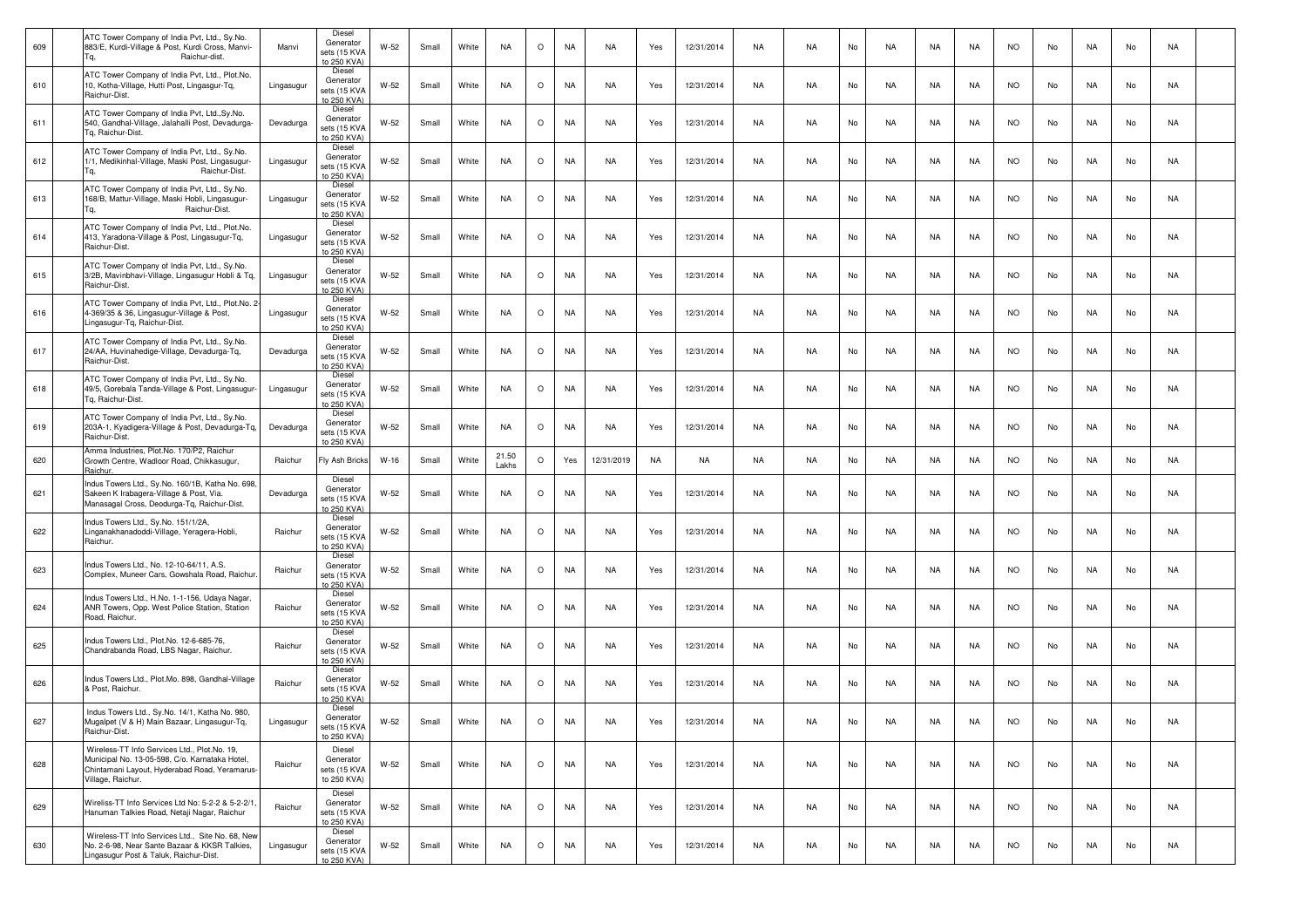| 609 | ATC Tower Company of India Pvt, Ltd., Sy.No.<br>883/E, Kurdi-Village & Post, Kurdi Cross, Manvi-<br>Raichur-dist                                                     | Manvi      | Diesel<br>Generator<br>sets (15 KVA<br>to 250 KVA) | W-52   | Small | White | <b>NA</b>      | $\circ$ | NA        | NA         | Yes       | 12/31/2014 | NA | NA        | No | NA | NA | NA.       | <b>NO</b> | No | NA | No | NA        |  |
|-----|----------------------------------------------------------------------------------------------------------------------------------------------------------------------|------------|----------------------------------------------------|--------|-------|-------|----------------|---------|-----------|------------|-----------|------------|----|-----------|----|----|----|-----------|-----------|----|----|----|-----------|--|
| 610 | ATC Tower Company of India Pvt, Ltd., Plot.No.<br>10, Kotha-Village, Hutti Post, Lingasgur-Tq,<br>Raichur-Dist.                                                      | Lingasugur | Diesel<br>Generator<br>sets (15 KVA<br>to 250 KVA) | W-52   | Small | White | <b>NA</b>      | $\circ$ | <b>NA</b> | NA         | Yes       | 12/31/2014 | NA | <b>NA</b> | No | NA | NA | NA        | <b>NO</b> | No | NA | No | NA        |  |
| 611 | ATC Tower Company of India Pvt, Ltd., Sy.No.<br>540, Gandhal-Village, Jalahalli Post, Devadurga-<br>Tg, Raichur-Dist.                                                | Devadurga  | Diesel<br>Generator<br>sets (15 KVA<br>to 250 KVA) | W-52   | Small | White | <b>NA</b>      | $\circ$ | <b>NA</b> | <b>NA</b>  | Yes       | 12/31/2014 | NA | <b>NA</b> | No | NA | NA | NA        | <b>NO</b> | No | NA | No | NA        |  |
| 612 | ATC Tower Company of India Pvt, Ltd., Sy.No.<br>1/1, Medikinhal-Village, Maski Post, Lingasugur-<br>Raichur-Dist.                                                    | Lingasugur | Diesel<br>Generator<br>sets (15 KVA<br>to 250 KVA) | W-52   | Small | White | <b>NA</b>      | $\circ$ | <b>NA</b> | <b>NA</b>  | Yes       | 12/31/2014 | NA | NA.       | No | NA | NA | NA        | <b>NO</b> | No | NA | No | NA        |  |
| 613 | ATC Tower Company of India Pvt, Ltd., Sy.No.<br>168/B, Mattur-Village, Maski Hobli, Lingasugur-<br>Raichur-Dist.                                                     | Lingasugur | Diesel<br>Generator<br>sets (15 KVA<br>to 250 KVA) | W-52   | Small | White | <b>NA</b>      | $\circ$ | <b>NA</b> | <b>NA</b>  | Yes       | 12/31/2014 | NA | <b>NA</b> | No | NA | NA | NA        | <b>NO</b> | No | NA | No | NA        |  |
| 614 | ATC Tower Company of India Pvt, Ltd., Plot.No.<br>413, Yaradona-Village & Post, Lingasugur-Tg,<br>Raichur-Dist.                                                      | Lingasugur | Diesel<br>Generator<br>sets (15 KVA<br>to 250 KVA) | W-52   | Small | White | <b>NA</b>      | $\circ$ | <b>NA</b> | <b>NA</b>  | Yes       | 12/31/2014 | NA | <b>NA</b> | No | NA | NA | NA        | <b>NO</b> | No | NA | No | NA        |  |
| 615 | ATC Tower Company of India Pvt, Ltd., Sy.No.<br>3/2B, Mavinbhavi-Village, Lingasugur Hobli & Tq,<br>Raichur-Dist.                                                    | Lingasugur | Diesel<br>Generator<br>sets (15 KVA<br>to 250 KVA) | W-52   | Small | White | <b>NA</b>      | $\circ$ | NA        | NA         | Yes       | 12/31/2014 | NA | <b>NA</b> | No | NA | NA | NA        | <b>NO</b> | No | NA | No | NA        |  |
| 616 | ATC Tower Company of India Pvt, Ltd., Plot.No. 2<br>4-369/35 & 36, Lingasugur-Village & Post,<br>Lingasugur-Tq, Raichur-Dist.                                        | Lingasugur | Diesel<br>Generator<br>sets (15 KVA<br>to 250 KVA) | W-52   | Small | White | <b>NA</b>      | $\circ$ | <b>NA</b> | NA         | Yes       | 12/31/2014 | NA | <b>NA</b> | No | NA | NA | NA        | <b>NO</b> | No | NA | No | NA        |  |
| 617 | ATC Tower Company of India Pvt, Ltd., Sy.No.<br>24/AA, Huvinahedige-Village, Devadurga-Tq,<br>Raichur-Dist.                                                          | Devadurga  | Diesel<br>Generator<br>sets (15 KVA<br>to 250 KVA) | W-52   | Small | White | <b>NA</b>      | $\circ$ | NA        | NA         | Yes       | 12/31/2014 | NA | <b>NA</b> | No | NA | NA | NA        | <b>NO</b> | No | NA | No | NA        |  |
| 618 | ATC Tower Company of India Pvt, Ltd., Sy.No.<br>49/5, Gorebala Tanda-Village & Post, Lingasugur-<br>Tg, Raichur-Dist.                                                | Lingasugur | Diesel<br>Generator<br>sets (15 KVA<br>to 250 KVA) | W-52   | Small | White | <b>NA</b>      | $\circ$ | NA        | NA         | Yes       | 12/31/2014 | NA | <b>NA</b> | No | NA | NA | NA        | <b>NO</b> | No | NA | No | NA        |  |
| 619 | ATC Tower Company of India Pvt, Ltd., Sy.No.<br>203A-1, Kyadigera-Village & Post, Devadurga-Tq,<br>Raichur-Dist.                                                     | Devadurga  | Diesel<br>Generator<br>sets (15 KVA<br>to 250 KVA) | W-52   | Small | White | <b>NA</b>      | $\circ$ | NA        | NA         | Yes       | 12/31/2014 | NA | <b>NA</b> | No | NA | NA | NA        | <b>NO</b> | No | NA | No | NA        |  |
| 620 | Amma Industries, Plot.No. 170/P2, Raichur<br>Growth Centre, Wadloor Road, Chikkasugur,<br>Raichur.                                                                   | Raichur    | Fly Ash Bricks                                     | $W-16$ | Small | White | 21.50<br>Lakhs | $\circ$ | Yes       | 12/31/2019 | <b>NA</b> | NA         | NA | <b>NA</b> | No | NA | NA | <b>NA</b> | <b>NO</b> | No | NA | No | NA        |  |
| 621 | Indus Towers Ltd., Sy.No. 160/1B, Katha No. 698<br>Sakeen K Irabagera-Village & Post, Via.<br>Manasagal Cross, Deodurga-Tq, Raichur-Dist.                            | Devadurga  | Diesel<br>Generator<br>sets (15 KVA<br>to 250 KVA) | W-52   | Small | White | <b>NA</b>      | $\circ$ | <b>NA</b> | NA         | Yes       | 12/31/2014 | NA | <b>NA</b> | No | NA | NA | <b>NA</b> | <b>NO</b> | No | NA | No | NA        |  |
| 622 | Indus Towers Ltd., Sy.No. 151/1/2A,<br>Linganakhanadoddi-Village, Yeragera-Hobli,<br>Raichur.                                                                        | Raichur    | Diesel<br>Generator<br>sets (15 KVA<br>to 250 KVA) | W-52   | Small | White | <b>NA</b>      | $\circ$ | <b>NA</b> | NA         | Yes       | 12/31/2014 | NA | <b>NA</b> | No | NA | NA | NA        | <b>NO</b> | No | NA | No | NA        |  |
| 623 | Indus Towers Ltd., No. 12-10-64/11, A.S.<br>Complex, Muneer Cars, Gowshala Road, Raichur                                                                             | Raichur    | Diesel<br>Generator<br>sets (15 KVA<br>to 250 KVA) | W-52   | Small | White | <b>NA</b>      | O       | <b>NA</b> | NA         | Yes       | 12/31/2014 | NA | <b>NA</b> | No | NA | NA | <b>NA</b> | <b>NO</b> | No | NA | No | NA        |  |
| 624 | Indus Towers Ltd., H.No. 1-1-156, Udaya Nagar,<br>ANR Towers, Opp. West Police Station, Station<br>Road, Raichur.                                                    | Raichur    | Diesel<br>Generator<br>sets (15 KVA<br>to 250 KVA) | $W-52$ | Small | White | <b>NA</b>      | $\circ$ | <b>NA</b> | <b>NA</b>  | Yes       | 12/31/2014 | NA | <b>NA</b> | No | NA | NA | NA        | <b>NO</b> | No | NA | No | NA        |  |
| 625 | Indus Towers Ltd., Plot.No. 12-6-685-76,<br>Chandrabanda Road, LBS Nagar, Raichur.                                                                                   | Raichur    | Diesel<br>Generator<br>sets (15 KVA<br>to 250 KVA) | W-52   | Small | White | <b>NA</b>      | $\circ$ | NA        | <b>NA</b>  | Yes       | 12/31/2014 | NA | NA.       | No | NA | NA | NA        | NO.       | No | NA | No | NA        |  |
| 626 | Indus Towers Ltd., Plot.Mo. 898, Gandhal-Village<br>& Post, Raichur.                                                                                                 | Raichur    | Diesel<br>Generator<br>sets (15 KVA<br>to 250 KVA) | W-52   | Small | White | <b>NA</b>      | $\circ$ | NA        | NA         | Yes       | 12/31/2014 | NA | <b>NA</b> | No | NA | NA | <b>NA</b> | <b>NO</b> | No | NA | No | NA        |  |
| 627 | Indus Towers Ltd., Sy.No. 14/1, Katha No. 980,<br>Mugalpet (V & H) Main Bazaar, Lingasugur-Tq,<br>Raichur-Dist.                                                      | Lingasugur | Diesel<br>Generator<br>sets (15 KVA<br>to 250 KVA) | W-52   | Small | White | <b>NA</b>      | O       | <b>NA</b> | <b>NA</b>  | Yes       | 12/31/2014 | NA | NA        | No | NA | NA | NA        | <b>NO</b> | No | NA | No | <b>NA</b> |  |
| 628 | Wireless-TT Info Services Ltd., Plot.No. 19,<br>Municipal No. 13-05-598, C/o. Karnataka Hotel,<br>Chintamani Layout, Hyderabad Road, Yeramarus-<br>Village, Raichur. | Raichur    | Diesel<br>Generator<br>sets (15 KVA<br>to 250 KVA) | W-52   | Small | White | <b>NA</b>      | $\circ$ | NA        | <b>NA</b>  | Yes       | 12/31/2014 | NA | <b>NA</b> | No | NA | NA | NA        | <b>NO</b> | No | NA | No | NA        |  |
| 629 | Wireliss-TT Info Services Ltd No: 5-2-2 & 5-2-2/1.<br>Hanuman Talkies Road, Netaji Nagar, Raichur                                                                    | Raichur    | Diesel<br>Generator<br>sets (15 KVA<br>to 250 KVA) | W-52   | Small | White | NA             | $\circ$ | NA        | NA         | Yes       | 12/31/2014 | NA | <b>NA</b> | No | NA | NA | NA        | <b>NO</b> | No | NA | No | NA        |  |
| 630 | Wireless-TT Info Services Ltd., Site No. 68, New<br>No. 2-6-98, Near Sante Bazaar & KKSR Talkies,<br>Lingasugur Post & Taluk, Raichur-Dist.                          | Lingasugur | Diesel<br>Generator<br>sets (15 KVA<br>to 250 KVA) | W-52   | Small | White | <b>NA</b>      | $\circ$ | NA        | NA         | Yes       | 12/31/2014 | NA | <b>NA</b> | No | NA | NA | NA        | <b>NO</b> | No | NA | No | NA        |  |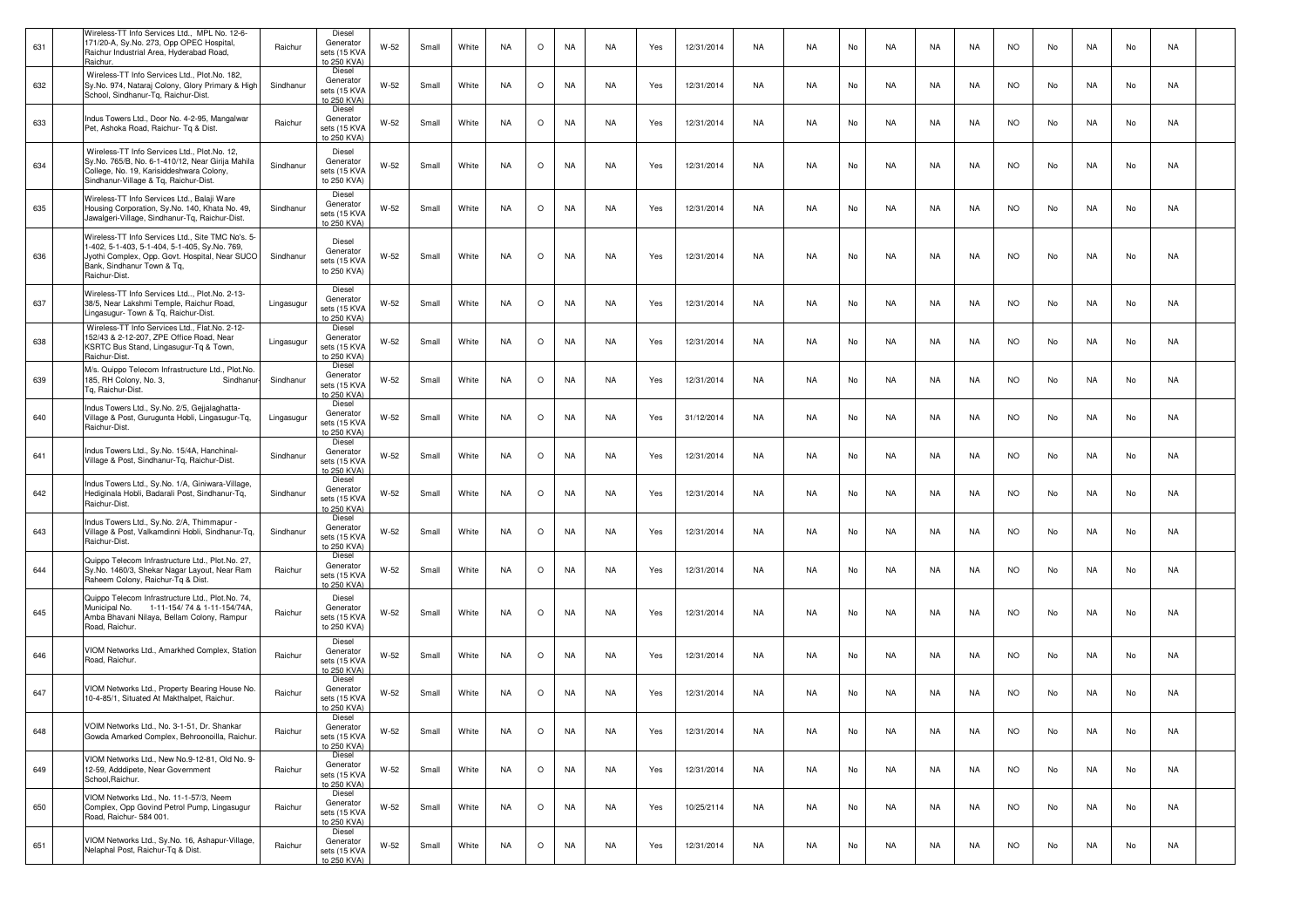| 631 | Wireless-TT Info Services Ltd., MPL No. 12-6-<br>171/20-A, Sy.No. 273, Opp OPEC Hospital,<br>Raichur Industrial Area, Hyderabad Road,<br>Raichur.                                                   | Raichur    | Diesel<br>Generator<br>sets (15 KVA<br>to 250 KVA) | W-52   | Small | White | <b>NA</b> | $\circ$ | <b>NA</b> | NA        | Yes | 12/31/2014 | NA        | <b>NA</b> | No | NA.       | NA        | NA        | <b>NO</b> | No | NA        | No | NA        |  |
|-----|-----------------------------------------------------------------------------------------------------------------------------------------------------------------------------------------------------|------------|----------------------------------------------------|--------|-------|-------|-----------|---------|-----------|-----------|-----|------------|-----------|-----------|----|-----------|-----------|-----------|-----------|----|-----------|----|-----------|--|
| 632 | Wireless-TT Info Services Ltd., Plot.No. 182,<br>Sy.No. 974, Nataraj Colony, Glory Primary & High<br>School, Sindhanur-Tq, Raichur-Dist.                                                            | Sindhanur  | Diesel<br>Generator<br>sets (15 KVA<br>to 250 KVA) | W-52   | Small | White | <b>NA</b> | $\circ$ | <b>NA</b> | NA        | Yes | 12/31/2014 | NA        | <b>NA</b> | No | <b>NA</b> | NA        | <b>NA</b> | <b>NO</b> | No | <b>NA</b> | No | NA        |  |
| 633 | Indus Towers Ltd., Door No. 4-2-95, Mangalwar<br>Pet, Ashoka Road, Raichur- Tq & Dist.                                                                                                              | Raichur    | Diesel<br>Generator<br>sets (15 KVA<br>to 250 KVA) | W-52   | Small | White | NA.       | $\circ$ | NA        | NA        | Yes | 12/31/2014 | NA        | NA.       | No | NA        | NA        | NA        | NO.       | No | NA        | No | NA        |  |
| 634 | Wireless-TT Info Services Ltd., Plot.No. 12,<br>Sy.No. 765/B, No. 6-1-410/12, Near Girija Mahila<br>College, No. 19, Karisiddeshwara Colony,<br>Sindhanur-Village & Tq, Raichur-Dist.               | Sindhanur  | Diesel<br>Generator<br>sets (15 KVA<br>to 250 KVA) | W-52   | Small | White | <b>NA</b> | $\circ$ | <b>NA</b> | NA        | Yes | 12/31/2014 | NA        | <b>NA</b> | No | NA.       | NA        | NA        | <b>NO</b> | No | NA        | No | NA        |  |
| 635 | Wireless-TT Info Services Ltd., Balaji Ware<br>Housing Corporation, Sy.No. 140, Khata No. 49,<br>Jawalgeri-Village, Sindhanur-Tq, Raichur-Dist.                                                     | Sindhanur  | Diesel<br>Generator<br>sets (15 KVA<br>to 250 KVA) | W-52   | Small | White | <b>NA</b> | $\circ$ | <b>NA</b> | NA        | Yes | 12/31/2014 | NA        | <b>NA</b> | No | NA        | NA        | NA        | <b>NO</b> | No | NA        | No | NA        |  |
| 636 | Wireless-TT Info Services Ltd., Site TMC No's. 5-<br>1-402, 5-1-403, 5-1-404, 5-1-405, Sy.No. 769,<br>Jyothi Complex, Opp. Govt. Hospital, Near SUCO<br>Bank, Sindhanur Town & Tq,<br>Raichur-Dist. | Sindhanur  | Diesel<br>Generator<br>sets (15 KVA<br>to 250 KVA) | W-52   | Small | White | NA.       | $\circ$ | <b>NA</b> | <b>NA</b> | Yes | 12/31/2014 | NA        | <b>NA</b> | No | NA        | NA        | NA.       | NO.       | No | NA        | No | NA        |  |
| 637 | Wireless-TT Info Services Ltd, Plot.No. 2-13-<br>38/5, Near Lakshmi Temple, Raichur Road,<br>Lingasugur- Town & Tq, Raichur-Dist.                                                                   | Lingasugur | Diesel<br>Generator<br>sets (15 KVA<br>to 250 KVA) | W-52   | Small | White | <b>NA</b> | $\circ$ | <b>NA</b> | NA        | Yes | 12/31/2014 | NA        | NA        | No | <b>NA</b> | NA        | NA        | <b>NO</b> | No | NA        | No | NA        |  |
| 638 | Wireless-TT Info Services Ltd., Flat.No. 2-12-<br>152/43 & 2-12-207, ZPE Office Road, Near<br>KSRTC Bus Stand, Lingasugur-Tq & Town,<br>Raichur-Dist.                                               | Lingasugur | Diesel<br>Generator<br>sets (15 KVA<br>to 250 KVA) | W-52   | Small | White | <b>NA</b> | $\circ$ | <b>NA</b> | NA        | Yes | 12/31/2014 | NA        | NA        | No | NA        | NA        | NA        | <b>NO</b> | No | NA        | No | NA        |  |
| 639 | M/s. Quippo Telecom Infrastructure Ltd., Plot.No.<br>185, RH Colony, No. 3,<br>Sindhanu<br>Tg. Raichur-Dist.                                                                                        | Sindhanur  | Diesel<br>Generator<br>sets (15 KVA<br>to 250 KVA) | W-52   | Small | White | NA.       | $\circ$ | NA        | NA        | Yes | 12/31/2014 | NA        | <b>NA</b> | No | NA        | NA        | NA        | <b>NO</b> | No | NA        | No | NA        |  |
| 640 | Indus Towers Ltd., Sy.No. 2/5, Gejjalaghatta-<br>Village & Post, Gurugunta Hobli, Lingasugur-Tg,<br>Raichur-Dist.                                                                                   | Lingasugur | Diesel<br>Generator<br>sets (15 KVA<br>to 250 KVA) | $W-52$ | Small | White | <b>NA</b> | $\circ$ | NA        | <b>NA</b> | Yes | 31/12/2014 | NA        | <b>NA</b> | No | <b>NA</b> | NA        | <b>NA</b> | NO.       | No | <b>NA</b> | No | NA        |  |
| 641 | Indus Towers Ltd., Sy.No. 15/4A, Hanchinal-<br>Village & Post, Sindhanur-Tq, Raichur-Dist.                                                                                                          | Sindhanur  | Diesel<br>Generator<br>sets (15 KVA<br>to 250 KVA) | $W-52$ | Small | White | <b>NA</b> | $\circ$ | <b>NA</b> | NA        | Yes | 12/31/2014 | NA        | <b>NA</b> | No | NA        | NA        | NA        | <b>NO</b> | No | NA        | No | NA        |  |
| 642 | Indus Towers Ltd., Sy.No. 1/A, Giniwara-Village,<br>Hediginala Hobli, Badarali Post, Sindhanur-Tq,<br>Raichur-Dist.                                                                                 | Sindhanur  | Diesel<br>Generator<br>sets (15 KVA<br>to 250 KVA) | W-52   | Small | White | NA.       | $\circ$ | <b>NA</b> | NA        | Yes | 12/31/2014 | NA        | NA.       | No | NA.       | NA        | NA        | NO.       | No | NA        | No | NA        |  |
| 643 | Indus Towers Ltd., Sy.No. 2/A, Thimmapur -<br>Village & Post, Valkamdinni Hobli, Sindhanur-Tq,<br>Raichur-Dist.                                                                                     | Sindhanur  | Diesel<br>Generator<br>sets (15 KVA<br>to 250 KVA) | W-52   | Small | White | <b>NA</b> | $\circ$ | <b>NA</b> | NA        | Yes | 12/31/2014 | NA        | <b>NA</b> | No | <b>NA</b> | NA        | <b>NA</b> | <b>NO</b> | No | NA        | No | NA        |  |
| 644 | Quippo Telecom Infrastructure Ltd., Plot.No. 27,<br>Sy.No. 1460/3, Shekar Nagar Layout, Near Ram<br>Raheem Colony, Raichur-Tq & Dist.                                                               | Raichur    | Diesel<br>Generator<br>sets (15 KVA<br>to 250 KVA) | W-52   | Small | White | <b>NA</b> | $\circ$ | <b>NA</b> | NA        | Yes | 12/31/2014 | NA        | <b>NA</b> | No | NA        | NA        | NA        | <b>NO</b> | No | NA        | No | NA        |  |
| 645 | Quippo Telecom Infrastructure Ltd., Plot.No. 74,<br>Municipal No. 1-11-154/74 & 1-11-154/74A,<br>Amba Bhavani Nilaya, Bellam Colony, Rampur<br>Road, Raichur.                                       | Raichur    | Diesel<br>Generator<br>sets (15 KVA<br>to 250 KVA) | W-52   | Small | White | NA.       | $\circ$ | NA        | NA        | Yes | 12/31/2014 | NA        | NA.       | No | NA        | NA        | NA        | <b>NO</b> | No | NA        | No | NA        |  |
| 646 | VIOM Networks Ltd., Amarkhed Complex, Station<br>Road, Raichur.                                                                                                                                     | Raichur    | Diesel<br>Generator<br>sets (15 KVA<br>to 250 KVA) | $W-52$ | Small | White | <b>NA</b> | $\circ$ | <b>NA</b> | <b>NA</b> | Yes | 12/31/2014 | NA        | <b>NA</b> | No | <b>NA</b> | NA        | <b>NA</b> | NO.       | No | NA        | No | NA        |  |
| 647 | VIOM Networks Ltd., Property Bearing House No.<br>10-4-85/1, Situated At Makthalpet, Raichur.                                                                                                       | Raichur    | Diesel<br>Generator<br>sets (15 KVA<br>to 250 KVA) | W-52   | Small | White | <b>NA</b> | $\circ$ | <b>NA</b> | NA        | Yes | 12/31/2014 | NA        | <b>NA</b> | No | NA        | NA        | NA        | <b>NO</b> | No | NA        | No | NA        |  |
| 648 | VOIM Networks Ltd., No. 3-1-51, Dr. Shankar<br>Gowda Amarked Complex, Behroonoilla, Raichur                                                                                                         | Raichur    | Diesel<br>Generator<br>sets (15 KVA<br>to 250 KVA) | W-52   | Small | White | <b>NA</b> | $\circ$ | <b>NA</b> | NA        | Yes | 12/31/2014 | NA        | NA        | No | NA        | <b>NA</b> | NA        | <b>NO</b> | No | NA        | No | <b>NA</b> |  |
| 649 | VIOM Networks Ltd., New No.9-12-81, Old No. 9-<br>12-59, Adddipete, Near Government<br>School, Raichur.                                                                                             | Raichur    | Diesel<br>Generator<br>sets (15 KVA<br>to 250 KVA) | W-52   | Small | White | NA        | $\circ$ | <b>NA</b> | NA        | Yes | 12/31/2014 | <b>NA</b> | <b>NA</b> | No | NA        | NA        | NA        | <b>NO</b> | No | NA        | No | NA        |  |
| 650 | VIOM Networks Ltd., No. 11-1-57/3, Neem<br>Complex, Opp Govind Petrol Pump, Lingasugur<br>Road, Raichur- 584 001.                                                                                   | Raichur    | Diesel<br>Generator<br>sets (15 KVA<br>to 250 KVA) | W-52   | Small | White | NA        | $\circ$ | <b>NA</b> | <b>NA</b> | Yes | 10/25/2114 | <b>NA</b> | <b>NA</b> | No | NA        | NA        | NA        | <b>NO</b> | No | NA        | No | NA        |  |
| 651 | VIOM Networks Ltd., Sy.No. 16, Ashapur-Village,<br>Nelaphal Post, Raichur-Tq & Dist.                                                                                                                | Raichur    | Diesel<br>Generator<br>sets (15 KVA<br>to 250 KVA) | W-52   | Small | White | NA        | $\circ$ | NA        | NA        | Yes | 12/31/2014 | NA        | NA        | No | NA        | NA        | NA        | <b>NO</b> | No | NA        | No | NA        |  |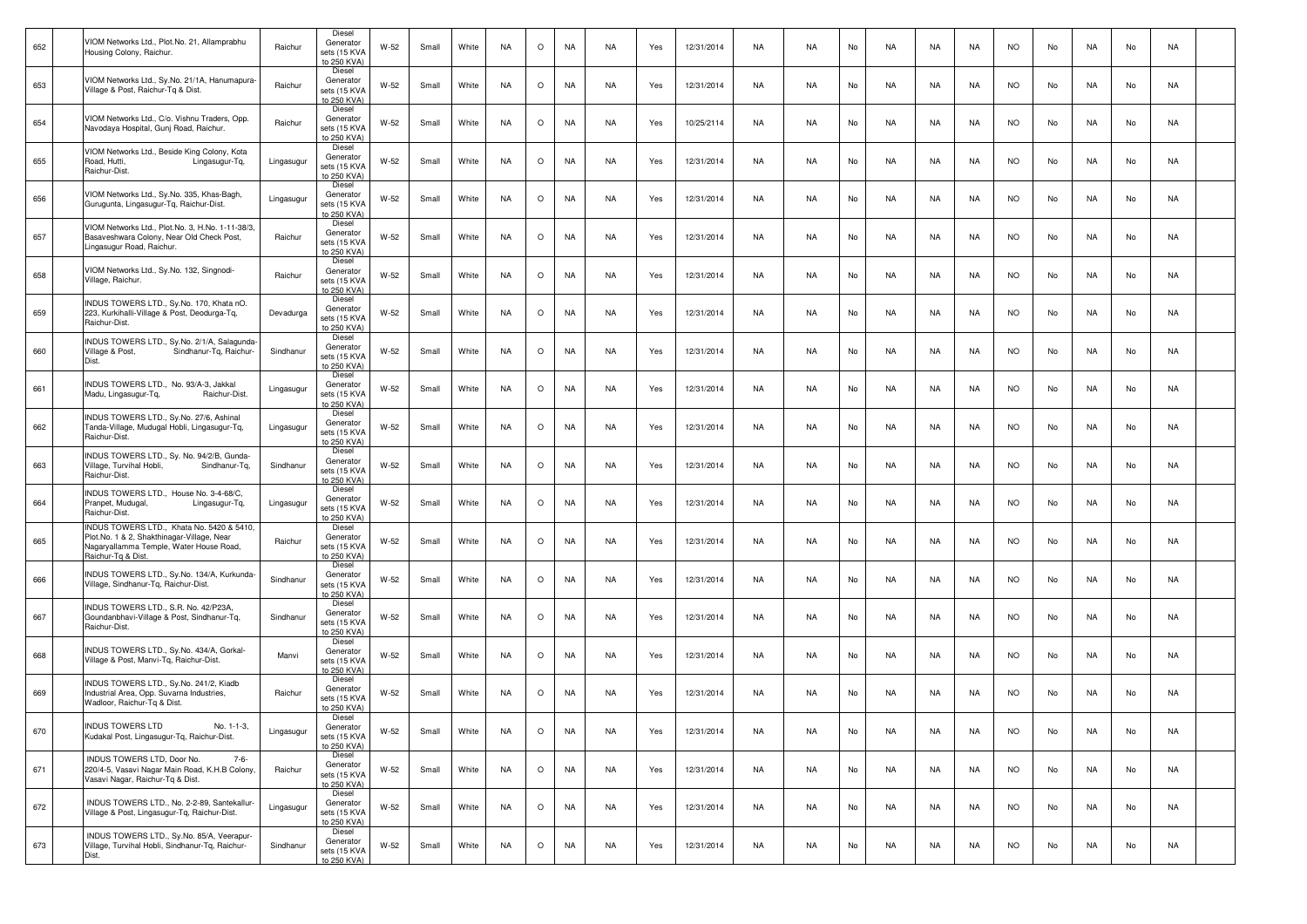| 652 | VIOM Networks Ltd., Plot.No. 21, Allamprabhu<br>Housing Colony, Raichur.                                                                                 | Raichur    | Diesel<br>Generator<br>sets (15 KVA<br>to 250 KVA) | W-52   | Small | White | <b>NA</b> | $\circ$ | NA        | NA        | Yes | 12/31/2014 | NA        | NA.       | No | NA        | NA        | NA        | <b>NO</b> | No | NA        | No | NA        |  |
|-----|----------------------------------------------------------------------------------------------------------------------------------------------------------|------------|----------------------------------------------------|--------|-------|-------|-----------|---------|-----------|-----------|-----|------------|-----------|-----------|----|-----------|-----------|-----------|-----------|----|-----------|----|-----------|--|
| 653 | VIOM Networks Ltd., Sy.No. 21/1A, Hanumapura-<br>Village & Post, Raichur-Tq & Dist.                                                                      | Raichur    | Diesel<br>Generator<br>sets (15 KVA<br>to 250 KVA) | W-52   | Small | White | <b>NA</b> | $\circ$ | <b>NA</b> | NA        | Yes | 12/31/2014 | NA        | <b>NA</b> | No | NA        | NA        | NA        | <b>NO</b> | No | NA        | No | NA        |  |
| 654 | VIOM Networks Ltd., C/o. Vishnu Traders, Opp.<br>Navodaya Hospital, Gunj Road, Raichur.                                                                  | Raichur    | Diesel<br>Generator<br>sets (15 KVA<br>to 250 KVA) | $W-52$ | Small | White | <b>NA</b> | $\circ$ | <b>NA</b> | NA        | Yes | 10/25/2114 | NA        | <b>NA</b> | No | NA        | NA        | NA        | <b>NO</b> | No | NA        | No | NA        |  |
| 655 | VIOM Networks Ltd., Beside King Colony, Kota<br>Road, Hutti,<br>Lingasugur-Tq,<br>Raichur-Dist.                                                          | Lingasugur | Diesel<br>Generator<br>sets (15 KVA<br>o 250 KVA)  | W-52   | Small | White | <b>NA</b> | $\circ$ | <b>NA</b> | NA        | Yes | 12/31/2014 | NA        | NA        | No | NA        | NA        | NA.       | NO.       | No | NA        | No | NA        |  |
| 656 | VIOM Networks Ltd., Sy.No. 335, Khas-Bagh,<br>Gurugunta, Lingasugur-Tq, Raichur-Dist.                                                                    | Lingasugur | Diesel<br>Generator<br>sets (15 KVA<br>to 250 KVA) | W-52   | Small | White | <b>NA</b> | $\circ$ | NA        | NA        | Yes | 12/31/2014 | NA        | <b>NA</b> | No | NA        | NA        | NA        | <b>NO</b> | No | NA        | No | NA        |  |
| 657 | VIOM Networks Ltd., Plot.No. 3, H.No. 1-11-38/3,<br>Basaveshwara Colony, Near Old Check Post,<br>Lingasugur Road, Raichur.                               | Raichur    | Diesel<br>Generator<br>sets (15 KVA<br>to 250 KVA) | $W-52$ | Small | White | <b>NA</b> | $\circ$ | NA        | NA        | Yes | 12/31/2014 | NA        | <b>NA</b> | No | NA        | NA        | NA        | <b>NO</b> | No | NA        | No | NA        |  |
| 658 | VIOM Networks Ltd., Sy.No. 132, Singnodi-<br>Village, Raichur.                                                                                           | Raichur    | Diesel<br>Generator<br>sets (15 KVA<br>to 250 KVA) | W-52   | Small | White | <b>NA</b> | $\circ$ | NA        | NA        | Yes | 12/31/2014 | NA        | <b>NA</b> | No | NA        | NA        | NA.       | <b>NO</b> | No | NA        | No | NA        |  |
| 659 | INDUS TOWERS LTD., Sy.No. 170, Khata nO.<br>223, Kurkihalli-Village & Post, Deodurga-Tq,<br>Raichur-Dist.                                                | Devadurga  | Diesel<br>Generator<br>sets (15 KVA<br>to 250 KVA) | W-52   | Small | White | <b>NA</b> | $\circ$ | NA        | NA        | Yes | 12/31/2014 | NA        | <b>NA</b> | No | NA        | NA        | NA        | <b>NO</b> | No | NA        | No | NA        |  |
| 660 | INDUS TOWERS LTD., Sy.No. 2/1/A, Salagunda-<br>Village & Post,<br>Sindhanur-Tq, Raichur-<br>Dist                                                         | Sindhanur  | Diesel<br>Generator<br>sets (15 KVA<br>to 250 KVA) | W-52   | Small | White | <b>NA</b> | $\circ$ | NA        | NA        | Yes | 12/31/2014 | NA        | <b>NA</b> | No | NA        | NA        | NA        | <b>NO</b> | No | NA        | No | NA        |  |
| 661 | INDUS TOWERS LTD., No. 93/A-3, Jakkal<br>Madu, Lingasugur-Tq,<br>Raichur-Dist.                                                                           | Lingasugur | Diesel<br>Generator<br>sets (15 KVA<br>to 250 KVA) | W-52   | Small | White | <b>NA</b> | $\circ$ | <b>NA</b> | NA        | Yes | 12/31/2014 | NA        | <b>NA</b> | No | NA        | NA        | NA        | <b>NO</b> | No | NA        | No | NA        |  |
| 662 | INDUS TOWERS LTD., Sy.No. 27/6, Ashinal<br>Tanda-Village, Mudugal Hobli, Lingasugur-Tq,<br>Raichur-Dist.                                                 | Lingasugur | Diesel<br>Generator<br>sets (15 KVA<br>to 250 KVA) | W-52   | Small | White | <b>NA</b> | $\circ$ | NA        | NA        | Yes | 12/31/2014 | NA        | <b>NA</b> | No | NA        | NA        | NA        | <b>NO</b> | No | NA        | No | NA        |  |
| 663 | INDUS TOWERS LTD., Sy. No. 94/2/B, Gunda-<br>Village, Turvihal Hobli,<br>Sindhanur-Tq,<br>Raichur-Dist.                                                  | Sindhanur  | Diesel<br>Generator<br>sets (15 KVA<br>to 250 KVA) | W-52   | Small | White | <b>NA</b> | $\circ$ | NA        | <b>NA</b> | Yes | 12/31/2014 | <b>NA</b> | <b>NA</b> | No | <b>NA</b> | <b>NA</b> | <b>NA</b> | NO.       | No | <b>NA</b> | No | NA        |  |
| 664 | INDUS TOWERS LTD., House No. 3-4-68/C,<br>Pranpet, Mudugal,<br>Lingasugur-Tq,<br>Raichur-Dist.                                                           | Lingasugur | Diesel<br>Generator<br>sets (15 KVA<br>to 250 KVA) | W-52   | Small | White | <b>NA</b> | $\circ$ | <b>NA</b> | NA        | Yes | 12/31/2014 | NA        | <b>NA</b> | No | NA        | NA        | NA        | <b>NO</b> | No | NA        | No | NA        |  |
| 665 | INDUS TOWERS LTD., Khata No. 5420 & 5410,<br>Plot.No. 1 & 2, Shakthinagar-Village, Near<br>Nagaryallamma Temple, Water House Road,<br>Raichur-Tq & Dist. | Raichur    | Diesel<br>Generator<br>sets (15 KVA<br>to 250 KVA) | W-52   | Small | White | <b>NA</b> | $\circ$ | <b>NA</b> | NA        | Yes | 12/31/2014 | NA        | <b>NA</b> | No | NA        | NA        | NA        | <b>NO</b> | No | NA        | No | NA        |  |
| 666 | INDUS TOWERS LTD., Sy.No. 134/A, Kurkunda-<br>Village, Sindhanur-Tq, Raichur-Dist.                                                                       | Sindhanur  | Diesel<br>Generator<br>sets (15 KVA<br>to 250 KVA) | W-52   | Small | White | <b>NA</b> | $\circ$ | NA        | NA        | Yes | 12/31/2014 | NA        | <b>NA</b> | No | <b>NA</b> | NA        | <b>NA</b> | <b>NO</b> | No | NA        | No | NA        |  |
| 667 | INDUS TOWERS LTD., S.R. No. 42/P23A,<br>Goundanbhavi-Village & Post, Sindhanur-Tq,<br>Raichur-Dist.                                                      | Sindhanur  | Diesel<br>Generator<br>sets (15 KVA<br>to 250 KVA) | W-52   | Small | White | <b>NA</b> | $\circ$ | <b>NA</b> | NA        | Yes | 12/31/2014 | NA        | NA.       | No | NA        | NA        | NA.       | <b>NO</b> | No | NA        | No | NA        |  |
| 668 | INDUS TOWERS LTD., Sy.No. 434/A, Gorkal-<br>Village & Post, Manvi-Tq, Raichur-Dist.                                                                      | Manvi      | Diesel<br>Generator<br>sets (15 KVA<br>to 250 KVA) | W-52   | Small | White | <b>NA</b> | $\circ$ | NA        | NA        | Yes | 12/31/2014 | NA        | <b>NA</b> | No | NA        | NA        | NA        | <b>NO</b> | No | NA        | No | NA        |  |
| 669 | INDUS TOWERS LTD., Sy.No. 241/2, Kiadb<br>Industrial Area, Opp. Suvarna Industries,<br>Wadloor, Raichur-Tq & Dist.                                       | Raichur    | Diesel<br>Generator<br>sets (15 KVA<br>to 250 KVA) | $W-52$ | Small | White | <b>NA</b> | $\circ$ | NA        | <b>NA</b> | Yes | 12/31/2014 | <b>NA</b> | <b>NA</b> | No | <b>NA</b> | NA        | <b>NA</b> | <b>NO</b> | No | NA.       | No | NA        |  |
| 670 | INDUS TOWERS LTD<br>No. 1-1-3.<br>Kudakal Post, Lingasugur-Tg, Raichur-Dist.                                                                             | Lingasugur | Diesel<br>Generator<br>sets (15 KVA<br>to 250 KVA) | W-52   | Small | White | NA        | $\circ$ | NA        | <b>NA</b> | Yes | 12/31/2014 | NA        | <b>NA</b> | No | NA        | <b>NA</b> | <b>NA</b> | <b>NO</b> | No | NA        | No | <b>NA</b> |  |
| 671 | INDUS TOWERS LTD, Door No.<br>$7 - 6 -$<br>220/4-5, Vasavi Nagar Main Road, K.H.B Colony,<br>Vasavi Nagar, Raichur-Tg & Dist.                            | Raichur    | Diesel<br>Generator<br>sets (15 KVA<br>to 250 KVA) | W-52   | Small | White | <b>NA</b> | $\circ$ | NA        | NA        | Yes | 12/31/2014 | NA        | <b>NA</b> | No | NA        | NA        | NA        | <b>NO</b> | No | NA        | No | NA        |  |
| 672 | INDUS TOWERS LTD., No. 2-2-89, Santekallur-<br>Village & Post, Lingasugur-Tq, Raichur-Dist.                                                              | Lingasugur | Diesel<br>Generator<br>sets (15 KVA<br>to 250 KVA) | W-52   | Small | White | <b>NA</b> | $\circ$ | <b>NA</b> | NA        | Yes | 12/31/2014 | NA        | <b>NA</b> | No | NA        | NA        | NA        | <b>NO</b> | No | NA        | No | NA        |  |
| 673 | INDUS TOWERS LTD., Sy.No. 85/A, Veerapur-<br>Village, Turvihal Hobli, Sindhanur-Tq, Raichur-<br>Dist.                                                    | Sindhanur  | Diesel<br>Generator<br>sets (15 KVA<br>to 250 KVA) | W-52   | Small | White | <b>NA</b> | $\circ$ | <b>NA</b> | <b>NA</b> | Yes | 12/31/2014 | NA        | <b>NA</b> | No | NA        | NA        | NA        | <b>NO</b> | No | NA        | No | NA        |  |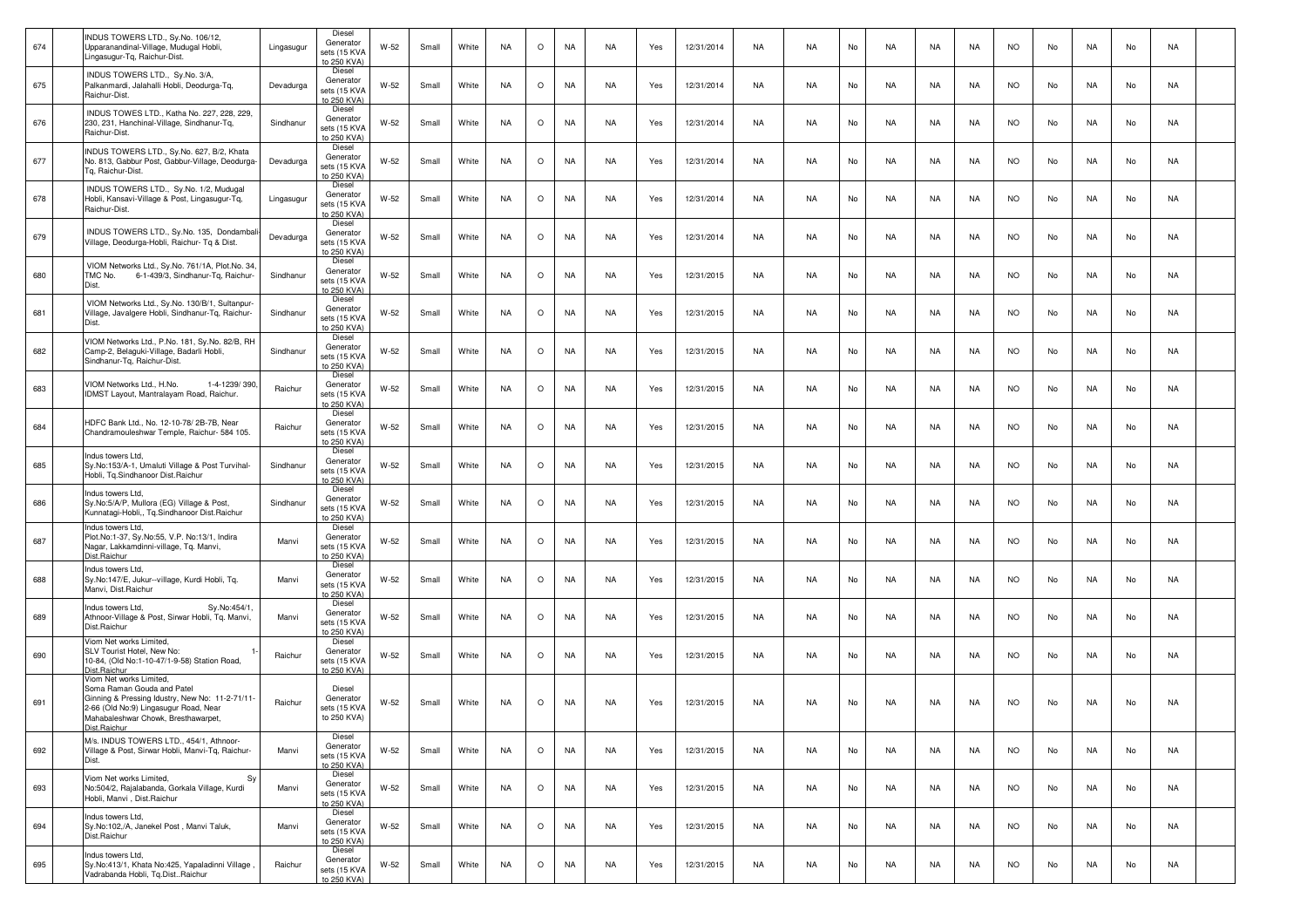| 674 | INDUS TOWERS LTD., Sy.No. 106/12,<br>Upparanandinal-Village, Mudugal Hobli,<br>Lingasugur-Tg, Raichur-Dist.                                                                                              | Lingasugur | Diesel<br>Generator<br>sets (15 KVA<br>to 250 KVA) | W-52   | Small | White | <b>NA</b> | $\circ$ | <b>NA</b> | NA        | Yes | 12/31/2014 | NA        | <b>NA</b> | No | NA        | NA        | NA        | <b>NO</b> | No | NA        | No | NA |  |
|-----|----------------------------------------------------------------------------------------------------------------------------------------------------------------------------------------------------------|------------|----------------------------------------------------|--------|-------|-------|-----------|---------|-----------|-----------|-----|------------|-----------|-----------|----|-----------|-----------|-----------|-----------|----|-----------|----|----|--|
| 675 | INDUS TOWERS LTD., Sy.No. 3/A,<br>Palkanmardi, Jalahalli Hobli, Deodurga-Tq,<br>Raichur-Dist.                                                                                                            | Devadurga  | Diesel<br>Generator<br>sets (15 KVA<br>to 250 KVA) | W-52   | Small | White | <b>NA</b> | $\circ$ | NA        | NA        | Yes | 12/31/2014 | <b>NA</b> | <b>NA</b> | No | <b>NA</b> | NA        | <b>NA</b> | <b>NO</b> | No | <b>NA</b> | No | NA |  |
| 676 | INDUS TOWES LTD., Katha No. 227, 228, 229,<br>230, 231, Hanchinal-Village, Sindhanur-Tg,<br>Raichur-Dist.                                                                                                | Sindhanur  | Diesel<br>Generator<br>sets (15 KVA<br>to 250 KVA) | W-52   | Small | White | <b>NA</b> | $\circ$ | <b>NA</b> | NA        | Yes | 12/31/2014 | NA        | NA.       | No | NA        | NA        | NA.       | <b>NO</b> | No | NA        | No | NA |  |
| 677 | INDUS TOWERS LTD., Sy.No. 627, B/2, Khata<br>No. 813, Gabbur Post, Gabbur-Village, Deodurga-<br>Ta. Raichur-Dist.                                                                                        | Devadurga  | Diesel<br>Generator<br>sets (15 KVA<br>to 250 KVA) | W-52   | Small | White | <b>NA</b> | $\circ$ | NA        | NA        | Yes | 12/31/2014 | NA        | <b>NA</b> | No | NA        | NA        | NA        | <b>NO</b> | No | NA        | No | NA |  |
| 678 | INDUS TOWERS LTD., Sy.No. 1/2, Mudugal<br>Hobli, Kansavi-Village & Post, Lingasugur-Tq,<br>Raichur-Dist.                                                                                                 | Lingasugur | Diesel<br>Generator<br>sets (15 KVA<br>to 250 KVA) | $W-52$ | Small | White | <b>NA</b> | $\circ$ | NA        | NA        | Yes | 12/31/2014 | <b>NA</b> | <b>NA</b> | No | <b>NA</b> | NA        | <b>NA</b> | NO.       | No | <b>NA</b> | No | NA |  |
| 679 | INDUS TOWERS LTD., Sy.No. 135, Dondambal<br>Village, Deodurga-Hobli, Raichur- Tq & Dist.                                                                                                                 | Devadurga  | Diesel<br>Generator<br>sets (15 KVA<br>to 250 KVA) | $W-52$ | Small | White | <b>NA</b> | $\circ$ | NA        | NA        | Yes | 12/31/2014 | NA        | <b>NA</b> | No | NA        | NA        | NA        | <b>NO</b> | No | NA        | No | NA |  |
| 680 | VIOM Networks Ltd., Sy.No. 761/1A, Plot.No. 34<br>TMC No.<br>6-1-439/3, Sindhanur-Tq, Raichur-<br>Dist.                                                                                                  | Sindhanur  | Diesel<br>Generator<br>sets (15 KVA<br>to 250 KVA) | W-52   | Small | White | <b>NA</b> | $\circ$ | NA        | NA        | Yes | 12/31/2015 | NA        | <b>NA</b> | No | NA        | NA        | NA        | <b>NO</b> | No | NA        | No | NA |  |
| 681 | VIOM Networks Ltd., Sy.No. 130/B/1, Sultanpur-<br>Village, Javalgere Hobli, Sindhanur-Tq, Raichur-<br>Dist.                                                                                              | Sindhanur  | Diesel<br>Generator<br>sets (15 KVA<br>to 250 KVA) | W-52   | Small | White | <b>NA</b> | $\circ$ | NA        | NA        | Yes | 12/31/2015 | <b>NA</b> | <b>NA</b> | No | NA        | NA        | <b>NA</b> | <b>NO</b> | No | NA        | No | NA |  |
| 682 | VIOM Networks Ltd., P.No. 181, Sy.No. 82/B, RH<br>Camp-2, Belaguki-Village, Badarli Hobli,<br>Sindhanur-Tg. Raichur-Dist.                                                                                | Sindhanur  | Diesel<br>Generator<br>sets (15 KVA<br>to 250 KVA) | $W-52$ | Small | White | <b>NA</b> | $\circ$ | NA        | NA        | Yes | 12/31/2015 | NA        | NA        | No | NA        | NA        | NA        | <b>NO</b> | No | NA        | No | NA |  |
| 683 | VIOM Networks Ltd., H.No.<br>1-4-1239/390.<br>IDMST Layout, Mantralayam Road, Raichur.                                                                                                                   | Raichur    | Diesel<br>Generator<br>sets (15 KVA<br>to 250 KVA) | W-52   | Small | White | <b>NA</b> | $\circ$ | NA        | NA        | Yes | 12/31/2015 | NA        | <b>NA</b> | No | NA        | NA        | NA        | <b>NO</b> | No | NA        | No | NA |  |
| 684 | HDFC Bank Ltd., No. 12-10-78/2B-7B, Near<br>Chandramouleshwar Temple, Raichur- 584 105.                                                                                                                  | Raichur    | Diesel<br>Generator<br>sets (15 KVA<br>to 250 KVA) | $W-52$ | Small | White | <b>NA</b> | $\circ$ | NA        | <b>NA</b> | Yes | 12/31/2015 | <b>NA</b> | <b>NA</b> | No | <b>NA</b> | <b>NA</b> | <b>NA</b> | NO.       | No | <b>NA</b> | No | NA |  |
| 685 | Indus towers Ltd.<br>Sy.No:153/A-1, Umaluti Village & Post Turvihal-<br>Hobli, Tg.Sindhanoor Dist.Raichur                                                                                                | Sindhanur  | Diesel<br>Generator<br>sets (15 KVA<br>to 250 KVA) | $W-52$ | Small | White | <b>NA</b> | $\circ$ | <b>NA</b> | NA        | Yes | 12/31/2015 | NA        | <b>NA</b> | No | NA        | NA        | NA        | <b>NO</b> | No | NA        | No | NA |  |
| 686 | Indus towers Ltd.<br>Sy.No:5/A/P, Mullora (EG) Village & Post,<br>Kunnatagi-Hobli,, Tg.Sindhanoor Dist.Raichur                                                                                           | Sindhanur  | Diesel<br>Generator<br>sets (15 KVA<br>to 250 KVA) | W-52   | Small | White | <b>NA</b> | $\circ$ | NA        | NA        | Yes | 12/31/2015 | NA        | <b>NA</b> | No | NA        | NA        | NA        | <b>NO</b> | No | NA        | No | NA |  |
| 687 | Indus towers Ltd.<br>Plot.No:1-37, Sy.No:55, V.P. No:13/1, Indira<br>Nagar, Lakkamdinni-village, Tq. Manvi,<br>Dist.Raichur                                                                              | Manvi      | Diesel<br>Generator<br>sets (15 KVA<br>to 250 KVA) | W-52   | Small | White | <b>NA</b> | $\circ$ | NA        | NA        | Yes | 12/31/2015 | NA        | <b>NA</b> | No | <b>NA</b> | NA        | <b>NA</b> | <b>NO</b> | No | <b>NA</b> | No | NA |  |
| 688 | Indus towers Ltd,<br>Sy.No:147/E, Jukur--village, Kurdi Hobli, Tq.<br>Manvi, Dist.Raichur                                                                                                                | Manvi      | Diesel<br>Generator<br>sets (15 KVA<br>to 250 KVA) | $W-52$ | Small | White | <b>NA</b> | $\circ$ | <b>NA</b> | NA        | Yes | 12/31/2015 | NA        | <b>NA</b> | No | NA        | NA        | NA        | <b>NO</b> | No | NA        | No | NA |  |
| 689 | Sy.No:454/1<br>Indus towers Ltd,<br>Athnoor-Village & Post, Sirwar Hobli, Tq. Manvi,<br>Dist.Raichur                                                                                                     | Manvi      | Diesel<br>Generator<br>sets (15 KVA<br>o 250 KVA)  | W-52   | Small | White | <b>NA</b> | $\circ$ | NA        | NA        | Yes | 12/31/2015 | NA        | <b>NA</b> | No | NA        | NA        | NA        | <b>NO</b> | No | NA        | No | NA |  |
| 690 | Viom Net works Limited,<br>SLV Tourist Hotel, New No:<br>10-84, (Old No:1-10-47/1-9-58) Station Road,<br>Dist.Raichur                                                                                    | Raichur    | Diesel<br>Generator<br>sets (15 KVA<br>to 250 KVA) | $W-52$ | Small | White | <b>NA</b> | $\circ$ | NA        | <b>NA</b> | Yes | 12/31/2015 | <b>NA</b> | <b>NA</b> | No | <b>NA</b> | <b>NA</b> | <b>NA</b> | NO.       | No | NA.       | No | NA |  |
| 691 | Viom Net works Limited,<br>Soma Raman Gouda and Patel<br>Ginning & Pressing Idustry, New No: 11-2-71/11-<br>2-66 (Old No:9) Lingasugur Road, Near<br>Mahabaleshwar Chowk, Bresthawarpet,<br>Dist.Raichur | Raichur    | Diesel<br>Generator<br>sets (15 KVA<br>to 250 KVA) | $W-52$ | Small | White | <b>NA</b> | $\circ$ | NA        | <b>NA</b> | Yes | 12/31/2015 | NA        | <b>NA</b> | No | NA        | NA        | NA        | <b>NO</b> | No | NA        | No | NA |  |
| 692 | M/s. INDUS TOWERS LTD., 454/1, Athnoor-<br>Village & Post, Sirwar Hobli, Manvi-Tq, Raichur-<br>Dist.                                                                                                     | Manvi      | Diesel<br>Generator<br>sets (15 KVA<br>to 250 KVA) | W-52   | Small | White | <b>NA</b> | $\circ$ | NA        | NA        | Yes | 12/31/2015 | NA        | <b>NA</b> | No | NA        | NA        | NA        | <b>NO</b> | No | NA        | No | NA |  |
| 693 | Viom Net works Limited,<br>Sy<br>No:504/2, Rajalabanda, Gorkala Village, Kurdi<br>Hobli, Manvi, Dist.Raichur                                                                                             | Manvi      | Diesel<br>Generator<br>sets (15 KVA<br>to 250 KVA) | $W-52$ | Small | White | NA        | $\circ$ | NA        | NA        | Yes | 12/31/2015 | NA        | <b>NA</b> | No | NA        | NA        | NA        | <b>NO</b> | No | NA        | No | NA |  |
| 694 | Indus towers Ltd,<br>Sy.No:102,/A, Janekel Post, Manvi Taluk,<br>Dist.Raichur                                                                                                                            | Manvi      | Diesel<br>Generator<br>sets (15 KVA<br>to 250 KVA) | $W-52$ | Small | White | NA        | $\circ$ | NA        | NA        | Yes | 12/31/2015 | NA        | NA        | No | NA        | NA        | NA        | <b>NO</b> | No | NA        | No | NA |  |
| 695 | Indus towers Ltd.<br>Sy.No:413/1, Khata No:425, Yapaladinni Village<br>Vadrabanda Hobli, Tq.DistRaichur                                                                                                  | Raichur    | Diesel<br>Generator<br>sets (15 KVA<br>to 250 KVA) | W-52   | Small | White | NA        | $\circ$ | NA        | NA        | Yes | 12/31/2015 | NA        | <b>NA</b> | No | NA        | NA        | NA        | <b>NO</b> | No | NA.       | No | NA |  |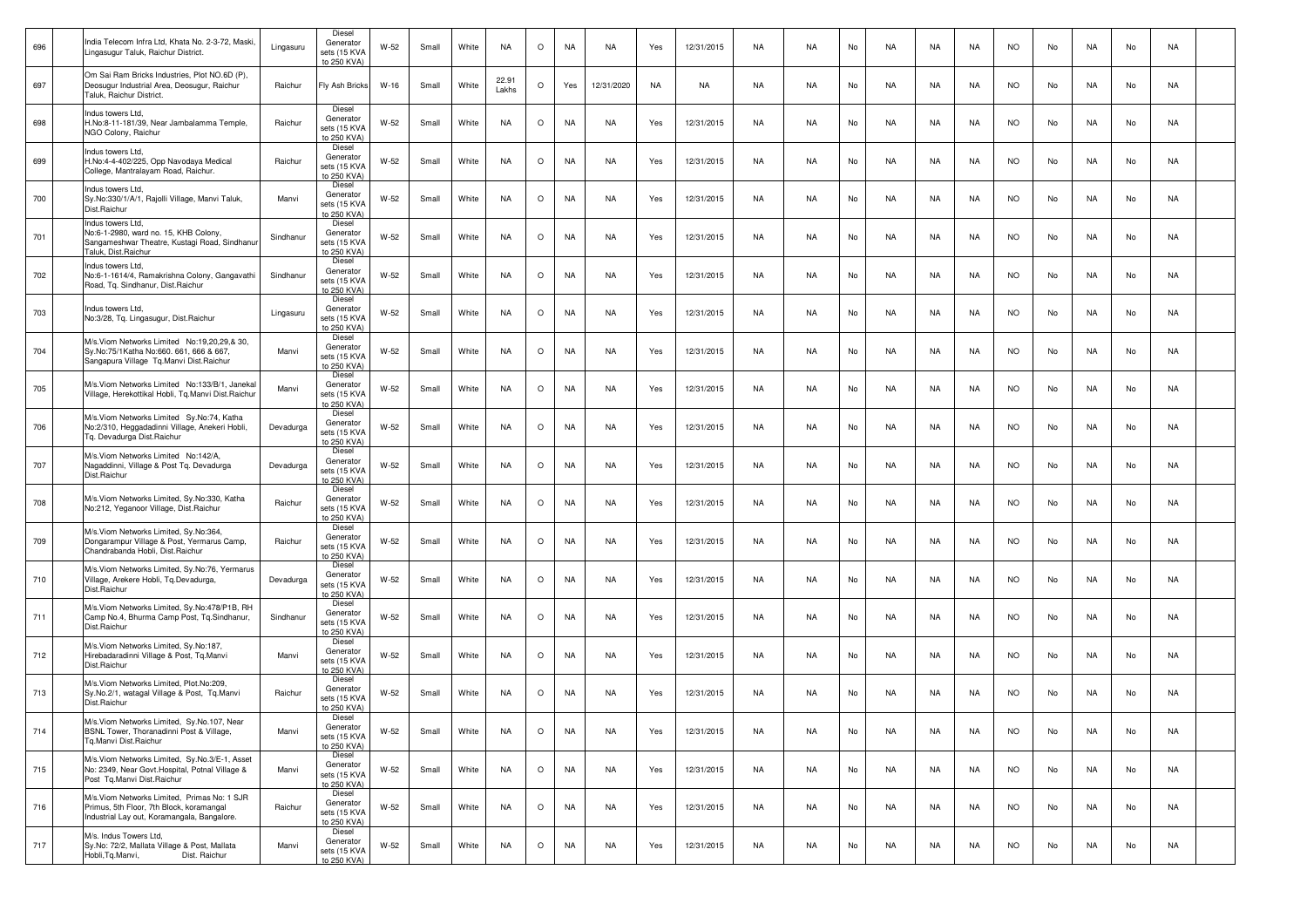| 696 | India Telecom Infra Ltd, Khata No. 2-3-72, Maski,<br>Lingasugur Taluk, Raichur District.                                                | Lingasuru | Diese<br>Generator<br>sets (15 KVA<br>to 250 KVA)  | W-52   | Small | White | NA             | $\circ$ | NA        | NA         | Yes | 12/31/2015 | NA        | NA.       | No | NA | NA | NA        | <b>NO</b> | No | NA | No | NA |  |
|-----|-----------------------------------------------------------------------------------------------------------------------------------------|-----------|----------------------------------------------------|--------|-------|-------|----------------|---------|-----------|------------|-----|------------|-----------|-----------|----|----|----|-----------|-----------|----|----|----|----|--|
| 697 | Om Sai Ram Bricks Industries, Plot NO.6D (P),<br>Deosugur Industrial Area, Deosugur, Raichur<br>Taluk, Raichur District.                | Raichur   | Fly Ash Bricks                                     | W-16   | Small | White | 22.91<br>Lakhs | $\circ$ | Yes       | 12/31/2020 | NA  | NA         | NA        | NA.       | No | NA | NA | NA        | NO.       | No | NA | No | NA |  |
| 698 | Indus towers Ltd.<br>H.No:8-11-181/39, Near Jambalamma Temple,<br>NGO Colony, Raichur                                                   | Raichur   | Diesel<br>Generator<br>sets (15 KVA<br>to 250 KVA) | W-52   | Small | White | <b>NA</b>      | $\circ$ | <b>NA</b> | NA         | Yes | 12/31/2015 | NA        | <b>NA</b> | No | NA | NA | <b>NA</b> | <b>NO</b> | No | NA | No | NA |  |
| 699 | Indus towers Ltd,<br>H.No:4-4-402/225, Opp Navodaya Medical<br>College, Mantralayam Road, Raichur.                                      | Raichur   | Diesel<br>Generator<br>sets (15 KVA<br>o 250 KVA)  | W-52   | Small | White | <b>NA</b>      | $\circ$ | <b>NA</b> | NA         | Yes | 12/31/2015 | NA        | <b>NA</b> | No | NA | NA | NA        | <b>NO</b> | No | NA | No | NA |  |
| 700 | Indus towers Ltd,<br>Sy.No:330/1/A/1, Rajolli Village, Manvi Taluk,<br>Dist.Raichur                                                     | Manvi     | Diesel<br>Generator<br>sets (15 KVA<br>o 250 KVA)  | W-52   | Small | White | <b>NA</b>      | $\circ$ | <b>NA</b> | NA         | Yes | 12/31/2015 | NA        | NA        | No | NA | NA | NA.       | NO.       | No | NA | No | NA |  |
| 701 | Indus towers Ltd.<br>No:6-1-2980, ward no. 15, KHB Colony,<br>Sangameshwar Theatre, Kustagi Road, Sindhanur<br>Taluk, Dist.Raichur      | Sindhanur | Diesel<br>Generator<br>sets (15 KVA<br>to 250 KVA) | W-52   | Small | White | NA             | $\circ$ | NA        | NA         | Yes | 12/31/2015 | <b>NA</b> | <b>NA</b> | No | NA | NA | <b>NA</b> | <b>NO</b> | No | NA | No | NA |  |
| 702 | Indus towers Ltd,<br>No:6-1-1614/4, Ramakrishna Colony, Gangavathi<br>Road, Tq. Sindhanur, Dist.Raichur                                 | Sindhanur | Diesel<br>Generator<br>sets (15 KVA<br>to 250 KVA) | W-52   | Small | White | <b>NA</b>      | $\circ$ | NA        | NA         | Yes | 12/31/2015 | NA        | <b>NA</b> | No | NA | NA | NA        | <b>NO</b> | No | NA | No | NA |  |
| 703 | Indus towers Ltd.<br>No:3/28, Tq. Lingasugur, Dist.Raichur                                                                              | Lingasuru | Diesel<br>Generator<br>sets (15 KVA<br>to 250 KVA) | W-52   | Small | White | <b>NA</b>      | $\circ$ | <b>NA</b> | NA         | Yes | 12/31/2015 | NA        | <b>NA</b> | No | NA | NA | NA.       | <b>NO</b> | No | NA | No | NA |  |
| 704 | M/s. Viom Networks Limited No:19.20.29.& 30.<br>Sy.No:75/1Katha No:660. 661, 666 & 667,<br>Sangapura Village Tq.Manvi Dist.Raichur      | Manvi     | Diesel<br>Generator<br>sets (15 KVA<br>to 250 KVA) | W-52   | Small | White | <b>NA</b>      | $\circ$ | NA        | NA         | Yes | 12/31/2015 | NA        | <b>NA</b> | No | NA | NA | NA        | <b>NO</b> | No | NA | No | NA |  |
| 705 | M/s. Viom Networks Limited No:133/B/1, Janekal<br>Village, Herekottikal Hobli, Tg.Manvi Dist.Raichur                                    | Manvi     | Diesel<br>Generator<br>sets (15 KVA<br>to 250 KVA) | $W-52$ | Small | White | <b>NA</b>      | $\circ$ | NA        | NA         | Yes | 12/31/2015 | NA        | NA        | No | NA | NA | NA        | <b>NO</b> | No | NA | No | NA |  |
| 706 | M/s. Viom Networks Limited Sy. No: 74, Katha<br>No:2/310, Heggadadinni Village, Anekeri Hobli,<br>Tq. Devadurga Dist.Raichur            | Devadurga | Diesel<br>Generator<br>sets (15 KVA<br>to 250 KVA) | W-52   | Small | White | NA             | $\circ$ | <b>NA</b> | NA         | Yes | 12/31/2015 | NA        | NA        | No | NA | NA | NA        | NO.       | No | NA | No | NA |  |
| 707 | M/s. Viom Networks Limited No:142/A.<br>Nagaddinni, Village & Post Tq. Devadurga<br>Dist.Raichur                                        | Devadurga | Diesel<br>Generator<br>sets (15 KVA<br>to 250 KVA) | W-52   | Small | White | <b>NA</b>      | $\circ$ | NA        | NA         | Yes | 12/31/2015 | NA        | <b>NA</b> | No | NA | NA | NA        | <b>NO</b> | No | NA | No | NA |  |
| 708 | M/s.Viom Networks Limited, Sy.No:330, Katha<br>No:212, Yeganoor Village, Dist.Raichur                                                   | Raichur   | Diesel<br>Generator<br>sets (15 KVA<br>to 250 KVA) | W-52   | Small | White | <b>NA</b>      | $\circ$ | <b>NA</b> | NA         | Yes | 12/31/2015 | NA        | <b>NA</b> | No | NA | NA | NA        | <b>NO</b> | No | NA | No | NA |  |
| 709 | M/s.Viom Networks Limited, Sy.No:364,<br>Dongarampur Village & Post, Yermarus Camp,<br>Chandrabanda Hobli, Dist.Raichur                 | Raichur   | Diesel<br>Generator<br>sets (15 KVA<br>to 250 KVA) | W-52   | Small | White | <b>NA</b>      | $\circ$ | <b>NA</b> | NA         | Yes | 12/31/2015 | NA        | NA.       | No | NA | NA | NA        | <b>NO</b> | No | NA | No | NA |  |
| 710 | M/s.Viom Networks Limited, Sy.No:76, Yermarus<br>Village, Arekere Hobli, Tq.Devadurga,<br>Dist.Raichur                                  | Devadurga | Diesel<br>Generator<br>sets (15 KVA<br>to 250 KVA) | W-52   | Small | White | <b>NA</b>      | $\circ$ | NA        | NA         | Yes | 12/31/2015 | NA        | <b>NA</b> | No | NA | NA | NA        | <b>NO</b> | No | NA | No | NA |  |
| 711 | M/s.Viom Networks Limited, Sy.No:478/P1B, RH<br>Camp No.4, Bhurma Camp Post, Tq.Sindhanur,<br>Dist.Raichur                              | Sindhanur | Diesel<br>Generator<br>sets (15 KVA<br>to 250 KVA) | W-52   | Small | White | <b>NA</b>      | $\circ$ | <b>NA</b> | NA         | Yes | 12/31/2015 | NA        | <b>NA</b> | No | NA | NA | NA.       | <b>NO</b> | No | NA | No | NA |  |
| 712 | M/s.Viom Networks Limited, Sy.No:187,<br>Hirebadaradinni Village & Post, Tq.Manvi<br>Dist.Raichur                                       | Manvi     | Diesel<br>Generator<br>sets (15 KVA<br>to 250 KVA) | W-52   | Small | White | <b>NA</b>      | $\circ$ | <b>NA</b> | NA         | Yes | 12/31/2015 | NA        | NA.       | No | NA | NA | NA.       | <b>NO</b> | No | NA | No | NA |  |
| 713 | M/s. Viom Networks Limited, Plot. No:209,<br>Sy.No.2/1, watagal Village & Post, Tg.Manvi<br>Dist.Raichur                                | Raichur   | Diesel<br>Generator<br>sets (15 KVA<br>to 250 KVA) | W-52   | Small | White | <b>NA</b>      | $\circ$ | <b>NA</b> | NA         | Yes | 12/31/2015 | NA        | <b>NA</b> | No | NA | NA | NA        | <b>NO</b> | No | NA | No | NA |  |
| 714 | M/s. Viom Networks Limited, Sy. No. 107, Near<br>BSNL Tower, Thoranadinni Post & Village,<br>Tq.Manvi Dist.Raichur                      | Manvi     | Diesel<br>Generator<br>sets (15 KVA<br>to 250 KVA) | W-52   | Small | White | NA             | $\circ$ | NA        | NA         | Yes | 12/31/2015 | NA        | NA        | No | NA | NA | NA        | <b>NO</b> | No | NA | No | NA |  |
| 715 | M/s.Viom Networks Limited, Sy.No.3/E-1, Asset<br>No: 2349, Near Govt. Hospital, Potnal Village &<br>Post Tq.Manvi Dist.Raichur          | Manvi     | Diesel<br>Generator<br>sets (15 KVA<br>to 250 KVA) | $W-52$ | Small | White | NA             | $\circ$ | NA        | NA         | Yes | 12/31/2015 | NA        | NA        | No | NA | NA | NA        | <b>NO</b> | No | NA | No | NA |  |
| 716 | M/s. Viom Networks Limited, Primas No: 1 SJR<br>Primus, 5th Floor, 7th Block, koramangal<br>Industrial Lay out, Koramangala, Bangalore. | Raichur   | Diesel<br>Generator<br>sets (15 KVA<br>to 250 KVA) | W-52   | Small | White | NA             | $\circ$ | NA        | NA         | Yes | 12/31/2015 | NA        | <b>NA</b> | No | NA | NA | NA        | <b>NO</b> | No | NA | No | NA |  |
| 717 | M/s. Indus Towers Ltd,<br>Sy.No: 72/2, Mallata Village & Post, Mallata<br>Hobli,Tq.Manvi,<br>Dist. Raichur                              | Manvi     | Diesel<br>Generator<br>sets (15 KVA<br>to 250 KVA) | W-52   | Small | White | NA             | $\circ$ | NA        | NA         | Yes | 12/31/2015 | NA        | <b>NA</b> | No | NA | NA | NA        | <b>NO</b> | No | NA | No | NA |  |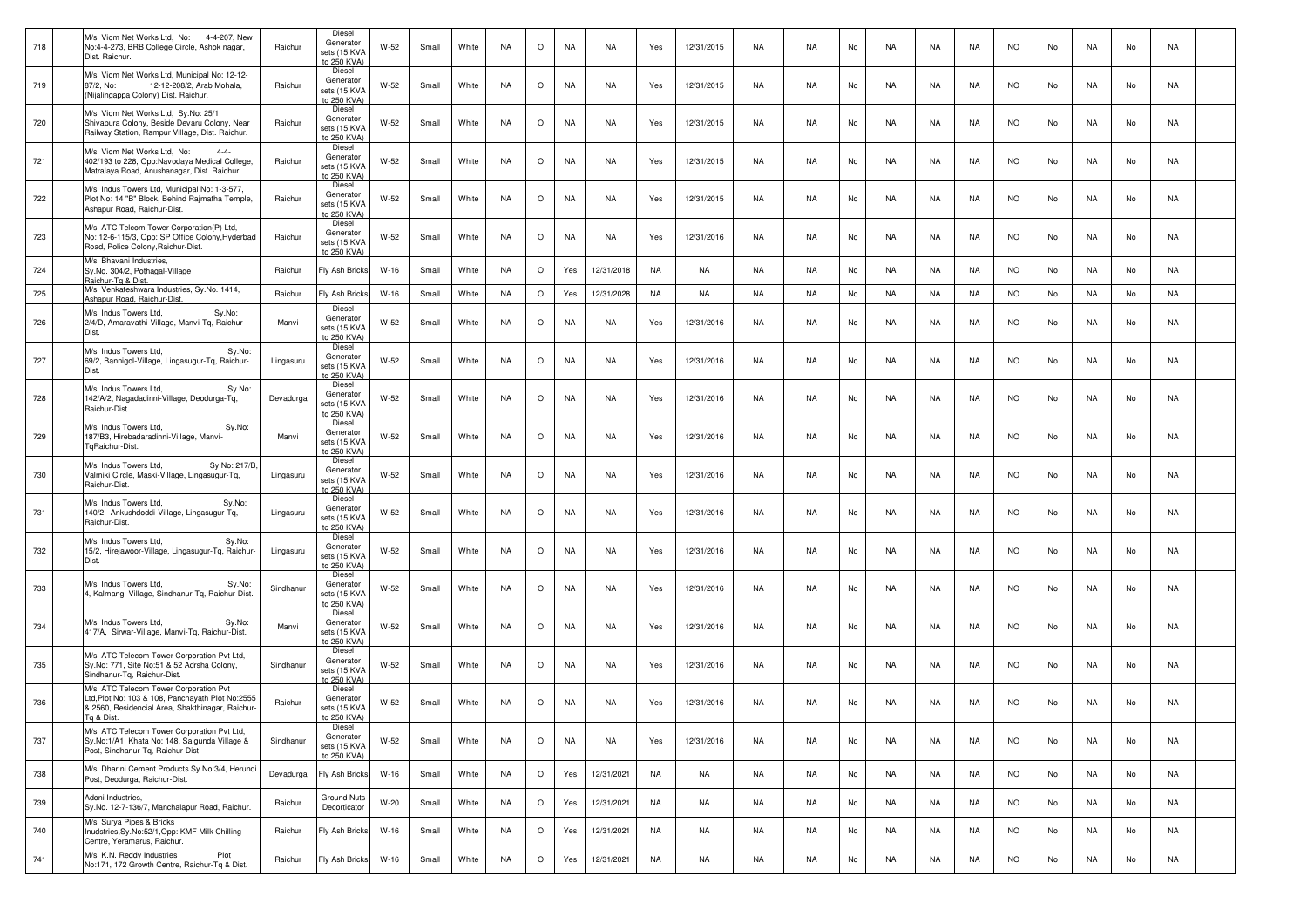| 718 | M/s. Viom Net Works Ltd, No:<br>4-4-207, New<br>No:4-4-273, BRB College Circle, Ashok nagar,<br>Dist. Raichur.                                               | Raichur   | Diesel<br>Generator<br>sets (15 KVA<br>to 250 KVA) | W-52   | Small | White | <b>NA</b> | $\circ$ | NA        | NA         | Yes       | 12/31/2015 | NA        | NA.       | No | NA        | NA | NA.       | <b>NO</b> | No | NA        | No | NA |  |
|-----|--------------------------------------------------------------------------------------------------------------------------------------------------------------|-----------|----------------------------------------------------|--------|-------|-------|-----------|---------|-----------|------------|-----------|------------|-----------|-----------|----|-----------|----|-----------|-----------|----|-----------|----|----|--|
| 719 | M/s. Viom Net Works Ltd, Municipal No: 12-12-<br>87/2, No:<br>12-12-208/2, Arab Mohala,<br>(Nijalingappa Colony) Dist. Raichur.                              | Raichur   | Diesel<br>Generator<br>sets (15 KVA<br>to 250 KVA) | W-52   | Small | White | <b>NA</b> | $\circ$ | NA        | NA         | Yes       | 12/31/2015 | NA        | NA        | No | NA        | NA | NA.       | <b>NO</b> | No | NA        | No | NA |  |
| 720 | M/s. Viom Net Works Ltd, Sy.No: 25/1,<br>Shivapura Colony, Beside Devaru Colony, Near<br>Railway Station, Rampur Village, Dist. Raichur.                     | Raichur   | Diesel<br>Generator<br>sets (15 KVA<br>to 250 KVA) | $W-52$ | Small | White | <b>NA</b> | $\circ$ | <b>NA</b> | NA         | Yes       | 12/31/2015 | NA        | <b>NA</b> | No | NA        | NA | NA        | <b>NO</b> | No | NA        | No | NA |  |
| 721 | M/s. Viom Net Works Ltd, No:<br>$4 - 4 -$<br>402/193 to 228, Opp:Navodaya Medical College,<br>Matralaya Road, Anushanagar, Dist. Raichur.                    | Raichur   | Diesel<br>Generator<br>sets (15 KVA<br>to 250 KVA) | W-52   | Small | White | <b>NA</b> | $\circ$ | NA        | NA         | Yes       | 12/31/2015 | NA        | NA.       | No | NA        | NA | NA        | <b>NO</b> | No | NA        | No | NA |  |
| 722 | M/s. Indus Towers Ltd. Municipal No: 1-3-577.<br>Plot No: 14 "B" Block, Behind Rajmatha Temple,<br>Ashapur Road, Raichur-Dist,                               | Raichur   | Diesel<br>Generator<br>sets (15 KVA<br>to 250 KVA) | W-52   | Small | White | NA        | $\circ$ | NA        | NA         | Yes       | 12/31/2015 | NA        | <b>NA</b> | No | NA        | NA | NA        | <b>NO</b> | No | NA        | No | NA |  |
| 723 | M/s. ATC Telcom Tower Corporation(P) Ltd,<br>No: 12-6-115/3, Opp: SP Office Colony, Hyderbad<br>Road, Police Colony, Raichur-Dist.                           | Raichur   | Diesel<br>Generator<br>sets (15 KVA<br>to 250 KVA) | $W-52$ | Small | White | NA        | $\circ$ | NA        | NA         | Yes       | 12/31/2016 | NA        | NA        | No | NA        | NA | NA        | <b>NO</b> | No | NA        | No | NA |  |
| 724 | M/s. Bhavani Industries,<br>Sy.No. 304/2, Pothagal-Village<br>Raichur-Tg & Dist.                                                                             | Raichur   | Fly Ash Bricks                                     | $W-16$ | Small | White | NA.       | $\circ$ | Yes       | 12/31/2018 | NA        | NA         | NA        | NA.       | No | NA        | NA | NA        | <b>NO</b> | No | NA        | No | NA |  |
| 725 | M/s. Venkateshwara Industries, Sy.No. 1414,<br>Ashapur Road, Raichur-Dist.                                                                                   | Raichur   | Fly Ash Bricks                                     | $W-16$ | Small | White | <b>NA</b> | $\circ$ | Yes       | 12/31/2028 | <b>NA</b> | NA         | NA        | <b>NA</b> | No | NA        | NA | NA        | <b>NO</b> | No | NA        | No | NA |  |
| 726 | M/s. Indus Towers Ltd,<br>Sy.No:<br>2/4/D, Amaravathi-Village, Manvi-Tq, Raichur-<br>Dist.                                                                   | Manvi     | Diesel<br>Generator<br>sets (15 KVA<br>to 250 KVA) | W-52   | Small | White | <b>NA</b> | $\circ$ | NA        | NA         | Yes       | 12/31/2016 | NA        | NA        | No | NA        | NA | NA        | <b>NO</b> | No | <b>NA</b> | No | NA |  |
| 727 | M/s. Indus Towers Ltd,<br>Sy.No:<br>69/2, Bannigol-Village, Lingasugur-Tq, Raichur-<br>Dist.                                                                 | Lingasuru | Diesel<br>Generator<br>sets (15 KVA<br>to 250 KVA) | $W-52$ | Small | White | <b>NA</b> | $\circ$ | <b>NA</b> | NA         | Yes       | 12/31/2016 | NA        | NA        | No | NA        | NA | NA        | <b>NO</b> | No | NA        | No | NA |  |
| 728 | M/s. Indus Towers Ltd,<br>Sy.No:<br>42/A/2, Nagadadinni-Village, Deodurga-Tq,<br>Raichur-Dist.                                                               | Devadurga | Diesel<br>Generator<br>sets (15 KVA<br>to 250 KVA) | $W-52$ | Small | White | <b>NA</b> | $\circ$ | NA        | NA         | Yes       | 12/31/2016 | NA        | NA        | No | NA        | NA | NA        | <b>NO</b> | No | NA        | No | NA |  |
| 729 | M/s. Indus Towers Ltd,<br>Sy.No:<br>87/B3. Hirebadaradinni-Village, Manvi-<br>ToRaichur-Dist.                                                                | Manvi     | Diesel<br>Generator<br>sets (15 KV/<br>to 250 KVA) | W-52   | Small | White | <b>NA</b> | $\circ$ | NA        | NA         | Yes       | 12/31/2016 | NA        | NA        | No | NA        | NA | NA        | <b>NO</b> | No | NA        | No | NA |  |
| 730 | M/s. Indus Towers Ltd,<br>Sy.No: 217/B.<br>Valmiki Circle, Maski-Village, Lingasugur-Tq,<br>Raichur-Dist.                                                    | Lingasuru | Diesel<br>Generator<br>sets (15 KVA<br>to 250 KVA) | $W-52$ | Small | White | <b>NA</b> | $\circ$ | <b>NA</b> | NA         | Yes       | 12/31/2016 | NA        | <b>NA</b> | No | NA        | NA | NA        | <b>NO</b> | No | NA        | No | NA |  |
| 731 | M/s. Indus Towers Ltd,<br>Sy.No:<br>140/2, Ankushdoddi-Village, Lingasugur-Tq,<br>Raichur-Dist.                                                              | Lingasuru | Diesel<br>Generator<br>sets (15 KVA<br>to 250 KVA) | W-52   | Small | White | <b>NA</b> | $\circ$ | NA        | NA         | Yes       | 12/31/2016 | NA        | NA.       | No | NA        | NA | NA.       | <b>NO</b> | No | NA        | No | NA |  |
| 732 | M/s. Indus Towers Ltd,<br>Sy.No:<br>15/2, Hirejawoor-Village, Lingasugur-Tq, Raichur-<br>Dist.                                                               | Lingasuru | Diesel<br>Generator<br>sets (15 KVA<br>to 250 KVA) | W-52   | Small | White | <b>NA</b> | $\circ$ | NA        | NA         | Yes       | 12/31/2016 | NA        | <b>NA</b> | No | NA        | NA | NA        | <b>NO</b> | No | NA        | No | NA |  |
| 733 | M/s. Indus Towers Ltd,<br>Sy.No:<br>4, Kalmangi-Village, Sindhanur-Tq, Raichur-Dist.                                                                         | Sindhanur | Diesel<br>Generator<br>sets (15 KVA<br>to 250 KVA) | $W-52$ | Small | White | <b>NA</b> | $\circ$ | NA        | NA         | Yes       | 12/31/2016 | NA        | NA        | No | NA        | NA | NA        | <b>NO</b> | No | NA        | No | NA |  |
| 734 | M/s. Indus Towers Ltd,<br>Sy.No:<br>417/A, Sirwar-Village, Manvi-Tg, Raichur-Dist.                                                                           | Manvi     | Diesel<br>Generator<br>sets (15 KVA<br>to 250 KVA) | $W-52$ | Small | White | <b>NA</b> | $\circ$ | NA        | NA         | Yes       | 12/31/2016 | NA        | NA.       | No | NA        | NA | NA        | <b>NO</b> | No | NA        | No | NA |  |
| 735 | M/s. ATC Telecom Tower Corporation Pvt Ltd,<br>Sy.No: 771, Site No:51 & 52 Adrsha Colony,<br>Sindhanur-Tg, Raichur-Dist                                      | Sindhanur | Diesel<br>Generator<br>sets (15 KVA<br>to 250 KVA) | W-52   | Small | White | NA        | $\circ$ | NA        | NA         | Yes       | 12/31/2016 | NA        | NA        | No | NA        | NA | NA        | <b>NO</b> | No | NA        | No | NA |  |
| 736 | M/s. ATC Telecom Tower Corporation Pvt<br>Ltd, Plot No: 103 & 108, Panchayath Plot No:2555<br>& 2560, Residencial Area, Shakthinagar, Raichur-<br>Tg & Dist. | Raichur   | Diesel<br>Generator<br>sets (15 KVA<br>to 250 KVA) | $W-52$ | Small | White | <b>NA</b> | $\circ$ | NA        | NA         | Yes       | 12/31/2016 | <b>NA</b> | NA        | No | <b>NA</b> | NA | <b>NA</b> | NO.       | No | <b>NA</b> | No | NA |  |
| 737 | M/s. ATC Telecom Tower Corporation Pvt Ltd,<br>Sy.No:1/A1, Khata No: 148, Salgunda Village &<br>Post, Sindhanur-Tq, Raichur-Dist.                            | Sindhanur | Diese<br>Generator<br>sets (15 KVA<br>to 250 KVA)  | W-52   | Small | White | NA        | $\circ$ | NA        | NA         | Yes       | 12/31/2016 | NA        | NA        | No | NA        | NA | NA        | <b>NO</b> | No | NA        | No | NA |  |
| 738 | M/s. Dharini Cement Products Sy.No:3/4, Herundi<br>Post, Deodurga, Raichur-Dist.                                                                             | Devadurga | Fly Ash Bricks                                     | $W-16$ | Small | White | NA        | $\circ$ | Yes       | 12/31/2021 | NA        | NA         | NA        | NA        | No | NA        | NA | NA        | <b>NO</b> | No | NA        | No | NA |  |
| 739 | Adoni Industries,<br>Sy.No. 12-7-136/7, Manchalapur Road, Raichur.                                                                                           | Raichur   | <b>Ground Nuts</b><br>Decorticator                 | $W-20$ | Small | White | <b>NA</b> | $\circ$ | Yes       | 12/31/2021 | <b>NA</b> | NA         | <b>NA</b> | NA        | No | <b>NA</b> | NA | <b>NA</b> | <b>NO</b> | No | NA        | No | NA |  |
| 740 | M/s. Surya Pipes & Bricks<br>Inudstries, Sy.No:52/1, Opp: KMF Milk Chilling<br>Centre, Yeramarus, Raichur.                                                   | Raichur   | Fly Ash Bricks                                     | $W-16$ | Small | White | NA        | $\circ$ | Yes       | 12/31/2021 | <b>NA</b> | NA         | NA        | NA        | No | NA        | NA | NA        | <b>NO</b> | No | NA        | No | NA |  |
| 741 | M/s. K.N. Reddy Industries<br>Plot<br>No:171, 172 Growth Centre, Raichur-Tq & Dist.                                                                          | Raichur   | Fly Ash Bricks                                     | W-16   | Small | White | NA        | $\circ$ | Yes       | 12/31/2021 | NA        | NA         | NA        | NA        | No | NA        | NA | NA        | <b>NO</b> | No | NA        | No | NA |  |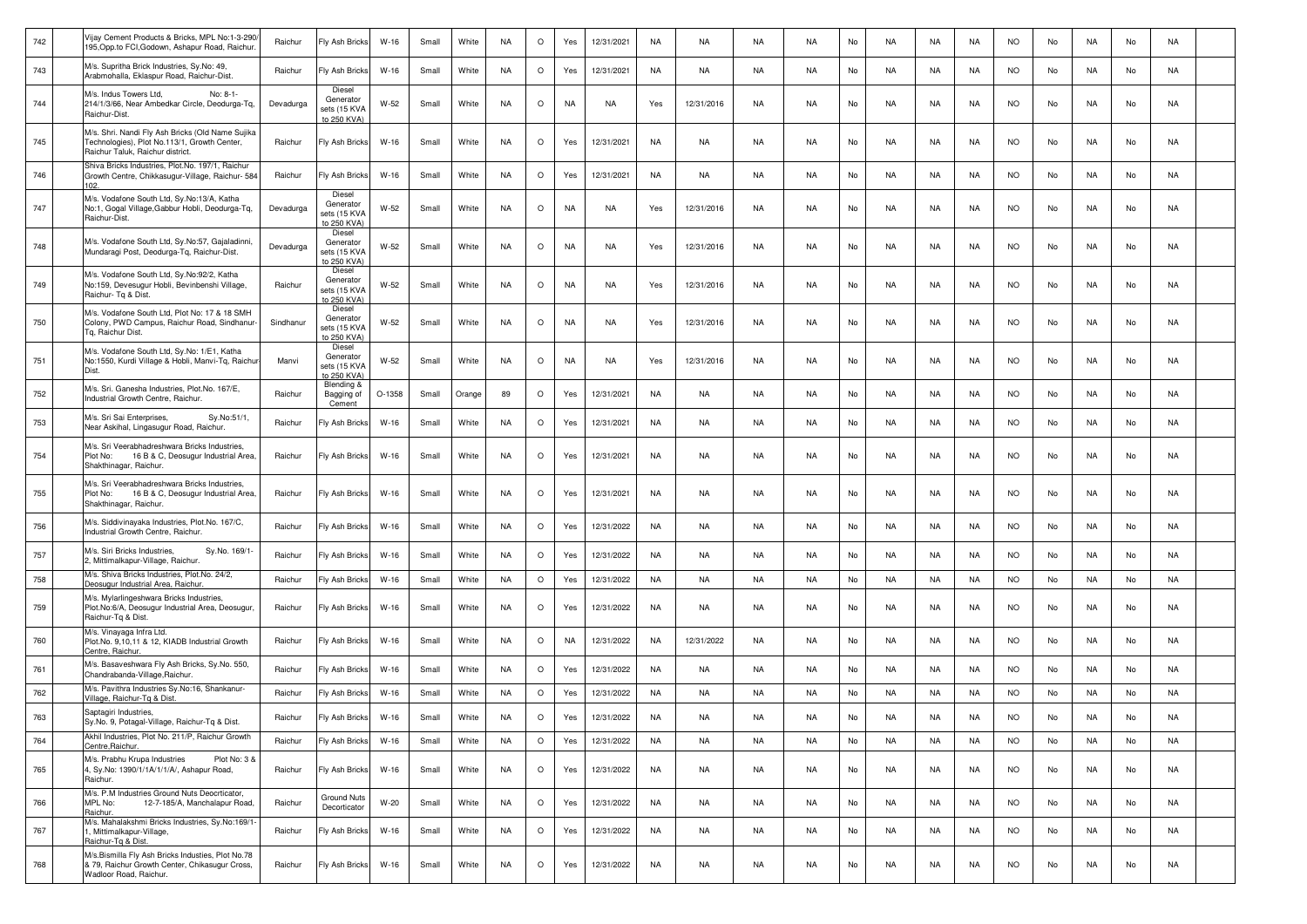| 742 | Vijay Cement Products & Bricks, MPL No:1-3-290<br>195, Opp.to FCI, Godown, Ashapur Road, Raichur.                                    | Raichur   | Fly Ash Bricks                                     | $W-16$   | Small | White  | <b>NA</b> | $\circ$ | Yes       | 12/31/2021 | <b>NA</b> | NA         | NA        | <b>NA</b> | No | NA        | NA        | NA        | <b>NO</b> | No | NA        | No | NA        |  |
|-----|--------------------------------------------------------------------------------------------------------------------------------------|-----------|----------------------------------------------------|----------|-------|--------|-----------|---------|-----------|------------|-----------|------------|-----------|-----------|----|-----------|-----------|-----------|-----------|----|-----------|----|-----------|--|
| 743 | M/s. Supritha Brick Industries, Sy.No: 49,<br>Arabmohalla, Eklaspur Road, Raichur-Dist.                                              | Raichur   | Fly Ash Bricks                                     | $W-16$   | Small | White  | <b>NA</b> | $\circ$ | Yes       | 12/31/2021 | NA        | NA         | NA        | NA        | No | NA        | NA        | NA        | <b>NO</b> | No | NA        | No | NA        |  |
| 744 | M/s. Indus Towers Ltd,<br>No: 8-1-<br>214/1/3/66, Near Ambedkar Circle, Deodurga-Tq,<br>Raichur-Dist.                                | Devadurga | Diesel<br>Generator<br>sets (15 KVA<br>to 250 KVA) | W-52     | Small | White  | <b>NA</b> | $\circ$ | <b>NA</b> | NA         | Yes       | 12/31/2016 | NA        | NA        | No | NA        | NA        | NA.       | <b>NO</b> | No | NA        | No | NA        |  |
| 745 | M/s. Shri. Nandi Fly Ash Bricks (Old Name Sujika<br>Technologies), Plot No.113/1, Growth Center,<br>Raichur Taluk, Raichur district. | Raichur   | Fly Ash Bricks                                     | $W-16$   | Small | White  | <b>NA</b> | $\circ$ | Yes       | 12/31/2021 | NA        | NA         | NA        | NA.       | No | NA        | NA        | NA.       | <b>NO</b> | No | NA        | No | NA        |  |
| 746 | Shiva Bricks Industries, Plot.No. 197/1, Raichur<br>Growth Centre, Chikkasugur-Village, Raichur- 584                                 | Raichur   | Fly Ash Bricks                                     | $W-16$   | Small | White  | <b>NA</b> | $\circ$ | Yes       | 12/31/2021 | NA        | NA         | NA        | <b>NA</b> | No | NA        | NA        | NA        | <b>NO</b> | No | NA        | No | NA        |  |
| 747 | M/s. Vodafone South Ltd, Sy.No:13/A, Katha<br>No:1, Gogal Village, Gabbur Hobli, Deodurga-Tq,<br>Raichur-Dist.                       | Devadurga | Diesel<br>Generator<br>sets (15 KVA<br>to 250 KVA) | $W-52$   | Small | White  | <b>NA</b> | $\circ$ | <b>NA</b> | NA         | Yes       | 12/31/2016 | NA        | <b>NA</b> | No | NA        | NA        | NA        | <b>NO</b> | No | NA        | No | NA        |  |
| 748 | M/s. Vodafone South Ltd, Sy.No:57, Gajaladinni,<br>Mundaragi Post, Deodurga-Tg, Raichur-Dist.                                        | Devadurga | Diesel<br>Generator<br>sets (15 KVA<br>to 250 KVA) | W-52     | Small | White  | <b>NA</b> | $\circ$ | <b>NA</b> | NA         | Yes       | 12/31/2016 | NA        | <b>NA</b> | No | NA        | NA        | NA        | <b>NO</b> | No | NA        | No | NA        |  |
| 749 | M/s. Vodafone South Ltd, Sy.No:92/2, Katha<br>No:159, Devesugur Hobli, Bevinbenshi Village,<br>Raichur- To & Dist.                   | Raichur   | Diesel<br>Generator<br>sets (15 KVA<br>to 250 KVA) | W-52     | Small | White  | <b>NA</b> | $\circ$ | NA        | NA         | Yes       | 12/31/2016 | NA        | <b>NA</b> | No | NA        | NA        | NA        | <b>NO</b> | No | NA        | No | NA        |  |
| 750 | M/s. Vodafone South Ltd, Plot No: 17 & 18 SMH<br>Colony, PWD Campus, Raichur Road, Sindhanur-<br>Tg, Raichur Dist.                   | Sindhanur | Diesel<br>Generator<br>sets (15 KVA<br>to 250 KVA) | W-52     | Small | White  | <b>NA</b> | $\circ$ | NA        | NA         | Yes       | 12/31/2016 | NA        | NA        | No | NA        | NA        | NA        | <b>NO</b> | No | NA        | No | NA        |  |
| 751 | M/s. Vodafone South Ltd, Sy.No: 1/E1, Katha<br>No:1550, Kurdi Village & Hobli, Manvi-Tq, Raichur<br>Dist                             | Manvi     | Diesel<br>Generator<br>sets (15 KVA<br>to 250 KVA) | W-52     | Small | White  | <b>NA</b> | $\circ$ | <b>NA</b> | NA         | Yes       | 12/31/2016 | NA        | <b>NA</b> | No | NA        | NA        | NA        | <b>NO</b> | No | NA        | No | NA        |  |
| 752 | M/s. Sri. Ganesha Industries, Plot.No. 167/E,<br>Industrial Growth Centre, Raichur.                                                  | Raichur   | Blending &<br>Bagging of<br>Cement                 | $O-1358$ | Small | Orange | 89        | $\circ$ | Yes       | 12/31/2021 | NA        | NA         | NA        | <b>NA</b> | No | NA        | NA        | NA        | <b>NO</b> | No | NA        | No | NA        |  |
| 753 | M/s. Sri Sai Enterprises,<br>Sv.No:51/1.<br>Near Askihal, Lingasugur Road, Raichur.                                                  | Raichur   | Fly Ash Bricks                                     | $W-16$   | Small | White  | <b>NA</b> | $\circ$ | Yes       | 12/31/2021 | NA        | NA         | <b>NA</b> | <b>NA</b> | No | NA        | NA        | <b>NA</b> | <b>NO</b> | No | NA        | No | NA        |  |
| 754 | M/s. Sri Veerabhadreshwara Bricks Industries,<br>16 B & C, Deosugur Industrial Area,<br>Plot No:<br>Shakthinagar, Raichur.           | Raichur   | Fly Ash Bricks                                     | W-16     | Small | White  | <b>NA</b> | $\circ$ | Yes       | 12/31/2021 | <b>NA</b> | NA         | NA        | <b>NA</b> | No | NA        | NA        | NA        | <b>NO</b> | No | NA        | No | NA        |  |
| 755 | M/s. Sri Veerabhadreshwara Bricks Industries,<br>Plot No:<br>16 B & C, Deosugur Industrial Area,<br>Shakthinagar, Raichur.           | Raichur   | Fly Ash Bricks                                     | W-16     | Small | White  | NA        | $\circ$ | Yes       | 12/31/2021 | NA        | NA         | NA        | NA        | No | NA        | NA        | NA        | <b>NO</b> | No | NA        | No | NA        |  |
| 756 | M/s. Siddivinayaka Industries, Plot.No. 167/C,<br>Industrial Growth Centre, Raichur.                                                 | Raichur   | Fly Ash Bricks                                     | $W-16$   | Small | White  | NA        | $\circ$ | Yes       | 12/31/2022 | NA        | NA         | NA        | <b>NA</b> | No | NA        | NA        | NA        | <b>NO</b> | No | NA        | No | NA        |  |
| 757 | M/s. Siri Bricks Industries,<br>Sy.No. 169/1-<br>2, Mittimalkapur-Village, Raichur.                                                  | Raichur   | Fly Ash Bricks                                     | W-16     | Small | White  | NA        | $\circ$ | Yes       | 12/31/2022 | NA        | NA         | <b>NA</b> | <b>NA</b> | No | NA        | NA        | NA        | <b>NO</b> | No | NA        | No | NA        |  |
| 758 | M/s. Shiva Bricks Industries, Plot.No. 24/2,<br>Deosugur Industrial Area, Raichur.                                                   | Raichur   | Fly Ash Bricks                                     | $W-16$   | Small | White  | <b>NA</b> | $\circ$ | Yes       | 12/31/2022 | <b>NA</b> | NA         | <b>NA</b> | <b>NA</b> | No | <b>NA</b> | <b>NA</b> | NA        | <b>NO</b> | No | <b>NA</b> | No | <b>NA</b> |  |
| 759 | M/s. Mylarlingeshwara Bricks Industries,<br>Plot.No:6/A, Deosugur Industrial Area, Deosugur,<br>Raichur-Tg & Dist                    | Raichur   | Fly Ash Bricks                                     | W-16     | Small | White  | <b>NA</b> | $\circ$ | Yes       | 12/31/2022 | NA        | NA         | NA        | NA        | No | NA        | NA        | NA        | <b>NO</b> | No | NA        | No | NA        |  |
| 760 | M/s. Vinayaga Infra Ltd.<br>Plot.No. 9.10.11 & 12. KIADB Industrial Growth<br>Centre, Raichur.                                       | Raichur   | Fly Ash Bricks                                     | W-16     | Small | White  | <b>NA</b> | $\circ$ | NA        | 12/31/2022 | NA        | 12/31/2022 | NA        | <b>NA</b> | No | NA        | NA        | NA        | <b>NO</b> | No | NA        | No | NA        |  |
| 761 | M/s. Basaveshwara Fly Ash Bricks, Sy.No. 550,<br>Chandrabanda-Village, Raichur                                                       | Raichur   | Fly Ash Bricks                                     | $W-16$   | Small | White  | <b>NA</b> | $\circ$ | Yes       | 12/31/2022 | <b>NA</b> | <b>NA</b>  | <b>NA</b> | <b>NA</b> | No | <b>NA</b> | NA        | <b>NA</b> | NO.       | No | <b>NA</b> | No | NA        |  |
| 762 | M/s. Pavithra Industries Sy.No:16, Shankanur-<br>Village, Raichur-Tg & Dist                                                          | Raichur   | Fly Ash Bricks                                     | $W-16$   | Small | White  | <b>NA</b> | $\circ$ | Yes       | 12/31/2022 | NA        | <b>NA</b>  | NA        | <b>NA</b> | No | NA        | <b>NA</b> | NA        | <b>NO</b> | No | NA        | No | <b>NA</b> |  |
| 763 | Saptagiri Industries,<br>Sy.No. 9, Potagal-Village, Raichur-Tq & Dist.                                                               | Raichur   | Fly Ash Bricks                                     | W-16     | Small | White  | <b>NA</b> | $\circ$ | Yes       | 12/31/2022 | <b>NA</b> | NA         | NA        | NA        | No | NA        | NA        | NA        | <b>NO</b> | No | NA        | No | NA        |  |
| 764 | Akhil Industries, Plot No. 211/P, Raichur Growth<br>Centre Raichur.                                                                  | Raichur   | Fly Ash Bricks                                     | $W-16$   | Small | White  | <b>NA</b> | $\circ$ | Yes       | 12/31/2022 | <b>NA</b> | NA         | NA        | <b>NA</b> | No | NA        | NA        | NA        | <b>NO</b> | No | NA        | No | NA        |  |
| 765 | M/s. Prabhu Krupa Industries<br>Plot No: 3 &<br>4, Sy.No: 1390/1/1A/1/1/A/, Ashapur Road,<br>Raichur.                                | Raichur   | Fly Ash Bricks                                     | $W-16$   | Small | White  | NA        | $\circ$ | Yes       | 12/31/2022 | NA        | NA         | NA        | NA        | No | NA        | NA        | NA        | <b>NO</b> | No | NA        | No | NA        |  |
| 766 | M/s. P.M Industries Ground Nuts Deocrticator,<br>MPL No:<br>12-7-185/A, Manchalapur Road,<br>Raichur.                                | Raichur   | Ground Nuts<br>Decorticator                        | $W-20$   | Small | White  | <b>NA</b> | $\circ$ | Yes       | 12/31/2022 | <b>NA</b> | NA         | NA        | NA        | No | NA        | NA        | NA        | <b>NO</b> | No | NA        | No | NA        |  |
| 767 | M/s. Mahalakshmi Bricks Industries, Sy.No:169/1-<br>1, Mittimalkapur-Village,<br>Raichur-Tq & Dist.                                  | Raichur   | Fly Ash Bricks                                     | $W-16$   | Small | White  | NA        | $\circ$ | Yes       | 12/31/2022 | NA        | NA         | NA        | NA        | No | NA        | NA        | NA        | <b>NO</b> | No | NA        | No | NA        |  |
| 768 | M/s.Bismilla Fly Ash Bricks Industies, Plot No.78<br>& 79, Raichur Growth Center, Chikasugur Cross,<br>Wadloor Road, Raichur.        | Raichur   | Fly Ash Bricks                                     | W-16     | Small | White  | NA        | $\circ$ | Yes       | 12/31/2022 | NA        | NA         | NA        | <b>NA</b> | No | NA        | NA        | NA        | <b>NO</b> | No | NA        | No | NA        |  |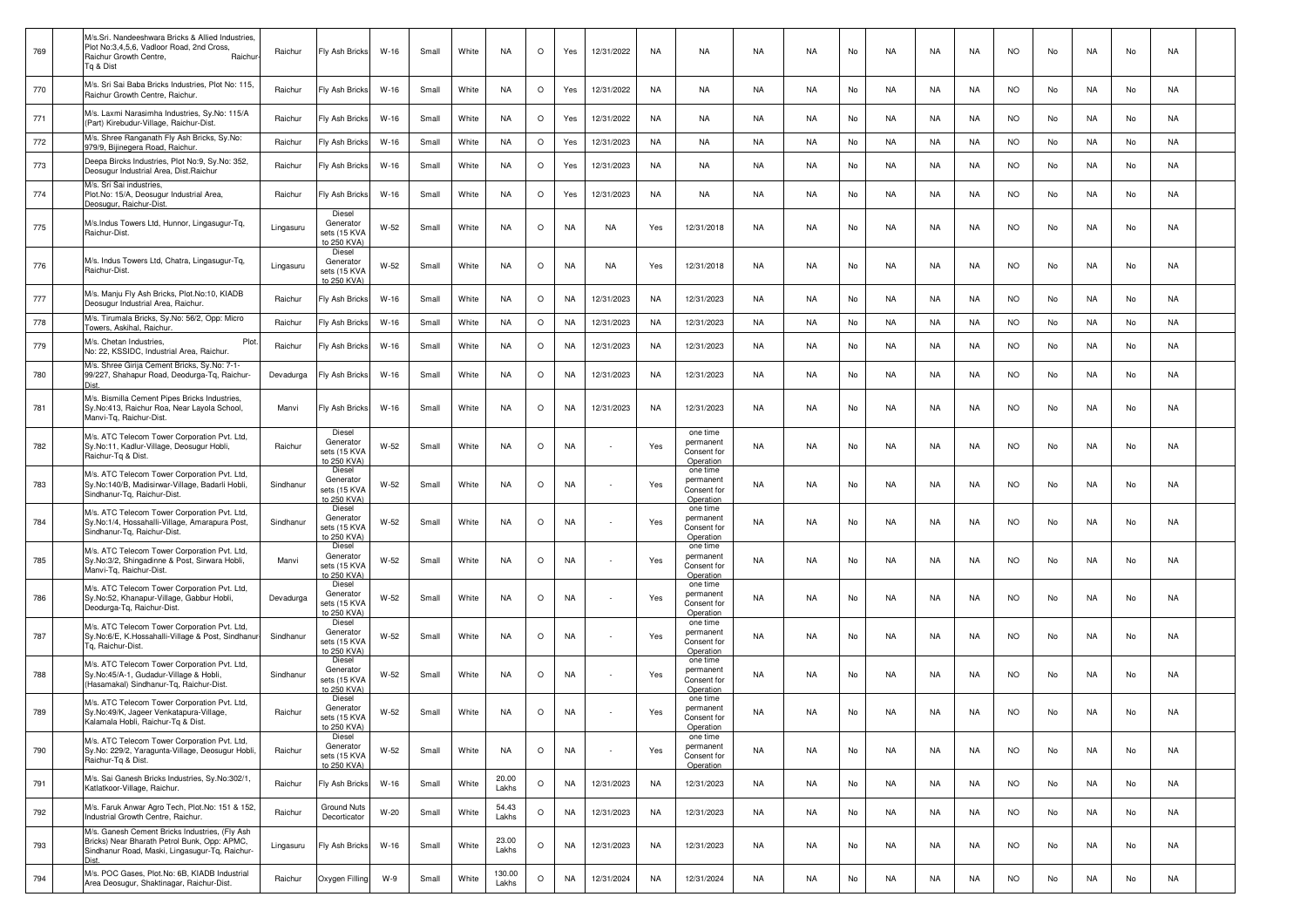| 769 | M/s.Sri. Nandeeshwara Bricks & Allied Industries,<br>Plot No:3,4,5,6, Vadloor Road, 2nd Cross,<br>Raichur Growth Centre,<br>Raichu<br>Tg & Dist  | Raichur   | Fly Ash Bricks                                     | W-16   | Small | White | NA              | $\circ$ | Yes       | 12/31/2022 | NA        | NA                                                | NA        | NA.       | No | NA        | NA | NA        | <b>NO</b> | No | NA        | No | NA        |  |
|-----|--------------------------------------------------------------------------------------------------------------------------------------------------|-----------|----------------------------------------------------|--------|-------|-------|-----------------|---------|-----------|------------|-----------|---------------------------------------------------|-----------|-----------|----|-----------|----|-----------|-----------|----|-----------|----|-----------|--|
| 770 | M/s. Sri Sai Baba Bricks Industries, Plot No: 115,<br>Raichur Growth Centre, Raichur                                                             | Raichur   | Fly Ash Bricks                                     | W-16   | Small | White | NA              | $\circ$ | Yes       | 12/31/2022 | NA        | NA                                                | NA        | <b>NA</b> | No | NA.       | NA | NA        | NO.       | No | NA        | No | NA        |  |
| 771 | M/s. Laxmi Narasimha Industries, Sy.No: 115/A<br>(Part) Kirebudur-Village, Raichur-Dist.                                                         | Raichur   | Fly Ash Bricks                                     | $W-16$ | Small | White | <b>NA</b>       | $\circ$ | Yes       | 12/31/2022 | NA        | NA.                                               | <b>NA</b> | <b>NA</b> | No | <b>NA</b> | NA | NA.       | <b>NO</b> | No | <b>NA</b> | No | <b>NA</b> |  |
| 772 | M/s. Shree Ranganath Fly Ash Bricks, Sy.No:<br>979/9, Bijinegera Road, Raichur.                                                                  | Raichur   | Fly Ash Bricks                                     | W-16   | Small | White | <b>NA</b>       | $\circ$ | Yes       | 12/31/2023 | <b>NA</b> | NA                                                | NA        | <b>NA</b> | No | <b>NA</b> | NA | NA        | <b>NO</b> | No | NA        | No | NA        |  |
| 773 | Deepa Bircks Industries, Plot No:9, Sy.No: 352,<br>Deosugur Industrial Area, Dist.Raichur                                                        | Raichur   | Fly Ash Bricks                                     | W-16   | Small | White | NA              | $\circ$ | Yes       | 12/31/2023 | NA        | NA                                                | NA        | NA        | No | NA        | NA | NA.       | <b>NO</b> | No | NA        | No | NA        |  |
| 774 | M/s. Sri Sai industries<br>Plot.No: 15/A, Deosugur Industrial Area,<br>Deosugur, Raichur-Dist                                                    | Raichur   | Fly Ash Bricks                                     | $W-16$ | Small | White | NA              | $\circ$ | Yes       | 12/31/2023 | NA        | NA                                                | NA        | NA.       | No | NA.       | NA | NA        | <b>NO</b> | No | NA        | No | NA        |  |
| 775 | M/s.Indus Towers Ltd, Hunnor, Lingasugur-Tq,<br>Raichur-Dist.                                                                                    | Lingasuru | Diesel<br>Generator<br>sets (15 KVA<br>to 250 KVA) | W-52   | Small | White | <b>NA</b>       | $\circ$ | <b>NA</b> | NA         | Yes       | 12/31/2018                                        | NA        | NA        | No | <b>NA</b> | NA | NA        | <b>NO</b> | No | NA        | No | NA        |  |
| 776 | M/s. Indus Towers Ltd, Chatra, Lingasugur-Tq,<br>Raichur-Dist.                                                                                   | Lingasuru | Diesel<br>Generator<br>sets (15 KVA<br>to 250 KVA) | W-52   | Small | White | NA              | $\circ$ | NA        | NA         | Yes       | 12/31/2018                                        | NA        | NA        | No | NA        | NA | NA        | NO.       | No | NA        | No | NA        |  |
| 777 | M/s. Manju Fly Ash Bricks, Plot.No:10, KIADB<br>Deosugur Industrial Area, Raichur.                                                               | Raichur   | Fly Ash Bricks                                     | W-16   | Small | White | NA              | $\circ$ | NA        | 12/31/2023 | NA        | 12/31/2023                                        | NA        | <b>NA</b> | No | NA.       | NA | NA        | <b>NO</b> | No | NA        | No | NA        |  |
| 778 | M/s. Tirumala Bricks, Sy.No: 56/2, Opp: Micro<br>Towers, Askihal, Raichur                                                                        | Raichur   | Fly Ash Bricks                                     | W-16   | Small | White | <b>NA</b>       | $\circ$ | <b>NA</b> | 12/31/2023 | NA        | 12/31/2023                                        | NA        | NA.       | No | NA.       | NA | NA        | <b>NO</b> | No | NA        | No | NA        |  |
| 779 | M/s. Chetan Industries,<br>Plot<br>No: 22. KSSIDC. Industrial Area. Raichur.                                                                     | Raichur   | Fly Ash Bricks                                     | W-16   | Small | White | <b>NA</b>       | $\circ$ | <b>NA</b> | 12/31/2023 | NA        | 12/31/2023                                        | NA        | <b>NA</b> | No | <b>NA</b> | NA | <b>NA</b> | <b>NO</b> | No | NA        | No | NA        |  |
| 780 | M/s. Shree Girija Cement Bricks, Sy.No: 7-1-<br>99/227, Shahapur Road, Deodurga-Tg, Raichur-<br>Dist                                             | Devadurga | Fly Ash Bricks                                     | W-16   | Small | White | <b>NA</b>       | $\circ$ | NA        | 12/31/2023 | NA        | 12/31/2023                                        | NA        | <b>NA</b> | No | NA.       | NA | NA        | <b>NO</b> | No | NA        | No | NA        |  |
| 781 | M/s. Bismilla Cement Pipes Bricks Industries,<br>Sy.No:413, Raichur Roa, Near Layola School,<br>Manvi-Tg, Raichur-Dist                           | Manvi     | Fly Ash Bricks                                     | W-16   | Small | White | NA              | O       | NA        | 12/31/2023 | NA        | 12/31/2023                                        | NA        | NA        | No | NA        | NA | NA        | NO.       | No | NA        | No | NA        |  |
| 782 | M/s. ATC Telecom Tower Corporation Pvt. Ltd,<br>Sy.No:11, Kadlur-Village, Deosugur Hobli,<br>Raichur-Tq & Dist.                                  | Raichur   | Diesel<br>Generator<br>sets (15 KVA<br>to 250 KVA) | W-52   | Small | White | <b>NA</b>       | $\circ$ | <b>NA</b> |            | Yes       | one time<br>permanent<br>Consent for<br>Operation | NA        | NA        | No | <b>NA</b> | NA | NA        | <b>NO</b> | No | NA        | No | NA        |  |
| 783 | M/s. ATC Telecom Tower Corporation Pvt. Ltd,<br>Sy.No:140/B, Madisirwar-Village, Badarli Hobli,<br>Sindhanur-Tq, Raichur-Dist.                   | Sindhanur | Diesel<br>Generator<br>sets (15 KVA<br>to 250 KVA) | W-52   | Small | White | NA              | $\circ$ | <b>NA</b> |            | Yes       | one time<br>permanent<br>Consent for<br>Operation | NA        | <b>NA</b> | No | NA        | NA | NA        | <b>NO</b> | No | NA        | No | NA        |  |
| 784 | M/s. ATC Telecom Tower Corporation Pvt. Ltd,<br>Sy.No:1/4, Hossahalli-Village, Amarapura Post,<br>Sindhanur-Tg, Raichur-Dist.                    | Sindhanur | Diesel<br>Generator<br>sets (15 KVA<br>to 250 KVA) | W-52   | Small | White | NA              | $\circ$ | NA        |            | Yes       | one time<br>permanent<br>Consent for<br>Operation | NA        | NA.       | No | NA.       | NA | NA        | NO.       | No | NA        | No | NA        |  |
| 785 | M/s. ATC Telecom Tower Corporation Pvt. Ltd,<br>Sy.No:3/2, Shingadinne & Post, Sirwara Hobli,<br>Manvi-Tg, Raichur-Dist.                         | Manvi     | Diesel<br>Generator<br>sets (15 KVA<br>to 250 KVA) | W-52   | Small | White | <b>NA</b>       | $\circ$ | <b>NA</b> |            | Yes       | one time<br>permanent<br>Consent for<br>Operation | NA        | <b>NA</b> | No | <b>NA</b> | NA | <b>NA</b> | <b>NO</b> | No | NA        | No | NA        |  |
| 786 | M/s. ATC Telecom Tower Corporation Pvt. Ltd,<br>Sy.No:52, Khanapur-Village, Gabbur Hobli,<br>Deodurga-Tq, Raichur-Dist.                          | Devadurga | Diesel<br>Generator<br>sets (15 KVA<br>to 250 KVA) | W-52   | Small | White | <b>NA</b>       | $\circ$ | <b>NA</b> |            | Yes       | one time<br>permanent<br>Consent for<br>Operation | NA        | <b>NA</b> | No | NA        | NA | NA        | <b>NO</b> | No | NA        | No | NA        |  |
| 787 | M/s. ATC Telecom Tower Corporation Pvt. Ltd,<br>Sy.No:6/E, K.Hossahalli-Village & Post, Sindhanur<br>Tg, Raichur-Dist.                           | Sindhanur | Diesel<br>Generator<br>sets (15 KVA<br>to 250 KVA) | W-52   | Small | White | NA              | $\circ$ | NA        |            | Yes       | one time<br>permanent<br>Consent for<br>Operation | NA        | NA.       | No | NA        | NA | NA        | <b>NO</b> | No | NA        | No | NA        |  |
| 788 | M/s. ATC Telecom Tower Corporation Pvt. Ltd,<br>Sy.No:45/A-1, Gudadur-Village & Hobli,<br>(Hasamakal) Sindhanur-Tq, Raichur-Dist.                | Sindhanur | Diesel<br>Generator<br>sets (15 KVA<br>to 250 KVA) | W-52   | Small | White | <b>NA</b>       | $\circ$ | NA        |            | Yes       | one time<br>permanent<br>Consent for<br>Operation | NA        | <b>NA</b> | No | NA.       | NA | NA        | <b>NO</b> | No | NA        | No | NA        |  |
| 789 | M/s. ATC Telecom Tower Corporation Pvt. Ltd,<br>Sy.No:49/K, Jageer Venkatapura-Village,<br>alamala Hobli, Raichur-Tq & Dist.                     | Raichur   | Diesel<br>Generator<br>sets (15 KVA<br>to 250 KVA) | W-52   | Small | White | <b>NA</b>       | $\circ$ | NA        |            | Yes       | one time<br>permanent<br>Consent for<br>Operation | NA        | NA        | No | NA        | NA | NA        | <b>NO</b> | No | NA        | No | NA        |  |
| 790 | M/s. ATC Telecom Tower Corporation Pvt. Ltd,<br>Sy.No: 229/2, Yaragunta-Village, Deosugur Hobli,<br>Raichur-Tg & Dist.                           | Raichur   | Diesel<br>Generator<br>sets (15 KVA<br>to 250 KVA) | $W-52$ | Small | White | <b>NA</b>       | $\circ$ | NA        | $\sim$     | Yes       | one time<br>permanent<br>Consent for<br>Operation | NA        | <b>NA</b> | No | <b>NA</b> | NA | NA        | <b>NO</b> | No | NA        | No | NA        |  |
| 791 | M/s. Sai Ganesh Bricks Industries, Sy.No:302/1,<br>Katlatkoor-Village, Raichur,                                                                  | Raichur   | Fly Ash Bricks                                     | W-16   | Small | White | 20.00<br>Lakhs  | $\circ$ | <b>NA</b> | 12/31/2023 | NA        | 12/31/2023                                        | NA        | <b>NA</b> | No | <b>NA</b> | NA | NA        | <b>NO</b> | No | NA        | No | NA        |  |
| 792 | M/s. Faruk Anwar Agro Tech, Plot.No: 151 & 152,<br>Industrial Growth Centre, Raichur.                                                            | Raichur   | <b>Ground Nuts</b><br>Decorticator                 | $W-20$ | Small | White | 54.43<br>Lakhs  | $\circ$ | <b>NA</b> | 12/31/2023 | NA        | 12/31/2023                                        | NA        | <b>NA</b> | No | <b>NA</b> | NA | NA        | <b>NO</b> | No | NA        | No | NA        |  |
| 793 | M/s. Ganesh Cement Bricks Industries, (Fly Ash<br>Bricks) Near Bharath Petrol Bunk, Opp: APMC,<br>Sindhanur Road, Maski, Lingasugur-Tq, Raichur- | Lingasuru | Fly Ash Bricks                                     | $W-16$ | Small | White | 23.00<br>Lakhs  | $\circ$ | <b>NA</b> | 12/31/2023 | NA        | 12/31/2023                                        | NA        | <b>NA</b> | No | NA        | NA | NA        | <b>NO</b> | No | NA        | No | NA        |  |
| 794 | M/s. POC Gases, Plot.No: 6B, KIADB Industrial<br>Area Deosugur, Shaktinagar, Raichur-Dist.                                                       | Raichur   | Oxygen Filling                                     | W-9    | Small | White | 130.00<br>Lakhs | $\circ$ | <b>NA</b> | 12/31/2024 | NA        | 12/31/2024                                        | NA        | <b>NA</b> | No | NA        | NA | NA        | <b>NO</b> | No | NA        | No | NA        |  |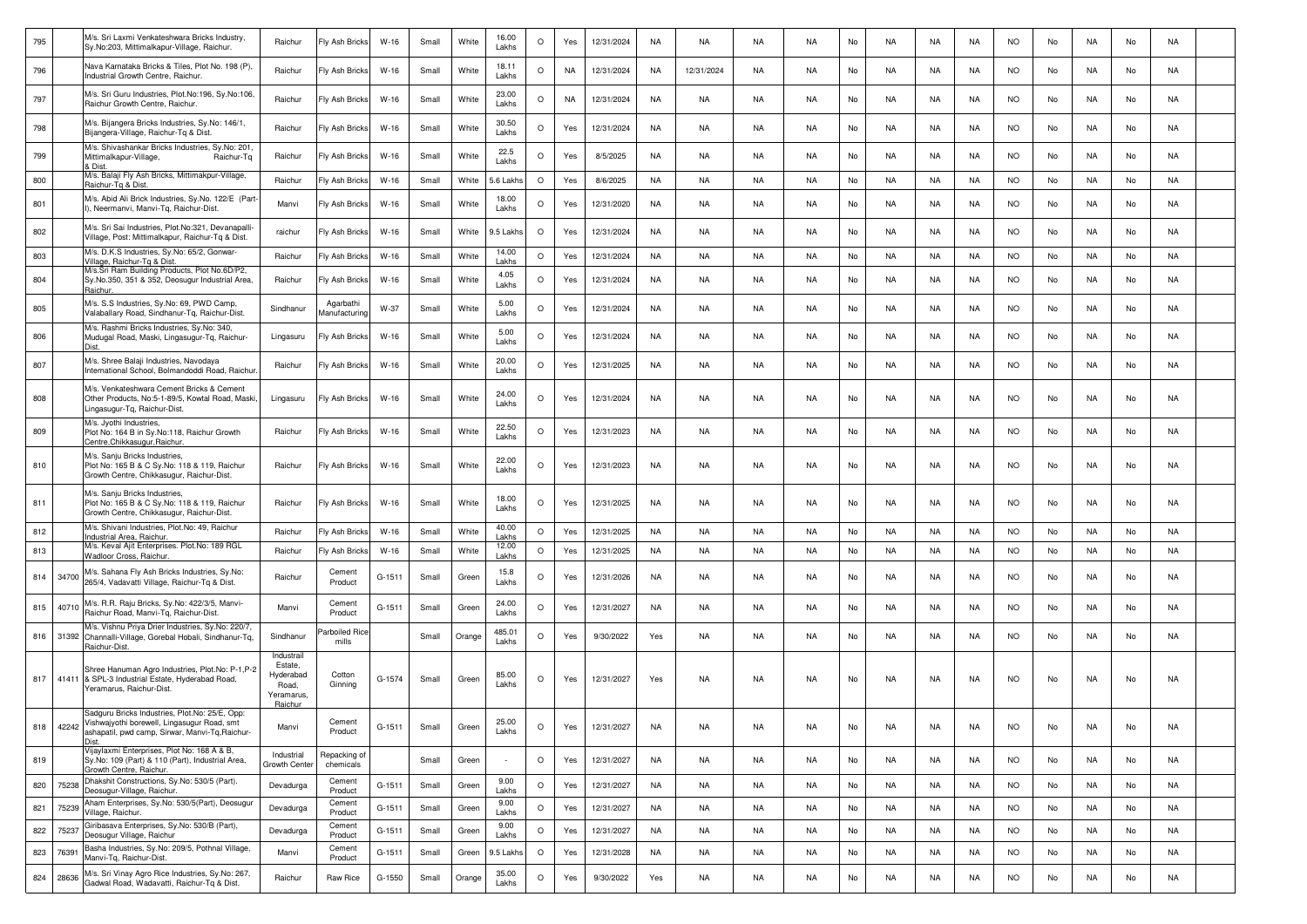| 795 |           | M/s. Sri Laxmi Venkateshwara Bricks Industry,<br>Sy.No:203, Mittimalkapur-Village, Raichur.                                                               | Raichur                                                              | Fly Ash Bricks             | $W-16$   | Small | White  | 16.00<br>Lakhs  | $\circ$ | Yes       | 12/31/2024 | NA        | NA         | <b>NA</b> | <b>NA</b> | No | NA        | NA        | NA        | <b>NO</b> | No | <b>NA</b> | No | NA        |  |
|-----|-----------|-----------------------------------------------------------------------------------------------------------------------------------------------------------|----------------------------------------------------------------------|----------------------------|----------|-------|--------|-----------------|---------|-----------|------------|-----------|------------|-----------|-----------|----|-----------|-----------|-----------|-----------|----|-----------|----|-----------|--|
| 796 |           | Nava Karnataka Bricks & Tiles, Plot No. 198 (P),<br>Industrial Growth Centre, Raichur.                                                                    | Raichur                                                              | Fly Ash Bricks             | $W-16$   | Small | White  | 18.11<br>Lakhs  | $\circ$ | <b>NA</b> | 12/31/2024 | NA        | 12/31/2024 | <b>NA</b> | <b>NA</b> | No | NA        | NA        | NA        | <b>NO</b> | No | NA        | No | <b>NA</b> |  |
| 797 |           | M/s. Sri Guru Industries, Plot.No:196, Sy.No:106,<br>Raichur Growth Centre, Raichur.                                                                      | Raichur                                                              | Fly Ash Bricks             | W-16     | Small | White  | 23.00<br>Lakhs  | $\circ$ | <b>NA</b> | 12/31/2024 | NA        | NA         | <b>NA</b> | <b>NA</b> | No | NA        | NA.       | NA        | <b>NO</b> | No | NA        | No | NA        |  |
| 798 |           | M/s. Bijangera Bricks Industries, Sy.No: 146/1,<br>Bijangera-Village, Raichur-Tq & Dist                                                                   | Raichur                                                              | Fly Ash Bricks             | $W-16$   | Small | White  | 30.50<br>Lakhs  | $\circ$ | Yes       | 12/31/2024 | NA        | NA         | <b>NA</b> | <b>NA</b> | No | NA        | NA.       | NA        | <b>NO</b> | No | NA        | No | NA        |  |
| 799 |           | M/s. Shivashankar Bricks Industries, Sy.No: 201<br>Mittimalkapur-Village,<br>Raichur-Tq<br>Dist                                                           | Raichur                                                              | Fly Ash Bricks             | $W-16$   | Small | White  | 22.5<br>Lakhs   | $\circ$ | Yes       | 8/5/2025   | <b>NA</b> | NA         | <b>NA</b> | <b>NA</b> | No | <b>NA</b> | <b>NA</b> | <b>NA</b> | <b>NO</b> | No | <b>NA</b> | No | <b>NA</b> |  |
| 800 |           | M/s. Balaji Fly Ash Bricks, Mittimakpur-Village,<br>Raichur-Tg & Dist.                                                                                    | Raichur                                                              | Fly Ash Bricks             | $W-16$   | Small | White  | 5.6 Lakh        | $\circ$ | Yes       | 8/6/2025   | <b>NA</b> | NA         | <b>NA</b> | <b>NA</b> | No | <b>NA</b> | NA        | <b>NA</b> | <b>NO</b> | No | NA        | No | <b>NA</b> |  |
| 801 |           | M/s. Abid Ali Brick Industries, Sy.No. 122/E (Part-<br>I), Neermanvi, Manvi-Tg, Raichur-Dist.                                                             | Manvi                                                                | Fly Ash Bricks             | $W-16$   | Small | White  | 18.00<br>Lakhs  | $\circ$ | Yes       | 12/31/2020 | NA        | NA         | <b>NA</b> | <b>NA</b> | No | NA        | NA        | NA        | <b>NO</b> | No | NA        | No | <b>NA</b> |  |
| 802 |           | M/s. Sri Sai Industries, Plot.No:321, Devanapalli-<br>Village, Post: Mittimalkapur, Raichur-Tg & Dist.                                                    | raichur                                                              | Fly Ash Bricks             | W-16     | Small | White  | 9.5 Lakhs       | $\circ$ | Yes       | 12/31/2024 | NA        | NA         | NA        | NA        | No | NA        | NA.       | NA        | <b>NO</b> | No | NA        | No | NA        |  |
| 803 |           | M/s. D.K.S Industries, Sy.No: 65/2, Gonwar-<br>Village, Raichur-Tg & Dist.                                                                                | Raichur                                                              | Fly Ash Bricks             | $W-16$   | Small | White  | 14.00<br>Lakhs  | $\circ$ | Yes       | 12/31/2024 | <b>NA</b> | NA         | <b>NA</b> | <b>NA</b> | No | NA        | NA        | NA        | <b>NO</b> | No | <b>NA</b> | No | <b>NA</b> |  |
| 804 |           | M/s.Sri Ram Building Products, Plot No.6D/P2,<br>Sy.No.350, 351 & 352, Deosugur Industrial Area,<br><b>Raichur</b>                                        | Raichur                                                              | Fly Ash Bricks             | $W-16$   | Small | White  | 4.05<br>Lakhs   | $\circ$ | Yes       | 12/31/2024 | <b>NA</b> | NA         | <b>NA</b> | <b>NA</b> | No | NA        | NA        | NA        | <b>NO</b> | No | NA        | No | <b>NA</b> |  |
| 805 |           | M/s. S.S Industries, Sy.No: 69, PWD Camp,<br>Valaballary Road, Sindhanur-Tq, Raichur-Dist.                                                                | Sindhanur                                                            | Agarbathi<br>Manufacturing | W-37     | Small | White  | 5.00<br>Lakhs   | $\circ$ | Yes       | 12/31/2024 | NA        | NA         | <b>NA</b> | <b>NA</b> | No | NA        | NA        | NA        | <b>NO</b> | No | NA        | No | <b>NA</b> |  |
| 806 |           | M/s. Rashmi Bricks Industries, Sy.No: 340,<br>Mudugal Road, Maski, Lingasugur-Tg, Raichur-<br>Dist.                                                       | Lingasuru                                                            | Fly Ash Bricks             | W-16     | Small | White  | 5.00<br>Lakhs   | $\circ$ | Yes       | 12/31/2024 | NA        | NA         | NA        | <b>NA</b> | No | NA        | NA.       | NA        | <b>NO</b> | No | NA        | No | NA        |  |
| 807 |           | M/s. Shree Balaji Industries, Navodaya<br>nternational School, Bolmandoddi Road, Raichur                                                                  | Raichur                                                              | Fly Ash Bricks             | $W-16$   | Small | White  | 20.00<br>Lakhs  | $\circ$ | Yes       | 12/31/2025 | NA        | NA         | <b>NA</b> | <b>NA</b> | No | NA        | NA        | NA        | <b>NO</b> | No | NA        | No | <b>NA</b> |  |
| 808 |           | M/s. Venkateshwara Cement Bricks & Cement<br>Other Products, No:5-1-89/5, Kowtal Road, Maski<br>Lingasugur-Tq, Raichur-Dist.                              | Lingasuru                                                            | Fly Ash Bricks             | $W-16$   | Small | White  | 24.00<br>Lakhs  | $\circ$ | Yes       | 12/31/2024 | <b>NA</b> | <b>NA</b>  | <b>NA</b> | <b>NA</b> | No | NA        | NA        | <b>NA</b> | NO.       | No | <b>NA</b> | No | <b>NA</b> |  |
| 809 |           | M/s. Jyothi Industries,<br>Plot No: 164 B in Sy.No:118, Raichur Growth<br>Centre, Chikkasugur, Raichur.                                                   | Raichur                                                              | Fly Ash Bricks             | $W-16$   | Small | White  | 22.50<br>Lakhs  | $\circ$ | Yes       | 12/31/2023 | NA        | NA         | <b>NA</b> | <b>NA</b> | No | NA        | NA        | NA        | <b>NO</b> | No | NA        | No | <b>NA</b> |  |
| 810 |           | M/s. Sanju Bricks Industries,<br>Plot No: 165 B & C Sy.No: 118 & 119, Raichur<br>Growth Centre, Chikkasugur, Raichur-Dist.                                | Raichur                                                              | Fly Ash Bricks             | W-16     | Small | White  | 22.00<br>Lakhs  | $\circ$ | Yes       | 12/31/2023 | NA        | NA         | <b>NA</b> | <b>NA</b> | No | NA        | NA        | NA        | <b>NO</b> | No | NA        | No | NA        |  |
| 811 |           | M/s. Sanju Bricks Industries,<br>Plot No: 165 B & C Sy.No: 118 & 119, Raichur<br>Growth Centre, Chikkasugur, Raichur-Dist.                                | Raichur                                                              | Fly Ash Bricks             | $W-16$   | Small | White  | 18.00<br>Lakhs  | $\circ$ | Yes       | 12/31/2025 | <b>NA</b> | NA         | <b>NA</b> | <b>NA</b> | No | NA        | NA        | NA        | <b>NO</b> | No | NA        | No | NA        |  |
| 812 |           | M/s. Shivani Industries, Plot.No: 49, Raichur<br>Industrial Area, Raichur.                                                                                | Raichur                                                              | Fly Ash Bricks             | $W-16$   | Small | White  | 40.00<br>Lakhs  | $\circ$ | Yes       | 12/31/2025 | <b>NA</b> | NA         | <b>NA</b> | <b>NA</b> | No | NA        | NA        | NA        | <b>NO</b> | No | <b>NA</b> | No | <b>NA</b> |  |
| 813 |           | M/s. Keval Ajit Enterprises. Plot.No: 189 RGL<br>Wadloor Cross, Raichur.                                                                                  | Raichur                                                              | Fly Ash Bricks             | $W-16$   | Small | White  | 12.00<br>Lakhs  | $\circ$ | Yes       | 12/31/2025 | <b>NA</b> | NA         | <b>NA</b> | <b>NA</b> | No | <b>NA</b> | <b>NA</b> | NA        | <b>NO</b> | No | NA        | No | <b>NA</b> |  |
| 814 | 34700     | M/s. Sahana Fly Ash Bricks Industries, Sy.No:<br>265/4, Vadavatti Village, Raichur-Tq & Dist.                                                             | Raichur                                                              | Cement<br>Product          | $G-1511$ | Small | Green  | 15.8<br>Lakhs   | $\circ$ | Yes       | 12/31/2026 | NA.       | NA         | NA        | NA        | No | NA        | NA        | NA        | <b>NO</b> | No | NA        | No | NA        |  |
| 815 | 40710     | M/s. R.R. Raju Bricks, Sy.No: 422/3/5, Manvi-<br>Raichur Road, Manvi-Tg, Raichur-Dist.                                                                    | Manvi                                                                | Cement<br>Product          | $G-1511$ | Small | Green  | 24.00<br>Lakhs  | $\circ$ | Yes       | 12/31/2027 | <b>NA</b> | NA         | <b>NA</b> | <b>NA</b> | No | NA        | NA        | NA        | <b>NO</b> | No | NA        | No | <b>NA</b> |  |
| 816 |           | M/s. Vishnu Priya Drier Industries, Sy.No: 220/7,<br>31392 Channalli-Village, Gorebal Hobali, Sindhanur-Tq,<br>Raichur-Dist.                              | Sindhanur                                                            | Parboiled Rice<br>mills    |          | Small | Orange | 485.01<br>Lakhs | $\circ$ | Yes       | 9/30/2022  | Yes       | NA         | <b>NA</b> | <b>NA</b> | No | NA        | NA        | <b>NA</b> | <b>NO</b> | No | NA        | No | <b>NA</b> |  |
| 817 | 41411     | Shree Hanuman Agro Industries, Plot.No: P-1,P-2<br>& SPL-3 Industrial Estate, Hyderabad Road,<br>Yeramarus, Raichur-Dist.                                 | Industrail<br>Estate,<br>Hyderabad<br>Road,<br>Yeramarus,<br>Raichur | Cotton<br>Ginning          | G-1574   | Small | Green  | 85.00<br>Lakhs  | $\circ$ | Yes       | 12/31/2027 | Yes       | NA         | NA        | NA.       | No | NA        | NA        | NA        | <b>NO</b> | No | NA        | No | NA        |  |
|     | 818 42242 | Sadguru Bricks Industries, Plot.No: 25/E, Opp:<br>'ishwajyothi borewell, Lingasugur Road, smt<br>ashapatil, pwd camp, Sirwar, Manvi-Tq, Raichur-<br>Dist. | Manvi                                                                | Cement<br>Product          | G-1511   | Small | Green  | 25.00<br>Lakhs  | $\circ$ | Yes       | 12/31/2027 | NA        | NA         | NA        | <b>NA</b> | No | NA        | NA        | NA        | <b>NO</b> | No | NA        | No | NA        |  |
| 819 |           | Vijaylaxmi Enterprises, Plot No: 168 A & B,<br>Sy.No: 109 (Part) & 110 (Part), Industrial Area,<br>Growth Centre, Raichur.                                | Industrial<br>Growth Cente                                           | Repacking of<br>chemicals  |          | Small | Green  |                 | $\circ$ | Yes       | 12/31/2027 | <b>NA</b> | NA         | <b>NA</b> | <b>NA</b> | No | NA        | NA        | NA        | <b>NO</b> | No | NA        | No | <b>NA</b> |  |
| 820 | 75238     | Dhakshit Constructions, Sy.No: 530/5 (Part).<br>Deosugur-Village, Raichur.                                                                                | Devadurga                                                            | Cement<br>Product          | $G-1511$ | Small | Green  | 9.00<br>Lakhs   | $\circ$ | Yes       | 12/31/2027 | <b>NA</b> | NA         | <b>NA</b> | <b>NA</b> | No | <b>NA</b> | <b>NA</b> | <b>NA</b> | <b>NO</b> | No | NA        | No | <b>NA</b> |  |
| 821 | 75239     | Aham Enterprises, Sy.No: 530/5(Part), Deosugur<br>Village, Raichur.                                                                                       | Devadurga                                                            | Cement<br>Product          | $G-1511$ | Small | Green  | 9.00<br>Lakhs   | $\circ$ | Yes       | 12/31/2027 | <b>NA</b> | NA         | NA        | <b>NA</b> | No | NA        | NA        | NA        | <b>NO</b> | No | NA        | No | <b>NA</b> |  |
| 822 | 75237     | Giribasava Enterprises, Sy.No: 530/B (Part),<br>Deosugur Village, Raichur                                                                                 | Devadurga                                                            | Cement<br>Product          | $G-1511$ | Small | Green  | 9.00<br>Lakhs   | $\circ$ | Yes       | 12/31/2027 | <b>NA</b> | NA         | NA        | <b>NA</b> | No | NA        | NA        | NA        | <b>NO</b> | No | NA        | No | <b>NA</b> |  |
| 823 | 76391     | Basha Industries, Sy.No: 209/5, Pothnal Village,<br>Manvi-Tq, Raichur-Dist.                                                                               | Manvi                                                                | Cement<br>Product          | $G-1511$ | Small | Green  | 9.5 Lakhs       | $\circ$ | Yes       | 12/31/2028 | <b>NA</b> | NA         | NA        | <b>NA</b> | No | NA        | NA        | NA        | <b>NO</b> | No | NA        | No | <b>NA</b> |  |
| 824 | 28636     | M/s. Sri Vinay Agro Rice Industries, Sy.No: 267,<br>Gadwal Road, Wadavatti, Raichur-Tq & Dist.                                                            | Raichur                                                              | Raw Rice                   | G-1550   | Small | Orange | 35.00<br>Lakhs  | $\circ$ | Yes       | 9/30/2022  | Yes       | NA         | NA        | <b>NA</b> | No | NA        | NA        | NA        | <b>NO</b> | No | NA        | No | NA        |  |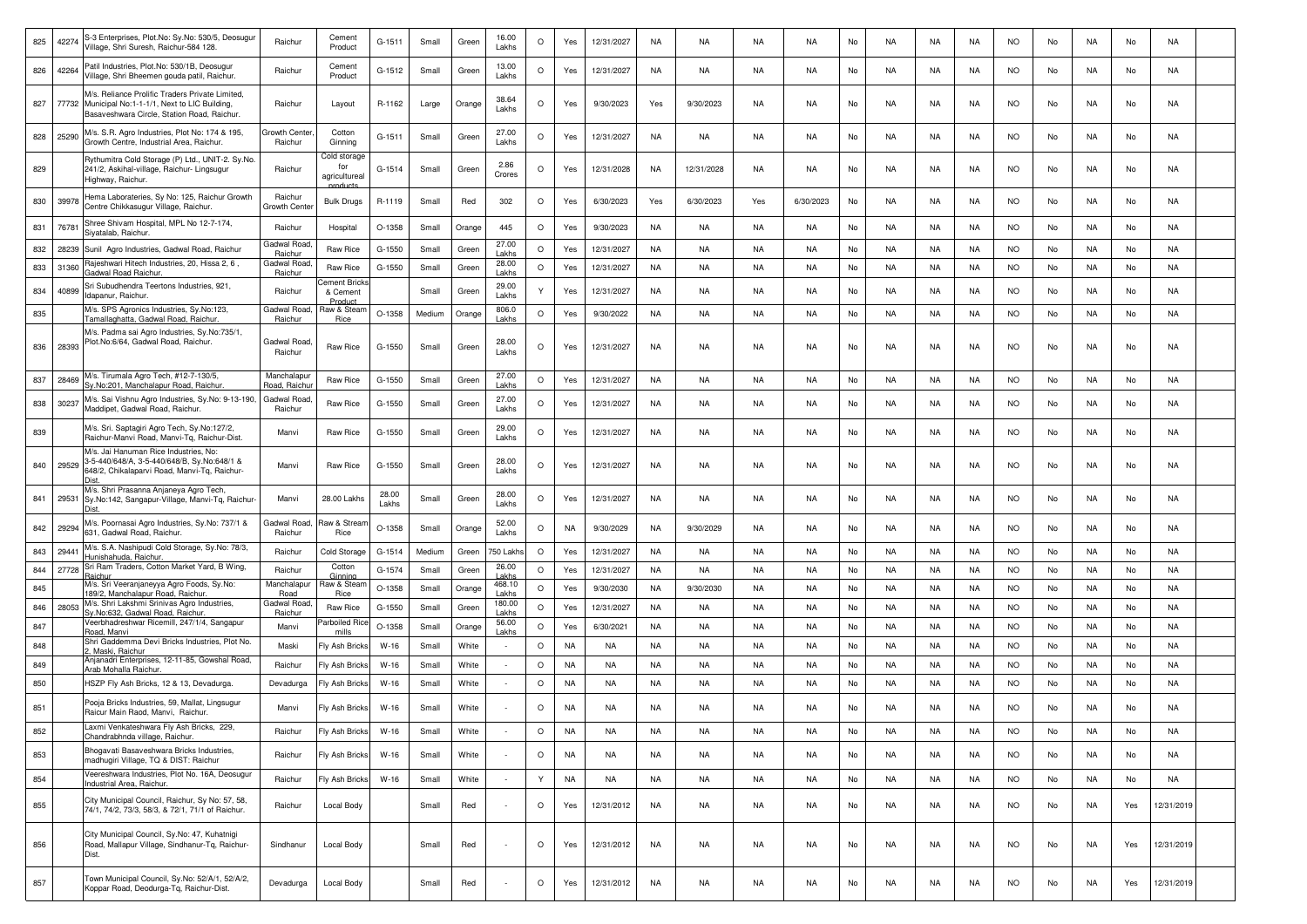| 825 | 42274 | S-3 Enterprises, Plot.No: Sy.No: 530/5, Deosugur<br>/illage, Shri Suresh, Raichur-584 128                                                          | Raichur                    | Cement<br>Product                    | G-1511         | Small  | Green  | 16.00<br>Lakhs           | $\circ$ | Yes       | 12/31/2027 | NA        | NA         | NA        | NA        | No | NA        | NA        | NA        | NO.       | No | NA        | No  | NA         |  |
|-----|-------|----------------------------------------------------------------------------------------------------------------------------------------------------|----------------------------|--------------------------------------|----------------|--------|--------|--------------------------|---------|-----------|------------|-----------|------------|-----------|-----------|----|-----------|-----------|-----------|-----------|----|-----------|-----|------------|--|
| 826 | 42264 | Patil Industries, Plot.No: 530/1B, Deosugur<br>/illage, Shri Bheemen gouda patil, Raichur                                                          | Raichur                    | Cement<br>Product                    | G-1512         | Small  | Green  | 13.00<br>Lakhs           | $\circ$ | Yes       | 12/31/2027 | NA        | NA         | NA        | <b>NA</b> | No | NA        | NA        | NA        | <b>NO</b> | No | NA        | No  | NA         |  |
| 827 |       | M/s. Reliance Prolific Traders Private Limited.<br>77732 Municipal No:1-1-1/1, Next to LIC Building,<br>Basaveshwara Circle, Station Road, Raichur | Raichur                    | Layout                               | R-1162         | Large  | Orange | 38.64<br>Lakhs           | $\circ$ | Yes       | 9/30/2023  | Yes       | 9/30/2023  | NA        | <b>NA</b> | No | <b>NA</b> | NA        | <b>NA</b> | <b>NO</b> | No | NA        | No  | NA         |  |
| 828 | 25290 | M/s. S.R. Agro Industries, Plot No: 174 & 195,<br>Growth Centre, Industrial Area, Raichur.                                                         | Growth Center<br>Raichur   | Cotton<br>Ginnina                    | G-1511         | Small  | Green  | 27.00<br>Lakhs           | $\circ$ | Yes       | 12/31/2027 | NA        | NA         | NA        | NA        | No | NA        | NA        | NA.       | <b>NO</b> | No | NA        | No  | NA         |  |
| 829 |       | Rythumitra Cold Storage (P) Ltd., UNIT-2. Sy.No.<br>241/2, Askihal-village, Raichur- Lingsugur<br>Highway, Raichur.                                | Raichur                    | Cold storage<br>for<br>agricultureal | G-1514         | Small  | Green  | 2.86<br>Crores           | $\circ$ | Yes       | 12/31/2028 | NA        | 12/31/2028 | NA        | <b>NA</b> | No | NA        | NA        | NA        | <b>NO</b> | No | NA        | No  | NA         |  |
| 830 | 39978 | Hema Laborateries, Sy No: 125, Raichur Growth<br>Centre Chikkasugur Village, Raichur                                                               | Raichur<br>Growth Cente    | <b>Bulk Drugs</b>                    | R-1119         | Small  | Red    | 302                      | $\circ$ | Yes       | 6/30/2023  | Yes       | 6/30/2023  | Yes       | 6/30/2023 | No | NA        | NA        | NA        | NO.       | No | NA        | No  | NA         |  |
| 831 | 76781 | Shree Shivam Hospital, MPL No 12-7-174,<br>Sivatalab, Raichur,                                                                                     | Raichur                    | Hospital                             | O-1358         | Small  | Orange | 445                      | $\circ$ | Yes       | 9/30/2023  | NA        | NA         | <b>NA</b> | <b>NA</b> | No | NA        | NA        | NA        | <b>NO</b> | No | NA        | No  | NA         |  |
| 832 | 28239 | Sunil Agro Industries, Gadwal Road, Raichur                                                                                                        | Gadwal Roac<br>Raichur     | Raw Rice                             | G-1550         | Small  | Green  | 27.00<br>Lakhs           | $\circ$ | Yes       | 12/31/2027 | NA        | NA         | NA        | <b>NA</b> | No | NA        | NA        | NA        | <b>NO</b> | No | NA        | No  | NA         |  |
| 833 | 31360 | Rajeshwari Hitech Industries, 20, Hissa 2, 6,                                                                                                      | Gadwal Road                | Raw Rice                             | G-1550         | Small  | Green  | 28.00                    | $\circ$ | Yes       | 12/31/2027 | NA        | NA         | NA        | <b>NA</b> | No | NA        | NA        | NA        | <b>NO</b> | No | NA        | No  | NA         |  |
| 834 | 40899 | <b>Gadwal Road Raichur.</b><br>Sri Subudhendra Teertons Industries, 921,<br>Idapanur, Raichur.                                                     | Raichur<br>Raichur         | Cement Brick<br>& Cement             |                | Small  | Green  | Lakhs<br>29.00<br>Lakhs  |         | Yes       | 12/31/2027 | NA        | NA         | NA        | <b>NA</b> | No | NA        | NA        | NA        | <b>NO</b> | No | NA        | No  | NA         |  |
|     |       | M/s. SPS Agronics Industries, Sy.No:123,                                                                                                           | Gadwal Road                | Product<br>Raw & Stean               |                |        |        | 806.0                    | $\circ$ |           |            | NA        | NA         | NA        | <b>NA</b> | No | NA        | <b>NA</b> | NA        | <b>NO</b> | No | NA        |     | <b>NA</b>  |  |
| 835 |       | Tamallaghatta, Gadwal Road, Raichur                                                                                                                | Raichur                    | Rice                                 | O-1358         | Medium | Orange | Lakhs                    |         | Yes       | 9/30/2022  |           |            |           |           |    |           |           |           |           |    |           | No  |            |  |
| 836 | 28393 | M/s. Padma sai Agro Industries, Sy.No:735/1,<br>Plot.No:6/64, Gadwal Road, Raichur.                                                                | Gadwal Road<br>Raichur     | Raw Rice                             | G-1550         | Small  | Green  | 28.00<br>Lakhs           | $\circ$ | Yes       | 12/31/2027 | NA        | NA         | NA        | <b>NA</b> | No | NA        | NA        | NA        | <b>NO</b> | No | NA        | No  | NA         |  |
| 837 | 28469 | M/s. Tirumala Agro Tech, #12-7-130/5,<br>Sy.No:201, Manchalapur Road, Raichur                                                                      | Manchalapu<br>Road, Raichu | Raw Rice                             | G-1550         | Small  | Green  | 27.00<br>Lakhs           | $\circ$ | Yes       | 12/31/2027 | NA        | NA         | NA        | NA        | No | NA        | NA        | NA.       | <b>NO</b> | No | NA        | No  | NA         |  |
| 838 | 30237 | M/s. Sai Vishnu Agro Industries, Sy.No: 9-13-190,<br>Maddipet, Gadwal Road, Raichur.                                                               | Gadwal Road<br>Raichur     | Raw Rice                             | G-1550         | Small  | Green  | 27.00<br>Lakhs           | O       | Yes       | 12/31/2027 | NA        | NA         | NA        | NA.       | No | NA        | NA        | NA        | <b>NO</b> | No | NA        | No  | NA         |  |
| 839 |       | M/s. Sri. Saptagiri Agro Tech, Sy.No:127/2,<br>Raichur-Manvi Road, Manvi-Tq, Raichur-Dist.                                                         | Manvi                      | Raw Rice                             | G-1550         | Small  | Green  | 29.00<br>Lakhs           | $\circ$ | Yes       | 12/31/2027 | NA        | NA         | <b>NA</b> | <b>NA</b> | No | NA        | NA        | NA        | <b>NO</b> | No | NA        | No  | NA         |  |
| 840 | 29529 | M/s. Jai Hanuman Rice Industries, No:<br>3-5-440/648/A, 3-5-440/648/B, Sy.No:648/1 &<br>548/2, Chikalaparvi Road, Manvi-Tq, Raichur-               | Manvi                      | Raw Rice                             | G-1550         | Small  | Green  | 28.00<br>Lakhs           | $\circ$ | Yes       | 12/31/2027 | NA        | NA         | NA        | <b>NA</b> | No | NA        | NA        | NA        | <b>NO</b> | No | NA        | No  | NA         |  |
| 841 | 29531 | M/s. Shri Prasanna Anjaneya Agro Tech,<br>Sy.No:142, Sangapur-Village, Manvi-Tq, Raichur-                                                          | Manvi                      | 28.00 Lakhs                          | 28.00<br>Lakhs | Small  | Green  | 28.00<br>Lakhs           | $\circ$ | Yes       | 12/31/2027 | NA        | NA         | NA        | NA        | No | NA        | NA        | NA        | NO.       | No | NA        | No  | NA         |  |
| 842 | 29294 | M/s. Poornasai Agro Industries, Sy.No: 737/1 &<br>631, Gadwal Road, Raichur.                                                                       | Gadwal Road<br>Raichur     | Raw & Strear<br>Rice                 | O-1358         | Small  | Orange | 52.00<br>Lakhs           | $\circ$ | <b>NA</b> | 9/30/2029  | <b>NA</b> | 9/30/2029  | <b>NA</b> | <b>NA</b> | No | <b>NA</b> | NA        | <b>NA</b> | <b>NO</b> | No | <b>NA</b> | No  | NA         |  |
| 843 | 29441 | M/s. S.A. Nashipudi Cold Storage, Sy.No: 78/3,                                                                                                     | Raichur                    | Cold Storage                         | $G-1514$       | Medium | Green  | 750 Lakh                 | $\circ$ | Yes       | 12/31/2027 | NA        | NA         | NA        | <b>NA</b> | No | NA        | NA        | NA        | <b>NO</b> | No | NA        | No  | NA         |  |
| 844 | 27728 | Hunishahuda, Raichur<br>Sri Ram Traders, Cotton Market Yard, B Wing,                                                                               | Raichur                    | Cotton                               | G-1574         | Small  | Green  | 26.00                    | $\circ$ | Yes       | 12/31/2027 | NA        | NA         | <b>NA</b> | <b>NA</b> | No | NA        | NA        | NA        | <b>NO</b> | No | NA        | No  | NA         |  |
|     |       | }aichu<br>M/s. Sri Veeranjaneyya Agro Foods, Sy.No:                                                                                                | Manchalapu                 | Ginning<br>Raw & Stear               |                |        |        | Lakhs<br>468.10          |         |           |            |           |            |           |           |    |           |           |           |           |    |           |     |            |  |
| 845 |       | 89/2, Manchalapur Road, Raichur.<br>M/s. Shri Lakshmi Srinivas Agro Industries,                                                                    | Road<br>Gadwal Road        | Rice                                 | O-1358         | Small  | Orange | Lakhs<br>180.00          | $\circ$ | Yes       | 9/30/2030  | NA        | 9/30/2030  | <b>NA</b> | <b>NA</b> | No | NA        | NA        | NA        | <b>NO</b> | No | NA        | No  | <b>NA</b>  |  |
| 846 | 28053 | Sy.No:632, Gadwal Road, Raichur.                                                                                                                   | Raichur                    | Raw Rice                             | G-1550         | Small  | Green  | Lakhs                    | $\circ$ | Yes       | 12/31/2027 | NA        | NA         | NA        | <b>NA</b> | No | NA        | NA        | NA        | <b>NO</b> | No | NA        | No  | NA         |  |
| 847 |       | Veerbhadreshwar Ricemill, 247/1/4, Sangapur<br>Road, Manvi                                                                                         | Manvi                      | arboiled Ric<br>mills                | O-1358         | Small  | Orange | 56.00<br>Lakhs           | $\circ$ | Yes       | 6/30/2021  | NA        | NA         | NA        | NA        | No | NA        | NA        | NA        | <b>NO</b> | No | NA        | No  | NA         |  |
| 848 |       | Shri Gaddemma Devi Bricks Industries, Plot No.<br>. Maski, Raichur                                                                                 | Maski                      | Fly Ash Bricks                       | $W-16$         | Small  | White  |                          | $\circ$ | <b>NA</b> | NA         | NA        | NA         | NA        | <b>NA</b> | No | NA        | NA        | NA        | <b>NO</b> | No | NA        | No  | NA         |  |
| 849 |       | Anjanadri Enterprises, 12-11-85, Gowshal Road,                                                                                                     | Raichur                    | Fly Ash Bricks                       | $W-16$         | Small  | White  |                          | $\circ$ | <b>NA</b> | NA         | NA        | NA         | <b>NA</b> | <b>NA</b> | No | NA        | NA        | NA        | <b>NO</b> | No | NA        | No  | NA         |  |
| 850 |       | Arab Mohalla Raichur.<br>HSZP Fly Ash Bricks, 12 & 13, Devadurga.                                                                                  |                            | Fly Ash Bricks                       | $W-16$         | Small  | White  | $\overline{\phantom{a}}$ | $\circ$ | <b>NA</b> | <b>NA</b>  | NA        | NA         | NA        | <b>NA</b> | No | <b>NA</b> | <b>NA</b> | NA        | <b>NO</b> | No | NA        | No  | <b>NA</b>  |  |
| 851 |       | Pooja Bricks Industries, 59, Mallat, Lingsugur                                                                                                     | Devadurga<br>Manvi         | Fly Ash Bricks                       | $W-16$         | Small  | White  |                          | $\circ$ | <b>NA</b> | <b>NA</b>  | <b>NA</b> | NA         | <b>NA</b> | <b>NA</b> | No | NA        | NA        | <b>NA</b> | <b>NO</b> | No | NA        | No  | NA         |  |
| 852 |       | Raicur Main Raod, Manvi, Raichur<br>Laxmi Venkateshwara Fly Ash Bricks, 229,<br>Chandrabhnda village, Raichur.                                     | Raichur                    | Fly Ash Bricks                       | $W-16$         | Small  | White  |                          | $\circ$ | <b>NA</b> | <b>NA</b>  | <b>NA</b> | <b>NA</b>  | NA        | <b>NA</b> | No | <b>NA</b> | <b>NA</b> | <b>NA</b> | <b>NO</b> | No | <b>NA</b> | No  | <b>NA</b>  |  |
| 853 |       | Bhogavati Basaveshwara Bricks Industries,<br>nadhugiri Village, TQ & DIST: Raichur                                                                 | Raichur                    | Fly Ash Bricks                       | W-16           | Small  | White  | $\overline{\phantom{a}}$ | $\circ$ | <b>NA</b> | NA         | NA        | NA         | NA        | <b>NA</b> | No | NA        | NA        | NA        | <b>NO</b> | No | NA        | No  | NA         |  |
| 854 |       | Veereshwara Industries, Plot No. 16A, Deosugur<br>Industrial Area, Raichur.                                                                        | Raichur                    | Fly Ash Bricks                       | $W-16$         | Small  | White  | $\overline{\phantom{a}}$ | Y       | NA        | NA         | NA        | NA         | NA        | <b>NA</b> | No | NA        | NA        | NA        | <b>NO</b> | No | NA        | No  | NA         |  |
| 855 |       | City Municipal Council, Raichur, Sy No: 57, 58,<br>74/1, 74/2, 73/3, 58/3, & 72/1, 71/1 of Raichur.                                                | Raichur                    | Local Body                           |                | Small  | Red    |                          | $\circ$ | Yes       | 12/31/2012 | NA        | NA         | NA        | NA        | No | NA        | NA        | NA        | <b>NO</b> | No | NA        | Yes | 12/31/2019 |  |
| 856 |       | City Municipal Council, Sy.No: 47, Kuhatnigi<br>Road, Mallapur Village, Sindhanur-Tq, Raichur-<br>Dist.                                            | Sindhanur                  | Local Body                           |                | Small  | Red    |                          | $\circ$ | Yes       | 12/31/2012 | NA        | NA         | NA        | <b>NA</b> | No | NA        | NA        | NA        | <b>NO</b> | No | NA        | Yes | 12/31/2019 |  |
| 857 |       | Town Municipal Council, Sy.No: 52/A/1, 52/A/2,<br>Koppar Road, Deodurga-Tg, Raichur-Dist.                                                          | Devadurga                  | Local Body                           |                | Small  | Red    |                          | $\circ$ | Yes       | 12/31/2012 | NA        | NA         | NA        | NA        | No | NA        | NA        | NA        | <b>NO</b> | No | NA        | Yes | 12/31/2019 |  |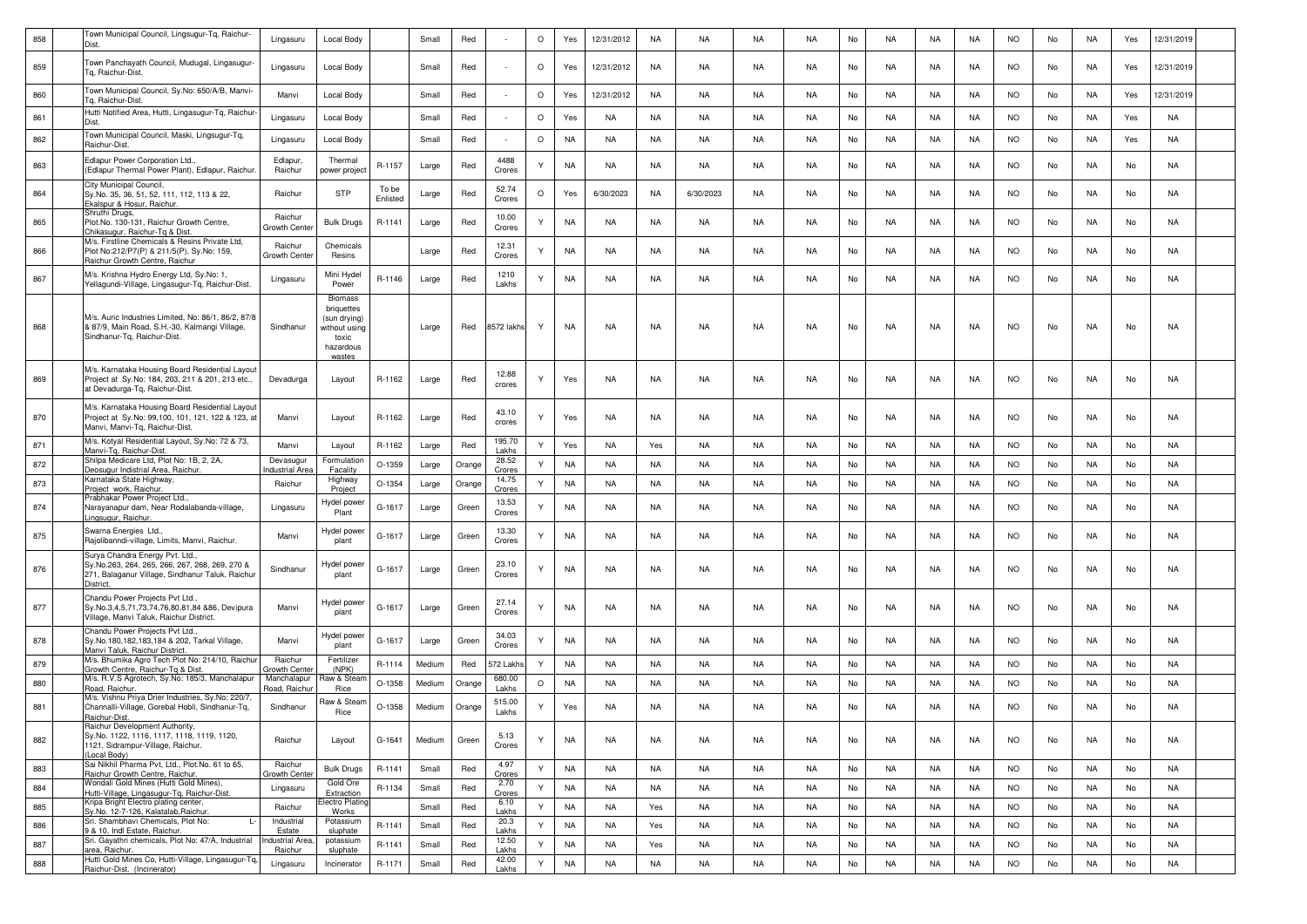| 858 | Fown Municipal Council, Lingsugur-Tq, Raichur-<br>Dist.                                                                                           | Lingasuru                         | Local Body                                                                          |                   | Small  | Red    |                 | $\circ$ | Yes       | 12/31/2012 | NA        | NA        | NA        | <b>NA</b> | No | NA        | NA        | NA        | <b>NO</b> | No  | NA        | Yes | 12/31/2019 |  |
|-----|---------------------------------------------------------------------------------------------------------------------------------------------------|-----------------------------------|-------------------------------------------------------------------------------------|-------------------|--------|--------|-----------------|---------|-----------|------------|-----------|-----------|-----------|-----------|----|-----------|-----------|-----------|-----------|-----|-----------|-----|------------|--|
| 859 | Town Panchayath Council, Mudugal, Lingasugur<br>lg, Raichur-Dist.                                                                                 | Lingasuru                         | Local Body                                                                          |                   | Small  | Red    |                 | $\circ$ | Yes       | 12/31/2012 | NA        | NA        | NA        | NA        | No | NA        | NA        | NA        | NO.       | No  | NA        | Yes | 12/31/2019 |  |
| 860 | Town Municipal Council, Sy.No: 650/A/B, Manvi-<br>Гq, Raichur-Dist.                                                                               | Manvi                             | Local Body                                                                          |                   | Small  | Red    |                 | $\circ$ | Yes       | 12/31/2012 | NA        | NA        | NA        | NA        | No | NA.       | NA        | NA        | <b>NO</b> | No  | NA        | Yes | 12/31/2019 |  |
| 861 | Hutti Notified Area, Hutti, Lingasugur-Tq, Raichur<br>Dist.                                                                                       | Lingasuru                         | <b>Local Body</b>                                                                   |                   | Small  | Red    |                 | $\circ$ | Yes       | NA         | NA        | NA        | NA        | <b>NA</b> | No | <b>NA</b> | NA        | NA        | <b>NO</b> | No  | NA        | Yes | NA         |  |
| 862 | Town Municipal Council, Maski, Lingsugur-Tq,<br>Raichur-Dist.                                                                                     | Lingasuru                         | Local Body                                                                          |                   | Small  | Red    |                 | $\circ$ | <b>NA</b> | NA         | NA        | NA        | NA        | NA        | No | NA.       | NA        | NA        | <b>NO</b> | No  | NA        | Yes | NA         |  |
| 863 | Edlapur Power Corporation Ltd.,<br>(Edlapur Thermal Power Plant), Edlapur, Raichur.                                                               | Edlapur,<br>Raichur               | Thermal<br>power project                                                            | R-1157            | Large  | Red    | 4488<br>Crores  |         | <b>NA</b> | NA         | NA        | NA        | NA        | NA        | No | NA.       | NA.       | NA        | NO.       | No  | NA        | No  | NA         |  |
| 864 | City Municipal Council,<br>Sy.No. 35, 36, 51, 52, 111, 112, 113 & 22,<br>Ekalspur & Hosur, Raichur.                                               | Raichur                           | <b>STP</b>                                                                          | To be<br>Enlisted | Large  | Red    | 52.74<br>Crores | O       | Yes       | 6/30/2023  | NA        | 6/30/2023 | NA        | NA.       | No | NA        | NA        | NA        | <b>NO</b> | No  | NA        | No  | NA         |  |
| 865 | Shruthi Drugs,<br>Plot.No. 130-131, Raichur Growth Centre,<br>Chikasugur, Raichur-Tq & Dist                                                       | Raichur<br>Growth Cente           | <b>Bulk Drugs</b>                                                                   | R-1141            | Large  | Red    | 10.00<br>Crores | Υ       | <b>NA</b> | <b>NA</b>  | NA        | NA        | NA        | <b>NA</b> | No | NA        | NA        | NA        | NO.       | No  | NA        | No  | NA         |  |
| 866 | M/s. Firstline Chemicals & Resins Private Ltd,<br>Plot No:212/P7(P) & 211/5(P), Sy.No: 159,<br>Raichur Growth Centre, Raichur                     | Raichur<br>Growth Cente           | Chemicals<br>Resins                                                                 |                   | Large  | Red    | 12.31<br>Crores | Υ       | NA        | <b>NA</b>  | NA        | NA        | NA        | <b>NA</b> | No | NA        | NA        | NA        | <b>NO</b> | No  | NA        | No  | NA         |  |
| 867 | M/s. Krishna Hydro Energy Ltd, Sy.No: 1,<br>Yellagundi-Village, Lingasugur-Tq, Raichur-Dist.                                                      | Lingasuru                         | Mini Hydel<br>Power                                                                 | R-1146            | Large  | Red    | 1210<br>Lakhs   | Υ       | NA        | NA         | NA        | NA        | NA        | NA        | No | NA.       | NA        | NA.       | NO.       | No  | NA        | No  | NA         |  |
| 868 | M/s. Auric Industries Limited, No: 86/1, 86/2, 87/8<br>& 87/9, Main Road, S.H.-30, Kalmangi Village.<br>Sindhanur-Tq, Raichur-Dist.               | Sindhanur                         | <b>Biomass</b><br>briquettes<br>(sun drying)<br>without using<br>toxic<br>hazardous |                   | Large  | Red    | 8572 lakhs      | Y       | NA        | <b>NA</b>  | NA        | NA        | NA        | <b>NA</b> | No | <b>NA</b> | NA        | NA        | <b>NO</b> | No  | NA        | No  | NA         |  |
| 869 | M/s. Karnataka Housing Board Residential Layout<br>Project at Sy.No: 184, 203, 211 & 201, 213 etc.,<br>at Devadurga-Tq, Raichur-Dist.             | Devadurga                         | Layout                                                                              | R-1162            | Large  | Red    | 12.88<br>crores | Υ       | Yes       | NA         | NA        | NA        | NA        | <b>NA</b> | No | NA        | NA        | NA        | <b>NO</b> | No  | NA        | No  | NA         |  |
| 870 | M/s. Karnataka Housing Board Residential Layout<br>Project at Sy.No: 99,100, 101, 121, 122 & 123, at<br>Manvi, Manvi-Tg, Raichur-Dist,            | Manvi                             | Layout                                                                              | R-1162            | Large  | Red    | 43.10<br>crores |         | Yes       | NA         | NA        | NA        | NA        | <b>NA</b> | No | NA.       | NA        | NA        | <b>NO</b> | No  | NA        | No  | NA         |  |
| 871 | M/s. Kotyal Residential Layout, Sy.No: 72 & 73,<br>Manvi-Tg, Raichur-Dist                                                                         | Manvi                             | Layout                                                                              | R-1162            | Large  | Red    | 195.70<br>Lakhs | Y       | Yes       | NA         | Yes       | NA.       | NA        | <b>NA</b> | No | <b>NA</b> | NA        | NA        | <b>NO</b> | No  | NA        | No  | NA         |  |
| 872 | Shilpa Medicare Ltd. Plot No: 1B. 2. 2A.<br>Deosugur Indistrial Area, Raichur.                                                                    | Devasugur<br>ndustrial Are        | Formulatior<br>Facality                                                             | $O-1359$          | Large  | Orange | 28.52<br>Crores | Y       | <b>NA</b> | <b>NA</b>  | NA        | <b>NA</b> | <b>NA</b> | <b>NA</b> | No | <b>NA</b> | NA        | NA        | <b>NO</b> | No  | NA        | No  | <b>NA</b>  |  |
| 873 | Karnataka State Highway<br>Project work, Raichur.                                                                                                 | Raichur                           | Highway<br>Project                                                                  | O-1354            | Large  | Orange | 14.75<br>Crores | Y       | <b>NA</b> | NA         | NA        | NA        | NA        | <b>NA</b> | No | NA        | NA        | NA        | <b>NO</b> | No  | NA        | No  | <b>NA</b>  |  |
| 874 | Prabhakar Power Project Ltd.,<br>Narayanapur dam, Near Rodalabanda-village,<br>Lingsugur, Raichur.                                                | Lingasuru                         | lydel power<br>Plant                                                                | G-1617            | Large  | Green  | 13.53<br>Crores |         | NA        | NA         | NA        | NA        | NA        | <b>NA</b> | No | NA        | NA.       | NA        | <b>NO</b> | No  | NA        | No  | NA         |  |
| 875 | Swarna Energies Ltd.,<br>Rajolibanndi-village, Limits, Manvi, Raichur.                                                                            | Manvi                             | Hydel power<br>plant                                                                | G-1617            | Large  | Green  | 13.30<br>Crores |         | NA        | NA         | NA        | NA        | NA        | NA        | No | NA        | NA        | NA        | <b>NO</b> | No  | NA        | No  | NA         |  |
| 876 | Surya Chandra Energy Pvt. Ltd.<br>Sy.No.263, 264, 265, 266, 267, 268, 269, 270 &<br>271, Balaganur Village, Sindhanur Taluk, Raichur<br>District. | Sindhanur                         | Hydel power<br>plant                                                                | G-1617            | Large  | Green  | 23.10<br>Crores |         | <b>NA</b> | NA         | NA        | NA        | NA        | <b>NA</b> | No | NA        | NA        | NA        | <b>NO</b> | No  | NA        | No  | NA         |  |
| 877 | Chandu Power Projects Pvt Ltd.<br>Sy.No.3,4,5,71,73,74,76,80,81,84 &86, Devipura<br>Village, Manvi Taluk, Raichur District.                       | Manvi                             | Hydel powei<br>plant                                                                | G-1617            | Large  | Green  | 27.14<br>Crores |         | NA        | NA         | NA        | NA        | NA        | NA        | No | NA.       | NA        | NA        | <b>NO</b> | No  | NA        | No  | NA         |  |
| 878 | Chandu Power Projects Pvt Ltd.,<br>Sy.No.180,182,183,184 & 202, Tarkal Village,<br>Manvi Taluk, Raichur District                                  | Manvi                             | Hydel power<br>plant                                                                | G-1617            | Large  | Green  | 34.03<br>Crores |         | NA        | NA         | NA        | NA        | NA        | <b>NA</b> | No | NA        | NA.       | NA.       | NO.       | No  | NA        | No  | NA         |  |
| 879 | M/s. Bhumika Agro Tech Plot No: 214/10, Raichur<br>Growth Centre, Raichur-Tq & Dist                                                               | Raichur<br>irowth Cent            | Fertilizer<br>(NPK)                                                                 | R-1114            | Medium | Red    | 72 Lakh         | Υ       | <b>NA</b> | NA         | NA        | NA        | NA        | <b>NA</b> | No | NA.       | NA        | NA        | <b>NO</b> | No  | NA        | No  | NA         |  |
| 880 | M/s. R.V.S Agrotech, Sy.No: 185/3, Manchalapur<br>Road, Raichur.                                                                                  | Manchalapur<br>Road, Raichu       | Raw & Stear<br>Rice                                                                 | $O-1358$          | Medium | Orange | 680.00<br>Lakhs | $\circ$ | NA        | NA         | NA        | <b>NA</b> | NA        | <b>NA</b> | No | <b>NA</b> | NA        | NA        | <b>NO</b> | No  | NA        | No  | NA         |  |
| 881 | M/s. Vishnu Priya Drier Industries, Sy.No: 220/7,<br>Channalli-Village, Gorebal Hobli, Sindhanur-Tq,<br>Raichur-Dist.                             | Sindhanur                         | Raw & Steam<br>Rice                                                                 | $O-1358$          | Medium | Orange | 515.00<br>Lakhs | Υ       | Yes       | <b>NA</b>  | <b>NA</b> | NA.       | <b>NA</b> | <b>NA</b> | No | <b>NA</b> | <b>NA</b> | <b>NA</b> | NO.       | No. | <b>NA</b> | No  | NA         |  |
| 882 | Raichur Development Authority,<br>Sy.No. 1122, 1116, 1117, 1118, 1119, 1120,<br>1121, Sidrampur-Village, Raichur.<br>(Local Body)                 | Raichur                           | Layout                                                                              | G-1641            | Medium | Green  | 5.13<br>Crores  | Υ       | NA        | NA         | NA        | NA        | <b>NA</b> | <b>NA</b> | No | NA        | NA        | NA        | <b>NO</b> | No  | NA        | No  | NA         |  |
| 883 | Sai Nikhil Pharma Pvt, Ltd., Plot.No. 61 to 65,<br>Raichur Growth Centre, Raichur.                                                                | Raichur<br>Growth Cente           | <b>Bulk Drugs</b>                                                                   | R-1141            | Small  | Red    | 4.97<br>Crores  | Y       | <b>NA</b> | NA         | NA        | NA        | NA        | <b>NA</b> | No | <b>NA</b> | NA        | NA        | <b>NO</b> | No  | NA        | No  | NA         |  |
| 884 | Wondali Gold Mines (Hutti Gold Mines),<br>Hutti-Village, Lingasugur-Tq, Raichur-Dist.                                                             | Lingasuru                         | Gold Ore<br>Extraction                                                              | R-1134            | Small  | Red    | 2.70<br>Crores  | Y       | <b>NA</b> | <b>NA</b>  | <b>NA</b> | NA        | <b>NA</b> | <b>NA</b> | No | <b>NA</b> | <b>NA</b> | <b>NA</b> | <b>NO</b> | No  | <b>NA</b> | No  | <b>NA</b>  |  |
| 885 | Kripa Bright Electro plating center,<br>Sy.No. 12-7-126, Kalatalab, Raichur.                                                                      | Raichur                           | Electro Plating<br>Works                                                            |                   | Small  | Red    | 6.10<br>Lakhs   | Y       | <b>NA</b> | <b>NA</b>  | Yes       | <b>NA</b> | <b>NA</b> | <b>NA</b> | No | <b>NA</b> | <b>NA</b> | <b>NA</b> | <b>NO</b> | No  | <b>NA</b> | No  | <b>NA</b>  |  |
| 886 | Sri. Shambhavi Chemicals, Plot No:<br>$\mathbf{I}$<br>9 & 10. Indl Estate, Raichur,                                                               | Industrial<br>Estate              | Potassium<br>sluphate                                                               | R-1141            | Small  | Red    | 20.3<br>Lakhs   | Y       | <b>NA</b> | <b>NA</b>  | Yes       | <b>NA</b> | <b>NA</b> | <b>NA</b> | No | <b>NA</b> | <b>NA</b> | <b>NA</b> | <b>NO</b> | No  | <b>NA</b> | No  | <b>NA</b>  |  |
| 887 | Sri. Gayathri chemicals, Plot No: 47/A, Industrial<br>area, Raichur.                                                                              | <b>Industrial Area</b><br>Raichur | potassium<br>sluphate                                                               | R-1141            | Small  | Red    | 12.50<br>Lakhs  | Y       | <b>NA</b> | <b>NA</b>  | Yes       | <b>NA</b> | <b>NA</b> | <b>NA</b> | No | <b>NA</b> | <b>NA</b> | <b>NA</b> | <b>NO</b> | No  | <b>NA</b> | No  | <b>NA</b>  |  |
| 888 | Hutti Gold Mines Co, Hutti-Village, Lingasugur-Tq,<br>Raichur-Dist. (Incinerator)                                                                 | Lingasuru                         | Incinerator                                                                         | R-1171            | Small  | Red    | 42.00<br>Lakhs  | Y       | <b>NA</b> | NA         | <b>NA</b> | <b>NA</b> | <b>NA</b> | <b>NA</b> | No | <b>NA</b> | <b>NA</b> | <b>NA</b> | <b>NO</b> | No  | <b>NA</b> | No  | <b>NA</b>  |  |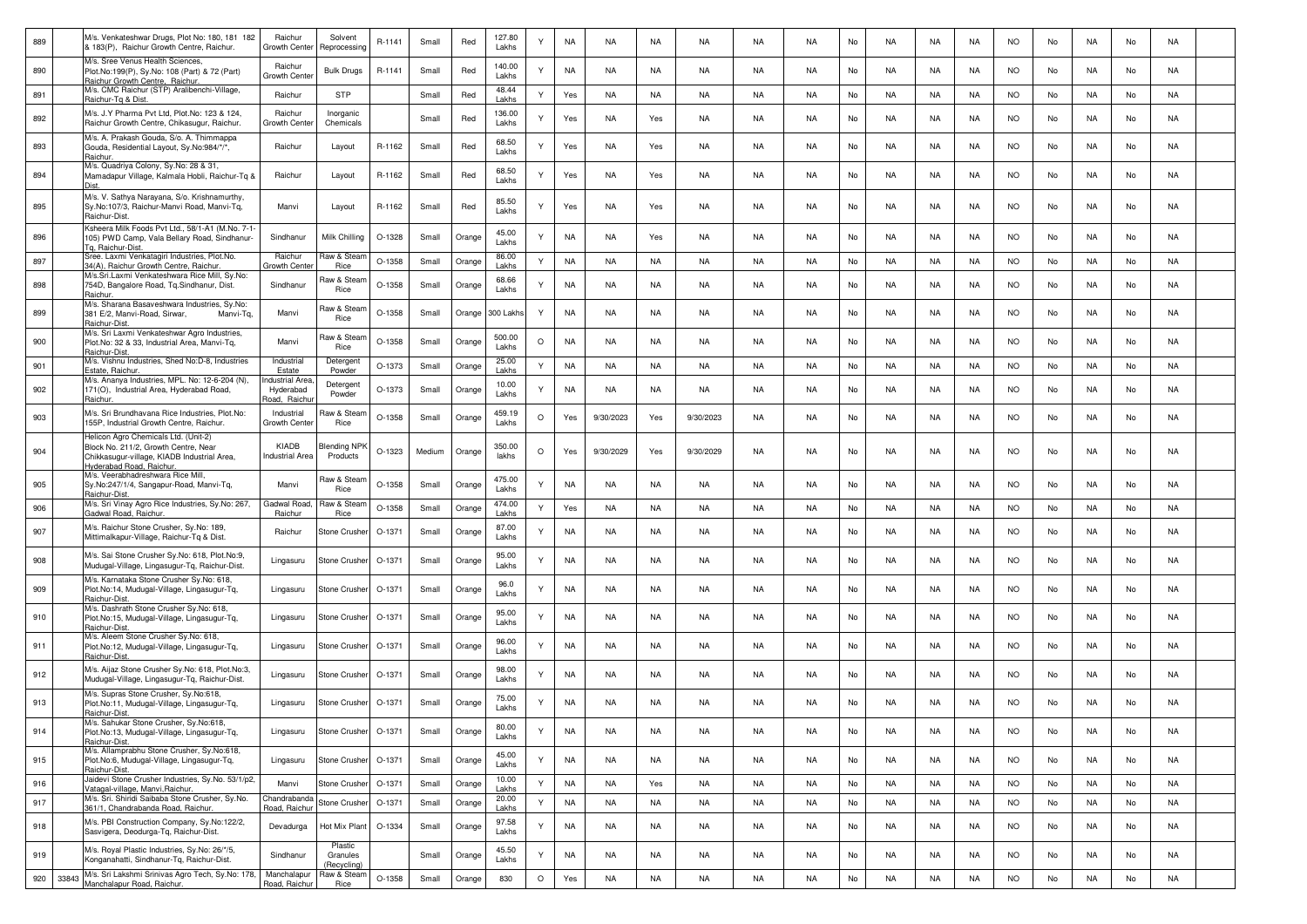| 889 |       | M/s. Venkateshwar Drugs, Plot No: 180, 181 182<br>& 183(P), Raichur Growth Centre, Raichur.                                        | Raichur<br>Growth Cente       | Solvent<br>Reprocessing    | R-1141   | Small  | Red    | 127.80<br>Lakhs    | Υ       | <b>NA</b> | NA        | <b>NA</b> | NA        | NA        | <b>NA</b> | No | NA        | NA        | NA        | <b>NO</b> | No | NA        | No | NA |  |
|-----|-------|------------------------------------------------------------------------------------------------------------------------------------|-------------------------------|----------------------------|----------|--------|--------|--------------------|---------|-----------|-----------|-----------|-----------|-----------|-----------|----|-----------|-----------|-----------|-----------|----|-----------|----|----|--|
| 890 |       | M/s. Sree Venus Health Sciences,<br>Plot.No:199(P), Sy.No: 108 (Part) & 72 (Part)<br>Raichur Growth Centre, Raichur.               | Raichur<br>Growth Cent        | <b>Bulk Drugs</b>          | R-1141   | Small  | Red    | 140.00<br>Lakhs    | Υ       | NA        | NA        | NA        | NA        | NA        | NA        | No | NA        | NA        | NA        | NO.       | No | NA        | No | NA |  |
| 891 |       | M/s. CMC Raichur (STP) Aralibenchi-Village,<br>Raichur-Tg & Dist                                                                   | Raichur                       | <b>STP</b>                 |          | Small  | Red    | 48.44<br>Lakhs     | Y       | Yes       | NA        | NA        | NA        | NA        | NA.       | No | NA        | NA        | NA        | <b>NO</b> | No | NA        | No | NA |  |
| 892 |       | M/s. J.Y Pharma Pvt Ltd, Plot.No: 123 & 124,<br>Raichur Growth Centre, Chikasugur, Raichur                                         | Raichur<br>Growth Cente       | Inorganic<br>Chemicals     |          | Small  | Red    | 136.00<br>Lakhs    | Y       | Yes       | NA        | Yes       | NA        | NA        | NA        | No | NA        | NA        | NA        | NO.       | No | NA        | No | NA |  |
| 893 |       | M/s. A. Prakash Gouda, S/o. A. Thimmappa<br>Gouda, Residential Layout, Sy.No:984/*/*,<br>Raichur                                   | Raichur                       | Layout                     | R-1162   | Small  | Red    | 68.50<br>Lakhs     | Y       | Yes       | NA        | Yes       | NA        | <b>NA</b> | <b>NA</b> | No | <b>NA</b> | NA        | <b>NA</b> | <b>NO</b> | No | <b>NA</b> | No | NA |  |
| 894 |       | M/s. Quadriya Colony, Sy.No: 28 & 31,<br>Mamadapur Village, Kalmala Hobli, Raichur-Tq &                                            | Raichur                       | Layout                     | R-1162   | Small  | Red    | 68.50<br>Lakhs     | Y       | Yes       | NA        | Yes       | NA        | NA        | NA        | No | NA        | NA        | NA        | <b>NO</b> | No | NA        | No | NA |  |
| 895 |       | M/s. V. Sathya Narayana, S/o. Krishnamurthy,<br>Sy.No:107/3, Raichur-Manvi Road, Manvi-Tq,<br>Raichur-Dist.                        | Manvi                         | Layout                     | R-1162   | Small  | Red    | 85.50<br>Lakhs     | Y       | Yes       | NA        | Yes       | NA        | NA        | <b>NA</b> | No | NA        | NA        | NA.       | <b>NO</b> | No | NA        | No | NA |  |
| 896 |       | Ksheera Milk Foods Pvt Ltd., 58/1-A1 (M.No. 7-1-<br>105) PWD Camp, Vala Bellary Road, Sindhanur-<br>Tg, Raichur-Dist.              | Sindhanur                     | Milk Chilling              | O-1328   | Small  | Orange | 45.00<br>Lakhs     | Y       | <b>NA</b> | NA        | Yes       | NA        | <b>NA</b> | <b>NA</b> | No | NA        | NA        | <b>NA</b> | <b>NO</b> | No | <b>NA</b> | No | NA |  |
| 897 |       | Sree. Laxmi Venkatagiri Industries, Plot.No.<br>34(A), Raichur Growth Centre, Raichur                                              | Raichur<br>Growth Cente       | Raw & Stean<br>Rice        | O-1358   | Small  | Orange | 86.00<br>Lakhs     | Y       | <b>NA</b> | NA        | NA        | NA        | NA        | NA        | No | NA        | NA        | NA        | <b>NO</b> | No | NA        | No | NA |  |
| 898 |       | M/s.Sri.Laxmi Venkateshwara Rice Mill, Sy.No:<br>754D, Bangalore Road, Tq.Sindhanur, Dist.                                         | Sindhanur                     | Raw & Stean                | O-1358   | Small  | Orange | 68.66              | Y       | NA        | NA        | NA        | NA        | NA        | NA        | No | NA        | NA        | NA        | NO.       | No | NA        | No | NA |  |
| 899 |       | Raichur.<br>M/s. Sharana Basaveshwara Industries, Sy.No:<br>381 E/2, Manvi-Road, Sirwar,<br>Manvi-Tq,                              | Manvi                         | Rice<br>Raw & Stearr       | O-1358   | Small  | Orange | Lakhs<br>300 Lakhs | Y       | NA.       | NA        | NA        | NA        | NA        | NA        | No | NA        | NA        | NA        | NO.       | No | NA        | No | NA |  |
| 900 |       | Raichur-Dist.<br>M/s. Sri Laxmi Venkateshwar Agro Industries,<br>Plot.No: 32 & 33, Industrial Area, Manvi-Tq,                      | Manvi                         | Rice<br>Raw & Stean        | $O-1358$ | Small  | Orange | 500.00             | $\circ$ | NA        | NA        | <b>NA</b> | NA        | NA        | NA        | No | NA        | NA        | <b>NA</b> | NO.       | No | NA        | No | NA |  |
|     |       | Raichur-Dist.<br>M/s. Vishnu Industries, Shed No:D-8, Industries                                                                   | Industrial                    | Rice<br>Detergent          |          |        |        | Lakhs<br>25.00     |         |           |           |           |           |           |           |    |           |           |           |           |    |           |    |    |  |
| 901 |       | Estate, Raichur.<br>M/s. Ananya Industries, MPL. No: 12-6-204 (N),                                                                 | Estate<br>ndustrial Are       | Powder                     | O-1373   | Small  | Orange | Lakhs              | Y       | <b>NA</b> | NA        | NA        | NA        | NA        | <b>NA</b> | No | <b>NA</b> | NA        | NA        | <b>NO</b> | No | NA        | No | NA |  |
| 902 |       | 171(O), Industrial Area, Hyderabad Road,<br>Raichur.                                                                               | Hyderabad<br>load, Raichi     | Detergent<br>Powder        | O-1373   | Small  | Orange | 10.00<br>Lakhs     | Y       | <b>NA</b> | NA        | NA        | NA        | NA        | NA        | No | NA        | NA        | NA        | <b>NO</b> | No | NA        | No | NA |  |
| 903 |       | M/s. Sri Brundhavana Rice Industries, Plot.No:<br>155P. Industrial Growth Centre, Raichur.<br>Helicon Agro Chemicals Ltd. (Unit-2) | Industrial<br>Growth Cente    | Raw & Steam<br>Rice        | O-1358   | Small  | Orange | 459.19<br>Lakhs    | $\circ$ | Yes       | 9/30/2023 | Yes       | 9/30/2023 | NA        | NA        | No | NA        | NA        | NA        | NO.       | No | NA        | No | NA |  |
| 904 |       | Block No. 211/2, Growth Centre, Near<br>Chikkasugur-village, KIADB Industrial Area,<br>Hyderabad Road, Raichur                     | KIADB<br>ndustrial Area       | Blending NPK<br>Products   | $O-1323$ | Medium | Orange | 350.00<br>lakhs    | $\circ$ | Yes       | 9/30/2029 | Yes       | 9/30/2029 | NA        | <b>NA</b> | No | NA        | NA        | NA        | <b>NO</b> | No | NA        | No | NA |  |
| 905 |       | M/s. Veerabhadreshwara Rice Mill,<br>Sy.No:247/1/4, Sangapur-Road, Manvi-Tq,<br>Raichur-Dist                                       | Manvi                         | Raw & Stean<br>Rice        | $O-1358$ | Small  | Orange | 475.00<br>Lakhs    | Y       | NA        | NA        | NA        | NA        | <b>NA</b> | <b>NA</b> | No | <b>NA</b> | NA        | <b>NA</b> | <b>NO</b> | No | NA        | No | NA |  |
| 906 |       | M/s. Sri Vinay Agro Rice Industries, Sy.No: 267,<br>Gadwal Road, Raichur                                                           | Gadwal Road<br>Raichur        | ใaw & Stean<br>Rice        | O-1358   | Small  | Orange | 474.00<br>Lakhs    | Y       | Yes       | NA        | NA        | NA        | NA        | NA        | No | NA        | NA        | NA        | <b>NO</b> | No | NA        | No | NA |  |
| 907 |       | M/s. Raichur Stone Crusher, Sy.No: 189,<br>Mittimalkapur-Village, Raichur-Tq & Dist.                                               | Raichur                       | Stone Crushei              | O-1371   | Small  | Orange | 87.00<br>Lakhs     |         | NA.       | NA        | NA        | NA        | NA        | NA        | No | NA        | NA        | NA        | <b>NO</b> | No | NA        | No | NA |  |
| 908 |       | M/s. Sai Stone Crusher Sy.No: 618, Plot.No:9,<br>Mudugal-Village, Lingasugur-Tq, Raichur-Dist                                      | Lingasuru                     | <b>Stone Crusher</b>       | O-1371   | Small  | Orange | 95.00<br>Lakhs     | Y       | NA        | NA        | NA        | NA        | NA        | NA        | No | NA        | NA        | NA        | <b>NO</b> | No | NA        | No | NA |  |
| 909 |       | M/s. Karnataka Stone Crusher Sy.No: 618,<br>Plot.No:14, Mudugal-Village, Lingasugur-Tq,<br>Raichur-Dist.                           | Lingasuru                     | Stone Crusher              | O-1371   | Small  | Orange | 96.0<br>Lakhs      | Υ       | <b>NA</b> | NA        | <b>NA</b> | <b>NA</b> | <b>NA</b> | <b>NA</b> | No | <b>NA</b> | NA        | <b>NA</b> | <b>NO</b> | No | NA        | No | NA |  |
| 910 |       | M/s. Dashrath Stone Crusher Sy.No: 618,<br>Plot.No:15, Mudugal-Village, Lingasugur-Tq,<br>Raichur-Dist.                            | Lingasuru                     | <b>Stone Crusher</b>       | O-1371   | Small  | Orange | 95.00<br>Lakhs     | Y       | NA        | NA        | NA        | NA        | NA        | <b>NA</b> | No | NA        | NA        | NA        | <b>NO</b> | No | NA        | No | NA |  |
| 911 |       | M/s. Aleem Stone Crusher Sy.No: 618,<br>Plot.No:12, Mudugal-Village, Lingasugur-Tg,<br>Raichur-Dist.                               | Lingasuru                     | <b>Stone Crusher</b>       | O-1371   | Small  | Orange | 96.00<br>Lakhs     | Y       | NA.       | NA        | NA        | NA        | NA        | NA        | No | NA        | NA        | NA.       | NO.       | No | NA        | No | NA |  |
| 912 |       | M/s. Aijaz Stone Crusher Sy.No: 618, Plot.No:3,<br>Mudugal-Village, Lingasugur-Tq, Raichur-Dist.                                   | Lingasuru                     | Stone Crusher              | O-1371   | Small  | Orange | 98.00<br>Lakhs     | Y       | NA.       | NA        | NA        | NA        | NA        | NA        | No | NA        | NA        | NA        | <b>NO</b> | No | NA        | No | NA |  |
| 913 |       | M/s. Supras Stone Crusher, Sy.No:618,<br>Plot.No:11, Mudugal-Village, Lingasugur-Tq,                                               | Lingasuru                     | Stone Crusher              | O-1371   | Small  | Orange | 75.00<br>Lakhs     | Y       | <b>NA</b> | NA        | NA        | NA        | <b>NA</b> | <b>NA</b> | No | NA        | NA        | NA        | <b>NO</b> | No | NA        | No | NA |  |
| 914 |       | Raichur-Dist.<br>'s. Sahukar Stone Crusher, Sy.No:618,<br>Plot.No:13, Mudugal-Village, Lingasugur-Tq,                              | Lingasuru                     | Stone Crusher              | O-1371   | Small  | Orange | 80.00<br>Lakhs     | Y       | NA        | <b>NA</b> | <b>NA</b> | <b>NA</b> | <b>NA</b> | <b>NA</b> | No | <b>NA</b> | <b>NA</b> | <b>NA</b> | <b>NO</b> | No | <b>NA</b> | No | NA |  |
| 915 |       | Raichur-Dist.<br>M/s. Allamprabhu Stone Crusher, Sy.No:618,<br>Plot.No:6, Mudugal-Village, Lingasugur-Tq,                          | Lingasuru                     | Stone Crusher              | O-1371   | Small  | Orange | 45.00<br>Lakhs     | Y       | <b>NA</b> | NA        | NA        | NA        | NA        | <b>NA</b> | No | NA        | NA        | NA        | <b>NO</b> | No | NA        | No | NA |  |
| 916 |       | Raichur-Dist.<br>Jaidevi Stone Crusher Industries, Sy.No. 53/1/p2,<br>Vatagal-village, Manvi, Raichur                              | Manvi                         | <b>Stone Crusher</b>       | O-1371   | Small  | Orange | 10.00<br>Lakhs     | Y       | NA        | NA        | Yes       | NA        | NA        | <b>NA</b> | No | NA        | NA        | NA        | <b>NO</b> | No | NA        | No | NA |  |
| 917 |       | M/s. Sri. Shiridi Saibaba Stone Crusher, Sy.No.<br>361/1, Chandrabanda Road, Raichur.                                              | Chandrabanda<br>Road, Raichur | Stone Crusher              | O-1371   | Small  | Orange | 20.00<br>Lakhs     | Y       | NA        | NA        | NA        | NA        | NA        | NA        | No | NA        | NA        | NA        | <b>NO</b> | No | NA        | No | NA |  |
| 918 |       | M/s. PBI Construction Company, Sy.No:122/2,                                                                                        | Devadurga                     | Hot Mix Plant              | O-1334   | Small  | Orange | 97.58              | Y       | NA        | NA        | NA        | NA        | NA        | <b>NA</b> | No | NA        | NA        | NA        | <b>NO</b> | No | NA        | No | NA |  |
| 919 |       | Sasvigera, Deodurga-Tg, Raichur-Dist.<br>M/s. Royal Plastic Industries, Sy.No: 26/*/5,                                             | Sindhanur                     | Plastic<br>Granules        |          | Small  | Orange | Lakhs<br>45.50     | Y       | <b>NA</b> | NA        | NA        | NA        | NA        | <b>NA</b> | No | NA        | NA        | NA        | <b>NO</b> | No | NA        | No | NA |  |
|     |       | Konganahatti, Sindhanur-Tq, Raichur-Dist.<br>M/s. Sri Lakshmi Srinivas Agro Tech, Sy.No: 178,                                      | Manchalapur                   | (Recycling)<br>Raw & Steam |          |        |        | Lakhs              |         |           |           |           |           |           |           |    |           |           |           |           |    |           |    |    |  |
| 920 | 33843 | Manchalapur Road, Raichur.                                                                                                         | Road, Raichur                 | Rice                       | O-1358   | Small  | Orange | 830                | $\circ$ | Yes       | <b>NA</b> | <b>NA</b> | NA        | NA        | <b>NA</b> | No | NA        | <b>NA</b> | <b>NA</b> | <b>NO</b> | No | <b>NA</b> | No | NA |  |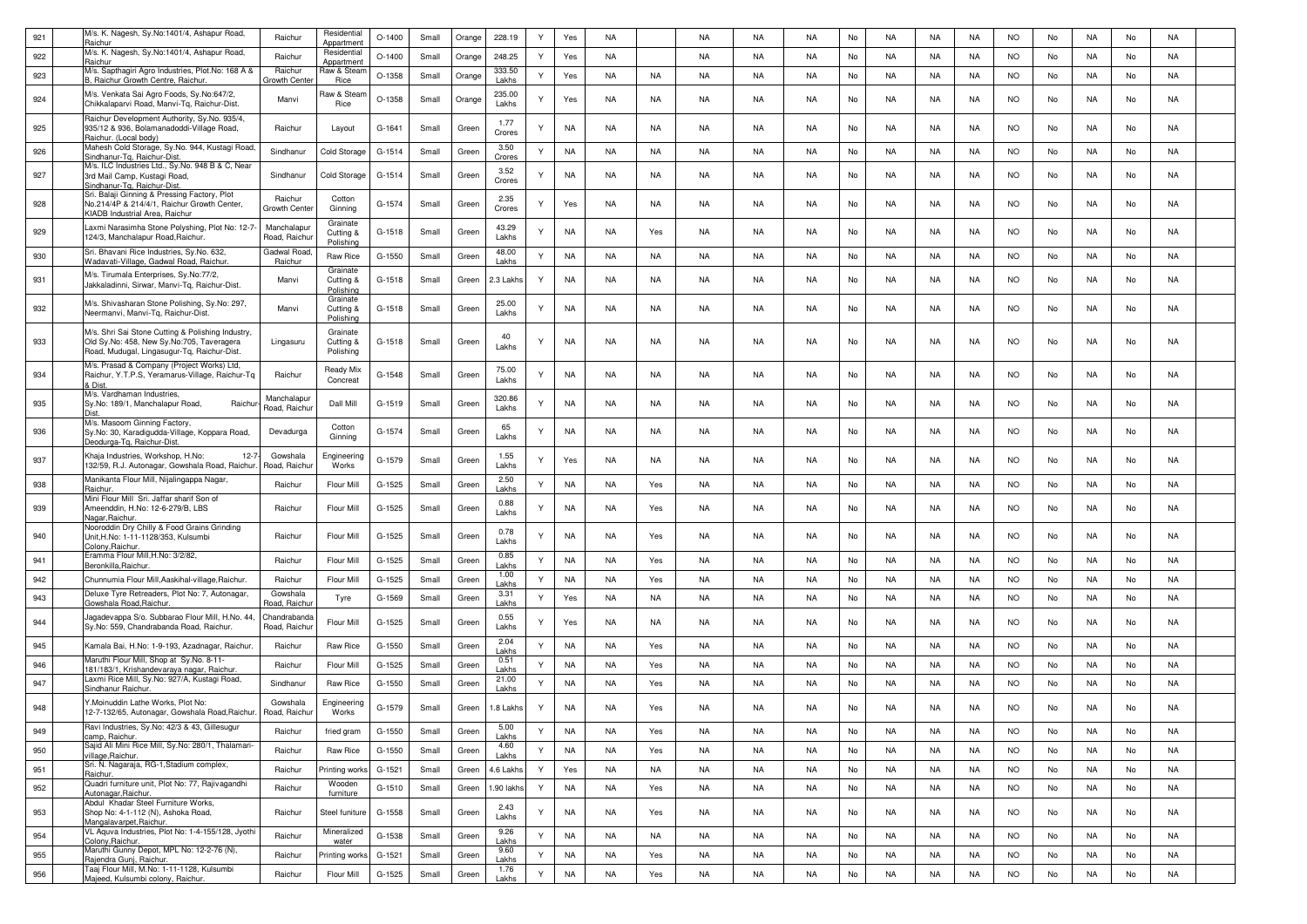| 921 | M/s. K. Nagesh, Sy.No:1401/4, Ashapur Road,<br>Raichur                                                                                        | Raichur                      | Residential<br>Appartment          | $O-1400$ | Small | Orange | 228.19          | Y | Yes       | NA        |           | NA        | NA        | <b>NA</b> | No | <b>NA</b> | NA        | NA        | <b>NO</b> | No | NA        | No | <b>NA</b> |  |
|-----|-----------------------------------------------------------------------------------------------------------------------------------------------|------------------------------|------------------------------------|----------|-------|--------|-----------------|---|-----------|-----------|-----------|-----------|-----------|-----------|----|-----------|-----------|-----------|-----------|----|-----------|----|-----------|--|
| 922 | M/s. K. Nagesh, Sy.No:1401/4, Ashapur Road,<br>Raichur                                                                                        | Raichur                      | Residential<br>Appartment          | $O-1400$ | Small | Orange | 248.25          | Y | Yes       | NA        |           | NA        | NA        | NA        | No | NA        | NA        | NA        | <b>NO</b> | No | NA        | No | NA        |  |
| 923 | M/s. Sapthagiri Agro Industries, Plot.No: 168 A &<br>3, Raichur Growth Centre, Raichur                                                        | Raichur<br>Growth Cent       | Raw & Stear<br><b>Rice</b>         | $O-1358$ | Small | Orange | 333.50<br>Lakhs | Y | Yes       | NA        | NA        | NA        | NA        | NA.       | No | NA        | NA        | NA        | <b>NO</b> | No | NA        | No | NA        |  |
| 924 | M/s. Venkata Sai Agro Foods, Sy.No:647/2,<br>Chikkalaparvi Road, Manvi-Tg, Raichur-Dist,                                                      | Manvi                        | Raw & Stear<br>Rice                | O-1358   | Small | Orange | 235.00<br>Lakhs | Y | Yes       | NA        | NA        | NA        | <b>NA</b> | <b>NA</b> | No | <b>NA</b> | NA        | NA        | <b>NO</b> | No | NA        | No | NA        |  |
| 925 | Raichur Development Authority, Sy.No. 935/4,<br>935/12 & 936, Bolamanadoddi-Village Road,<br>Raichur. (Local body)                            | Raichur                      | Layout                             | G-1641   | Small | Green  | 1.77<br>Crores  | Y | NA        | NA        | NA        | NA        | NA        | NA        | No | NA        | NA        | NA        | <b>NO</b> | No | NA        | No | NA        |  |
| 926 | Mahesh Cold Storage, Sy.No. 944, Kustagi Road,<br>Sindhanur-Tg, Raichur-Dist                                                                  | Sindhanur                    | Cold Storage                       | G-1514   | Small | Green  | 3.50<br>Crores  | Y | NA        | NA        | NA        | NA        | NA        | NA.       | No | NA        | NA        | NA        | <b>NO</b> | No | NA        | No | <b>NA</b> |  |
| 927 | M/s. ILC Industries Ltd., Sy.No. 948 B & C, Near<br>3rd Mail Camp, Kustagi Road,<br>Sindhanur-Tg. Raichur-Dist                                | Sindhanur                    | Cold Storage                       | G-1514   | Small | Green  | 3.52<br>Crores  | Y | NA.       | NA        | NA        | NA        | NA        | NA        | No | NA        | NA        | NA        | <b>NO</b> | No | NA        | No | NA        |  |
| 928 | Sri. Balaji Ginning & Pressing Factory, Plot<br>No.214/4P & 214/4/1, Raichur Growth Center,<br>KIADB Industrial Area, Raichur                 | Raichur<br>Growth Cente      | Cotton<br>Ginning                  | G-1574   | Small | Green  | 2.35<br>Crores  | Y | Yes       | NA        | NA        | NA        | NA        | NA.       | No | NA        | NA        | NA        | NO.       | No | NA        | No | NA        |  |
| 929 | Laxmi Narasimha Stone Polyshing, Plot No: 12-7-<br>124/3, Manchalapur Road, Raichur                                                           | Manchalapur<br>Road, Raichu  | Grainate<br>Cutting &<br>Polishing | G-1518   | Small | Green  | 43.29<br>Lakhs  | Y | NA        | NA        | Yes       | NA        | <b>NA</b> | NA        | No | <b>NA</b> | NA        | NA        | <b>NO</b> | No | NA        | No | NA        |  |
| 930 | Sri. Bhavani Rice Industries, Sy.No. 632,<br>Wadavati-Village, Gadwal Road, Raichur.                                                          | Gadwal Road<br>Raichur       | Raw Rice                           | G-1550   | Small | Green  | 48.00<br>Lakhs  | Y | <b>NA</b> | NA        | NA        | NA        | NA        | <b>NA</b> | No | NA        | NA        | NA        | <b>NO</b> | No | NA        | No | NA        |  |
| 931 | M/s. Tirumala Enterprises, Sy.No:77/2,<br>Jakkaladinni, Sirwar, Manvi-Tq, Raichur-Dist.                                                       | Manvi                        | Grainate<br>Cutting &<br>Polishing | G-1518   | Small | Green  | 2.3 Lakhs       | Y | NA.       | NA        | NA        | NA        | NA        | NA        | No | NA        | NA        | NA        | <b>NO</b> | No | NA        | No | NA        |  |
| 932 | M/s. Shivasharan Stone Polishing, Sy.No: 297,<br>Neermanvi, Manvi-Tq, Raichur-Dist.                                                           | Manvi                        | Grainate<br>Cutting &<br>Polishing | G-1518   | Small | Green  | 25.00<br>Lakhs  | Y | NA        | NA        | NA        | NA        | NA        | NA        | No | NA        | NA        | NA        | <b>NO</b> | No | NA        | No | NA        |  |
| 933 | M/s. Shri Sai Stone Cutting & Polishing Industry,<br>Old Sy.No: 458, New Sy.No:705, Taveragera<br>Road, Mudugal, Lingasugur-Tq, Raichur-Dist. | Lingasuru                    | Grainate<br>Cutting &<br>Polishing | G-1518   | Small | Green  | 40<br>Lakhs     | Y | NA        | NA        | <b>NA</b> | <b>NA</b> | <b>NA</b> | NA        | No | <b>NA</b> | NA        | NA        | <b>NO</b> | No | NA        | No | NA        |  |
| 934 | M/s. Prasad & Company (Project Works) Ltd,<br>Raichur, Y.T.P.S, Yeramarus-Village, Raichur-Tq<br>≀ Dist                                       | Raichur                      | Ready Mix<br>Concreat              | G-1548   | Small | Green  | 75.00<br>Lakhs  | Y | NA.       | NA        | NA        | NA        | NA        | <b>NA</b> | No | NA        | NA        | NA        | <b>NO</b> | No | NA        | No | NA        |  |
| 935 | M/s. Vardhaman Industries,<br>Sy.No: 189/1, Manchalapur Road,<br>Raichur                                                                      | Manchalapur<br>Road, Raichu  | Dall Mill                          | G-1519   | Small | Green  | 320.86<br>Lakhs | Y | NA        | NA        | NA        | NA        | NA        | NA        | No | NA        | NA        | NA        | <b>NO</b> | No | NA        | No | NA        |  |
| 936 | M/s. Masoom Ginning Factory,<br>Sy.No: 30, Karadigudda-Village, Koppara Road,<br>Deodurga-Tq, Raichur-Dist                                    | Devadurga                    | Cotton<br>Ginning                  | G-1574   | Small | Green  | 65<br>Lakhs     | Y | NA        | NA        | NA        | NA        | NA        | NA.       | No | NA        | NA        | NA        | <b>NO</b> | No | NA        | No | NA        |  |
| 937 | Khaja Industries, Workshop, H.No:<br>$12-7$<br>132/59, R.J. Autonagar, Gowshala Road, Raichur.                                                | Gowshala<br>Road, Raichu     | Engineering<br>Works               | G-1579   | Small | Green  | 1.55<br>Lakhs   | Y | Yes       | NA        | NA        | NA        | <b>NA</b> | <b>NA</b> | No | NA        | NA        | NA        | <b>NO</b> | No | NA        | No | NA        |  |
| 938 | Manikanta Flour Mill, Nijalingappa Nagar,<br>Raichur                                                                                          | Raichur                      | Flour Mill                         | G-1525   | Small | Green  | 2.50<br>Lakhs   | Y | <b>NA</b> | NA        | Yes       | NA        | NA        | <b>NA</b> | No | NA        | NA        | NA        | <b>NO</b> | No | NA        | No | NA        |  |
| 939 | Mini Flour Mill Sri. Jaffar sharif Son of<br>Ameenddin, H.No: 12-6-279/B, LBS<br>Nagar, Raichur                                               | Raichur                      | Flour Mill                         | G-1525   | Small | Green  | 0.88<br>Lakhs   | Y | NA        | NA        | Yes       | NA        | NA        | NA        | No | NA        | NA        | NA        | NO.       | No | NA        | No | NA.       |  |
| 940 | Nooroddin Dry Chilly & Food Grains Grinding<br>Unit, H.No: 1-11-1128/353, Kulsumbi<br>olony.Raichu                                            | Raichur                      | Flour Mill                         | G-1525   | Small | Green  | 0.78<br>Lakhs   | Y | NA        | NA        | Yes       | NA        | NA        | NA        | No | NA        | NA        | NA        | NO.       | No | NA        | No | NA        |  |
| 941 | Eramma Flour Mill, H.No: 3/2/82,<br>Beronkilla, Raichur.                                                                                      | Raichur                      | Flour Mill                         | G-1525   | Small | Green  | 0.85<br>Lakhs   | Y | NA        | NA        | Yes       | NA        | <b>NA</b> | <b>NA</b> | No | <b>NA</b> | NA        | NA        | <b>NO</b> | No | NA        | No | NA        |  |
| 942 | Chunnumia Flour Mill, Aaskihal-village, Raichur.                                                                                              | Raichur                      | Flour Mill                         | G-1525   | Small | Green  | 1.00<br>Lakhs   | Y | NA        | NA        | Yes       | <b>NA</b> | <b>NA</b> | <b>NA</b> | No | <b>NA</b> | NA        | NA        | <b>NO</b> | No | NA        | No | NA        |  |
| 943 | Deluxe Tyre Retreaders, Plot No: 7, Autonagar,<br>Gowshala Road,Raichur.                                                                      | Gowshala<br>Road, Raichı     | Tyre                               | G-1569   | Small | Green  | 3.31<br>Lakhs   | Y | Yes       | NA        | NA        | NA        | NA        | <b>NA</b> | No | NA        | NA        | NA        | <b>NO</b> | No | NA        | No | NA        |  |
| 944 | lagadevappa S/o. Subbarao Flour Mill, H.No. 44,<br>Sy.No: 559, Chandrabanda Road, Raichur                                                     | Chandrabanda<br>Road, Raichu | Flour Mill                         | G-1525   | Small | Green  | 0.55<br>Lakhs   | Y | Yes       | NA        | NA        | NA        | NA        | NA.       | No | NA        | NA        | NA        | NO.       | No | NA        | No | NA        |  |
| 945 | Kamala Bai, H.No: 1-9-193, Azadnagar, Raichur.                                                                                                | Raichur                      | <b>Raw Rice</b>                    | G-1550   | Small | Green  | 2.04<br>Lakhs   | Y | NA        | NA        | Yes       | NA        | NA        | <b>NA</b> | No | NA        | NA        | NA        | <b>NO</b> | No | NA        | No | NA        |  |
| 946 | Maruthi Flour Mill, Shop at Sy.No. 8-11<br>181/183/1, Krishandevaraya nagar, Raichur.                                                         | Raichur                      | Flour Mill                         | $G-1525$ | Small | Green  | 0.51<br>I akhs  | Y | NA        | NA        | Yes       | NA        | NA        | <b>NA</b> | No | NA        | NA        | NA        | <b>NO</b> | No | NA        | No | NA        |  |
| 947 | Laxmi Rice Mill, Sy.No: 927/A, Kustagi Road,<br>Sindhanur Raichur.                                                                            | Sindhanur                    | Raw Rice                           | G-1550   | Small | Green  | 21.00<br>Lakhs  | Y | <b>NA</b> | NA        | Yes       | NA        | <b>NA</b> | <b>NA</b> | No | <b>NA</b> | NA        | NA        | <b>NO</b> | No | NA        | No | NA        |  |
| 948 | Y.Moinuddin Lathe Works, Plot No:<br>12-7-132/65, Autonagar, Gowshala Road, Raichur. Road, Raichur                                            | Gowshala                     | Engineering<br>Works               | G-1579   | Small | Green  | 1.8 Lakhs       | Y | <b>NA</b> | NA        | Yes       | NA        | <b>NA</b> | NA.       | No | <b>NA</b> | NA        | NA        | <b>NO</b> | No | NA        | No | NA        |  |
| 949 | Ravi Industries, Sy.No: 42/3 & 43, Gillesugur<br>camp, Raichur.                                                                               | Raichur                      | fried gram                         | G-1550   | Small | Green  | 5.00<br>Lakhs   | Y | <b>NA</b> | <b>NA</b> | Yes       | NA        | <b>NA</b> | <b>NA</b> | No | <b>NA</b> | <b>NA</b> | <b>NA</b> | <b>NO</b> | No | NA        | No | <b>NA</b> |  |
| 950 | Sajid Ali Mini Rice Mill, Sy.No: 280/1, Thalamari-<br>illage, Raichur.                                                                        | Raichur                      | Raw Rice                           | G-1550   | Small | Green  | 4.60<br>Lakhs   | Y | <b>NA</b> | <b>NA</b> | Yes       | NA        | <b>NA</b> | <b>NA</b> | No | <b>NA</b> | <b>NA</b> | <b>NA</b> | <b>NO</b> | No | NA        | No | <b>NA</b> |  |
| 951 | Sri. N. Nagaraja, RG-1, Stadium complex,<br>Raichur.                                                                                          | Raichur                      | Printing works                     | G-1521   | Small | Green  | 4.6 Lakhs       | Y | Yes       | <b>NA</b> | NA        | NA        | <b>NA</b> | NA        | No | NA        | NA        | NA        | <b>NO</b> | No | NA        | No | <b>NA</b> |  |
| 952 | Quadri furniture unit, Plot No: 77, Rajivagandhi<br>Autonagar, Raichur.                                                                       | Raichur                      | Wooden<br>furniture                | G-1510   | Small | Green  | .90 lakhs       | Y | NA        | <b>NA</b> | Yes       | NA        | NA        | NA        | No | NA        | NA        | NA        | <b>NO</b> | No | NA        | No | NA        |  |
| 953 | Abdul Khadar Steel Furniture Works,<br>Shop No: 4-1-112 (N), Ashoka Road,<br>Mangalavarpet, Raichur.                                          | Raichur                      | Steel funiture                     | G-1558   | Small | Green  | 2.43<br>Lakhs   | Y | NA        | <b>NA</b> | Yes       | <b>NA</b> | NA        | <b>NA</b> | No | NA        | <b>NA</b> | NA        | <b>NO</b> | No | NA        | No | NA        |  |
| 954 | VL Aquva Industries, Plot No: 1-4-155/128, Jyothi<br>Colony, Raichur.                                                                         | Raichur                      | Mineralized<br>water               | G-1538   | Small | Green  | 9.26<br>Lakhs   | Y | NA        | <b>NA</b> | <b>NA</b> | NA        | <b>NA</b> | <b>NA</b> | No | <b>NA</b> | <b>NA</b> | <b>NA</b> | <b>NO</b> | No | <b>NA</b> | No | <b>NA</b> |  |
| 955 | Maruthi Gunny Depot, MPL No: 12-2-76 (N),<br>Rajendra Gunj, Raichur.                                                                          | Raichur                      | Printing works                     | G-1521   | Small | Green  | 9.60<br>Lakhs   | Y | <b>NA</b> | <b>NA</b> | Yes       | NA        | <b>NA</b> | <b>NA</b> | No | <b>NA</b> | NA        | <b>NA</b> | <b>NO</b> | No | NA        | No | <b>NA</b> |  |
| 956 | Taaj Flour Mill, M.No: 1-11-1128, Kulsumbi<br>Maieed, Kulsumbi colony, Raichur,                                                               | Raichur                      | Flour Mill                         | G-1525   | Small | Green  | 1.76<br>Lakhs   | Y | <b>NA</b> | <b>NA</b> | Yes       | NA        | NA        | NA        | No | NA        | NA        | <b>NA</b> | <b>NO</b> | No | <b>NA</b> | No | <b>NA</b> |  |
|     |                                                                                                                                               |                              |                                    |          |       |        |                 |   |           |           |           |           |           |           |    |           |           |           |           |    |           |    |           |  |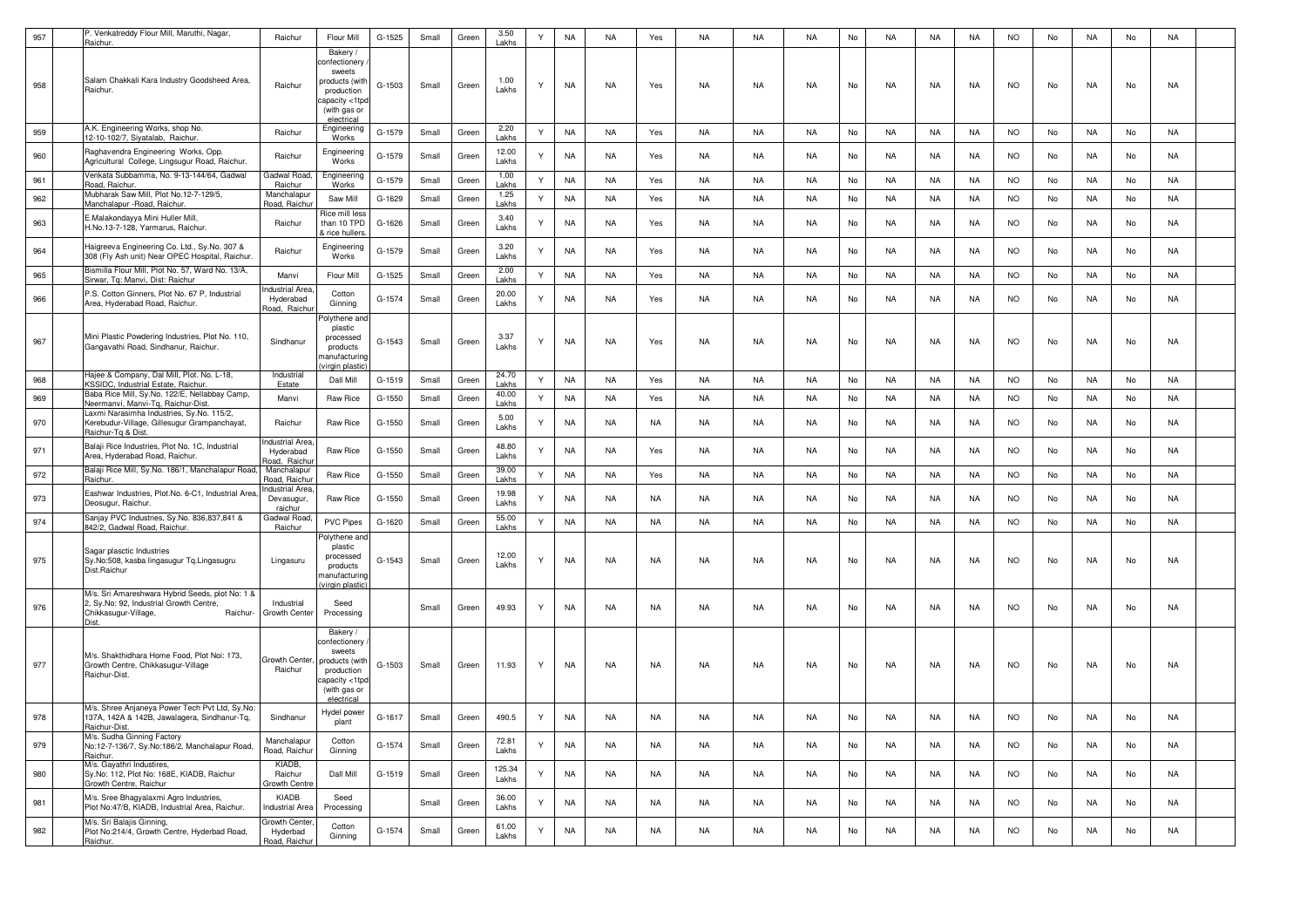| 957 | P. Venkatreddy Flour Mill, Maruthi, Nagar,<br>Raichur.                                                                                 | Raichur                                     | Flour Mill                                                                                                          | G-1525   | Small | Green | 3.50<br>Lakhs   | Y | <b>NA</b> | <b>NA</b> | Yes       | NA | NA        | <b>NA</b> | No | NA        | NA  | <b>NA</b> | <b>NO</b> | No | NA        | No | NA        |  |
|-----|----------------------------------------------------------------------------------------------------------------------------------------|---------------------------------------------|---------------------------------------------------------------------------------------------------------------------|----------|-------|-------|-----------------|---|-----------|-----------|-----------|----|-----------|-----------|----|-----------|-----|-----------|-----------|----|-----------|----|-----------|--|
| 958 | Salam Chakkali Kara Industry Goodsheed Area,<br>Raichur.                                                                               | Raichur                                     | Bakery /<br>confectionery<br>sweets<br>products (with<br>production<br>capacity <1tpd<br>(with gas or<br>electrica  | G-1503   | Small | Green | 1.00<br>Lakhs   | Y | NA        | NA        | Yes       | NA | NA.       | NA        | No | NA        | NA. | NA        | <b>NO</b> | No | NA.       | No | NA        |  |
| 959 | A.K. Engineering Works, shop No.<br>12-10-102/7, Siyatalab, Raichur                                                                    | Raichur                                     | Engineering<br>Works                                                                                                | G-1579   | Small | Green | 2.20<br>Lakhs   | Y | <b>NA</b> | NA        | Yes       | NA | NA        | NA        | No | NA        | NA  | <b>NA</b> | <b>NO</b> | No | NA        | No | NA        |  |
| 960 | Raghavendra Engineering Works, Opp.<br>Agricultural College, Lingsugur Road, Raichur.                                                  | Raichur                                     | Engineering<br>Works                                                                                                | G-1579   | Small | Green | 12.00<br>Lakhs  |   | NA        | NA        | Yes       | NA | NA        | NA        | No | NA        | NA  | NA        | <b>NO</b> | No | NA        | No | NA        |  |
| 961 | Venkata Subbamma, No. 9-13-144/64, Gadwal<br>Road, Raichur.                                                                            | Gadwal Roac<br>Raichur                      | Engineering<br>Works                                                                                                | G-1579   | Small | Green | 1.00<br>Lakhs   | Y | NA        | NA        | Yes       | NA | NA        | NA        | No | NA        | NA  | NA        | <b>NO</b> | No | NA        | No | NA        |  |
| 962 | Mubharak Saw Mill, Plot No.12-7-129/5,<br>Manchalapur - Road, Raichur.                                                                 | Manchalapur<br>Road, Raichu                 | Saw Mill                                                                                                            | G-1629   | Small | Green | 1.25<br>Lakhs   | Y | NA        | NA        | Yes       | NA | NA        | NA        | No | NA        | NA  | NA        | <b>NO</b> | No | NA        | No | NA        |  |
| 963 | E.Malakondayya Mini Huller Mill,<br>H.No.13-7-128, Yarmarus, Raichur                                                                   | Raichur                                     | Rice mill less<br>than 10 TPD<br>& rice hullers.                                                                    | G-1626   | Small | Green | 3.40<br>Lakhs   | Υ | NA        | NA        | Yes       | NA | NA        | NA.       | No | NA        | NA  | NA        | <b>NO</b> | No | NA.       | No | NA        |  |
| 964 | Haigreeva Engineering Co. Ltd., Sy.No. 307 &<br>308 (Fly Ash unit) Near OPEC Hospital, Raichur.                                        | Raichur                                     | Engineering<br>Works                                                                                                | G-1579   | Small | Green | 3.20<br>Lakhs   | Y | <b>NA</b> | <b>NA</b> | Yes       | NA | <b>NA</b> | <b>NA</b> | No | <b>NA</b> | NA  | NA        | <b>NO</b> | No | <b>NA</b> | No | NA        |  |
| 965 | Bismilla Flour Mill, Plot No. 57, Ward No. 13/A,<br><u> Sirwar, Tq: Manvi, Dist: Raichur</u>                                           | Manvi                                       | Flour Mill                                                                                                          | $G-1525$ | Small | Green | 2.00<br>Lakhs   | Y | <b>NA</b> | <b>NA</b> | Yes       | NA | NA        | <b>NA</b> | No | NA        | NA  | NA        | <b>NO</b> | No | NA        | No | <b>NA</b> |  |
| 966 | P.S. Cotton Ginners, Plot No. 67 P, Industrial<br>Area, Hyderabad Road, Raichur.                                                       | ndustrial Area<br>Hyderabad<br>Road, Raichu | Cotton<br>Ginning                                                                                                   | G-1574   | Small | Green | 20.00<br>Lakhs  | Y | NA        | NA        | Yes       | NA | NA.       | NA        | No | NA        | NA  | NA        | <b>NO</b> | No | NA        | No | NA        |  |
| 967 | Mini Plastic Powdering Industries, Plot No. 110,<br>Gangavathi Road, Sindhanur, Raichur                                                | Sindhanur                                   | Polythene and<br>plastic<br>processed<br>products<br>nanufacturing<br>ain plasti                                    | G-1543   | Small | Green | 3.37<br>Lakhs   |   | NA        | NA        | Yes       | NA | NA        | NA        | No | NA        | NA  | NA        | <b>NO</b> | No | NA.       | No | NA        |  |
| 968 | Hajee & Company, Dal Mill, Plot. No. L-18,<br>KSSIDC, Industrial Estate, Raichur                                                       | Industrial<br>Estate                        | Dall Mill                                                                                                           | G-1519   | Small | Green | 24.70<br>Lakhs  | Y | <b>NA</b> | NA        | Yes       | NA | NA        | NA        | No | NA        | NA  | NA        | <b>NO</b> | No | NA        | No | <b>NA</b> |  |
| 969 | Baba Rice Mill, Sy.No. 122/E, Nellabbay Camp,<br>Neermanvi, Manvi-Tq, Raichur-Dist                                                     | Manvi                                       | Raw Rice                                                                                                            | G-1550   | Small | Green | 40.00<br>Lakhs  | Y | <b>NA</b> | <b>NA</b> | Yes       | NA | <b>NA</b> | NA        | No | NA        | NA  | NA        | <b>NO</b> | No | NA        | No | <b>NA</b> |  |
| 970 | Laxmi Narasimha Industries, Sy.No. 115/2,<br>Kerebudur-Village, Gillesugur Grampanchayat,<br>Raichur-To & Dist.                        | Raichur                                     | Raw Rice                                                                                                            | G-1550   | Small | Green | 5.00<br>Lakhs   |   | NA        | NA        | NA        | NA | NA        | NA        | No | NA        | NA  | NA        | <b>NO</b> | No | NA        | No | NA        |  |
| 971 | Balaji Rice Industries, Plot No. 1C, Industrial<br>Area, Hyderabad Road, Raichur.                                                      | ndustrial Area<br>Hyderabad<br>load, Raichu | Raw Rice                                                                                                            | G-1550   | Small | Green | 48.80<br>Lakhs  |   | <b>NA</b> | NA        | Yes       | NA | NA        | <b>NA</b> | No | NA        | NA  | NA        | <b>NO</b> | No | NA        | No | NA        |  |
| 972 | Balaji Rice Mill, Sy.No. 186/1, Manchalapur Road,<br>Raichur.                                                                          | Manchalapur<br>Road, Raichu                 | Raw Rice                                                                                                            | G-1550   | Small | Green | 39.00<br>Lakhs  | Y | <b>NA</b> | <b>NA</b> | Yes       | NA | <b>NA</b> | <b>NA</b> | No | <b>NA</b> | NA  | NA        | <b>NO</b> | No | NA        | No | <b>NA</b> |  |
| 973 | Eashwar Industries, Plot.No. 6-C1, Industrial Area<br>Deosugur, Raichur.                                                               | ndustrial Area<br>Devasugur,<br>raichur     | Raw Rice                                                                                                            | $G-1550$ | Small | Green | 19.98<br>Lakhs  |   | NA        | NA        | NA        | NA | NA        | <b>NA</b> | No | NA        | NA  | NA        | <b>NO</b> | No | NA        | No | NA        |  |
| 974 | Sanjay PVC Industries, Sy.No. 836,837,841 &<br>842/2, Gadwal Road, Raichur.                                                            | Gadwal Road<br>Raichur                      | <b>PVC Pipes</b>                                                                                                    | G-1620   | Small | Green | 55.00<br>Lakhs  | Y | <b>NA</b> | <b>NA</b> | NA        | NA | NA        | <b>NA</b> | No | NA        | NA  | <b>NA</b> | <b>NO</b> | No | NA        | No | <b>NA</b> |  |
| 975 | Sagar plasctic Industries<br>Sy.No:508, kasba lingasugur Tq.Lingasugru<br>Dist.Raichur                                                 | Lingasuru                                   | Polythene and<br>plastic<br>processed<br>products<br>nanufacturing<br>virgin plastic                                | G-1543   | Small | Green | 12.00<br>Lakhs  |   | NA        | NA        | NA        | NA | NA        | <b>NA</b> | No | NA        | NA  | NA        | <b>NO</b> | No | NA.       | No | NA        |  |
| 976 | M/s. Sri Amareshwara Hybrid Seeds, plot No: 1 &<br>2, Sy.No: 92, Industrial Growth Centre,<br>Chikkasugur-Village,<br>Raichur-<br>∩ist | Industrial<br>Growth Center                 | Seed<br>Processing                                                                                                  |          | Small | Green | 49.93           | Y | NA        | NA        | NA        | NA | NA        | <b>NA</b> | No | NA        | NA  | NA        | <b>NO</b> | No | NA.       | No | NA        |  |
| 977 | M/s. Shakthidhara Home Food, Plot Noi: 173,<br>Growth Centre, Chikkasugur-Village<br>Raichur-Dist.                                     | Growth Center,<br>Raichur                   | Bakery /<br>confectionery<br>sweets<br>products (with<br>production<br>capacity <1tpc<br>(with gas or<br>electrical | G-1503   | Small | Green | 11.93           | Y | NA        | <b>NA</b> | NA        | NA | NA        | NA.       | No | NA        | NA  | NA        | <b>NO</b> | No | NA        | No | NA        |  |
| 978 | M/s. Shree Anjaneya Power Tech Pvt Ltd, Sy.No:<br>137A, 142A & 142B, Jawalagera, Sindhanur-Tq,<br>Raichur-Dist.                        | Sindhanur                                   | Hydel power<br>nlant                                                                                                | G-1617   | Small | Green | 490.5           | Y | NA        | NA        | NA.       | NA | <b>NA</b> | <b>NA</b> | No | <b>NA</b> | NA  | NA        | <b>NO</b> | No | NA        | No | NA        |  |
| 979 | M/s. Sudha Ginning Factory<br>No:12-7-136/7, Sy.No:186/2, Manchalapur Road,<br>Raichur.                                                | Manchalapur<br>Road, Raichur                | Cotton<br>Ginning                                                                                                   | G-1574   | Small | Green | 72.81<br>Lakhs  | Y | <b>NA</b> | <b>NA</b> | <b>NA</b> | NA | NA        | <b>NA</b> | No | <b>NA</b> | NA  | <b>NA</b> | <b>NO</b> | No | NA        | No | <b>NA</b> |  |
| 980 | M/s. Gayathri Industires,<br>Sy.No: 112, Plot No: 168E, KIADB, Raichur<br>Growth Centre, Raichur                                       | KIADB,<br>Raichur<br>Growth Centre          | Dall Mill                                                                                                           | G-1519   | Small | Green | 125.34<br>Lakhs | Y | <b>NA</b> | NA        | NA        | NA | NA        | <b>NA</b> | No | NA        | NA  | NA        | <b>NO</b> | No | NA.       | No | NA        |  |
| 981 | M/s. Sree Bhagyalaxmi Agro Industries,<br>Plot No:47/B, KIADB, Industrial Area, Raichur.                                               | KIADB<br><b>Industrial Area</b>             | Seed<br>Processing                                                                                                  |          | Small | Green | 36.00<br>Lakhs  | Ÿ | <b>NA</b> | NA        | NA        | NA | NA        | <b>NA</b> | No | NA        | NA  | NA        | <b>NO</b> | No | NA        | No | NA        |  |
| 982 | M/s. Sri Balajis Ginning,<br>Plot No:214/4, Growth Centre, Hyderbad Road,<br>Raichur.                                                  | Growth Center<br>Hyderbad<br>Road, Raichu   | Cotton<br>Ginning                                                                                                   | G-1574   | Small | Green | 61.00<br>Lakhs  | Υ | <b>NA</b> | NA        | NA        | NA | NA        | <b>NA</b> | No | NA        | NA  | NA        | <b>NO</b> | No | NA        | No | NA        |  |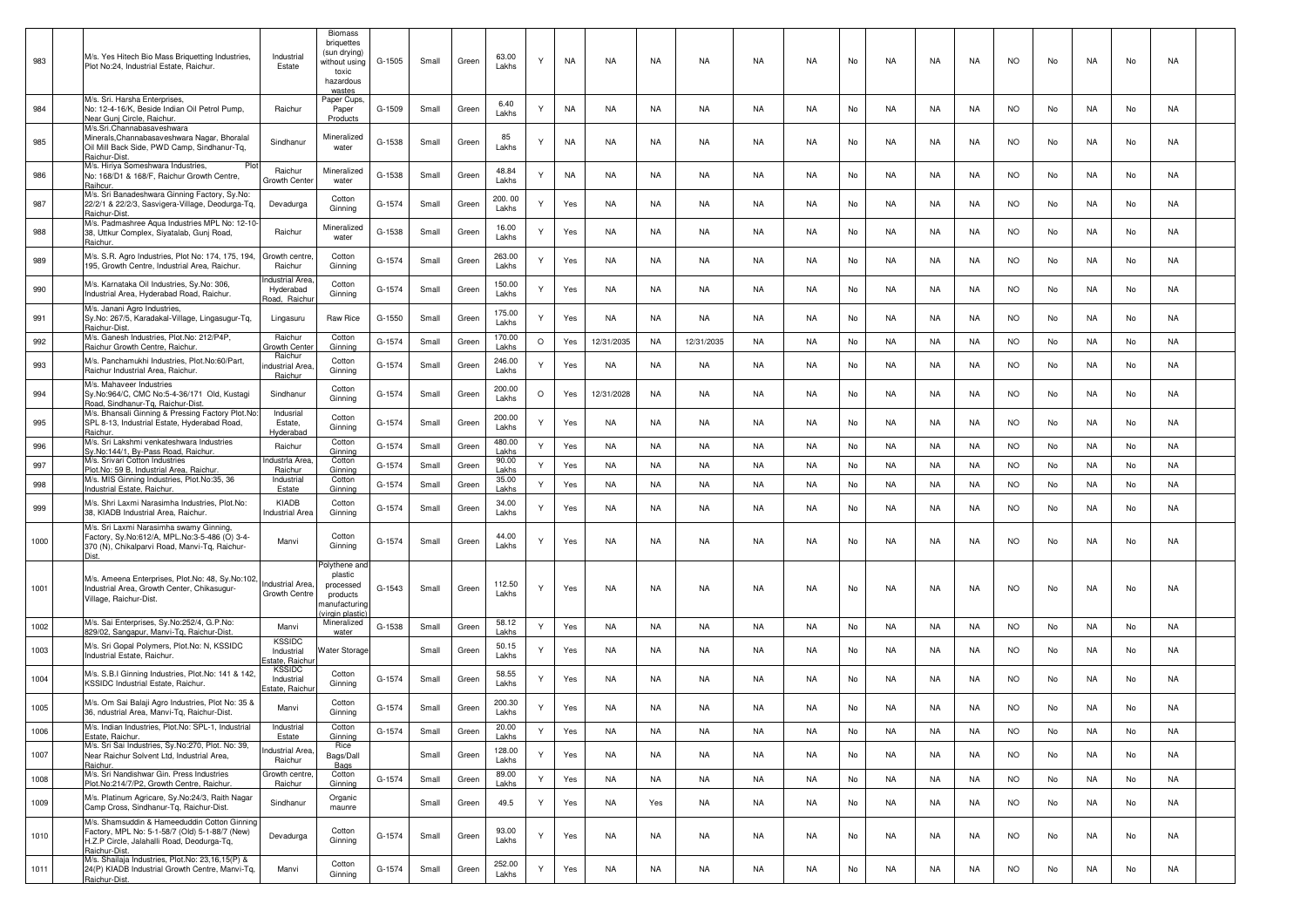| 983  | M/s. Yes Hitech Bio Mass Briquetting Industries,<br>Plot No:24, Industrial Estate, Raichur.                                                                   | Industrial<br>Estate                         | <b>Biomass</b><br>briquettes<br>(sun drying)<br>without using<br>toxic<br>hazardous<br>wastes | G-1505 | Small | Green | 63.00<br>Lakhs          | Υ            | NA        | <b>NA</b>  | NA        | NA         | NA        | NA        | No | NA        | NA        | NA        | <b>NO</b> | No | NA        | No | NA        |  |
|------|---------------------------------------------------------------------------------------------------------------------------------------------------------------|----------------------------------------------|-----------------------------------------------------------------------------------------------|--------|-------|-------|-------------------------|--------------|-----------|------------|-----------|------------|-----------|-----------|----|-----------|-----------|-----------|-----------|----|-----------|----|-----------|--|
| 984  | M/s. Sri. Harsha Enterprises,<br>No: 12-4-16/K, Beside Indian Oil Petrol Pump,<br>Near Gunj Circle, Raichur.                                                  | Raichur                                      | Paper Cups,<br>Paper<br>Products                                                              | G-1509 | Small | Green | 6.40<br>Lakhs           |              | <b>NA</b> | NA         | NA        | NA         | NA        | NA        | No | NA        | NA        | NA        | NO.       | No | NA.       | No | NA        |  |
| 985  | M/s.Sri.Channabasaveshwara<br>Minerals, Channabasaveshwara Nagar, Bhoralal<br>Oil Mill Back Side, PWD Camp, Sindhanur-Tq,<br>Raichur-Dist.                    | Sindhanur                                    | Mineralized<br>water                                                                          | G-1538 | Small | Green | 85<br>Lakhs             | Υ            | NA        | NA         | NA        | NA         | NA        | NA        | No | NA        | NA        | NA        | <b>NO</b> | No | NA        | No | NA        |  |
| 986  | M/s. Hiriya Someshwara Industries,<br>Plo<br>No: 168/D1 & 168/F, Raichur Growth Centre,<br>Raihcur                                                            | Raichur<br>Growth Cente                      | Mineralized<br>water                                                                          | G-1538 | Small | Green | 48.84<br>Lakhs          | Υ            | <b>NA</b> | NA         | NA        | NA.        | NA        | NA        | No | NA        | NA        | NA        | NO.       | No | NA        | No | NA        |  |
| 987  | M/s. Sri Banadeshwara Ginning Factory, Sy.No:<br>22/2/1 & 22/2/3, Sasvigera-Village, Deodurga-Tq,<br>Raichur-Dist.                                            | Devadurga                                    | Cotton<br>Ginning                                                                             | G-1574 | Small | Green | 200.00<br>Lakhs         | Υ            | Yes       | NA         | NA        | NA         | NA        | NA        | No | NA        | NA        | NA        | NO.       | No | NA        | No | NA        |  |
| 988  | M/s. Padmashree Aqua Industries MPL No: 12-10<br>38, Uttkur Complex, Siyatalab, Gunj Road,<br>Raichur                                                         | Raichur                                      | Mineralized<br>water                                                                          | G-1538 | Small | Green | 16.00<br>Lakhs          | Υ            | Yes       | NA         | NA        | NA         | NA        | NA        | No | NA        | NA        | NA        | NO.       | No | NA        | No | NA        |  |
| 989  | M/s. S.R. Agro Industries, Plot No: 174, 175, 194,<br>195, Growth Centre, Industrial Area, Raichur.                                                           | Growth centre<br>Raichur                     | Cotton<br>Ginning                                                                             | G-1574 | Small | Green | 263.00<br>Lakhs         | Υ            | Yes       | NA         | NA        | NA         | NA        | NA        | No | NA        | NA        | NA        | <b>NO</b> | No | NA        | No | NA        |  |
| 990  | M/s. Karnataka Oil Industries, Sy.No: 306,<br>Industrial Area, Hyderabad Road, Raichur.                                                                       | ndustrial Area<br>Hyderabad<br>Road, Raichı  | Cotton<br>Ginning                                                                             | G-1574 | Small | Green | 150.00<br>Lakhs         | Y            | Yes       | NA         | NA        | NA         | NA        | NA        | No | NA        | NA        | NA        | <b>NO</b> | No | NA        | No | NA        |  |
| 991  | M/s. Janani Agro Industries,<br>Sy.No: 267/5, Karadakal-Village, Lingasugur-Tq,<br>Raichur-Dist                                                               | Lingasuru                                    | Raw Rice                                                                                      | G-1550 | Small | Green | 175.00<br>Lakhs         |              | Yes       | NA         | NA        | NA         | NA        | NA        | No | NA        | NA        | NA        | NO.       | No | NA        | No | NA        |  |
| 992  | M/s. Ganesh Industries, Plot.No: 212/P4P,<br>Raichur Growth Centre, Raichur                                                                                   | Raichur<br>Growth Cente                      | Cotton<br>Ginning                                                                             | G-1574 | Small | Green | 170.00<br>Lakhs         | $\circ$      | Yes       | 12/31/2035 | NA        | 12/31/2035 | NA        | NA        | No | NA        | NA        | NA        | <b>NO</b> | No | NA.       | No | NA        |  |
| 993  | M/s. Panchamukhi Industries, Plot.No:60/Part,<br>Raichur Industrial Area, Raichur,                                                                            | Raichur<br>ndustrial Area<br>Raichur         | Cotton<br>Ginning                                                                             | G-1574 | Small | Green | 246.00<br>Lakhs         | Υ            | Yes       | NA         | NA        | NA         | NA        | NA        | No | NA        | NA        | NA        | <b>NO</b> | No | NA.       | No | NA        |  |
| 994  | M/s. Mahaveer Industries<br>Sy.No:964/C, CMC No:5-4-36/171 Old, Kustagi<br>Road, Sindhanur-Tq, Raichur-Dist                                                   | Sindhanur                                    | Cotton<br>Ginning                                                                             | G-1574 | Small | Green | 200.00<br>Lakhs         | $\circ$      | Yes       | 12/31/2028 | NA        | NA         | NA        | <b>NA</b> | No | NA        | NA        | NA        | <b>NO</b> | No | NA.       | No | NA        |  |
| 995  | M/s. Bhansali Ginning & Pressing Factory Plot.No:<br>SPL 8-13, Industrial Estate, Hyderabad Road,<br>Raichur                                                  | Indusrial<br>Estate,<br>Hyderabad            | Cotton<br>Ginning                                                                             | G-1574 | Small | Green | 200.00<br>Lakhs         | Y            | Yes       | NA         | NA        | NA         | NA        | NA        | No | NA        | NA        | NA        | <b>NO</b> | No | NA        | No | NA        |  |
| 996  | M/s. Sri Lakshmi venkateshwara Industries<br>Sy.No:144/1, By-Pass Road, Raichur.                                                                              | Raichur                                      | Cotton<br>Ginning                                                                             | G-1574 | Small | Green | 480.00<br>Lakhs         | $\mathsf{Y}$ | Yes       | NA         | NA        | NA         | NA        | NA        | No | NA        | NA        | NA        | <b>NO</b> | No | NA.       | No | NA        |  |
| 997  | M/s. Srivari Cotton Industries<br>Plot.No: 59 B, Industrial Area, Raichur.                                                                                    | <b>Industria Area</b><br>Raichur             | Cotton<br>Ginning                                                                             | G-1574 | Small | Green | 90.00<br>Lakhs          | Y            | Yes       | NA         | NA        | NA         | NA        | NA.       | No | NA        | NA        | NA        | NO.       | No | NA        | No | NA        |  |
| 998  | M/s. MIS Ginning Industries, Plot.No:35, 36                                                                                                                   | Industrial                                   | Cotton                                                                                        | G-1574 | Small | Green | 35.00                   | $\mathsf{Y}$ | Yes       | NA         | NA        | NA         | NA        | NA        | No | <b>NA</b> | NA        | <b>NA</b> | <b>NO</b> | No | NA        | No | NA        |  |
| 999  | Industrial Estate, Raichur<br>M/s. Shri Laxmi Narasimha Industries, Plot.No:<br>38, KIADB Industrial Area, Raichur                                            | Estate<br>KIADB<br>Industrial Area           | Ginning<br>Cotton<br>Ginning                                                                  | G-1574 | Small | Green | Lakhs<br>34.00<br>Lakhs | Υ            | Yes       | NA         | NA        | NA         | NA        | NA        | No | NA        | NA        | NA        | NO.       | No | NA        | No | NA        |  |
| 1000 | M/s. Sri Laxmi Narasimha swamy Ginning,<br>Factory, Sy.No:612/A, MPL.No:3-5-486 (O) 3-4-<br>370 (N), Chikalparvi Road, Manvi-Tq, Raichur-                     | Manvi                                        | Cotton<br>Ginning                                                                             | G-1574 | Small | Green | 44.00<br>Lakhs          | Υ            | Yes       | NA         | NA        | NA         | NA        | NA        | No | NA        | NA        | NA        | <b>NO</b> | No | NA.       | No | NA        |  |
| 1001 | M/s. Ameena Enterprises, Plot.No: 48, Sy.No:102,<br>Industrial Area, Growth Center, Chikasugur-<br>Village, Raichur-Dist.                                     | Industrial Area,<br>Growth Centre            | 'olythene and<br>plastic<br>processed<br>products<br>nanufacturing<br><i>rirgin plastic</i>   | G-1543 | Small | Green | 112.50<br>Lakhs         | Υ            | Yes       | NA         | NA        | NA         | NA        | NA        | No | NA        | NA        | NA        | <b>NO</b> | No | NA        | No | NA        |  |
| 1002 | M/s. Sai Enterprises, Sy.No:252/4, G.P.No:<br>829/02, Sangapur, Manvi-Tg, Raichur-Dist.                                                                       | Manvi                                        | Mineralized<br>water                                                                          | G-1538 | Small | Green | 58.12<br>Lakhs          | Υ            | Yes       | NA         | NA        | NA         | NA        | NA        | No | NA        | NA        | NA        | <b>NO</b> | No | NA.       | No | NA        |  |
| 1003 | M/s. Sri Gopal Polymers, Plot.No: N, KSSIDC<br>Industrial Estate, Raichur                                                                                     | <b>KSSIDC</b><br>Industrial<br>state. Raich  | Water Storage                                                                                 |        | Small | Green | 50.15<br>Lakhs          | Υ            | Yes       | NA         | NA        | NA.        | NA        | NA        | No | NA        | NA        | NA        | NO.       | No | NA.       | No | NA        |  |
| 1004 | M/s. S.B.I Ginning Industries, Plot.No: 141 & 142<br>KSSIDC Industrial Estate, Raichur.                                                                       | <b>KSSIDC</b><br>Industrial<br>state. Raichi | Cotton<br>Ginning                                                                             | G-1574 | Small | Green | 58.55<br>Lakhs          | Υ            | Yes       | NA         | NA        | NA         | NA        | NA        | No | NA        | NA        | NA        | NO.       | No | NA        | No | NA        |  |
| 1005 | M/s. Om Sai Balaji Agro Industries, Plot No: 35 &<br>36, ndustrial Area, Manvi-Tg, Raichur-Dist.                                                              | Manvi                                        | Cotton<br>Ginning                                                                             | G-1574 | Small | Green | 200.30<br>Lakhs         | Y            | Yes       | NA         | NA        | NA         | NA        | NA        | No | NA        | NA        | NA        | NO.       | No | NA        | No | NA        |  |
| 1006 | M/s. Indian Industries, Plot.No: SPL-1, Industrial<br>Estate, Raichur.                                                                                        | Industrial<br>Estate                         | Cotton<br>Ginning                                                                             | G-1574 | Small | Green | 20.00<br>Lakhs          | Y            | Yes       | NA         | <b>NA</b> | <b>NA</b>  | <b>NA</b> | <b>NA</b> | No | <b>NA</b> | NA        | <b>NA</b> | <b>NO</b> | No | <b>NA</b> | No | <b>NA</b> |  |
| 1007 | M/s. Sri Sai Industries, Sy.No:270, Plot. No: 39,<br>Near Raichur Solvent Ltd, Industrial Area,<br>Raichur.                                                   | <b>Industrial Area</b><br>Raichur            | Rice<br>Bags/Dall<br>Bags                                                                     |        | Small | Green | 128.00<br>Lakhs         | Y            | Yes       | <b>NA</b>  | <b>NA</b> | NA         | <b>NA</b> | NA        | No | <b>NA</b> | <b>NA</b> | NA        | <b>NO</b> | No | <b>NA</b> | No | <b>NA</b> |  |
| 1008 | M/s. Sri Nandishwar Gin. Press Industries<br>Plot.No:214/7/P2, Growth Centre, Raichur.                                                                        | Growth centre<br>Raichur                     | Cotton<br>Ginning                                                                             | G-1574 | Small | Green | 89.00<br>Lakhs          | Y            | Yes       | NA         | <b>NA</b> | <b>NA</b>  | <b>NA</b> | NA        | No | NA        | <b>NA</b> | NA        | <b>NO</b> | No | <b>NA</b> | No | <b>NA</b> |  |
| 1009 | M/s. Platinum Agricare, Sy.No:24/3, Raith Nagar<br>Camp Cross, Sindhanur-Tq, Raichur-Dist.                                                                    | Sindhanur                                    | Organic<br>maunre                                                                             |        | Small | Green | 49.5                    | Y            | Yes       | NA         | Yes       | NA         | NA        | NA        | No | NA        | NA        | NA        | <b>NO</b> | No | NA        | No | NA        |  |
| 1010 | M/s. Shamsuddin & Hameeduddin Cotton Ginning<br>Factory, MPL No: 5-1-58/7 (Old) 5-1-88/7 (New)<br>H.Z.P Circle, Jalahalli Road, Deodurga-Tq,<br>Raichur-Dist. | Devadurga                                    | Cotton<br>Ginning                                                                             | G-1574 | Small | Green | 93.00<br>Lakhs          | Y            | Yes       | NA         | NA        | NA         | NA        | <b>NA</b> | No | NA        | NA        | NA        | <b>NO</b> | No | <b>NA</b> | No | NA        |  |
| 1011 | M/s. Shailaja Industries, Plot.No: 23,16,15(P) &<br>24(P) KIADB Industrial Growth Centre, Manvi-Tq,<br>Raichur-Dist.                                          | Manvi                                        | Cotton<br>Ginning                                                                             | G-1574 | Small | Green | 252.00<br>Lakhs         | Y            | Yes       | NA         | <b>NA</b> | <b>NA</b>  | NA        | <b>NA</b> | No | NA        | NA        | NA        | <b>NO</b> | No | NA        | No | <b>NA</b> |  |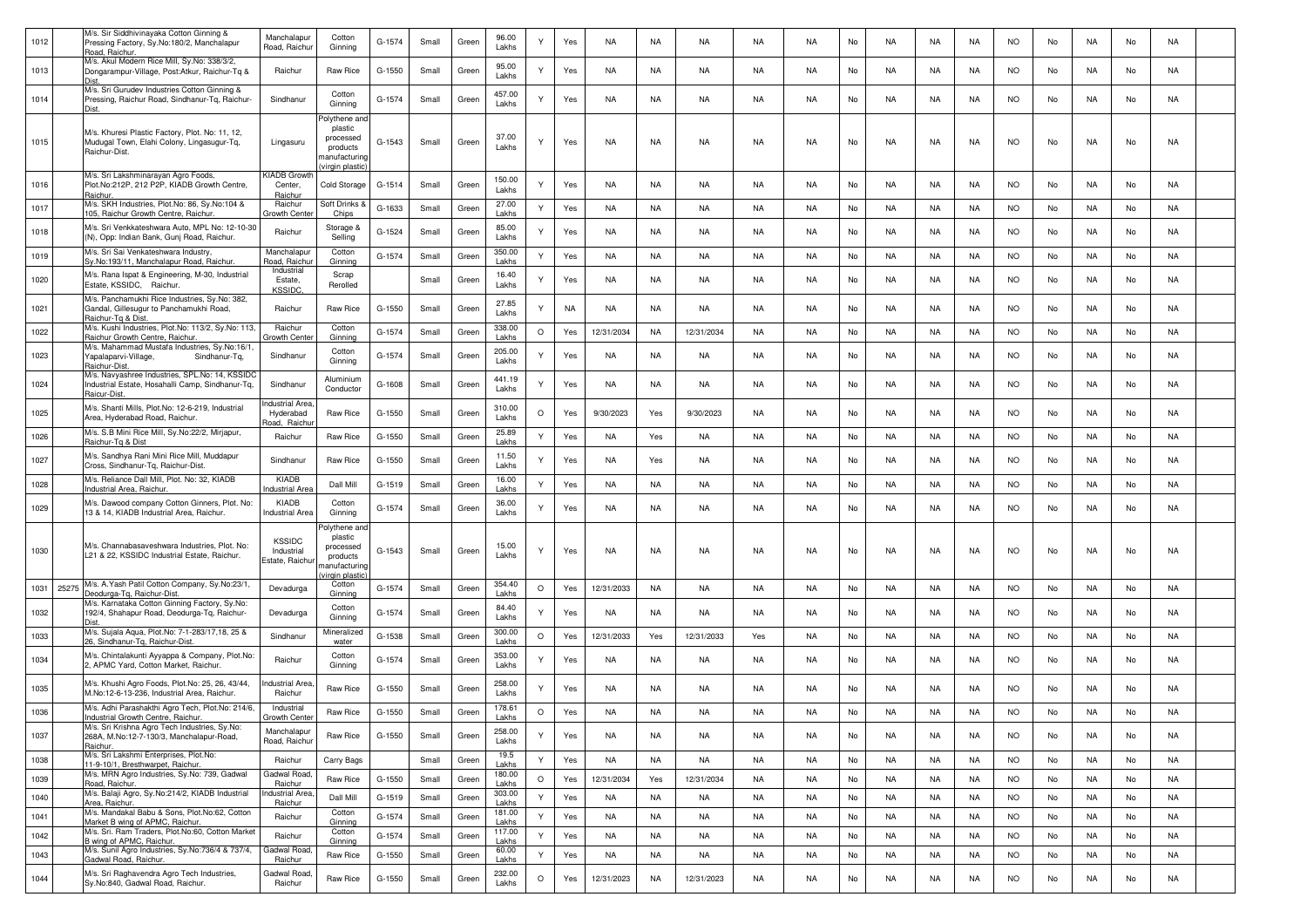| 1012 |       | M/s. Sir Siddhivinayaka Cotton Ginning &<br>Pressing Factory, Sy.No:180/2, Manchalapur<br>Road, Raichur           | Manchalapur<br>Road, Raichur                   | Cotton<br>Ginning                                                                   | G-1574 | Small | Green | 96.00<br>Lakhs  | Υ       | Yes | NA         | NA        | NA         | <b>NA</b> | <b>NA</b> | No | NA        | NA        | NA        | <b>NO</b> | No | NA        | No | NA        |  |
|------|-------|-------------------------------------------------------------------------------------------------------------------|------------------------------------------------|-------------------------------------------------------------------------------------|--------|-------|-------|-----------------|---------|-----|------------|-----------|------------|-----------|-----------|----|-----------|-----------|-----------|-----------|----|-----------|----|-----------|--|
| 1013 |       | M/s. Akul Modern Rice Mill, Sy.No: 338/3/2,<br>Dongarampur-Village, Post:Atkur, Raichur-Tg &                      | Raichur                                        | Raw Rice                                                                            | G-1550 | Small | Green | 95.00<br>Lakhs  | Υ       | Yes | NA         | NA        | NA         | NA.       | NA        | No | NA        | NA        | NA        | NO.       | No | NA        | No | NA        |  |
| 1014 |       | M/s. Sri Gurudev Industries Cotton Ginning &<br>Pressing, Raichur Road, Sindhanur-Tq, Raichur-                    | Sindhanur                                      | Cotton<br>Ginning                                                                   | G-1574 | Small | Green | 457.00<br>Lakhs | Y       | Yes | NA         | NA        | NA         | NA        | NA.       | No | NA        | NA        | NA        | NO.       | No | NA        | No | NA        |  |
| 1015 |       | M/s. Khuresi Plastic Factory, Plot. No: 11, 12,<br>Mudugal Town, Elahi Colony, Lingasugur-Tq,<br>Raichur-Dist.    | Lingasuru                                      | Polythene an<br>plastic<br>processed<br>products<br>nanufacturing<br>virgin plastic | G-1543 | Small | Green | 37.00<br>Lakhs  | Υ       | Yes | NA         | NA        | NA         | NA        | <b>NA</b> | No | <b>NA</b> | NA        | <b>NA</b> | <b>NO</b> | No | <b>NA</b> | No | NA        |  |
| 1016 |       | M/s. Sri Lakshminarayan Agro Foods,<br>Plot.No:212P, 212 P2P, KIADB Growth Centre,<br>Raichur                     | <b>KIADB Growt</b><br>Center,<br>Raichur       | Cold Storage                                                                        | G-1514 | Small | Green | 150.00<br>Lakhs | Υ       | Yes | NA         | NA        | NA         | NA        | NA        | No | NA        | NA        | NA.       | NO.       | No | NA        | No | NA        |  |
| 1017 |       | M/s. SKH Industries, Plot.No: 86, Sy.No:104 &<br>105, Raichur Growth Centre, Raichur                              | Raichur<br>Growth Cente                        | ، Soft Drinks<br>Chips                                                              | G-1633 | Small | Green | 27.00<br>Lakhs  | Y       | Yes | NA         | NA        | NA         | NA        | NA        | No | NA        | NA        | NA        | <b>NO</b> | No | NA        | No | NA        |  |
| 1018 |       | M/s. Sri Venkkateshwara Auto, MPL No: 12-10-30<br>(N), Opp: Indian Bank, Gunj Road, Raichur.                      | Raichur                                        | Storage &<br>Selling                                                                | G-1524 | Small | Green | 85.00<br>Lakhs  | Υ       | Yes | NA         | NA        | NA         | NA        | NA        | No | NA        | NA        | NA        | <b>NO</b> | No | NA        | No | NA        |  |
| 1019 |       | M/s. Sri Sai Venkateshwara Industry<br>Sy.No:193/11, Manchalapur Road, Raichur.                                   | Manchalapur<br>Road, Raichu                    | Cotton<br>Ginning                                                                   | G-1574 | Small | Green | 350.00<br>Lakhs | Y       | Yes | <b>NA</b>  | NA        | NA         | <b>NA</b> | <b>NA</b> | No | NA        | NA        | NA        | <b>NO</b> | No | NA        | No | NA        |  |
| 1020 |       | M/s. Rana Ispat & Engineering, M-30, Industrial<br>Estate, KSSIDC, Raichur.                                       | Industrial<br>Estate<br><b>KSSIDC</b>          | Scrap<br>Rerolled                                                                   |        | Small | Green | 16.40<br>Lakhs  |         | Yes | <b>NA</b>  | NA        | NA         | NA.       | NA        | No | NA        | NA        | NA        | <b>NO</b> | No | NA        | No | NA        |  |
| 1021 |       | M/s. Panchamukhi Rice Industries, Sy.No: 382,<br>Gandal, Gillesugur to Panchamukhi Road,<br>Raichur-Tg & Dist     | Raichur                                        | Raw Rice                                                                            | G-1550 | Small | Green | 27.85<br>Lakhs  |         | NA  | NA.        | NA        | NA         | NA        | NA        | No | NA        | NA        | NA        | NO.       | No | NA        | No | NA        |  |
| 1022 |       | M/s. Kushi Industries, Plot.No: 113/2, Sy.No: 113,<br>Raichur Growth Centre, Raichur.                             | Raichur<br>Growth Cente                        | Cotton<br>Ginning                                                                   | G-1574 | Small | Green | 338.00<br>Lakhs | $\circ$ | Yes | 12/31/2034 | NA        | 12/31/2034 | NA        | NA.       | No | NA        | NA        | NA        | <b>NO</b> | No | NA        | No | NA        |  |
| 1023 |       | M/s. Mahammad Mustafa Industries, Sy.No:16/1<br>apalaparvi-Village,<br>Sindhanur-Tq,<br>Raichur-Dist              | Sindhanur                                      | Cotton<br>Ginning                                                                   | G-1574 | Small | Green | 205.00<br>Lakhs |         | Yes | NA         | NA        | NA         | NA        | NA        | No | NA        | NA        | NA        | <b>NO</b> | No | NA        | No | NA        |  |
| 1024 |       | M/s. Navyashree Industries, SPL.No: 14, KSSIDO<br>Industrial Estate, Hosahalli Camp, Sindhanur-Tq,<br>Raicur-Dist | Sindhanur                                      | Aluminium<br>Conductor                                                              | G-1608 | Small | Green | 441.19<br>Lakhs | Υ       | Yes | NA         | NA        | NA         | NA        | <b>NA</b> | No | NA        | NA        | NA        | <b>NO</b> | No | NA        | No | NA        |  |
| 1025 |       | M/s. Shanti Mills, Plot.No: 12-6-219, Industrial<br>Area, Hyderabad Road, Raichur.                                | ndustrial Are:<br>Hyderabad<br>Road, Raichu    | Raw Rice                                                                            | G-1550 | Small | Green | 310.00<br>Lakhs | $\circ$ | Yes | 9/30/2023  | Yes       | 9/30/2023  | NA        | <b>NA</b> | No | NA        | NA        | NA        | <b>NO</b> | No | NA        | No | NA        |  |
| 1026 |       | M/s. S.B Mini Rice Mill, Sy.No:22/2, Mirjapur,<br>Raichur-Tg & Dist                                               | Raichur                                        | Raw Rice                                                                            | G-1550 | Small | Green | 25.89<br>Lakhs  | Y       | Yes | NA         | Yes       | NA         | NA        | NA        | No | NA        | NA        | NA        | <b>NO</b> | No | NA        | No | NA        |  |
| 1027 |       | M/s. Sandhya Rani Mini Rice Mill, Muddapur<br>Cross, Sindhanur-Tq, Raichur-Dist.                                  | Sindhanur                                      | Raw Rice                                                                            | G-1550 | Small | Green | 11.50<br>Lakhs  | Υ       | Yes | NA         | Yes       | NA         | NA        | NA        | No | NA        | NA        | NA        | <b>NO</b> | No | NA        | No | NA        |  |
| 1028 |       | M/s. Reliance Dall Mill, Plot. No: 32, KIADB<br>Industrial Area, Raichur                                          | KIADB<br>ndustrial Are                         | Dall Mill                                                                           | G-1519 | Small | Green | 16.00<br>Lakhs  | Y       | Yes | NA         | NA        | NA         | NA        | <b>NA</b> | No | <b>NA</b> | NA        | NA        | <b>NO</b> | No | NA        | No | NA        |  |
| 1029 |       | M/s. Dawood company Cotton Ginners, Plot. No:<br>13 & 14, KIADB Industrial Area, Raichur.                         | KIADB<br>Industrial Area                       | Cotton<br>Ginning                                                                   | G-1574 | Small | Green | 36.00<br>Lakhs  | Y       | Yes | NA         | NA        | NA.        | NA.       | NA        | No | NA        | NA        | NA        | <b>NO</b> | No | NA        | No | NA        |  |
| 1030 |       | M/s. Channabasaveshwara Industries, Plot. No:<br>L21 & 22, KSSIDC Industrial Estate, Raichur.                     | <b>KSSIDC</b><br>Industrial<br>Estate, Raichur | Polythene and<br>plastic<br>processed<br>products<br>nanufacturing<br>irgin plastic | G-1543 | Small | Green | 15.00<br>Lakhs  | Υ       | Yes | NA         | NA        | NA         | NA        | NA        | No | NA        | NA        | NA        | NO.       | No | NA        | No | NA        |  |
| 1031 | 25275 | M/s. A.Yash Patil Cotton Company, Sy.No:23/1<br>Deodurga-Tg, Raichur-Dist.                                        | Devadurga                                      | Cotton<br>Ginning                                                                   | G-1574 | Small | Green | 354.40<br>Lakhs | $\circ$ | Yes | 12/31/2033 | NA        | NA         | NA        | <b>NA</b> | No | <b>NA</b> | NA        | NA        | <b>NO</b> | No | NA        | No | NA        |  |
| 1032 |       | M/s. Karnataka Cotton Ginning Factory, Sy.No:<br>192/4, Shahapur Road, Deodurga-Tq, Raichur-                      | Devadurga                                      | Cotton<br>Ginning                                                                   | G-1574 | Small | Green | 84.40<br>Lakhs  | Υ       | Yes | NA         | NA        | NA         | NA        | NA        | No | NA        | NA        | NA.       | NO.       | No | NA        | No | NA        |  |
| 1033 |       | M/s. Sujala Aqua, Plot.No: 7-1-283/17,18, 25 &<br>26, Sindhanur-Tg, Raichur-Dist                                  | Sindhanur                                      | Mineralized<br>water                                                                | G-1538 | Small | Green | 300.00<br>Lakhs | $\circ$ | Yes | 12/31/2033 | Yes       | 12/31/2033 | Yes       | <b>NA</b> | No | NA        | NA        | NA        | <b>NO</b> | No | NA        | No | NA        |  |
| 1034 |       | M/s. Chintalakunti Ayyappa & Company, Plot.No:<br>2, APMC Yard, Cotton Market, Raichur.                           | Raichur                                        | Cotton<br>Ginning                                                                   | G-1574 | Small | Green | 353.00<br>Lakhs | Y       | Yes | NA         | NA        | NA         | NA.       | NA        | No | NA        | NA        | NA.       | NO.       | No | NA        | No | NA        |  |
| 1035 |       | M/s. Khushi Agro Foods, Plot.No: 25, 26, 43/44,<br>M.No:12-6-13-236, Industrial Area, Raichur.                    | ndustrial Area<br>Raichur                      | <b>Raw Rice</b>                                                                     | G-1550 | Small | Green | 258.00<br>Lakhs |         | Yes | NA         | NA        | NA         | NA        | NA        | No | NA        | NA        | NA.       | NO.       | No | NA        | No | NA        |  |
| 1036 |       | M/s. Adhi Parashakthi Agro Tech, Plot.No: 214/6,<br>Industrial Growth Centre, Raichur.                            | Industrial<br>Growth Center                    | Raw Rice                                                                            | G-1550 | Small | Green | 178.61<br>Lakhs | $\circ$ | Yes | NA         | NA        | <b>NA</b>  | <b>NA</b> | <b>NA</b> | No | <b>NA</b> | NA        | NA        | <b>NO</b> | No | NA        | No | NA        |  |
| 1037 |       | M/s. Sri Krishna Agro Tech Industries, Sy.No:<br>268A, M.No:12-7-130/3, Manchalapur-Road,<br>Raichur.             | Manchalapur<br>Road, Raichur                   | Raw Rice                                                                            | G-1550 | Small | Green | 258.00<br>Lakhs | Y       | Yes | <b>NA</b>  | NA        | NA         | NA        | <b>NA</b> | No | <b>NA</b> | NA        | <b>NA</b> | <b>NO</b> | No | NA        | No | NA        |  |
| 1038 |       | M/s. Sri Lakshmi Enterprises, Plot.No:<br>11-9-10/1, Bresthwarpet, Raichur.                                       | Raichur                                        | Carry Bags                                                                          |        | Small | Green | 19.5<br>Lakhs   | Y       | Yes | NA         | <b>NA</b> | <b>NA</b>  | NA        | <b>NA</b> | No | <b>NA</b> | <b>NA</b> | <b>NA</b> | <b>NO</b> | No | <b>NA</b> | No | <b>NA</b> |  |
| 1039 |       | M/s. MRN Agro Industries, Sy.No: 739, Gadwal<br>Road, Raichur.                                                    | Gadwal Road<br>Raichur                         | Raw Rice                                                                            | G-1550 | Small | Green | 180.00<br>Lakhs | $\circ$ | Yes | 12/31/2034 | Yes       | 12/31/2034 | NA        | <b>NA</b> | No | <b>NA</b> | <b>NA</b> | <b>NA</b> | <b>NO</b> | No | <b>NA</b> | No | <b>NA</b> |  |
| 1040 |       | M/s. Balaji Agro, Sy.No:214/2, KIADB Industrial<br>Area, Raichur.                                                 | ndustrial Area<br>Raichur                      | Dall Mill                                                                           | G-1519 | Small | Green | 303.00<br>Lakhs | Y       | Yes | NA         | NA        | NA         | NA        | <b>NA</b> | No | NA        | NA        | NA        | <b>NO</b> | No | NA        | No | NA        |  |
| 1041 |       | M/s. Mandakal Babu & Sons, Plot.No:62, Cotton<br>Market B wing of APMC, Raichur.                                  | Raichur                                        | Cotton<br>Ginning                                                                   | G-1574 | Small | Green | 181.00<br>Lakhs | Y       | Yes | NA         | NA        | NA         | NA        | <b>NA</b> | No | NA        | NA        | NA        | <b>NO</b> | No | NA        | No | NA        |  |
| 1042 |       | M/s. Sri. Ram Traders, Plot.No:60, Cotton Market<br>B wing of APMC, Raichur.                                      | Raichur                                        | Cotton<br>Ginning                                                                   | G-1574 | Small | Green | 117.00<br>Lakhs | Y       | Yes | NA         | <b>NA</b> | <b>NA</b>  | NA        | <b>NA</b> | No | <b>NA</b> | <b>NA</b> | <b>NA</b> | <b>NO</b> | No | <b>NA</b> | No | <b>NA</b> |  |
| 1043 |       | M/s. Sunil Agro Industries, Sy.No:736/4 & 737/4,<br>Gadwal Road, Raichur.                                         | Gadwal Road<br>Raichur                         | Raw Rice                                                                            | G-1550 | Small | Green | 60.00<br>Lakhs  | Y       | Yes | <b>NA</b>  | <b>NA</b> | <b>NA</b>  | NA        | <b>NA</b> | No | <b>NA</b> | <b>NA</b> | <b>NA</b> | <b>NO</b> | No | <b>NA</b> | No | <b>NA</b> |  |
| 1044 |       | M/s. Sri Raghavendra Agro Tech Industries,<br>Sy.No:840, Gadwal Road, Raichur.                                    | Gadwal Road<br>Raichur                         | Raw Rice                                                                            | G-1550 | Small | Green | 232.00<br>Lakhs | $\circ$ | Yes | 12/31/2023 | <b>NA</b> | 12/31/2023 | NA        | <b>NA</b> | No | NA        | NA        | <b>NA</b> | <b>NO</b> | No | NA        | No | NA        |  |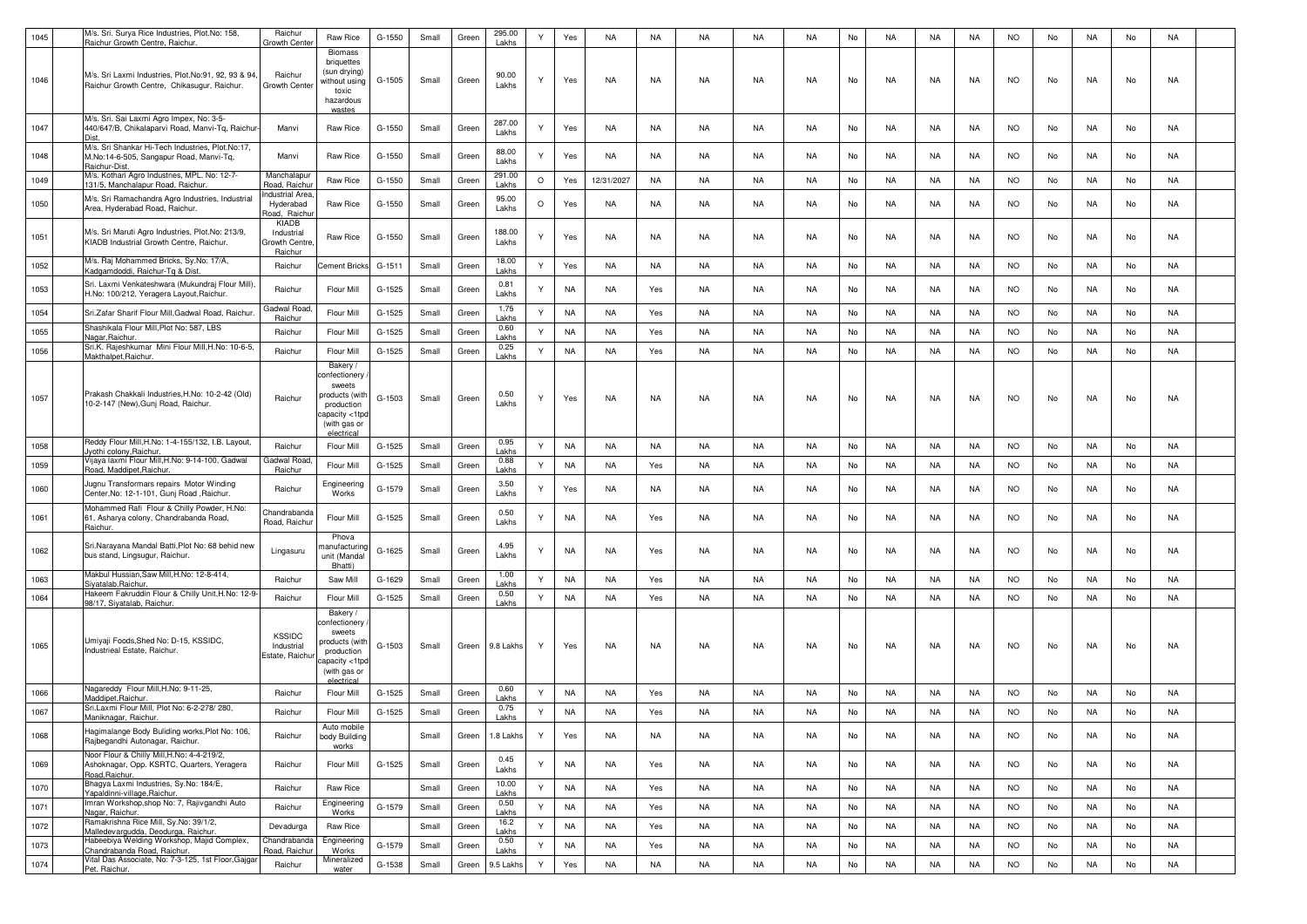| 1045 | M/s. Sri. Surya Rice Industries, Plot.No: 158,                                               | Raichur                      | Raw Rice                       | G-1550   | Small | Green | 295.00          | $\mathsf{Y}$ | Yes       | <b>NA</b>  | NA        | NA        | NA        | <b>NA</b> | No | NA        | NA        | NA        | <b>NO</b> | No | NA        | No | NA        |  |
|------|----------------------------------------------------------------------------------------------|------------------------------|--------------------------------|----------|-------|-------|-----------------|--------------|-----------|------------|-----------|-----------|-----------|-----------|----|-----------|-----------|-----------|-----------|----|-----------|----|-----------|--|
|      | Raichur Growth Centre, Raichur.                                                              | Growth Cente                 | <b>Biomass</b>                 |          |       |       | Lakhs           |              |           |            |           |           |           |           |    |           |           |           |           |    |           |    |           |  |
|      |                                                                                              |                              | briquettes                     |          |       |       |                 |              |           |            |           |           |           |           |    |           |           |           |           |    |           |    |           |  |
| 1046 | M/s. Sri Laxmi Industries, Plot.No:91, 92, 93 & 94.                                          | Raichur                      | (sun drying)<br>without using  | G-1505   | Small | Green | 90.00           | Υ            | Yes       | <b>NA</b>  | NA        | NA        | NA        | NA        | No | NA        | NA        | NA        | <b>NO</b> | No | NA        | No | NA        |  |
|      | Raichur Growth Centre, Chikasugur, Raichur.                                                  | Growth Center                | toxic                          |          |       |       | Lakhs           |              |           |            |           |           |           |           |    |           |           |           |           |    |           |    |           |  |
|      |                                                                                              |                              | hazardous<br>wastes            |          |       |       |                 |              |           |            |           |           |           |           |    |           |           |           |           |    |           |    |           |  |
|      | M/s. Sri. Sai Laxmi Agro Impex, No: 3-5-                                                     |                              |                                |          |       |       | 287.00          |              |           |            |           |           |           |           |    |           |           |           |           |    |           |    |           |  |
| 1047 | 440/647/B, Chikalaparvi Road, Manvi-Tq, Raichur                                              | Manvi                        | Raw Rice                       | G-1550   | Small | Green | Lakhs           | Y            | Yes       | NA         | NA        | NA        | NA        | NA.       | No | NA        | NA.       | NA        | <b>NO</b> | No | NA        | No | NA        |  |
|      | M/s. Sri Shankar Hi-Tech Industries, Plot.No:17,                                             |                              |                                |          |       |       | 88.00           |              |           |            |           |           |           |           |    |           |           |           |           |    |           |    |           |  |
| 1048 | M.No:14-6-505, Sangapur Road, Manvi-Tq,<br>Raichur-Dist.                                     | Manvi                        | Raw Rice                       | $G-1550$ | Small | Green | Lakhs           | Y            | Yes       | <b>NA</b>  | NA        | NA        | NA        | <b>NA</b> | No | NA        | NA        | NA        | <b>NO</b> | No | NA        | No | NA        |  |
| 1049 | M/s. Kothari Agro Industries, MPL. No: 12-7-<br>31/5, Manchalapur Road, Raichur              | Manchalapur<br>Road, Raichu  | Raw Rice                       | $G-1550$ | Small | Green | 291.00<br>Lakhs | $\circ$      | Yes       | 12/31/2027 | <b>NA</b> | <b>NA</b> | <b>NA</b> | NA        | No | <b>NA</b> | NA        | NA        | <b>NO</b> | No | NA        | No | <b>NA</b> |  |
|      | M/s. Sri Ramachandra Agro Industries, Industrial                                             | ndustrial Area               |                                |          |       |       | 95.00           |              |           |            |           |           |           |           |    |           |           |           |           |    |           |    |           |  |
| 1050 | Area, Hyderabad Road, Raichur.                                                               | Hyderabad<br>Road, Raich     | Raw Rice                       | G-1550   | Small | Green | Lakhs           | $\circ$      | Yes       | <b>NA</b>  | <b>NA</b> | <b>NA</b> | <b>NA</b> | <b>NA</b> | No | <b>NA</b> | NA        | NA        | <b>NO</b> | No | <b>NA</b> | No | NA        |  |
|      |                                                                                              | KIADB                        |                                |          |       |       |                 |              |           |            |           |           |           |           |    |           |           |           |           |    |           |    |           |  |
| 1051 | M/s. Sri Maruti Agro Industries, Plot.No: 213/9,<br>KIADB Industrial Growth Centre, Raichur. | Industrial<br>Growth Centre  | Raw Rice                       | G-1550   | Small | Green | 188.00<br>Lakhs | Υ            | Yes       | <b>NA</b>  | NA        | NA        | NA        | NA        | No | NA        | NA        | NA        | <b>NO</b> | No | NA.       | No | NA        |  |
|      |                                                                                              | Raichur                      |                                |          |       |       |                 |              |           |            |           |           |           |           |    |           |           |           |           |    |           |    |           |  |
| 1052 | M/s. Raj Mohammed Bricks, Sy.No: 17/A,<br>Kadgamdoddi, Raichur-Tg & Dist.                    | Raichur                      | <b>Cement Bricks</b>           | $G-1511$ | Small | Green | 18.00<br>Lakhs  | Y            | Yes       | <b>NA</b>  | NA        | NA        | NA        | <b>NA</b> | No | NA        | NA        | NA        | <b>NO</b> | No | NA        | No | NA        |  |
| 1053 | Sri. Laxmi Venkateshwara (Mukundraj Flour Mill)                                              | Raichur                      | Flour Mill                     | G-1525   | Small | Green | 0.81            | Y            | <b>NA</b> | NA         | Yes       | NA        | NA        | <b>NA</b> | No | NA        | NA        | NA        | <b>NO</b> | No | NA        | No | NA        |  |
|      | H.No: 100/212, Yeragera Layout, Raichur.                                                     |                              |                                |          |       |       | Lakhs           |              |           |            |           |           |           |           |    |           |           |           |           |    |           |    |           |  |
| 1054 | Sri.Zafar Sharif Flour Mill, Gadwal Road, Raichur.                                           | Gadwal Roa<br>Raichur        | Flour Mill                     | $G-1525$ | Small | Green | 1.75<br>Lakhs   | Y            | <b>NA</b> | NA         | Yes       | NA        | NA        | <b>NA</b> | No | NA        | NA        | NA        | <b>NO</b> | No | NA        | No | NA        |  |
| 1055 | Shashikala Flour Mill, Plot No: 587, LBS                                                     | Raichur                      | Flour Mill                     | $G-1525$ | Small | Green | 0.60            | Y            | <b>NA</b> | <b>NA</b>  | Yes       | NA        | <b>NA</b> | <b>NA</b> | No | NA        | <b>NA</b> | NA        | <b>NO</b> | No | NA        | No | <b>NA</b> |  |
| 1056 | Nagar, Raichur.<br>Sri.K. Rajeshkumar Mini Flour Mill, H.No: 10-6-5,                         | Raichur                      | Flour Mill                     | $G-1525$ | Small |       | Lakhs<br>0.25   | Y            | <b>NA</b> | NA         | Yes       | NA        | <b>NA</b> | <b>NA</b> | No | NA        | <b>NA</b> | NA        | <b>NO</b> | No | NA        |    | <b>NA</b> |  |
|      | Makthalpet, Raichur.                                                                         |                              | Bakery /                       |          |       | Green | Lakhs           |              |           |            |           |           |           |           |    |           |           |           |           |    |           | No |           |  |
|      |                                                                                              |                              | confectionery                  |          |       |       |                 |              |           |            |           |           |           |           |    |           |           |           |           |    |           |    |           |  |
|      | Prakash Chakkali Industries, H.No: 10-2-42 (Old)                                             |                              | sweets<br>products (with       |          |       |       | 0.50            |              |           |            |           |           |           |           |    |           |           |           |           |    |           |    |           |  |
| 1057 | 10-2-147 (New), Gunj Road, Raichur                                                           | Raichur                      | production                     | G-1503   | Small | Green | Lakhs           | Y            | Yes       | NA         | NA        | NA        | NA        | <b>NA</b> | No | NA        | NA        | NA        | <b>NO</b> | No | NA        | No | NA        |  |
|      |                                                                                              |                              | apacity <1tpd:<br>(with gas or |          |       |       |                 |              |           |            |           |           |           |           |    |           |           |           |           |    |           |    |           |  |
|      | Reddy Flour Mill, H.No: 1-4-155/132, I.B. Layout,                                            |                              | electrical                     |          |       |       |                 |              |           |            |           |           |           |           |    |           |           |           |           |    |           |    |           |  |
| 1058 | vothi colony, Raichur.                                                                       | Raichur                      | Flour Mill                     | G-1525   | Small | Green | 0.95<br>Lakhs   | Y            | <b>NA</b> | <b>NA</b>  | NA        | NA        | NA        | <b>NA</b> | No | NA        | NA        | NA        | <b>NO</b> | No | NA        | No | <b>NA</b> |  |
| 1059 | Vijaya laxmi Flour Mill, H.No: 9-14-100, Gadwal<br>Road, Maddipet, Raichur.                  | Gadwal Road<br>Raichur       | Flour Mill                     | G-1525   | Small | Green | 0.88<br>Lakhs   | Y            | <b>NA</b> | <b>NA</b>  | Yes       | NA        | NA        | <b>NA</b> | No | NA        | NA        | NA        | <b>NO</b> | No | NA        | No | <b>NA</b> |  |
| 1060 | Jugnu Transformars repairs Motor Winding                                                     | Raichur                      | Engineering                    | G-1579   |       |       | 3.50            | Υ            |           | <b>NA</b>  | NA        | NA        | NA        | <b>NA</b> |    | NA        | NA        |           | <b>NO</b> | No | NA        |    | NA        |  |
|      | Center, No: 12-1-101, Gunj Road, Raichur.                                                    |                              | Works                          |          | Small | Green | Lakhs           |              | Yes       |            |           |           |           |           | No |           |           | NA        |           |    |           | No |           |  |
| 1061 | Mohammed Rafi Flour & Chilly Powder, H.No:<br>61, Asharya colony, Chandrabanda Road,         | Chandrabanda                 | Flour Mill                     | G-1525   | Small | Green | 0.50            | Y            | <b>NA</b> | <b>NA</b>  | Yes       | NA        | NA        | NA        | No | NA        | NA        | NA        | <b>NO</b> | No | NA.       | No | NA        |  |
|      | Raichur.                                                                                     | Road, Raichur                |                                |          |       |       | Lakhs           |              |           |            |           |           |           |           |    |           |           |           |           |    |           |    |           |  |
|      | Sri.Narayana Mandal Batti, Plot No: 68 behid new                                             |                              | Phova<br>anufacturing          |          |       |       | 4.95            | Υ            |           |            |           | <b>NA</b> | <b>NA</b> |           |    | <b>NA</b> |           |           |           |    |           |    |           |  |
| 1062 | bus stand, Lingsugur, Raichur.                                                               | Lingasuru                    | unit (Mandal                   | G-1625   | Small | Green | Lakhs           |              | <b>NA</b> | NA         | Yes       |           |           | <b>NA</b> | No |           | NA        | NA        | <b>NO</b> | No | NA        | No | NA        |  |
| 1063 | Makbul Hussian, Saw Mill, H.No: 12-8-414,                                                    | Raichur                      | Bhatti)<br>Saw Mill            | G-1629   | Small | Green | 1.00            | Y            | <b>NA</b> | <b>NA</b>  | Yes       | NA        | NA        | <b>NA</b> | No | NA        | NA        | NA        | <b>NO</b> | No | NA        | No | NA        |  |
|      | Siyatalab, Raichur.<br>Hakeem Fakruddin Flour & Chilly Unit, H.No: 12-9-                     |                              |                                |          |       |       | Lakhs<br>0.50   |              |           |            |           |           |           |           |    |           |           |           |           |    |           |    |           |  |
| 1064 | 98/17, Siyatalab, Raichur.                                                                   | Raichur                      | Flour Mill                     | G-1525   | Small | Green | Lakhs           | Y            | NA        | <b>NA</b>  | Yes       | NA        | NA        | NA        | No | NA        | NA        | NA        | <b>NO</b> | No | NA        | No | NA        |  |
|      |                                                                                              |                              | Bakery /<br>onfectionery       |          |       |       |                 |              |           |            |           |           |           |           |    |           |           |           |           |    |           |    |           |  |
|      | Umiyaji Foods, Shed No: D-15, KSSIDC,                                                        | <b>KSSIDC</b>                | sweets                         |          |       |       |                 |              |           |            |           |           |           |           |    |           |           |           |           |    |           |    |           |  |
| 1065 | Industrieal Estate, Raichur.                                                                 | Industrial<br>Estate, Raichu | roducts (with<br>production    | G-1503   | Small | Green | 9.8 Lakhs       | Y            | Yes       | <b>NA</b>  | NA        | NA        | NA        | NA        | No | NA        | NA        | NA        | <b>NO</b> | No | NA        | No | NA        |  |
|      |                                                                                              |                              | apacity <1tpd<br>(with gas or  |          |       |       |                 |              |           |            |           |           |           |           |    |           |           |           |           |    |           |    |           |  |
|      |                                                                                              |                              | electrica                      |          |       |       |                 |              |           |            |           |           |           |           |    |           |           |           |           |    |           |    |           |  |
| 1066 | Nagareddy Flour Mill, H.No: 9-11-25,<br>Maddipet.Raichur                                     | Raichur                      | Flour Mill                     | G-1525   | Small | Green | 0.60<br>Lakhs   | Y            | <b>NA</b> | <b>NA</b>  | Yes       | NA        | NA        | <b>NA</b> | No | NA        | NA        | NA        | <b>NO</b> | No | NA        | No | NA        |  |
| 1067 | Sri.Laxmi Flour Mill, Plot No: 6-2-278/ 280,<br>Maniknagar, Raichur.                         | Raichur                      | Flour Mill                     | $G-1525$ | Small | Green | 0.75<br>Lakhs   | Y            | <b>NA</b> | <b>NA</b>  | Yes       | NA        | NA        | <b>NA</b> | No | NA        | NA        | NA        | <b>NO</b> | No | NA        | No | NA        |  |
|      | Hagimalange Body Buliding works, Plot No: 106,                                               |                              | Auto mobile                    |          |       |       |                 |              |           |            |           |           |           |           |    |           |           |           |           |    |           |    |           |  |
| 1068 | Rajbegandhi Autonagar, Raichur.                                                              | Raichur                      | body Building<br>works         |          | Small | Green | 1.8 Lakhs       | Y            | Yes       | NA         | NA        | NA        | NA        | <b>NA</b> | No | NA        | NA        | NA        | <b>NO</b> | No | NA        | No | NA        |  |
| 1069 | Noor Flour & Chilly Mill, H.No: 4-4-219/2,                                                   | Raichur                      | Flour Mill                     | G-1525   | Small | Green | 0.45            | Y            | <b>NA</b> | NA         |           | NA        | NA        | NA        | No | NA        | NA        | NA        | <b>NO</b> | No | NA        | No | NA        |  |
|      | Ashoknagar, Opp. KSRTC, Quarters, Yeragera<br>Road, Raichur.                                 |                              |                                |          |       |       | Lakhs           |              |           |            | Yes       |           |           |           |    |           |           |           |           |    |           |    |           |  |
| 1070 | Bhagya Laxmi Industries, Sy.No: 184/E,<br>Yapaldinni-village, Raichur.                       | Raichur                      | Raw Rice                       |          | Small | Green | 10.00<br>Lakhs  | Y            | <b>NA</b> | <b>NA</b>  | Yes       | <b>NA</b> | <b>NA</b> | <b>NA</b> | No | <b>NA</b> | <b>NA</b> | <b>NA</b> | <b>NO</b> | No | NA        | No | <b>NA</b> |  |
| 1071 | Imran Workshop, shop No: 7, Rajivgandhi Auto                                                 | Raichur                      | Engineering                    | G-1579   | Small | Green | 0.50            | Y            | <b>NA</b> | <b>NA</b>  | Yes       | <b>NA</b> | <b>NA</b> | <b>NA</b> | No | <b>NA</b> | <b>NA</b> | <b>NA</b> | <b>NO</b> | No | NA        | No | <b>NA</b> |  |
|      | Nagar, Raichur.<br>Ramakrishna Rice Mill, Sy.No: 39/1/2,                                     |                              | Works                          |          |       |       | Lakhs<br>16.2   |              |           |            |           |           |           |           |    |           |           |           |           |    |           |    |           |  |
| 1072 | Malledevargudda, Deodurga, Raichur.<br>Habeebiya Welding Workshop, Majid Complex,            | Devadurga<br>Chandrabanda    | Raw Rice<br>Engineering        |          | Small | Green | Lakhs<br>0.50   | Y            | <b>NA</b> | <b>NA</b>  | Yes       | <b>NA</b> | <b>NA</b> | <b>NA</b> | No | <b>NA</b> | <b>NA</b> | <b>NA</b> | <b>NO</b> | No | <b>NA</b> | No | <b>NA</b> |  |
| 1073 | Chandrabanda Road, Raichur.                                                                  | Road, Raichur                | Works                          | G-1579   | Small | Green | Lakhs           | Y            | <b>NA</b> | NA         | Yes       | NA        | NA        | NA        | No | NA        | NA        | NA        | <b>NO</b> | No | NA        | No | NA        |  |
| 1074 | Vital Das Associate, No: 7-3-125, 1st Floor, Gajga<br>Pet, Raichur.                          | Raichur                      | Mineralized<br>water           | G-1538   | Small | Green | 9.5 Lakhs       | Y            | Yes       | NA         | NA        | NA        | NA        | NA        | No | NA        | NA        | <b>NA</b> | <b>NO</b> | No | NA        | No | NA        |  |
|      |                                                                                              |                              |                                |          |       |       |                 |              |           |            |           |           |           |           |    |           |           |           |           |    |           |    |           |  |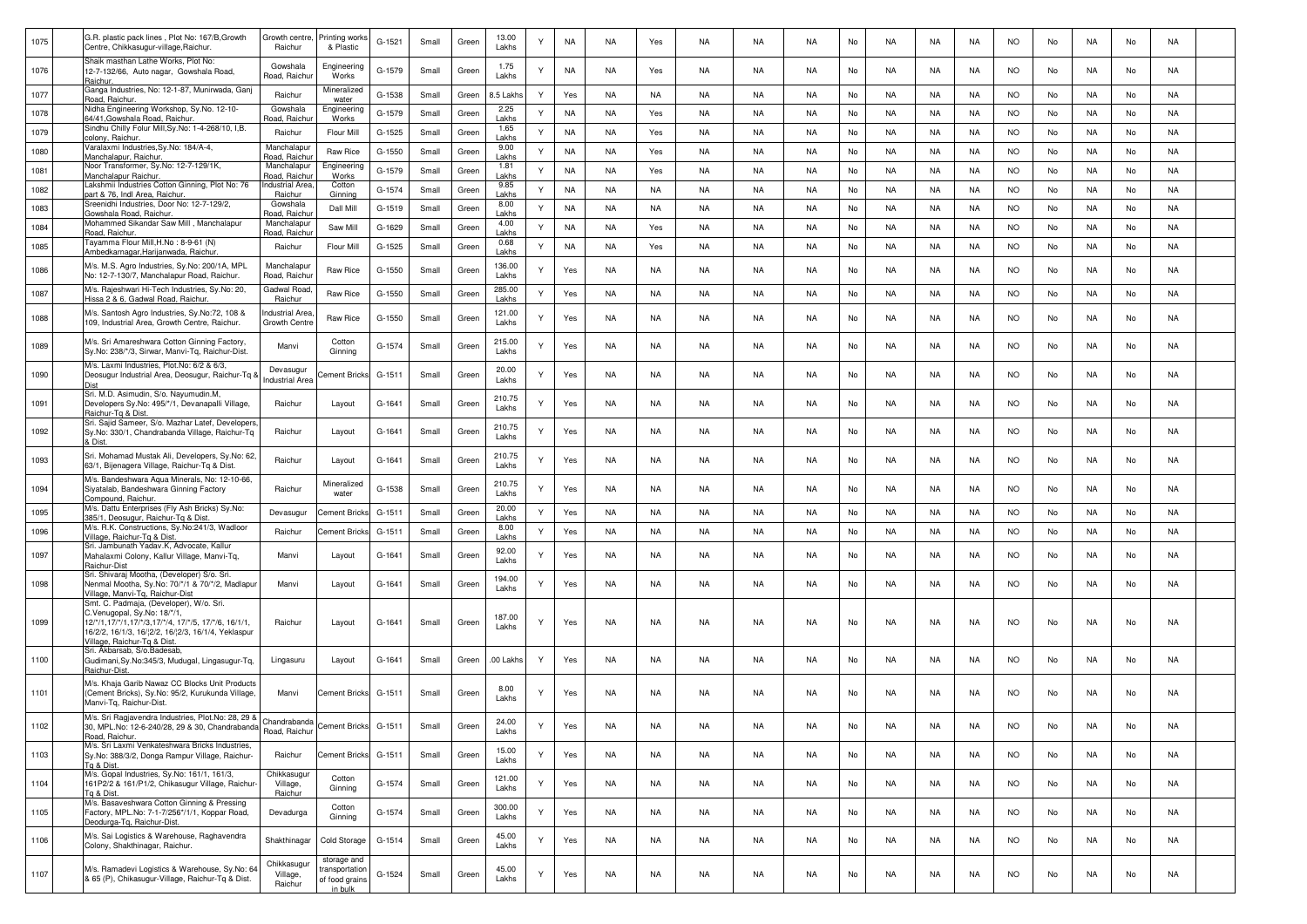| 1075 | G.R. plastic pack lines, Plot No: 167/B, Growth<br>Centre, Chikkasugur-village, Raichur                                                                                   | Growth centre<br>Raichur            | rinting works<br>& Plastic                                 | G-1521   | Small | Green | 13.00<br>Lakhs  |   | NA        | NA        | Yes       | NA        | NA        | <b>NA</b> | No | NA        | NA        | NA        | <b>NO</b> | No | NA        | No | NA        |  |
|------|---------------------------------------------------------------------------------------------------------------------------------------------------------------------------|-------------------------------------|------------------------------------------------------------|----------|-------|-------|-----------------|---|-----------|-----------|-----------|-----------|-----------|-----------|----|-----------|-----------|-----------|-----------|----|-----------|----|-----------|--|
| 1076 | Shaik masthan Lathe Works, Plot No:<br>12-7-132/66, Auto nagar, Gowshala Road,<br>Raichur                                                                                 | Gowshala<br>Road, Raichu            | Engineering<br>Works                                       | G-1579   | Small | Green | 1.75<br>Lakhs   | Υ | NA        | NA        | Yes       | NA        | NA        | NA        | No | NA.       | NA.       | NA        | <b>NO</b> | No | NA        | No | NA        |  |
| 1077 | Ganga Industries, No: 12-1-87, Munirwada, Ganj<br>Road, Raichur.                                                                                                          | Raichur                             | Mineralized<br>water                                       | G-1538   | Small | Green | 3.5 Lakh        | Y | Yes       | NA        | NA        | NA        | NA        | <b>NA</b> | No | NA        | NA        | NA        | <b>NO</b> | No | NA        | No | NA        |  |
| 1078 | Nidha Engineering Workshop, Sy.No. 12-10-<br>64/41. Gowshala Road, Raichur.                                                                                               | Gowshala<br>Road, Raichu            | Engineerinc<br>Works                                       | G-1579   | Small | Green | 2.25<br>Lakhs   | Y | <b>NA</b> | NA        | Yes       | NA        | NA        | <b>NA</b> | No | NA        | NA        | NA        | <b>NO</b> | No | NA        | No | NA        |  |
| 1079 | Sindhu Chilly Folur Mill, Sy.No: 1-4-268/10, I,B.<br>colony, Raichur.                                                                                                     | Raichur                             | Flour Mill                                                 | $G-1525$ | Small | Green | 1.65<br>Lakhs   | Y | <b>NA</b> | <b>NA</b> | Yes       | <b>NA</b> | NA        | <b>NA</b> | No | <b>NA</b> | <b>NA</b> | NA        | <b>NO</b> | No | NA        | No | <b>NA</b> |  |
| 1080 | Varalaxmi Industries, Sy.No: 184/A-4,<br>Manchalapur, Raichur                                                                                                             | Manchalapu<br>Road, Raichu          | Raw Rice                                                   | $G-1550$ | Small | Green | 9.00<br>Lakhs   | Y | <b>NA</b> | <b>NA</b> | Yes       | NA        | NA        | <b>NA</b> | No | NA        | <b>NA</b> | NA        | <b>NO</b> | No | NA        | No | <b>NA</b> |  |
| 1081 | Noor Transformer, Sy.No: 12-7-129/1K,<br>Manchalapur Raichur                                                                                                              | Manchalapur<br>Road, Raichu         | Engineering<br>Works                                       | G-1579   | Small | Green | 1.81<br>Lakhs   | ٧ | <b>NA</b> | <b>NA</b> | Yes       | NA        | NA        | <b>NA</b> | No | NA        | <b>NA</b> | NA        | <b>NO</b> | No | NA        | No | <b>NA</b> |  |
| 1082 | Lakshmii Industries Cotton Ginning, Plot No: 76<br>part & 76. Indl Area, Raichur                                                                                          | ndustrial Area<br>Raichur           | Cotton<br>Ginning                                          | G-1574   | Small | Green | 9.85<br>Lakhs   | Y | <b>NA</b> | <b>NA</b> | NA        | NA        | NA        | <b>NA</b> | No | NA        | <b>NA</b> | NA        | <b>NO</b> | No | NA        | No | NA        |  |
| 1083 | Sreenidhi Industries, Door No: 12-7-129/2,<br>Gowshala Road, Raichur.                                                                                                     | Gowshala<br>load, Raich             | Dall Mill                                                  | G-1519   | Small | Green | 8.00<br>Lakhs   | Υ | <b>NA</b> | NA        | NA        | NA        | NA        | <b>NA</b> | No | NA        | <b>NA</b> | NA        | <b>NO</b> | No | NA        | No | NA        |  |
| 1084 | Mohammed Sikandar Saw Mill, Manchalapur<br>Road, Raichur.                                                                                                                 | Manchalapur<br>Road, Raichu         | Saw Mill                                                   | G-1629   | Small | Green | 4.00<br>Lakhs   | Y | <b>NA</b> | NA        | Yes       | NA        | NA        | <b>NA</b> | No | <b>NA</b> | NA        | NA        | <b>NO</b> | No | NA        | No | NA        |  |
| 1085 | Fayamma Flour Mill, H.No: 8-9-61 (N)<br>Ambedkarnagar, Harijanwada, Raichur                                                                                               | Raichur                             | Flour Mill                                                 | $G-1525$ | Small | Green | 0.68<br>Lakhs   | Y | <b>NA</b> | <b>NA</b> | Yes       | NA        | <b>NA</b> | <b>NA</b> | No | <b>NA</b> | <b>NA</b> | <b>NA</b> | <b>NO</b> | No | <b>NA</b> | No | <b>NA</b> |  |
| 1086 | M/s. M.S. Agro Industries, Sy.No: 200/1A, MPL<br>No: 12-7-130/7, Manchalapur Road, Raichur.                                                                               | Manchalapur<br>Road, Raichu         | Raw Rice                                                   | $G-1550$ | Small | Green | 136.00<br>Lakhs |   | Yes       | NA        | NA        | NA        | NA        | <b>NA</b> | No | NA        | NA        | NA        | <b>NO</b> | No | NA        | No | NA        |  |
| 1087 | M/s. Rajeshwari Hi-Tech Industries, Sy.No: 20,<br>Hissa 2 & 6, Gadwal Road, Raichur.                                                                                      | Gadwal Road<br>Raichur              | Raw Rice                                                   | G-1550   | Small | Green | 285.00<br>Lakhs | Y | Yes       | NA        | NA        | NA        | NA        | <b>NA</b> | No | NA.       | NA        | NA        | <b>NO</b> | No | NA        | No | NA        |  |
| 1088 | M/s. Santosh Agro Industries, Sy.No:72, 108 &<br>109, Industrial Area, Growth Centre, Raichur.                                                                            | ndustrial Area<br>Growth Centr      | Raw Rice                                                   | G-1550   | Small | Green | 121.00<br>Lakhs |   | Yes       | NA        | NA        | NA        | NA        | NA        | No | NA.       | NA        | NA        | <b>NO</b> | No | NA        | No | NA        |  |
| 1089 | M/s. Sri Amareshwara Cotton Ginning Factory,<br>Sy.No: 238/*/3, Sirwar, Manvi-Tq, Raichur-Dist.                                                                           | Manvi                               | Cotton<br>Ginning                                          | G-1574   | Small | Green | 215.00<br>Lakhs |   | Yes       | NA        | NA        | NA        | NA        | <b>NA</b> | No | NA        | NA        | NA        | <b>NO</b> | No | NA        | No | NA        |  |
| 1090 | M/s. Laxmi Industries, Plot.No: 6/2 & 6/3<br>Deosugur Industrial Area, Deosugur, Raichur-Tq &<br>Dist                                                                     | Devasugur<br><b>Industrial Area</b> | ement Bricks                                               | G-1511   | Small | Green | 20.00<br>Lakhs  |   | Yes       | NA        | NA        | NA        | NA        | <b>NA</b> | No | NA        | NA        | NA        | <b>NO</b> | No | NA        | No | NA        |  |
| 1091 | Sri. M.D. Asimudin, S/o. Nayumudin.M,<br>Developers Sy.No: 495/*/1, Devanapalli Village,<br>Raichur-Tg & Dist.                                                            | Raichur                             | Layout                                                     | G-1641   | Small | Green | 210.75<br>Lakhs |   | Yes       | <b>NA</b> | NA        | NA        | NA        | <b>NA</b> | No | NA        | NA        | NA        | <b>NO</b> | No | NA        | No | <b>NA</b> |  |
| 1092 | Sri. Sajid Sameer, S/o. Mazhar Latef, Developers<br>Sy.No: 330/1, Chandrabanda Village, Raichur-Tq<br>& Dist.                                                             | Raichur                             | Layout                                                     | G-1641   | Small | Green | 210.75<br>Lakhs | Ý | Yes       | NA        | NA        | NA        | NA        | <b>NA</b> | No | NA        | <b>NA</b> | NA        | <b>NO</b> | No | NA        | No | <b>NA</b> |  |
| 1093 | Sri. Mohamad Mustak Ali. Developers, Sv.No: 62.<br>63/1, Bijenagera Village, Raichur-Tg & Dist.                                                                           | Raichur                             | Layout                                                     | G-1641   | Small | Green | 210.75<br>Lakhs |   | Yes       | NA        | NA        | NA        | NA        | <b>NA</b> | No | NA        | NA        | NA        | <b>NO</b> | No | NA        | No | NA        |  |
| 1094 | M/s. Bandeshwara Aqua Minerals, No: 12-10-66,<br>Siyatalab, Bandeshwara Ginning Factory<br>Compound, Raichur.                                                             | Raichur                             | Mineralized<br>water                                       | G-1538   | Small | Green | 210.75<br>Lakhs | Ÿ | Yes       | <b>NA</b> | NA        | NA        | <b>NA</b> | <b>NA</b> | No | NA        | NA        | NA        | <b>NO</b> | No | NA        | No | NA        |  |
| 1095 | M/s. Dattu Enterprises (Fly Ash Bricks) Sy.No:<br>385/1, Deosugur, Raichur-Tg & Dist                                                                                      | Devasugur                           | Cement Bricks                                              | G-1511   | Small | Green | 20.00<br>Lakhs  | Y | Yes       | <b>NA</b> | <b>NA</b> | NA        | NA        | <b>NA</b> | No | <b>NA</b> | NA        | NA        | <b>NO</b> | No | NA        | No | <b>NA</b> |  |
| 1096 | M/s. R.K. Constructions, Sy.No:241/3, Wadloor<br>Village, Raichur-Tq & Dist.                                                                                              | Raichur                             | Cement Brick                                               | G-1511   | Small | Green | 8.00<br>Lakhs   | Y | Yes       | NA        | NA        | NA        | NA        | <b>NA</b> | No | NA.       | NA        | NA        | <b>NO</b> | No | NA        | No | NA        |  |
| 1097 | Sri. Jambunath Yadav.K, Advocate, Kallur<br>Mahalaxmi Colony, Kallur Village, Manvi-Tq,<br>Raichur-Dist                                                                   | Manvi                               | Layout                                                     | G-1641   | Small | Green | 92.00<br>Lakhs  | Υ | Yes       | NA        | NA        | NA        | NA        | NA        | No | NA.       | NA.       | NA        | <b>NO</b> | No | NA        | No | NA        |  |
| 1098 | Sri. Shivaraj Mootha, (Developer) S/o. Sri.<br>Nenmal Mootha, Sy.No: 70/*/1 & 70/*/2, Madlapur<br>Village, Manvi-Tg, Raichur-Dist                                         | Manvi                               | Layout                                                     | G-1641   | Small | Green | 194.00<br>Lakhs | Υ | Yes       | NA        | NA        | NA        | NA        | <b>NA</b> | No | NA        | NA        | NA        | <b>NO</b> | No | NA        | No | NA        |  |
|      | Smt. C. Padmaja, (Developer), W/o. Sri.                                                                                                                                   |                                     |                                                            |          |       |       |                 |   |           |           |           |           |           |           |    |           |           |           |           |    |           |    |           |  |
| 1099 | C.Venugopal, Sy.No: 18/*/1,<br>12/*/1,17/*/1,17/*/3,17/*/4, 17/*/5, 17/*/6, 16/1/1,<br>16/2/2, 16/1/3, 16/ 2/2, 16/ 2/3, 16/1/4, Yeklaspur<br>Village, Raichur-Tg & Dist. | Raichur                             | Layout                                                     | G-1641   | Small | Green | 187.00<br>Lakhs | Υ | Yes       | <b>NA</b> | NA        | NA        | NA        | <b>NA</b> | No | NA        | NA        | NA        | <b>NO</b> | No | NA        | No | NA        |  |
| 1100 | Sri. Akbarsab, S/o.Badesab.<br>Gudimani, Sy.No:345/3, Mudugal, Lingasugur-Tq,<br>Raichur-Dist                                                                             | Lingasuru                           | Layout                                                     | G-1641   | Small | Green | .00 Lakhs       | Υ | Yes       | NA.       | NA        | NA        | NA        | NA.       | No | NA        | NA        | NA        | NO.       | No | NA        | No | NA        |  |
| 1101 | M/s. Khaja Garib Nawaz CC Blocks Unit Products<br>(Cement Bricks), Sy.No: 95/2, Kurukunda Village.<br>Manvi-Tg, Raichur-Dist.                                             | Manvi                               | <b>Cement Bricks</b>                                       | $G-1511$ | Small | Green | 8.00<br>Lakhs   |   | Yes       | NA        | NA        | NA        | NA        | <b>NA</b> | No | NA        | NA        | NA        | <b>NO</b> | No | NA        | No | NA        |  |
| 1102 | M/s. Sri Ragjavendra Industries, Plot.No: 28, 29 & Chandrabanda<br>30, MPL.No: 12-6-240/28, 29 & 30, Chandrabanda<br>Road, Raichur.                                       | Road, Raichu                        | <b>Cement Bricks</b>                                       | G-1511   | Small | Green | 24.00<br>Lakhs  |   | Yes       | NA        | NA        | NA        | NA        | <b>NA</b> | No | NA        | NA        | NA        | <b>NO</b> | No | NA        | No | NA        |  |
| 1103 | M/s. Sri Laxmi Venkateshwara Bricks Industries,<br>Sy.No: 388/3/2, Donga Rampur Village, Raichur-<br>Tg & Dist                                                            | Raichur                             | <b>Cement Bricks</b>                                       | G-1511   | Small | Green | 15.00<br>Lakhs  |   | Yes       | NA        | NA        | NA        | <b>NA</b> | <b>NA</b> | No | <b>NA</b> | <b>NA</b> | NA        | <b>NO</b> | No | <b>NA</b> | No | <b>NA</b> |  |
| 1104 | M/s. Gopal Industries, Sy.No: 161/1, 161/3,<br>161P2/2 & 161/P1/2, Chikasugur Village, Raichur-<br>Ta & Dist.                                                             | Chikkasugu<br>Village,<br>Raichur   | Cotton<br>Ginning                                          | G-1574   | Small | Green | 121.00<br>Lakhs |   | Yes       | NA        | NA        | NA        | NA        | <b>NA</b> | No | NA        | NA        | NA        | <b>NO</b> | No | NA        | No | NA        |  |
| 1105 | M/s. Basaveshwara Cotton Ginning & Pressing<br>Factory, MPL.No: 7-1-7/256*/1/1, Koppar Road,<br>Deodurga-Tq, Raichur-Dist.                                                | Devadurga                           | Cotton<br>Ginning                                          | G-1574   | Small | Green | 300.00<br>Lakhs |   | Yes       | NA        | NA        | NA        | NA        | <b>NA</b> | No | <b>NA</b> | NA        | NA        | <b>NO</b> | No | NA        | No | NA        |  |
| 1106 | M/s. Sai Logistics & Warehouse, Raghavendra<br>Colony, Shakthinagar, Raichur.                                                                                             | Shakthinagar                        | Cold Storage                                               | $G-1514$ | Small | Green | 45.00<br>Lakhs  |   | Yes       | <b>NA</b> | <b>NA</b> | NA        | NA        | <b>NA</b> | No | NA        | NA        | NA        | <b>NO</b> | No | NA        | No | NA        |  |
| 1107 | M/s. Ramadevi Logistics & Warehouse, Sy.No: 64<br>& 65 (P), Chikasugur-Village, Raichur-Tq & Dist.                                                                        | Chikkasugur<br>Village,<br>Raichur  | storage and<br>transportation<br>of food grains<br>in bulk | G-1524   | Small | Green | 45.00<br>Lakhs  | Υ | Yes       | <b>NA</b> | NA        | NA        | NA        | <b>NA</b> | No | NA        | NA        | NA        | <b>NO</b> | No | NA        | No | NA        |  |
|      |                                                                                                                                                                           |                                     |                                                            |          |       |       |                 |   |           |           |           |           |           |           |    |           |           |           |           |    |           |    |           |  |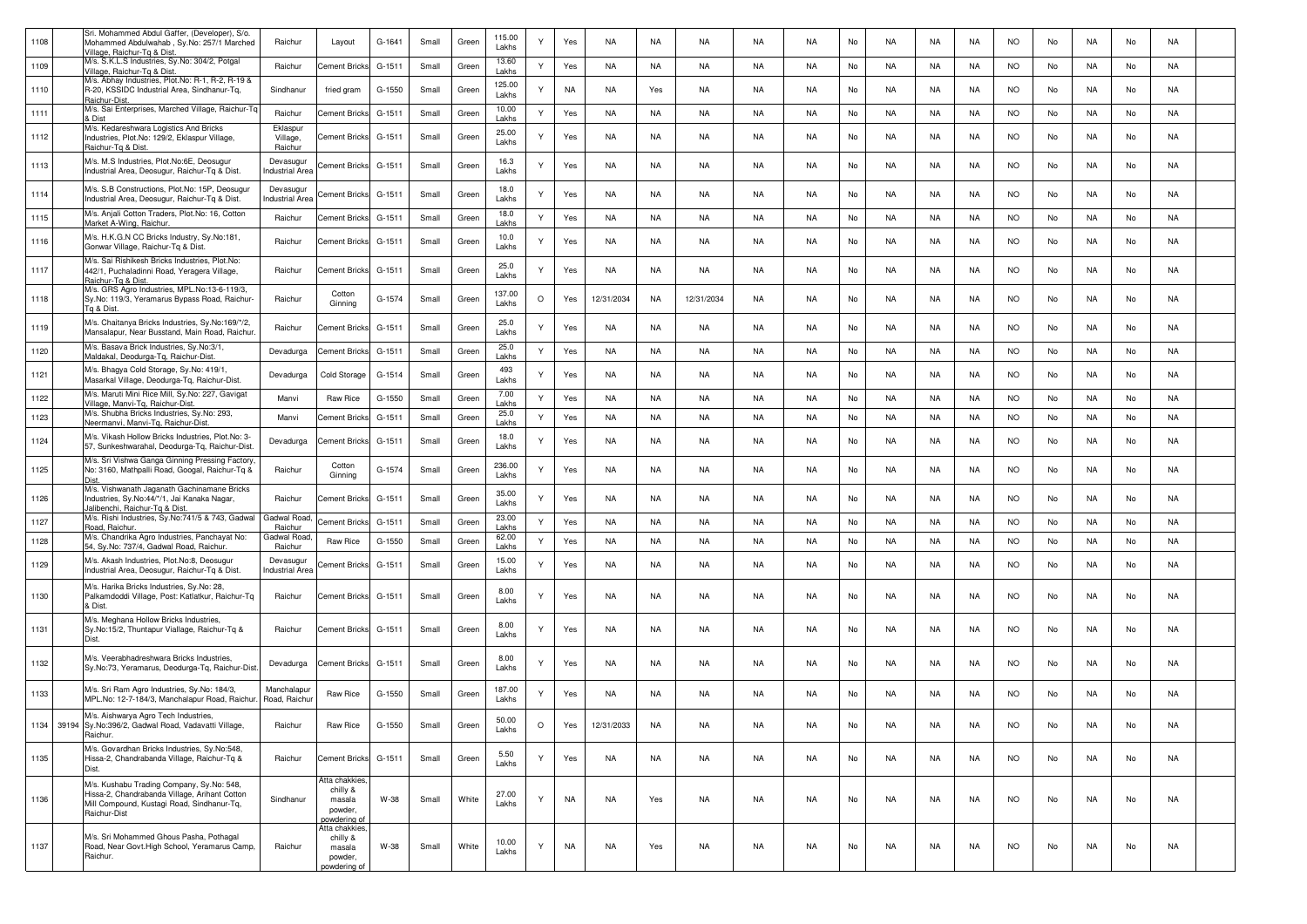| 1108 | Sri. Mohammed Abdul Gaffer, (Developer), S/o.<br>Mohammed Abdulwahab, Sy.No: 257/1 Marched<br>Village, Raichur-Tg & Dist                                 | Raichur                             | Layout                                                          | G-1641   | Small | Green | 115.00<br>Lakhs | Υ       | Yes       | NA         | <b>NA</b> | <b>NA</b>  | NA        | <b>NA</b> | No | <b>NA</b> | NA        | NA        | <b>NO</b> | No | NA        | No | NA        |  |
|------|----------------------------------------------------------------------------------------------------------------------------------------------------------|-------------------------------------|-----------------------------------------------------------------|----------|-------|-------|-----------------|---------|-----------|------------|-----------|------------|-----------|-----------|----|-----------|-----------|-----------|-----------|----|-----------|----|-----------|--|
| 1109 | M/s. S.K.L.S Industries, Sy.No: 304/2, Potgal<br>Village, Raichur-Tg & Dist                                                                              | Raichur                             | Cement Brick                                                    | G-1511   | Small | Green | 13.60<br>Lakhs  | Y       | Yes       | <b>NA</b>  | NA        | NA         | NA        | <b>NA</b> | No | <b>NA</b> | NA        | NA        | <b>NO</b> | No | NA        | No | NA        |  |
| 1110 | M/s. Abhay Industries, Plot.No: R-1, R-2, R-19 &<br>R-20, KSSIDC Industrial Area, Sindhanur-Tg,<br>Raichur-Dist.                                         | Sindhanur                           | fried gram                                                      | G-1550   | Small | Green | 125.00<br>Lakhs | Y       | <b>NA</b> | NA         | Yes       | NA         | NA        | NA.       | No | NA        | NA        | NA        | <b>NO</b> | No | NA        | No | NA        |  |
| 1111 | M/s. Sai Enterprises, Marched Village, Raichur-Tq<br>Dist                                                                                                | Raichur                             | <b>Cement Bricks</b>                                            | $G-1511$ | Small | Green | 10.00<br>Lakhs  | Y       | Yes       | NA         | NA        | NA         | NA        | <b>NA</b> | No | <b>NA</b> | NA        | NA        | <b>NO</b> | No | NA        | No | NA        |  |
| 1112 | M/s. Kedareshwara Logistics And Bricks<br>Industries, Plot.No: 129/2, Eklaspur Village,<br>Raichur-Tg & Dist.                                            | Eklaspur<br>Village,<br>Raichur     | <b>Cement Bricks</b>                                            | G-1511   | Small | Green | 25.00<br>Lakhs  | Y       | Yes       | <b>NA</b>  | <b>NA</b> | <b>NA</b>  | <b>NA</b> | <b>NA</b> | No | <b>NA</b> | NA        | NA        | <b>NO</b> | No | <b>NA</b> | No | NA        |  |
| 1113 | M/s. M.S Industries, Plot.No:6E, Deosugur<br>Industrial Area, Deosugur, Raichur-Tq & Dist.                                                               | Devasugur<br><b>Industrial Area</b> | Cement Bricks                                                   | G-1511   | Small | Green | 16.3<br>Lakhs   | Y       | Yes       | NA         | <b>NA</b> | NA         | NA        | <b>NA</b> | No | NA        | NA        | NA        | <b>NO</b> | No | NA        | No | NA        |  |
| 1114 | M/s. S.B Constructions, Plot.No: 15P, Deosugur<br>Industrial Area, Deosugur, Raichur-Tg & Dist.                                                          | Devasugur<br>Industrial Area        | Cement Bricks                                                   | G-1511   | Small | Green | 18.0<br>Lakhs   | Y       | Yes       | NA         | NA        | NA         | NA        | NA.       | No | NA        | <b>NA</b> | NA        | <b>NO</b> | No | NA        | No | NA        |  |
| 1115 | M/s. Anjali Cotton Traders, Plot.No: 16, Cotton<br>Market A-Wing, Raichur.                                                                               | Raichur                             | <b>Cement Bricks</b>                                            | G-1511   | Small | Green | 18.0<br>Lakhs   | Y       | Yes       | NA         | NA        | NA         | NA        | <b>NA</b> | No | <b>NA</b> | NA        | NA        | <b>NO</b> | No | NA        | No | NA        |  |
| 1116 | M/s. H.K.G.N CC Bricks Industry, Sy.No:181,<br>Gonwar Village, Raichur-Tq & Dist.                                                                        | Raichur                             | <b>Cement Bricks</b>                                            | G-1511   | Small | Green | 10.0<br>Lakhs   | Y       | Yes       | NA         | NA        | NA         | <b>NA</b> | <b>NA</b> | No | <b>NA</b> | NA        | NA        | <b>NO</b> | No | NA        | No | NA        |  |
| 1117 | M/s. Sai Rishikesh Bricks Industries, Plot.No:<br>442/1, Puchaladinni Road, Yeragera Village,<br>Raichur-To & Dist.                                      | Raichur                             | Cement Bricks                                                   | $G-1511$ | Small | Green | 25.0<br>Lakhs   | Υ       | Yes       | NA         | <b>NA</b> | NA         | NA        | <b>NA</b> | No | NA        | NA        | NA        | <b>NO</b> | No | NA        | No | NA        |  |
| 1118 | M/s. GRS Agro Industries, MPL.No:13-6-119/3,<br>Sy.No: 119/3, Yeramarus Bypass Road, Raichur-<br>Ta & Dist                                               | Raichur                             | Cotton<br>Ginning                                               | G-1574   | Small | Green | 137.00<br>Lakhs | $\circ$ | Yes       | 12/31/2034 | <b>NA</b> | 12/31/2034 | NA        | NA.       | No | NA        | NA        | NA        | <b>NO</b> | No | NA        | No | NA        |  |
| 1119 | M/s. Chaitanya Bricks Industries, Sy.No:169/*/2,<br>Mansalapur, Near Busstand, Main Road, Raichur.                                                       | Raichur                             | Cement Bricks                                                   | G-1511   | Small | Green | 25.0<br>Lakhs   | Y       | Yes       | NA         | NA        | NA         | NA        | <b>NA</b> | No | NA        | NA        | NA        | <b>NO</b> | No | NA.       | No | NA        |  |
| 1120 | M/s. Basava Brick Industries, Sy.No:3/1,<br>Maldakal, Deodurga-Tg, Raichur-Dist.                                                                         | Devadurga                           | Cement Bricks                                                   | G-1511   | Small | Green | 25.0<br>Lakhs   | Y       | Yes       | NA         | NA        | NA         | NA        | <b>NA</b> | No | <b>NA</b> | NA        | NA        | <b>NO</b> | No | NA        | No | NA        |  |
| 1121 | M/s. Bhagya Cold Storage, Sy.No: 419/1,<br>Masarkal Village, Deodurga-Tq, Raichur-Dist.                                                                  | Devadurga                           | Cold Storage                                                    | G-1514   | Small | Green | 493<br>Lakhs    | Y       | Yes       | NA         | NA        | <b>NA</b>  | <b>NA</b> | <b>NA</b> | No | <b>NA</b> | NA        | NA        | <b>NO</b> | No | NA.       | No | NA        |  |
| 1122 | M/s. Maruti Mini Rice Mill, Sy.No: 227, Gavigat<br>Village, Manvi-Tq, Raichur-Dist.                                                                      | Manvi                               | Raw Rice                                                        | G-1550   | Small | Green | 7.00<br>Lakhs   | Y       | Yes       | <b>NA</b>  | <b>NA</b> | NA         | NA        | <b>NA</b> | No | <b>NA</b> | NA        | NA        | <b>NO</b> | No | <b>NA</b> | No | <b>NA</b> |  |
| 1123 | M/s. Shubha Bricks Industries, Sy.No: 293,<br>Neermanvi, Manvi-Tg, Raichur-Dist.                                                                         | Manvi                               | Cement Bricks                                                   | $G-1511$ | Small | Green | 25.0<br>Lakhs   | Y       | Yes       | <b>NA</b>  | NA        | NA         | NA        | <b>NA</b> | No | <b>NA</b> | NA        | NA        | <b>NO</b> | No | NA        | No | NA        |  |
| 1124 | M/s. Vikash Hollow Bricks Industries, Plot.No: 3-<br>57, Sunkeshwarahal, Deodurga-Tq, Raichur-Dist.                                                      | Devadurga                           | Cement Bricks                                                   | G-1511   | Small | Green | 18.0<br>Lakhs   | Y       | Yes       | NA         | NA        | NA         | NA        | <b>NA</b> | No | NA        | NA        | NA        | <b>NO</b> | No | NA        | No | NA        |  |
| 1125 | M/s. Sri Vishwa Ganga Ginning Pressing Factory<br>No: 3160, Mathpalli Road, Googal, Raichur-Tq &<br>Dist                                                 | Raichur                             | Cotton<br>Ginning                                               | G-1574   | Small | Green | 236.00<br>Lakhs | Y       | Yes       | NA         | <b>NA</b> | NA         | NA        | <b>NA</b> | No | NA        | <b>NA</b> | NA        | <b>NO</b> | No | NA        | No | NA        |  |
| 1126 | M/s. Vishwanath Jaganath Gachinamane Bricks<br>Industries, Sy.No:44/*/1, Jai Kanaka Nagar,<br>lalibenchi, Raichur-Tq & Dist.                             | Raichur                             | <b>Cement Bricks</b>                                            | $G-1511$ | Small | Green | 35.00<br>Lakhs  | Y       | Yes       | NA         | <b>NA</b> | NA.        | <b>NA</b> | <b>NA</b> | No | <b>NA</b> | NA        | NA        | <b>NO</b> | No | NA        | No | NA        |  |
| 1127 | M/s. Rishi Industries, Sy.No:741/5 & 743, Gadwal<br>Road, Raichur.                                                                                       | Gadwal Road<br>Raichur              | Cement Bricks                                                   | G-1511   | Small | Green | 23.00<br>Lakhs  | Y       | Yes       | <b>NA</b>  | NA        | NA         | NA        | <b>NA</b> | No | <b>NA</b> | <b>NA</b> | NA        | <b>NO</b> | No | NA        | No | NA        |  |
| 1128 | M/s. Chandrika Agro Industries, Panchayat No:<br>54, Sy.No: 737/4, Gadwal Road, Raichur                                                                  | Gadwal Road<br>Raichur              | <b>Raw Rice</b>                                                 | G-1550   | Small | Green | 62.00<br>Lakhs  | Y       | Yes       | <b>NA</b>  | NA        | NA         | NA        | <b>NA</b> | No | <b>NA</b> | NA        | NA        | <b>NO</b> | No | NA        | No | NA        |  |
| 1129 | M/s. Akash Industries, Plot.No:8, Deosugur<br>Industrial Area, Deosugur, Raichur-Tq & Dist.                                                              | Devasugur<br><b>Industrial Area</b> | Cement Bricks                                                   | G-1511   | Small | Green | 15.00<br>Lakhs  | Y       | Yes       | NA         | <b>NA</b> | NA         | NA        | NA.       | No | NA        | NA        | NA        | <b>NO</b> | No | NA        | No | NA        |  |
| 1130 | M/s. Harika Bricks Industries, Sy.No: 28,<br>Palkamdoddi Village, Post: Katlatkur, Raichur-Tq<br>& Dist                                                  | Raichur                             | <b>Cement Bricks</b>                                            | G-1511   | Small | Green | 8.00<br>Lakhs   | Y       | Yes       | NA         | NA        | NA         | <b>NA</b> | <b>NA</b> | No | <b>NA</b> | NA        | <b>NA</b> | <b>NO</b> | No | NA        | No | NA        |  |
| 1131 | M/s. Meghana Hollow Bricks Industries,<br>Sy.No:15/2, Thuntapur Viallage, Raichur-Tq &<br>Dist.                                                          | Raichur                             | Cement Bricks                                                   | G-1511   | Small | Green | 8.00<br>Lakhs   | Y       | Yes       | NA         | NA        | NA         | NA        | <b>NA</b> | No | NA        | NA        | NA        | <b>NO</b> | No | NA.       | No | NA        |  |
| 1132 | M/s. Veerabhadreshwara Bricks Industries,<br>Sy.No:73, Yeramarus, Deodurga-Tq, Raichur-Dist                                                              | Devadurga                           | Cement Bricks                                                   | G-1511   | Small | Green | 8.00<br>Lakhs   | Υ       | Yes       | NA         | NA        | NA         | NA        | NA        | No | NA        | NA        | NA        | <b>NO</b> | No | NA        | No | NA        |  |
| 1133 | M/s. Sri Ram Agro Industries, Sy.No: 184/3,<br>MPL.No: 12-7-184/3, Manchalapur Road, Raichur.                                                            | Manchalapur<br>Road, Raichu         | Raw Rice                                                        | G-1550   | Small | Green | 187.00<br>Lakhs |         | Yes       | NA         | <b>NA</b> | <b>NA</b>  | <b>NA</b> | <b>NA</b> | No | NA        | <b>NA</b> | <b>NA</b> | <b>NO</b> | No | NA        | No | NA        |  |
|      | M/s. Aishwarya Agro Tech Industries,<br>1134 39194 Sy.No:396/2, Gadwal Road, Vadavatti Village,<br>Raichur.                                              | Raichur                             | Raw Rice                                                        | G-1550   | Small | Green | 50.00<br>Lakhs  |         | Yes       | 12/31/2033 | NA        | NA.        | NA.       | NA.       | No | NA.       | NA.       | NA        | NO        | No | NA        | No | NA.       |  |
| 1135 | M/s. Govardhan Bricks Industries, Sv.No:548.<br>Hissa-2, Chandrabanda Village, Raichur-Tq &<br>Dist.                                                     | Raichur                             | <b>Cement Bricks</b>                                            | G-1511   | Small | Green | 5.50<br>Lakhs   | Y       | Yes       | NA         | NA        | NA         | NA        | NA        | No | <b>NA</b> | NA        | NA        | <b>NO</b> | No | NA        | No | NA        |  |
| 1136 | M/s. Kushabu Trading Company, Sy.No: 548,<br>Hissa-2, Chandrabanda Village, Arihant Cotton<br>Mill Compound, Kustagi Road, Sindhanur-Tq,<br>Raichur-Dist | Sindhanur                           | Atta chakkies,<br>chilly &<br>masala<br>powder,                 | W-38     | Small | White | 27.00<br>Lakhs  | Y       | <b>NA</b> | NA         | Yes       | NA         | NA        | NA        | No | <b>NA</b> | NA        | NA        | <b>NO</b> | No | NA        | No | NA        |  |
| 1137 | M/s. Sri Mohammed Ghous Pasha, Pothagal<br>Road, Near Govt.High School, Yeramarus Camp,<br>Raichur.                                                      | Raichur                             | powdering of<br>Atta chakkies,<br>chilly &<br>masala<br>powder, | W-38     | Small | White | 10.00<br>Lakhs  | Υ       | NA        | NA         | Yes       | NA         | NA        | NA        | No | <b>NA</b> | NA        | NA        | <b>NO</b> | No | NA        | No | NA        |  |
|      |                                                                                                                                                          |                                     | oowdering of                                                    |          |       |       |                 |         |           |            |           |            |           |           |    |           |           |           |           |    |           |    |           |  |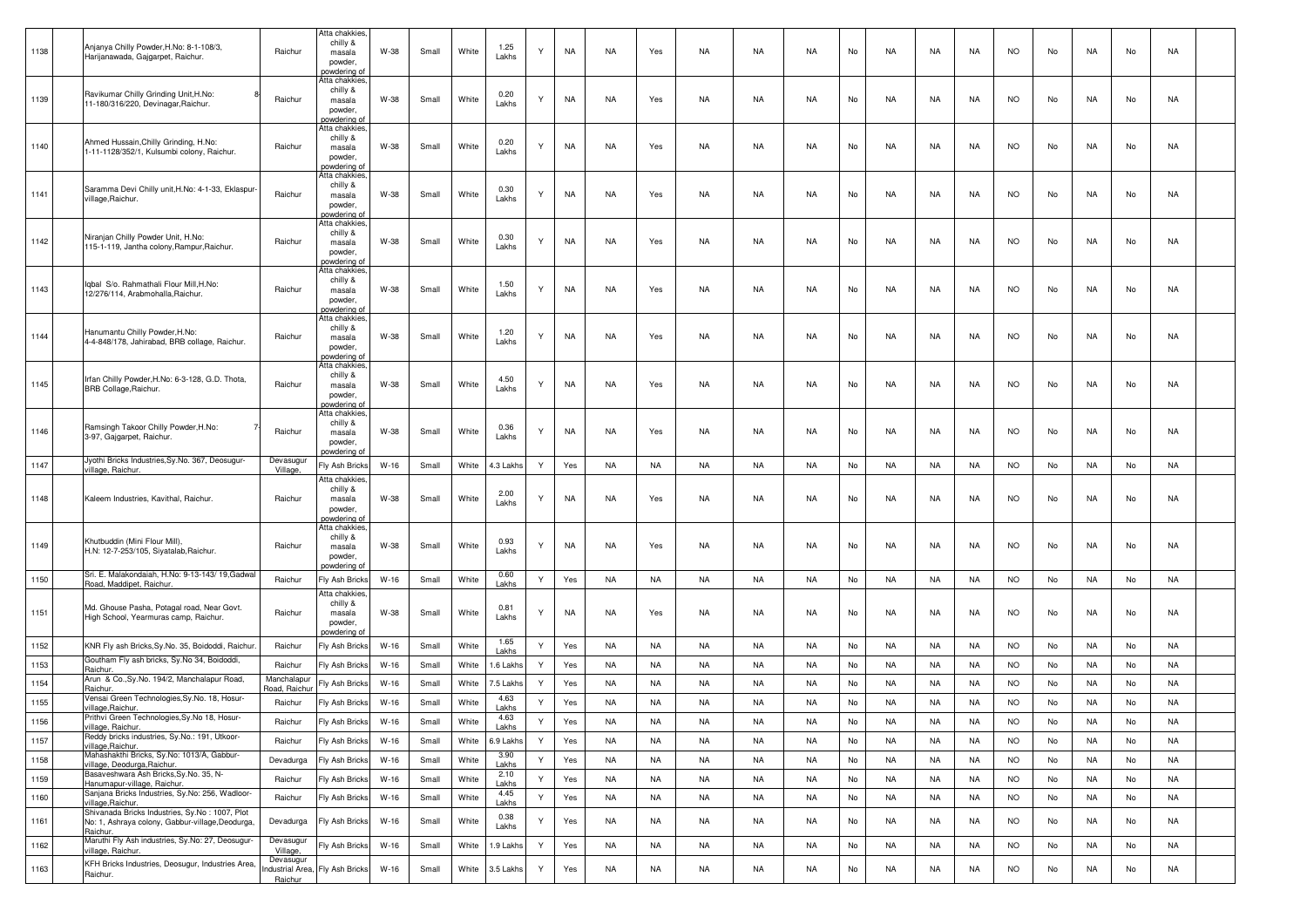| 1138 | Anjanya Chilly Powder, H.No: 8-1-108/3,<br>Harijanawada, Gajgarpet, Raichur.        | Raichur                    | Atta chakkies<br>chilly &<br>masala<br>powder,<br>oowdering of       | W-38   | Small | White | 1.25<br>Lakhs      | Y            | NA        | NA        | Yes       | NA        | NA        | NA        | No | NA        | NA        | NA        | <b>NO</b> | No | NA        | No | NA        |  |
|------|-------------------------------------------------------------------------------------|----------------------------|----------------------------------------------------------------------|--------|-------|-------|--------------------|--------------|-----------|-----------|-----------|-----------|-----------|-----------|----|-----------|-----------|-----------|-----------|----|-----------|----|-----------|--|
| 1139 | Ravikumar Chilly Grinding Unit, H.No:<br>11-180/316/220, Devinagar, Raichur.        | Raichur                    | Atta chakkies<br>chilly &<br>masala<br>powder,<br>oowdering of       | W-38   | Small | White | 0.20<br>Lakhs      | Y            | NA        | NA        | Yes       | NA        | NA        | NA        | No | NA        | NA        | NA        | <b>NO</b> | No | NA        | No | NA        |  |
| 1140 | Ahmed Hussain, Chilly Grinding, H.No:<br>1-11-1128/352/1, Kulsumbi colony, Raichur. | Raichur                    | Atta chakkies.<br>chilly &<br>masala<br>powder,<br>oowdering o       | W-38   | Small | White | 0.20<br>Lakhs      | Y            | NA        | NA        | Yes       | NA        | NA        | NA        | No | NA        | NA        | NA        | <b>NO</b> | No | NA        | No | NA        |  |
| 1141 | Saramma Devi Chilly unit, H.No: 4-1-33, Eklaspur-<br>village, Raichur.              | Raichur                    | Atta chakkies<br>chilly &<br>masala<br>powder,<br><u>powdering o</u> | W-38   | Small | White | 0.30<br>Lakhs      | Y            | NA        | NA        | Yes       | NA        | <b>NA</b> | NA        | No | <b>NA</b> | NA        | NA        | <b>NO</b> | No | NA        | No | NA        |  |
| 1142 | Niranjan Chilly Powder Unit, H.No:<br>115-1-119, Jantha colony, Rampur, Raichur.    | Raichur                    | Atta chakkies<br>chilly &<br>masala<br>powder,<br>oowderina o        | W-38   | Small | White | 0.30<br>Lakhs      | Y            | NA        | NA        | Yes       | NA        | NA        | <b>NA</b> | No | NA        | NA        | NA        | <b>NO</b> | No | NA        | No | NA        |  |
| 1143 | Iqbal S/o. Rahmathali Flour Mill, H.No:<br>12/276/114, Arabmohalla, Raichur.        | Raichur                    | Atta chakkies<br>chilly &<br>masala<br>powder,<br>oowdering o        | W-38   | Small | White | 1.50<br>Lakhs      | Y            | NA        | NA        | Yes       | NA        | NA        | NA        | No | NA        | NA        | NA        | <b>NO</b> | No | NA        | No | NA        |  |
| 1144 | Hanumantu Chilly Powder, H.No:<br>4-4-848/178, Jahirabad, BRB collage, Raichur.     | Raichur                    | Atta chakkies<br>chilly &<br>masala<br>powder,<br>oowdering of       | W-38   | Small | White | 1.20<br>Lakhs      | Y            | <b>NA</b> | NA        | Yes       | NA        | NA        | <b>NA</b> | No | NA        | NA        | NA        | <b>NO</b> | No | NA        | No | NA        |  |
| 1145 | Irfan Chilly Powder, H.No: 6-3-128, G.D. Thota,<br>BRB Collage, Raichur.            | Raichur                    | Atta chakkies<br>chilly &<br>masala<br>powder,<br><u>powdering o</u> | W-38   | Small | White | 4.50<br>Lakhs      | Y            | NA        | NA        | Yes       | NA        | NA        | <b>NA</b> | No | NA        | NA        | NA        | <b>NO</b> | No | NA        | No | NA        |  |
| 1146 | Ramsingh Takoor Chilly Powder, H.No:<br>3-97, Gajgarpet, Raichur                    | Raichur                    | Atta chakkies.<br>chilly &<br>masala<br>powder,<br>powdering of      | W-38   | Small | White | 0.36<br>Lakhs      | Y            | NA        | NA        | Yes       | NA        | NA        | NA        | No | NA        | NA        | NA        | <b>NO</b> | No | NA        | No | NA        |  |
| 1147 | Jyothi Bricks Industries, Sy.No. 367, Deosugur-<br>village, Raichur.                | Devasugu<br>Village,       | Fly Ash Bricks                                                       | $W-16$ | Small | White | 4.3 Lakhs          | Y            | Yes       | <b>NA</b> | NA        | NA        | NA        | <b>NA</b> | No | NA        | NA        | NA        | <b>NO</b> | No | NA        | No | <b>NA</b> |  |
| 1148 | Kaleem Industries, Kavithal, Raichur.                                               | Raichur                    | Atta chakkies<br>chilly &<br>masala<br>powder,<br>owderina o         | W-38   | Small | White | 2.00<br>Lakhs      | Y            | NA        | NA        | Yes       | NA        | NA        | NA        | No | NA        | NA        | NA        | <b>NO</b> | No | NA        | No | NA        |  |
| 1149 | Khutbuddin (Mini Flour Mill),<br>H.N: 12-7-253/105, Siyatalab, Raichur.             | Raichur                    | Atta chakkies<br>chilly &<br>masala<br>powder,<br>owdering o         | W-38   | Small | White | 0.93<br>Lakhs      | Y            | NA        | NA        | Yes       | NA        | NA        | <b>NA</b> | No | <b>NA</b> | NA        | NA        | <b>NO</b> | No | NA        | No | NA        |  |
| 1150 | Sri. E. Malakondaiah, H.No: 9-13-143/ 19, Gadwal<br>Road, Maddipet, Raichur.        | Raichur                    | Fly Ash Bricks                                                       | $W-16$ | Small | White | 0.60<br>Lakhs      | Y            | Yes       | NA        | NA        | NA        | NA        | <b>NA</b> | No | <b>NA</b> | NA        | NA        | <b>NO</b> | No | NA        | No | NA        |  |
| 1151 | Md. Ghouse Pasha, Potagal road, Near Govt.<br>High School, Yearmuras camp, Raichur. | Raichur                    | Atta chakkies<br>chilly &<br>masala<br>powder,<br>owdering o         | W-38   | Small | White | 0.81<br>Lakhs      | Y            | <b>NA</b> | NA        | Yes       | NA        | NA        | NA        | No | NA        | NA        | NA        | <b>NO</b> | No | NA        | No | NA        |  |
| 1152 | KNR Fly ash Bricks, Sy.No. 35, Boidoddi, Raichur                                    | Raichur                    | Fly Ash Bricks                                                       | $W-16$ | Small | White | 1.65<br>Lakhs      | Y            | Yes       | NA        | <b>NA</b> | NA        | NA        | <b>NA</b> | No | NA        | NA        | NA        | <b>NO</b> | No | NA        | No | NA        |  |
| 1153 | Goutham Fly ash bricks, Sy.No 34, Boidoddi,<br>Raichur.                             | Raichur                    | Fly Ash Bricks                                                       | $W-16$ | Small | White | .6 Lakhs           | Y            | Yes       | <b>NA</b> | NA        | NA        | NA        | <b>NA</b> | No | <b>NA</b> | NA        | NA        | <b>NO</b> | No | NA        | No | <b>NA</b> |  |
| 1154 | Arun & Co., Sy. No. 194/2, Manchalapur Road,<br>Raichur.                            | Manchalapu<br>Road, Raichu | Fly Ash Bricks                                                       | $W-16$ | Small | White | 5 Lakh             | Y            | Yes       | <b>NA</b> | NA        | NA        | NA        | <b>NA</b> | No | NA        | NA        | NA        | <b>NO</b> | No | NA        | No | NA        |  |
| 1155 | Vensai Green Technologies,Sy.No. 18, Hosur                                          | Raichur                    | Fly Ash Bricks                                                       | $W-16$ | Small | White | 4.63               | Y            | Yes       | <b>NA</b> | <b>NA</b> | <b>NA</b> | <b>NA</b> | <b>NA</b> | No | <b>NA</b> | NA        | <b>NA</b> | <b>NO</b> | No | <b>NA</b> | No | <b>NA</b> |  |
| 1156 | village, Raichur.<br>Prithvi Green Technologies, Sy.No 18, Hosur-                   | Raichur                    | Fly Ash Bricks                                                       | $W-16$ | Small | White | Lakhs<br>4.63      | $\checkmark$ | Yes       | <b>NA</b> | <b>NA</b> | <b>NA</b> | <b>NA</b> | <b>NA</b> | No | <b>NA</b> | <b>NA</b> | <b>NA</b> | <b>NO</b> | No | <b>NA</b> | No | <b>NA</b> |  |
| 1157 | village, Raichur.<br>Reddy bricks industries, Sy.No.: 191, Utkoor                   | Raichur                    | Fly Ash Bricks                                                       | $W-16$ | Small | White | Lakhs<br>6.9 Lakhs | Y            | Yes       | <b>NA</b> | <b>NA</b> | NA        | NA        | NA        | No | <b>NA</b> | <b>NA</b> | NA        | <b>NO</b> | No | <b>NA</b> | No | NA        |  |
| 1158 | village, Raichur.<br>Mahashakthi Bricks, Sy.No: 1013/A, Gabbur-                     | Devadurga                  | Fly Ash Bricks                                                       | $W-16$ | Small | White | 3.90               | Y            | Yes       | <b>NA</b> | <b>NA</b> | NA        | NA        | NA        | No | <b>NA</b> | <b>NA</b> | NA        | <b>NO</b> | No | NA        | No | NA        |  |
| 1159 | village, Deodurga, Raichur.<br>Basaveshwara Ash Bricks, Sy.No. 35, N-               | Raichur                    | Fly Ash Bricks                                                       | $W-16$ | Small | White | Lakhs<br>2.10      | Y            | Yes       | <b>NA</b> | <b>NA</b> | <b>NA</b> | <b>NA</b> | <b>NA</b> | No | <b>NA</b> | <b>NA</b> | <b>NA</b> | <b>NO</b> | No | NA        | No | <b>NA</b> |  |
| 1160 | Hanumapur-village, Raichur.<br>Sanjana Bricks Industries, Sy.No: 256, Wadloor-      | Raichur                    | Fly Ash Bricks                                                       | $W-16$ | Small | White | Lakhs<br>4.45      | Y            | Yes       | <b>NA</b> | <b>NA</b> | <b>NA</b> | <b>NA</b> | <b>NA</b> | No | <b>NA</b> | <b>NA</b> | <b>NA</b> | <b>NO</b> | No | <b>NA</b> | No | <b>NA</b> |  |
|      | village, Raichur.<br>Shivanada Bricks Industries, Sy.No: 1007, Plot                 |                            |                                                                      |        |       |       | Lakhs              |              |           |           |           |           |           |           |    |           |           |           |           |    |           |    |           |  |
| 1161 | No: 1, Ashraya colony, Gabbur-village, Deodurga,<br>Raichur.                        | Devadurga                  | Fly Ash Bricks                                                       | $W-16$ | Small | White | 0.38<br>Lakhs      | Y            | Yes       | <b>NA</b> | <b>NA</b> | NA        | NA        | NA        | No | <b>NA</b> | NA        | <b>NA</b> | <b>NO</b> | No | NA        | No | NA        |  |
| 1162 | Maruthi Fly Ash industries, Sy.No: 27, Deosugur-<br>village, Raichur.               | Devasugur<br>Village,      | Fly Ash Bricks                                                       | W-16   | Small | White | 1.9 Lakhs          | Y            | Yes       | <b>NA</b> | <b>NA</b> | NA        | NA        | NA        | No | <b>NA</b> | NA        | NA        | <b>NO</b> | No | <b>NA</b> | No | NA        |  |
| 1163 | KFH Bricks Industries, Deosugur, Industries Area,<br>Raichur.                       | Devasugur<br>Raichur       | ndustrial Area, Fly Ash Bricks                                       | W-16   | Small | White | 3.5 Lakhs          | Y            | Yes       | <b>NA</b> | NA        | NA        | NA        | NA        | No | NA        | NA        | NA        | <b>NO</b> | No | NA        | No | NA        |  |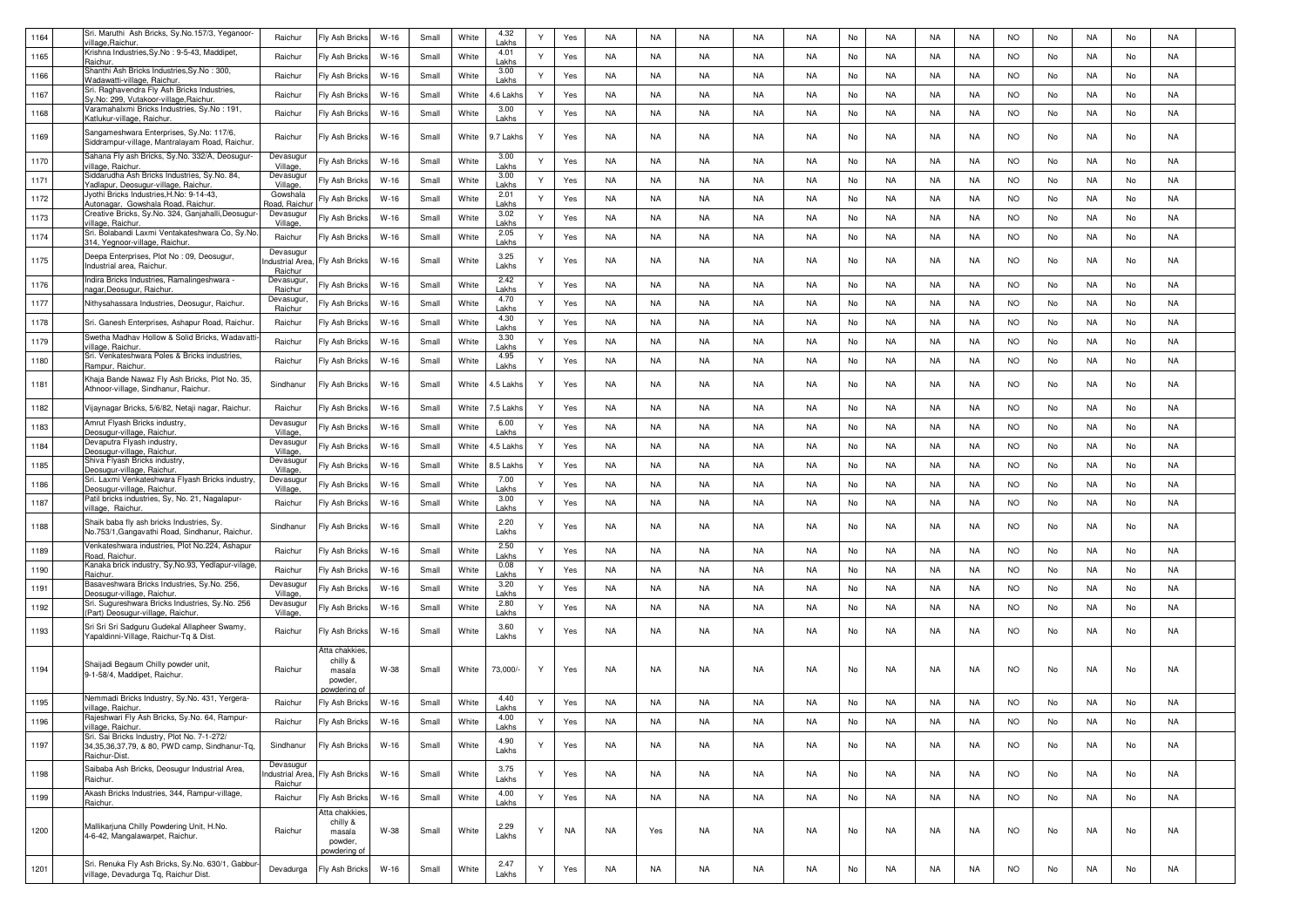| 1164 | Sri. Maruthi Ash Bricks, Sy.No.157/3, Yeganoor-                                                               | Raichur                                | Fly Ash Bricks                                               | $W-16$ | Small | White | 4.32              |   | Yes | NA        | NA        | NA        | <b>NA</b> | <b>NA</b> | No | <b>NA</b> | NA        | NA        | <b>NO</b> | No | NA        | No            | <b>NA</b> |  |
|------|---------------------------------------------------------------------------------------------------------------|----------------------------------------|--------------------------------------------------------------|--------|-------|-------|-------------------|---|-----|-----------|-----------|-----------|-----------|-----------|----|-----------|-----------|-----------|-----------|----|-----------|---------------|-----------|--|
| 1165 | rillage,Raichur.<br>Krishna Industries, Sy.No: 9-5-43, Maddipet                                               | Raichur                                | Fly Ash Bricks                                               | $W-16$ | Small | White | Lakhs<br>4.01     | Υ | Yes | NA        | NA        | NA        | NA        | <b>NA</b> | No | <b>NA</b> | NA        | NA        | <b>NO</b> | No | NA        | No            | NA        |  |
|      | Raichur.<br>Shanthi Ash Bricks Industries, Sy.No: 300,                                                        |                                        |                                                              |        |       |       | Lakhs<br>3.00     | Υ |     | NA        |           |           |           |           |    |           |           |           | <b>NO</b> |    | NA        |               | NA        |  |
| 1166 | Vadawatti-village, Raichur.<br>Sri. Raghavendra Fly Ash Bricks Industries,                                    | Raichur                                | Fly Ash Bricks                                               | $W-16$ | Small | White | Lakhs             |   | Yes |           | NA        | NA        | NA        | NA        | No | NA.       | NA        | NA        |           | No |           | No            |           |  |
| 1167 | y.No: 299, Vutakoor-village, Raichur<br>Varamahalxmi Bricks Industries, Sy.No : 191,                          | Raichur                                | Fly Ash Bricks                                               | $W-16$ | Small | White | 4.6 Lakh:<br>3.00 | Υ | Yes | NA        | NA        | NA        | NA        | <b>NA</b> | No | NA.       | NA        | NA        | <b>NO</b> | No | NA        | No            | NA        |  |
| 1168 | Katlukur-village, Raichur.                                                                                    | Raichur                                | Fly Ash Bricks                                               | $W-16$ | Small | White | Lakhs             | Υ | Yes | NA        | NA        | NA        | NA        | NA        | No | NA.       | NA        | NA        | <b>NO</b> | No | NA        | No            | NA        |  |
| 1169 | Sangameshwara Enterprises, Sy.No: 117/6,<br>Siddrampur-village, Mantralayam Road, Raichur.                    | Raichur                                | Fly Ash Bricks                                               | $W-16$ | Small | White | 9.7 Lakhs         | Υ | Yes | <b>NA</b> | <b>NA</b> | NA.       | <b>NA</b> | <b>NA</b> | No | <b>NA</b> | NA.       | NA        | NO.       | No | NA        | No            | NA        |  |
| 1170 | Sahana Fly ash Bricks, Sy.No. 332/A, Deosugur-<br>rillage, Raichur                                            | Devasugu<br>Village                    | Fly Ash Bricks                                               | $W-16$ | Small | White | 3.00<br>Lakhs     | Y | Yes | NA        | NA        | NA        | <b>NA</b> | <b>NA</b> | No | <b>NA</b> | NA        | NA        | <b>NO</b> | No | NA        | No            | <b>NA</b> |  |
| 1171 | Siddarudha Ash Bricks Industries, Sy.No. 84,<br>Yadlapur, Deosugur-village, Raichur                           | Devasugu<br>Village                    | Fly Ash Bricks                                               | $W-16$ | Small | White | 3.00<br>Lakhs     | Υ | Yes | NA        | NA        | NA        | NA        | <b>NA</b> | No | <b>NA</b> | <b>NA</b> | NA        | <b>NO</b> | No | NA        | No            | <b>NA</b> |  |
| 1172 | Jyothi Bricks Industries, H.No: 9-14-43<br>Autonagar, Gowshala Road, Raichur                                  | Gowshala<br>Road, Raich                | -Iy Ash Bricks                                               | $W-16$ | Small | White | 2.01<br>Lakhs     | Υ | Yes | NA        | NA        | NA        | NA        | NA        | No | NA.       | NA        | NA        | <b>NO</b> | No | NA        | No            | NA        |  |
| 1173 | Creative Bricks, Sy.No. 324, Ganjahalli, Deosugur-<br>illage, Raichur                                         | Devasugur<br>Village                   | Fly Ash Bricks                                               | $W-16$ | Small | White | 3.02<br>Lakhs     | ٧ | Yes | NA        | NA        | NA        | <b>NA</b> | <b>NA</b> | No | NA.       | NA        | NA        | <b>NO</b> | No | NA        | No            | NA        |  |
| 1174 | Sri. Bolabandi Laxmi Ventakateshwara Co, Sy.No.<br>314, Yegnoor-village, Raichur.                             | Raichur                                | Fly Ash Bricks                                               | $W-16$ | Small | White | 2.05<br>Lakhs     | Y | Yes | NA        | NA        | NA        | NA        | <b>NA</b> | No | <b>NA</b> | NA        | NA        | <b>NO</b> | No | NA        | No            | NA        |  |
| 1175 | Deepa Enterprises, Plot No : 09, Deosugur,<br>Industrial area, Raichur.                                       | Devasugu<br>ndustrial Are<br>Raichur   | Fly Ash Bricks                                               | $W-16$ | Small | White | 3.25<br>Lakhs     |   | Yes | NA        | NA        | NA        | NA        | <b>NA</b> | No | <b>NA</b> | NA        | NA        | <b>NO</b> | No | NA        | No            | NA        |  |
| 1176 | Indira Bricks Industries, Ramalingeshwara -<br>nagar,Deosugur, Raichui                                        | Devasugur<br>Raichur                   | Fly Ash Bricks                                               | $W-16$ | Small | White | 2.42<br>Lakhs     | Y | Yes | NA        | NA        | NA        | NA        | <b>NA</b> | No | <b>NA</b> | NA        | NA        | <b>NO</b> | No | NA        | No            | NA        |  |
| 1177 | Nithysahassara Industries, Deosugur, Raichur.                                                                 | Devasugur<br>Raichur                   | Fly Ash Bricks                                               | $W-16$ | Small | White | 4.70<br>Lakhs     | Υ | Yes | NA        | NA        | NA        | NA        | <b>NA</b> | No | NA.       | NA        | NA        | <b>NO</b> | No | NA        | No            | <b>NA</b> |  |
| 1178 | Sri. Ganesh Enterprises, Ashapur Road, Raichur.                                                               | Raichur                                | Fly Ash Bricks                                               | $W-16$ | Small | White | 4.30<br>Lakhs     | Υ | Yes | NA        | NA        | NA        | NA        | <b>NA</b> | No | <b>NA</b> | NA        | NA        | <b>NO</b> | No | NA        | No            | <b>NA</b> |  |
| 1179 | Swetha Madhav Hollow & Solid Bricks, Wadavatti<br>illage, Raichur                                             | Raichur                                | Fly Ash Bricks                                               | $W-16$ | Small | White | 3.30<br>Lakhs     | Υ | Yes | NA        | NA        | NA        | NA        | <b>NA</b> | No | <b>NA</b> | NA        | NA        | <b>NO</b> | No | NA        | No            | NA        |  |
| 1180 | Sri. Venkateshwara Poles & Bricks industries,<br>Rampur, Raichur.                                             | Raichur                                | Fly Ash Bricks                                               | $W-16$ | Small | White | 4.95<br>Lakhs     | Υ | Yes | NA        | <b>NA</b> | <b>NA</b> | <b>NA</b> | <b>NA</b> | No | <b>NA</b> | NA        | NA        | <b>NO</b> | No | NA        | No            | <b>NA</b> |  |
| 1181 | Khaja Bande Nawaz Fly Ash Bricks, Plot No. 35,<br>Athnoor-village, Sindhanur, Raichur.                        | Sindhanur                              | <b>Ty Ash Bricks</b>                                         | $W-16$ | Small | White | 4.5 Lakh:         | Υ | Yes | NA        | NA        | <b>NA</b> | NA        | <b>NA</b> | No | <b>NA</b> | NA        | NA        | <b>NO</b> | No | NA        | No            | NA        |  |
| 1182 | Vijaynagar Bricks, 5/6/82, Netaji nagar, Raichur.                                                             | Raichur                                | Fly Ash Bricks                                               | $W-16$ | Small | White | 5 Lakh            | Y | Yes | NA        | NA        | NA        | NA        | <b>NA</b> | No | <b>NA</b> | NA        | NA        | <b>NO</b> | No | NA        | No            | NA        |  |
| 1183 | Amrut Flyash Bricks industry<br>Deosugur-village, Raichur.                                                    | Devasugu<br>Village                    | Fly Ash Bricks                                               | $W-16$ | Small | White | 6.00<br>Lakhs     | Υ | Yes | NA        | NA        | NA        | NA        | NA        | No | <b>NA</b> | NA        | NA        | <b>NO</b> | No | NA        | No            | NA        |  |
| 1184 | Devaputra Flvash industry<br>Deosugur-village, Raichur.                                                       | Devasugu<br>Village                    | Fly Ash Bricks                                               | $W-16$ | Small | White | 4.5 Lakhs         | Y | Yes | NA        | NA        | NA        | NA        | <b>NA</b> | No | <b>NA</b> | NA        | NA        | <b>NO</b> | No | NA        | No            | NA        |  |
| 1185 | Shiva Flyash Bricks industry,<br>eosugur-village, Raichur.                                                    | Devasugur<br>Village                   | Fly Ash Bricks                                               | $W-16$ | Small | White | 8.5 Lakh:         | Υ | Yes | NA        | NA        | NA        | <b>NA</b> | <b>NA</b> | No | <b>NA</b> | NA        | NA        | <b>NO</b> | No | NA        | No            | NA        |  |
| 1186 | Sri. Laxmi Venkateshwara Flyash Bricks industry,<br>eosugur-village, Raichur                                  | Devasugu<br>Village                    | Fly Ash Bricks                                               | $W-16$ | Small | White | 7.00<br>Lakhs     | Y | Yes | NA        | NA        | NA        | NA        | <b>NA</b> | No | <b>NA</b> | NA        | NA        | <b>NO</b> | No | NA        | No            | NA        |  |
| 1187 | Patil bricks industries, Sy, No. 21, Nagalapur-<br>rillage, Raichur.                                          | Raichur                                | Fly Ash Bricks                                               | $W-16$ | Small | White | 3.00<br>Lakhs     | Υ | Yes | NA        | NA        | NA        | NA        | <b>NA</b> | No | NA        | NA        | NA        | <b>NO</b> | No | NA        | No            | NA        |  |
| 1188 | Shaik baba fly ash bricks Industries, Sy.<br>No.753/1, Gangavathi Road, Sindhanur, Raichur.                   | Sindhanur                              | Fly Ash Bricks                                               | $W-16$ | Small | White | 2.20<br>Lakhs     | Y | Yes | NA        | NA        | NA        | NA        | NA        | No | NA.       | NA        | NA        | <b>NO</b> | No | NA        | No            | NA        |  |
| 1189 | Venkateshwara industries, Plot No.224, Ashapur<br>Road, Raichur.                                              | Raichur                                | Fly Ash Bricks                                               | $W-16$ | Small | White | 2.50<br>Lakhs     | Υ | Yes | NA        | NA        | NA        | NA        | NA        | No | NA.       | NA        | NA        | <b>NO</b> | No | NA        | No            | NA        |  |
| 1190 | Kanaka brick industry, Sy, No.93, Yedlapur-vilage                                                             | Raichur                                | Fly Ash Bricks                                               | $W-16$ | Small | White | 0.08              | Υ | Yes | NA        | NA        | NA        | NA        | NA        | No | NA.       | NA        | NA        | <b>NO</b> | No | NA        | No            | NA        |  |
| 1191 | aichur<br>Basaveshwara Bricks Industries, Sy.No. 256,                                                         | Devasugur                              | Fly Ash Bricks                                               | $W-16$ | Small | White | .akhs<br>3.20     | Y | Yes | NA        | NA        | NA        | NA        | <b>NA</b> | No | <b>NA</b> | NA        | NA        | <b>NO</b> | No | NA        | No            | NA        |  |
| 1192 | eosugur-village, Raichur.<br>Sri. Sugureshwara Bricks Industries, Sy.No. 256                                  | Village<br>Devasugu                    | Fly Ash Bricks                                               | $W-16$ | Small | White | Lakhs<br>2.80     | Y | Yes | NA        | NA        | NA        | NA        | <b>NA</b> | No | <b>NA</b> | NA        | NA        | <b>NO</b> | No | NA        | No            | <b>NA</b> |  |
|      | (Part) Deosugur-village, Raichur<br>Sri Sri Sri Sadguru Gudekal Allapheer Swamy,                              | Village,                               |                                                              |        |       |       | Lakhs<br>3.60     |   |     |           |           |           |           |           |    |           |           |           |           |    |           |               |           |  |
| 1193 | Yapaldinni-Village, Raichur-Tq & Dist.                                                                        | Raichur                                | Fly Ash Bricks                                               | W-16   | Small | White | Lakhs             | Υ | Yes | NA        | NA        | NA        | NA        | <b>NA</b> | No | NA.       | NA        | NA        | <b>NO</b> | No | NA        | No            | NA        |  |
| 1194 | Shaijadi Begaum Chilly powder unit,<br>9-1-58/4, Maddipet, Raichur                                            | Raichur                                | Atta chakkies<br>chilly &<br>masala<br>powder,<br>owderina a | W-38   | Small | White | 73,000/           | Y | Yes | NA        | NA        | NA        | NA        | NA.       | No | NA.       | NA        | NA        | <b>NO</b> | No | NA        | No            | NA        |  |
| 1195 | Nemmadi Bricks Industry, Sy.No. 431, Yergera-<br>village, Raichur                                             | Raichur                                | Fly Ash Bricks                                               | $W-16$ | Small | White | 4.40<br>Lakhs     | Υ | Yes | NA        | <b>NA</b> | NA        | NA        | <b>NA</b> | No | <b>NA</b> | NA        | NA        | <b>NO</b> | No | NA        | No            | NA        |  |
| 1196 | Rajeshwari Fly Ash Bricks, Sy.No. 64, Rampur-<br>village, Raichur.                                            | Raichur                                | Fly Ash Bricks                                               | $W-16$ | Small | White | 4.00<br>Lakhs     | Y | Yes | <b>NA</b> | <b>NA</b> | NA        | <b>NA</b> | <b>NA</b> | No | <b>NA</b> | NA        | <b>NA</b> | <b>NO</b> | No | <b>NA</b> | $\mathsf{No}$ | NA        |  |
| 1197 | Sri. Sai Bricks Industry, Plot No. 7-1-272/<br>34,35,36,37,79, & 80, PWD camp, Sindhanur-Tq,<br>Raichur-Dist. | Sindhanur                              | Fly Ash Bricks                                               | $W-16$ | Small | White | 4.90<br>Lakhs     | Y | Yes | <b>NA</b> | NA        | NA        | <b>NA</b> | <b>NA</b> | No | <b>NA</b> | <b>NA</b> | NA        | <b>NO</b> | No | <b>NA</b> | No            | <b>NA</b> |  |
| 1198 | Saibaba Ash Bricks, Deosugur Industrial Area,<br>Raichur.                                                     | Devasugur<br>ndustrial Area<br>Raichur | Fly Ash Bricks                                               | W-16   | Small | White | 3.75<br>Lakhs     |   | Yes | NA        | NA        | NA        | NA        | <b>NA</b> | No | <b>NA</b> | NA        | NA        | <b>NO</b> | No | NA        | No            | NA        |  |
| 1199 | Akash Bricks Industries, 344, Rampur-village,<br>Raichur.                                                     | Raichur                                | Fly Ash Bricks                                               | $W-16$ | Small | White | 4.00<br>Lakhs     | Y | Yes | NA        | NA        | NA        | NA        | <b>NA</b> | No | <b>NA</b> | NA        | NA        | <b>NO</b> | No | NA        | No            | NA        |  |
|      |                                                                                                               |                                        | Atta chakkies<br>chilly &                                    |        |       |       |                   |   |     |           |           |           |           |           |    |           |           |           |           |    |           |               |           |  |
| 1200 | Mallikarjuna Chilly Powdering Unit, H.No.<br>4-6-42, Mangalawarpet, Raichur.                                  | Raichur                                | masala<br>powder,<br>oowdering o                             | W-38   | Small | White | 2.29<br>Lakhs     |   | NA  | NA        | Yes       | NA        | NA        | <b>NA</b> | No | NA        | NA        | NA        | <b>NO</b> | No | NA        | No            | NA        |  |
| 1201 | Sri. Renuka Fly Ash Bricks, Sy.No. 630/1, Gabbur<br>village, Devadurga Tq, Raichur Dist.                      | Devadurga                              | Fly Ash Bricks                                               | $W-16$ | Small | White | 2.47<br>Lakhs     | Y | Yes | <b>NA</b> | NA        | <b>NA</b> | NA        | <b>NA</b> | No | <b>NA</b> | NA        | NA        | <b>NO</b> | No | NA        | No            | <b>NA</b> |  |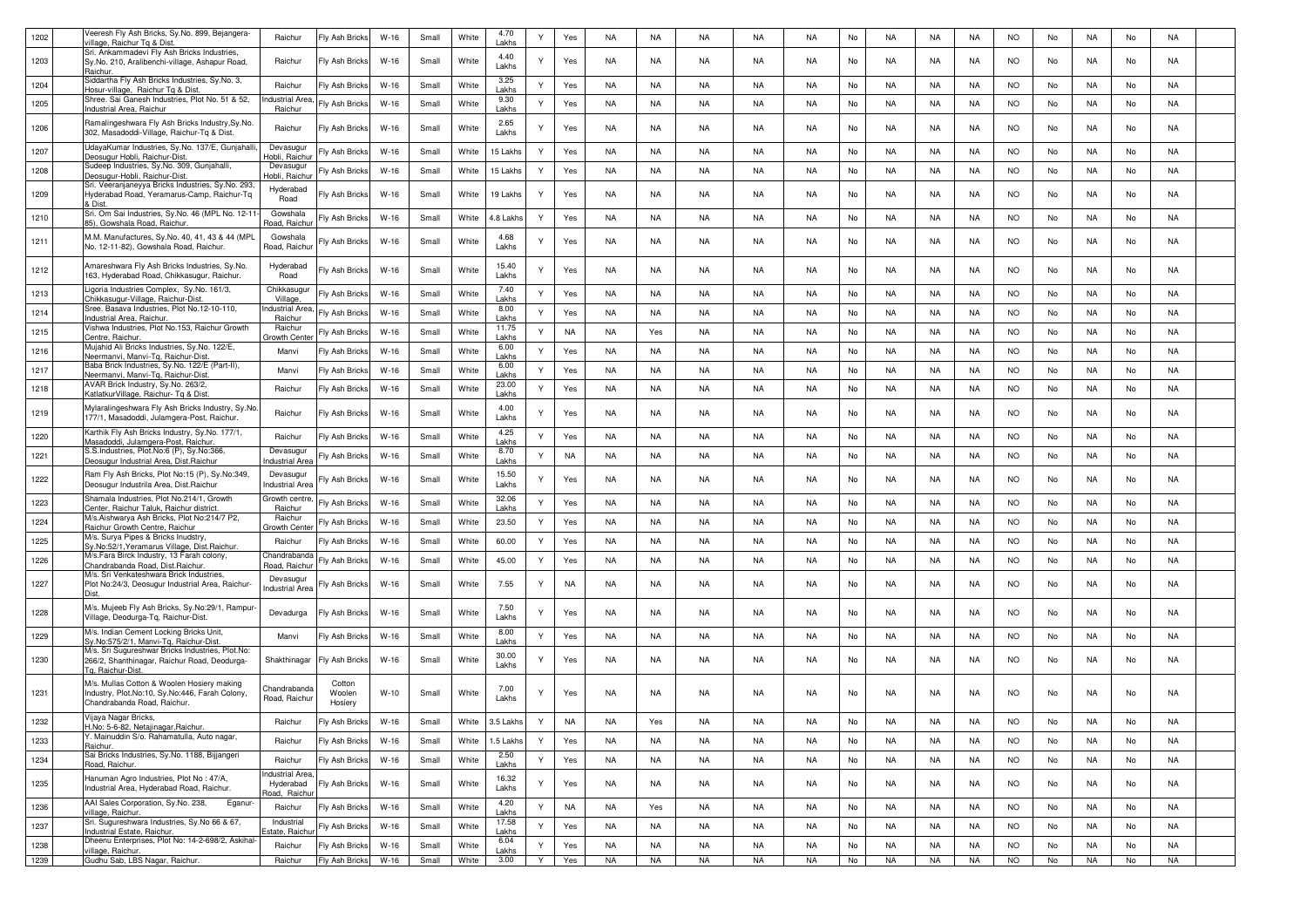| 1202 | Veeresh Fly Ash Bricks, Sy.No. 899, Bejangera-<br>village, Raichur Tg & Dist                                                | Raichur                                    | Fly Ash Bricks              | $W-16$ | Small | White | 4.70<br>Lakhs  | Y            | Yes       | NA        | <b>NA</b> | NA        | NA        | <b>NA</b> | No | <b>NA</b> | <b>NA</b> | <b>NA</b> | <b>NO</b> | No | <b>NA</b> | No | <b>NA</b> |  |
|------|-----------------------------------------------------------------------------------------------------------------------------|--------------------------------------------|-----------------------------|--------|-------|-------|----------------|--------------|-----------|-----------|-----------|-----------|-----------|-----------|----|-----------|-----------|-----------|-----------|----|-----------|----|-----------|--|
| 1203 | Sri. Ankammadevi Fly Ash Bricks Industries,<br>Sy.No. 210, Aralibenchi-village, Ashapur Road,<br>Raichur.                   | Raichur                                    | Fly Ash Bricks              | $W-16$ | Small | White | 4.40<br>Lakhs  | Y            | Yes       | NA        | NA        | NA        | NA        | <b>NA</b> | No | <b>NA</b> | NA        | NA        | <b>NO</b> | No | NA        | No | NA        |  |
| 1204 | Siddartha Fly Ash Bricks Industries, Sy.No. 3,<br>Hosur-village, Raichur Tg & Dist.                                         | Raichur                                    | Fly Ash Bricks              | $W-16$ | Small | White | 3.25<br>Lakhs  | Y            | Yes       | NA        | NA        | NA        | NA        | <b>NA</b> | No | <b>NA</b> | NA        | NA        | <b>NO</b> | No | NA        | No | NA        |  |
| 1205 | Shree. Sai Ganesh Industries, Plot No. 51 & 52,<br>Industrial Area, Raichur                                                 | ndustrial Area<br>Raichur                  | <b>Ty Ash Bricks</b>        | $W-16$ | Small | White | 9.30<br>Lakhs  | Y            | Yes       | NA        | NA        | NA        | NA        | <b>NA</b> | No | NA.       | NA        | NA        | <b>NO</b> | No | NA        | No | NA        |  |
| 1206 | Ramalingeshwara Fly Ash Bricks Industry, Sy. No.<br>302, Masadoddi-Village, Raichur-Tq & Dist.                              | Raichur                                    | Fly Ash Bricks              | $W-16$ | Small | White | 2.65<br>Lakhs  | Y            | Yes       | NA        | NA        | NA        | NA        | <b>NA</b> | No | NA.       | NA        | NA        | <b>NO</b> | No | NA        | No | NA        |  |
| 1207 | UdayaKumar Industries, Sy.No. 137/E, Gunjahalli,<br>Deosugur Hobli, Raichur-Dist                                            | Devasugur<br>Hobli, Raich                  | ly Ash Bricks               | $W-16$ | Small | White | 15 Lakhs       | Y            | Yes       | NA        | <b>NA</b> | NA        | NA        | <b>NA</b> | No | <b>NA</b> | <b>NA</b> | <b>NA</b> | <b>NO</b> | No | NA        | No | <b>NA</b> |  |
| 1208 | Sudeep Industries, Sy.No. 309, Gunjahalli<br>Deosugur-Hobli, Raichur-Dist                                                   | Devasugur<br>Hobli, Raichu                 | Fly Ash Bricks              | $W-16$ | Small | White | 15 Lakhs       | Y            | Yes       | NA        | <b>NA</b> | NA        | NA        | <b>NA</b> | No | <b>NA</b> | <b>NA</b> | NA        | <b>NO</b> | No | NA        | No | NA        |  |
| 1209 | Sri. Veeranjaneyya Bricks Industries, Sy.No. 293<br>Hyderabad Road, Yeramarus-Camp, Raichur-Tq<br>& Dist                    | Hyderabad<br>Road                          | -Iy Ash Bricks              | W-16   | Small | White | 19 Lakhs       | Y            | Yes       | <b>NA</b> | NA        | NA        | NA        | <b>NA</b> | No | NA        | NA        | NA.       | <b>NO</b> | No | NA        | No | NA        |  |
| 1210 | Sri. Om Sai Industries, Sy.No. 46 (MPL No. 12-11<br>85), Gowshala Road, Raichu                                              | Gowshala<br>Road, Raichi                   | Iy Ash Bricks               | $W-16$ | Small | White | 4.8 Lakh       | Y            | Yes       | <b>NA</b> | NA        | NA        | NA        | <b>NA</b> | No | NA.       | <b>NA</b> | NA        | <b>NO</b> | No | NA        | No | NA        |  |
| 1211 | M.M. Manufactures, Sy.No. 40, 41, 43 & 44 (MPL<br>No. 12-11-82), Gowshala Road, Raichur.                                    | Gowshala<br>Road, Raichur                  | Fly Ash Bricks              | $W-16$ | Small | White | 4.68<br>Lakhs  | Y            | Yes       | NA        | NA        | NA        | NA        | NA        | No | NA.       | NA        | NA        | <b>NO</b> | No | NA        | No | NA        |  |
| 1212 | Amareshwara Fly Ash Bricks Industries, Sy.No.<br>163, Hyderabad Road, Chikkasugur, Raichur.                                 | Hyderabad<br>Road                          | <b>Ty Ash Bricks</b>        | $W-16$ | Small | White | 15.40<br>Lakhs | ٧            | Yes       | NA        | NA        | NA        | NA        | NA        | No | <b>NA</b> | NA        | <b>NA</b> | <b>NO</b> | No | NA        | No | NA        |  |
| 1213 | Ligoria Industries Complex, Sy.No. 161/3,<br>Chikkasugur-Village, Raichur-Dist.                                             | Chikkasugu<br>Village                      | <b>Ty Ash Bricks</b>        | $W-16$ | Small | White | 7.40<br>Lakhs  | Y            | Yes       | NA        | NA        | NA        | NA        | NA        | No | <b>NA</b> | NA        | NA        | <b>NO</b> | No | NA        | No | NA        |  |
| 1214 | Sree. Basava Industries, Plot No.12-10-110,<br>Industrial Area, Raichur                                                     | ndustrial Are<br>Raichur                   | <b>Ty Ash Bricks</b>        | $W-16$ | Small | White | 8.00<br>Lakhs  | Y            | Yes       | NA        | NA        | NA        | NA        | <b>NA</b> | No | <b>NA</b> | <b>NA</b> | <b>NA</b> | <b>NO</b> | No | NA        | No | <b>NA</b> |  |
| 1215 | Vishwa Industries, Plot No.153, Raichur Growth<br>Centre, Raichur.                                                          | Raichur<br>Growth Cen                      | <b>Ty Ash Bricks</b>        | $W-16$ | Small | White | 11.75<br>Lakhs | Y            | <b>NA</b> | NA        | Yes       | NA        | NA        | <b>NA</b> | No | <b>NA</b> | NA        | NA        | <b>NO</b> | No | NA        | No | <b>NA</b> |  |
| 1216 | Mujahid Ali Bricks Industries, Sy.No. 122/E,<br>Neermanvi, Manvi-Tg, Raichur-Dist                                           | Manvi                                      | Fly Ash Bricks              | $W-16$ | Small | White | 6.00<br>Lakhs  | Y            | Yes       | NA        | NA        | NA        | <b>NA</b> | <b>NA</b> | No | <b>NA</b> | NA        | NA        | <b>NO</b> | No | NA        | No | <b>NA</b> |  |
| 1217 | Baba Brick Industries, Sy.No. 122/E (Part-II),<br>Neermanvi, Manvi-Tg, Raichur-Dist                                         | Manvi                                      | Fly Ash Bricks              | $W-16$ | Small | White | 6.00<br>Lakhs  | Y            | Yes       | NA        | NA        | NA        | NA        | <b>NA</b> | No | <b>NA</b> | NA        | NA        | <b>NO</b> | No | NA        | No | NA        |  |
| 1218 | AVAR Brick Industry, Sy.No. 263/2,<br>KatlatkurVillage, Raichur- Tg & Dist                                                  | Raichur                                    | Fly Ash Bricks              | $W-16$ | Small | White | 23.00<br>Lakhs | Y            | Yes       | <b>NA</b> | <b>NA</b> | <b>NA</b> | <b>NA</b> | <b>NA</b> | No | <b>NA</b> | <b>NA</b> | <b>NA</b> | <b>NO</b> | No | NA        | No | <b>NA</b> |  |
| 1219 | Mylaralingeshwara Fly Ash Bricks Industry, Sy.No.<br>177/1, Masadoddi, Julamgera-Post, Raichur.                             | Raichur                                    | Fly Ash Bricks              | $W-16$ | Small | White | 4.00<br>Lakhs  | Y            | Yes       | NA        | NA        | NA        | NA        | <b>NA</b> | No | <b>NA</b> | NA        | NA        | <b>NO</b> | No | NA        | No | NA        |  |
| 1220 | Karthik Fly Ash Bricks Industry, Sy.No. 177/1,<br>Masadoddi, Julamgera-Post, Raichur.                                       | Raichur                                    | Fly Ash Bricks              | $W-16$ | Small | White | 4.25<br>Lakhs  | Y            | Yes       | NA        | NA        | NA        | NA        | <b>NA</b> | No | <b>NA</b> | <b>NA</b> | NA        | <b>NO</b> | No | NA        | No | <b>NA</b> |  |
| 1221 | S.S.Industries, Plot.No:6 (P), Sy.No:366,<br>Deosugur Industrial Area, Dist.Raichur                                         | Devasugur<br>ndustrial Are                 | iy Ash Bricks <del>'</del>  | $W-16$ | Small | White | 8.70<br>Lakhs  | Y            | <b>NA</b> | <b>NA</b> | NA        | NA        | NA        | <b>NA</b> | No | NA.       | <b>NA</b> | NA        | <b>NO</b> | No | NA        | No | <b>NA</b> |  |
| 1222 | Ram Fly Ash Bricks, Plot No:15 (P), Sy.No:349,<br>Deosugur Industrila Area, Dist. Raichur                                   | Devasugur<br>ndustrial Area                | <b>Ty Ash Bricks</b>        | $W-16$ | Small | White | 15.50<br>Lakhs | Y            | Yes       | NA        | NA        | NA        | NA        | <b>NA</b> | No | NA.       | NA        | NA        | <b>NO</b> | No | NA        | No | NA        |  |
| 1223 | Shamala Industries, Plot No.214/1, Growth<br>Center, Raichur Taluk, Raichur district.                                       | Growth centre<br>Raichur                   | Fly Ash Bricks              | $W-16$ | Small | White | 32.06<br>Lakhs | Y            | Yes       | <b>NA</b> | NA        | NA        | NA        | <b>NA</b> | No | <b>NA</b> | NA        | NA        | <b>NO</b> | No | NA        | No | NA        |  |
| 1224 | M/s.Aishwarya Ash Bricks, Plot No:214/7 P2,<br>Raichur Growth Centre, Raichur                                               | Raichur<br>Growth Cente                    | Fly Ash Bricks              | $W-16$ | Small | White | 23.50          | Y            | Yes       | <b>NA</b> | NA        | NA        | NA        | <b>NA</b> | No | <b>NA</b> | NA        | NA        | <b>NO</b> | No | <b>NA</b> | No | NA        |  |
| 1225 | M/s. Surya Pipes & Bricks Inudstry,<br>Sy.No:52/1, Yeramarus Village, Dist.Raichur.                                         | Raichur                                    | Fly Ash Bricks              | $W-16$ | Small | White | 60.00          | Y            | Yes       | <b>NA</b> | NA        | NA        | NA        | <b>NA</b> | No | <b>NA</b> | NA        | NA        | <b>NO</b> | No | NA        | No | NA        |  |
| 1226 | M/s.Fara Birck Industry, 13 Farah colony,<br>Chandrabanda Road, Dist.Raichur.<br>M/s. Sri Venkateshwara Brick Industries,   | Chandraband<br>Road, Raichu                | Fly Ash Bricks              | $W-16$ | Small | White | 45.00          | Y            | Yes       | NA        | NA        | NA        | NA        | <b>NA</b> | No | NA.       | NA        | NA        | <b>NO</b> | No | NA        | No | NA        |  |
| 1227 | Plot No:24/3, Deosugur Industrial Area, Raichur-                                                                            | Devasugur<br>ndustrial Area                | ly Ash Bricks               | $W-16$ | Small | White | 7.55           | Y            | <b>NA</b> | <b>NA</b> | NA        | NA        | NA        | NA        | No | NA.       | NA        | NA        | <b>NO</b> | No | NA        | No | NA        |  |
| 1228 | M/s. Mujeeb Fly Ash Bricks, Sy.No:29/1, Rampur<br>Village, Deodurga-Tq, Raichur-Dist                                        | Devadurga                                  | -Iy Ash Bricks              | $W-16$ | Small | White | 7.50<br>Lakhs  | Y            | Yes       | NA        | NA        | NA        | NA        | <b>NA</b> | No | NA.       | NA        | NA        | <b>NO</b> | No | NA        | No | NA        |  |
| 1229 | M/s. Indian Cement Locking Bricks Unit,<br>Sy.No:575/2/1, Manvi-Tq, Raichur-Dist                                            | Manvi                                      | Fly Ash Bricks              | $W-16$ | Small | White | 8.00<br>Lakhs  | Y            | Yes       | <b>NA</b> | NA        | NA        | NA        | <b>NA</b> | No | <b>NA</b> | <b>NA</b> | NA        | <b>NO</b> | No | NA        | No | NA        |  |
| 1230 | M/s. Sri Sugureshwar Bricks Industries, Plot.No:<br>266/2, Shanthinagar, Raichur Road, Deodurga-<br>Tg. Raichur-Dist.       | Shakthinagar                               | Fly Ash Bricks              | W-16   | Small | White | 30.00<br>Lakhs | Y            | Yes       | NA        | NA        | NA        | NA        | <b>NA</b> | No | NA        | NA        | NA        | <b>NO</b> | No | NA        | No | NA        |  |
| 1231 | M/s. Mullas Cotton & Woolen Hosiery making<br>Industry, Plot.No:10, Sy.No:446, Farah Colony,<br>Chandrabanda Road, Raichur. | Chandrabanda<br>Road, Raichur              | Cotton<br>Woolen<br>Hosiery | W-10   | Small | White | 7.00<br>Lakhs  | Y            | Yes       | <b>NA</b> | NA        | NA        | NA        | NA.       | No | NA        | NA        | NA.       | <b>NO</b> | No | NA        | No | NA        |  |
| 1232 | Vijaya Nagar Bricks.<br>H.No: 5-6-82, Netajinagar, Raichur.                                                                 | Raichur                                    | Fly Ash Bricks              | $W-16$ | Small | White | 3.5 Lakhs      | Y            | <b>NA</b> | <b>NA</b> | Yes       | NA        | NA        | <b>NA</b> | Nc | <b>NA</b> | <b>NA</b> | <b>NA</b> | NO.       | No | <b>NA</b> | No | <b>NA</b> |  |
| 1233 | Y. Mainuddin S/o. Rahamatulla, Auto nagar,<br>Raichur.                                                                      | Raichur                                    | Fly Ash Bricks              | $W-16$ | Small | White | 1.5 Lakhs      | Y            | Yes       | NA        | <b>NA</b> | NA        | NA        | <b>NA</b> | No | <b>NA</b> | <b>NA</b> | <b>NA</b> | <b>NO</b> | No | <b>NA</b> | No | <b>NA</b> |  |
| 1234 | Sai Bricks Industries, Sy.No. 1188, Bijjangeri<br>Road, Raichur.                                                            | Raichur                                    | Fly Ash Bricks              | $W-16$ | Small | White | 2.50<br>Lakhs  | $\mathsf{Y}$ | Yes       | <b>NA</b> | <b>NA</b> | <b>NA</b> | NA        | <b>NA</b> | No | <b>NA</b> | <b>NA</b> | <b>NA</b> | <b>NO</b> | No | <b>NA</b> | No | <b>NA</b> |  |
| 1235 | Hanuman Agro Industries, Plot No: 47/A,<br>Industrial Area, Hyderabad Road, Raichur.                                        | ndustrial Area<br>Hyderabad<br>Road, Raich | Fly Ash Bricks              | $W-16$ | Small | White | 16.32<br>Lakhs | Y            | Yes       | <b>NA</b> | <b>NA</b> | NA        | NA        | <b>NA</b> | No | <b>NA</b> | <b>NA</b> | <b>NA</b> | <b>NO</b> | No | <b>NA</b> | No | <b>NA</b> |  |
| 1236 | AAI Sales Corporation, Sy.No. 238,<br>Eganur-<br>village, Raichur.                                                          | Raichur                                    | Fly Ash Bricks              | $W-16$ | Small | White | 4.20<br>Lakhs  | Y            | <b>NA</b> | <b>NA</b> | Yes       | <b>NA</b> | NA        | NA        | No | <b>NA</b> | <b>NA</b> | NA        | <b>NO</b> | No | NA        | No | NA        |  |
| 1237 | Sri. Sugureshwara Industries, Sy.No 66 & 67,<br>Industrial Estate, Raichur.                                                 | Industrial<br>state, Raich                 | Fly Ash Bricks              | W-16   | Small | White | 17.58<br>Lakhs | Y            | Yes       | <b>NA</b> | <b>NA</b> | NA        | NA        | <b>NA</b> | No | <b>NA</b> | NA        | NA        | <b>NO</b> | No | NA        | No | NA        |  |
| 1238 | Dheenu Enterprises, Plot No: 14-2-698/2, Askihal<br>village, Raichur.                                                       | Raichur                                    | Fly Ash Bricks              | $W-16$ | Small | White | 6.04<br>Lakhs  | Y            | Yes       | NA        | NA        | NA        | NA        | <b>NA</b> | No | <b>NA</b> | NA        | NA        | <b>NO</b> | No | NA        | No | NA        |  |
| 1239 | Gudhu Sab, LBS Nagar, Raichur.                                                                                              | Raichur                                    | Fly Ash Bricks              | W-16   | Small | White | 3.00           | Y            | Yes       | <b>NA</b> | NA        | NA        | <b>NA</b> | <b>NA</b> | No | <b>NA</b> | <b>NA</b> | <b>NA</b> | <b>NO</b> | No | <b>NA</b> | No | <b>NA</b> |  |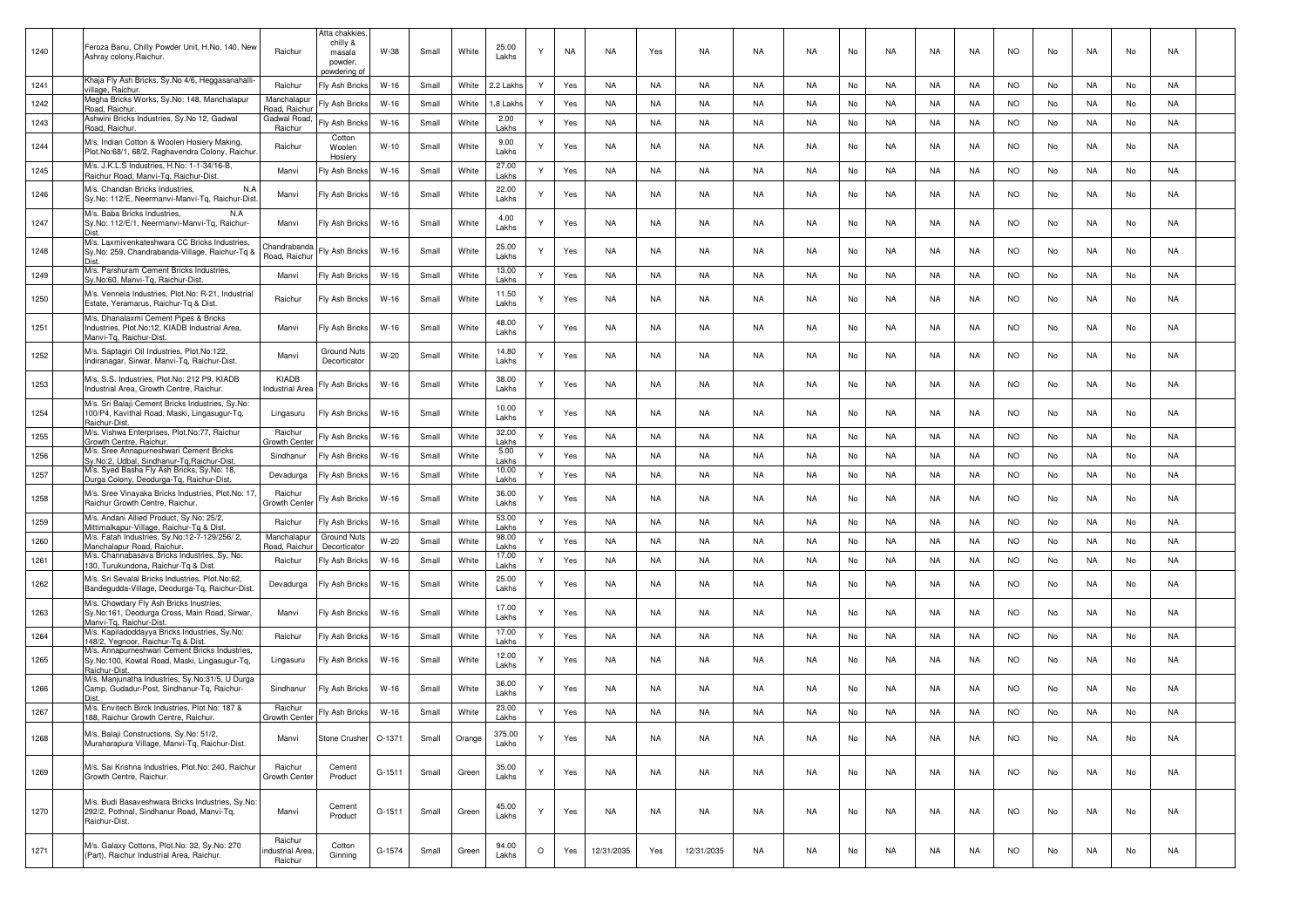|      | Feroza Banu, Chilly Powder Unit, H.No. 140, New                                                                     |                                      | Atta chakkies,<br>chilly &              |        |       | White  | 25.00           |         |           |            |           |            |           |           |    |           |           |           |           |    |           |    |           |  |
|------|---------------------------------------------------------------------------------------------------------------------|--------------------------------------|-----------------------------------------|--------|-------|--------|-----------------|---------|-----------|------------|-----------|------------|-----------|-----------|----|-----------|-----------|-----------|-----------|----|-----------|----|-----------|--|
| 1240 | Ashray colony, Raichur.                                                                                             | Raichur                              | masala<br>powder,<br><u>powdering o</u> | W-38   | Small |        | Lakhs           |         | <b>NA</b> | NA         | Yes       | NA         | NA        | NA        | No | NA        | NA        | NA        | <b>NO</b> | No | NA        | No | NA        |  |
| 1241 | Khaja Fly Ash Bricks, Sy.No 4/6, Heggasanahalli-<br>village, Raichur                                                | Raichur                              | Fly Ash Bricks                          | W-16   | Small | White  | 2.2 Lakh        | Y       | Yes       | NA         | NA        | NA         | NA        | NA.       | No | NA.       | NA        | NA        | <b>NO</b> | No | NA        | No | NA        |  |
| 1242 | Megha Bricks Works, Sy.No: 148, Manchalapur<br>Road, Raichur.                                                       | Manchalapur<br>Road, Raichu          | ly Ash Bricks                           | W-16   | Small | White  | .8 Lakh         | Y       | Yes       | NA         | NA        | NA         | NA        | NA.       | No | NA.       | NA        | NA        | <b>NO</b> | No | NA        | No | NA        |  |
| 1243 | Ashwini Bricks Industries, Sy.No 12, Gadwal<br>Road, Raichur.                                                       | Gadwal Road<br>Raichur               | Fly Ash Bricks                          | $W-16$ | Small | White  | 2.00<br>Lakhs   | Y       | Yes       | NA         | <b>NA</b> | NA         | NA        | <b>NA</b> | No | <b>NA</b> | NA        | NA        | <b>NO</b> | No | NA        | No | <b>NA</b> |  |
| 1244 | M/s. Indian Cotton & Woolen Hosiery Making,<br>Plot.No:68/1, 68/2, Raghavendra Colony, Raichur                      | Raichur                              | Cotton<br>Woolen<br>Hosiery             | $W-10$ | Small | White  | 9.00<br>Lakhs   | Y       | Yes       | <b>NA</b>  | NA        | NA.        | <b>NA</b> | <b>NA</b> | No | NA        | NA        | NA.       | NO.       | No | <b>NA</b> | No | NA        |  |
| 1245 | M/s. J.K.L.S Industries, H.No: 1-1-34/16-B,<br>Raichur Road, Manvi-Tq, Raichur-Dist                                 | Manvi                                | Fly Ash Bricks                          | $W-16$ | Small | White  | 27.00<br>Lakhs  | Y       | Yes       | <b>NA</b>  | NA        | NA         | NA        | <b>NA</b> | No | NA        | <b>NA</b> | NA        | <b>NO</b> | No | NA        | No | <b>NA</b> |  |
| 1246 | M/s. Chandan Bricks Industries,<br>N.A<br>Sy.No: 112/E, Neermanvi-Manvi-Tq, Raichur-Dist                            | Manvi                                | Fly Ash Bricks                          | W-16   | Small | White  | 22.00<br>Lakhs  | Y       | Yes       | <b>NA</b>  | NA        | NA         | NA        | NA        | No | NA        | NA        | NA        | <b>NO</b> | No | NA        | No | NA        |  |
| 1247 | M/s. Baba Bricks Industries,<br>N.A<br>Sy.No: 112/E/1, Neermanvi-Manvi-Tq, Raichur-<br><b>Dist</b>                  | Manvi                                | Fly Ash Bricks                          | W-16   | Small | White  | 4.00<br>Lakhs   | Y       | Yes       | NA         | NA        | NA         | NA        | NA.       | No | NA.       | NA        | NA        | <b>NO</b> | No | NA        | No | NA        |  |
| 1248 | M/s. Laxmivenkateshwara CC Bricks Industries,<br>Sy.No: 259, Chandrabanda-Village, Raichur-Tq &<br><b>Dist</b>      | Chandraband<br>Road, Raichu          | Fly Ash Bricks                          | $W-16$ | Small | White  | 25.00<br>Lakhs  | ٧       | Yes       | NA         | NA        | NA         | NA        | <b>NA</b> | No | <b>NA</b> | NA        | <b>NA</b> | NO.       | No | NA        | No | NA        |  |
| 1249 | M/s. Parshuram Cement Bricks Industries,<br>Sy.No:60, Manvi-Tg, Raichur-Dist                                        | Manvi                                | Fly Ash Bricks                          | $W-16$ | Small | White  | 13.00<br>l akhs | Y       | Yes       | <b>NA</b>  | NA        | NA         | NA        | NA        | No | NA        | NA        | NA        | <b>NO</b> | No | NA        | No | <b>NA</b> |  |
| 1250 | M/s. Vennela Industries, Plot.No: R-21, Industrial<br>Estate, Yeramarus, Raichur-Tq & Dist.                         | Raichur                              | Fly Ash Bricks                          | W-16   | Small | White  | 11.50<br>Lakhs  | Υ       | Yes       | NA         | NA        | NA         | NA        | NA.       | No | NA        | NA        | NA        | <b>NO</b> | No | NA        | No | NA        |  |
| 1251 | M/s. Dhanalaxmi Cement Pipes & Bricks<br>Industries, Plot.No:12, KIADB Industrial Area,<br>Manvi-Tg, Raichur-Dist.  | Manvi                                | Fly Ash Bricks                          | W-16   | Small | White  | 48.00<br>Lakhs  | Υ       | Yes       | NA         | NA        | NA         | NA        | NA.       | No | NA        | NA        | NA        | <b>NO</b> | No | NA        | No | NA        |  |
| 1252 | M/s. Saptagiri Oil Industries, Plot.No:122,<br>Indiranagar, Sirwar, Manvi-Tq, Raichur-Dist.                         | Manvi                                | Ground Nuts<br>Decorticator             | $W-20$ | Small | White  | 14.80<br>Lakhs  |         | Yes       | NA         | NA        | NA         | NA        | <b>NA</b> | No | NA.       | NA        | NA        | <b>NO</b> | No | NA        | No | NA        |  |
| 1253 | M/s. S.S. Industries, Plot.No: 212 P9, KIADB<br>Industrial Area, Growth Centre, Raichur.                            | KIADB<br>ndustrial Are               | ly Ash Bricks                           | $W-16$ | Small | White  | 38.00<br>Lakhs  | ٧       | Yes       | NA         | NA        | NA         | NA        | <b>NA</b> | No | NA        | NA        | NA        | <b>NO</b> | No | NA        | No | NA        |  |
| 1254 | M/s. Sri Balaji Cement Bricks Industries, Sy.No:<br>100/P4, Kavithal Road, Maski, Lingasugur-Tq,<br>Raichur-Dist    | Lingasuru                            | Fly Ash Bricks                          | $W-16$ | Small | White  | 10.00<br>Lakhs  | Y       | Yes       | NA         | NA        | NA         | NA        | <b>NA</b> | No | NA        | NA        | NA        | <b>NO</b> | No | NA        | No | <b>NA</b> |  |
| 1255 | M/s. Vishwa Enterprises, Plot.No:77, Raichur<br>Growth Centre, Raichur                                              | Raichur<br>Growth Cente              | Fly Ash Bricks                          | $W-16$ | Small | White  | 32.00<br>Lakhs  | Y       | Yes       | NA         | NA        | NA         | NA        | NA        | No | NA.       | <b>NA</b> | NA        | <b>NO</b> | No | NA        | No | NA        |  |
| 1256 | M/s. Sree Annapurneshwari Cement Bricks<br>Sy.No:2, Udbal, Sindhanur-Tq, Raichur-Dist                               | Sindhanur                            | Fly Ash Bricks                          | $W-16$ | Small | White  | 5.00<br>Lakhs   | Y       | Yes       | NA         | NA        | NA         | NA        | <b>NA</b> | No | NA.       | NA        | NA        | <b>NO</b> | No | NA        | No | NA        |  |
| 1257 | M/s. Syed Basha Fly Ash Bricks, Sy.No: 18,<br>Durga Colony, Deodurga-Tq, Raichur-Dist.                              | Devadurga                            | Fly Ash Bricks                          | $W-16$ | Small | White  | 10.00<br>Lakhs  | Y       | Yes       | <b>NA</b>  | NA        | NA         | NA        | <b>NA</b> | No | <b>NA</b> | NA        | NA        | <b>NO</b> | No | NA        | No | NA        |  |
| 1258 | M/s. Sree Vinayaka Bricks Industries, Plot.No: 17<br>Raichur Growth Centre, Raichur.                                | Raichur<br>Growth Cent               | Fly Ash Bricks                          | $W-16$ | Small | White  | 36.00<br>Lakhs  | Y       | Yes       | NA         | NA        | NA         | NA        | <b>NA</b> | No | NA.       | NA        | NA        | <b>NO</b> | No | NA        | No | NA        |  |
| 1259 | M/s. Andani Allied Product, Sy.No: 25/2,<br>Mittimalkapur-Village, Raichur-Tq & Dist.                               | Raichur                              | Fly Ash Bricks                          | $W-16$ | Small | White  | 53.00<br>Lakhs  | Y       | Yes       | NA         | NA        | NA         | NA        | <b>NA</b> | No | <b>NA</b> | NA        | NA        | <b>NO</b> | No | NA        | No | <b>NA</b> |  |
| 1260 | M/s. Fatah Industries, Sy.No:12-7-129/256/2,<br>Manchalapur Road, Raichur                                           | Manchalapu<br>Road, Raichi           | <b>Ground Nuts</b><br>Decorticator      | $W-20$ | Small | White  | 98.00<br>Lakhs  | Y       | Yes       | NA         | NA        | NA         | NA        | NA.       | No | NA.       | NA        | NA        | <b>NO</b> | No | NA        | No | NA        |  |
| 1261 | M/s. Channabasava Bricks Industries, Sy. No:<br>130, Turukundona, Raichur-Tq & Dist                                 | Raichur                              | Fly Ash Bricks                          | $W-16$ | Small | White  | 17.00<br>Lakhs  | Y       | Yes       | NA         | NA        | NA         | NA        | <b>NA</b> | No | NA.       | NA        | NA        | <b>NO</b> | No | NA        | No | NA        |  |
| 1262 | M/s. Sri Sevalal Bricks Industries, Plot.No:62,<br>Bandegudda-Village, Deodurga-Tq, Raichur-Dist.                   | Devadurga                            | -Iy Ash Bricks                          | $W-16$ | Small | White  | 25.00<br>Lakhs  | Y       | Yes       | NA         | NA        | NA         | NA        | <b>NA</b> | No | NA.       | NA        | NA        | <b>NO</b> | No | NA        | No | NA        |  |
| 1263 | M/s. Chowdary Fly Ash Bricks Inustries,<br>Sy.No:161, Deodurga Cross, Main Road, Sirwar,<br>Manvi-Tg, Raichur-Dist. | Manvi                                | Fly Ash Bricks                          | $W-16$ | Small | White  | 17.00<br>Lakhs  | Y       | Yes       | <b>NA</b>  | <b>NA</b> | NA         | <b>NA</b> | <b>NA</b> | No | <b>NA</b> | NA        | NA.       | NO.       | No | <b>NA</b> | No | NA        |  |
| 1264 | M/s. Kapiladoddayya Bricks Industries, Sy.No:<br>148/2, Yegnoor, Raichur-Tq & Dist.                                 | Raichur                              | Fly Ash Bricks                          | $W-16$ | Small | White  | 17.00<br>Lakhs  | Y       | Yes       | <b>NA</b>  | NA        | NA         | NA        | <b>NA</b> | No | NA        | <b>NA</b> | NA        | <b>NO</b> | No | <b>NA</b> | No | <b>NA</b> |  |
| 1265 | M/s. Annapurneshwari Cement Bricks Industries,<br>Sy.No:100, Kowtal Road, Maski, Lingasugur-Tq,<br>Raichur-Dist     | Lingasuru                            | Fly Ash Bricks                          | W-16   | Small | White  | 12.00<br>Lakhs  | Y       | Yes       | NA         | NA        | NA         | NA        | NA        | No | NA        | NA        | NA        | NO.       | No | NA        | No | NA        |  |
| 1266 | M/s. Manjunatha Industries, Sy.No:31/5, U Durga<br>Camp, Gudadur-Post, Sindhanur-Tq, Raichur-<br>Dist               | Sindhanur                            | Fly Ash Bricks                          | W-16   | Small | White  | 36.00<br>Lakhs  | Υ       | Yes       | NA         | NA        | NA         | NA        | NA.       | No | NA        | NA        | NA        | <b>NO</b> | No | NA        | No | NA        |  |
| 1267 | M/s. Envitech Birck Industries, Plot.No: 187 &<br>188, Raichur Growth Centre, Raichur.                              | Raichur<br>Growth Cente              | Fly Ash Bricks                          | $W-16$ | Small | White  | 23.00<br>Lakhs  | Y       | Yes       | NA         | NA        | NA         | <b>NA</b> | <b>NA</b> | No | <b>NA</b> | NA        | NA        | <b>NO</b> | No | NA        | No | NA        |  |
| 1268 | M/s. Balaji Constructions, Sy.No: 51/2,<br>Muraharapura Village, Manvi-Tq, Raichur-Dist.                            | Manvi                                | Stone Crusher                           | O-1371 | Small | Orange | 375.00<br>Lakhs | Y       | Yes       | NA         | NA        | NA         | NA        | <b>NA</b> | No | NA        | NA        | NA        | <b>NO</b> | No | NA        | No | NA        |  |
| 1269 | M/s. Sai Krishna Industries, Plot.No: 240, Raichur<br>Growth Centre, Raichur.                                       | Raichur<br>Growth Center             | Cement<br>Product                       | G-1511 | Small | Green  | 35.00<br>Lakhs  | Y       | Yes       | NA         | NA        | NA         | NA        | NA        | No | NA        | NA        | NA        | NO.       | No | NA        | No | NA        |  |
| 1270 | M/s. Budi Basaveshwara Bricks Industries, Sy.No:<br>292/2, Pothnal, Sindhanur Road, Manvi-Tq,<br>Raichur-Dist.      | Manvi                                | Cement<br>Product                       | G-1511 | Small | Green  | 45.00<br>Lakhs  | Y       | Yes       | NA         | NA        | NA         | NA        | <b>NA</b> | No | NA.       | NA        | NA        | <b>NO</b> | No | NA        | No | NA        |  |
| 1271 | M/s. Galaxy Cottons, Plot.No: 32, Sy.No: 270<br>(Part), Raichur Industrial Area, Raichur.                           | Raichur<br>ndustrial Area<br>Raichur | Cotton<br>Ginning                       | G-1574 | Small | Green  | 94.00<br>Lakhs  | $\circ$ | Yes       | 12/31/2035 | Yes       | 12/31/2035 | <b>NA</b> | <b>NA</b> | No | NA        | <b>NA</b> | NA        | <b>NO</b> | No | NA        | No | NA        |  |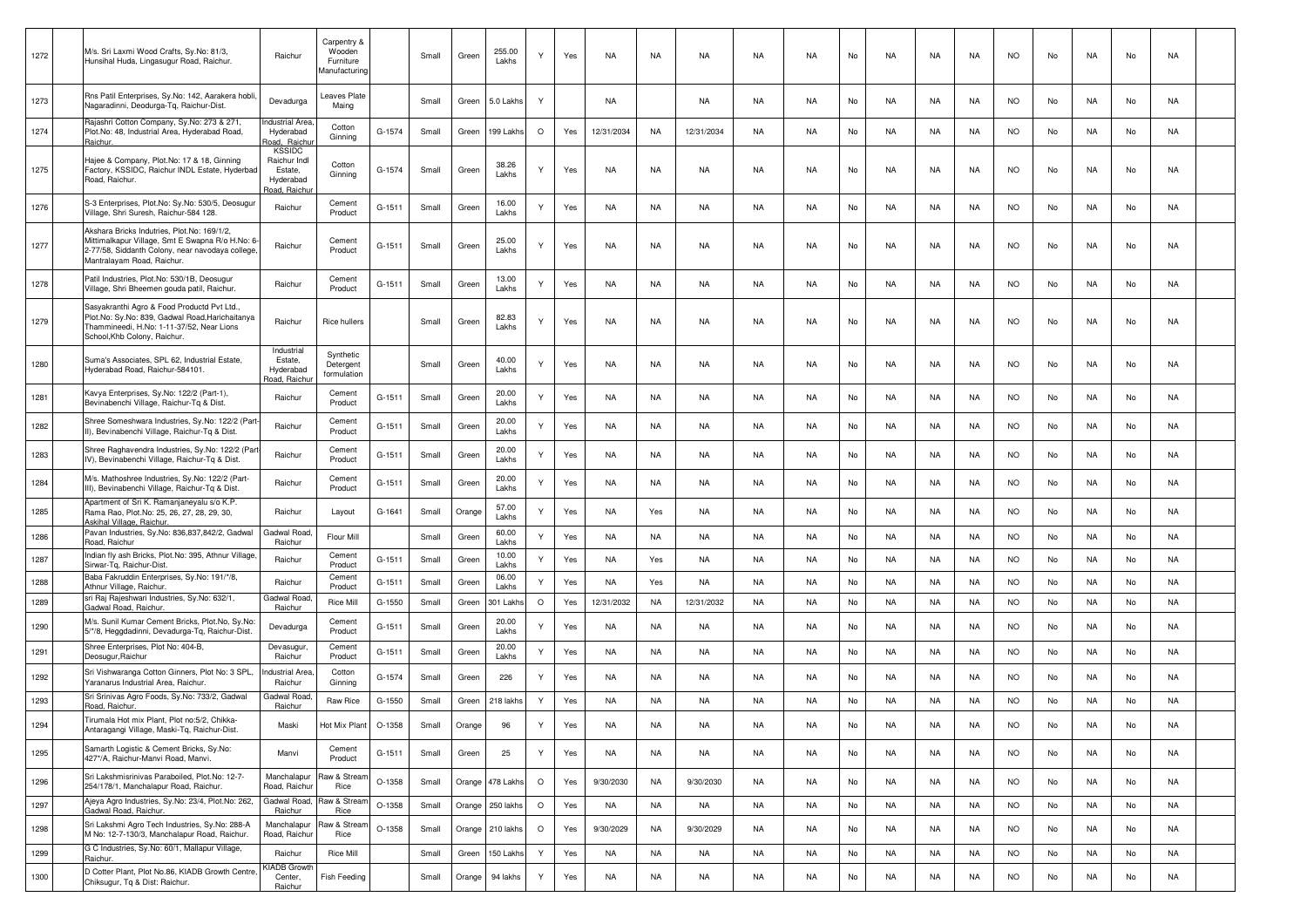| 1272 | M/s. Sri Laxmi Wood Crafts, Sy.No: 81/3,<br>Hunsihal Huda, Lingasugur Road, Raichur.                                                                                            | Raichur                                                               | Carpentry &<br>Wooden<br>Furniture<br>Manufacturing |          | Small | Green  | 255.00<br>Lakhs  |         | Yes | <b>NA</b>  | NA        | NA         | NA        | <b>NA</b> | No | NA        | NA        | <b>NA</b> | <b>NO</b> | No  | NA        | No | NA        |  |
|------|---------------------------------------------------------------------------------------------------------------------------------------------------------------------------------|-----------------------------------------------------------------------|-----------------------------------------------------|----------|-------|--------|------------------|---------|-----|------------|-----------|------------|-----------|-----------|----|-----------|-----------|-----------|-----------|-----|-----------|----|-----------|--|
| 1273 | Rns Patil Enterprises, Sy.No: 142, Aarakera hobli<br>Nagaradinni, Deodurga-Tq, Raichur-Dist.                                                                                    | Devadurga                                                             | eaves Plate<br>Maing                                |          | Small | Green  | 5.0 Lakhs        | Υ       |     | NA         |           | NA         | NA        | <b>NA</b> | No | NA        | NA        | NA.       | <b>NO</b> | No  | NA        | No | NA        |  |
| 1274 | Rajashri Cotton Company, Sy.No: 273 & 271,<br>Plot.No: 48, Industrial Area, Hyderabad Road,<br>Raichur.                                                                         | ndustrial Area<br>Hyderabad<br>load, Raichu                           | Cotton<br>Ginning                                   | G-1574   | Small | Green  | 199 Lakh         | $\circ$ | Yes | 12/31/2034 | NA        | 12/31/2034 | NA        | <b>NA</b> | No | NA        | NA        | NA        | <b>NO</b> | No  | NA        | No | NA        |  |
| 1275 | Hajee & Company, Plot.No: 17 & 18, Ginning<br>Factory, KSSIDC, Raichur INDL Estate, Hyderbac<br>Road, Raichur.                                                                  | <b>KSSIDC</b><br>Raichur Indl<br>Estate,<br>Hyderabad<br>load, Raichu | Cotton<br>Ginning                                   | G-1574   | Small | Green  | 38.26<br>Lakhs   |         | Yes | NA         | NA        | NA         | NA        | <b>NA</b> | No | <b>NA</b> | NA        | NA        | <b>NO</b> | No  | NA        | No | NA        |  |
| 1276 | S-3 Enterprises, Plot.No: Sy.No: 530/5, Deosugur<br>Village, Shri Suresh, Raichur-584 128.                                                                                      | Raichur                                                               | Cement<br>Product                                   | $G-1511$ | Small | Green  | 16.00<br>Lakhs   |         | Yes | <b>NA</b>  | NA        | NA         | NA        | <b>NA</b> | No | NA        | NA        | <b>NA</b> | <b>NO</b> | No  | NA        | No | NA        |  |
| 1277 | Akshara Bricks Indutries, Plot.No: 169/1/2,<br>Mittimalkapur Village, Smt E Swapna R/o H.No: 6<br>2-77/58. Siddanth Colony, near navodaya college<br>Mantralayam Road, Raichur. | Raichur                                                               | Cement<br>Product                                   | $G-1511$ | Small | Green  | 25.00<br>Lakhs   |         | Yes | NA         | <b>NA</b> | NA         | NA        | NA        | No | NA        | NA        | NA        | <b>NO</b> | No  | NA        | No | NA        |  |
| 1278 | Patil Industries, Plot.No: 530/1B, Deosugur<br>Village, Shri Bheemen gouda patil, Raichur.                                                                                      | Raichur                                                               | Cement<br>Product                                   | $G-1511$ | Small | Green  | 13.00<br>Lakhs   |         | Yes | NA         | NA        | NA         | NA        | <b>NA</b> | No | <b>NA</b> | NA        | NA        | <b>NO</b> | No  | NA        | No | <b>NA</b> |  |
| 1279 | Sasyakranthi Agro & Food Productd Pvt Ltd.,<br>Plot.No: Sy.No: 839, Gadwal Road, Harichaitanya<br>Thammineedi, H.No: 1-11-37/52, Near Lions<br>School, Khb Colony, Raichur.     | Raichur                                                               | Rice hullers                                        |          | Small | Green  | 82.83<br>Lakhs   |         | Yes | NA         | <b>NA</b> | NA         | NA        | NA        | No | NA        | NA        | NA        | <b>NO</b> | No  | NA        | No | NA        |  |
| 1280 | Suma's Associates, SPL 62, Industrial Estate,<br>Hyderabad Road, Raichur-584101.                                                                                                | Industrial<br>Estate,<br>Hyderabad<br><u>load, Raichu</u>             | Synthetic<br>Detergent<br>formulation               |          | Small | Green  | 40.00<br>Lakhs   |         | Yes | NA         | NA        | NA         | NA        | NA.       | No | NA        | NA        | NA        | <b>NO</b> | No  | NA        | No | NA        |  |
| 1281 | Kavya Enterprises, Sy.No: 122/2 (Part-1),<br>Bevinabenchi Village, Raichur-Tq & Dist.                                                                                           | Raichur                                                               | Cement<br>Product                                   | $G-1511$ | Small | Green  | 20.00<br>Lakhs   |         | Yes | <b>NA</b>  | NA        | NA         | NA        | <b>NA</b> | No | NA        | NA        | NA        | <b>NO</b> | No  | NA        | No | NA        |  |
| 1282 | Shree Someshwara Industries, Sy.No: 122/2 (Part<br>II), Bevinabenchi Village, Raichur-Tq & Dist.                                                                                | Raichur                                                               | Cement<br>Product                                   | $G-1511$ | Small | Green  | 20.00<br>Lakhs   | Y       | Yes | <b>NA</b>  | NA        | NA         | <b>NA</b> | <b>NA</b> | No | <b>NA</b> | NA        | <b>NA</b> | <b>NO</b> | No  | NA        | No | NA        |  |
| 1283 | Shree Raghavendra Industries, Sy.No: 122/2 (Par<br>IV), Bevinabenchi Village, Raichur-Tq & Dist.                                                                                | Raichur                                                               | Cement<br>Product                                   | G-1511   | Small | Green  | 20.00<br>Lakhs   | Y       | Yes | <b>NA</b>  | NA        | NA         | NA        | <b>NA</b> | No | NA        | NA        | <b>NA</b> | <b>NO</b> | No  | NA        | No | NA        |  |
| 1284 | M/s. Mathoshree Industries, Sy.No: 122/2 (Part-<br>III), Bevinabenchi Village, Raichur-Tq & Dist.                                                                               | Raichur                                                               | Cement<br>Product                                   | G-1511   | Small | Green  | 20.00<br>Lakhs   | Y       | Yes | NA         | NA        | NA         | NA        | NA.       | No | NA        | NA        | NA.       | <b>NO</b> | No  | NA        | No | NA        |  |
| 1285 | Apartment of Sri K. Ramanjaneyalu s/o K.P.<br>Rama Rao, Plot.No: 25, 26, 27, 28, 29, 30,<br>Askihal Village, Raichur.                                                           | Raichur                                                               | Layout                                              | G-1641   | Small | Orange | 57.00<br>Lakhs   |         | Yes | NA         | Yes       | NA         | NA        | <b>NA</b> | No | NA        | NA        | <b>NA</b> | <b>NO</b> | No  | NA        | No | NA        |  |
| 1286 | Pavan Industries, Sy.No: 836,837,842/2, Gadwal<br>Road, Raichur                                                                                                                 | Gadwal Road<br>Raichur                                                | Flour Mill                                          |          | Small | Green  | 60.00<br>Lakhs   | Y       | Yes | NA         | NA        | NA         | NA        | <b>NA</b> | No | NA        | NA        | <b>NA</b> | <b>NO</b> | No  | NA        | No | NA        |  |
| 1287 | Indian fly ash Bricks, Plot.No: 395, Athnur Village<br>Sirwar-Tg, Raichur-Dist.                                                                                                 | Raichur                                                               | Cement<br>Product                                   | G-1511   | Small | Green  | 10.00<br>Lakhs   | Y       | Yes | NA         | Yes       | NA         | NA        | <b>NA</b> | No | <b>NA</b> | NA        | NA        | <b>NO</b> | No  | NA        | No | NA        |  |
| 1288 | Baba Fakruddin Enterprises, Sy.No: 191/*/8,<br>Athnur Village, Raichur.                                                                                                         | Raichur                                                               | Cement<br>Product                                   | $G-1511$ | Small | Green  | 06.00<br>Lakhs   | Υ       | Yes | <b>NA</b>  | Yes       | NA         | NA        | NA        | No | <b>NA</b> | <b>NA</b> | NA        | <b>NO</b> | No  | NA        | No | NA        |  |
| 1289 | sri Raj Rajeshwari Industries, Sy.No: 632/1,<br>Gadwal Road, Raichur,                                                                                                           | Gadwal Road<br>Raichur                                                | <b>Rice Mill</b>                                    | G-1550   | Small | Green  | 301 Lakh         | $\circ$ | Yes | 12/31/2032 | <b>NA</b> | 12/31/2032 | <b>NA</b> | <b>NA</b> | No | <b>NA</b> | <b>NA</b> | NA        | <b>NO</b> | No  | NA        | No | <b>NA</b> |  |
| 1290 | M/s. Sunil Kumar Cement Bricks, Plot.No, Sy.No:<br>5/*/8, Heggdadinni, Devadurga-Tq, Raichur-Dist.                                                                              | Devadurga                                                             | Cement<br>Product                                   | G-1511   | Small | Green  | 20.00<br>Lakhs   |         | Yes | NA         | NA        | NA         | NA        | <b>NA</b> | No | <b>NA</b> | NA        | <b>NA</b> | <b>NO</b> | No  | NA        | No | NA        |  |
| 1291 | Shree Enterprises, Plot No: 404-B,<br>Deosugur, Raichur                                                                                                                         | Devasugur<br>Raichur                                                  | Cement<br>Product                                   | $G-1511$ | Small | Green  | 20.00<br>Lakhs   | Y       | Yes | NA         | NA        | NA         | NA        | NA        | No | <b>NA</b> | NA        | NA        | <b>NO</b> | No  | NA        | No | NA        |  |
| 1292 | Sri Vishwaranga Cotton Ginners, Plot No: 3 SPL<br>Yaranarus Industrial Area, Raichur.                                                                                           | dustrial Area<br>Raichur                                              | Cotton<br>Ginning                                   | G-1574   | Small | Greer  | 226              |         | Yes | <b>NA</b>  | NA        | NA.        | <b>NA</b> | <b>NA</b> | No | <b>NA</b> | NA        | <b>NA</b> | <b>NO</b> | No  | <b>NA</b> | No | NA        |  |
| 1293 | Sri Srinivas Agro Foods, Sy.No: 733/2, Gadwal<br>Road, Raichur.                                                                                                                 | Gadwal Road<br>Raichur                                                | Raw Rice                                            | $G-1550$ | Small | Green  | 218 lakhs        | Y       | Yes | <b>NA</b>  | <b>NA</b> | NA         | NA        | <b>NA</b> | No | <b>NA</b> | <b>NA</b> | <b>NA</b> | <b>NO</b> | No  | NA        | No | NA        |  |
| 1294 | Tirumala Hot mix Plant, Plot no:5/2, Chikka-<br>Antaragangi Village, Maski-Tq, Raichur-Dist.                                                                                    | Maski                                                                 | Hot Mix Plant                                       | O-1358   | Small | Orange | 96               |         |     | NA         | ΝA        | NA.        | NA.       | NA        | No | <b>NA</b> | <b>NA</b> | NA        | NO        | No. |           | Nc | NA.       |  |
| 1295 | Samarth Logistic & Cement Bricks, Sy.No:<br>427*/A, Raichur-Manvi Road, Manvi.                                                                                                  | Manvi                                                                 | Cement<br>Product                                   | G-1511   | Small | Green  | 25               | Y       | Yes | NA         | NA        | NA         | NA        | NA        | No | NA.       | NA        | NA        | <b>NO</b> | No  | NA        | No | NA        |  |
| 1296 | Sri Lakshmisrinivas Paraboiled, Plot.No: 12-7-<br>254/178/1. Manchalapur Road. Raichur.                                                                                         | Manchalapur<br>Road, Raichur                                          | Raw & Stream<br>Rice                                | O-1358   | Small |        | Orange 478 Lakhs | $\circ$ | Yes | 9/30/2030  | NA        | 9/30/2030  | NA        | <b>NA</b> | No | NA.       | NA        | NA        | <b>NO</b> | No  | NA        | No | NA        |  |
| 1297 | Ajeya Agro Industries, Sy.No: 23/4, Plot.No: 262,<br>Gadwal Road, Raichur.                                                                                                      | Gadwal Road,<br>Raichur                                               | Raw & Stream<br>Rice                                | O-1358   | Small | Orange | 250 lakhs        | $\circ$ | Yes | <b>NA</b>  | <b>NA</b> | NA         | <b>NA</b> | <b>NA</b> | No | <b>NA</b> | <b>NA</b> | <b>NA</b> | <b>NO</b> | No  | NA        | No | <b>NA</b> |  |
| 1298 | Sri Lakshmi Agro Tech Industries, Sy.No: 288-A<br>M No: 12-7-130/3, Manchalapur Road, Raichur.                                                                                  | Manchalapur<br>Road, Raichu                                           | Raw & Stream<br>Rice                                | O-1358   | Small |        | Orange 210 lakhs | $\circ$ | Yes | 9/30/2029  | NA        | 9/30/2029  | NA        | <b>NA</b> | No | NA        | NA        | NA        | <b>NO</b> | No  | NA        | No | NA        |  |
| 1299 | G C Industries, Sy.No: 60/1, Mallapur Village,<br>Raichur.                                                                                                                      | Raichur                                                               | <b>Rice Mill</b>                                    |          | Small | Green  | 150 Lakh         | Y       | Yes | NA         | <b>NA</b> | NA         | NA        | <b>NA</b> | No | <b>NA</b> | NA        | NA        | <b>NO</b> | No  | NA        | No | NA        |  |
| 1300 | D Cotter Plant, Plot No.86, KIADB Growth Centre<br>Chiksugur, Tg & Dist: Raichur.                                                                                               | <b>(IADB Growth</b><br>Center,<br>Raichur                             | <b>Fish Feeding</b>                                 |          | Small | Orange | 94 lakhs         | Y       | Yes | NA         | NA        | NA         | NA        | NA        | No | NA        | NA        | NA        | <b>NO</b> | No  | NA        | No | NA        |  |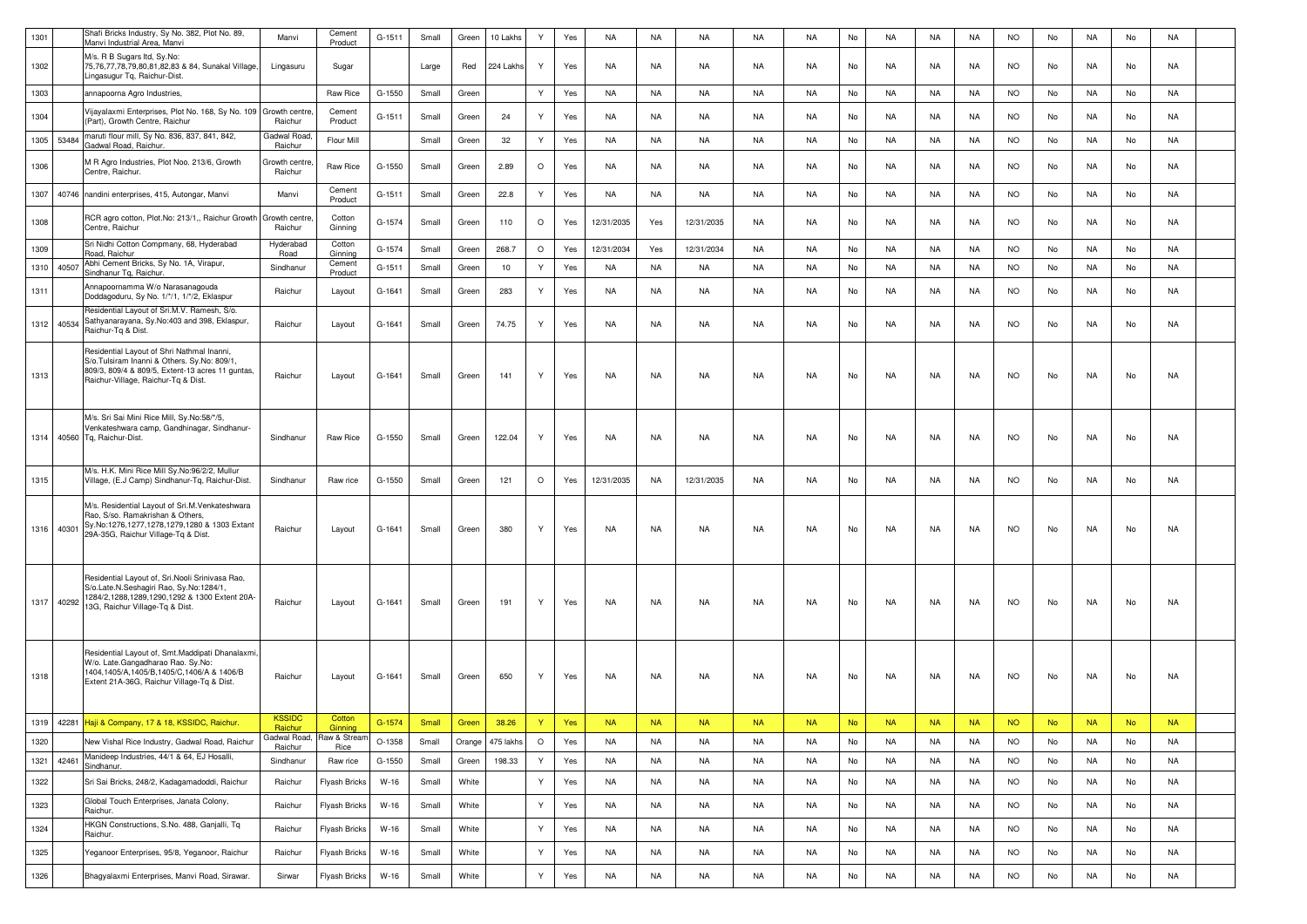| 1301 |       | Shafi Bricks Industry, Sy No. 382, Plot No. 89,<br>Manvi Industrial Area, Manvi                                                                                                      | Manvi                    | Cement<br>Product    | G-1511   | Small       | Green  | 10 Lakhs  | Y            | Yes | <b>NA</b>  | <b>NA</b> | <b>NA</b>  | <b>NA</b> | <b>NA</b> | No        | <b>NA</b> | <b>NA</b> | <b>NA</b> | <b>NO</b> | No        | <b>NA</b> | No        | <b>NA</b> |  |
|------|-------|--------------------------------------------------------------------------------------------------------------------------------------------------------------------------------------|--------------------------|----------------------|----------|-------------|--------|-----------|--------------|-----|------------|-----------|------------|-----------|-----------|-----------|-----------|-----------|-----------|-----------|-----------|-----------|-----------|-----------|--|
| 1302 |       | M/s. R B Sugars Itd, Sy.No:<br>75,76,77,78,79,80,81,82,83 & 84, Sunakal Village,<br>Lingasugur Tq, Raichur-Dist                                                                      | Lingasuru                | Sugar                |          | Large       | Red    | 224 Lakhs | Y            | Yes | NA         | NA        | NA         | NA        | NA.       | No        | NA        | NA        | NA        | <b>NO</b> | No        | NA        | No        | NA        |  |
| 1303 |       | annapoorna Agro Industries,                                                                                                                                                          |                          | Raw Rice             | G-1550   | Small       | Green  |           | Y            | Yes | NA         | NA        | NA         | NA        | <b>NA</b> | No        | NA        | NA        | NA        | <b>NO</b> | No        | NA        | No        | <b>NA</b> |  |
| 1304 |       | Vijayalaxmi Enterprises, Plot No. 168, Sy No. 109 Growth centre<br>(Part), Growth Centre, Raichur                                                                                    | Raichur                  | Cement<br>Product    | G-1511   | Small       | Green  | 24        | Y            | Yes | <b>NA</b>  | NA        | NA         | NA        | <b>NA</b> | No        | NA        | NA        | NA        | <b>NO</b> | No        | NA        | No        | NA        |  |
| 1305 | 53484 | maruti flour mill, Sy No. 836, 837, 841, 842,<br>Gadwal Road, Raichur.                                                                                                               | Gadwal Road<br>Raichur   | Flour Mill           |          | Small       | Green  | 32        | Y            | Yes | NA         | <b>NA</b> | NA         | <b>NA</b> | NA        | No        | <b>NA</b> | <b>NA</b> | <b>NA</b> | <b>NO</b> | No        | <b>NA</b> | No        | <b>NA</b> |  |
| 1306 |       | M R Agro Industries, Plot Noo. 213/6, Growth<br>Centre, Raichur.                                                                                                                     | Growth centre<br>Raichur | Raw Rice             | G-1550   | Small       | Green  | 2.89      | $\circ$      | Yes | NA         | NA        | NA         | NA        | <b>NA</b> | No        | NA        | NA        | NA        | <b>NO</b> | No        | NA        | No        | NA        |  |
| 1307 |       | 40746 nandini enterprises, 415, Autongar, Manvi                                                                                                                                      | Manvi                    | Cement<br>Product    | G-1511   | Small       | Green  | 22.8      | Y            | Yes | NA         | NA        | NA         | NA        | <b>NA</b> | No        | NA        | NA        | NA        | <b>NO</b> | No        | NA        | No        | <b>NA</b> |  |
| 1308 |       | RCR agro cotton, Plot.No: 213/1,, Raichur Growth<br>Centre, Raichur                                                                                                                  | Growth centre<br>Raichur | Cotton<br>Ginning    | G-1574   | Small       | Green  | 110       | $\circ$      | Yes | 12/31/2035 | Yes       | 12/31/2035 | NA        | <b>NA</b> | No        | NA        | NA        | NA        | <b>NO</b> | No        | NA        | No        | NA        |  |
| 1309 |       | Sri Nidhi Cotton Compmany, 68, Hyderabad<br>Road, Raichur                                                                                                                            | Hyderabad<br>Road        | Cotton<br>Ginning    | G-1574   | Small       | Green  | 268.7     | $\circ$      | Yes | 12/31/2034 | Yes       | 12/31/2034 | <b>NA</b> | <b>NA</b> | No        | <b>NA</b> | <b>NA</b> | <b>NA</b> | <b>NO</b> | No        | <b>NA</b> | No        | <b>NA</b> |  |
| 1310 | 40507 | Abhi Cement Bricks, Sy No. 1A, Virapur,<br>Sindhanur Tq, Raichur.                                                                                                                    | Sindhanur                | Cement<br>Product    | $G-1511$ | Small       | Green  | 10        | Y            | Yes | <b>NA</b>  | <b>NA</b> | NA         | <b>NA</b> | <b>NA</b> | No        | <b>NA</b> | <b>NA</b> | <b>NA</b> | <b>NO</b> | No        | <b>NA</b> | No        | <b>NA</b> |  |
| 1311 |       | Annapoornamma W/o Narasanagouda<br>Doddagoduru, Sy No. 1/*/1, 1/*/2, Eklaspur                                                                                                        | Raichur                  | Layout               | G-1641   | Small       | Green  | 283       | Y            | Yes | NA         | <b>NA</b> | NA         | NA        | <b>NA</b> | No        | NA        | NA        | <b>NA</b> | <b>NO</b> | No        | NA        | No        | <b>NA</b> |  |
| 1312 | 40534 | Residential Layout of Sri.M.V. Ramesh, S/o.<br>Sathyanarayana, Sy.No:403 and 398, Eklaspur,<br>Raichur-To & Dist.                                                                    | Raichur                  | Layout               | G-1641   | Small       | Green  | 74.75     | Y            | Yes | <b>NA</b>  | NA        | NA         | NA        | <b>NA</b> | No        | NA        | NA        | NA        | <b>NO</b> | No        | NA        | No        | <b>NA</b> |  |
| 1313 |       | Residential Layout of Shri Nathmal Inanni,<br>S/o.Tulsiram Inanni & Others. Sy.No: 809/1,<br>809/3, 809/4 & 809/5, Extent-13 acres 11 guntas,<br>Raichur-Village, Raichur-Tq & Dist. | Raichur                  | Layout               | G-1641   | Small       | Green  | 141       | Y            | Yes | <b>NA</b>  | NA        | NA         | NA        | <b>NA</b> | No        | NA        | <b>NA</b> | NA        | <b>NO</b> | No        | NA        | No        | NA        |  |
|      |       | M/s. Sri Sai Mini Rice Mill, Sy.No:58/*/5,<br>Venkateshwara camp, Gandhinagar, Sindhanur-<br>1314 40560 Tq, Raichur-Dist.                                                            | Sindhanur                | Raw Rice             | G-1550   | Small       | Green  | 122.04    | Y            | Yes | NA         | NA        | NA         | NA        | <b>NA</b> | No        | NA        | NA        | NA        | <b>NO</b> | No        | NA        | No        | NA        |  |
| 1315 |       | M/s. H.K. Mini Rice Mill Sy.No:96/2/2, Mullur<br>Village, (E.J Camp) Sindhanur-Tq, Raichur-Dist.                                                                                     | Sindhanur                | Raw rice             | G-1550   | Small       | Green  | 121       | $\circ$      | Yes | 12/31/2035 | NA        | 12/31/2035 | NA        | <b>NA</b> | No        | NA        | NA        | NA        | <b>NO</b> | No        | NA        | No        | NA        |  |
| 1316 | 40301 | M/s. Residential Layout of Sri.M.Venkateshwara<br>Rao, S/so. Ramakrishan & Others,<br>Sy.No:1276,1277,1278,1279,1280 & 1303 Extant<br>29A-35G, Raichur Village-Tq & Dist.            | Raichur                  | Layout               | G-1641   | Small       | Green  | 380       | Y            | Yes | NA         | NA        | NA         | NA        | <b>NA</b> | No        | NA        | NA        | NA.       | <b>NO</b> | No        | NA        | No        | NA        |  |
| 1317 | 40292 | Residential Layout of, Sri.Nooli Srinivasa Rao,<br>S/o.Late.N.Seshagiri Rao, Sy.No:1284/1,<br>1284/2, 1288, 1289, 1290, 1292 & 1300 Extent 20A-<br>13G, Raichur Village-Tq & Dist.   | Raichur                  | Layout               | G-1641   | Small       | Green  | 191       | Y            | Yes | NA         | NA        | NA         | NA        | <b>NA</b> | No        | NA        | NA        | NA        | <b>NO</b> | No        | NA        | No        | <b>NA</b> |  |
| 1318 |       | Residential Layout of, Smt.Maddipati Dhanalaxmi<br>W/o. Late.Gangadharao Rao. Sy.No:<br>1404,1405/A,1405/B,1405/C,1406/A & 1406/B<br>Extent 21A-36G, Raichur Village-Tq & Dist.      | Raichur                  | Layout               | G-1641   | Small       | Green  | 650       | Y            | Yes | NA         | NA        | NA         | NA        | <b>NA</b> | No        | NA        | NA        | NA        | <b>NO</b> | No        | NA.       | No        | NA        |  |
|      |       | 1319 42281 Haji & Company, 17 & 18, KSSIDC, Raichur.                                                                                                                                 | <b>KSSIDC</b><br>Raichur | Cotton<br>Ginning    | G-1574   | Small Green |        | 38.26     | Y            | Yes | <b>NA</b>  | <b>NA</b> | NA -       | <b>NA</b> | <b>NA</b> | <b>No</b> | <b>NA</b> | <b>NA</b> | <b>NA</b> | <b>NO</b> | <b>No</b> | <b>NA</b> | <b>No</b> | <b>NA</b> |  |
| 1320 |       | New Vishal Rice Industry, Gadwal Road, Raichur                                                                                                                                       | Gadwal Road,<br>Raichur  | Raw & Stream<br>Rice | O-1358   | Small       | Orange | 475 lakhs | $\circ$      | Yes | NA         | NA        | NA         | NA        | <b>NA</b> | No        | NA        | NA        | NA        | <b>NO</b> | No        | NA        | No        | NA        |  |
| 1321 | 42461 | Manideep Industries, 44/1 & 64, EJ Hosalli,<br>Sindhanur.                                                                                                                            | Sindhanur                | Raw rice             | G-1550   | Small       | Green  | 198.33    | Y            | Yes | NA         | NA        | NA         | NA        | <b>NA</b> | No        | NA        | NA        | NA        | <b>NO</b> | No        | NA        | No        | NA        |  |
| 1322 |       | Sri Sai Bricks, 248/2, Kadagamadoddi, Raichur                                                                                                                                        | Raichur                  | Flyash Bricks        | W-16     | Small       | White  |           | Y            | Yes | <b>NA</b>  | <b>NA</b> | NA         | NA        | NA        | No        | NA        | NA        | NA        | <b>NO</b> | No        | NA        | No        | NA        |  |
| 1323 |       | Global Touch Enterprises, Janata Colony,<br>Raichur.                                                                                                                                 | Raichur                  | Flyash Bricks        | $W-16$   | Small       | White  |           | $\mathsf{Y}$ | Yes | NA         | <b>NA</b> | NA         | NA        | <b>NA</b> | No        | NA        | NA        | NA        | <b>NO</b> | No        | NA        | No        | NA        |  |
| 1324 |       | HKGN Constructions, S.No. 488, Ganjalli, Tq<br>Raichur.                                                                                                                              | Raichur                  | Flyash Bricks        | W-16     | Small       | White  |           | Y            | Yes | <b>NA</b>  | NA        | NA         | NA        | <b>NA</b> | No        | NA        | NA        | NA        | <b>NO</b> | No        | NA        | No        | NA        |  |
| 1325 |       | /eganoor Enterprises, 95/8, Yeganoor, Raichur                                                                                                                                        | Raichur                  | Flyash Bricks        | $W-16$   | Small       | White  |           | Y            | Yes | <b>NA</b>  | <b>NA</b> | NA         | NA        | NA        | No        | NA        | NA        | NA        | <b>NO</b> | No        | NA        | No        | NA        |  |
| 1326 |       | Bhagyalaxmi Enterprises, Manvi Road, Sirawar.                                                                                                                                        | Sirwar                   | Flyash Bricks        | $W-16$   | Small       | White  |           | Y            | Yes | NA         | <b>NA</b> | NA         | NA        | <b>NA</b> | No        | <b>NA</b> | NA        | NA        | <b>NO</b> | No        | NA        | No        | NA        |  |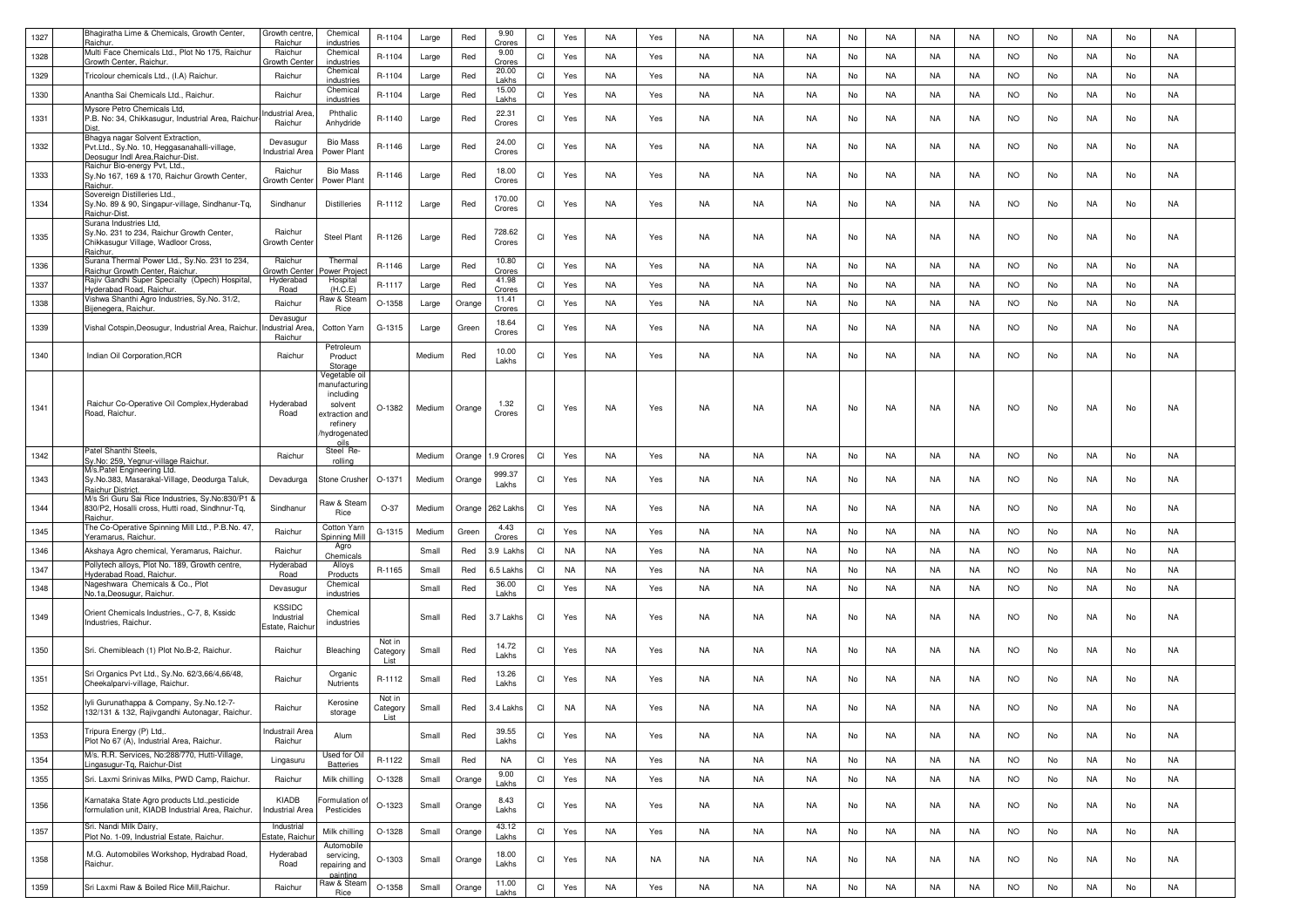| 1327 | Bhagiratha Lime & Chemicals, Growth Center,<br>}aichur                                                                 | Growth centre<br>Raichur                      | Chemical<br>industries                                                                                       | R-1104                      | Large  | Red    | 9.90<br>Crores   | CI | Yes       | <b>NA</b> | Yes | NA        | NA        | <b>NA</b> | No | NA        | NA        | NA        | <b>NO</b> | No | NA        | No | NA        |  |
|------|------------------------------------------------------------------------------------------------------------------------|-----------------------------------------------|--------------------------------------------------------------------------------------------------------------|-----------------------------|--------|--------|------------------|----|-----------|-----------|-----|-----------|-----------|-----------|----|-----------|-----------|-----------|-----------|----|-----------|----|-----------|--|
| 1328 | Multi Face Chemicals Ltd., Plot No 175, Raichur<br>Growth Center, Raichur.                                             | Raichur<br>Growth Cent                        | Chemical<br>industries                                                                                       | R-1104                      | Large  | Red    | 9.00<br>Crores   | CI | Yes       | NA        | Yes | NA        | NA        | <b>NA</b> | No | NA        | NA        | NA        | <b>NO</b> | No | NA        | No | NA        |  |
| 1329 | Fricolour chemicals Ltd., (I.A) Raichur.                                                                               | Raichur                                       | Chemical<br>industries                                                                                       | R-1104                      | Large  | Red    | 20.00<br>Lakhs   | CI | Yes       | NA        | Yes | NA        | <b>NA</b> | <b>NA</b> | No | <b>NA</b> | NA        | NA        | <b>NO</b> | No | NA        | No | NA        |  |
| 1330 | Anantha Sai Chemicals Ltd., Raichur.                                                                                   | Raichur                                       | Chemical<br>industries                                                                                       | R-1104                      | Large  | Red    | 15.00<br>Lakhs   | CI | Yes       | NA        | Yes | NA        | NA        | NA        | No | NA        | NA        | NA        | <b>NO</b> | No | NA        | No | NA        |  |
| 1331 | Mysore Petro Chemicals Ltd,<br>P.B. No: 34, Chikkasugur, Industrial Area, Raichur                                      | <b>Industrial Area</b><br>Raichur             | Phthalic<br>Anhydride                                                                                        | R-1140                      | Large  | Red    | 22.31<br>Crores  | CI | Yes       | NA.       | Yes | NA        | NA        | NA        | No | NA        | NA        | NA        | <b>NO</b> | No | NA        | No | NA        |  |
| 1332 | Bhagya nagar Solvent Extraction,<br>Pvt.Ltd., Sy.No. 10, Heggasanahalli-village,<br>Deosugur Indl Area, Raichur-Dist   | Devasugur<br>Industrial Area                  | <b>Bio Mass</b><br>Power Plant                                                                               | R-1146                      | Large  | Red    | 24.00<br>Crores  | CI | Yes       | NA        | Yes | NA        | NA        | NA        | No | NA        | NA        | NA        | NO.       | No | NA        | No | NA        |  |
| 1333 | Raichur Bio-energy Pvt, Ltd.,<br>Sy.No 167, 169 & 170, Raichur Growth Center,                                          | Raichur<br>Growth Cente                       | <b>Bio Mass</b><br>Power Plant                                                                               | R-1146                      | Large  | Red    | 18.00<br>Crores  | CI | Yes       | NA        | Yes | NA        | NA        | NA        | No | NA        | NA        | NA        | <b>NO</b> | No | NA        | No | NA        |  |
| 1334 | Raichur<br>Sovereign Distilleries Ltd.,<br>Sy.No. 89 & 90, Singapur-village, Sindhanur-Tq,<br>Raichur-Dist.            | Sindhanur                                     | <b>Distilleries</b>                                                                                          | R-1112                      | Large  | Red    | 170.00<br>Crores | CI | Yes       | NA        | Yes | NA        | NA        | <b>NA</b> | No | NA        | NA        | <b>NA</b> | <b>NO</b> | No | NA        | No | NA        |  |
| 1335 | Surana Industries Ltd,<br>Sy.No. 231 to 234, Raichur Growth Center,<br>Chikkasugur Village, Wadloor Cross,<br>Raichur. | Raichur<br>Growth Cente                       | Steel Plant                                                                                                  | R-1126                      | Large  | Red    | 728.62<br>Crores | CI | Yes       | NA        | Yes | NA        | NA        | NA        | No | NA        | NA        | NA        | NO.       | No | NA        | No | NA        |  |
| 1336 | Surana Thermal Power Ltd., Sy.No. 231 to 234,<br>Raichur Growth Center, Raichur.                                       | Raichur<br>Growth Cent                        | Thermal<br>ower Projec                                                                                       | R-1146                      | Large  | Red    | 10.80<br>Crores  | CI | Yes       | NA        | Yes | NA        | NA        | NA        | No | NA        | NA        | NA        | <b>NO</b> | No | NA        | No | NA        |  |
| 1337 | Rajiv Gandhi Super Specialty (Opech) Hospital,<br>Hyderabad Road, Raichur.                                             | Hyderabad<br>Road                             | Hospital<br>(H.C.E)                                                                                          | R-1117                      | Large  | Red    | 41.98<br>Crores  | CI | Yes       | NA        | Yes | NA        | NA        | NA        | No | NA        | NA        | NA        | <b>NO</b> | No | NA        | No | NA        |  |
| 1338 | Vishwa Shanthi Agro Industries, Sy.No. 31/2,<br>Bijenegera, Raichur.                                                   | Raichur                                       | Raw & Stear<br>Rice                                                                                          | O-1358                      | Large  | Orange | 11.41<br>Crores  | CI | Yes       | NA        | Yes | NA        | NA        | <b>NA</b> | No | <b>NA</b> | NA        | NA        | <b>NO</b> | No | NA        | No | NA        |  |
| 1339 | Vishal Cotspin, Deosugur, Industrial Area, Raichur                                                                     | Devasugur<br>Industrial Area<br>Raichur       | Cotton Yarn                                                                                                  | G-1315                      | Large  | Green  | 18.64<br>Crores  | CI | Yes       | NA        | Yes | NA        | NA        | NA        | No | NA        | NA        | NA        | <b>NO</b> | No | NA        | No | NA        |  |
| 1340 | Indian Oil Corporation, RCR                                                                                            | Raichur                                       | Petroleum<br>Product<br>Storage                                                                              |                             | Medium | Red    | 10.00<br>Lakhs   | CI | Yes       | NA        | Yes | NA        | NA        | <b>NA</b> | No | NA        | NA        | NA        | <b>NO</b> | No | NA.       | No | NA        |  |
| 1341 | Raichur Co-Operative Oil Complex, Hyderabad<br>Road, Raichur.                                                          | Hyderabad<br>Road                             | Vegetable oil<br>nanufacturing<br>including<br>solvent<br>extraction and<br>refinery<br>hydrogenated<br>oils | O-1382                      | Medium | Orange | 1.32<br>Crores   | CI | Yes       | <b>NA</b> | Yes | NA        | NA        | NA        | No | NA        | NA        | NA        | <b>NO</b> | No | NA        | No | NA        |  |
| 1342 | Patel Shanthi Steels,<br>ly.No: 259, Yegnur-village Raichur.                                                           | Raichur                                       | Steel Re-<br>rolling                                                                                         |                             | Medium | Orange | 1.9 Crore        | CI | Yes       | NA        | Yes | NA        | NA        | NA        | No | <b>NA</b> | NA        | NA        | <b>NO</b> | No | NA        | No | NA        |  |
| 1343 | M/s.Patel Engineering Ltd.<br>Sy.No.383, Masarakal-Village, Deodurga Taluk,<br>Raichur District.                       | Devadurga                                     | Stone Crusher                                                                                                | O-1371                      | Medium | Orange | 999.37<br>Lakhs  | CI | Yes       | NA        | Yes | NA        | NA        | NA        | No | NA        | NA        | NA        | NO.       | No | NA        | No | NA        |  |
| 1344 | M/s Sri Guru Sai Rice Industries, Sy.No:830/P1 &<br>830/P2, Hosalli cross, Hutti road, Sindhnur-Tq,<br>Raichur         | Sindhanur                                     | Raw & Stearr<br>Rice                                                                                         | $O-37$                      | Medium | Orange | 262 Lakh         | CI | Yes       | NA        | Yes | NA        | NA        | NA.       | No | NA        | NA        | NA        | NO.       | No | NA.       | No | NA        |  |
| 1345 | The Co-Operative Spinning Mill Ltd., P.B.No. 47,<br>Yeramarus, Raichur.                                                | Raichur                                       | Cotton Yarn<br>Spinning Mill                                                                                 | G-1315                      | Medium | Green  | 4.43<br>Crores   | CI | Yes       | NA        | Yes | NA        | NA        | <b>NA</b> | No | <b>NA</b> | NA        | NA        | <b>NO</b> | No | NA        | No | NA        |  |
| 1346 | Akshaya Agro chemical, Yeramarus, Raichur.                                                                             | Raichur                                       | Agro<br>Chemicals                                                                                            |                             | Small  | Red    | 3.9 Lakh         | CI | <b>NA</b> | NA        | Yes | NA        | NA        | <b>NA</b> | No | NA        | NA        | NA        | <b>NO</b> | No | NA        | No | NA        |  |
| 1347 | Pollytech alloys, Plot No. 189, Growth centre,<br><u>Hyderabad Road, Raichur</u>                                       | Hyderabad<br>Road                             | Alloys<br>Products                                                                                           | R-1165                      | Small  | Red    | 6.5 Lakh         | CI | <b>NA</b> | NA        | Yes | NA        | NA        | NA        | No | NA        | NA        | NA        | <b>NO</b> | No | NA        | No | NA        |  |
| 1348 | Nageshwara Chemicals & Co., Plot<br>No.1a, Deosugur, Raichur.                                                          | Devasugur                                     | Chemical<br>industries                                                                                       |                             | Small  | Red    | 36.00<br>Lakhs   | CI | Yes       | <b>NA</b> | Yes | NA        | NA        | NA        | No | NA        | NA        | NA        | <b>NO</b> | No | NA        | No | NA        |  |
| 1349 | Orient Chemicals Industries., C-7, 8, Kssidc<br>Industries, Raichur.                                                   | <b>KSSIDC</b><br>Industrial<br>Estate, Raichu | Chemical<br>industries                                                                                       |                             | Small  | Red    | 3.7 Lakhs        | CI | Yes       | NA        | Yes | NA        | NA        | NA        | No | NA        | NA        | NA        | <b>NO</b> | No | NA.       | No | NA        |  |
| 1350 | Sri. Chemibleach (1) Plot No.B-2, Raichur.                                                                             | Raichur                                       | Bleaching                                                                                                    | Not in<br>Category<br>list  | Small  | Red    | 14.72<br>Lakhs   | CI | Yes       | NA        | Yes | NA        | NA        | NA        | No | NA        | NA        | NA        | NO        | No | NA        | No | NA        |  |
| 1351 | Sri Organics Pvt Ltd., Sy.No. 62/3,66/4,66/48,<br>Cheekalparvi-village, Raichur.                                       | Raichur                                       | Organic<br>Nutrients                                                                                         | R-1112                      | Small  | Red    | 13.26<br>Lakhs   | CI | Yes       | NA        | Yes | NA        | NA        | NA        | No | NA        | NA        | <b>NA</b> | <b>NO</b> | No | NA        | No | NA        |  |
| 1352 | lyli Gurunathappa & Company, Sy.No.12-7-<br>132/131 & 132, Rajivgandhi Autonagar, Raichur.                             | Raichur                                       | Kerosine<br>storage                                                                                          | Not in<br>Category<br>I ist | Small  | Red    | 3.4 Lakhs        | CI | <b>NA</b> | <b>NA</b> | Yes | NA        | NA        | NA        | No | NA        | NA        | NA        | <b>NO</b> | No | NA        | No | NA        |  |
| 1353 | Tripura Energy (P) Ltd,.<br>Plot No 67 (A), Industrial Area, Raichur.                                                  | Industrail Area<br>Raichur                    | Alum                                                                                                         |                             | Small  | Red    | 39.55<br>Lakhs   | CI | Yes       | <b>NA</b> | Yes | NA        | NA        | NA        | No | NA        | NA        | <b>NA</b> | <b>NO</b> | No | NA        | No | NA        |  |
| 1354 | M/s. R.R. Services, No:288/770, Hutti-Village,<br>Lingasugur-Tq, Raichur-Dist                                          | Lingasuru                                     | Used for Oil<br><b>Batteries</b>                                                                             | R-1122                      | Small  | Red    | NA               | CI | Yes       | NA        | Yes | NA        | NA        | NA        | No | NA        | NA        | NA        | <b>NO</b> | No | NA        | No | NA        |  |
| 1355 | Sri. Laxmi Srinivas Milks, PWD Camp, Raichur.                                                                          | Raichur                                       | Milk chilling                                                                                                | O-1328                      | Small  | Orange | 9.00<br>Lakhs    | Cl | Yes       | NA        | Yes | <b>NA</b> | <b>NA</b> | <b>NA</b> | No | <b>NA</b> | <b>NA</b> | <b>NA</b> | <b>NO</b> | No | <b>NA</b> | No | <b>NA</b> |  |
| 1356 | Karnataka State Agro products Ltd., pesticide<br>formulation unit, KIADB Industrial Area, Raichur.                     | KIADB<br><b>Industrial Area</b>               | ormulation of<br>Pesticides                                                                                  | O-1323                      | Small  | Orange | 8.43<br>Lakhs    | CI | Yes       | NA        | Yes | NA        | NA        | NA        | No | NA        | NA        | NA        | <b>NO</b> | No | NA        | No | NA        |  |
| 1357 | Sri. Nandi Milk Dairy,<br>Plot No. 1-09, Industrial Estate, Raichur.                                                   | Industrial<br>Estate, Raich                   | Milk chilling                                                                                                | O-1328                      | Small  | Orange | 43.12<br>Lakhs   | Cl | Yes       | NA        | Yes | NA        | <b>NA</b> | <b>NA</b> | No | NA        | NA        | <b>NA</b> | <b>NO</b> | No | <b>NA</b> | No | NA        |  |
| 1358 | M.G. Automobiles Workshop, Hydrabad Road,<br>Raichur.                                                                  | Hyderabad<br>Road                             | Automobile<br>servicing,<br>repairing and                                                                    | O-1303                      | Small  | Orange | 18.00<br>Lakhs   | CI | Yes       | NA        | NA  | NA        | NA        | NA        | No | NA        | NA        | NA        | <b>NO</b> | No | NA        | No | NA        |  |
| 1359 | Sri Laxmi Raw & Boiled Rice Mill, Raichur.                                                                             | Raichur                                       | nainting<br>Raw & Steam                                                                                      | O-1358                      | Small  | Orange | 11.00            | Cl | Yes       | <b>NA</b> | Yes | NA        | NA        | NA        | No | NA        | NA        | <b>NA</b> | <b>NO</b> | No | NA        | No | NA        |  |
|      |                                                                                                                        |                                               | Rice                                                                                                         |                             |        |        | Lakhs            |    |           |           |     |           |           |           |    |           |           |           |           |    |           |    |           |  |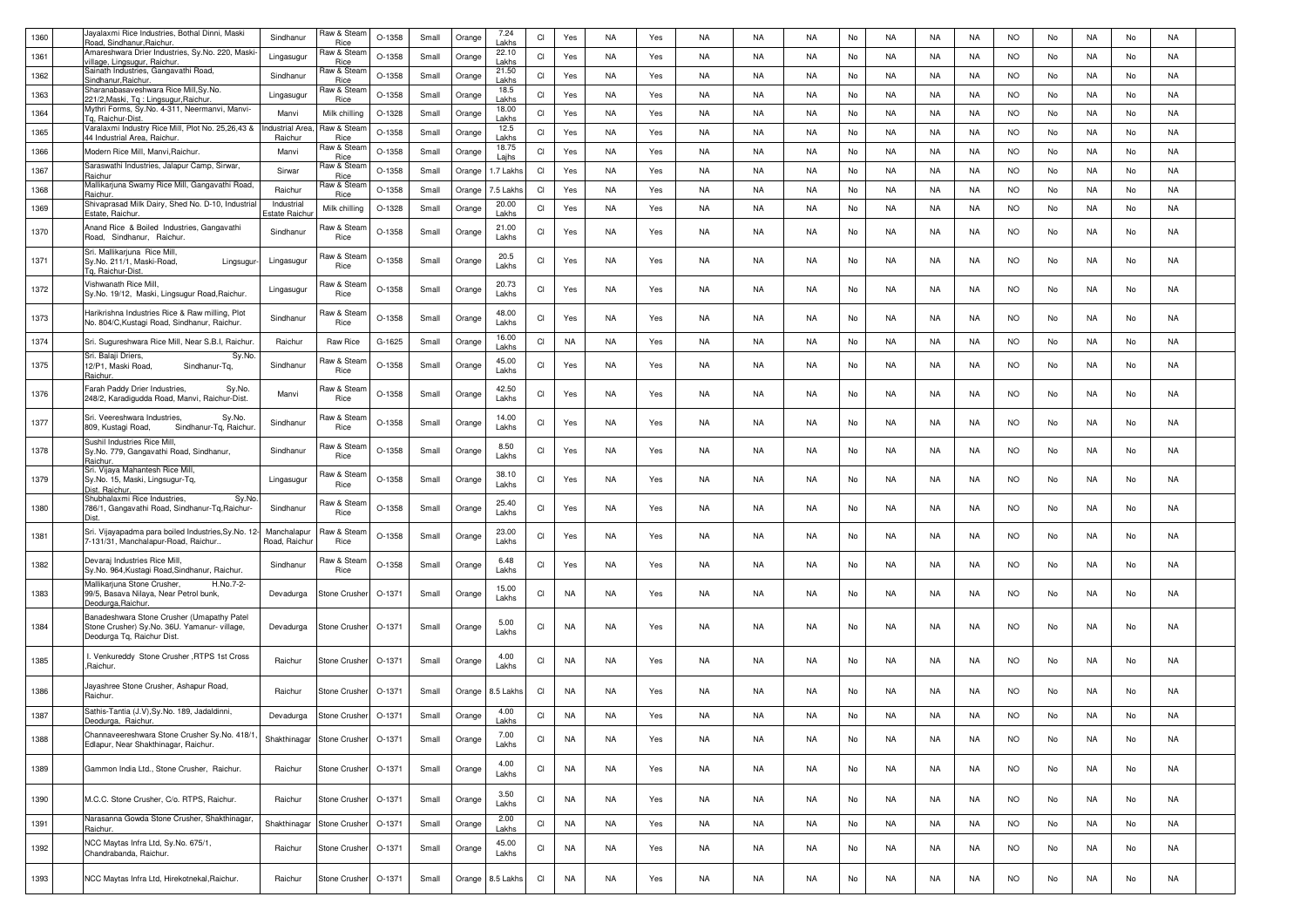| 1360 | Jayalaxmi Rice Industries, Bothal Dinni, Maski<br>Road, Sindhanur, Raichur.                                              | Sindhanur                  | Raw & Stean<br>Rice        | O-1358   | Small | Orange | 7.24<br>Lakhs  | CI                     | Yes       | NA        | Yes | NA | <b>NA</b> | <b>NA</b> | No | <b>NA</b> | NA        | <b>NA</b> | <b>NO</b> | No | NA | No | <b>NA</b> |  |
|------|--------------------------------------------------------------------------------------------------------------------------|----------------------------|----------------------------|----------|-------|--------|----------------|------------------------|-----------|-----------|-----|----|-----------|-----------|----|-----------|-----------|-----------|-----------|----|----|----|-----------|--|
| 1361 | Amareshwara Drier Industries, Sy.No. 220, Maski<br>rillage, Lingsugur, Raichur.                                          | Lingasugu                  | Raw & Stear<br>Rice        | O-1358   | Small | Orange | 22.10<br>Lakhs | CI                     | Yes       | NA        | Yes | NA | NA        | <b>NA</b> | No | <b>NA</b> | NA        | NA        | <b>NO</b> | No | NA | No | NA        |  |
| 1362 | Sainath Industries, Gangavathi Road,<br>Sindhanur, Raichur                                                               | Sindhanur                  | Raw & Stear<br>Rice        | O-1358   | Small | Orange | 21.50<br>Lakhs | CI                     | Yes       | NA        | Yes | NA | NA        | NA        | No | NA.       | NA        | NA        | <b>NO</b> | No | NA | No | NA        |  |
| 1363 | Sharanabasaveshwara Rice Mill, Sy.No.<br>21/2, Maski, Tg: Lingsugur, Raichur.                                            | Lingasugu                  | Raw & Stear<br>Rice        | O-1358   | Small | Orange | 18.5<br>Lakhs  | CI                     | Yes       | NA        | Yes | NA | NA        | <b>NA</b> | No | NA.       | NA        | NA        | <b>NO</b> | No | NA | No | NA        |  |
| 1364 | Mythri Forms, Sy.No. 4-311, Neermanvi, Manvi-<br>To. Raichur-Dist.                                                       | Manvi                      | Milk chilling              | $O-1328$ | Small | Orange | 18.00<br>Lakhs | CI                     | Yes       | NA        | Yes | NA | NA        | NA        | No | NA.       | NA        | NA        | <b>NO</b> | No | NA | No | NA        |  |
| 1365 | Varalaxmi Industry Rice Mill, Plot No. 25,26,43 &<br>44 Industrial Area, Raichur                                         | ndustrial Are<br>Raichur   | Raw & Stean<br>Rice        | $O-1358$ | Small | Orange | 12.5<br>Lakhs  | CI                     | Yes       | NA        | Yes | NA | NA        | <b>NA</b> | No | <b>NA</b> | NA        | NA        | <b>NO</b> | No | NA | No | NA        |  |
| 1366 | Modern Rice Mill, Manvi, Raichur.                                                                                        | Manvi                      | Raw & Stear<br>Rice        | O-1358   | Small | Orange | 18.75<br>Lajhs | CI                     | Yes       | <b>NA</b> | Yes | NA | <b>NA</b> | <b>NA</b> | No | <b>NA</b> | NA        | NA        | <b>NO</b> | No | NA | No | NA        |  |
| 1367 | Saraswathi Industries, Jalapur Camp, Sirwar,<br>Raichur                                                                  | Sirwar                     | Raw & Stea<br>Rice         | O-1358   | Small | Orange | 1.7 Lakh:      | CI                     | Yes       | <b>NA</b> | Yes | NA | <b>NA</b> | <b>NA</b> | No | <b>NA</b> | NA        | NA        | <b>NO</b> | No | NA | No | NA        |  |
| 1368 | Mallikarjuna Swamy Rice Mill, Gangavathi Road,<br>Raichur                                                                | Raichur                    | Raw & Stear<br><b>Rice</b> | O-1358   | Small | Orange | '.5 Lakh       | <b>CI</b>              | Yes       | NA        | Yes | NA | NA        | NA        | No | NA.       | NA        | NA        | <b>NO</b> | No | NA | No | <b>NA</b> |  |
| 1369 | Shivaprasad Milk Dairy, Shed No. D-10, Industrial<br>Estate, Raichur                                                     | Industrial<br>state Raich  | Milk chilling              | $O-1328$ | Small | Orange | 20.00<br>Lakhs | CI                     | Yes       | NA        | Yes | NA | <b>NA</b> | <b>NA</b> | No | NA.       | NA        | NA        | <b>NO</b> | No | NA | No | <b>NA</b> |  |
| 1370 | Anand Rice & Boiled Industries, Gangavathi<br>Road, Sindhanur, Raichur.                                                  | Sindhanur                  | Raw & Steam<br>Rice        | O-1358   | Small | Orange | 21.00<br>Lakhs | CI                     | Yes       | NA        | Yes | NA | NA        | NA        | No | NA.       | NA        | NA        | <b>NO</b> | No | NA | No | <b>NA</b> |  |
| 1371 | Sri. Mallikarjuna Rice Mill,<br>Sy.No. 211/1, Maski-Road,<br>Lingsugur<br>Tg. Raichur-Dist                               | Lingasugur                 | Raw & Stean<br>Rice        | $O-1358$ | Small | Orange | 20.5<br>Lakhs  | CI                     | Yes       | NA        | Yes | NA | NA        | NA        | No | NA.       | NA        | NA        | <b>NO</b> | No | NA | No | NA        |  |
| 1372 | Vishwanath Rice Mill,<br>Sy.No. 19/12, Maski, Lingsugur Road, Raichur.                                                   | Lingasugur                 | Raw & Stean<br>Rice        | O-1358   | Small | Orange | 20.73<br>Lakhs | CI                     | Yes       | NA        | Yes | NA | NA        | NA        | No | NA.       | NA        | NA        | <b>NO</b> | No | NA | No | NA        |  |
| 1373 | Harikrishna Industries Rice & Raw milling, Plot<br>No. 804/C, Kustagi Road, Sindhanur, Raichur.                          | Sindhanur                  | Raw & Stear<br>Rice        | O-1358   | Small | Orange | 48.00<br>Lakhs | CI                     | Yes       | NA        | Yes | NA | NA        | NA        | No | NA        | NA        | NA        | NO.       | No | NA | No | NA        |  |
| 1374 | Sri. Sugureshwara Rice Mill, Near S.B.I, Raichur.                                                                        | Raichur                    | Raw Rice                   | G-1625   | Small | Orange | 16.00<br>Lakhs | <b>CI</b>              | NA        | NA        | Yes | NA | NA        | <b>NA</b> | No | NA.       | NA        | NA        | <b>NO</b> | No | NA | No | NA        |  |
| 1375 | Sri. Balaji Driers,<br>Sy.No<br>12/P1, Maski Road.<br>Sindhanur-Tq,<br>Raichur.                                          | Sindhanur                  | Raw & Stean<br>Rice        | O-1358   | Small | Orange | 45.00<br>Lakhs | CI                     | Yes       | NA        | Yes | NA | NA        | <b>NA</b> | No | NA.       | NA        | NA        | <b>NO</b> | No | NA | No | NA        |  |
| 1376 | Farah Paddy Drier Industries,<br>Sy.No.<br>248/2, Karadigudda Road, Manvi, Raichur-Dist.                                 | Manvi                      | Raw & Stean<br>Rice        | O-1358   | Small | Orange | 42.50<br>Lakhs | CI                     | Yes       | NA        | Yes | NA | NA        | <b>NA</b> | No | NA.       | NA        | NA        | <b>NO</b> | No | NA | No | NA        |  |
| 1377 | Sri. Veereshwara Industries,<br>Sy.No.<br>809, Kustagi Road,<br>Sindhanur-Tq, Raichur                                    | Sindhanur                  | Raw & Stean<br>Rice        | O-1358   | Small | Orange | 14.00<br>Lakhs | CI                     | Yes       | NA.       | Yes | NA | NA        | NA        | No | NA        | NA        | NA        | <b>NO</b> | No | NA | No | NA        |  |
| 1378 | Sushil Industries Rice Mill.<br>Sy.No. 779, Gangavathi Road, Sindhanur,<br>Raichur.                                      | Sindhanur                  | Raw & Stean<br>Rice        | $O-1358$ | Small | Orange | 8.50<br>Lakhs  | CI                     | Yes       | NA        | Yes | NA | NA        | <b>NA</b> | No | NA.       | NA        | NA        | <b>NO</b> | No | NA | No | NA        |  |
| 1379 | Sri. Vijaya Mahantesh Rice Mill,<br>Sy.No. 15, Maski, Lingsugur-Tq,<br>Dist. Raichur.                                    | Lingasugur                 | Raw & Steam<br>Rice        | O-1358   | Small | Orange | 38.10<br>Lakhs | CI                     | Yes       | NA        | Yes | NA | NA        | NA        | No | NA.       | NA        | NA        | <b>NO</b> | No | NA | No | NA        |  |
| 1380 | Shubhalaxmi Rice Industries,<br>Sy.No<br>786/1, Gangavathi Road, Sindhanur-Tq, Raichur-                                  | Sindhanur                  | Raw & Stean<br>Rice        | O-1358   | Small | Orange | 25.40<br>Lakhs | CI                     | Yes       | NA        | Yes | NA | NA        | NA        | No | NA.       | NA        | NA        | <b>NO</b> | No | NA | No | NA        |  |
| 1381 | Sri. Vijayapadma para boiled Industries, Sy. No. 12<br>7-131/31, Manchalapur-Road, Raichur.                              | Manchalapu<br>Road, Raichu | Raw & Stean<br>Rice        | O-1358   | Small | Orange | 23.00<br>Lakhs | CI                     | Yes       | NA        | Yes | NA | NA        | NA        | No | NA.       | NA        | NA        | NO.       | No | NA | No | NA        |  |
| 1382 | Devaraj Industries Rice Mill<br>Sy.No. 964, Kustagi Road, Sindhanur, Raichur.                                            | Sindhanur                  | Raw & Stean<br>Rice        | $O-1358$ | Small | Orange | 6.48<br>Lakhs  | CI                     | Yes       | NA        | Yes | NA | NA        | NA        | No | NA.       | NA        | NA        | NO.       | No | NA | No | NA        |  |
| 1383 | H.No.7-2-<br>Mallikarjuna Stone Crusher,<br>99/5, Basava Nilaya, Near Petrol bunk,<br>Deodurga, Raichur.                 | Devadurga                  | Stone Crusher              | O-1371   | Small | Orange | 15.00<br>Lakhs | CI                     | NA        | NA        | Yes | NA | NA        | <b>NA</b> | No | NA.       | NA        | <b>NA</b> | <b>NO</b> | No | NA | No | NA        |  |
| 1384 | Banadeshwara Stone Crusher (Umapathy Patel<br>Stone Crusher) Sy.No. 36U. Yamanur- village,<br>Deodurga Tq, Raichur Dist. | Devadurga                  | Stone Crusher              | O-1371   | Small | Orange | 5.00<br>Lakhs  | CI                     | <b>NA</b> | NA        | Yes | NA | NA        | NA        | No | NA        | NA        | NA        | <b>NO</b> | No | NA | No | NA        |  |
| 1385 | I. Venkureddy Stone Crusher , RTPS 1st Cross<br>Raichur.                                                                 | Raichur                    | Stone Crusher              | O-1371   | Small | Orange | 4.00<br>Lakhs  | CI                     | NA        | NA        | Yes | NA | NA        | NA.       | No | NA.       | NA        | NA        | <b>NO</b> | No | NA | No | NA        |  |
| 1386 | Jayashree Stone Crusher, Ashapur Road,<br>Raichur.                                                                       | Raichur                    | Stone Crusher              | $O-1371$ | Small | Orange | 8.5 Lakh:      | CI                     | <b>NA</b> | NA.       | Yes | NA | NA        | NA        | No | NA.       | NA        | NA        | NO.       | No | NA | No | NA        |  |
| 1387 | Sathis-Tantia (J.V), Sy. No. 189, Jadaldinni,<br>Deodurga, Raichur.                                                      | Devadurga                  | Stone Crusher              | O-1371   | Small | Orange | 4.00<br>Lakhs  | CI                     | <b>NA</b> | <b>NA</b> | Yes | NA | <b>NA</b> | <b>NA</b> | No | <b>NA</b> | <b>NA</b> | NA        | <b>NO</b> | No | NA | No | NA        |  |
| 1388 | Channaveereshwara Stone Crusher Sy.No. 418/1<br>Edlapur, Near Shakthinagar, Raichur.                                     | Shakthinagar               | Stone Crusher              | O-1371   | Small | Orange | 7.00<br>Lakhs  | CI                     | <b>NA</b> | NA        | Yes | NA | NA        | NA        | No | NA        | NA        | NA        | <b>NO</b> | No | NA | No | NA        |  |
| 1389 | Gammon India Ltd., Stone Crusher, Raichur.                                                                               | Raichur                    | Stone Crusher              | O-1371   | Small | Orange | 4.00<br>Lakhs  | CI                     | NA        | NA        | Yes | NA | NA        | NA        | No | NA        | NA        | NA        | <b>NO</b> | No | NA | No | NA        |  |
| 1390 | M.C.C. Stone Crusher, C/o. RTPS, Raichur.                                                                                | Raichur                    | Stone Crusher              | O-1371   | Small | Orange | 3.50<br>Lakhs  | CI                     | <b>NA</b> | NA        | Yes | NA | NA        | <b>NA</b> | No | <b>NA</b> | NA        | NA        | <b>NO</b> | No | NA | No | NA        |  |
| 1391 | Narasanna Gowda Stone Crusher, Shakthinagar,<br>Raichur.                                                                 | Shakthinaga                | Stone Crusher              | O-1371   | Small | Orange | 2.00<br>Lakhs  | $\mathsf{C}\mathsf{I}$ | <b>NA</b> | NA        | Yes | NA | NA        | NA        | No | <b>NA</b> | NA        | NA        | <b>NO</b> | No | NA | No | NA        |  |
| 1392 | NCC Maytas Infra Ltd, Sy.No. 675/1,<br>Chandrabanda, Raichur.                                                            | Raichur                    | Stone Crusher              | O-1371   | Small | Orange | 45.00<br>Lakhs | CI                     | <b>NA</b> | NA        | Yes | NA | NA        | NA        | No | NA        | NA        | NA        | <b>NO</b> | No | NA | No | NA        |  |
| 1393 | NCC Maytas Infra Ltd, Hirekotnekal, Raichur                                                                              | Raichur                    | Stone Crusher              | O-1371   | Small | Orange | 8.5 Lakhs      | CI                     | <b>NA</b> | NA        | Yes | NA | NA        | NA        | No | NA        | NA        | NA        | <b>NO</b> | No | NA | No | NA        |  |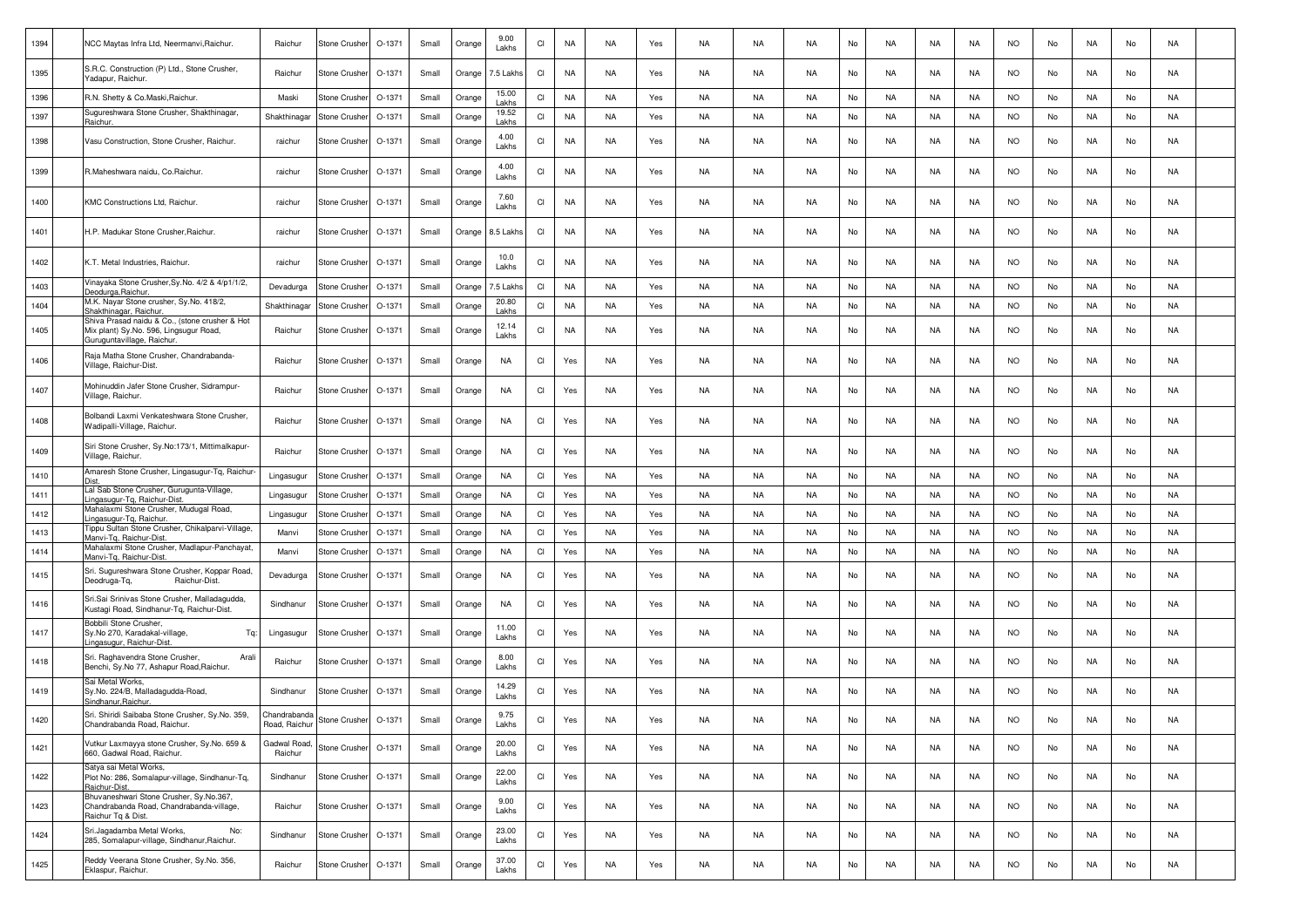| 1394 | NCC Maytas Infra Ltd, Neermanvi, Raichur.                                                                              | Raichur                      | Stone Crusher | $O-1371$ | Small | Orange | 9.00<br>Lakhs    | CI        | NA        | NA        | Yes | NA        | NA        | <b>NA</b> | No | <b>NA</b> | NA        | NA        | <b>NO</b> | No | NA        | No | NA        |  |
|------|------------------------------------------------------------------------------------------------------------------------|------------------------------|---------------|----------|-------|--------|------------------|-----------|-----------|-----------|-----|-----------|-----------|-----------|----|-----------|-----------|-----------|-----------|----|-----------|----|-----------|--|
| 1395 | S.R.C. Construction (P) Ltd., Stone Crusher,<br>Yadapur, Raichur.                                                      | Raichur                      | Stone Crushei | O-1371   | Small | Orange | 7.5 Lakhs        | CI        | NA        | NA        | Yes | NA        | NA        | NA        | No | NA        | NA        | NA        | <b>NO</b> | No | NA        | No | NA        |  |
| 1396 | R.N. Shetty & Co.Maski, Raichur.                                                                                       | Maski                        | Stone Crusher | O-1371   | Small | Orange | 15.00<br>Lakhs   | CI        | <b>NA</b> | <b>NA</b> | Yes | NA        | NA        | <b>NA</b> | No | NA        | <b>NA</b> | NA        | <b>NO</b> | No | NA        | No | <b>NA</b> |  |
| 1397 | Sugureshwara Stone Crusher, Shakthinagar.<br>Raichur                                                                   | Shakthinaga                  | Stone Crusher | O-1371   | Small | Orange | 19.52<br>Lakhs   | CI        | NA        | NA        | Yes | NA        | NA        | NA        | No | NA        | NA        | NA        | <b>NO</b> | No | NA        | No | NA        |  |
| 1398 | Vasu Construction, Stone Crusher, Raichur.                                                                             | raichur                      | Stone Crusher | O-1371   | Small | Orange | 4.00<br>Lakhs    | CI        | NA        | NA        | Yes | NA        | NA        | <b>NA</b> | No | NA.       | NA        | NA        | <b>NO</b> | No | NA        | No | NA        |  |
| 1399 | R.Maheshwara naidu, Co.Raichur.                                                                                        | raichur                      | Stone Crusher | O-1371   | Small | Orange | 4.00<br>Lakhs    | CI        | NA        | NA        | Yes | <b>NA</b> | NA        | NA        | No | <b>NA</b> | NA        | NA        | <b>NO</b> | No | NA        | No | NA        |  |
| 1400 | KMC Constructions Ltd. Raichur.                                                                                        | raichur                      | Stone Crusher | O-1371   | Small | Orange | 7.60<br>Lakhs    | CI        | <b>NA</b> | NA        | Yes | NA        | NA        | <b>NA</b> | No | NA        | NA        | NA        | <b>NO</b> | No | NA        | No | NA        |  |
| 1401 | H.P. Madukar Stone Crusher, Raichur.                                                                                   | raichur                      | Stone Crusher | O-1371   | Small | Orange | <b>8.5 Lakhs</b> | CI        | NA        | <b>NA</b> | Yes | NA.       | <b>NA</b> | NA        | No | <b>NA</b> | NA        | <b>NA</b> | NO.       | No | <b>NA</b> | No | NA        |  |
| 1402 | K.T. Metal Industries, Raichur.                                                                                        | raichur                      | Stone Crusher | O-1371   | Small | Orange | 10.0<br>Lakhs    | CI        | NA        | NA        | Yes | NA        | NA        | NA        | No | NA.       | NA        | NA        | NO.       | No | <b>NA</b> | No | NA        |  |
| 1403 | Vinayaka Stone Crusher, Sy. No. 4/2 & 4/p1/1/2,<br>Deodurga, Raichur                                                   | Devadurga                    | Stone Crushei | O-1371   | Small | Orange | 7.5 Lakh         | CI        | <b>NA</b> | NA        | Yes | NA        | NA        | NA        | No | NA        | NA        | NA        | <b>NO</b> | No | NA        | No | NA        |  |
| 1404 | M.K. Nayar Stone crusher, Sy.No. 418/2,<br>Shakthinagar, Raichur                                                       | Shakthinaga                  | Stone Crusher | O-1371   | Small | Orange | 20.80<br>Lakhs   | <b>CI</b> | NA        | NA        | Yes | NA        | NA        | NA        | No | NA.       | NA        | NA        | <b>NO</b> | No | NA        | No | NA        |  |
| 1405 | Shiva Prasad naidu & Co., (stone crusher & Hot<br>Mix plant) Sy.No. 596, Lingsugur Road,<br>Guruguntavillage, Raichur. | Raichur                      | Stone Crusher | O-1371   | Small | Orange | 12.14<br>Lakhs   | CI        | <b>NA</b> | NA        | Yes | NA        | NA        | <b>NA</b> | No | NA        | NA        | NA        | <b>NO</b> | No | NA        | No | NA        |  |
| 1406 | Raja Matha Stone Crusher, Chandrabanda-<br>Village, Raichur-Dist.                                                      | Raichur                      | Stone Crushei | O-1371   | Small | Orange | NA               | CI        | Yes       | NA        | Yes | NA        | NA        | NA        | No | NA        | NA        | NA        | <b>NO</b> | No | NA        | No | NA        |  |
| 1407 | Mohinuddin Jafer Stone Crusher, Sidrampur-<br>Village, Raichur.                                                        | Raichur                      | Stone Crusher | O-1371   | Small | Orange | NA               | CI        | Yes       | NA        | Yes | NA        | NA        | <b>NA</b> | No | NA.       | NA        | NA        | <b>NO</b> | No | NA        | No | NA        |  |
| 1408 | Bolbandi Laxmi Venkateshwara Stone Crusher,<br>Wadipalli-Village, Raichur.                                             | Raichur                      | Stone Crusher | O-1371   | Small | Orange | <b>NA</b>        | CI        | Yes       | NA        | Yes | NA        | NA        | <b>NA</b> | No | NA.       | NA        | NA        | <b>NO</b> | No | NA        | No | NA        |  |
| 1409 | Siri Stone Crusher, Sy.No:173/1, Mittimalkapur-<br>Village, Raichur.                                                   | Raichur                      | Stone Crusher | O-1371   | Small | Orange | <b>NA</b>        | CI        | Yes       | NA        | Yes | <b>NA</b> | NA        | <b>NA</b> | No | NA.       | NA        | NA        | <b>NO</b> | No | NA        | No | NA        |  |
| 1410 | Amaresh Stone Crusher, Lingasugur-Tq, Raichur-<br>Dist                                                                 | Lingasugur                   | Stone Crusher | $O-1371$ | Small | Orange | <b>NA</b>        | <b>CI</b> | Yes       | NA        | Yes | NA        | NA        | <b>NA</b> | No | <b>NA</b> | NA        | NA        | <b>NO</b> | No | NA        | No | NA        |  |
| 1411 | Lal Sab Stone Crusher, Gurugunta-Village,<br>Lingasugur-Tg, Raichur-Dist.                                              | Lingasugur                   | Stone Crusher | O-1371   | Small | Orange | <b>NA</b>        | <b>CI</b> | Yes       | NA        | Yes | NA        | NA        | <b>NA</b> | No | NA.       | NA        | NA        | <b>NO</b> | No | NA        | No | NA        |  |
| 1412 | Mahalaxmi Stone Crusher, Mudugal Road,<br>ingasugur-Tg, Raichur                                                        | Lingasugur                   | Stone Crusher | O-1371   | Small | Orange | <b>NA</b>        | CI        | Yes       | <b>NA</b> | Yes | <b>NA</b> | NA        | <b>NA</b> | No | <b>NA</b> | NA        | NA        | <b>NO</b> | No | NA        | No | <b>NA</b> |  |
| 1413 | ippu Sultan Stone Crusher, Chikalparvi-Village,<br>Manvi-Tq, Raichur-Dist                                              | Manvi                        | Stone Crushe  | O-1371   | Small | Orange | <b>NA</b>        | CI        | Yes       | NA        | Yes | NA        | NA        | <b>NA</b> | No | <b>NA</b> | NA        | NA        | <b>NO</b> | No | NA        | No | <b>NA</b> |  |
| 1414 | Mahalaxmi Stone Crusher, Madlapur-Panchayat,<br>Manvi-Tg, Raichur-Dist.                                                | Manvi                        | Stone Crushe  | O-1371   | Small | Orange | <b>NA</b>        | CI        | Yes       | NA        | Yes | NA        | NA        | <b>NA</b> | No | NA        | NA        | NA        | <b>NO</b> | No | NA        | No | <b>NA</b> |  |
| 1415 | Sri. Sugureshwara Stone Crusher, Koppar Road,<br>Deodruga-Tq,<br>Raichur-Dist                                          | Devadurga                    | Stone Crushei | O-1371   | Small | Orange | NA               | CI        | Yes       | NA        | Yes | NA        | NA        | NA        | No | NA.       | NA        | NA        | <b>NO</b> | No | NA        | No | NA        |  |
| 1416 | Sri.Sai Srinivas Stone Crusher, Malladagudda,<br>Kustagi Road, Sindhanur-Tg, Raichur-Dist.                             | Sindhanur                    | Stone Crusher | O-1371   | Small | Orange | NA               | CI        | Yes       | NA        | Yes | NA        | NA        | NA        | No | NA        | NA        | NA        | <b>NO</b> | No | NA        | No | NA        |  |
| 1417 | Bobbili Stone Crusher.<br>Sy.No 270, Karadakal-village,<br>Tq:<br>Lingasugur, Raichur-Dist.                            | Lingasugur                   | Stone Crusher | O-1371   | Small | Orange | 11.00<br>Lakhs   | CI        | Yes       | NA        | Yes | NA        | NA        | <b>NA</b> | No | NA        | NA        | <b>NA</b> | NO.       | No | <b>NA</b> | No | NA        |  |
| 1418 | Sri. Raghavendra Stone Crusher,<br>Arali<br>Benchi, Sy.No 77, Ashapur Road, Raichur.                                   | Raichur                      | Stone Crusher | O-1371   | Small | Orange | 8.00<br>Lakhs    | CI        | Yes       | NA.       | Yes | NA        | NA        | NA.       | No | NA        | NA        | NA        | NO.       | No | NA        | No | NA        |  |
| 1419 | Sai Metal Works,<br>Sy.No. 224/B, Malladagudda-Road,<br>Sindhanur, Raichur.                                            | Sindhanur                    | Stone Crusher | O-1371   | Small | Orange | 14.29<br>Lakhs   | CI        | Yes       | NA        | Yes | NA        | NA        | NA        | No | NA.       | NA        | NA        | <b>NO</b> | No | NA        | No | NA        |  |
| 1420 | Sri. Shiridi Saibaba Stone Crusher, Sy.No. 359,<br>handrabanda Road, Raichur.                                          | Chandrabanda<br>Road, Raichu | Stone Crusher | O-1371   | Small | Orange | 9.75<br>Lakhs    | <b>CI</b> | Yes       | <b>NA</b> | Yes | NA        | NA        | <b>NA</b> | No | NA        | NA        | NA        | <b>NO</b> | No | NA        | No | NA        |  |
| 1421 | Vutkur Laxmayya stone Crusher, Sy.No. 659 &<br>660, Gadwal Road, Raichur.<br>Satya sai Metal Works,                    | Gadwal Road<br>Raichur       | Stone Crusher | O-1371   | Small | Orange | 20.00<br>Lakhs   | CI        | Yes       | <b>NA</b> | Yes | NA        | NA        | NA        | No | <b>NA</b> | NA        | NA        | <b>NO</b> | No | NA        | No | NA        |  |
| 1422 | Plot No: 286, Somalapur-village, Sindhanur-Tq,<br>Raichur-Dist.                                                        | Sindhanur                    | Stone Crusher | O-1371   | Small | Orange | 22.00<br>Lakhs   | CI        | Yes       | NA        | Yes | NA        | NA        | <b>NA</b> | No | <b>NA</b> | NA        | NA        | <b>NO</b> | No | NA        | No | NA        |  |
| 1423 | Bhuvaneshwari Stone Crusher, Sy.No.367,<br>Chandrabanda Road, Chandrabanda-village,<br>Raichur Tg & Dist.              | Raichur                      | Stone Crusher | O-1371   | Small | Orange | 9.00<br>Lakhs    | CI        | Yes       | NA        | Yes | NA        | NA        | <b>NA</b> | No | NA        | NA        | NA        | <b>NO</b> | No | NA        | No | NA        |  |
| 1424 | Sri.Jagadamba Metal Works,<br>No:<br>285, Somalapur-village, Sindhanur, Raichur.                                       | Sindhanur                    | Stone Crusher | O-1371   | Small | Orange | 23.00<br>Lakhs   | CI        | Yes       | <b>NA</b> | Yes | NA        | <b>NA</b> | <b>NA</b> | No | <b>NA</b> | NA        | NA        | <b>NO</b> | No | NA        | No | NA        |  |
| 1425 | Reddy Veerana Stone Crusher, Sy.No. 356,<br>Eklaspur, Raichur.                                                         | Raichur                      | Stone Crusher | O-1371   | Small | Orange | 37.00<br>Lakhs   | CI        | Yes       | NA        | Yes | NA        | NA        | NA        | No | NA        | NA        | NA        | <b>NO</b> | No | NA        | No | NA        |  |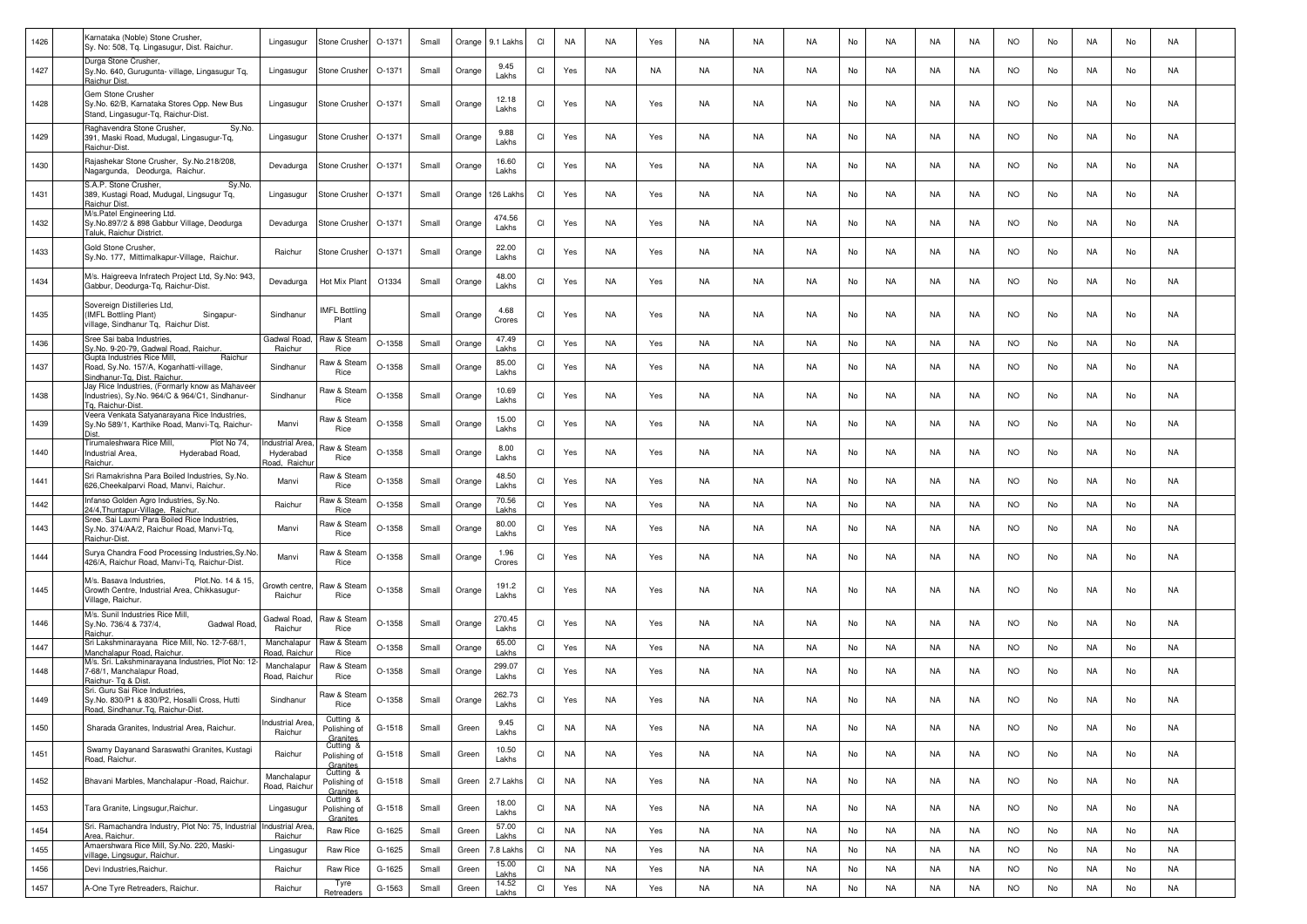| 1426 | Karnataka (Noble) Stone Crusher,<br>Sy. No: 508, Tg. Lingasugur, Dist. Raichur.                                        | Lingasugur                                          | Stone Crushe                          | O-1371   | Small | Orange | 9.1 Lakhs       | CI                     | <b>NA</b> | NA        | Yes | NA        | <b>NA</b> | <b>NA</b> | No | NA        | NA        | NA        | <b>NO</b> | No | NA        | No | NA        |  |
|------|------------------------------------------------------------------------------------------------------------------------|-----------------------------------------------------|---------------------------------------|----------|-------|--------|-----------------|------------------------|-----------|-----------|-----|-----------|-----------|-----------|----|-----------|-----------|-----------|-----------|----|-----------|----|-----------|--|
| 1427 | Durga Stone Crusher,<br>Sy.No. 640, Gurugunta- village, Lingasugur Tq,<br>Raichur Dist.                                | Lingasugur                                          | Stone Crusher                         | O-1371   | Small | Orange | 9.45<br>Lakhs   | CI                     | Yes       | NA        | NA  | NA        | NA        | NA        | No | NA        | NA        | NA        | NO.       | No | NA        | No | NA        |  |
| 1428 | Gem Stone Crusher<br>Sy.No. 62/B, Karnataka Stores Opp. New Bus<br>Stand, Lingasugur-Tq, Raichur-Dist.                 | Lingasugur                                          | Stone Crusher                         | $O-1371$ | Small | Orange | 12.18<br>Lakhs  | CI                     | Yes       | NA        | Yes | NA        | NA        | <b>NA</b> | No | NA        | NA        | NA        | <b>NO</b> | No | NA        | No | NA        |  |
| 1429 | Raghavendra Stone Crusher,<br>Sy.No.<br>391, Maski Road, Mudugal, Lingasugur-Tq,<br>Raichur-Dist.                      | Lingasugur                                          | Stone Crusher                         | O-1371   | Small | Orange | 9.88<br>Lakhs   | <b>CI</b>              | Yes       | <b>NA</b> | Yes | NA.       | <b>NA</b> | <b>NA</b> | No | <b>NA</b> | NA        | <b>NA</b> | <b>NO</b> | No | <b>NA</b> | No | NA        |  |
| 1430 | Rajashekar Stone Crusher, Sy.No.218/208<br>Nagargunda, Deodurga, Raichur.                                              | Devadurga                                           | Stone Crusher                         | O-1371   | Small | Orange | 16.60<br>Lakhs  | CI                     | Yes       | NA        | Yes | NA        | <b>NA</b> | <b>NA</b> | No | NA        | NA        | NA        | <b>NO</b> | No | NA        | No | NA        |  |
| 1431 | S.A.P. Stone Crusher,<br>Sy.No.<br>389, Kustagi Road, Mudugal, Lingsugur Tq,<br>Raichur Dist.                          | Lingasugur                                          | Stone Crushe                          | O-1371   | Small | Orange | 126 Lakh        | <b>CI</b>              | Yes       | NA        | Yes | NA        | NA        | NA        | No | NA        | NA        | NA.       | <b>NO</b> | No | NA        | No | NA        |  |
| 1432 | M/s.Patel Engineering Ltd.<br>Sy.No.897/2 & 898 Gabbur Village, Deodurga<br>Taluk, Raichur District                    | Devadurga                                           | Stone Crusher                         | O-1371   | Small | Orange | 474.56<br>Lakhs | CI                     | Yes       | NA        | Yes | NA        | <b>NA</b> | NA        | No | NA        | NA        | NA.       | <b>NO</b> | No | NA        | No | NA        |  |
| 1433 | Gold Stone Crusher,<br>Sy.No. 177, Mittimalkapur-Village, Raichur.                                                     | Raichur                                             | Stone Crushe                          | O-1371   | Small | Orange | 22.00<br>Lakhs  | CI                     | Yes       | <b>NA</b> | Yes | NA        | NA        | <b>NA</b> | No | NA        | NA        | NA        | <b>NO</b> | No | NA        | No | NA        |  |
| 1434 | M/s. Haigreeva Infratech Project Ltd, Sy.No: 943,<br>Gabbur, Deodurga-Tq, Raichur-Dist.                                | Devadurga                                           | Hot Mix Plant                         | O1334    | Small | Orange | 48.00<br>Lakhs  | <b>CI</b>              | Yes       | NA        | Yes | NA        | NA        | <b>NA</b> | No | <b>NA</b> | NA        | <b>NA</b> | <b>NO</b> | No | <b>NA</b> | No | NA        |  |
| 1435 | Sovereign Distilleries Ltd,<br>(IMFL Bottling Plant)<br>Singapur-<br>rillage, Sindhanur Tq, Raichur Dist.              | Sindhanur                                           | <b>IMFL Bottling</b><br>Plant         |          | Small | Orange | 4.68<br>Crores  | CI                     | Yes       | NA        | Yes | NA        | <b>NA</b> | <b>NA</b> | No | NA        | NA        | NA        | <b>NO</b> | No | NA        | No | NA        |  |
| 1436 | Sree Sai baba Industries<br>Sv.No. 9-20-79. Gadwal Road, Raichur.                                                      | Gadwal Road<br>Raichur                              | Raw & Stear<br><b>Rice</b>            | O-1358   | Small | Orange | 47.49<br>Lakhs  | CI                     | Yes       | NA        | Yes | NA        | <b>NA</b> | <b>NA</b> | No | NA        | NA        | NA.       | <b>NO</b> | No | NA        | No | NA        |  |
| 1437 | Gupta Industries Rice Mill,<br>Raichur<br>Road, Sy.No. 157/A, Koganhatti-village,<br>Sindhanur-Tg, Dist. Raichur.      | Sindhanur                                           | Raw & Stean<br>Rice                   | O-1358   | Small | Orange | 85.00<br>Lakhs  | CI                     | Yes       | NA        | Yes | NA        | <b>NA</b> | <b>NA</b> | No | NA        | NA        | NA        | <b>NO</b> | No | NA        | No | NA        |  |
| 1438 | Jay Rice Industries, (Formarly know as Mahaveer<br>Industries), Sy.No. 964/C & 964/C1, Sindhanur-<br>Tg, Raichur-Dist. | Sindhanur                                           | Raw & Stean<br>Rice                   | O-1358   | Small | Orange | 10.69<br>Lakhs  | CI                     | Yes       | NA        | Yes | <b>NA</b> | <b>NA</b> | <b>NA</b> | No | <b>NA</b> | NA        | NA        | <b>NO</b> | No | <b>NA</b> | No | <b>NA</b> |  |
| 1439 | Veera Venkata Satyanarayana Rice Industries,<br>Sy.No 589/1, Karthike Road, Manvi-Tg, Raichur-                         | Manvi                                               | Raw & Stean<br>Rice                   | O-1358   | Small | Orange | 15.00<br>Lakhs  | CI                     | Yes       | <b>NA</b> | Yes | NA        | NA        | <b>NA</b> | No | NA        | NA        | NA        | <b>NO</b> | No | NA        | No | NA        |  |
| 1440 | Tirumaleshwara Rice Mill,<br>Plot No 74,<br>Industrial Area,<br>Hyderabad Road,<br>Raichur.                            | <b>Industrial Area</b><br>Hyderabad<br>load, Raichu | Raw & Stean<br>Rice                   | O-1358   | Small | Orange | 8.00<br>Lakhs   | <b>CI</b>              | Yes       | NA        | Yes | NA        | NA        | <b>NA</b> | No | NA        | NA        | NA        | <b>NO</b> | No | NA        | No | <b>NA</b> |  |
| 1441 | Sri Ramakrishna Para Boiled Industries, Sy.No.<br>626, Cheekalparvi Road, Manvi, Raichur.                              | Manvi                                               | Raw & Stean<br>Rice                   | O-1358   | Small | Orange | 48.50<br>Lakhs  | CI                     | Yes       | <b>NA</b> | Yes | NA        | NA        | <b>NA</b> | No | NA        | NA        | NA        | <b>NO</b> | No | NA        | No | NA        |  |
| 1442 | Infanso Golden Agro Industries, Sy.No.<br>24/4, Thuntapur-Village, Raichur.                                            | Raichur                                             | Raw & Stear<br><b>Rice</b>            | $O-1358$ | Small | Orange | 70.56<br>Lakhs  | <b>CI</b>              | Yes       | <b>NA</b> | Yes | <b>NA</b> | <b>NA</b> | <b>NA</b> | No | <b>NA</b> | NA        | NA        | <b>NO</b> | No | <b>NA</b> | No | NA        |  |
| 1443 | Sree. Sai Laxmi Para Boiled Rice Industries,<br>Sy.No. 374/AA/2, Raichur Road, Manvi-Tq,<br>Raichur-Dist.              | Manvi                                               | Raw & Stear<br>Rice                   | O-1358   | Small | Orange | 80.00<br>Lakhs  | <b>CI</b>              | Yes       | <b>NA</b> | Yes | NA.       | <b>NA</b> | <b>NA</b> | No | <b>NA</b> | <b>NA</b> | <b>NA</b> | <b>NO</b> | No | <b>NA</b> | No | NA        |  |
| 1444 | Surya Chandra Food Processing Industries, Sy. No.<br>426/A, Raichur Road, Manvi-Tq, Raichur-Dist.                      | Manvi                                               | Raw & Stear<br>Rice                   | O-1358   | Small | Orange | 1.96<br>Crores  | CI                     | Yes       | NA        | Yes | NA        | NA        | <b>NA</b> | No | NA        | NA        | NA.       | <b>NO</b> | No | NA        | No | NA        |  |
| 1445 | M/s. Basava Industries,<br>Plot.No. 14 & 15,<br>Growth Centre, Industrial Area, Chikkasugur-<br>Village, Raichur.      | Growth centre<br>Raichur                            | Raw & Stear<br>Rice                   | O-1358   | Small | Orange | 191.2<br>Lakhs  | CI                     | Yes       | NA        | Yes | NA        | NA        | NA.       | No | NA        | NA        | NA        | <b>NO</b> | No | NA        | No | NA        |  |
| 1446 | M/s. Sunil Industries Rice Mill,<br>Sy.No. 736/4 & 737/4,<br>Gadwal Road<br>Raichur.                                   | Gadwal Road<br>Raichur                              | Raw & Stean<br><b>Rice</b>            | O-1358   | Small | Orange | 270.45<br>Lakhs | CI                     | Yes       | <b>NA</b> | Yes | NA        | NA        | NA        | No | NA        | NA        | NA.       | <b>NO</b> | No | NA        | No | NA        |  |
| 1447 | Sri Lakshminarayana Rice Mill, No. 12-7-68/1,<br>Manchalapur Road, Raichur.                                            | Manchalapur<br>Road, Raichu                         | Raw & Stean<br>Rice                   | O-1358   | Small | Orange | 65.00<br>Lakhs  | $\mathsf{C}\mathsf{I}$ | Yes       | <b>NA</b> | Yes | NA        | <b>NA</b> | <b>NA</b> | No | <b>NA</b> | <b>NA</b> | <b>NA</b> | <b>NO</b> | No | NA        | No | <b>NA</b> |  |
| 1448 | M/s. Sri. Lakshminarayana Industries, Plot No: 12-<br>7-68/1, Manchalapur Road,<br>Raichur- Tg & Dist                  | Manchalapur<br>Road, Raichu                         | Raw & Stear<br>Rice                   | O-1358   | Small | Orange | 299.07<br>Lakhs | CI                     | Yes       | <b>NA</b> | Yes | NA        | <b>NA</b> | NA        | No | NA        | NA        | NA        | <b>NO</b> | No | NA        | No | NA        |  |
| 1449 | Sri. Guru Sai Rice Industries,<br>Sy.No. 830/P1 & 830/P2, Hosalli Cross, Hutti<br>Road, Sindhanur.Tq, Raichur-Dist.    | Sindhanur                                           | Raw & Stean<br>Rice                   | O-1358   | Small | Orange | 262.73<br>Lakhs | CI                     | Yes       | NA        | Yes | NA        | NA        | <b>NA</b> | No | NA        | NA        | NA.       | <b>NO</b> | No | NA        | No | NA        |  |
| 1450 | Sharada Granites, Industrial Area, Raichur.                                                                            | Industrial Area.<br>Raichur                         | Cutting &<br>Polishing of<br>Granites | G-1518   | Small | Green  | 9.45<br>Lakhs   | Cl                     | NA        | NA        | Yes | NA        | NA        | NA        | No | NA        | NA        | NA        | NO.       | No | NA        | No | NA        |  |
| 1451 | Swamy Dayanand Saraswathi Granites, Kustagi<br>Road, Raichur.                                                          | Raichur                                             | Cutting &<br>Polishing of<br>Granites | G-1518   | Small | Green  | 10.50<br>Lakhs  | CI                     | NA        | NA        | Yes | NA        | NA        | NA        | No | NA        | NA        | NA        | <b>NO</b> | No | NA        | No | NA        |  |
| 1452 | Bhavani Marbles, Manchalapur -Road, Raichur.                                                                           | Manchalapur<br>Road, Raichur                        | Cutting &<br>Polishing of<br>Granites | G-1518   | Small | Green  | 2.7 Lakhs       | CI                     | <b>NA</b> | NA        | Yes | NA        | NA        | NA        | No | NA        | NA        | NA        | <b>NO</b> | No | NA        | No | NA        |  |
| 1453 | Tara Granite, Lingsugur, Raichur.<br>Sri. Ramachandra Industry, Plot No: 75, Industrial Industrial Area                | Lingasugur                                          | Cutting &<br>Polishing of<br>Granites | G-1518   | Small | Green  | 18.00<br>Lakhs  | CI                     | NA        | NA        | Yes | NA        | NA        | NA        | No | NA        | NA        | NA        | <b>NO</b> | No | NA        | No | NA        |  |
| 1454 | Area, Raichur.                                                                                                         | Raichur                                             | Raw Rice                              | G-1625   | Small | Green  | 57.00<br>Lakhs  | C1                     | NA        | NA        | Yes | NA        | NA        | <b>NA</b> | No | NA        | NA        | NA        | <b>NO</b> | No | NA        | No | NA        |  |
| 1455 | Amaershwara Rice Mill, Sy.No. 220, Maski-<br><u>rillage, Lingsugur, Raichur.</u>                                       | Lingasugur                                          | Raw Rice                              | G-1625   | Small | Green  | 7.8 Lakhs       | CI                     | NA        | NA        | Yes | NA        | NA        | NA        | No | NA        | NA        | NA        | <b>NO</b> | No | NA        | No | NA        |  |
| 1456 | Devi Industries, Raichur.                                                                                              | Raichur                                             | Raw Rice                              | G-1625   | Small | Green  | 15.00<br>Lakhs  | CI                     | <b>NA</b> | <b>NA</b> | Yes | NA        | NA        | NA        | No | NA        | NA        | NA        | <b>NO</b> | No | NA        | No | NA        |  |
| 1457 | A-One Tyre Retreaders, Raichur.                                                                                        | Raichur                                             | Tyre<br>Retreaders                    | G-1563   | Small | Green  | 14.52<br>Lakhs  | CI                     | Yes       | <b>NA</b> | Yes | NA        | NA        | <b>NA</b> | No | NA        | NA        | NA        | <b>NO</b> | No | NA        | No | NA        |  |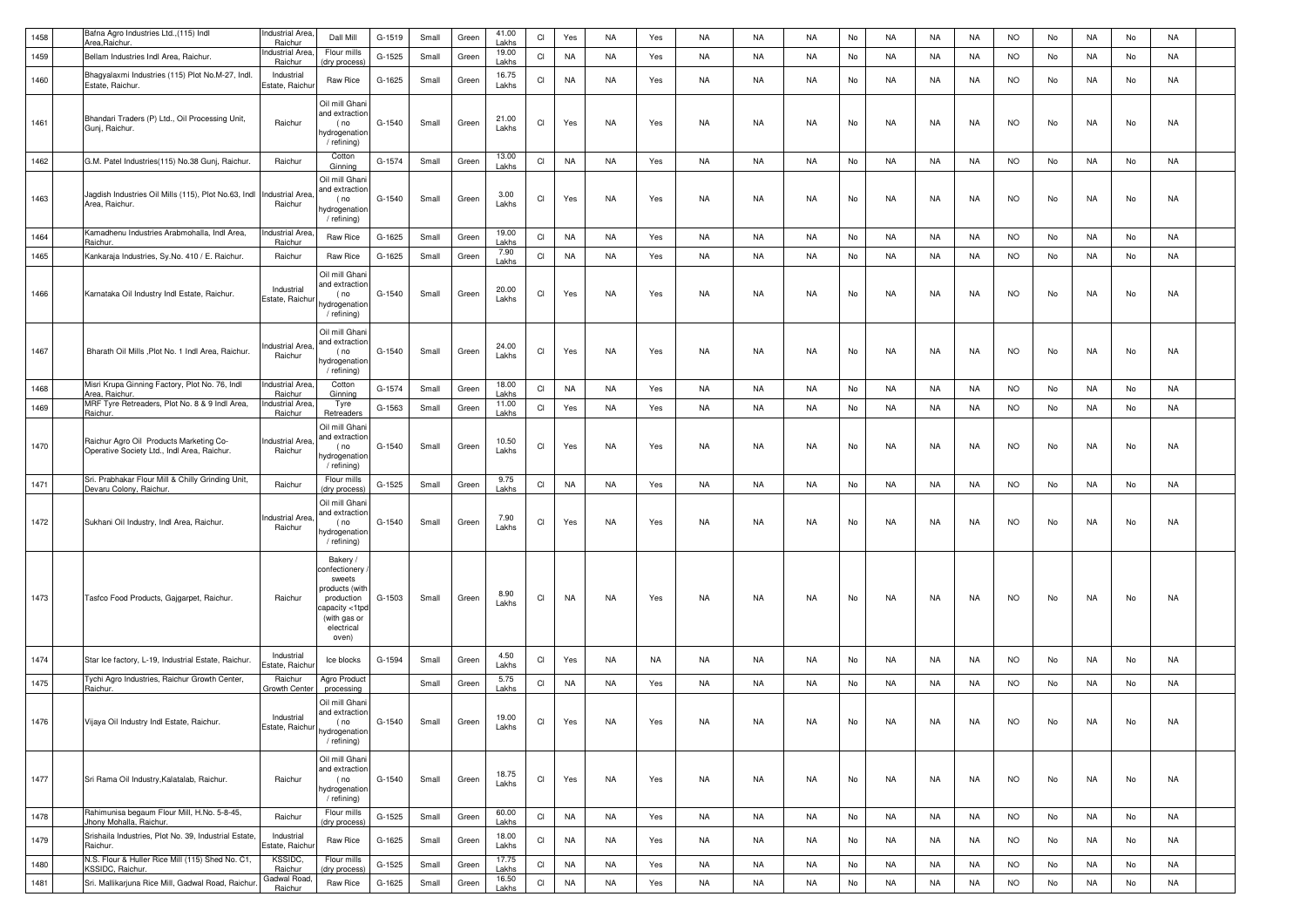| 1458 | Bafna Agro Industries Ltd., (115) Indl                                                 | ndustrial Area                    | Dall Mill                                                                                                                   | G-1519 | Small | Green | 41.00          | CI        | Yes       | NA        | Yes | NA        | <b>NA</b> | <b>NA</b> | No | <b>NA</b> | NA        | <b>NA</b> | <b>NO</b> | No | NA        | No | <b>NA</b> |  |
|------|----------------------------------------------------------------------------------------|-----------------------------------|-----------------------------------------------------------------------------------------------------------------------------|--------|-------|-------|----------------|-----------|-----------|-----------|-----|-----------|-----------|-----------|----|-----------|-----------|-----------|-----------|----|-----------|----|-----------|--|
| 1459 | Area Raichur.                                                                          | Raichur<br>ndustrial Are          | Flour mills                                                                                                                 |        |       |       | Lakhs<br>19.00 | CI        |           |           |     |           |           |           |    |           |           |           |           |    |           |    |           |  |
|      | Bellam Industries Indl Area, Raichur.                                                  | Raichur                           | dry process                                                                                                                 | G-1525 | Small | Green | Lakhs          |           | NA        | NA        | Yes | NA        | NA        | <b>NA</b> | No | NA        | NA        | NA        | <b>NO</b> | No | NA        | No | NA        |  |
| 1460 | Bhaqyalaxmi Industries (115) Plot No.M-27, Indl.<br>Estate, Raichur.                   | Industrial<br>Estate, Raichu      | Raw Rice                                                                                                                    | G-1625 | Small | Green | 16.75<br>Lakhs | <b>CI</b> | <b>NA</b> | <b>NA</b> | Yes | NA        | NA        | NA        | No | NA        | NA        | NA        | NO.       | No | NA        | No | NA        |  |
| 1461 | Bhandari Traders (P) Ltd., Oil Processing Unit,<br>Gunj, Raichur.                      | Raichur                           | Oil mill Ghan<br>and extraction<br>(no<br>hydrogenatior<br>/ refining)                                                      | G-1540 | Small | Green | 21.00<br>Lakhs | CI        | Yes       | NA        | Yes | NA        | NA        | NA        | No | <b>NA</b> | NA        | NA        | <b>NO</b> | No | NA        | No | NA        |  |
| 1462 | G.M. Patel Industries(115) No.38 Gunj, Raichur.                                        | Raichur                           | Cotton<br>Ginning                                                                                                           | G-1574 | Small | Green | 13.00<br>Lakhs | CI        | <b>NA</b> | <b>NA</b> | Yes | NA        | NA        | <b>NA</b> | No | <b>NA</b> | NA        | NA        | <b>NO</b> | No | NA        | No | NA        |  |
| 1463 | Jagdish Industries Oil Mills (115), Plot No.63, Indl<br>Area, Raichur.                 | <b>Industrial Area</b><br>Raichur | Oil mill Ghani<br>and extraction<br>(no<br>hydrogenation<br>/ refining)                                                     | G-1540 | Small | Green | 3.00<br>Lakhs  | CI        | Yes       | <b>NA</b> | Yes | NA        | NA        | NA        | No | NA        | NA        | NA        | <b>NO</b> | No | NA        | No | NA        |  |
| 1464 | Kamadhenu Industries Arabmohalla, Indl Area,<br>Raichur.                               | ndustrial Area<br>Raichur         | Raw Rice                                                                                                                    | G-1625 | Small | Green | 19.00<br>Lakhs | CI        | <b>NA</b> | NA        | Yes | NA        | NA        | NA        | No | <b>NA</b> | NA        | NA        | <b>NO</b> | No | NA        | No | <b>NA</b> |  |
| 1465 | Kankaraja Industries, Sy.No. 410 / E. Raichur                                          | Raichur                           | Raw Rice                                                                                                                    | G-1625 | Small | Green | 7.90<br>Lakhs  | CI        | <b>NA</b> | NA        | Yes | NA        | NA        | NA        | No | <b>NA</b> | <b>NA</b> | NA        | <b>NO</b> | No | NA        | No | <b>NA</b> |  |
| 1466 | Karnataka Oil Industry Indl Estate, Raichur.                                           | Industrial<br>Estate, Raichur     | Oil mill Ghani<br>and extractior<br>(no<br>hydrogenation<br>/ refining)                                                     | G-1540 | Small | Green | 20.00<br>Lakhs | <b>CI</b> | Yes       | NA.       | Yes | NA        | NA        | NA        | No | NA        | NA        | NA        | NO.       | No | NA        | No | NA        |  |
| 1467 | Bharath Oil Mills , Plot No. 1 Indl Area, Raichur.                                     | ndustrial Area<br>Raichur         | Oil mill Ghan<br>and extraction<br>(no<br>าydrogenation<br>/ refining)                                                      | G-1540 | Small | Green | 24.00<br>Lakhs | <b>CI</b> | Yes       | NA        | Yes | NA        | NA        | NA        | No | NA        | NA        | NA        | <b>NO</b> | No | NA        | No | NA        |  |
| 1468 | Misri Krupa Ginning Factory, Plot No. 76, Indl<br>Area, Raichur.                       | ndustrial Area<br>Raichur         | Cotton<br>Ginning                                                                                                           | G-1574 | Small | Green | 18.00<br>Lakhs | CI        | <b>NA</b> | <b>NA</b> | Yes | NA        | NA        | <b>NA</b> | No | <b>NA</b> | NA        | NA        | <b>NO</b> | No | NA        | No | <b>NA</b> |  |
| 1469 | MRF Tyre Retreaders, Plot No. 8 & 9 Indl Area,<br>Raichur.                             | ndustrial Area<br>Raichur         | Tyre<br>Retreaders                                                                                                          | G-1563 | Small | Green | 11.00<br>Lakhs | CI        | Yes       | NA        | Yes | NA        | NA        | NA        | No | <b>NA</b> | NA        | NA        | <b>NO</b> | No | NA        | No | <b>NA</b> |  |
| 1470 | Raichur Agro Oil Products Marketing Co-<br>Operative Society Ltd., Indl Area, Raichur. | ndustrial Area.<br>Raichur        | Oil mill Ghani<br>and extractior<br>(no<br>hydrogenation<br>/ refining)                                                     | G-1540 | Small | Green | 10.50<br>Lakhs | CI        | Yes       | <b>NA</b> | Yes | NA        | NA        | NA        | No | <b>NA</b> | NA        | NA        | <b>NO</b> | No | NA.       | No | NA        |  |
| 1471 | Sri. Prabhakar Flour Mill & Chilly Grinding Unit,<br>Devaru Colony, Raichur            | Raichur                           | Flour mills<br>dry process                                                                                                  | G-1525 | Small | Green | 9.75<br>Lakhs  | CI        | <b>NA</b> | <b>NA</b> | Yes | NA        | NA        | NA        | No | <b>NA</b> | NA        | NA        | <b>NO</b> | No | NA        | No | <b>NA</b> |  |
| 1472 | Sukhani Oil Industry, Indl Area, Raichur.                                              | <b>Industrial Area</b><br>Raichur | Oil mill Ghani<br>and extraction<br>(no<br>nydrogenatior<br>/ refining)                                                     | G-1540 | Small | Green | 7.90<br>Lakhs  | <b>CI</b> | Yes       | <b>NA</b> | Yes | NA        | NA        | NA        | No | <b>NA</b> | NA        | NA        | <b>NO</b> | No | NA        | No | NA        |  |
| 1473 | Tasfco Food Products, Gajgarpet, Raichur.                                              | Raichur                           | Bakery /<br>onfectionery<br>sweets<br>products (with<br>production<br>capacity <1tpc<br>(with gas or<br>electrical<br>oven) | G-1503 | Small | Green | 8.90<br>Lakhs  | <b>CI</b> | NA        | <b>NA</b> | Yes | NA        | NA        | NA        | No | <b>NA</b> | NA        | NA        | <b>NO</b> | No | NA        | No | NA        |  |
| 1474 | Star Ice factory, L-19, Industrial Estate, Raichur.                                    | Industrial<br>Estate, Raichu      | Ice blocks                                                                                                                  | G-1594 | Small | Green | 4.50<br>Lakhs  | <b>CI</b> | Yes       | NA        | NA. | NA        | NA        | NA        | No | NA        | NA        | NA        | NO.       | No | NA        | No | NA        |  |
| 1475 | Tychi Agro Industries, Raichur Growth Center,<br>Raichur.                              | Raichur<br>Growth Cente           | Agro Product<br>processing                                                                                                  |        | Small | Green | 5.75<br>Lakhs  | <b>CI</b> | NA        | NA        | Yes | NA        | NA        | NA        | No | <b>NA</b> | NA        | NA        | <b>NO</b> | No | NA        | No | NA        |  |
| 1476 | Vijaya Oil Industry Indl Estate, Raichur.                                              | Industrial<br>Estate, Raichur     | Oil mill Ghani<br>and extraction<br>(no<br>hydrogenation<br>/ refining)                                                     | G-1540 | Small | Green | 19.00<br>Lakhs | CI        | Yes       | NA        | Yes | NA        | <b>NA</b> | <b>NA</b> | No | <b>NA</b> | <b>NA</b> | <b>NA</b> | NO.       | No | <b>NA</b> | No | <b>NA</b> |  |
| 1477 | Sri Rama Oil Industry, Kalatalab, Raichur.                                             | Raichur                           | Oil mill Ghani<br>and extraction<br>(no<br>hydrogenation<br>/ refining)                                                     | G-1540 | Small | Green | 18.75<br>Lakhs | CI        | Yes       | <b>NA</b> | Yes | NA        | NA        | NA        | No | NA        | NA        | NA        | <b>NO</b> | No | NA        | No | NA        |  |
| 1478 | Rahimunisa begaum Flour Mill, H.No. 5-8-45,<br>Jhony Mohalla, Raichur.                 | Raichur                           | Flour mills<br>(dry process)                                                                                                | G-1525 | Small | Green | 60.00<br>Lakhs | CI        | <b>NA</b> | NA        | Yes | NA        | NA        | NA        | No | <b>NA</b> | NA        | NA        | <b>NO</b> | No | NA        | No | NA        |  |
| 1479 | Srishaila Industries, Plot No. 39, Industrial Estate<br>Raichur.                       | Industrial<br>Estate, Raichu      | Raw Rice                                                                                                                    | G-1625 | Small | Green | 18.00<br>Lakhs | Cl        | <b>NA</b> | <b>NA</b> | Yes | <b>NA</b> | NA        | <b>NA</b> | No | <b>NA</b> | NA        | NA        | <b>NO</b> | No | NA        | No | <b>NA</b> |  |
| 1480 | N.S. Flour & Huller Rice Mill (115) Shed No. C1,<br>KSSIDC, Raichur.                   | KSSIDC,<br>Raichur                | Flour mills<br>(dry process)                                                                                                | G-1525 | Small | Green | 17.75<br>Lakhs | Cl        | <b>NA</b> | <b>NA</b> | Yes | NA        | <b>NA</b> | <b>NA</b> | No | <b>NA</b> | <b>NA</b> | <b>NA</b> | <b>NO</b> | No | <b>NA</b> | No | <b>NA</b> |  |
| 1481 | Sri. Mallikarjuna Rice Mill, Gadwal Road, Raichu                                       | Gadwal Roac<br>Raichur            | Raw Rice                                                                                                                    | G-1625 | Small | Green | 16.50<br>Lakhs | Cl        | <b>NA</b> | <b>NA</b> | Yes | NA        | <b>NA</b> | <b>NA</b> | No | <b>NA</b> | <b>NA</b> | <b>NA</b> | <b>NO</b> | No | <b>NA</b> | No | <b>NA</b> |  |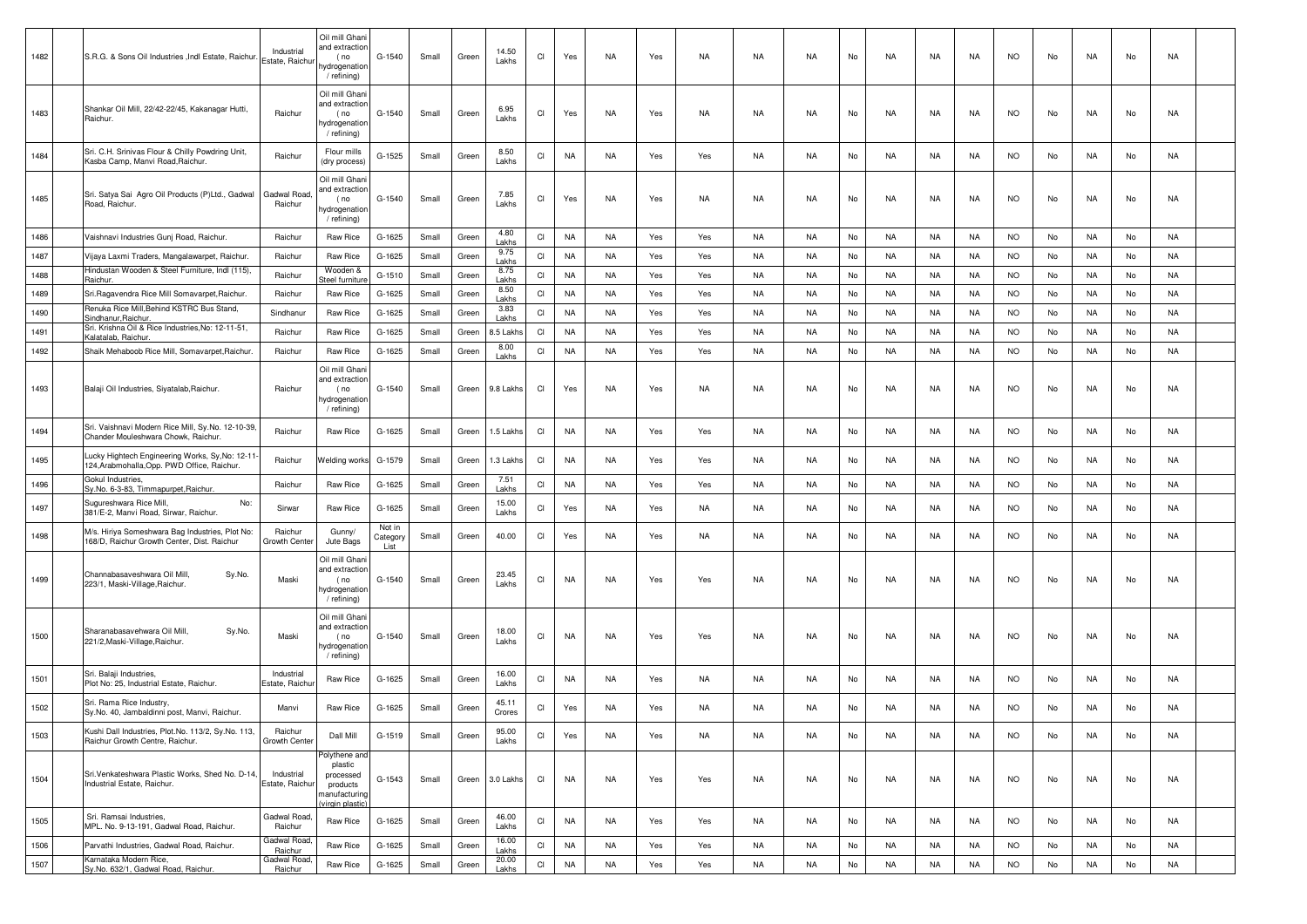| 1482 | S.R.G. & Sons Oil Industries , Indl Estate, Raichur                                            | Industrial<br>Estate, Raichur | Oil mill Ghani<br>and extractior<br>(no<br>hydrogenation<br>/ refining)              | G-1540                     | Small | Green | 14.50<br>Lakhs  | CI                     | Yes       | <b>NA</b> | Yes | NA  | NA        | NA        | No | NA        | NA        | NA        | <b>NO</b> | No  | NA  | No | NA        |  |
|------|------------------------------------------------------------------------------------------------|-------------------------------|--------------------------------------------------------------------------------------|----------------------------|-------|-------|-----------------|------------------------|-----------|-----------|-----|-----|-----------|-----------|----|-----------|-----------|-----------|-----------|-----|-----|----|-----------|--|
| 1483 | Shankar Oil Mill, 22/42-22/45, Kakanagar Hutti,<br>Raichur.                                    | Raichur                       | Oil mill Ghani<br>and extraction<br>(no<br>hydrogenation<br>/ refining)              | G-1540                     | Small | Green | 6.95<br>Lakhs   | CI                     | Yes       | NA        | Yes | NA  | NA        | NA        | No | NA        | NA        | NA        | <b>NO</b> | No  | NA. | No | NA        |  |
| 1484 | Sri. C.H. Srinivas Flour & Chilly Powdring Unit,<br>Kasba Camp, Manvi Road, Raichur            | Raichur                       | Flour mills<br>(dry process)                                                         | G-1525                     | Small | Green | 8.50<br>Lakhs   | CI                     | <b>NA</b> | <b>NA</b> | Yes | Yes | NA        | NA        | No | NA        | NA        | NA        | <b>NO</b> | No  | NA  | No | NA        |  |
| 1485 | Sri. Satya Sai Agro Oil Products (P)Ltd., Gadwal<br>Road, Raichur.                             | Gadwal Road<br>Raichur        | Oil mill Ghani<br>nd extraction<br>(no<br>hydrogenation<br>/ refining)               | G-1540                     | Small | Green | 7.85<br>Lakhs   | CI                     | Yes       | NA        | Yes | NA  | NA        | NA        | No | NA        | NA        | NA        | <b>NO</b> | No  | NA  | No | NA        |  |
| 1486 | Vaishnavi Industries Gunj Road, Raichur.                                                       | Raichur                       | Raw Rice                                                                             | G-1625                     | Small | Green | 4.80<br>Lakhs   | CI                     | <b>NA</b> | NA        | Yes | Yes | NA        | NA        | No | <b>NA</b> | NA        | NA        | <b>NO</b> | No  | NA. | No | NA        |  |
| 1487 | Vijaya Laxmi Traders, Mangalawarpet, Raichur.                                                  | Raichur                       | Raw Rice                                                                             | G-1625                     | Small | Green | 9.75<br>Lakhs   | CI                     | NA        | NA        | Yes | Yes | NA        | NA        | No | NA        | NA        | NA        | <b>NO</b> | No  | NA  | No | NA        |  |
| 1488 | Hindustan Wooden & Steel Furniture, Indl (115),<br>Raichur                                     | Raichur                       | Wooden &<br>teel furnitur                                                            | G-1510                     | Small | Green | 8.75<br>Lakhs   | CI                     | <b>NA</b> | NA        | Yes | Yes | NA        | <b>NA</b> | No | NA        | NA        | NA        | <b>NO</b> | No  | NA  | No | NA        |  |
| 1489 | Sri.Ragavendra Rice Mill Somavarpet, Raichur.                                                  | Raichur                       | Raw Rice                                                                             | G-1625                     | Small | Green | 8.50<br>Lakhs   | CI                     | <b>NA</b> | NA        | Yes | Yes | NA        | NA        | No | NA        | NA        | NA        | <b>NO</b> | No  | NA  | No | NA        |  |
| 1490 | Renuka Rice Mill, Behind KSTRC Bus Stand,<br>Sindhanur, Raichur                                | Sindhanur                     | Raw Rice                                                                             | G-1625                     | Small | Green | 3.83<br>Lakhs   | CI                     | <b>NA</b> | NA        | Yes | Yes | NA        | NA        | No | NA        | NA        | NA        | <b>NO</b> | No  | NA  | No | NA        |  |
| 1491 | Sri. Krishna Oil & Rice Industries, No: 12-11-51,<br>Kalatalab, Raichur                        | Raichur                       | Raw Rice                                                                             | G-1625                     | Small | Green | 3.5 Lakhs       | CI                     | <b>NA</b> | NA        | Yes | Yes | NA        | NA        | No | NA        | NA        | NA        | <b>NO</b> | No  | NA  | No | NA        |  |
| 1492 | Shaik Mehaboob Rice Mill, Somavarpet, Raichur.                                                 | Raichur                       | Raw Rice                                                                             | G-1625                     | Small | Green | 8.00<br>Lakhs   | CI                     | <b>NA</b> | NA        | Yes | Yes | NA        | NA        | No | NA        | NA        | <b>NA</b> | <b>NO</b> | No  | NA  | No | NA        |  |
| 1493 | Balaji Oil Industries, Siyatalab, Raichur.                                                     | Raichur                       | Oil mill Ghani<br>and extractior<br>(no<br>ıydrogenatior<br>/ refining)              | G-1540                     | Small | Green | 9.8 Lakhs       | CI                     | Yes       | NA        | Yes | NA  | NA        | NA        | No | NA        | NA        | NA        | <b>NO</b> | No  | NA  | No | NA        |  |
| 1494 | Sri. Vaishnavi Modern Rice Mill, Sy.No. 12-10-39,<br>Chander Mouleshwara Chowk, Raichur.       | Raichur                       | Raw Rice                                                                             | G-1625                     | Small | Green | 1.5 Lakhs       | CI                     | NA        | NA        | Yes | Yes | NA        | NA        | No | NA        | NA        | NA        | NO.       | No  | NA  | No | NA        |  |
| 1495 | Lucky Hightech Engineering Works, Sy, No: 12-11<br>124, Arabmohalla, Opp. PWD Office, Raichur. | Raichur                       | <b>Nelding works</b>                                                                 | G-1579                     | Small | Green | 1.3 Lakhs       | CI                     | <b>NA</b> | NA        | Yes | Yes | NA        | NA        | No | NA        | NA        | NA        | NO.       | No  | NA. | No | NA        |  |
| 1496 | Gokul Industries,<br>Sy.No. 6-3-83, Timmapurpet, Raichur.                                      | Raichur                       | Raw Rice                                                                             | G-1625                     | Small | Green | 7.51<br>Lakhs   | CI                     | NA        | NA        | Yes | Yes | <b>NA</b> | NA        | No | <b>NA</b> | NA        | NA        | <b>NO</b> | No  | NA  | No | NA        |  |
| 1497 | Sugureshwara Rice Mill,<br>No:<br>381/E-2, Manvi Road, Sirwar, Raichur.                        | Sirwar                        | Raw Rice                                                                             | G-1625                     | Small | Green | 15.00<br>Lakhs  | CI                     | Yes       | NA        | Yes | NA  | NA.       | NA        | No | NA        | NA        | NA        | <b>NO</b> | No  | NA  | No | NA        |  |
| 1498 | M/s. Hiriya Someshwara Bag Industries, Plot No:<br>168/D, Raichur Growth Center, Dist. Raichur | Raichur<br>Growth Center      | Gunny/<br>Jute Bags                                                                  | Not in<br>Category<br>List | Small | Green | 40.00           | CI                     | Yes       | NA        | Yes | NA  | NA        | NA        | No | NA        | NA        | NA        | <b>NO</b> | No  | NA  | No | NA        |  |
| 1499 | Sy.No.<br>Channabasaveshwara Oil Mill,<br>223/1, Maski-Village, Raichur.                       | Maski                         | Oil mill Ghani<br>and extraction<br>(no<br>hydrogenatior<br>/ refining)              | G-1540                     | Small | Green | 23.45<br>Lakhs  | CI                     | <b>NA</b> | NA        | Yes | Yes | NA        | NA        | No | NA        | NA        | NA        | <b>NO</b> | No  | NA  | No | NA        |  |
| 1500 | Sharanabasavehwara Oil Mill,<br>Sy.No.<br>221/2, Maski-Village, Raichur.                       | Maski                         | Oil mill Ghani<br>and extractior<br>(no<br>hydrogenation<br>/ refining)              | G-1540                     | Small | Green | 18.00<br>Lakhs  | CI                     | <b>NA</b> | NA        | Yes | Yes | NA        | NA        | No | NA        | NA        | NA        | <b>NO</b> | No  | NA  | No | NA        |  |
| 1501 | Sri. Balaji Industries,<br>Plot No: 25, Industrial Estate, Raichur.                            | Industrial<br>Estate, Raichu  | Raw Rice                                                                             | G-1625                     | Small | Green | 16.00<br>Lakhs  | CI                     | NA        | NA        | Yes | NA  | NA        | NA        | No | NA        | NA        | NA.       | NO.       | No. | NA  | No | NA        |  |
| 1502 | Sri. Rama Rice Industry,<br>Sy.No. 40, Jambaldinni post, Manvi, Raichur.                       | Manvi                         | Raw Rice                                                                             | G-1625                     | Small | Green | 45.11<br>Crores | CI                     | Yes       | NA        | Yes | NA  | NA        | NA        | No | NA        | NA        | NA        | <b>NO</b> | No  | NA. | No | NA        |  |
| 1503 | Kushi Dall Industries, Plot.No. 113/2, Sy.No. 113,<br>Raichur Growth Centre, Raichur.          | Raichur<br>Growth Center      | Dall Mill                                                                            | G-1519                     | Small | Green | 95.00<br>Lakhs  | CI                     | Yes       | <b>NA</b> | Yes | NA  | NA        | <b>NA</b> | No | <b>NA</b> | NA        | NA        | <b>NO</b> | No  | NA  | No | <b>NA</b> |  |
| 1504 | Sri. Venkateshwara Plastic Works, Shed No. D-14,<br>Industrial Estate, Raichur.                | Industrial<br>Estate, Raichur | Polythene and<br>plastic<br>processed<br>products<br>nanufacturing<br>virgin plastic | G-1543                     | Small | Green | 3.0 Lakhs       | Cl                     | NA        | NA        | Yes | Yes | NA        | NA        | No | NA        | NA        | NA        | <b>NO</b> | No  | NA  | No | NA        |  |
| 1505 | Sri. Ramsai Industries,<br>MPL, No. 9-13-191. Gadwal Road, Raichur.                            | Gadwal Road.<br>Raichur       | Raw Rice                                                                             | G-1625                     | Small | Green | 46.00<br>Lakhs  | Cl                     | <b>NA</b> | NA        | Yes | Yes | NA        | NA        | No | NA        | NA        | NA        | <b>NO</b> | No  | NA  | No | NA        |  |
| 1506 | Parvathi Industries, Gadwal Road, Raichur.                                                     | Gadwal Road<br>Raichur        | Raw Rice                                                                             | G-1625                     | Small | Green | 16.00<br>Lakhs  | $\mathsf{C}\mathsf{I}$ | <b>NA</b> | <b>NA</b> | Yes | Yes | NA        | NA        | No | <b>NA</b> | <b>NA</b> | NA        | <b>NO</b> | No  | NA  | No | NA        |  |
| 1507 | Karnataka Modern Rice,<br>Sy.No. 632/1, Gadwal Road, Raichur.                                  | Gadwal Road<br>Raichur        | Raw Rice                                                                             | G-1625                     | Small | Green | 20.00<br>Lakhs  | CI                     | <b>NA</b> | <b>NA</b> | Yes | Yes | <b>NA</b> | <b>NA</b> | No | <b>NA</b> | <b>NA</b> | <b>NA</b> | <b>NO</b> | No  | NA  | No | <b>NA</b> |  |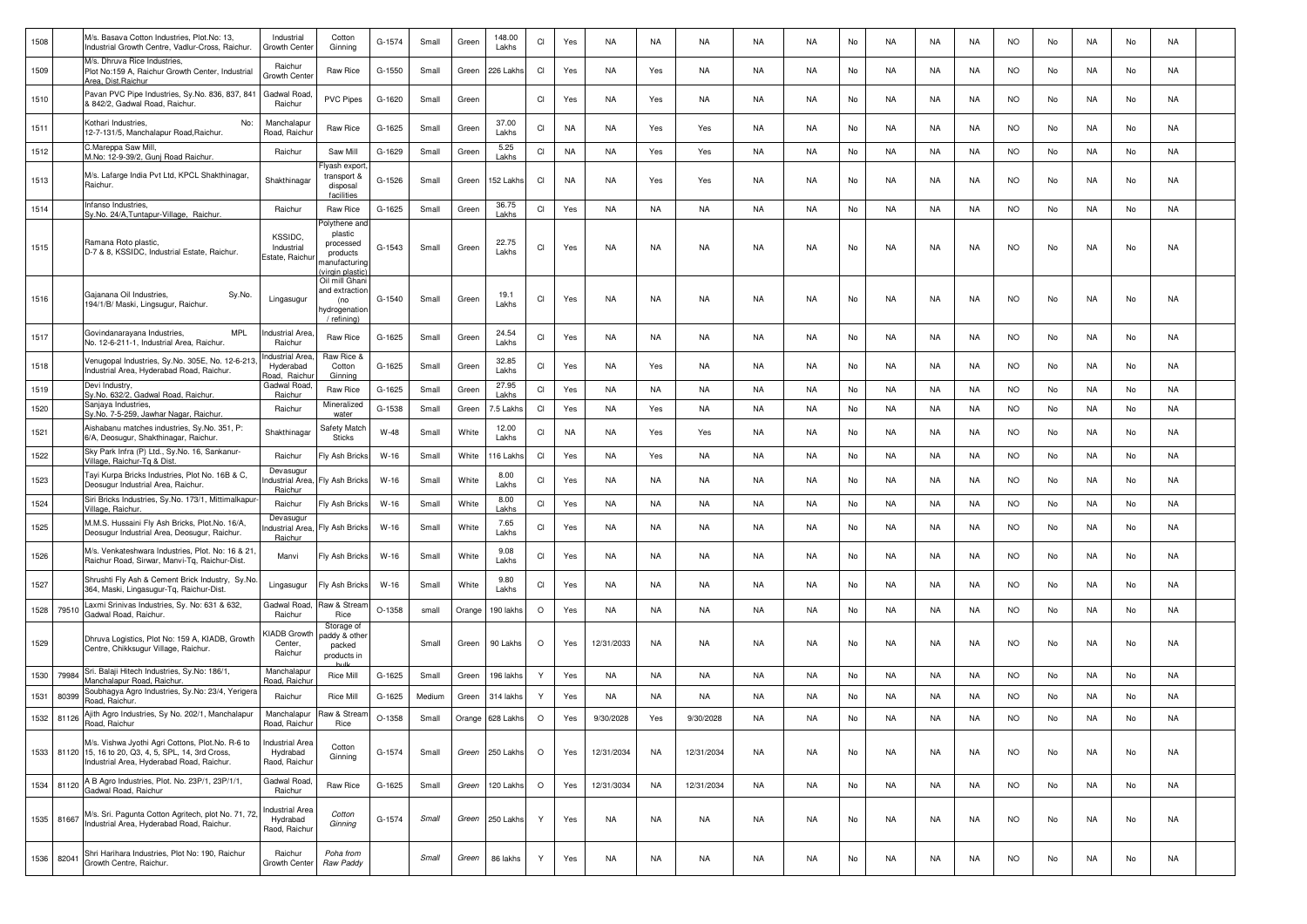| 1508 |       | M/s. Basava Cotton Industries, Plot.No: 13,<br>Industrial Growth Centre, Vadlur-Cross, Raichur.                                                    | Industrial<br>Growth Cente                  | Cotton<br>Ginning                                                                   | G-1574   | Small  | Green  | 148.00<br>Lakhs | CI           | Yes       | <b>NA</b>  | NA        | NA         | NA        | NA        | No | NA        | NA        | NA | <b>NO</b> | No | NA        | No | NA        |  |
|------|-------|----------------------------------------------------------------------------------------------------------------------------------------------------|---------------------------------------------|-------------------------------------------------------------------------------------|----------|--------|--------|-----------------|--------------|-----------|------------|-----------|------------|-----------|-----------|----|-----------|-----------|----|-----------|----|-----------|----|-----------|--|
| 1509 |       | M/s. Dhruva Rice Industries,<br>Plot No:159 A, Raichur Growth Center, Industrial<br>Area, Dist, Raichur                                            | Raichur<br>Growth Cente                     | Raw Rice                                                                            | G-1550   | Small  | Green  | 226 Lakh        | <b>CI</b>    | Yes       | NA         | Yes       | NA         | NA        | NA        | No | NA.       | NA        | NA | <b>NO</b> | No | NA        | No | NA        |  |
| 1510 |       | Pavan PVC Pipe Industries, Sy.No. 836, 837, 841<br>& 842/2, Gadwal Road, Raichur.                                                                  | Gadwal Road<br>Raichur                      | <b>PVC Pipes</b>                                                                    | G-1620   | Small  | Green  |                 | CI           | Yes       | <b>NA</b>  | Yes       | NA         | NA        | NA        | No | NA.       | NA        | NA | <b>NO</b> | No | NA        | No | NA        |  |
| 1511 |       | Kothari Industries,<br>No:<br>12-7-131/5, Manchalapur Road, Raichur.                                                                               | Manchalapur<br>Road, Raichu                 | Raw Rice                                                                            | G-1625   | Small  | Green  | 37.00<br>Lakhs  | CI           | <b>NA</b> | NA         | Yes       | Yes        | NA        | <b>NA</b> | No | NA.       | NA        | NA | <b>NO</b> | No | NA        | No | NA        |  |
| 1512 |       | C.Mareppa Saw Mill,<br>M.No: 12-9-39/2, Gunj Road Raichur.                                                                                         | Raichur                                     | Saw Mill                                                                            | G-1629   | Small  | Green  | 5.25<br>Lakhs   | <b>CI</b>    | <b>NA</b> | NA         | Yes       | Yes        | NA        | <b>NA</b> | No | <b>NA</b> | NA        | NA | <b>NO</b> | No | NA        | No | <b>NA</b> |  |
| 1513 |       | M/s. Lafarge India Pvt Ltd, KPCL Shakthinagar,<br>Raichur.                                                                                         | Shakthinagar                                | lyash export<br>transport &<br>disposal<br>facilities                               | G-1526   | Small  | Green  | 152 Lakhs       | <b>CI</b>    | <b>NA</b> | <b>NA</b>  | Yes       | Yes        | NA        | NA        | No | NA        | NA        | NA | <b>NO</b> | No | NA        | No | NA        |  |
| 1514 |       | Infanso Industries,<br>Sy.No. 24/A, Tuntapur-Village, Raichur.                                                                                     | Raichur                                     | Raw Rice                                                                            | G-1625   | Small  | Green  | 36.75<br>Lakhs  | CI           | Yes       | NA         | NA        | NA         | NA        | <b>NA</b> | No | NA.       | <b>NA</b> | NA | <b>NO</b> | No | NA        | No | NA        |  |
| 1515 |       | Ramana Roto plastic.<br>D-7 & 8, KSSIDC, Industrial Estate, Raichur.                                                                               | KSSIDC,<br>Industrial<br>Estate, Raichu     | olythene and<br>plastic<br>processed<br>products<br>ıanufacturinç<br>virgin plastic | G-1543   | Small  | Green  | 22.75<br>Lakhs  | CI           | Yes       | NA         | NA        | NA         | NA        | NA        | No | NA.       | NA        | NA | <b>NO</b> | No | NA        | No | NA        |  |
| 1516 |       | Gajanana Oil Industries,<br>Sy.No.<br>194/1/B/ Maski, Lingsugur, Raichur.                                                                          | Lingasugur                                  | Oil mill Ghani<br>and extraction<br>(no<br>hydrogenation<br>/ refining)             | G-1540   | Small  | Green  | 19.1<br>Lakhs   | <b>CI</b>    | Yes       | NA         | NA        | NA         | NA        | NA        | No | NA.       | NA        | NA | <b>NO</b> | No | NA        | No | NA        |  |
| 1517 |       | <b>MPL</b><br>Govindanarayana Industries,<br>No. 12-6-211-1, Industrial Area, Raichur.                                                             | าdustrial Area<br>Raichur                   | Raw Rice                                                                            | G-1625   | Small  | Green  | 24.54<br>Lakhs  | CI           | Yes       | NA         | NA        | NA         | NA        | <b>NA</b> | No | NA.       | NA        | NA | <b>NO</b> | No | NA        | No | NA        |  |
| 1518 |       | Venugopal Industries, Sy.No. 305E, No. 12-6-213<br>Industrial Area, Hyderabad Road, Raichur.                                                       | ndustrial Area<br>Hyderabad<br>Road, Raichu | Raw Rice &<br>Cotton<br>Ginning                                                     | G-1625   | Small  | Green  | 32.85<br>Lakhs  | CI           | Yes       | NA         | Yes       | NA         | NA        | <b>NA</b> | No | <b>NA</b> | NA        | NA | <b>NO</b> | No | NA        | No | NA        |  |
| 1519 |       | Devi Industry,<br>Sy.No. 632/2, Gadwal Road, Raichur.                                                                                              | Gadwal Road<br>Raichur                      | Raw Rice                                                                            | G-1625   | Small  | Green  | 27.95<br>Lakhs  | CI           | Yes       | NA         | NA        | NA         | NA        | <b>NA</b> | No | <b>NA</b> | NA        | NA | <b>NO</b> | No | NA        | No | <b>NA</b> |  |
| 1520 |       | Sanjaya Industries,<br>Sy.No. 7-5-259, Jawhar Nagar, Raichur.                                                                                      | Raichur                                     | Mineralized<br>water                                                                | G-1538   | Small  | Green  | .5 Lakhs        | <b>CI</b>    | Yes       | NA         | Yes       | NA         | NA        | <b>NA</b> | No | <b>NA</b> | NA        | NA | <b>NO</b> | No | NA        | No | <b>NA</b> |  |
| 1521 |       | Aishabanu matches industries, Sy.No. 351, P:<br>6/A, Deosugur, Shakthinagar, Raichur.                                                              | Shakthinagar                                | Safety Match<br>Sticks                                                              | W-48     | Small  | White  | 12.00<br>Lakhs  | CI           | <b>NA</b> | NA         | Yes       | Yes        | NA        | NA        | No | NA        | NA        | NA | <b>NO</b> | No | NA        | No | NA        |  |
| 1522 |       | Sky Park Infra (P) Ltd., Sy.No. 16, Sankanur-<br>Village, Raichur-Tg & Dist                                                                        | Raichur                                     | Fly Ash Bricks                                                                      | $W-16$   | Small  | White  | 16 Lakh         | <b>CI</b>    | Yes       | NA         | Yes       | NA         | NA        | <b>NA</b> | No | NA.       | NA        | NA | <b>NO</b> | No | NA        | No | NA        |  |
| 1523 |       | Tayi Kurpa Bricks Industries, Plot No. 16B & C,<br>Deosugur Industrial Area, Raichur.                                                              | Devasugur<br>ndustrial Area<br>Raichur      | Fly Ash Bricks                                                                      | $W-16$   | Small  | White  | 8.00<br>Lakhs   | <b>CI</b>    | Yes       | NA         | NA        | NA         | NA        | NA        | No | NA.       | NA        | NA | <b>NO</b> | No | NA        | No | NA        |  |
| 1524 |       | Siri Bricks Industries, Sy.No. 173/1, Mittimalkapur<br>Village, Raichur.                                                                           | Raichur                                     | Fly Ash Bricks                                                                      | $W-16$   | Small  | White  | 8.00<br>Lakhs   | CI           | Yes       | NA         | NA        | NA         | NA        | NA        | No | NA        | NA        | NA | <b>NO</b> | No | NA        | No | <b>NA</b> |  |
| 1525 |       | M.M.S. Hussaini Fly Ash Bricks, Plot.No. 16/A,<br>Deosugur Industrial Area, Deosugur, Raichur.                                                     | Devasugur<br>ıdustrial Area<br>Raichur      | Fly Ash Bricks                                                                      | W-16     | Small  | White  | 7.65<br>Lakhs   | CI           | Yes       | NA         | NA        | NA         | NA        | NA        | No | NA.       | NA        | NA | <b>NO</b> | No | NA        | No | NA        |  |
| 1526 |       | M/s. Venkateshwara Industries, Plot. No: 16 & 21<br>Raichur Road, Sirwar, Manvi-Tq, Raichur-Dist.                                                  | Manvi                                       | Fly Ash Bricks                                                                      | W-16     | Small  | White  | 9.08<br>Lakhs   | CI           | Yes       | <b>NA</b>  | NA        | NA         | NA        | NA        | No | NA.       | NA        | NA | NO.       | No | NA        | No | NA        |  |
| 1527 |       | Shrushti Fly Ash & Cement Brick Industry, Sy.No<br>364, Maski, Lingasugur-Tq, Raichur-Dist.                                                        | Lingasugur                                  | Fly Ash Bricks                                                                      | W-16     | Small  | White  | 9.80<br>Lakhs   | CI           | Yes       | NA         | NA        | NA         | NA        | <b>NA</b> | No | NA.       | NA        | NA | <b>NO</b> | No | NA        | No | NA        |  |
| 1528 | 79510 | Laxmi Srinivas Industries, Sy. No: 631 & 632,<br>Gadwal Road, Raichur.                                                                             | Gadwal Road<br>Raichur                      | Raw & Stream<br>Rice                                                                | $O-1358$ | small  | Orange | 190 lakhs       | $\circ$      | Yes       | NA         | NA        | NA         | NA        | NA        | No | NA.       | NA        | NA | <b>NO</b> | No | NA        | No | NA        |  |
| 1529 |       | Dhruva Logistics, Plot No: 159 A, KIADB, Growth<br>Centre, Chikksugur Village, Raichur.                                                            | <b>JADB</b> Growt<br>Center.<br>Raichur     | Storage of<br>addy & other<br>packed<br>products in                                 |          | Small  | Green  | 90 Lakhs        | $\circ$      | Yes       | 12/31/2033 | NA        | NA         | NA        | NA        | No | NA        | <b>NA</b> | NA | <b>NO</b> | No | NA        | No | NA        |  |
| 1530 | 79984 | Sri. Balaji Hitech Industries, Sy.No: 186/1,<br>Manchalapur Road, Raichur                                                                          | Manchalapur<br>Road, Raichu                 | Rice Mill                                                                           | G-1625   | Small  | Green  | 196 lakhs       | $\mathsf{Y}$ | Yes       | NA         | <b>NA</b> | NA         | <b>NA</b> | NA        | No | NA.       | <b>NA</b> | NA | <b>NO</b> | No | NA        | No | NA        |  |
| 1531 | 80399 | Soubhagya Agro Industries, Sy.No: 23/4, Yerigera<br>Road, Raichur.                                                                                 | Raichur                                     | <b>Rice Mill</b>                                                                    | G-1625   | Medium | Green  | 314 lakhs       | Y            | Yes       | <b>NA</b>  | <b>NA</b> | NA         | NA        | <b>NA</b> | No | <b>NA</b> | NA        | NA | <b>NO</b> | No | NA        | No | <b>NA</b> |  |
| 1532 | 81126 | Ajith Agro Industries, Sy No. 202/1, Manchalapur<br>Road, Raichur                                                                                  | Manchalapur<br>Road, Raichur                | Raw & Strean<br>Rice                                                                | O-1358   | Small  | Orange | 628 Lakhs       | $\circ$      | Yes       | 9/30/2028  | Yes       | 9/30/2028  | <b>NA</b> | <b>NA</b> | No | <b>NA</b> | NA        | NA | <b>NO</b> | No | <b>NA</b> | No | <b>NA</b> |  |
| 1533 |       | M/s. Vishwa Jyothi Agri Cottons, Plot.No. R-6 to<br>81120 15, 16 to 20, Q3, 4, 5, SPL, 14, 3rd Cross,<br>Industrial Area, Hyderabad Road, Raichur. | ndustrial Area<br>Hydrabad<br>Raod, Raichur | Cotton<br>Ginning                                                                   | G-1574   | Small  | Green  | 250 Lakhs       | $\circ$      | Yes       | 12/31/2034 | <b>NA</b> | 12/31/2034 | NA        | NA        | No | <b>NA</b> | NA        | NA | <b>NO</b> | No | NA        | No | NA        |  |
| 1534 | 81120 | A B Agro Industries, Plot. No. 23P/1, 23P/1/1,<br>Gadwal Road, Raichur                                                                             | Gadwal Road.<br>Raichur                     | Raw Rice                                                                            | G-1625   | Small  | Green  | 120 Lakhs       | $\circ$      | Yes       | 12/31/3034 | <b>NA</b> | 12/31/2034 | <b>NA</b> | <b>NA</b> | No | <b>NA</b> | NA        | NA | <b>NO</b> | No | <b>NA</b> | No | <b>NA</b> |  |
| 1535 | 81667 | M/s. Sri. Pagunta Cotton Agritech, plot No. 71, 72<br>Industrial Area, Hyderabad Road, Raichur.                                                    | ndustrial Area<br>Hydrabad<br>Raod, Raichur | Cotton<br>Ginning                                                                   | G-1574   | Small  | Green  | 250 Lakhs       | Y            | Yes       | NA         | <b>NA</b> | NA         | NA        | NA        | No | <b>NA</b> | NA        | NA | <b>NO</b> | No | NA        | No | NA        |  |
| 1536 | 82041 | Shri Harihara Industries, Plot No: 190, Raichur<br>Growth Centre, Raichur.                                                                         | Raichur<br>Growth Cente                     | Poha from<br>Raw Paddy                                                              |          | Small  | Green  | 86 lakhs        | Y            | Yes       | NA         | NA        | NA         | NA        | NA        | No | NA        | NA        | NA | <b>NO</b> | No | NA        | No | NA        |  |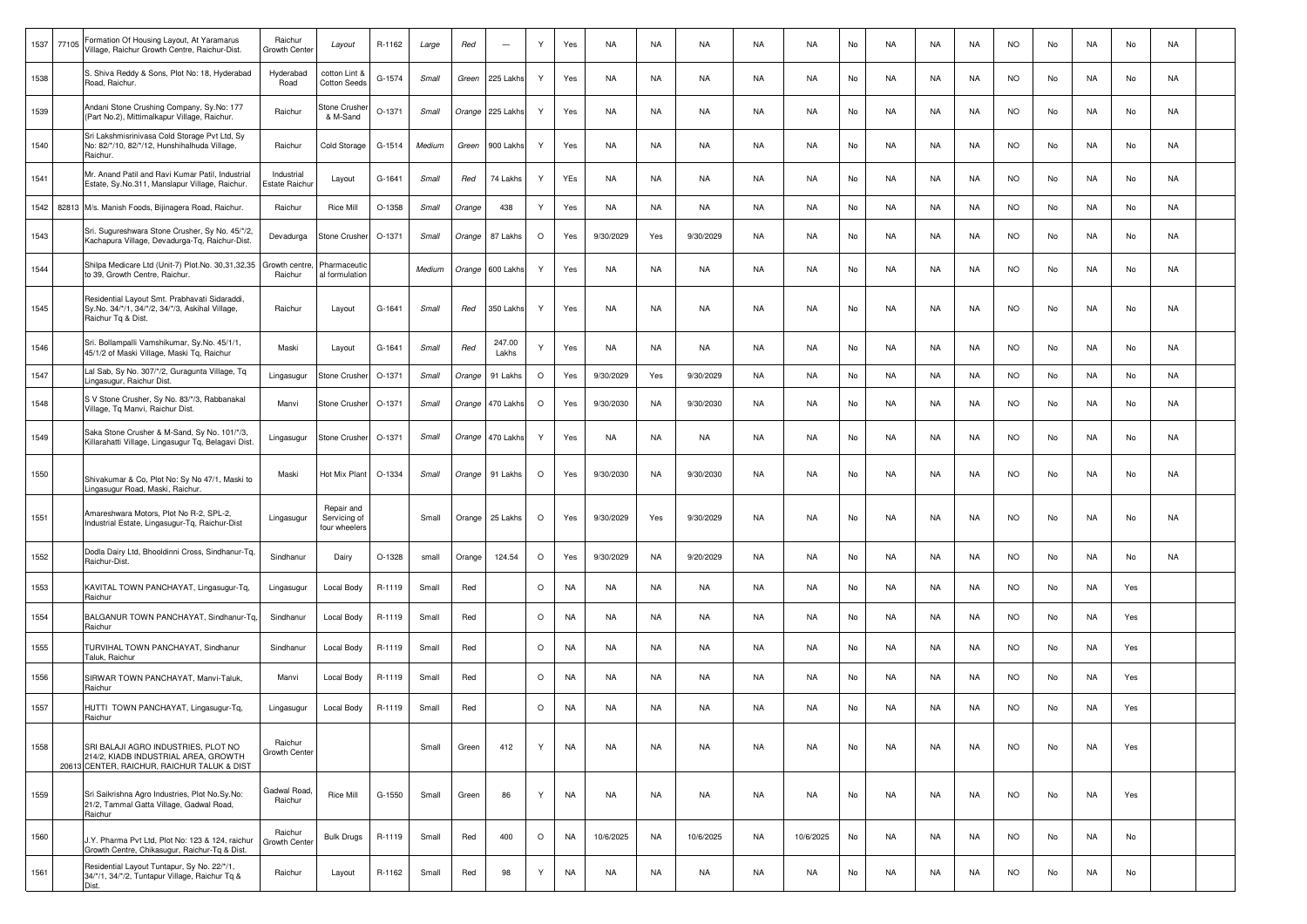| 1537 | 77105 | Formation Of Housing Layout, At Yaramarus<br>Village, Raichur Growth Centre, Raichur-Dist.                                 | Raichur<br>Growth Center    | Layout                                      | R-1162   | Large  | Red    | $\sim$          | Y       | Yes       | NA        | NA        | NA        | NA | NA        | No | NA        | NA | NA        | <b>NO</b> | No | NA | No  | NA |  |
|------|-------|----------------------------------------------------------------------------------------------------------------------------|-----------------------------|---------------------------------------------|----------|--------|--------|-----------------|---------|-----------|-----------|-----------|-----------|----|-----------|----|-----------|----|-----------|-----------|----|----|-----|----|--|
| 1538 |       | S. Shiva Reddy & Sons, Plot No: 18, Hyderabad<br>Road, Raichur.                                                            | Hyderabad<br>Road           | cotton Lint &<br><b>Cotton Seeds</b>        | G-1574   | Small  | Green  | 225 Lakhs       | Y       | Yes       | NA        | NA        | NA        | NA | NA        | No | NA        | NA | NA        | <b>NO</b> | No | NA | No  | NA |  |
| 1539 |       | Andani Stone Crushing Company, Sy.No: 177<br>(Part No.2), Mittimalkapur Village, Raichur.                                  | Raichur                     | Stone Crusher<br>& M-Sand                   | O-1371   | Small  | Orange | 225 Lakhs       | Y       | Yes       | NA        | NA        | NA        | NA | NA        | No | NA        | NA | NA        | <b>NO</b> | No | NA | No  | NA |  |
| 1540 |       | Sri Lakshmisrinivasa Cold Storage Pvt Ltd, Sy<br>No: 82/*/10, 82/*/12, Hunshihalhuda Village,<br>Raichur.                  | Raichur                     | Cold Storage                                | G-1514   | Medium | Green  | 900 Lakhs       | Y       | Yes       | NA        | NA        | NA        | NA | NA        | No | NA        | NA | NA        | NO.       | No | NA | No  | NA |  |
| 1541 |       | Mr. Anand Patil and Ravi Kumar Patil, Industrial<br>Estate, Sy.No.311, Manslapur Village, Raichur.                         | Industrial<br>Estate Raichu | Layout                                      | G-1641   | Small  | Red    | 74 Lakhs        | Y       | YEs       | NA        | NA        | NA        | NA | NA        | No | NA        | NA | NA        | <b>NO</b> | No | NA | No  | NA |  |
| 1542 |       | 82813 M/s. Manish Foods, Bijinagera Road, Raichur.                                                                         | Raichur                     | Rice Mill                                   | O-1358   | Small  | Orange | 438             | Y       | Yes       | <b>NA</b> | NA        | NA        | NA | NA        | No | NA        | NA | NA        | <b>NO</b> | No | NA | No  | NA |  |
| 1543 |       | Sri. Sugureshwara Stone Crusher, Sy No. 45/*/2,<br>Kachapura Village, Devadurga-Tq, Raichur-Dist.                          | Devadurga                   | Stone Crusher                               | O-1371   | Small  | Orange | 87 Lakhs        | $\circ$ | Yes       | 9/30/2029 | Yes       | 9/30/2029 | NA | NA        | No | NA        | NA | NA        | NO.       | No | NA | No  | NA |  |
| 1544 |       | Shilpa Medicare Ltd (Unit-7) Plot.No. 30,31,32,35<br>to 39, Growth Centre, Raichur.                                        | Growth centre<br>Raichur    | Pharmaceutic<br>al formulation              |          | Medium | Orange | 600 Lakhs       | Y       | Yes       | NA        | NA        | NA        | NA | NA        | No | NA        | NA | NA        | <b>NO</b> | No | NA | No  | NA |  |
| 1545 |       | Residential Layout Smt. Prabhavati Sidaraddi,<br>Sy.No. 34/*/1, 34/*/2, 34/*/3, Askihal Village,<br>Raichur Tq & Dist.     | Raichur                     | Layout                                      | G-1641   | Small  | Red    | 350 Lakhs       | Y       | Yes       | NA        | NA        | NA        | NA | NA        | No | NA        | NA | NA        | NO.       | No | NA | No  | NA |  |
| 1546 |       | Sri. Bollampalli Vamshikumar, Sy.No. 45/1/1,<br>45/1/2 of Maski Village, Maski Tg, Raichur                                 | Maski                       | Layout                                      | G-1641   | Small  | Red    | 247.00<br>Lakhs | Υ       | Yes       | NA        | NA        | NA        | NA | NA        | No | NA        | NA | NA        | NO.       | No | NA | No  | NA |  |
| 1547 |       | Lal Sab, Sy No. 307/*/2, Guragunta Village, Tq<br>Lingasugur, Raichur Dist.                                                | Lingasugur                  | Stone Crusher                               | O-1371   | Small  | Orange | 91 Lakhs        | $\circ$ | Yes       | 9/30/2029 | Yes       | 9/30/2029 | NA | NA        | No | NA        | NA | NA        | <b>NO</b> | No | NA | No  | NA |  |
| 1548 |       | S V Stone Crusher, Sy No. 83/*/3, Rabbanakal<br>Village, Tq Manvi, Raichur Dist.                                           | Manvi                       | Stone Crusher                               | O-1371   | Small  | Orange | 470 Lakhs       | $\circ$ | Yes       | 9/30/2030 | NA        | 9/30/2030 | NA | NA        | No | NA        | NA | NA        | NO.       | No | NA | No  | NA |  |
| 1549 |       | Saka Stone Crusher & M-Sand, Sy No. 101/*/3,<br>Killarahatti Village, Lingasugur Tq, Belagavi Dist.                        | Lingasugur                  | Stone Crusher                               | O-1371   | Small  | Orange | 470 Lakhs       | Y       | Yes       | NA        | NA        | NA        | NA | NA        | No | NA        | NA | NA        | <b>NO</b> | No | NA | No  | NA |  |
| 1550 |       | Shivakumar & Co, Plot No: Sy No 47/1, Maski to<br>Lingasugur Road, Maski, Raichur.                                         | Maski                       | Hot Mix Plant                               | O-1334   | Small  | Orange | 91 Lakhs        | $\circ$ | Yes       | 9/30/2030 | NA        | 9/30/2030 | NA | NA        | No | NA        | NA | NA        | <b>NO</b> | No | NA | No  | NA |  |
| 1551 |       | Amareshwara Motors, Plot No R-2, SPL-2,<br>Industrial Estate, Lingasugur-Tq, Raichur-Dist                                  | Lingasugur                  | Repair and<br>Servicing of<br>four wheelers |          | Small  | Orange | 25 Lakhs        | $\circ$ | Yes       | 9/30/2029 | Yes       | 9/30/2029 | NA | NA        | No | NA        | NA | NA        | NO.       | No | NA | No  | NA |  |
| 1552 |       | Dodla Dairy Ltd, Bhooldinni Cross, Sindhanur-Tq,<br>Raichur-Dist.                                                          | Sindhanur                   | Dairy                                       | O-1328   | small  | Orange | 124.54          | $\circ$ | Yes       | 9/30/2029 | NA        | 9/20/2029 | NA | NA        | No | NA        | NA | NA        | NO.       | No | NA | No  | NA |  |
| 1553 |       | KAVITAL TOWN PANCHAYAT, Lingasugur-Tq,<br>Raichur                                                                          | Lingasugur                  | Local Body                                  | R-1119   | Small  | Red    |                 | $\circ$ | NA        | NA        | NA        | NA.       | NA | NA        | No | NA        | NA | NA        | NO.       | No | NA | Yes |    |  |
| 1554 |       | BALGANUR TOWN PANCHAYAT, Sindhanur-Tq,<br>Raichur                                                                          | Sindhanur                   | Local Body                                  | R-1119   | Small  | Red    |                 | $\circ$ | NA        | <b>NA</b> | NA        | NA        | NA | NA        | No | NA        | NA | NA        | <b>NO</b> | No | NA | Yes |    |  |
| 1555 |       | TURVIHAL TOWN PANCHAYAT, Sindhanur<br>Taluk, Raichur                                                                       | Sindhanur                   | Local Body                                  | R-1119   | Small  | Red    |                 | $\circ$ | NA        | NA        | NA        | NA        | NA | NA        | No | NA        | NA | NA        | <b>NO</b> | No | NA | Yes |    |  |
| 1556 |       | SIRWAR TOWN PANCHAYAT, Manvi-Taluk,<br>Raichur                                                                             | Manvi                       | Local Body                                  | R-1119   | Small  | Red    |                 | $\circ$ | NA        | <b>NA</b> | NA        | NA        | NA | NA        | No | NA        | NA | NA        | <b>NO</b> | No | NA | Yes |    |  |
| 1557 |       | HUTTI TOWN PANCHAYAT, Lingasugur-Tq,<br>Raichur                                                                            | Lingasugur                  | Local Body                                  | R-1119   | Small  | Red    |                 | $\circ$ | NA        | NA        | NA        | NA        | NA | NA        | No | <b>NA</b> | NA | <b>NA</b> | <b>NO</b> | No | NA | Yes |    |  |
| 1558 |       | SRI BALAJI AGRO INDUSTRIES, PLOT NO<br>214/2, KIADB INDUSTRIAL AREA, GROWTH<br>20613 CENTER, RAICHUR, RAICHUR TALUK & DIST | Raichur<br>Growth Center    |                                             |          | Small  | Green  | 412             | Y       | <b>NA</b> | <b>NA</b> | NA        | <b>NA</b> | NA | <b>NA</b> | No | NA        | NA | NA        | <b>NO</b> | No | NA | Yes |    |  |
| 1559 |       | Sri Saikrishna Agro Industries, Plot No.Sy.No:<br>21/2, Tammal Gatta Village, Gadwal Road,<br>Raichur                      | Gadwal Road<br>Raichur      | Rice Mill                                   | $G-1550$ | Small  | Green  | 86              | Y       | <b>NA</b> | <b>NA</b> | <b>NA</b> | NA        | NA | NA        | No | NA        | NA | NA        | <b>NO</b> | No | NA | Yes |    |  |
| 1560 |       | J.Y. Pharma Pvt Ltd, Plot No: 123 & 124, raichur<br>Growth Centre, Chikasugur, Raichur-Tq & Dist.                          | Raichur<br>Growth Cente     | <b>Bulk Drugs</b>                           | R-1119   | Small  | Red    | 400             | $\circ$ | NA        | 10/6/2025 | NA        | 10/6/2025 | NA | 10/6/2025 | No | NA        | NA | NA        | <b>NO</b> | No | NA | No  |    |  |
| 1561 |       | Residential Layout Tuntapur, Sy No. 22/*/1,<br>34/*/1, 34/*/2, Tuntapur Village, Raichur Tq &<br>Dist.                     | Raichur                     | Layout                                      | R-1162   | Small  | Red    | 98              | Y       | NA        | NA        | NA        | NA        | NA | NA        | No | NA        | NA | NA        | <b>NO</b> | No | NA | No  |    |  |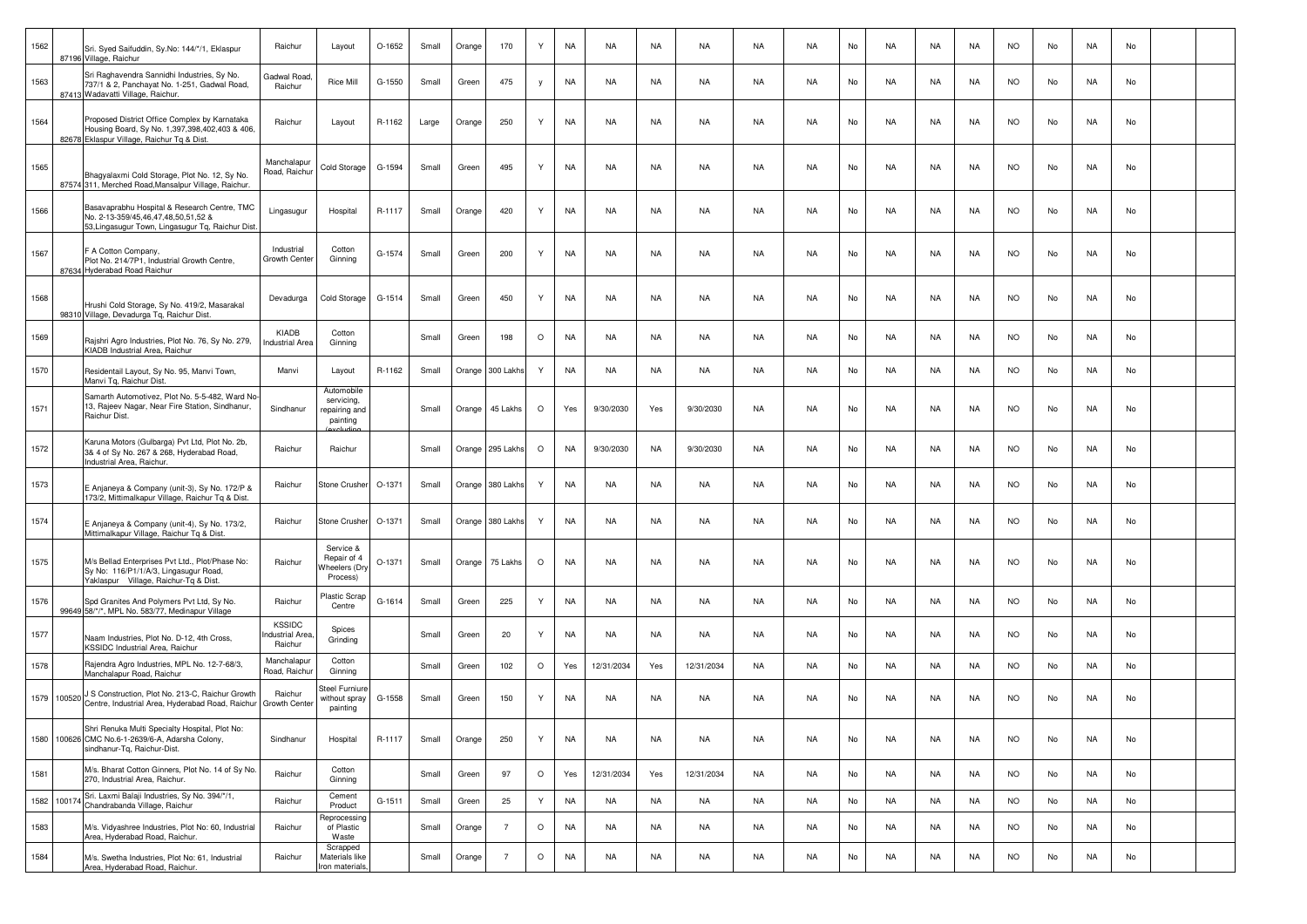| 1562        | Sri. Syed Saifuddin, Sy.No: 144/*/1, Eklaspur<br>87196 Village, Raichur                                                                       | Raichur                                    | Layout                                                | $O-1652$ | Small | Orange | 170            | Y       | NA        | <b>NA</b>  | <b>NA</b> | <b>NA</b>  | <b>NA</b> | <b>NA</b> | No | <b>NA</b> | <b>NA</b> | <b>NA</b> | <b>NO</b> | No | <b>NA</b> | No |  |
|-------------|-----------------------------------------------------------------------------------------------------------------------------------------------|--------------------------------------------|-------------------------------------------------------|----------|-------|--------|----------------|---------|-----------|------------|-----------|------------|-----------|-----------|----|-----------|-----------|-----------|-----------|----|-----------|----|--|
| 1563        | Sri Raghavendra Sannidhi Industries, Sy No.<br>737/1 & 2, Panchayat No. 1-251, Gadwal Road,<br>87413 Wadavatti Village, Raichur.              | Gadwal Road<br>Raichur                     | <b>Rice Mill</b>                                      | G-1550   | Small | Green  | 475            | V       | NA        | NA         | NA        | NA         | NA        | NA        | No | NA        | NA        | NA        | <b>NO</b> | No | NA        | No |  |
| 1564        | Proposed District Office Complex by Karnataka<br>Housing Board, Sy No. 1,397,398,402,403 & 406,<br>82678 Eklaspur Village, Raichur Tq & Dist. | Raichur                                    | Layout                                                | R-1162   | Large | Orange | 250            | Y       | <b>NA</b> | NA         | <b>NA</b> | NA         | NA        | NA        | No | NA        | NA        | NA        | <b>NO</b> | No | NA        | No |  |
| 1565        | Bhagyalaxmi Cold Storage, Plot No. 12, Sy No.<br>87574 311. Merched Road.Mansalpur Village. Raichur.                                          | Manchalapur<br>Road, Raichur               | Cold Storage                                          | G-1594   | Small | Green  | 495            | Y       | <b>NA</b> | <b>NA</b>  | <b>NA</b> | NA         | NA        | <b>NA</b> | No | <b>NA</b> | <b>NA</b> | <b>NA</b> | <b>NO</b> | No | NA        | No |  |
| 1566        | Basavaprabhu Hospital & Research Centre, TMC<br>No. 2-13-359/45,46,47,48,50,51,52 &<br>53, Lingasugur Town, Lingasugur Tg, Raichur Dist       | Lingasugur                                 | Hospital                                              | R-1117   | Small | Orange | 420            | Y       | NA        | NA         | <b>NA</b> | NA         | NA        | NA        | No | NA        | NA        | NA        | <b>NO</b> | No | NA        | No |  |
| 1567        | F A Cotton Company,<br>Plot No. 214/7P1, Industrial Growth Centre,<br>87634 Hyderabad Road Raichur                                            | Industrial<br>Growth Cente                 | Cotton<br>Ginning                                     | G-1574   | Small | Green  | 200            | Y       | <b>NA</b> | NA         | NA        | NA         | NA        | NA        | No | NA        | NA        | NA        | <b>NO</b> | No | NA        | No |  |
| 1568        | Hrushi Cold Storage, Sy No. 419/2, Masarakal<br>98310 Village, Devadurga Tq, Raichur Dist.                                                    | Devadurga                                  | Cold Storage                                          | G-1514   | Small | Green  | 450            | Y       | <b>NA</b> | <b>NA</b>  | <b>NA</b> | NA         | NA        | <b>NA</b> | No | <b>NA</b> | <b>NA</b> | NA        | <b>NO</b> | No | NA        | No |  |
| 1569        | Rajshri Agro Industries, Plot No. 76, Sy No. 279,<br>KIADB Industrial Area, Raichur                                                           | KIADB<br><b>Industrial Area</b>            | Cotton<br>Ginning                                     |          | Small | Green  | 198            | $\circ$ | <b>NA</b> | <b>NA</b>  | <b>NA</b> | NA         | NA        | <b>NA</b> | No | NA        | <b>NA</b> | NA        | <b>NO</b> | No | NA        | No |  |
| 1570        | Residentail Layout, Sy No. 95, Manvi Town,<br>Manvi Tg, Raichur Dist.                                                                         | Manvi                                      | Layout                                                | R-1162   | Small | Orange | 300 Lakh       | Y       | NA        | NA         | <b>NA</b> | NA         | NA        | NA        | No | NA        | NA        | NA        | <b>NO</b> | No | NA        | No |  |
| 1571        | Samarth Automotivez, Plot No. 5-5-482, Ward No<br>13, Rajeev Nagar, Near Fire Station, Sindhanur,<br>Raichur Dist.                            | Sindhanur                                  | Automobile<br>servicing,<br>repairing and<br>painting |          | Small | Orange | 45 Lakhs       | $\circ$ | Yes       | 9/30/2030  | Yes       | 9/30/2030  | NA        | NA        | No | NA        | NA        | NA        | <b>NO</b> | No | NA        | No |  |
| 1572        | Karuna Motors (Gulbarga) Pvt Ltd, Plot No. 2b,<br>3& 4 of Sy No. 267 & 268, Hyderabad Road,<br>Industrial Area, Raichur.                      | Raichur                                    | Raichur                                               |          | Small | Orange | 295 Lakh       | $\circ$ | <b>NA</b> | 9/30/2030  | <b>NA</b> | 9/30/2030  | NA        | NA        | No | <b>NA</b> | NA        | <b>NA</b> | <b>NO</b> | No | NA        | No |  |
| 1573        | E Anjaneya & Company (unit-3), Sy No. 172/P &<br>173/2, Mittimalkapur Village, Raichur Tq & Dist.                                             | Raichur                                    | <b>Stone Crusher</b>                                  | O-1371   | Small | Orange | 380 Lakh:      | Y       | <b>NA</b> | NA         | NA        | NA         | NA        | NA        | No | NA        | NA        | NA        | <b>NO</b> | No | NA        | No |  |
| 1574        | E Anjaneya & Company (unit-4), Sy No. 173/2,<br>Mittimalkapur Village, Raichur Tq & Dist.                                                     | Raichur                                    | Stone Crusher                                         | O-1371   | Small | Orange | 380 Lakhs      | Y       | NA        | <b>NA</b>  | <b>NA</b> | NA         | <b>NA</b> | <b>NA</b> | No | NA        | NA        | <b>NA</b> | <b>NO</b> | No | <b>NA</b> | No |  |
| 1575        | M/s Bellad Enterprises Pvt Ltd., Plot/Phase No:<br>Sy No: 116/P1/1/A/3, Lingasugur Road,<br>Yaklaspur Village, Raichur-Tq & Dist.             | Raichur                                    | Service &<br>Repair of 4<br>Vheelers (Dry<br>Process) | O-1371   | Small | Orange | 75 Lakhs       | $\circ$ | <b>NA</b> | NA         | <b>NA</b> | NA         | NA        | NA        | No | NA        | NA        | NA        | <b>NO</b> | No | NA        | No |  |
| 1576        | Spd Granites And Polymers Pvt Ltd, Sy No.<br>99649 58/*/*, MPL No. 583/77, Medinapur Village                                                  | Raichur                                    | Plastic Scrap<br>Centre                               | G-1614   | Small | Green  | 225            | Y       | NA        | NA         | NA        | NA         | NA        | NA        | No | NA        | NA        | NA        | <b>NO</b> | No | NA        | No |  |
| 1577        | Naam Industries, Plot No. D-12, 4th Cross,<br>KSSIDC Industrial Area, Raichur                                                                 | <b>KSSIDC</b><br>ndustrial Area<br>Raichur | Spices<br>Grinding                                    |          | Small | Green  | 20             | Y       | <b>NA</b> | NA         | <b>NA</b> | NA         | NA        | NA        | No | NA        | NA        | NA        | <b>NO</b> | No | NA        | No |  |
| 1578        | Rajendra Agro Industries, MPL No. 12-7-68/3,<br>Manchalapur Road, Raichur                                                                     | Manchalapur<br>Road, Raichur               | Cotton<br>Ginning                                     |          | Small | Green  | 102            | $\circ$ | Yes       | 12/31/2034 | Yes       | 12/31/2034 | NA        | <b>NA</b> | No | NA        | <b>NA</b> | <b>NA</b> | <b>NO</b> | No | NA        | No |  |
|             | 1579 100520 J S Construction, Plot No. 213-C, Raichur Growth<br>Centre, Industrial Area, Hyderabad Road, Raichur                              | Raichur<br>Growth Center                   | Steel Furniure<br>without spray<br>painting           | G-1558   | Small | Green  | 150            | Y       | <b>NA</b> | <b>NA</b>  | <b>NA</b> | NA         | NA        | NA        | No | NA        | NA        | NA        | <b>NO</b> | No | NA        | No |  |
|             | Shri Renuka Multi Specialty Hospital, Plot No:<br>1580 100626 CMC No.6-1-2639/6-A, Adarsha Colony,<br>sindhanur-Tg, Raichur-Dist.             | Sindhanur                                  | Hospital                                              | R-1117   | Small | Orange | 250            | Y       | NA        | NA         | <b>NA</b> | NA         | NA        | NA        | No | NA        | NA        | NA        | <b>NO</b> | No | NA        | No |  |
| 1581        | M/s. Bharat Cotton Ginners, Plot No. 14 of Sy No.<br>270, Industrial Area, Raichur.                                                           | Raichur                                    | Cotton<br>Ginning                                     |          | Small | Green  | 97             | $\circ$ | Yes       | 12/31/2034 | Yes       | 12/31/2034 | NA        | NA        | No | NA        | NA        | NA        | <b>NO</b> | No | NA        | No |  |
| 1582 100174 | Sri. Laxmi Balaji Industries, Sy No. 394/*/1,<br>Chandrabanda Village, Raichur                                                                | Raichur                                    | Cement<br>Product                                     | $G-1511$ | Small | Green  | 25             | Y       | <b>NA</b> | <b>NA</b>  | <b>NA</b> | NA         | <b>NA</b> | <b>NA</b> | No | NA        | <b>NA</b> | NA        | <b>NO</b> | No | NA        | No |  |
| 1583        | M/s. Vidyashree Industries, Plot No: 60, Industrial<br>Area, Hyderabad Road, Raichur                                                          | Raichur                                    | Reprocessing<br>of Plastic<br>Waste                   |          | Small | Orange | $\overline{7}$ | $\circ$ | NA        | NA         | NA        | NA         | NA        | NA        | No | NA        | NA        | NA        | <b>NO</b> | No | NA        | No |  |
| 1584        | M/s. Swetha Industries, Plot No: 61, Industrial<br>Area, Hyderabad Road, Raichur.                                                             | Raichur                                    | Scrapped<br>Materials like<br>Iron materials,         |          | Small | Orange | $\overline{7}$ | $\circ$ | NA        | <b>NA</b>  | NA        | NA         | NA        | NA        | No | NA        | NA        | NA        | <b>NO</b> | No | NA        | No |  |